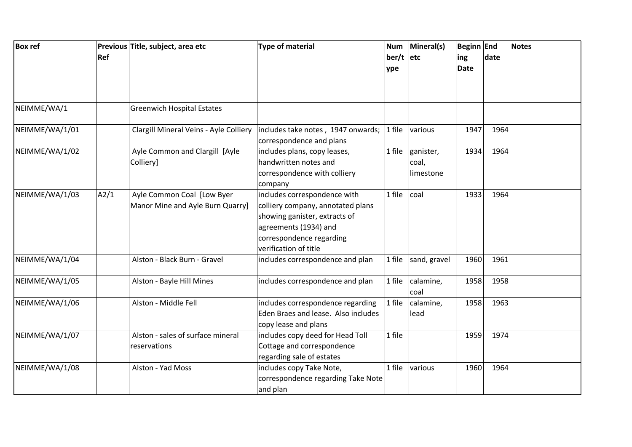| <b>Box ref</b> | Ref  | Previous Title, subject, area etc                              | Type of material                                                                                                                                                                 | <b>Num</b><br>$ber/t$ etc<br>ype | Mineral(s)                      | <b>Beginn End</b><br>ing<br><b>Date</b> | date | <b>Notes</b> |
|----------------|------|----------------------------------------------------------------|----------------------------------------------------------------------------------------------------------------------------------------------------------------------------------|----------------------------------|---------------------------------|-----------------------------------------|------|--------------|
| NEIMME/WA/1    |      | <b>Greenwich Hospital Estates</b>                              |                                                                                                                                                                                  |                                  |                                 |                                         |      |              |
| NEIMME/WA/1/01 |      |                                                                | Clargill Mineral Veins - Ayle Colliery   includes take notes, 1947 onwards;<br>correspondence and plans                                                                          | $1$ file                         | various                         | 1947                                    | 1964 |              |
| NEIMME/WA/1/02 |      | Ayle Common and Clargill [Ayle<br>Colliery]                    | includes plans, copy leases,<br>handwritten notes and<br>correspondence with colliery<br>company                                                                                 | 1 file                           | ganister,<br>coal,<br>limestone | 1934                                    | 1964 |              |
| NEIMME/WA/1/03 | A2/1 | Ayle Common Coal [Low Byer<br>Manor Mine and Ayle Burn Quarry] | includes correspondence with<br>colliery company, annotated plans<br>showing ganister, extracts of<br>agreements (1934) and<br>correspondence regarding<br>verification of title | 1 file                           | coal                            | 1933                                    | 1964 |              |
| NEIMME/WA/1/04 |      | Alston - Black Burn - Gravel                                   | includes correspondence and plan                                                                                                                                                 | 1 file                           | sand, gravel                    | 1960                                    | 1961 |              |
| NEIMME/WA/1/05 |      | Alston - Bayle Hill Mines                                      | includes correspondence and plan                                                                                                                                                 | 1 file                           | calamine,<br>coal               | 1958                                    | 1958 |              |
| NEIMME/WA/1/06 |      | Alston - Middle Fell                                           | includes correspondence regarding<br>Eden Braes and lease. Also includes<br>copy lease and plans                                                                                 | 1 file                           | calamine,<br>lead               | 1958                                    | 1963 |              |
| NEIMME/WA/1/07 |      | Alston - sales of surface mineral<br>reservations              | includes copy deed for Head Toll<br>Cottage and correspondence<br>regarding sale of estates                                                                                      | 1 file                           |                                 | 1959                                    | 1974 |              |
| NEIMME/WA/1/08 |      | Alston - Yad Moss                                              | includes copy Take Note,<br>correspondence regarding Take Note<br>and plan                                                                                                       | 1 file                           | various                         | 1960                                    | 1964 |              |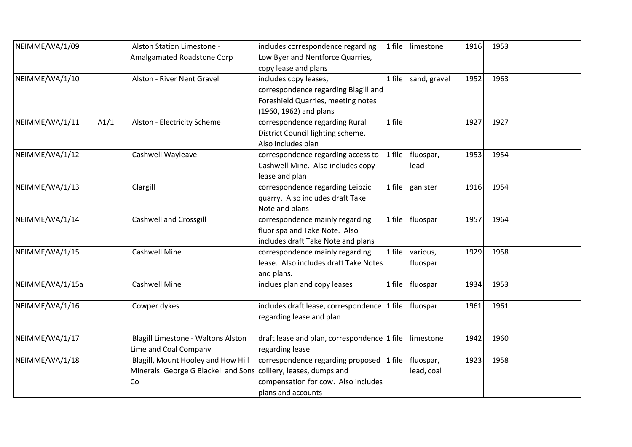| NEIMME/WA/1/09  |      | Alston Station Limestone -           | includes correspondence regarding                    | 1 file | limestone           | 1916 | 1953 |  |
|-----------------|------|--------------------------------------|------------------------------------------------------|--------|---------------------|------|------|--|
|                 |      | Amalgamated Roadstone Corp           | Low Byer and Nentforce Quarries,                     |        |                     |      |      |  |
|                 |      |                                      | copy lease and plans                                 |        |                     |      |      |  |
| NEIMME/WA/1/10  |      | Alston - River Nent Gravel           | includes copy leases,                                | 1 file | sand, gravel        | 1952 | 1963 |  |
|                 |      |                                      | correspondence regarding Blagill and                 |        |                     |      |      |  |
|                 |      |                                      | Foreshield Quarries, meeting notes                   |        |                     |      |      |  |
|                 |      |                                      | (1960, 1962) and plans                               |        |                     |      |      |  |
| NEIMME/WA/1/11  | A1/1 | Alston - Electricity Scheme          | correspondence regarding Rural                       | 1 file |                     | 1927 | 1927 |  |
|                 |      |                                      | District Council lighting scheme.                    |        |                     |      |      |  |
|                 |      |                                      | Also includes plan                                   |        |                     |      |      |  |
| NEIMME/WA/1/12  |      | Cashwell Wayleave                    | correspondence regarding access to                   | 1 file | fluospar,           | 1953 | 1954 |  |
|                 |      |                                      | Cashwell Mine. Also includes copy                    |        | lead                |      |      |  |
|                 |      |                                      | lease and plan                                       |        |                     |      |      |  |
| NEIMME/WA/1/13  |      | Clargill                             | correspondence regarding Leipzic                     | 1 file | ganister            | 1916 | 1954 |  |
|                 |      |                                      | quarry. Also includes draft Take                     |        |                     |      |      |  |
|                 |      |                                      | Note and plans                                       |        |                     |      |      |  |
| NEIMME/WA/1/14  |      | <b>Cashwell and Crossgill</b>        | correspondence mainly regarding                      |        | $1$ file   fluospar | 1957 | 1964 |  |
|                 |      |                                      | fluor spa and Take Note. Also                        |        |                     |      |      |  |
|                 |      |                                      | includes draft Take Note and plans                   |        |                     |      |      |  |
| NEIMME/WA/1/15  |      | <b>Cashwell Mine</b>                 | correspondence mainly regarding                      | 1 file | various,            | 1929 | 1958 |  |
|                 |      |                                      | lease. Also includes draft Take Notes                |        | fluospar            |      |      |  |
|                 |      |                                      | and plans.                                           |        |                     |      |      |  |
| NEIMME/WA/1/15a |      | <b>Cashwell Mine</b>                 | inclues plan and copy leases                         | 1 file | fluospar            | 1934 | 1953 |  |
|                 |      |                                      |                                                      |        |                     |      |      |  |
| NEIMME/WA/1/16  |      | Cowper dykes                         | includes draft lease, correspondence 1 file fluospar |        |                     | 1961 | 1961 |  |
|                 |      |                                      | regarding lease and plan                             |        |                     |      |      |  |
|                 |      |                                      |                                                      |        |                     |      |      |  |
| NEIMME/WA/1/17  |      | Blagill Limestone - Waltons Alston   | draft lease and plan, correspondence 1 file          |        | limestone           | 1942 | 1960 |  |
|                 |      | Lime and Coal Company                | regarding lease                                      |        |                     |      |      |  |
| NEIMME/WA/1/18  |      | Blagill, Mount Hooley and How Hill   | correspondence regarding proposed 1 file             |        | fluospar,           | 1923 | 1958 |  |
|                 |      | Minerals: George G Blackell and Sons | colliery, leases, dumps and                          |        | lead, coal          |      |      |  |
|                 |      | Co                                   | compensation for cow. Also includes                  |        |                     |      |      |  |
|                 |      |                                      | plans and accounts                                   |        |                     |      |      |  |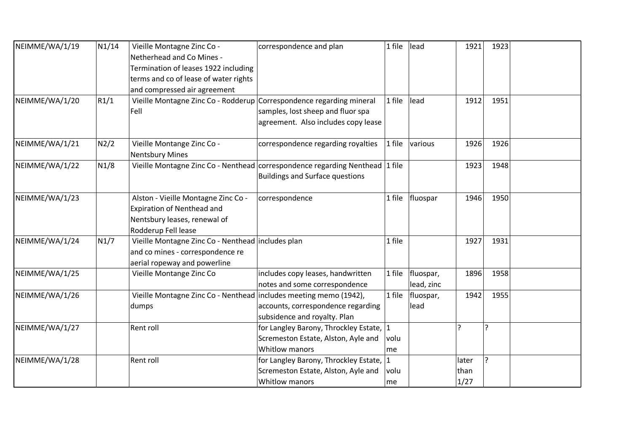| NEIMME/WA/1/19 | N1/14 | Vieille Montagne Zinc Co -                                           | correspondence and plan                                                      | 1 file                  | lead       | 1921  | 1923           |  |
|----------------|-------|----------------------------------------------------------------------|------------------------------------------------------------------------------|-------------------------|------------|-------|----------------|--|
|                |       | Netherhead and Co Mines -                                            |                                                                              |                         |            |       |                |  |
|                |       | Termination of leases 1922 including                                 |                                                                              |                         |            |       |                |  |
|                |       | terms and co of lease of water rights                                |                                                                              |                         |            |       |                |  |
|                |       | and compressed air agreement                                         |                                                                              |                         |            |       |                |  |
| NEIMME/WA/1/20 | R1/1  | Vieille Montagne Zinc Co - Rodderup Correspondence regarding mineral |                                                                              | 1 file                  | lead       | 1912  | 1951           |  |
|                |       | Fell                                                                 | samples, lost sheep and fluor spa                                            |                         |            |       |                |  |
|                |       |                                                                      | agreement. Also includes copy lease                                          |                         |            |       |                |  |
| NEIMME/WA/1/21 | N2/2  | Vieille Montange Zinc Co -<br><b>Nentsbury Mines</b>                 | correspondence regarding royalties                                           | 1 file                  | various    | 1926  | 1926           |  |
| NEIMME/WA/1/22 | N1/8  |                                                                      | Vieille Montagne Zinc Co - Nenthead correspondence regarding Nenthead 1 file |                         |            | 1923  | 1948           |  |
|                |       |                                                                      | <b>Buildings and Surface questions</b>                                       |                         |            |       |                |  |
|                |       |                                                                      |                                                                              |                         |            |       |                |  |
| NEIMME/WA/1/23 |       | Alston - Vieille Montagne Zinc Co -                                  | correspondence                                                               | 1 file                  | fluospar   | 1946  | 1950           |  |
|                |       | Expiration of Nenthead and                                           |                                                                              |                         |            |       |                |  |
|                |       | Nentsbury leases, renewal of                                         |                                                                              |                         |            |       |                |  |
|                |       | Rodderup Fell lease                                                  |                                                                              |                         |            |       |                |  |
| NEIMME/WA/1/24 | N1/7  | Vieille Montagne Zinc Co - Nenthead includes plan                    |                                                                              | 1 file                  |            | 1927  | 1931           |  |
|                |       | and co mines - correspondence re                                     |                                                                              |                         |            |       |                |  |
|                |       | aerial ropeway and powerline                                         |                                                                              |                         |            |       |                |  |
| NEIMME/WA/1/25 |       | Vieille Montange Zinc Co                                             | includes copy leases, handwritten                                            | 1 file                  | fluospar,  | 1896  | 1958           |  |
|                |       |                                                                      | notes and some correspondence                                                |                         | lead, zinc |       |                |  |
| NEIMME/WA/1/26 |       | Vieille Montagne Zinc Co - Nenthead includes meeting memo (1942),    |                                                                              | 1 file                  | fluospar,  | 1942  | 1955           |  |
|                |       | dumps                                                                | accounts, correspondence regarding                                           |                         | lead       |       |                |  |
|                |       |                                                                      | subsidence and royalty. Plan                                                 |                         |            |       |                |  |
| NEIMME/WA/1/27 |       | Rent roll                                                            | for Langley Barony, Throckley Estate, 1                                      |                         |            |       | $\overline{?}$ |  |
|                |       |                                                                      | Scremeston Estate, Alston, Ayle and                                          | volu                    |            |       |                |  |
|                |       |                                                                      | <b>Whitlow manors</b>                                                        | me                      |            |       |                |  |
| NEIMME/WA/1/28 |       | Rent roll                                                            | for Langley Barony, Throckley Estate, 1                                      |                         |            | later | $\overline{?}$ |  |
|                |       |                                                                      | Scremeston Estate, Alston, Ayle and                                          | volu                    |            | than  |                |  |
|                |       |                                                                      | Whitlow manors                                                               | $\mathsf{Im}\mathsf{e}$ |            | 1/27  |                |  |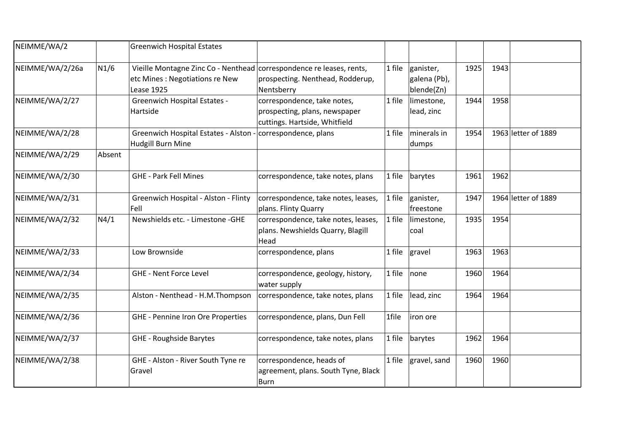| NEIMME/WA/2     |                   | <b>Greenwich Hospital Estates</b>                                                                                            |                                                                                               |        |                                         |      |      |                     |
|-----------------|-------------------|------------------------------------------------------------------------------------------------------------------------------|-----------------------------------------------------------------------------------------------|--------|-----------------------------------------|------|------|---------------------|
| NEIMME/WA/2/26a | N <sub>1</sub> /6 | Vieille Montagne Zinc Co - Nenthead correspondence re leases, rents,<br>etc Mines : Negotiations re New<br><b>Lease 1925</b> | prospecting. Nenthead, Rodderup,<br>Nentsberry                                                | 1 file | ganister,<br>galena (Pb),<br>blende(Zn) | 1925 | 1943 |                     |
| NEIMME/WA/2/27  |                   | <b>Greenwich Hospital Estates -</b><br>Hartside                                                                              | correspondence, take notes,<br>prospecting, plans, newspaper<br>cuttings. Hartside, Whitfield | 1 file | limestone,<br>lead, zinc                | 1944 | 1958 |                     |
| NEIMME/WA/2/28  |                   | Greenwich Hospital Estates - Alston - correspondence, plans<br>Hudgill Burn Mine                                             |                                                                                               | 1 file | minerals in<br>dumps                    | 1954 |      | 1963 letter of 1889 |
| NEIMME/WA/2/29  | Absent            |                                                                                                                              |                                                                                               |        |                                         |      |      |                     |
| NEIMME/WA/2/30  |                   | <b>GHE - Park Fell Mines</b>                                                                                                 | correspondence, take notes, plans                                                             | 1 file | barytes                                 | 1961 | 1962 |                     |
| NEIMME/WA/2/31  |                   | Greenwich Hospital - Alston - Flinty<br>Fell                                                                                 | correspondence, take notes, leases,<br>plans. Flinty Quarry                                   | 1 file | ganister,<br>freestone                  | 1947 |      | 1964 letter of 1889 |
| NEIMME/WA/2/32  | N4/1              | Newshields etc. - Limestone -GHE                                                                                             | correspondence, take notes, leases,<br>plans. Newshields Quarry, Blagill<br>Head              | 1 file | limestone,<br>coal                      | 1935 | 1954 |                     |
| NEIMME/WA/2/33  |                   | Low Brownside                                                                                                                | correspondence, plans                                                                         | 1 file | gravel                                  | 1963 | 1963 |                     |
| NEIMME/WA/2/34  |                   | <b>GHE - Nent Force Level</b>                                                                                                | correspondence, geology, history,<br>water supply                                             | 1 file | none                                    | 1960 | 1964 |                     |
| NEIMME/WA/2/35  |                   | Alston - Nenthead - H.M.Thompson                                                                                             | correspondence, take notes, plans                                                             | 1 file | lead, zinc                              | 1964 | 1964 |                     |
| NEIMME/WA/2/36  |                   | <b>GHE - Pennine Iron Ore Properties</b>                                                                                     | correspondence, plans, Dun Fell                                                               | 1file  | iron ore                                |      |      |                     |
| NEIMME/WA/2/37  |                   | <b>GHE - Roughside Barytes</b>                                                                                               | correspondence, take notes, plans                                                             | 1 file | barytes                                 | 1962 | 1964 |                     |
| NEIMME/WA/2/38  |                   | GHE - Alston - River South Tyne re<br>Gravel                                                                                 | correspondence, heads of<br>agreement, plans. South Tyne, Black<br>Burn                       | 1 file | gravel, sand                            | 1960 | 1960 |                     |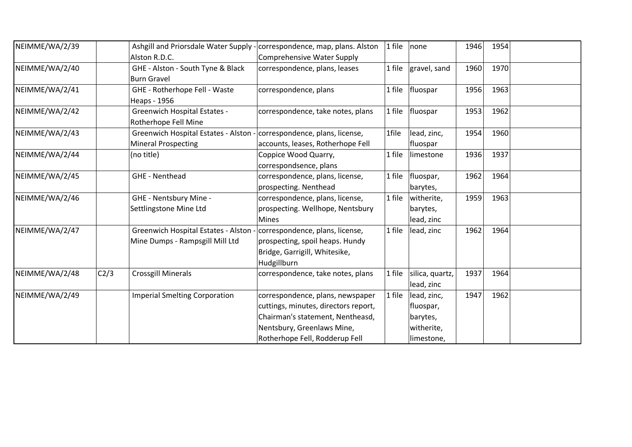| NEIMME/WA/2/39 |      |                                                                       | Ashgill and Priorsdale Water Supply - correspondence, map, plans. Alston | 1 file | none              | 1946 | 1954 |  |
|----------------|------|-----------------------------------------------------------------------|--------------------------------------------------------------------------|--------|-------------------|------|------|--|
|                |      | Alston R.D.C.                                                         | Comprehensive Water Supply                                               |        |                   |      |      |  |
| NEIMME/WA/2/40 |      | GHE - Alston - South Tyne & Black                                     | correspondence, plans, leases                                            | 1 file | gravel, sand      | 1960 | 1970 |  |
|                |      | <b>Burn Gravel</b>                                                    |                                                                          |        |                   |      |      |  |
| NEIMME/WA/2/41 |      | GHE - Rotherhope Fell - Waste                                         | correspondence, plans                                                    | 1 file | fluospar          | 1956 | 1963 |  |
|                |      | Heaps - 1956                                                          |                                                                          |        |                   |      |      |  |
| NEIMME/WA/2/42 |      | <b>Greenwich Hospital Estates -</b>                                   | correspondence, take notes, plans                                        |        | 1 file   fluospar | 1953 | 1962 |  |
|                |      | Rotherhope Fell Mine                                                  |                                                                          |        |                   |      |      |  |
| NEIMME/WA/2/43 |      | Greenwich Hospital Estates - Alston - correspondence, plans, license, |                                                                          | 1file  | lead, zinc,       | 1954 | 1960 |  |
|                |      | <b>Mineral Prospecting</b>                                            | accounts, leases, Rotherhope Fell                                        |        | fluospar          |      |      |  |
| NEIMME/WA/2/44 |      | (no title)                                                            | Coppice Wood Quarry,                                                     | 1 file | limestone         | 1936 | 1937 |  |
|                |      |                                                                       | correspondsence, plans                                                   |        |                   |      |      |  |
| NEIMME/WA/2/45 |      | <b>GHE - Nenthead</b>                                                 | correspondence, plans, license,                                          | 1 file | fluospar,         | 1962 | 1964 |  |
|                |      |                                                                       | prospecting. Nenthead                                                    |        | barytes,          |      |      |  |
| NEIMME/WA/2/46 |      | GHE - Nentsbury Mine -                                                | correspondence, plans, license,                                          | 1 file | witherite,        | 1959 | 1963 |  |
|                |      | Settlingstone Mine Ltd                                                | prospecting. Wellhope, Nentsbury                                         |        | barytes,          |      |      |  |
|                |      |                                                                       | <b>Mines</b>                                                             |        | lead, zinc        |      |      |  |
| NEIMME/WA/2/47 |      | Greenwich Hospital Estates - Alston -                                 | correspondence, plans, license,                                          | 1 file | lead, zinc        | 1962 | 1964 |  |
|                |      | Mine Dumps - Rampsgill Mill Ltd                                       | prospecting, spoil heaps. Hundy                                          |        |                   |      |      |  |
|                |      |                                                                       | Bridge, Garrigill, Whitesike,                                            |        |                   |      |      |  |
|                |      |                                                                       | Hudgillburn                                                              |        |                   |      |      |  |
| NEIMME/WA/2/48 | C2/3 | <b>Crossgill Minerals</b>                                             | correspondence, take notes, plans                                        | 1 file | silica, quartz,   | 1937 | 1964 |  |
|                |      |                                                                       |                                                                          |        | lead, zinc        |      |      |  |
| NEIMME/WA/2/49 |      | <b>Imperial Smelting Corporation</b>                                  | correspondence, plans, newspaper                                         | 1 file | lead, zinc,       | 1947 | 1962 |  |
|                |      |                                                                       | cuttings, minutes, directors report,                                     |        | fluospar,         |      |      |  |
|                |      |                                                                       | Chairman's statement, Nentheasd,                                         |        | barytes,          |      |      |  |
|                |      |                                                                       | Nentsbury, Greenlaws Mine,                                               |        | witherite,        |      |      |  |
|                |      |                                                                       | Rotherhope Fell, Rodderup Fell                                           |        | limestone,        |      |      |  |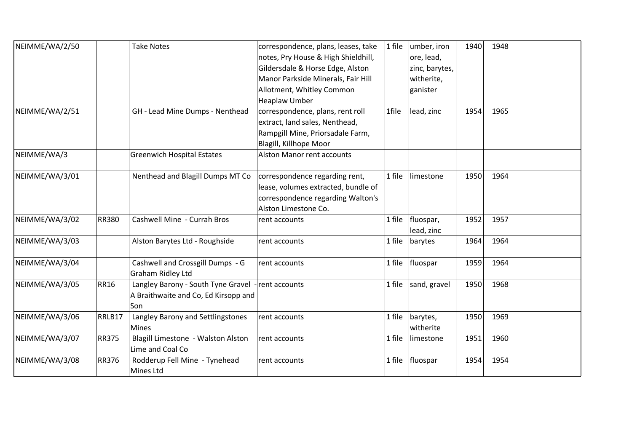| NEIMME/WA/2/50 |              | <b>Take Notes</b>                    | correspondence, plans, leases, take | 1 file | umber, iron    | 1940 | 1948 |  |
|----------------|--------------|--------------------------------------|-------------------------------------|--------|----------------|------|------|--|
|                |              |                                      | notes, Pry House & High Shieldhill, |        | ore, lead,     |      |      |  |
|                |              |                                      | Gildersdale & Horse Edge, Alston    |        | zinc, barytes, |      |      |  |
|                |              |                                      | Manor Parkside Minerals, Fair Hill  |        | witherite,     |      |      |  |
|                |              |                                      | Allotment, Whitley Common           |        | ganister       |      |      |  |
|                |              |                                      | <b>Heaplaw Umber</b>                |        |                |      |      |  |
| NEIMME/WA/2/51 |              | GH - Lead Mine Dumps - Nenthead      | correspondence, plans, rent roll    | 1file  | lead, zinc     | 1954 | 1965 |  |
|                |              |                                      | extract, land sales, Nenthead,      |        |                |      |      |  |
|                |              |                                      | Rampgill Mine, Priorsadale Farm,    |        |                |      |      |  |
|                |              |                                      | Blagill, Killhope Moor              |        |                |      |      |  |
| NEIMME/WA/3    |              | <b>Greenwich Hospital Estates</b>    | Alston Manor rent accounts          |        |                |      |      |  |
| NEIMME/WA/3/01 |              | Nenthead and Blagill Dumps MT Co     | correspondence regarding rent,      | 1 file | limestone      | 1950 | 1964 |  |
|                |              |                                      | lease, volumes extracted, bundle of |        |                |      |      |  |
|                |              |                                      | correspondence regarding Walton's   |        |                |      |      |  |
|                |              |                                      | Alston Limestone Co.                |        |                |      |      |  |
| NEIMME/WA/3/02 | <b>RR380</b> | Cashwell Mine - Currah Bros          | rent accounts                       | 1 file | fluospar,      | 1952 | 1957 |  |
|                |              |                                      |                                     |        | lead, zinc     |      |      |  |
| NEIMME/WA/3/03 |              | Alston Barytes Ltd - Roughside       | rent accounts                       | 1 file | barytes        | 1964 | 1964 |  |
| NEIMME/WA/3/04 |              | Cashwell and Crossgill Dumps - G     | rent accounts                       | 1 file | fluospar       | 1959 | 1964 |  |
|                |              | <b>Graham Ridley Ltd</b>             |                                     |        |                |      |      |  |
| NEIMME/WA/3/05 | <b>RR16</b>  | Langley Barony - South Tyne Gravel   | rent accounts                       | 1 file | sand, gravel   | 1950 | 1968 |  |
|                |              | A Braithwaite and Co, Ed Kirsopp and |                                     |        |                |      |      |  |
|                |              | Son                                  |                                     |        |                |      |      |  |
| NEIMME/WA/3/06 | RRLB17       | Langley Barony and Settlingstones    | rent accounts                       | 1 file | barytes,       | 1950 | 1969 |  |
|                |              | Mines                                |                                     |        | witherite      |      |      |  |
| NEIMME/WA/3/07 | <b>RR375</b> | Blagill Limestone - Walston Alston   | rent accounts                       | 1 file | limestone      | 1951 | 1960 |  |
|                |              | Lime and Coal Co                     |                                     |        |                |      |      |  |
| NEIMME/WA/3/08 | <b>RR376</b> | Rodderup Fell Mine - Tynehead        | rent accounts                       | 1 file | fluospar       | 1954 | 1954 |  |
|                |              | Mines Ltd                            |                                     |        |                |      |      |  |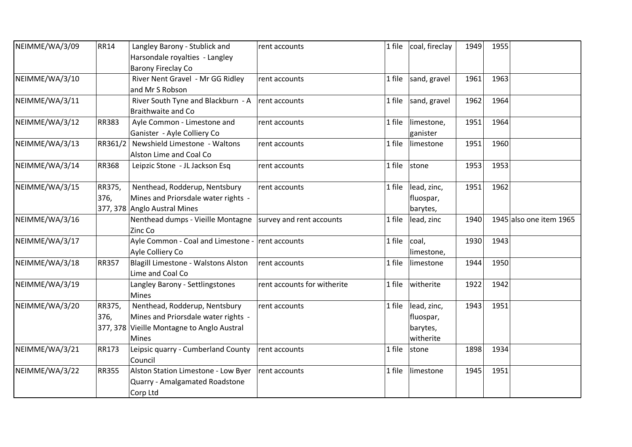| NEIMME/WA/3/09 | <b>RR14</b>  | Langley Barony - Stublick and              | rent accounts               | 1 file | coal, fireclay | 1949 | 1955 |                         |
|----------------|--------------|--------------------------------------------|-----------------------------|--------|----------------|------|------|-------------------------|
|                |              | Harsondale royalties - Langley             |                             |        |                |      |      |                         |
|                |              | <b>Barony Fireclay Co</b>                  |                             |        |                |      |      |                         |
| NEIMME/WA/3/10 |              | River Nent Gravel - Mr GG Ridley           | rent accounts               | 1 file | sand, gravel   | 1961 | 1963 |                         |
|                |              | and Mr S Robson                            |                             |        |                |      |      |                         |
| NEIMME/WA/3/11 |              | River South Tyne and Blackburn - A         | rent accounts               | 1 file | sand, gravel   | 1962 | 1964 |                         |
|                |              | <b>Braithwaite and Co</b>                  |                             |        |                |      |      |                         |
| NEIMME/WA/3/12 | <b>RR383</b> | Ayle Common - Limestone and                | rent accounts               | 1 file | limestone,     | 1951 | 1964 |                         |
|                |              | Ganister - Ayle Colliery Co                |                             |        | ganister       |      |      |                         |
| NEIMME/WA/3/13 | RR361/2      | Newshield Limestone - Waltons              | rent accounts               | 1 file | limestone      | 1951 | 1960 |                         |
|                |              | Alston Lime and Coal Co                    |                             |        |                |      |      |                         |
| NEIMME/WA/3/14 | <b>RR368</b> | Leipzic Stone - JL Jackson Esq             | rent accounts               | 1 file | stone          | 1953 | 1953 |                         |
|                |              |                                            |                             |        |                |      |      |                         |
| NEIMME/WA/3/15 | RR375,       | Nenthead, Rodderup, Nentsbury              | rent accounts               | 1 file | lead, zinc,    | 1951 | 1962 |                         |
|                | 376,         | Mines and Priorsdale water rights -        |                             |        | fluospar,      |      |      |                         |
|                |              | 377, 378 Anglo Austral Mines               |                             |        | barytes,       |      |      |                         |
| NEIMME/WA/3/16 |              | Nenthead dumps - Vieille Montagne          | survey and rent accounts    | 1 file | lead, zinc     | 1940 |      | 1945 also one item 1965 |
|                |              | Zinc Co                                    |                             |        |                |      |      |                         |
| NEIMME/WA/3/17 |              | Ayle Common - Coal and Limestone -         | rent accounts               | 1 file | coal,          | 1930 | 1943 |                         |
|                |              | Ayle Colliery Co                           |                             |        | limestone,     |      |      |                         |
| NEIMME/WA/3/18 | <b>RR357</b> | Blagill Limestone - Walstons Alston        | rent accounts               | 1 file | limestone      | 1944 | 1950 |                         |
|                |              | Lime and Coal Co                           |                             |        |                |      |      |                         |
| NEIMME/WA/3/19 |              | Langley Barony - Settlingstones            | rent accounts for witherite | 1 file | witherite      | 1922 | 1942 |                         |
|                |              | <b>Mines</b>                               |                             |        |                |      |      |                         |
| NEIMME/WA/3/20 | RR375,       | Nenthead, Rodderup, Nentsbury              | rent accounts               | 1 file | lead, zinc,    | 1943 | 1951 |                         |
|                | 376,         | Mines and Priorsdale water rights -        |                             |        | fluospar,      |      |      |                         |
|                |              | 377, 378 Vieille Montagne to Anglo Austral |                             |        | barytes,       |      |      |                         |
|                |              | <b>Mines</b>                               |                             |        | witherite      |      |      |                         |
| NEIMME/WA/3/21 | <b>RR173</b> | Leipsic quarry - Cumberland County         | rent accounts               | 1 file | stone          | 1898 | 1934 |                         |
|                |              | Council                                    |                             |        |                |      |      |                         |
| NEIMME/WA/3/22 | <b>RR355</b> | Alston Station Limestone - Low Byer        | rent accounts               | 1 file | limestone      | 1945 | 1951 |                         |
|                |              | Quarry - Amalgamated Roadstone             |                             |        |                |      |      |                         |
|                |              | Corp Ltd                                   |                             |        |                |      |      |                         |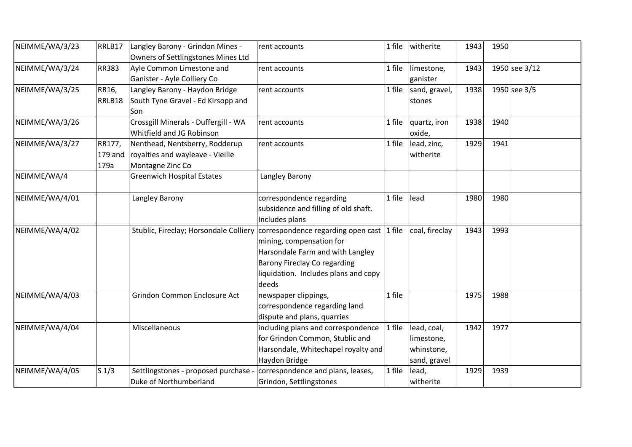| NEIMME/WA/3/23 | RRLB17           | Langley Barony - Grindon Mines -<br>Owners of Settlingstones Mines Ltd                         | rent accounts                                                                                                                                                                                                                     | $1$ file | witherite                                               | 1943 | 1950 |               |
|----------------|------------------|------------------------------------------------------------------------------------------------|-----------------------------------------------------------------------------------------------------------------------------------------------------------------------------------------------------------------------------------|----------|---------------------------------------------------------|------|------|---------------|
| NEIMME/WA/3/24 | <b>RR383</b>     | Ayle Common Limestone and<br>Ganister - Ayle Colliery Co                                       | rent accounts                                                                                                                                                                                                                     | $1$ file | limestone,<br>ganister                                  | 1943 |      | 1950 see 3/12 |
| NEIMME/WA/3/25 | RR16,<br>RRLB18  | Langley Barony - Haydon Bridge<br>South Tyne Gravel - Ed Kirsopp and<br>Son                    | rent accounts                                                                                                                                                                                                                     | 1 file   | sand, gravel,<br>stones                                 | 1938 |      | 1950 see 3/5  |
| NEIMME/WA/3/26 |                  | Crossgill Minerals - Duffergill - WA<br>Whitfield and JG Robinson                              | rent accounts                                                                                                                                                                                                                     | $1$ file | quartz, iron<br>oxide,                                  | 1938 | 1940 |               |
| NEIMME/WA/3/27 | RR177,<br>179a   | Nenthead, Nentsberry, Rodderup<br>179 and royalties and wayleave - Vieille<br>Montagne Zinc Co | rent accounts                                                                                                                                                                                                                     | $1$ file | lead, zinc,<br>witherite                                | 1929 | 1941 |               |
| NEIMME/WA/4    |                  | <b>Greenwich Hospital Estates</b>                                                              | Langley Barony                                                                                                                                                                                                                    |          |                                                         |      |      |               |
| NEIMME/WA/4/01 |                  | Langley Barony                                                                                 | correspondence regarding<br>subsidence and filling of old shaft.<br>Includes plans                                                                                                                                                | $1$ file | lead                                                    | 1980 | 1980 |               |
| NEIMME/WA/4/02 |                  |                                                                                                | Stublic, Fireclay; Horsondale Colliery correspondence regarding open cast 1 file<br>mining, compensation for<br>Harsondale Farm and with Langley<br>Barony Fireclay Co regarding<br>liquidation. Includes plans and copy<br>deeds |          | coal, fireclay                                          | 1943 | 1993 |               |
| NEIMME/WA/4/03 |                  | Grindon Common Enclosure Act                                                                   | newspaper clippings,<br>correspondence regarding land<br>dispute and plans, quarries                                                                                                                                              | $1$ file |                                                         | 1975 | 1988 |               |
| NEIMME/WA/4/04 |                  | Miscellaneous                                                                                  | including plans and correspondence<br>for Grindon Common, Stublic and<br>Harsondale, Whitechapel royalty and<br>Haydon Bridge                                                                                                     | 1 file   | lead, coal,<br>limestone,<br>whinstone,<br>sand, gravel | 1942 | 1977 |               |
| NEIMME/WA/4/05 | S <sub>1/3</sub> | Settlingstones - proposed purchase<br>Duke of Northumberland                                   | correspondence and plans, leases,<br>Grindon, Settlingstones                                                                                                                                                                      | $1$ file | lead,<br>witherite                                      | 1929 | 1939 |               |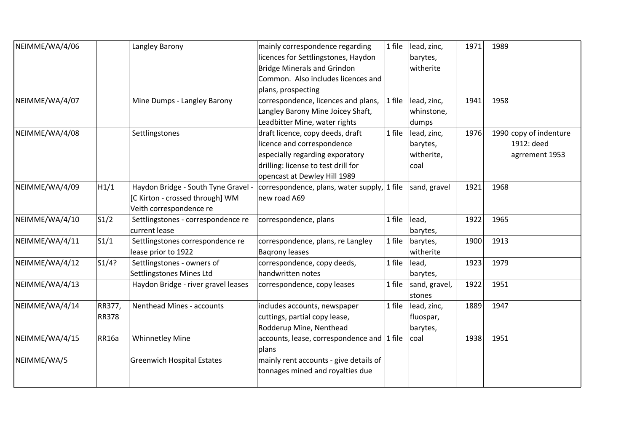| NEIMME/WA/4/06 |              | Langley Barony                      | mainly correspondence regarding             | 1 file   | lead, zinc,   | 1971 | 1989 |                          |
|----------------|--------------|-------------------------------------|---------------------------------------------|----------|---------------|------|------|--------------------------|
|                |              |                                     | licences for Settlingstones, Haydon         |          | barytes,      |      |      |                          |
|                |              |                                     | <b>Bridge Minerals and Grindon</b>          |          | witherite     |      |      |                          |
|                |              |                                     | Common. Also includes licences and          |          |               |      |      |                          |
|                |              |                                     | plans, prospecting                          |          |               |      |      |                          |
| NEIMME/WA/4/07 |              | Mine Dumps - Langley Barony         | correspondence, licences and plans,         | $1$ file | lead, zinc,   | 1941 | 1958 |                          |
|                |              |                                     | Langley Barony Mine Joicey Shaft,           |          | whinstone,    |      |      |                          |
|                |              |                                     | Leadbitter Mine, water rights               |          | dumps         |      |      |                          |
| NEIMME/WA/4/08 |              | Settlingstones                      | draft licence, copy deeds, draft            | 1 file   | lead, zinc,   | 1976 |      | 1990 $\log$ of indenture |
|                |              |                                     | licence and correspondence                  |          | barytes,      |      |      | 1912: deed               |
|                |              |                                     | especially regarding exporatory             |          | witherite,    |      |      | agrrement 1953           |
|                |              |                                     | drilling: license to test drill for         |          | coal          |      |      |                          |
|                |              |                                     | opencast at Dewley Hill 1989                |          |               |      |      |                          |
| NEIMME/WA/4/09 | H1/1         | Haydon Bridge - South Tyne Gravel - | correspondence, plans, water supply, 1 file |          | sand, gravel  | 1921 | 1968 |                          |
|                |              | [C Kirton - crossed through] WM     | new road A69                                |          |               |      |      |                          |
|                |              | Veith correspondence re             |                                             |          |               |      |      |                          |
| NEIMME/WA/4/10 | S1/2         | Settlingstones - correspondence re  | correspondence, plans                       | 1 file   | lead,         | 1922 | 1965 |                          |
|                |              | current lease                       |                                             |          | barytes,      |      |      |                          |
| NEIMME/WA/4/11 | S1/1         | Settlingstones correspondence re    | correspondence, plans, re Langley           | 1 file   | barytes,      | 1900 | 1913 |                          |
|                |              | lease prior to 1922                 | <b>Bagrony leases</b>                       |          | witherite     |      |      |                          |
| NEIMME/WA/4/12 | S1/4?        | Settlingstones - owners of          | correspondence, copy deeds,                 | 1 file   | lead,         | 1923 | 1979 |                          |
|                |              | Settlingstones Mines Ltd            | handwritten notes                           |          | barytes,      |      |      |                          |
| NEIMME/WA/4/13 |              | Haydon Bridge - river gravel leases | correspondence, copy leases                 | 1 file   | sand, gravel, | 1922 | 1951 |                          |
|                |              |                                     |                                             |          | stones        |      |      |                          |
| NEIMME/WA/4/14 | RR377,       | Nenthead Mines - accounts           | includes accounts, newspaper                | 1 file   | lead, zinc,   | 1889 | 1947 |                          |
|                | <b>RR378</b> |                                     | cuttings, partial copy lease,               |          | fluospar,     |      |      |                          |
|                |              |                                     | Rodderup Mine, Nenthead                     |          | barytes,      |      |      |                          |
| NEIMME/WA/4/15 | <b>RR16a</b> | <b>Whinnetley Mine</b>              | accounts, lease, correspondence and 1 file  |          | coal          | 1938 | 1951 |                          |
|                |              |                                     | plans                                       |          |               |      |      |                          |
| NEIMME/WA/5    |              | <b>Greenwich Hospital Estates</b>   | mainly rent accounts - give details of      |          |               |      |      |                          |
|                |              |                                     | tonnages mined and royalties due            |          |               |      |      |                          |
|                |              |                                     |                                             |          |               |      |      |                          |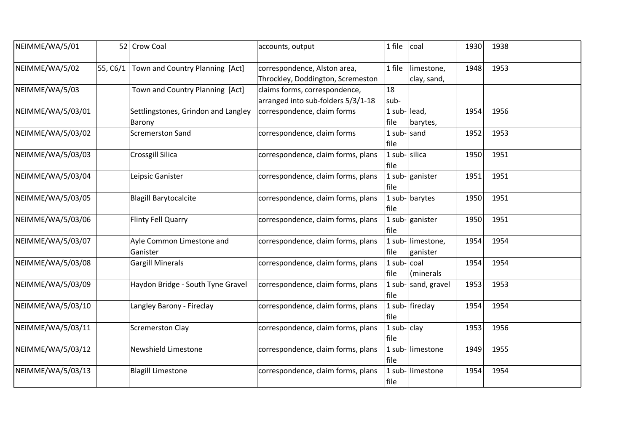| NEIMME/WA/5/01    |          | 52 Crow Coal                                  | accounts, output                                                    | 1 file                    | coal                          | 1930 | 1938 |  |
|-------------------|----------|-----------------------------------------------|---------------------------------------------------------------------|---------------------------|-------------------------------|------|------|--|
| NEIMME/WA/5/02    | 55, C6/1 | Town and Country Planning [Act]               | correspondence, Alston area,<br>Throckley, Doddington, Scremeston   | 1 file                    | limestone,<br>clay, sand,     | 1948 | 1953 |  |
| NEIMME/WA/5/03    |          | Town and Country Planning [Act]               | claims forms, correspondence,<br>arranged into sub-folders 5/3/1-18 | 18<br>sub-                |                               |      |      |  |
| NEIMME/WA/5/03/01 |          | Settlingstones, Grindon and Langley<br>Barony | correspondence, claim forms                                         | 1 sub-lead,<br>file       | barytes,                      | 1954 | 1956 |  |
| NEIMME/WA/5/03/02 |          | <b>Scremerston Sand</b>                       | correspondence, claim forms                                         | 1 sub- $ $ sand<br>file   |                               | 1952 | 1953 |  |
| NEIMME/WA/5/03/03 |          | Crossgill Silica                              | correspondence, claim forms, plans                                  | 1 sub-silica<br>file      |                               | 1950 | 1951 |  |
| NEIMME/WA/5/03/04 |          | Leipsic Ganister                              | correspondence, claim forms, plans                                  | file                      | 1 sub- $\vert$ ganister       | 1951 | 1951 |  |
| NEIMME/WA/5/03/05 |          | <b>Blagill Barytocalcite</b>                  | correspondence, claim forms, plans                                  | file                      | 1 sub- $bary$ tes             | 1950 | 1951 |  |
| NEIMME/WA/5/03/06 |          | <b>Flinty Fell Quarry</b>                     | correspondence, claim forms, plans                                  | file                      | 1 sub- $\vert$ ganister       | 1950 | 1951 |  |
| NEIMME/WA/5/03/07 |          | Ayle Common Limestone and<br>Ganister         | correspondence, claim forms, plans                                  | file                      | 1 sub- limestone,<br>ganister | 1954 | 1954 |  |
| NEIMME/WA/5/03/08 |          | <b>Gargill Minerals</b>                       | correspondence, claim forms, plans                                  | $1$ sub- $ $ coal<br>file | (minerals                     | 1954 | 1954 |  |
| NEIMME/WA/5/03/09 |          | Haydon Bridge - South Tyne Gravel             | correspondence, claim forms, plans                                  | file                      | 1 sub- $ $ sand, gravel       | 1953 | 1953 |  |
| NEIMME/WA/5/03/10 |          | Langley Barony - Fireclay                     | correspondence, claim forms, plans                                  | file                      | 1 sub- $ $ fireclay           | 1954 | 1954 |  |
| NEIMME/WA/5/03/11 |          | <b>Scremerston Clay</b>                       | correspondence, claim forms, plans                                  | 1 sub- $clay$<br>file     |                               | 1953 | 1956 |  |
| NEIMME/WA/5/03/12 |          | <b>Newshield Limestone</b>                    | correspondence, claim forms, plans                                  | file                      | 1 sub- limestone              | 1949 | 1955 |  |
| NEIMME/WA/5/03/13 |          | <b>Blagill Limestone</b>                      | correspondence, claim forms, plans                                  | file                      | 1 sub- limestone              | 1954 | 1954 |  |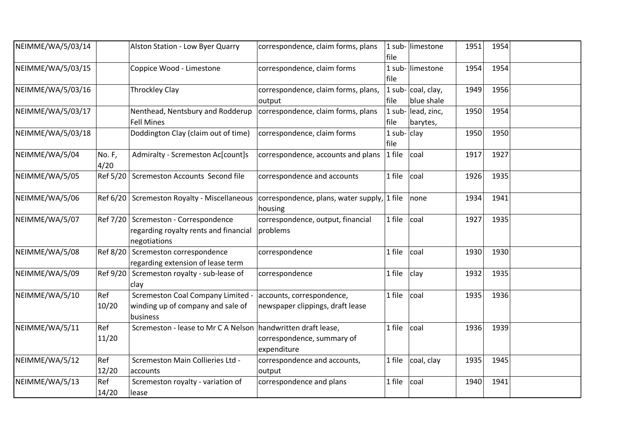| NEIMME/WA/5/03/14 |                | Alston Station - Low Byer Quarry                                                                | correspondence, claim forms, plans                            | file                  | 1 sub-limestone                          | 1951 | 1954 |  |
|-------------------|----------------|-------------------------------------------------------------------------------------------------|---------------------------------------------------------------|-----------------------|------------------------------------------|------|------|--|
| NEIMME/WA/5/03/15 |                | Coppice Wood - Limestone                                                                        | correspondence, claim forms                                   | file                  | 1 sub-limestone                          | 1954 | 1954 |  |
| NEIMME/WA/5/03/16 |                | <b>Throckley Clay</b>                                                                           | correspondence, claim forms, plans,<br>output                 | file                  | 1 sub- $\vert$ coal, clay,<br>blue shale | 1949 | 1956 |  |
| NEIMME/WA/5/03/17 |                | Nenthead, Nentsbury and Rodderup<br><b>Fell Mines</b>                                           | correspondence, claim forms, plans                            | file                  | 1 sub-lead, zinc,<br>barytes,            | 1950 | 1954 |  |
| NEIMME/WA/5/03/18 |                | Doddington Clay (claim out of time)                                                             | correspondence, claim forms                                   | 1 sub- $clay$<br>file |                                          | 1950 | 1950 |  |
| NEIMME/WA/5/04    | No. F,<br>4/20 | Admiralty - Scremeston Ac[count]s                                                               | correspondence, accounts and plans                            | $ 1$ file             | coal                                     | 1917 | 1927 |  |
| NEIMME/WA/5/05    |                | Ref 5/20 Scremeston Accounts Second file                                                        | correspondence and accounts                                   | 1 file                | coal                                     | 1926 | 1935 |  |
| NEIMME/WA/5/06    |                | Ref 6/20 Scremeston Royalty - Miscellaneous                                                     | correspondence, plans, water supply, 1 file<br>housing        |                       | none                                     | 1934 | 1941 |  |
| NEIMME/WA/5/07    |                | Ref 7/20   Scremeston - Correspondence<br>regarding royalty rents and financial<br>negotiations | correspondence, output, financial<br>problems                 | 1 file                | coal                                     | 1927 | 1935 |  |
| NEIMME/WA/5/08    | Ref 8/20       | Scremeston correspondence<br>regarding extension of lease term                                  | correspondence                                                | 1 file                | coal                                     | 1930 | 1930 |  |
| NEIMME/WA/5/09    |                | Ref 9/20 Scremeston royalty - sub-lease of<br>clay                                              | correspondence                                                | 1 file                | clay                                     | 1932 | 1935 |  |
| NEIMME/WA/5/10    | Ref<br>10/20   | Scremeston Coal Company Limited -<br>winding up of company and sale of<br>business              | accounts, correspondence,<br>newspaper clippings, draft lease | 1 file                | coal                                     | 1935 | 1936 |  |
| NEIMME/WA/5/11    | Ref<br>11/20   | Scremeston - lease to Mr C A Nelson handwritten draft lease,                                    | correspondence, summary of<br>expenditure                     | 1 file                | coal                                     | 1936 | 1939 |  |
| NEIMME/WA/5/12    | Ref<br>12/20   | Scremeston Main Collieries Ltd -<br>accounts                                                    | correspondence and accounts,<br>output                        | 1 file                | coal, clay                               | 1935 | 1945 |  |
| NEIMME/WA/5/13    | Ref<br>14/20   | Scremeston royalty - variation of<br> lease                                                     | correspondence and plans                                      | 1 file                | coal                                     | 1940 | 1941 |  |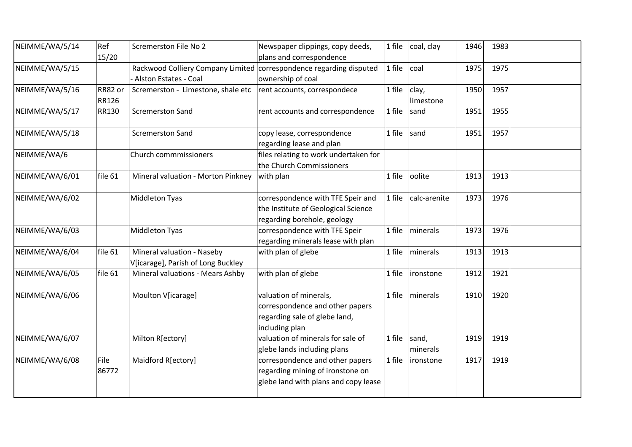| NEIMME/WA/5/14 | Ref<br>15/20     | Scremerston File No 2                                                                        | Newspaper clippings, copy deeds,<br>plans and correspondence                                                 | 1 file | coal, clay         | 1946 | 1983 |  |
|----------------|------------------|----------------------------------------------------------------------------------------------|--------------------------------------------------------------------------------------------------------------|--------|--------------------|------|------|--|
| NEIMME/WA/5/15 |                  | Rackwood Colliery Company Limited correspondence regarding disputed<br>Alston Estates - Coal | ownership of coal                                                                                            | 1 file | coal               | 1975 | 1975 |  |
| NEIMME/WA/5/16 | RR82 or<br>RR126 | Scremerston - Limestone, shale etc                                                           | rent accounts, correspondece                                                                                 | 1 file | clay,<br>limestone | 1950 | 1957 |  |
| NEIMME/WA/5/17 | RR130            | <b>Scremerston Sand</b>                                                                      | rent accounts and correspondence                                                                             | 1 file | sand               | 1951 | 1955 |  |
| NEIMME/WA/5/18 |                  | <b>Scremerston Sand</b>                                                                      | copy lease, correspondence<br>regarding lease and plan                                                       | 1 file | sand               | 1951 | 1957 |  |
| NEIMME/WA/6    |                  | Church commmissioners                                                                        | files relating to work undertaken for<br>the Church Commissioners                                            |        |                    |      |      |  |
| NEIMME/WA/6/01 | file 61          | Mineral valuation - Morton Pinkney                                                           | with plan                                                                                                    | 1 file | oolite             | 1913 | 1913 |  |
| NEIMME/WA/6/02 |                  | Middleton Tyas                                                                               | correspondence with TFE Speir and<br>the Institute of Geological Science<br>regarding borehole, geology      | 1 file | calc-arenite       | 1973 | 1976 |  |
| NEIMME/WA/6/03 |                  | Middleton Tyas                                                                               | correspondence with TFE Speir<br>regarding minerals lease with plan                                          | 1 file | minerals           | 1973 | 1976 |  |
| NEIMME/WA/6/04 | file 61          | Mineral valuation - Naseby<br>V[icarage], Parish of Long Buckley                             | with plan of glebe                                                                                           | 1 file | minerals           | 1913 | 1913 |  |
| NEIMME/WA/6/05 | file 61          | Mineral valuations - Mears Ashby                                                             | with plan of glebe                                                                                           | 1 file | ironstone          | 1912 | 1921 |  |
| NEIMME/WA/6/06 |                  | Moulton V[icarage]                                                                           | valuation of minerals,<br>correspondence and other papers<br>regarding sale of glebe land,<br>including plan | 1 file | minerals           | 1910 | 1920 |  |
| NEIMME/WA/6/07 |                  | Milton R[ectory]                                                                             | valuation of minerals for sale of<br>glebe lands including plans                                             | 1 file | sand,<br>minerals  | 1919 | 1919 |  |
| NEIMME/WA/6/08 | File<br>86772    | Maidford R[ectory]                                                                           | correspondence and other papers<br>regarding mining of ironstone on<br>glebe land with plans and copy lease  | 1 file | ironstone          | 1917 | 1919 |  |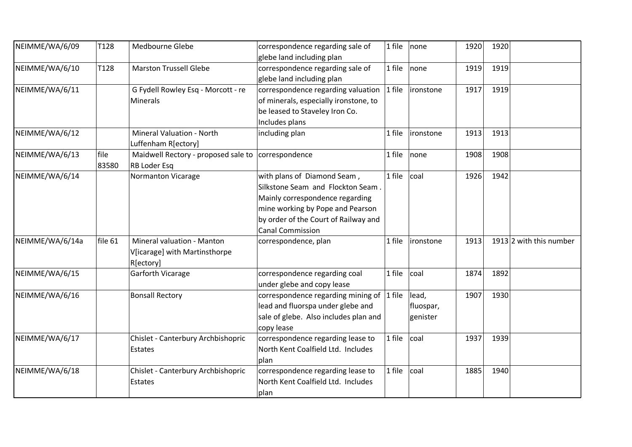| NEIMME/WA/6/09  | T128    | Medbourne Glebe                     | correspondence regarding sale of             | 1 file | none      | 1920 | 1920 |                         |
|-----------------|---------|-------------------------------------|----------------------------------------------|--------|-----------|------|------|-------------------------|
|                 |         |                                     | glebe land including plan                    |        |           |      |      |                         |
| NEIMME/WA/6/10  | T128    | <b>Marston Trussell Glebe</b>       | correspondence regarding sale of             | 1 file | none      | 1919 | 1919 |                         |
|                 |         |                                     | glebe land including plan                    |        |           |      |      |                         |
| NEIMME/WA/6/11  |         | G Fydell Rowley Esq - Morcott - re  | correspondence regarding valuation           | 1 file | ironstone | 1917 | 1919 |                         |
|                 |         | Minerals                            | of minerals, especially ironstone, to        |        |           |      |      |                         |
|                 |         |                                     | be leased to Staveley Iron Co.               |        |           |      |      |                         |
|                 |         |                                     | Includes plans                               |        |           |      |      |                         |
| NEIMME/WA/6/12  |         | Mineral Valuation - North           | including plan                               | 1 file | ironstone | 1913 | 1913 |                         |
|                 |         | Luffenham R[ectory]                 |                                              |        |           |      |      |                         |
| NEIMME/WA/6/13  | file    | Maidwell Rectory - proposed sale to | correspondence                               | 1 file | none      | 1908 | 1908 |                         |
|                 | 83580   | <b>RB Loder Esq</b>                 |                                              |        |           |      |      |                         |
| NEIMME/WA/6/14  |         | Normanton Vicarage                  | with plans of Diamond Seam,                  | 1 file | coal      | 1926 | 1942 |                         |
|                 |         |                                     | Silkstone Seam and Flockton Seam.            |        |           |      |      |                         |
|                 |         |                                     | Mainly correspondence regarding              |        |           |      |      |                         |
|                 |         |                                     | mine working by Pope and Pearson             |        |           |      |      |                         |
|                 |         |                                     | by order of the Court of Railway and         |        |           |      |      |                         |
|                 |         |                                     | <b>Canal Commission</b>                      |        |           |      |      |                         |
| NEIMME/WA/6/14a | file 61 | Mineral valuation - Manton          | correspondence, plan                         | 1 file | ironstone | 1913 |      | 1913 2 with this number |
|                 |         | V[icarage] with Martinsthorpe       |                                              |        |           |      |      |                         |
|                 |         | R[ectory]                           |                                              |        |           |      |      |                         |
| NEIMME/WA/6/15  |         | Garforth Vicarage                   | correspondence regarding coal                | 1 file | coal      | 1874 | 1892 |                         |
|                 |         |                                     | under glebe and copy lease                   |        |           |      |      |                         |
| NEIMME/WA/6/16  |         | <b>Bonsall Rectory</b>              | correspondence regarding mining of $ 1$ file |        | lead,     | 1907 | 1930 |                         |
|                 |         |                                     | lead and fluorspa under glebe and            |        | fluospar, |      |      |                         |
|                 |         |                                     | sale of glebe. Also includes plan and        |        | genister  |      |      |                         |
|                 |         |                                     | copy lease                                   |        |           |      |      |                         |
| NEIMME/WA/6/17  |         | Chislet - Canterbury Archbishopric  | correspondence regarding lease to            | 1 file | coal      | 1937 | 1939 |                         |
|                 |         | Estates                             | North Kent Coalfield Ltd. Includes           |        |           |      |      |                         |
|                 |         |                                     | plan                                         |        |           |      |      |                         |
| NEIMME/WA/6/18  |         | Chislet - Canterbury Archbishopric  | correspondence regarding lease to            | 1 file | coal      | 1885 | 1940 |                         |
|                 |         | Estates                             | North Kent Coalfield Ltd. Includes           |        |           |      |      |                         |
|                 |         |                                     | plan                                         |        |           |      |      |                         |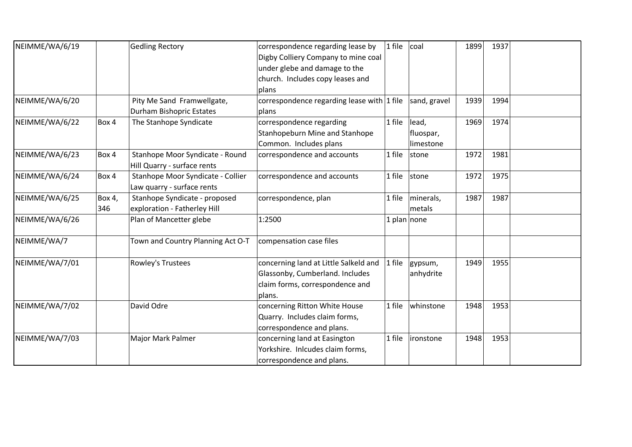| NEIMME/WA/6/19 |        | <b>Gedling Rectory</b>            | correspondence regarding lease by          | $1$ file      | coal         | 1899 | 1937 |
|----------------|--------|-----------------------------------|--------------------------------------------|---------------|--------------|------|------|
|                |        |                                   | Digby Colliery Company to mine coal        |               |              |      |      |
|                |        |                                   | under glebe and damage to the              |               |              |      |      |
|                |        |                                   | church. Includes copy leases and           |               |              |      |      |
|                |        |                                   | plans                                      |               |              |      |      |
| NEIMME/WA/6/20 |        | Pity Me Sand Framwellgate,        | correspondence regarding lease with 1 file |               | sand, gravel | 1939 | 1994 |
|                |        | Durham Bishopric Estates          | plans                                      |               |              |      |      |
| NEIMME/WA/6/22 | Box 4  | The Stanhope Syndicate            | correspondence regarding                   | 1 file        | lead,        | 1969 | 1974 |
|                |        |                                   | <b>Stanhopeburn Mine and Stanhope</b>      |               | fluospar,    |      |      |
|                |        |                                   | Common. Includes plans                     |               | limestone    |      |      |
| NEIMME/WA/6/23 | Box 4  | Stanhope Moor Syndicate - Round   | correspondence and accounts                | $1$ file      | stone        | 1972 | 1981 |
|                |        | Hill Quarry - surface rents       |                                            |               |              |      |      |
| NEIMME/WA/6/24 | Box 4  | Stanhope Moor Syndicate - Collier | correspondence and accounts                | $1$ file      | stone        | 1972 | 1975 |
|                |        | Law quarry - surface rents        |                                            |               |              |      |      |
| NEIMME/WA/6/25 | Box 4, | Stanhope Syndicate - proposed     | correspondence, plan                       | 1 file        | minerals,    | 1987 | 1987 |
|                | 346    | exploration - Fatherley Hill      |                                            |               | metals       |      |      |
| NEIMME/WA/6/26 |        | Plan of Mancetter glebe           | 1:2500                                     | 1 plan   none |              |      |      |
| NEIMME/WA/7    |        | Town and Country Planning Act O-T | compensation case files                    |               |              |      |      |
| NEIMME/WA/7/01 |        | <b>Rowley's Trustees</b>          | concerning land at Little Salkeld and      | $1$ file      | gypsum,      | 1949 | 1955 |
|                |        |                                   | Glassonby, Cumberland. Includes            |               | anhydrite    |      |      |
|                |        |                                   | claim forms, correspondence and            |               |              |      |      |
|                |        |                                   | plans.                                     |               |              |      |      |
| NEIMME/WA/7/02 |        | David Odre                        | concerning Ritton White House              | $1$ file      | whinstone    | 1948 | 1953 |
|                |        |                                   | Quarry. Includes claim forms,              |               |              |      |      |
|                |        |                                   | correspondence and plans.                  |               |              |      |      |
| NEIMME/WA/7/03 |        | Major Mark Palmer                 | concerning land at Easington               | 1 file        | ironstone    | 1948 | 1953 |
|                |        |                                   | Yorkshire. Inlcudes claim forms,           |               |              |      |      |
|                |        |                                   | correspondence and plans.                  |               |              |      |      |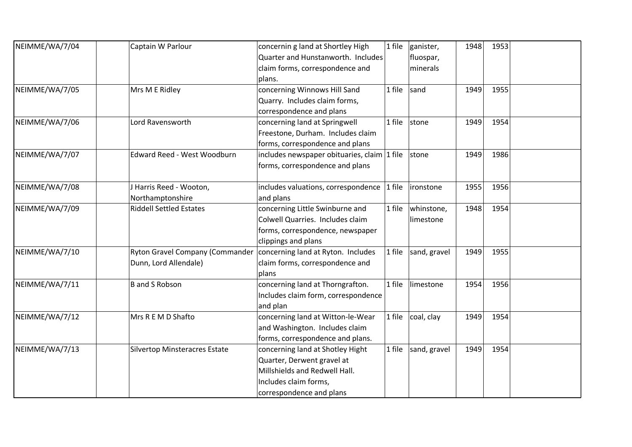| NEIMME/WA/7/04 | Captain W Parlour                    | concernin g land at Shortley High              | 1 file | ganister,    | 1948 | 1953 |  |
|----------------|--------------------------------------|------------------------------------------------|--------|--------------|------|------|--|
|                |                                      | Quarter and Hunstanworth. Includes             |        | fluospar,    |      |      |  |
|                |                                      | claim forms, correspondence and                |        | minerals     |      |      |  |
|                |                                      | plans.                                         |        |              |      |      |  |
| NEIMME/WA/7/05 | Mrs M E Ridley                       | concerning Winnows Hill Sand                   | 1 file | sand         | 1949 | 1955 |  |
|                |                                      | Quarry. Includes claim forms,                  |        |              |      |      |  |
|                |                                      | correspondence and plans                       |        |              |      |      |  |
| NEIMME/WA/7/06 | Lord Ravensworth                     | concerning land at Springwell                  | 1 file | stone        | 1949 | 1954 |  |
|                |                                      | Freestone, Durham. Includes claim              |        |              |      |      |  |
|                |                                      | forms, correspondence and plans                |        |              |      |      |  |
| NEIMME/WA/7/07 | Edward Reed - West Woodburn          | includes newspaper obituaries, claim $ 1$ file |        | stone        | 1949 | 1986 |  |
|                |                                      | forms, correspondence and plans                |        |              |      |      |  |
|                |                                      |                                                |        |              |      |      |  |
| NEIMME/WA/7/08 | Harris Reed - Wooton,                | includes valuations, correspondence $ 1$ file  |        | ironstone    | 1955 | 1956 |  |
|                | Northamptonshire                     | and plans                                      |        |              |      |      |  |
| NEIMME/WA/7/09 | <b>Riddell Settled Estates</b>       | concerning Little Swinburne and                | 1 file | whinstone,   | 1948 | 1954 |  |
|                |                                      | Colwell Quarries. Includes claim               |        | limestone    |      |      |  |
|                |                                      | forms, correspondence, newspaper               |        |              |      |      |  |
|                |                                      | clippings and plans                            |        |              |      |      |  |
| NEIMME/WA/7/10 | Ryton Gravel Company (Commander      | concerning land at Ryton. Includes             | 1 file | sand, gravel | 1949 | 1955 |  |
|                | Dunn, Lord Allendale)                | claim forms, correspondence and                |        |              |      |      |  |
|                |                                      | plans                                          |        |              |      |      |  |
| NEIMME/WA/7/11 | B and S Robson                       | concerning land at Thorngrafton.               | 1 file | limestone    | 1954 | 1956 |  |
|                |                                      | Includes claim form, correspondence            |        |              |      |      |  |
|                |                                      | and plan                                       |        |              |      |      |  |
| NEIMME/WA/7/12 | Mrs R E M D Shafto                   | concerning land at Witton-le-Wear              | 1 file | coal, clay   | 1949 | 1954 |  |
|                |                                      | and Washington. Includes claim                 |        |              |      |      |  |
|                |                                      | forms, correspondence and plans.               |        |              |      |      |  |
| NEIMME/WA/7/13 | <b>Silvertop Minsteracres Estate</b> | concerning land at Shotley Hight               | 1 file | sand, gravel | 1949 | 1954 |  |
|                |                                      | Quarter, Derwent gravel at                     |        |              |      |      |  |
|                |                                      | Millshields and Redwell Hall.                  |        |              |      |      |  |
|                |                                      | Includes claim forms,                          |        |              |      |      |  |
|                |                                      | correspondence and plans                       |        |              |      |      |  |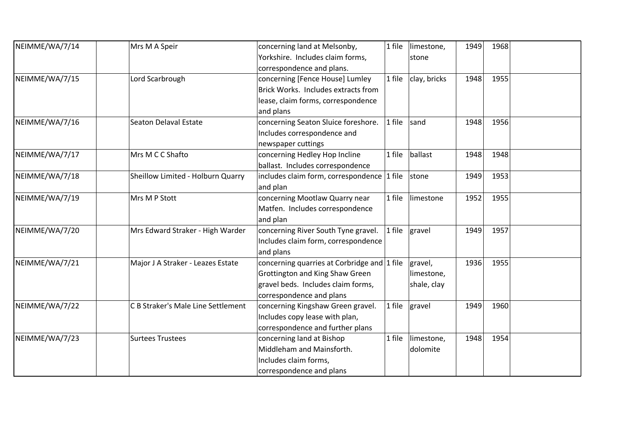| NEIMME/WA/7/14 | Mrs M A Speir                      | concerning land at Melsonby,                        | 1 file | limestone,   | 1949 | 1968 |  |
|----------------|------------------------------------|-----------------------------------------------------|--------|--------------|------|------|--|
|                |                                    | Yorkshire. Includes claim forms,                    |        | stone        |      |      |  |
|                |                                    | correspondence and plans.                           |        |              |      |      |  |
| NEIMME/WA/7/15 | Lord Scarbrough                    | concerning [Fence House] Lumley                     | 1 file | clay, bricks | 1948 | 1955 |  |
|                |                                    | Brick Works. Includes extracts from                 |        |              |      |      |  |
|                |                                    | lease, claim forms, correspondence                  |        |              |      |      |  |
|                |                                    | and plans                                           |        |              |      |      |  |
| NEIMME/WA/7/16 | Seaton Delaval Estate              | concerning Seaton Sluice foreshore.                 | 1 file | sand         | 1948 | 1956 |  |
|                |                                    | Includes correspondence and                         |        |              |      |      |  |
|                |                                    | newspaper cuttings                                  |        |              |      |      |  |
| NEIMME/WA/7/17 | Mrs M C C Shafto                   | concerning Hedley Hop Incline                       | 1 file | ballast      | 1948 | 1948 |  |
|                |                                    | ballast. Includes correspondence                    |        |              |      |      |  |
| NEIMME/WA/7/18 | Sheillow Limited - Holburn Quarry  | includes claim form, correspondence 1 file          |        | stone        | 1949 | 1953 |  |
|                |                                    | and plan                                            |        |              |      |      |  |
| NEIMME/WA/7/19 | Mrs M P Stott                      | concerning Mootlaw Quarry near                      | 1 file | limestone    | 1952 | 1955 |  |
|                |                                    | Matfen. Includes correspondence                     |        |              |      |      |  |
|                |                                    | and plan                                            |        |              |      |      |  |
| NEIMME/WA/7/20 | Mrs Edward Straker - High Warder   | concerning River South Tyne gravel.                 | 1 file | gravel       | 1949 | 1957 |  |
|                |                                    | Includes claim form, correspondence                 |        |              |      |      |  |
|                |                                    | and plans                                           |        |              |      |      |  |
| NEIMME/WA/7/21 | Major J A Straker - Leazes Estate  | concerning quarries at Corbridge and $\vert$ 1 file |        | gravel,      | 1936 | 1955 |  |
|                |                                    | Grottington and King Shaw Green                     |        | limestone,   |      |      |  |
|                |                                    | gravel beds. Includes claim forms,                  |        | shale, clay  |      |      |  |
|                |                                    | correspondence and plans                            |        |              |      |      |  |
| NEIMME/WA/7/22 | C B Straker's Male Line Settlement | concerning Kingshaw Green gravel.                   | 1 file | gravel       | 1949 | 1960 |  |
|                |                                    | Includes copy lease with plan,                      |        |              |      |      |  |
|                |                                    | correspondence and further plans                    |        |              |      |      |  |
| NEIMME/WA/7/23 | <b>Surtees Trustees</b>            | concerning land at Bishop                           | 1 file | limestone,   | 1948 | 1954 |  |
|                |                                    | Middleham and Mainsforth.                           |        | dolomite     |      |      |  |
|                |                                    | Includes claim forms,                               |        |              |      |      |  |
|                |                                    | correspondence and plans                            |        |              |      |      |  |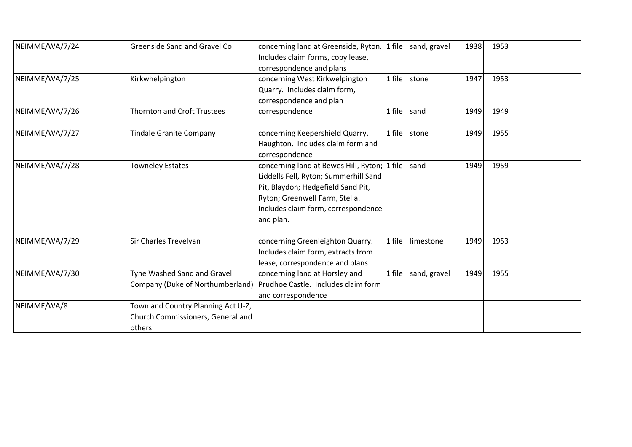| NEIMME/WA/7/24 | <b>Greenside Sand and Gravel Co</b>                                               | concerning land at Greenside, Ryton. 1 file<br>Includes claim forms, copy lease,<br>correspondence and plans                                                                                                      |           | sand, gravel | 1938 | 1953 |  |
|----------------|-----------------------------------------------------------------------------------|-------------------------------------------------------------------------------------------------------------------------------------------------------------------------------------------------------------------|-----------|--------------|------|------|--|
| NEIMME/WA/7/25 | Kirkwhelpington                                                                   | concerning West Kirkwelpington<br>Quarry. Includes claim form,<br>correspondence and plan                                                                                                                         | 1 file    | stone        | 1947 | 1953 |  |
| NEIMME/WA/7/26 | <b>Thornton and Croft Trustees</b>                                                | correspondence                                                                                                                                                                                                    | 1 file    | sand         | 1949 | 1949 |  |
| NEIMME/WA/7/27 | <b>Tindale Granite Company</b>                                                    | concerning Keepershield Quarry,<br>Haughton. Includes claim form and<br>correspondence                                                                                                                            | 1 file    | stone        | 1949 | 1955 |  |
| NEIMME/WA/7/28 | <b>Towneley Estates</b>                                                           | concerning land at Bewes Hill, Ryton; 1 file<br>Liddells Fell, Ryton; Summerhill Sand<br>Pit, Blaydon; Hedgefield Sand Pit,<br>Ryton; Greenwell Farm, Stella.<br>Includes claim form, correspondence<br>and plan. |           | sand         | 1949 | 1959 |  |
| NEIMME/WA/7/29 | Sir Charles Trevelyan                                                             | concerning Greenleighton Quarry.<br>Includes claim form, extracts from<br>lease, correspondence and plans                                                                                                         | 1 file    | limestone    | 1949 | 1953 |  |
| NEIMME/WA/7/30 | Tyne Washed Sand and Gravel<br>Company (Duke of Northumberland)                   | concerning land at Horsley and<br>Prudhoe Castle. Includes claim form<br>and correspondence                                                                                                                       | $ 1$ file | sand, gravel | 1949 | 1955 |  |
| NEIMME/WA/8    | Town and Country Planning Act U-Z,<br>Church Commissioners, General and<br>others |                                                                                                                                                                                                                   |           |              |      |      |  |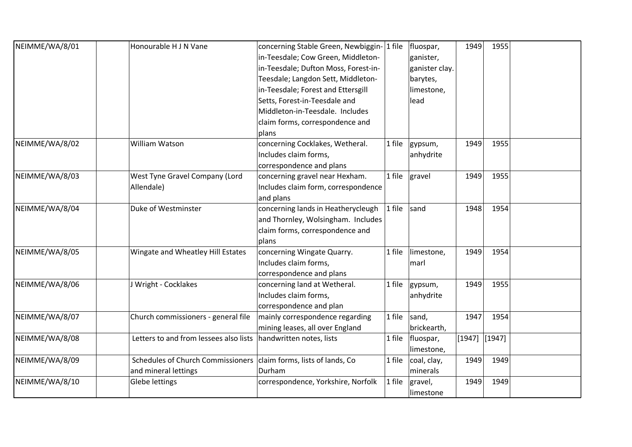| NEIMME/WA/8/01 | Honourable H J N Vane                  | concerning Stable Green, Newbiggin- 1 file |        | fluospar,      | 1949   | 1955     |  |
|----------------|----------------------------------------|--------------------------------------------|--------|----------------|--------|----------|--|
|                |                                        | in-Teesdale; Cow Green, Middleton-         |        | ganister,      |        |          |  |
|                |                                        | in-Teesdale; Dufton Moss, Forest-in-       |        | ganister clay. |        |          |  |
|                |                                        | Teesdale; Langdon Sett, Middleton-         |        | barytes,       |        |          |  |
|                |                                        | in-Teesdale; Forest and Ettersgill         |        | limestone,     |        |          |  |
|                |                                        | Setts, Forest-in-Teesdale and              |        | lead           |        |          |  |
|                |                                        | Middleton-in-Teesdale. Includes            |        |                |        |          |  |
|                |                                        | claim forms, correspondence and            |        |                |        |          |  |
|                |                                        | plans                                      |        |                |        |          |  |
| NEIMME/WA/8/02 | William Watson                         | concerning Cocklakes, Wetheral.            | 1 file | gypsum,        | 1949   | 1955     |  |
|                |                                        | Includes claim forms,                      |        | anhydrite      |        |          |  |
|                |                                        | correspondence and plans                   |        |                |        |          |  |
| NEIMME/WA/8/03 | West Tyne Gravel Company (Lord         | concerning gravel near Hexham.             | 1 file | gravel         | 1949   | 1955     |  |
|                | Allendale)                             | Includes claim form, correspondence        |        |                |        |          |  |
|                |                                        | and plans                                  |        |                |        |          |  |
| NEIMME/WA/8/04 | Duke of Westminster                    | concerning lands in Heatherycleugh         | 1 file | sand           | 1948   | 1954     |  |
|                |                                        | and Thornley, Wolsingham. Includes         |        |                |        |          |  |
|                |                                        | claim forms, correspondence and            |        |                |        |          |  |
|                |                                        | plans                                      |        |                |        |          |  |
| NEIMME/WA/8/05 | Wingate and Wheatley Hill Estates      | concerning Wingate Quarry.                 | 1 file | limestone,     | 1949   | 1954     |  |
|                |                                        | Includes claim forms,                      |        | marl           |        |          |  |
|                |                                        | correspondence and plans                   |        |                |        |          |  |
| NEIMME/WA/8/06 | J Wright - Cocklakes                   | concerning land at Wetheral.               | 1 file | gypsum,        | 1949   | 1955     |  |
|                |                                        | Includes claim forms,                      |        | anhydrite      |        |          |  |
|                |                                        | correspondence and plan                    |        |                |        |          |  |
| NEIMME/WA/8/07 | Church commissioners - general file    | mainly correspondence regarding            | 1 file | sand,          | 1947   | 1954     |  |
|                |                                        | mining leases, all over England            |        | brickearth,    |        |          |  |
| NEIMME/WA/8/08 | Letters to and from lessees also lists | handwritten notes, lists                   | 1 file | fluospar,      | [1947] | $[1947]$ |  |
|                |                                        |                                            |        | limestone,     |        |          |  |
| NEIMME/WA/8/09 | Schedules of Church Commissioners      | claim forms, lists of lands, Co            | 1 file | coal, clay,    | 1949   | 1949     |  |
|                | and mineral lettings                   | Durham                                     |        | minerals       |        |          |  |
| NEIMME/WA/8/10 | Glebe lettings                         | correspondence, Yorkshire, Norfolk         | 1 file | gravel,        | 1949   | 1949     |  |
|                |                                        |                                            |        | limestone      |        |          |  |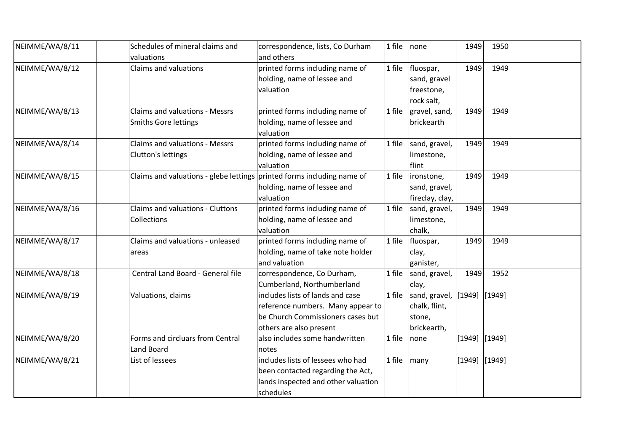| NEIMME/WA/8/11 | Schedules of mineral claims and                                        | correspondence, lists, Co Durham    | 1 file | none            | 1949            | 1950            |  |
|----------------|------------------------------------------------------------------------|-------------------------------------|--------|-----------------|-----------------|-----------------|--|
|                | valuations                                                             | and others                          |        |                 |                 |                 |  |
| NEIMME/WA/8/12 | Claims and valuations                                                  | printed forms including name of     | 1 file | fluospar,       | 1949            | 1949            |  |
|                |                                                                        | holding, name of lessee and         |        | sand, gravel    |                 |                 |  |
|                |                                                                        | valuation                           |        | freestone,      |                 |                 |  |
|                |                                                                        |                                     |        | rock salt,      |                 |                 |  |
| NEIMME/WA/8/13 | <b>Claims and valuations - Messrs</b>                                  | printed forms including name of     | 1 file | gravel, sand,   | 1949            | 1949            |  |
|                | <b>Smiths Gore lettings</b>                                            | holding, name of lessee and         |        | brickearth      |                 |                 |  |
|                |                                                                        | valuation                           |        |                 |                 |                 |  |
| NEIMME/WA/8/14 | Claims and valuations - Messrs                                         | printed forms including name of     | 1 file | sand, gravel,   | 1949            | 1949            |  |
|                | Clutton's lettings                                                     | holding, name of lessee and         |        | limestone,      |                 |                 |  |
|                |                                                                        | valuation                           |        | flint           |                 |                 |  |
| NEIMME/WA/8/15 | Claims and valuations - glebe lettings printed forms including name of |                                     | 1 file | ironstone,      | 1949            | 1949            |  |
|                |                                                                        | holding, name of lessee and         |        | sand, gravel,   |                 |                 |  |
|                |                                                                        | valuation                           |        | fireclay, clay, |                 |                 |  |
| NEIMME/WA/8/16 | Claims and valuations - Cluttons                                       | printed forms including name of     | 1 file | sand, gravel,   | 1949            | 1949            |  |
|                | Collections                                                            | holding, name of lessee and         |        | limestone,      |                 |                 |  |
|                |                                                                        | valuation                           |        | chalk,          |                 |                 |  |
| NEIMME/WA/8/17 | Claims and valuations - unleased                                       | printed forms including name of     | 1 file | fluospar,       | 1949            | 1949            |  |
|                | areas                                                                  | holding, name of take note holder   |        | clay,           |                 |                 |  |
|                |                                                                        | and valuation                       |        | ganister,       |                 |                 |  |
| NEIMME/WA/8/18 | Central Land Board - General file                                      | correspondence, Co Durham,          | 1 file | sand, gravel,   | 1949            | 1952            |  |
|                |                                                                        | Cumberland, Northumberland          |        | clay,           |                 |                 |  |
| NEIMME/WA/8/19 | Valuations, claims                                                     | includes lists of lands and case    | 1 file | sand, gravel,   |                 | $[1949]$ [1949] |  |
|                |                                                                        | reference numbers. Many appear to   |        | chalk, flint,   |                 |                 |  |
|                |                                                                        | be Church Commissioners cases but   |        | stone,          |                 |                 |  |
|                |                                                                        | others are also present             |        | brickearth,     |                 |                 |  |
| NEIMME/WA/8/20 | Forms and circluars from Central                                       | also includes some handwritten      | 1 file | none            | $[1949]$ [1949] |                 |  |
|                | Land Board                                                             | notes                               |        |                 |                 |                 |  |
| NEIMME/WA/8/21 | List of lessees                                                        | includes lists of lessees who had   | 1 file | many            | $[1949]$ [1949] |                 |  |
|                |                                                                        | been contacted regarding the Act,   |        |                 |                 |                 |  |
|                |                                                                        | lands inspected and other valuation |        |                 |                 |                 |  |
|                |                                                                        | schedules                           |        |                 |                 |                 |  |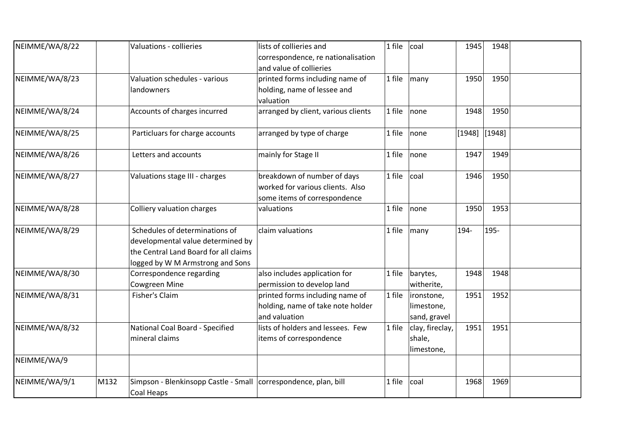| NEIMME/WA/8/22 |      | Valuations - collieries                                                                                                                          | lists of collieries and<br>correspondence, re nationalisation<br>and value of collieries        | 1 file | coal                                     | 1945     | 1948   |  |
|----------------|------|--------------------------------------------------------------------------------------------------------------------------------------------------|-------------------------------------------------------------------------------------------------|--------|------------------------------------------|----------|--------|--|
| NEIMME/WA/8/23 |      | Valuation schedules - various<br>landowners                                                                                                      | printed forms including name of<br>holding, name of lessee and<br>valuation                     | 1 file | many                                     | 1950     | 1950   |  |
| NEIMME/WA/8/24 |      | Accounts of charges incurred                                                                                                                     | arranged by client, various clients                                                             | 1 file | none                                     | 1948     | 1950   |  |
| NEIMME/WA/8/25 |      | Particluars for charge accounts                                                                                                                  | arranged by type of charge                                                                      | 1 file | none                                     | $[1948]$ | [1948] |  |
| NEIMME/WA/8/26 |      | Letters and accounts                                                                                                                             | mainly for Stage II                                                                             | 1 file | none                                     | 1947     | 1949   |  |
| NEIMME/WA/8/27 |      | Valuations stage III - charges                                                                                                                   | breakdown of number of days<br>worked for various clients. Also<br>some items of correspondence | 1 file | coal                                     | 1946     | 1950   |  |
| NEIMME/WA/8/28 |      | <b>Colliery valuation charges</b>                                                                                                                | valuations                                                                                      | 1 file | none                                     | 1950     | 1953   |  |
| NEIMME/WA/8/29 |      | Schedules of determinations of<br>developmental value determined by<br>the Central Land Board for all claims<br>logged by W M Armstrong and Sons | claim valuations                                                                                | 1 file | many                                     | 194-     | 195-   |  |
| NEIMME/WA/8/30 |      | Correspondence regarding<br>Cowgreen Mine                                                                                                        | also includes application for<br>permission to develop land                                     | 1 file | barytes,<br>witherite,                   | 1948     | 1948   |  |
| NEIMME/WA/8/31 |      | Fisher's Claim                                                                                                                                   | printed forms including name of<br>holding, name of take note holder<br>and valuation           | 1 file | ironstone,<br>limestone,<br>sand, gravel | 1951     | 1952   |  |
| NEIMME/WA/8/32 |      | National Coal Board - Specified<br>mineral claims                                                                                                | lists of holders and lessees. Few<br>items of correspondence                                    | 1 file | clay, fireclay,<br>shale,<br>limestone,  | 1951     | 1951   |  |
| NEIMME/WA/9    |      |                                                                                                                                                  |                                                                                                 |        |                                          |          |        |  |
| NEIMME/WA/9/1  | M132 | Simpson - Blenkinsopp Castle - Small correspondence, plan, bill<br>Coal Heaps                                                                    |                                                                                                 | 1 file | coal                                     | 1968     | 1969   |  |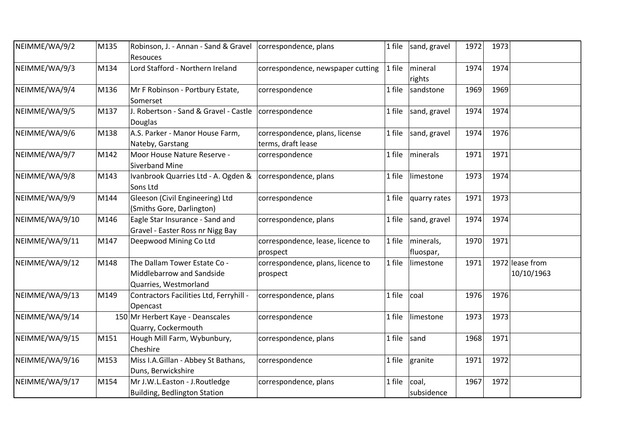| NEIMME/WA/9/2  | M135 | Robinson, J. - Annan - Sand & Gravel   correspondence, plans<br>Resouces           |                                                      | 1 file | sand, gravel           | 1972 | 1973 |                               |
|----------------|------|------------------------------------------------------------------------------------|------------------------------------------------------|--------|------------------------|------|------|-------------------------------|
| NEIMME/WA/9/3  | M134 | Lord Stafford - Northern Ireland                                                   | correspondence, newspaper cutting                    | 1 file | mineral<br>rights      | 1974 | 1974 |                               |
| NEIMME/WA/9/4  | M136 | Mr F Robinson - Portbury Estate,<br>Somerset                                       | correspondence                                       | 1 file | sandstone              | 1969 | 1969 |                               |
| NEIMME/WA/9/5  | M137 | J. Robertson - Sand & Gravel - Castle   correspondence<br>Douglas                  |                                                      | 1 file | sand, gravel           | 1974 | 1974 |                               |
| NEIMME/WA/9/6  | M138 | A.S. Parker - Manor House Farm,<br>Nateby, Garstang                                | correspondence, plans, license<br>terms, draft lease | 1 file | sand, gravel           | 1974 | 1976 |                               |
| NEIMME/WA/9/7  | M142 | Moor House Nature Reserve -<br><b>Siverband Mine</b>                               | correspondence                                       | 1 file | minerals               | 1971 | 1971 |                               |
| NEIMME/WA/9/8  | M143 | Ivanbrook Quarries Ltd - A. Ogden & correspondence, plans<br>Sons Ltd              |                                                      | 1 file | limestone              | 1973 | 1974 |                               |
| NEIMME/WA/9/9  | M144 | Gleeson (Civil Engineering) Ltd<br>(Smiths Gore, Darlington)                       | correspondence                                       | 1 file | quarry rates           | 1971 | 1973 |                               |
| NEIMME/WA/9/10 | M146 | Eagle Star Insurance - Sand and<br>Gravel - Easter Ross nr Nigg Bay                | correspondence, plans                                | 1 file | sand, gravel           | 1974 | 1974 |                               |
| NEIMME/WA/9/11 | M147 | Deepwood Mining Co Ltd                                                             | correspondence, lease, licence to<br>prospect        | 1 file | minerals,<br>fluospar, | 1970 | 1971 |                               |
| NEIMME/WA/9/12 | M148 | The Dallam Tower Estate Co -<br>Middlebarrow and Sandside<br>Quarries, Westmorland | correspondence, plans, licence to<br>prospect        | 1 file | limestone              | 1971 |      | 1972 lease from<br>10/10/1963 |
| NEIMME/WA/9/13 | M149 | Contractors Facilities Ltd, Ferryhill -<br>Opencast                                | correspondence, plans                                | 1 file | coal                   | 1976 | 1976 |                               |
| NEIMME/WA/9/14 |      | 150 Mr Herbert Kaye - Deanscales<br>Quarry, Cockermouth                            | correspondence                                       | 1 file | limestone              | 1973 | 1973 |                               |
| NEIMME/WA/9/15 | M151 | Hough Mill Farm, Wybunbury,<br>Cheshire                                            | correspondence, plans                                | 1 file | sand                   | 1968 | 1971 |                               |
| NEIMME/WA/9/16 | M153 | Miss I.A.Gillan - Abbey St Bathans,<br>Duns, Berwickshire                          | correspondence                                       | 1 file | granite                | 1971 | 1972 |                               |
| NEIMME/WA/9/17 | M154 | Mr J.W.L.Easton - J.Routledge<br><b>Building, Bedlington Station</b>               | correspondence, plans                                | 1 file | coal,<br>subsidence    | 1967 | 1972 |                               |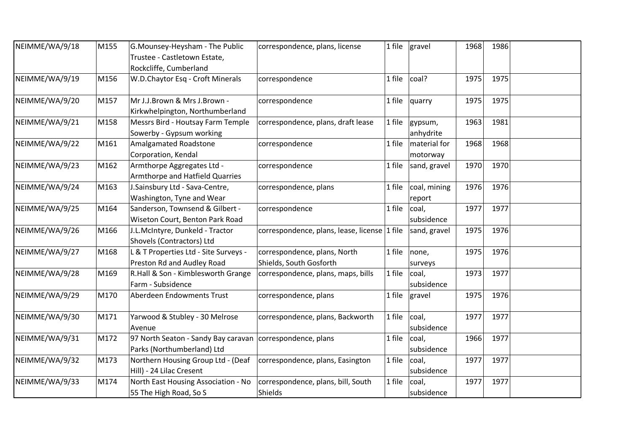| NEIMME/WA/9/18 | M155 | G.Mounsey-Heysham - The Public<br>Trustee - Castletown Estate,<br>Rockcliffe, Cumberland  | correspondence, plans, license                          | 1 file | gravel                   | 1968 | 1986 |  |
|----------------|------|-------------------------------------------------------------------------------------------|---------------------------------------------------------|--------|--------------------------|------|------|--|
| NEIMME/WA/9/19 | M156 | W.D.Chaytor Esq - Croft Minerals                                                          | correspondence                                          | 1 file | coal?                    | 1975 | 1975 |  |
| NEIMME/WA/9/20 | M157 | Mr J.J.Brown & Mrs J.Brown -<br>Kirkwhelpington, Northumberland                           | correspondence                                          | 1 file | quarry                   | 1975 | 1975 |  |
| NEIMME/WA/9/21 | M158 | Messrs Bird - Houtsay Farm Temple<br>Sowerby - Gypsum working                             | correspondence, plans, draft lease                      | 1 file | gypsum,<br>anhydrite     | 1963 | 1981 |  |
| NEIMME/WA/9/22 | M161 | Amalgamated Roadstone<br>Corporation, Kendal                                              | correspondence                                          | 1 file | material for<br>motorway | 1968 | 1968 |  |
| NEIMME/WA/9/23 | M162 | Armthorpe Aggregates Ltd -<br>Armthorpe and Hatfield Quarries                             | correspondence                                          | 1 file | sand, gravel             | 1970 | 1970 |  |
| NEIMME/WA/9/24 | M163 | J.Sainsbury Ltd - Sava-Centre,<br>Washington, Tyne and Wear                               | correspondence, plans                                   | 1 file | coal, mining<br>report   | 1976 | 1976 |  |
| NEIMME/WA/9/25 | M164 | Sanderson, Townsend & Gilbert -<br>Wiseton Court, Benton Park Road                        | correspondence                                          | 1 file | coal,<br>subsidence      | 1977 | 1977 |  |
| NEIMME/WA/9/26 | M166 | J.L.McIntyre, Dunkeld - Tractor<br>Shovels (Contractors) Ltd                              | correspondence, plans, lease, license 1 file            |        | sand, gravel             | 1975 | 1976 |  |
| NEIMME/WA/9/27 | M168 | L & T Properties Ltd - Site Surveys -<br>Preston Rd and Audley Road                       | correspondence, plans, North<br>Shields, South Gosforth | 1 file | none,<br>surveys         | 1975 | 1976 |  |
| NEIMME/WA/9/28 | M169 | R.Hall & Son - Kimblesworth Grange<br>Farm - Subsidence                                   | correspondence, plans, maps, bills                      | 1 file | coal,<br>subsidence      | 1973 | 1977 |  |
| NEIMME/WA/9/29 | M170 | Aberdeen Endowments Trust                                                                 | correspondence, plans                                   | 1 file | gravel                   | 1975 | 1976 |  |
| NEIMME/WA/9/30 | M171 | Yarwood & Stubley - 30 Melrose<br>Avenue                                                  | correspondence, plans, Backworth                        | 1 file | coal,<br>subsidence      | 1977 | 1977 |  |
| NEIMME/WA/9/31 | M172 | 97 North Seaton - Sandy Bay caravan   correspondence, plans<br>Parks (Northumberland) Ltd |                                                         | 1 file | coal,<br>subsidence      | 1966 | 1977 |  |
| NEIMME/WA/9/32 | M173 | Northern Housing Group Ltd - (Deaf<br>Hill) - 24 Lilac Cresent                            | correspondence, plans, Easington                        | 1 file | coal,<br>subsidence      | 1977 | 1977 |  |
| NEIMME/WA/9/33 | M174 | North East Housing Association - No<br>55 The High Road, So S                             | correspondence, plans, bill, South<br>Shields           | 1 file | coal,<br>subsidence      | 1977 | 1977 |  |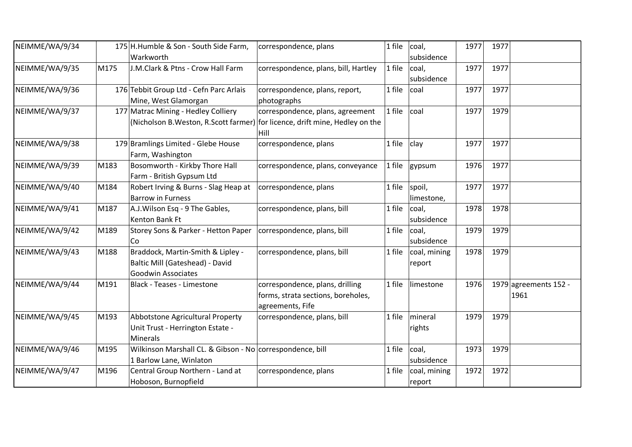| NEIMME/WA/9/34 |      | 175 H. Humble & Son - South Side Farm,<br>Warkworth                                        | correspondence, plans                                                                                                     | 1 file | coal,<br>subsidence    | 1977 | 1977 |                                 |
|----------------|------|--------------------------------------------------------------------------------------------|---------------------------------------------------------------------------------------------------------------------------|--------|------------------------|------|------|---------------------------------|
| NEIMME/WA/9/35 | M175 | J.M.Clark & Ptns - Crow Hall Farm                                                          | correspondence, plans, bill, Hartley                                                                                      | 1 file | coal,<br>subsidence    | 1977 | 1977 |                                 |
| NEIMME/WA/9/36 |      | 176 Tebbit Group Ltd - Cefn Parc Arlais<br>Mine, West Glamorgan                            | correspondence, plans, report,<br>photographs                                                                             | 1 file | coal                   | 1977 | 1977 |                                 |
| NEIMME/WA/9/37 |      | 177 Matrac Mining - Hedley Colliery                                                        | correspondence, plans, agreement<br>(Nicholson B. Weston, R. Scott farmer) for licence, drift mine, Hedley on the<br>Hill | 1 file | coal                   | 1977 | 1979 |                                 |
| NEIMME/WA/9/38 |      | 179 Bramlings Limited - Glebe House<br>Farm, Washington                                    | correspondence, plans                                                                                                     | 1 file | clay                   | 1977 | 1977 |                                 |
| NEIMME/WA/9/39 | M183 | Bosomworth - Kirkby Thore Hall<br>Farm - British Gypsum Ltd                                | correspondence, plans, conveyance                                                                                         | 1 file | gypsum                 | 1976 | 1977 |                                 |
| NEIMME/WA/9/40 | M184 | Robert Irving & Burns - Slag Heap at<br><b>Barrow in Furness</b>                           | correspondence, plans                                                                                                     | 1 file | spoil,<br>limestone,   | 1977 | 1977 |                                 |
| NEIMME/WA/9/41 | M187 | A.J. Wilson Esq - 9 The Gables,<br>Kenton Bank Ft                                          | correspondence, plans, bill                                                                                               | 1 file | coal,<br>subsidence    | 1978 | 1978 |                                 |
| NEIMME/WA/9/42 | M189 | Storey Sons & Parker - Hetton Paper<br>Co                                                  | correspondence, plans, bill                                                                                               | 1 file | coal,<br>subsidence    | 1979 | 1979 |                                 |
| NEIMME/WA/9/43 | M188 | Braddock, Martin-Smith & Lipley -<br>Baltic Mill (Gateshead) - David<br>Goodwin Associates | correspondence, plans, bill                                                                                               | 1 file | coal, mining<br>report | 1978 | 1979 |                                 |
| NEIMME/WA/9/44 | M191 | Black - Teases - Limestone                                                                 | correspondence, plans, drilling<br>forms, strata sections, boreholes,<br>agreements, Fife                                 | 1 file | limestone              | 1976 |      | 1979 agreements $152 -$<br>1961 |
| NEIMME/WA/9/45 | M193 | Abbotstone Agricultural Property<br>Unit Trust - Herrington Estate -<br>Minerals           | correspondence, plans, bill                                                                                               | 1 file | mineral<br>rights      | 1979 | 1979 |                                 |
| NEIMME/WA/9/46 | M195 | Wilkinson Marshall CL. & Gibson - No correspondence, bill<br>1 Barlow Lane, Winlaton       |                                                                                                                           | 1 file | coal,<br>subsidence    | 1973 | 1979 |                                 |
| NEIMME/WA/9/47 | M196 | Central Group Northern - Land at<br>Hoboson, Burnopfield                                   | correspondence, plans                                                                                                     | 1 file | coal, mining<br>report | 1972 | 1972 |                                 |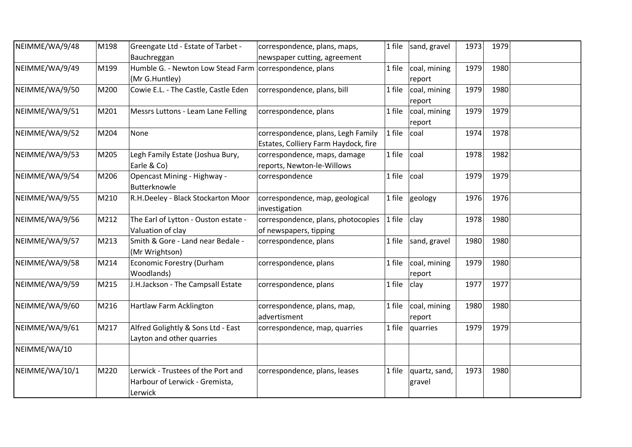| NEIMME/WA/9/48 | M198 | Greengate Ltd - Estate of Tarbet -                                              | correspondence, plans, maps,                     | 1 file | sand, gravel            | 1973 | 1979 |  |
|----------------|------|---------------------------------------------------------------------------------|--------------------------------------------------|--------|-------------------------|------|------|--|
|                |      | Bauchreggan                                                                     | newspaper cutting, agreement                     |        |                         |      |      |  |
| NEIMME/WA/9/49 | M199 | Humble G. - Newton Low Stead Farm correspondence, plans                         |                                                  | 1 file | coal, mining            | 1979 | 1980 |  |
|                |      | (Mr G.Huntley)                                                                  |                                                  |        | report                  |      |      |  |
| NEIMME/WA/9/50 | M200 | Cowie E.L. - The Castle, Castle Eden                                            | correspondence, plans, bill                      | 1 file | coal, mining<br>report  | 1979 | 1980 |  |
| NEIMME/WA/9/51 | M201 | Messrs Luttons - Leam Lane Felling                                              | correspondence, plans                            | 1 file | coal, mining            | 1979 | 1979 |  |
|                |      |                                                                                 |                                                  |        |                         |      |      |  |
|                |      |                                                                                 |                                                  |        | report                  |      |      |  |
| NEIMME/WA/9/52 | M204 | None                                                                            | correspondence, plans, Legh Family               | 1 file | coal                    | 1974 | 1978 |  |
|                |      |                                                                                 | Estates, Colliery Farm Haydock, fire             |        |                         |      |      |  |
| NEIMME/WA/9/53 | M205 | Legh Family Estate (Joshua Bury,                                                | correspondence, maps, damage                     | 1 file | coal                    | 1978 | 1982 |  |
|                |      | Earle & Co)                                                                     | reports, Newton-le-Willows                       |        |                         |      |      |  |
| NEIMME/WA/9/54 | M206 | Opencast Mining - Highway -<br>Butterknowle                                     | correspondence                                   | 1 file | coal                    | 1979 | 1979 |  |
| NEIMME/WA/9/55 | M210 | R.H.Deeley - Black Stockarton Moor                                              | correspondence, map, geological<br>investigation | 1 file | geology                 | 1976 | 1976 |  |
| NEIMME/WA/9/56 | M212 | The Earl of Lytton - Ouston estate -                                            | correspondence, plans, photocopies               | 1 file | clay                    | 1978 | 1980 |  |
|                |      | Valuation of clay                                                               | of newspapers, tipping                           |        |                         |      |      |  |
| NEIMME/WA/9/57 | M213 | Smith & Gore - Land near Bedale -<br>(Mr Wrightson)                             | correspondence, plans                            | 1 file | sand, gravel            | 1980 | 1980 |  |
| NEIMME/WA/9/58 | M214 | <b>Economic Forestry (Durham</b><br>Woodlands)                                  | correspondence, plans                            | 1 file | coal, mining<br>report  | 1979 | 1980 |  |
| NEIMME/WA/9/59 | M215 | J.H.Jackson - The Campsall Estate                                               | correspondence, plans                            | 1 file | clay                    | 1977 | 1977 |  |
| NEIMME/WA/9/60 | M216 | Hartlaw Farm Acklington                                                         | correspondence, plans, map,                      | 1 file | coal, mining            | 1980 | 1980 |  |
|                |      |                                                                                 | advertisment                                     |        | report                  |      |      |  |
| NEIMME/WA/9/61 | M217 | Alfred Golightly & Sons Ltd - East                                              | correspondence, map, quarries                    | 1 file | quarries                | 1979 | 1979 |  |
|                |      | Layton and other quarries                                                       |                                                  |        |                         |      |      |  |
| NEIMME/WA/10   |      |                                                                                 |                                                  |        |                         |      |      |  |
|                |      |                                                                                 |                                                  |        |                         |      |      |  |
| NEIMME/WA/10/1 | M220 | Lerwick - Trustees of the Port and<br>Harbour of Lerwick - Gremista,<br>Lerwick | correspondence, plans, leases                    | 1 file | quartz, sand,<br>gravel | 1973 | 1980 |  |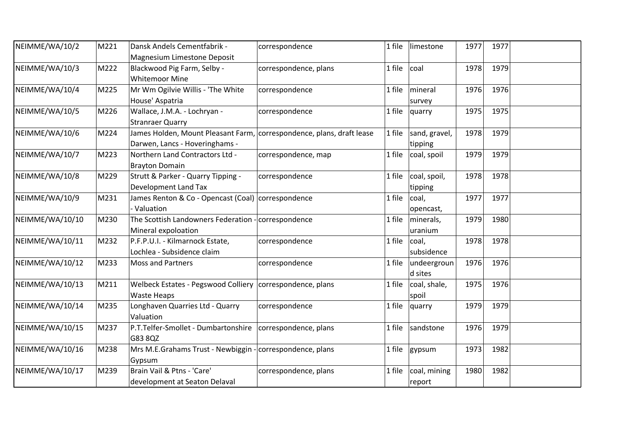| NEIMME/WA/10/2  | M221 | Dansk Andels Cementfabrik -                                           | correspondence        | 1 file | limestone                | 1977 | 1977 |  |
|-----------------|------|-----------------------------------------------------------------------|-----------------------|--------|--------------------------|------|------|--|
|                 |      | Magnesium Limestone Deposit                                           |                       |        |                          |      |      |  |
| NEIMME/WA/10/3  | M222 | Blackwood Pig Farm, Selby -                                           | correspondence, plans | 1 file | coal                     | 1978 | 1979 |  |
|                 |      | <b>Whitemoor Mine</b>                                                 |                       |        |                          |      |      |  |
| NEIMME/WA/10/4  | M225 | Mr Wm Ogilvie Willis - 'The White                                     | correspondence        | 1 file | mineral                  | 1976 | 1976 |  |
|                 |      | House' Aspatria                                                       |                       |        | survey                   |      |      |  |
| NEIMME/WA/10/5  | M226 | Wallace, J.M.A. - Lochryan -                                          | correspondence        | 1 file | quarry                   | 1975 | 1975 |  |
|                 |      | <b>Stranraer Quarry</b>                                               |                       |        |                          |      |      |  |
| NEIMME/WA/10/6  | M224 | James Holden, Mount Pleasant Farm, correspondence, plans, draft lease |                       | 1 file | sand, gravel,            | 1978 | 1979 |  |
|                 |      | Darwen, Lancs - Hoveringhams -                                        |                       |        | tipping                  |      |      |  |
| NEIMME/WA/10/7  | M223 | Northern Land Contractors Ltd -                                       | correspondence, map   | 1 file | coal, spoil              | 1979 | 1979 |  |
|                 |      | <b>Brayton Domain</b>                                                 |                       |        |                          |      |      |  |
| NEIMME/WA/10/8  | M229 | Strutt & Parker - Quarry Tipping -                                    | correspondence        | 1 file | coal, spoil,             | 1978 | 1978 |  |
|                 |      | Development Land Tax                                                  |                       |        | tipping                  |      |      |  |
| NEIMME/WA/10/9  | M231 | James Renton & Co - Opencast (Coal) correspondence                    |                       | 1 file | coal,                    | 1977 | 1977 |  |
|                 |      | Valuation                                                             |                       |        | opencast,                |      |      |  |
| NEIMME/WA/10/10 | M230 | The Scottish Landowners Federation - correspondence                   |                       |        | 1 file $\vert$ minerals, | 1979 | 1980 |  |
|                 |      | Mineral expoloation                                                   |                       |        | uranium                  |      |      |  |
| NEIMME/WA/10/11 | M232 | P.F.P.U.I. - Kilmarnock Estate,                                       | correspondence        | 1 file | coal,                    | 1978 | 1978 |  |
|                 |      | Lochlea - Subsidence claim                                            |                       |        | subsidence               |      |      |  |
| NEIMME/WA/10/12 | M233 | <b>Moss and Partners</b>                                              | correspondence        | 1 file | undeergroun              | 1976 | 1976 |  |
|                 |      |                                                                       |                       |        | d sites                  |      |      |  |
| NEIMME/WA/10/13 | M211 | Welbeck Estates - Pegswood Colliery   correspondence, plans           |                       | 1 file | coal, shale,             | 1975 | 1976 |  |
|                 |      | <b>Waste Heaps</b>                                                    |                       |        | spoil                    |      |      |  |
| NEIMME/WA/10/14 | M235 | Longhaven Quarries Ltd - Quarry                                       | correspondence        | 1 file | quarry                   | 1979 | 1979 |  |
|                 |      | Valuation                                                             |                       |        |                          |      |      |  |
| NEIMME/WA/10/15 | M237 | P.T. Telfer-Smollet - Dumbartonshire   correspondence, plans          |                       | 1 file | sandstone                | 1976 | 1979 |  |
|                 |      | G83 8QZ                                                               |                       |        |                          |      |      |  |
| NEIMME/WA/10/16 | M238 | Mrs M.E.Grahams Trust - Newbiggin - correspondence, plans             |                       | 1 file | gypsum                   | 1973 | 1982 |  |
|                 |      | Gypsum                                                                |                       |        |                          |      |      |  |
| NEIMME/WA/10/17 | M239 | Brain Vail & Ptns - 'Care'                                            | correspondence, plans | 1 file | coal, mining             | 1980 | 1982 |  |
|                 |      | development at Seaton Delaval                                         |                       |        | report                   |      |      |  |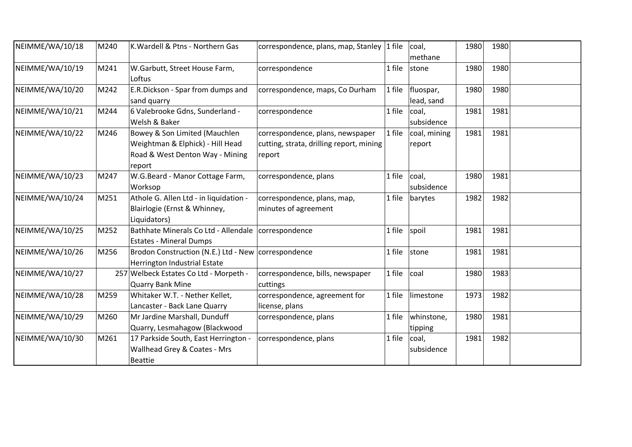| NEIMME/WA/10/18 | M240 | K. Wardell & Ptns - Northern Gas                                                                               | correspondence, plans, map, Stanley                                                    | 1 file | coal,<br>methane        | 1980 | 1980 |  |
|-----------------|------|----------------------------------------------------------------------------------------------------------------|----------------------------------------------------------------------------------------|--------|-------------------------|------|------|--|
| NEIMME/WA/10/19 | M241 | W.Garbutt, Street House Farm,<br>Loftus                                                                        | correspondence                                                                         | 1 file | stone                   | 1980 | 1980 |  |
| NEIMME/WA/10/20 | M242 | E.R.Dickson - Spar from dumps and<br>sand quarry                                                               | correspondence, maps, Co Durham                                                        | 1 file | fluospar,<br>lead, sand | 1980 | 1980 |  |
| NEIMME/WA/10/21 | M244 | 6 Valebrooke Gdns, Sunderland -<br>Welsh & Baker                                                               | correspondence                                                                         | 1 file | coal,<br>subsidence     | 1981 | 1981 |  |
| NEIMME/WA/10/22 | M246 | Bowey & Son Limited (Mauchlen<br>Weightman & Elphick) - Hill Head<br>Road & West Denton Way - Mining<br>report | correspondence, plans, newspaper<br>cutting, strata, drilling report, mining<br>report | 1 file | coal, mining<br>report  | 1981 | 1981 |  |
| NEIMME/WA/10/23 | M247 | W.G.Beard - Manor Cottage Farm,<br>Worksop                                                                     | correspondence, plans                                                                  | 1 file | coal,<br>subsidence     | 1980 | 1981 |  |
| NEIMME/WA/10/24 | M251 | Athole G. Allen Ltd - in liquidation -<br>Blairlogie (Ernst & Whinney,<br>Liquidators)                         | correspondence, plans, map,<br>minutes of agreement                                    | 1 file | barytes                 | 1982 | 1982 |  |
| NEIMME/WA/10/25 | M252 | Bathhate Minerals Co Ltd - Allendale   correspondence<br><b>Estates - Mineral Dumps</b>                        |                                                                                        | 1 file | spoil                   | 1981 | 1981 |  |
| NEIMME/WA/10/26 | M256 | Brodon Construction (N.E.) Ltd - New   correspondence<br>Herrington Industrial Estate                          |                                                                                        | 1 file | stone                   | 1981 | 1981 |  |
| NEIMME/WA/10/27 |      | 257 Welbeck Estates Co Ltd - Morpeth -<br><b>Quarry Bank Mine</b>                                              | correspondence, bills, newspaper<br>cuttings                                           | 1 file | coal                    | 1980 | 1983 |  |
| NEIMME/WA/10/28 | M259 | Whitaker W.T. - Nether Kellet,<br>Lancaster - Back Lane Quarry                                                 | correspondence, agreement for<br>license, plans                                        | 1 file | limestone               | 1973 | 1982 |  |
| NEIMME/WA/10/29 | M260 | Mr Jardine Marshall, Dunduff<br>Quarry, Lesmahagow (Blackwood                                                  | correspondence, plans                                                                  | 1 file | whinstone,<br>tipping   | 1980 | 1981 |  |
| NEIMME/WA/10/30 | M261 | 17 Parkside South, East Herrington -<br>Wallhead Grey & Coates - Mrs<br><b>Beattie</b>                         | correspondence, plans                                                                  | 1 file | coal,<br>subsidence     | 1981 | 1982 |  |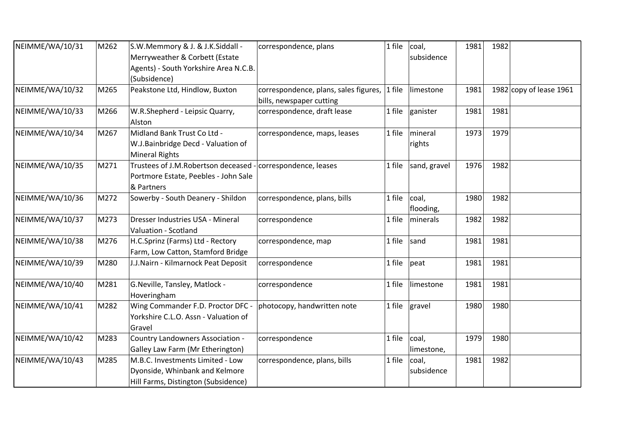| NEIMME/WA/10/31 | M262 | S.W.Memmory & J. & J.K.Siddall -                             | correspondence, plans                 | 1 file | coal,             | 1981 | 1982 |                         |
|-----------------|------|--------------------------------------------------------------|---------------------------------------|--------|-------------------|------|------|-------------------------|
|                 |      | Merryweather & Corbett (Estate                               |                                       |        | subsidence        |      |      |                         |
|                 |      | Agents) - South Yorkshire Area N.C.B.                        |                                       |        |                   |      |      |                         |
|                 |      | (Subsidence)                                                 |                                       |        |                   |      |      |                         |
| NEIMME/WA/10/32 | M265 | Peakstone Ltd, Hindlow, Buxton                               | correspondence, plans, sales figures, | 1 file | limestone         | 1981 |      | 1982 copy of lease 1961 |
|                 |      |                                                              | bills, newspaper cutting              |        |                   |      |      |                         |
| NEIMME/WA/10/33 | M266 | W.R.Shepherd - Leipsic Quarry,                               | correspondence, draft lease           | 1 file | ganister          | 1981 | 1981 |                         |
|                 |      | Alston                                                       |                                       |        |                   |      |      |                         |
| NEIMME/WA/10/34 | M267 | Midland Bank Trust Co Ltd -                                  | correspondence, maps, leases          | 1 file | mineral           | 1973 | 1979 |                         |
|                 |      | W.J.Bainbridge Decd - Valuation of                           |                                       |        | rights            |      |      |                         |
|                 |      | <b>Mineral Rights</b>                                        |                                       |        |                   |      |      |                         |
| NEIMME/WA/10/35 | M271 | Trustees of J.M. Robertson deceased - correspondence, leases |                                       | 1 file | sand, gravel      | 1976 | 1982 |                         |
|                 |      | Portmore Estate, Peebles - John Sale                         |                                       |        |                   |      |      |                         |
|                 |      | & Partners                                                   |                                       |        |                   |      |      |                         |
| NEIMME/WA/10/36 | M272 | Sowerby - South Deanery - Shildon                            | correspondence, plans, bills          | 1 file | coal,             | 1980 | 1982 |                         |
|                 |      |                                                              |                                       |        | flooding,         |      |      |                         |
| NEIMME/WA/10/37 | M273 | Dresser Industries USA - Mineral                             | correspondence                        | 1 file | minerals          | 1982 | 1982 |                         |
|                 |      | Valuation - Scotland                                         |                                       |        |                   |      |      |                         |
| NEIMME/WA/10/38 | M276 | H.C.Sprinz (Farms) Ltd - Rectory                             | correspondence, map                   | 1 file | sand              | 1981 | 1981 |                         |
|                 |      | Farm, Low Catton, Stamford Bridge                            |                                       |        |                   |      |      |                         |
| NEIMME/WA/10/39 | M280 | J.J.Nairn - Kilmarnock Peat Deposit                          | correspondence                        | 1 file | peat              | 1981 | 1981 |                         |
|                 |      |                                                              |                                       |        |                   |      |      |                         |
| NEIMME/WA/10/40 | M281 | G.Neville, Tansley, Matlock -                                | correspondence                        | 1 file | limestone         | 1981 | 1981 |                         |
|                 |      | Hoveringham                                                  |                                       |        |                   |      |      |                         |
| NEIMME/WA/10/41 | M282 | Wing Commander F.D. Proctor DFC -                            | photocopy, handwritten note           |        | 1 file $ $ gravel | 1980 | 1980 |                         |
|                 |      | Yorkshire C.L.O. Assn - Valuation of                         |                                       |        |                   |      |      |                         |
|                 |      | Gravel                                                       |                                       |        |                   |      |      |                         |
| NEIMME/WA/10/42 | M283 | Country Landowners Association -                             | correspondence                        | 1 file | coal,             | 1979 | 1980 |                         |
|                 |      | Galley Law Farm (Mr Etherington)                             |                                       |        | limestone,        |      |      |                         |
| NEIMME/WA/10/43 | M285 | M.B.C. Investments Limited - Low                             | correspondence, plans, bills          | 1 file | coal,             | 1981 | 1982 |                         |
|                 |      | Dyonside, Whinbank and Kelmore                               |                                       |        | subsidence        |      |      |                         |
|                 |      | Hill Farms, Distington (Subsidence)                          |                                       |        |                   |      |      |                         |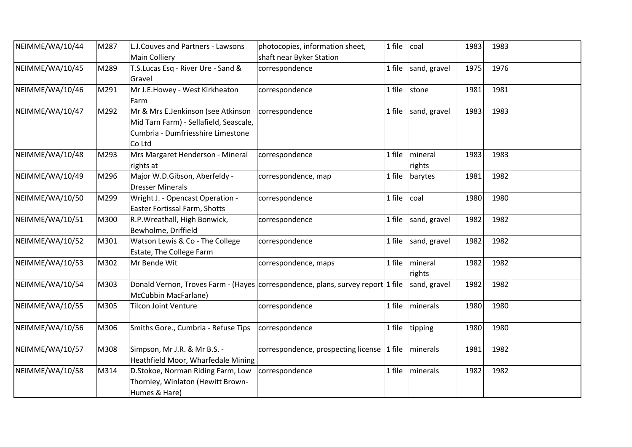| NEIMME/WA/10/44 | M287 | L.J.Couves and Partners - Lawsons      | photocopies, information sheet,                                                 | 1 file | coal         | 1983 | 1983 |  |
|-----------------|------|----------------------------------------|---------------------------------------------------------------------------------|--------|--------------|------|------|--|
|                 |      | <b>Main Colliery</b>                   | shaft near Byker Station                                                        |        |              |      |      |  |
| NEIMME/WA/10/45 | M289 | T.S.Lucas Esq - River Ure - Sand &     | correspondence                                                                  | 1 file | sand, gravel | 1975 | 1976 |  |
|                 |      | Gravel                                 |                                                                                 |        |              |      |      |  |
| NEIMME/WA/10/46 | M291 | Mr J.E.Howey - West Kirkheaton         | correspondence                                                                  | 1 file | stone        | 1981 | 1981 |  |
|                 |      | Farm                                   |                                                                                 |        |              |      |      |  |
| NEIMME/WA/10/47 | M292 | Mr & Mrs E.Jenkinson (see Atkinson     | correspondence                                                                  | 1 file | sand, gravel | 1983 | 1983 |  |
|                 |      | Mid Tarn Farm) - Sellafield, Seascale, |                                                                                 |        |              |      |      |  |
|                 |      | Cumbria - Dumfriesshire Limestone      |                                                                                 |        |              |      |      |  |
|                 |      | Co Ltd                                 |                                                                                 |        |              |      |      |  |
| NEIMME/WA/10/48 | M293 | Mrs Margaret Henderson - Mineral       | correspondence                                                                  | 1 file | mineral      | 1983 | 1983 |  |
|                 |      | rights at                              |                                                                                 |        | rights       |      |      |  |
| NEIMME/WA/10/49 | M296 | Major W.D.Gibson, Aberfeldy -          | correspondence, map                                                             | 1 file | barytes      | 1981 | 1982 |  |
|                 |      | <b>Dresser Minerals</b>                |                                                                                 |        |              |      |      |  |
| NEIMME/WA/10/50 | M299 | Wright J. - Opencast Operation -       | correspondence                                                                  | 1 file | coal         | 1980 | 1980 |  |
|                 |      | Easter Fortissal Farm, Shotts          |                                                                                 |        |              |      |      |  |
| NEIMME/WA/10/51 | M300 | R.P. Wreathall, High Bonwick,          | correspondence                                                                  | 1 file | sand, gravel | 1982 | 1982 |  |
|                 |      | Bewholme, Driffield                    |                                                                                 |        |              |      |      |  |
| NEIMME/WA/10/52 | M301 | Watson Lewis & Co - The College        | correspondence                                                                  | 1 file | sand, gravel | 1982 | 1982 |  |
|                 |      | Estate, The College Farm               |                                                                                 |        |              |      |      |  |
| NEIMME/WA/10/53 | M302 | Mr Bende Wit                           | correspondence, maps                                                            | 1 file | mineral      | 1982 | 1982 |  |
|                 |      |                                        |                                                                                 |        | rights       |      |      |  |
| NEIMME/WA/10/54 | M303 |                                        | Donald Vernon, Troves Farm - (Hayes correspondence, plans, survey report 1 file |        | sand, gravel | 1982 | 1982 |  |
|                 |      | McCubbin MacFarlane)                   |                                                                                 |        |              |      |      |  |
| NEIMME/WA/10/55 | M305 | <b>Tilcon Joint Venture</b>            | correspondence                                                                  | 1 file | minerals     | 1980 | 1980 |  |
|                 |      |                                        |                                                                                 |        |              |      |      |  |
| NEIMME/WA/10/56 | M306 | Smiths Gore., Cumbria - Refuse Tips    | correspondence                                                                  | 1 file | tipping      | 1980 | 1980 |  |
|                 |      |                                        |                                                                                 |        |              |      |      |  |
| NEIMME/WA/10/57 | M308 | Simpson, Mr J.R. & Mr B.S. -           | correspondence, prospecting license 1 file                                      |        | minerals     | 1981 | 1982 |  |
|                 |      | Heathfield Moor, Wharfedale Mining     |                                                                                 |        |              |      |      |  |
| NEIMME/WA/10/58 | M314 | D.Stokoe, Norman Riding Farm, Low      | correspondence                                                                  | 1 file | minerals     | 1982 | 1982 |  |
|                 |      | Thornley, Winlaton (Hewitt Brown-      |                                                                                 |        |              |      |      |  |
|                 |      | Humes & Hare)                          |                                                                                 |        |              |      |      |  |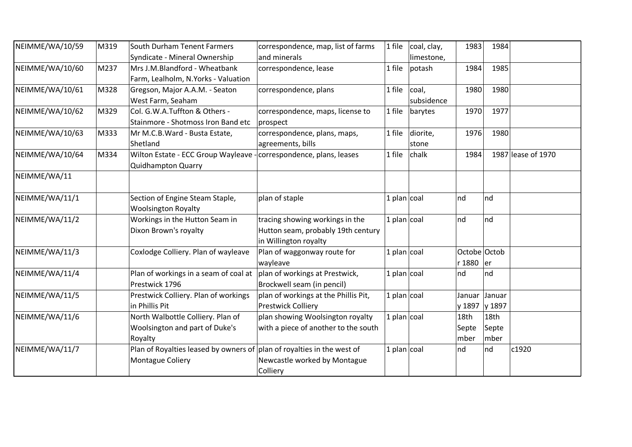| NEIMME/WA/10/59 | M319 | South Durham Tenent Farmers                                            | correspondence, map, list of farms   | coal, clay,<br>1 file | 1983          | 1984   |                    |
|-----------------|------|------------------------------------------------------------------------|--------------------------------------|-----------------------|---------------|--------|--------------------|
|                 |      | Syndicate - Mineral Ownership                                          | and minerals                         | limestone,            |               |        |                    |
| NEIMME/WA/10/60 | M237 | Mrs J.M.Blandford - Wheatbank                                          | correspondence, lease                | 1 file<br>potash      | 1984          | 1985   |                    |
|                 |      | Farm, Lealholm, N.Yorks - Valuation                                    |                                      |                       |               |        |                    |
| NEIMME/WA/10/61 | M328 | Gregson, Major A.A.M. - Seaton                                         | correspondence, plans                | coal,<br>1 file       | 1980          | 1980   |                    |
|                 |      | West Farm, Seaham                                                      |                                      | subsidence            |               |        |                    |
| NEIMME/WA/10/62 | M329 | Col. G.W.A.Tuffton & Others -                                          | correspondence, maps, license to     | 1 file<br>barytes     | 1970          | 1977   |                    |
|                 |      | Stainmore - Shotmoss Iron Band etc                                     | prospect                             |                       |               |        |                    |
| NEIMME/WA/10/63 | M333 | Mr M.C.B.Ward - Busta Estate,                                          | correspondence, plans, maps,         | diorite,<br>1 file    | 1976          | 1980   |                    |
|                 |      | Shetland                                                               | agreements, bills                    | stone                 |               |        |                    |
| NEIMME/WA/10/64 | M334 | Wilton Estate - ECC Group Wayleave - correspondence, plans, leases     |                                      | chalk<br>1 file       | 1984          |        | 1987 lease of 1970 |
|                 |      | <b>Quidhampton Quarry</b>                                              |                                      |                       |               |        |                    |
| NEIMME/WA/11    |      |                                                                        |                                      |                       |               |        |                    |
|                 |      |                                                                        |                                      |                       |               |        |                    |
| NEIMME/WA/11/1  |      | Section of Engine Steam Staple,                                        | plan of staple                       | $1$ plan coal         | nd            | Ind    |                    |
|                 |      | <b>Woolsington Royalty</b>                                             |                                      |                       |               |        |                    |
| NEIMME/WA/11/2  |      | Workings in the Hutton Seam in                                         | tracing showing workings in the      | 1 plan $ {\rm coal} $ | nd            | nd     |                    |
|                 |      | Dixon Brown's royalty                                                  | Hutton seam, probably 19th century   |                       |               |        |                    |
|                 |      |                                                                        | in Willington royalty                |                       |               |        |                    |
| NEIMME/WA/11/3  |      | Coxlodge Colliery. Plan of wayleave                                    | Plan of waggonway route for          | 1 plan $\vert$ coal   | Octobe Octob  |        |                    |
|                 |      |                                                                        | wayleave                             |                       | r 1880 er     |        |                    |
| NEIMME/WA/11/4  |      | Plan of workings in a seam of coal at                                  | plan of workings at Prestwick,       | $1$ plan coal         | nd            | Ind    |                    |
|                 |      | Prestwick 1796                                                         | Brockwell seam (in pencil)           |                       |               |        |                    |
| NEIMME/WA/11/5  |      | Prestwick Colliery. Plan of workings                                   | plan of workings at the Phillis Pit, | 1 plan $\vert$ coal   | Januar        | Januar |                    |
|                 |      | in Phillis Pit                                                         | <b>Prestwick Colliery</b>            |                       | y 1897 y 1897 |        |                    |
| NEIMME/WA/11/6  |      | North Walbottle Colliery. Plan of                                      | plan showing Woolsington royalty     | 1 plan $\vert$ coal   | 18th          | 18th   |                    |
|                 |      | Woolsington and part of Duke's                                         | with a piece of another to the south |                       | Septe         | Septe  |                    |
|                 |      | Royalty                                                                |                                      |                       | mber          | mber   |                    |
| NEIMME/WA/11/7  |      | Plan of Royalties leased by owners of plan of royalties in the west of |                                      | 1 plan $\vert$ coal   | nd            | nd     | c1920              |
|                 |      | Montague Coliery                                                       | Newcastle worked by Montague         |                       |               |        |                    |
|                 |      |                                                                        | Colliery                             |                       |               |        |                    |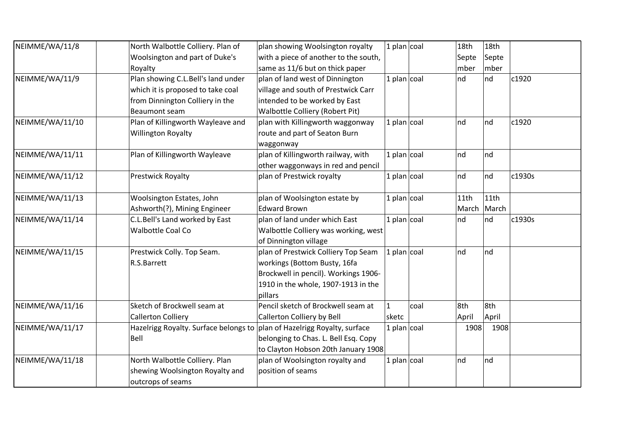| NEIMME/WA/11/8  | North Walbottle Colliery. Plan of     | plan showing Woolsington royalty      | 1 plan $\vert$ coal   |      | 18th    | 18 <sub>th</sub> |        |
|-----------------|---------------------------------------|---------------------------------------|-----------------------|------|---------|------------------|--------|
|                 | Woolsington and part of Duke's        | with a piece of another to the south, |                       |      | Septe   | Septe            |        |
|                 | Royalty                               | same as 11/6 but on thick paper       |                       |      | mber    | mber             |        |
| NEIMME/WA/11/9  | Plan showing C.L.Bell's land under    | plan of land west of Dinnington       | 1 plan $\vert$ coal   |      | nd      | nd               | c1920  |
|                 | which it is proposed to take coal     | village and south of Prestwick Carr   |                       |      |         |                  |        |
|                 | from Dinnington Colliery in the       | intended to be worked by East         |                       |      |         |                  |        |
|                 | <b>Beaumont seam</b>                  | Walbottle Colliery (Robert Pit)       |                       |      |         |                  |        |
| NEIMME/WA/11/10 | Plan of Killingworth Wayleave and     | plan with Killingworth waggonway      | 1 plan $\vert$ coal   |      | Ind     | Ind              | c1920  |
|                 | <b>Willington Royalty</b>             | route and part of Seaton Burn         |                       |      |         |                  |        |
|                 |                                       | waggonway                             |                       |      |         |                  |        |
| NEIMME/WA/11/11 | Plan of Killingworth Wayleave         | plan of Killingworth railway, with    | 1 plan $\vert$ coal   |      | nd      | Ind              |        |
|                 |                                       | other waggonways in red and pencil    |                       |      |         |                  |        |
| NEIMME/WA/11/12 | <b>Prestwick Royalty</b>              | plan of Prestwick royalty             | 1 plan $\vert$ coal   |      | nd      | Ind              | c1930s |
| NEIMME/WA/11/13 | Woolsington Estates, John             | plan of Woolsington estate by         | 1 plan $\vert$ coal   |      | 11th    | 11th             |        |
|                 | Ashworth(?), Mining Engineer          | <b>Edward Brown</b>                   |                       |      | March   | March            |        |
| NEIMME/WA/11/14 | C.L.Bell's Land worked by East        | plan of land under which East         | 1 plan $\vert$ coal   |      | $\ln d$ | Ind              | c1930s |
|                 | Walbottle Coal Co                     |                                       |                       |      |         |                  |        |
|                 |                                       | Walbottle Colliery was working, west  |                       |      |         |                  |        |
| NEIMME/WA/11/15 |                                       | of Dinnington village                 | 1 plan coal           |      | nd      | Ind              |        |
|                 | Prestwick Colly. Top Seam.            | plan of Prestwick Colliery Top Seam   |                       |      |         |                  |        |
|                 | R.S.Barrett                           | workings (Bottom Busty, 16fa          |                       |      |         |                  |        |
|                 |                                       | Brockwell in pencil). Workings 1906-  |                       |      |         |                  |        |
|                 |                                       | 1910 in the whole, 1907-1913 in the   |                       |      |         |                  |        |
|                 |                                       | pillars                               |                       |      |         |                  |        |
| NEIMME/WA/11/16 | Sketch of Brockwell seam at           | Pencil sketch of Brockwell seam at    | $\mathbf{1}$          | coal | 8th     | 8th              |        |
|                 | <b>Callerton Colliery</b>             | <b>Callerton Colliery by Bell</b>     | sketc                 |      | April   | April            |        |
| NEIMME/WA/11/17 | Hazelrigg Royalty. Surface belongs to | plan of Hazelrigg Royalty, surface    | 1 plan $ {\rm coal} $ |      | 1908    | 1908             |        |
|                 | Bell                                  | belonging to Chas. L. Bell Esq. Copy  |                       |      |         |                  |        |
|                 |                                       | to Clayton Hobson 20th January 1908   |                       |      |         |                  |        |
| NEIMME/WA/11/18 | North Walbottle Colliery. Plan        | plan of Woolsington royalty and       | 1 plan $ {\rm coal}$  |      | nd      | Ind              |        |
|                 | shewing Woolsington Royalty and       | position of seams                     |                       |      |         |                  |        |
|                 | outcrops of seams                     |                                       |                       |      |         |                  |        |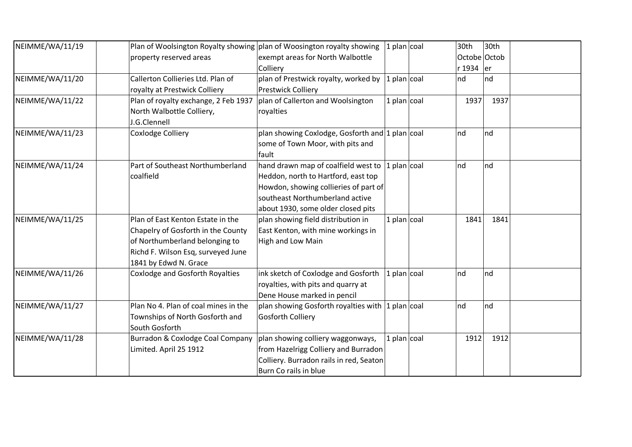| NEIMME/WA/11/19 | Plan of Woolsington Royalty showing plan of Woosington royalty showing |                                                     | $ 1$ plan $ 1$        | 30th         | 30th |  |
|-----------------|------------------------------------------------------------------------|-----------------------------------------------------|-----------------------|--------------|------|--|
|                 | property reserved areas                                                | exempt areas for North Walbottle                    |                       | Octobe Octob |      |  |
|                 |                                                                        | Colliery                                            |                       | r 1934 er    |      |  |
| NEIMME/WA/11/20 | Callerton Collieries Ltd. Plan of                                      | plan of Prestwick royalty, worked by                | $ 1$ plan $ 1$        | nd           | Ind  |  |
|                 | royalty at Prestwick Colliery                                          | Prestwick Colliery                                  |                       |              |      |  |
| NEIMME/WA/11/22 | Plan of royalty exchange, 2 Feb 1937                                   | plan of Callerton and Woolsington                   | 1 plan $ {\rm coal} $ | 1937         | 1937 |  |
|                 | North Walbottle Colliery,                                              | royalties                                           |                       |              |      |  |
|                 | J.G.Clennell                                                           |                                                     |                       |              |      |  |
| NEIMME/WA/11/23 | <b>Coxlodge Colliery</b>                                               | plan showing Coxlodge, Gosforth and $ 1$ plan $ 1$  |                       | $\ln d$      | Ind  |  |
|                 |                                                                        | some of Town Moor, with pits and                    |                       |              |      |  |
|                 |                                                                        | fault                                               |                       |              |      |  |
| NEIMME/WA/11/24 | Part of Southeast Northumberland                                       | hand drawn map of coalfield west to                 | $ 1$ plan $ $ coal    | nd           | nd   |  |
|                 | coalfield                                                              | Heddon, north to Hartford, east top                 |                       |              |      |  |
|                 |                                                                        | Howdon, showing collieries of part of               |                       |              |      |  |
|                 |                                                                        | southeast Northumberland active                     |                       |              |      |  |
|                 |                                                                        | about 1930, some older closed pits                  |                       |              |      |  |
| NEIMME/WA/11/25 | Plan of East Kenton Estate in the                                      | plan showing field distribution in                  | 1 plan $\vert$ coal   | 1841         | 1841 |  |
|                 | Chapelry of Gosforth in the County                                     | East Kenton, with mine workings in                  |                       |              |      |  |
|                 | of Northumberland belonging to                                         | High and Low Main                                   |                       |              |      |  |
|                 | Richd F. Wilson Esq, surveyed June                                     |                                                     |                       |              |      |  |
|                 | 1841 by Edwd N. Grace                                                  |                                                     |                       |              |      |  |
| NEIMME/WA/11/26 | Coxlodge and Gosforth Royalties                                        | ink sketch of Coxlodge and Gosforth                 | 1 plan $\vert$ coal   | nd           | nd   |  |
|                 |                                                                        | royalties, with pits and quarry at                  |                       |              |      |  |
|                 |                                                                        | Dene House marked in pencil                         |                       |              |      |  |
| NEIMME/WA/11/27 | Plan No 4. Plan of coal mines in the                                   | plan showing Gosforth royalties with $ 1$ plan $ 1$ |                       | nd           | Ind  |  |
|                 | Townships of North Gosforth and                                        | <b>Gosforth Colliery</b>                            |                       |              |      |  |
|                 | South Gosforth                                                         |                                                     |                       |              |      |  |
| NEIMME/WA/11/28 | Burradon & Coxlodge Coal Company                                       | plan showing colliery waggonways,                   | 1 plan $\vert$ coal   | 1912         | 1912 |  |
|                 | Limited. April 25 1912                                                 | from Hazelrigg Colliery and Burradon                |                       |              |      |  |
|                 |                                                                        | Colliery. Burradon rails in red, Seaton             |                       |              |      |  |
|                 |                                                                        | Burn Co rails in blue                               |                       |              |      |  |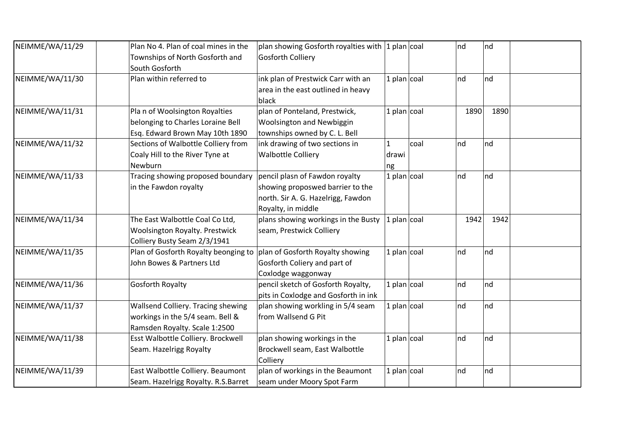| NEIMME/WA/11/29 | Plan No 4. Plan of coal mines in the                                  | $ $ plan showing Gosforth royalties with $ 1$ plan $ $ coal |                      |      | nd   | nd      |
|-----------------|-----------------------------------------------------------------------|-------------------------------------------------------------|----------------------|------|------|---------|
|                 | Townships of North Gosforth and<br>South Gosforth                     | <b>Gosforth Colliery</b>                                    |                      |      |      |         |
| NEIMME/WA/11/30 | Plan within referred to                                               | ink plan of Prestwick Carr with an                          | 1 plan $\vert$ coal  |      | nd   | nd      |
|                 |                                                                       | area in the east outlined in heavy                          |                      |      |      |         |
|                 |                                                                       | black                                                       |                      |      |      |         |
| NEIMME/WA/11/31 | Pla n of Woolsington Royalties                                        | plan of Ponteland, Prestwick,                               | $ 1$ plan $ 1$       |      | 1890 | 1890    |
|                 | belonging to Charles Loraine Bell                                     | Woolsington and Newbiggin                                   |                      |      |      |         |
|                 | Esq. Edward Brown May 10th 1890                                       | townships owned by C. L. Bell                               |                      |      |      |         |
| NEIMME/WA/11/32 | Sections of Walbottle Colliery from                                   | ink drawing of two sections in                              | $\mathbf{1}$         | coal | nd   | nd      |
|                 | Coaly Hill to the River Tyne at                                       | <b>Walbottle Colliery</b>                                   | drawi                |      |      |         |
|                 | Newburn                                                               |                                                             | ng                   |      |      |         |
| NEIMME/WA/11/33 | Tracing showing proposed boundary                                     | pencil plasn of Fawdon royalty                              | $ 1$ plan $ 1$       |      | nd   | nd      |
|                 | in the Fawdon royalty                                                 | showing proposwed barrier to the                            |                      |      |      |         |
|                 |                                                                       | north. Sir A. G. Hazelrigg, Fawdon                          |                      |      |      |         |
|                 |                                                                       | Royalty, in middle                                          |                      |      |      |         |
| NEIMME/WA/11/34 | The East Walbottle Coal Co Ltd,                                       | plans showing workings in the Busty                         | $ 1$ plan $ 1$       |      | 1942 | 1942    |
|                 | <b>Woolsington Royalty. Prestwick</b>                                 | seam, Prestwick Colliery                                    |                      |      |      |         |
|                 | Colliery Busty Seam 2/3/1941                                          |                                                             |                      |      |      |         |
| NEIMME/WA/11/35 | Plan of Gosforth Royalty beonging to plan of Gosforth Royalty showing |                                                             | $ 1$ plan $ 1$ coal  |      | nd   | nd      |
|                 | John Bowes & Partners Ltd                                             | Gosforth Coliery and part of                                |                      |      |      |         |
|                 |                                                                       | Coxlodge waggonway                                          |                      |      |      |         |
| NEIMME/WA/11/36 | <b>Gosforth Royalty</b>                                               | pencil sketch of Gosforth Royalty,                          | $ 1$ plan $ 1$ coal  |      | nd   | $\ln d$ |
|                 |                                                                       | pits in Coxlodge and Gosforth in ink                        |                      |      |      |         |
| NEIMME/WA/11/37 | Wallsend Colliery. Tracing shewing                                    | plan showing workling in 5/4 seam                           | 1 plan $ {\rm coal}$ |      | nd   | nd      |
|                 | workings in the 5/4 seam. Bell &                                      | from Wallsend G Pit                                         |                      |      |      |         |
|                 | Ramsden Royalty. Scale 1:2500                                         |                                                             |                      |      |      |         |
| NEIMME/WA/11/38 | Esst Walbottle Colliery. Brockwell                                    | plan showing workings in the                                | $ 1$ plan $ 1$       |      | nd   | nd      |
|                 | Seam. Hazelrigg Royalty                                               | Brockwell seam, East Walbottle                              |                      |      |      |         |
|                 |                                                                       | Colliery                                                    |                      |      |      |         |
| NEIMME/WA/11/39 | East Walbottle Colliery. Beaumont                                     | plan of workings in the Beaumont                            | 1 plan $ {\rm coal}$ |      | nd   | nd      |
|                 | Seam. Hazelrigg Royalty. R.S.Barret                                   | seam under Moory Spot Farm                                  |                      |      |      |         |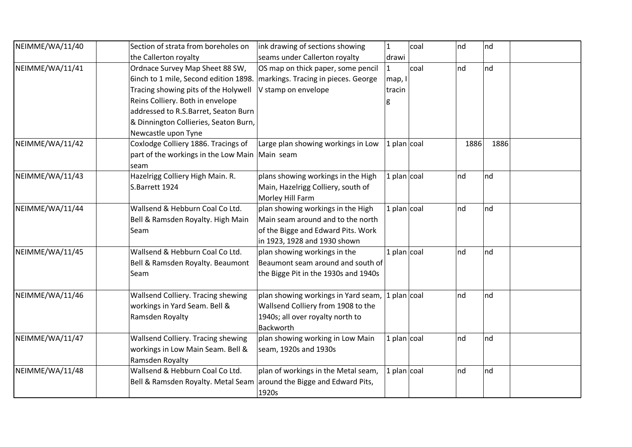| NEIMME/WA/11/40 | Section of strata from boreholes on                                  | ink drawing of sections showing                    | $\mathbf{1}$          | coal | nd   | nd   |  |
|-----------------|----------------------------------------------------------------------|----------------------------------------------------|-----------------------|------|------|------|--|
|                 | the Callerton royalty                                                | seams under Callerton royalty                      | drawi                 |      |      |      |  |
| NEIMME/WA/11/41 | Ordnace Survey Map Sheet 88 SW,                                      | OS map on thick paper, some pencil                 | $\mathbf{1}$          | coal | nd   | Ind  |  |
|                 | 6inch to 1 mile, Second edition 1898.                                | markings. Tracing in pieces. George                | map, I                |      |      |      |  |
|                 | Tracing showing pits of the Holywell                                 | V stamp on envelope                                | tracin                |      |      |      |  |
|                 | Reins Colliery. Both in envelope                                     |                                                    |                       |      |      |      |  |
|                 | addressed to R.S.Barret, Seaton Burn                                 |                                                    |                       |      |      |      |  |
|                 | & Dinnington Collieries, Seaton Burn,                                |                                                    |                       |      |      |      |  |
|                 | Newcastle upon Tyne                                                  |                                                    |                       |      |      |      |  |
| NEIMME/WA/11/42 | Coxlodge Colliery 1886. Tracings of                                  | Large plan showing workings in Low                 | 1 plan $\vert$ coal   |      | 1886 | 1886 |  |
|                 | part of the workings in the Low Main   Main seam                     |                                                    |                       |      |      |      |  |
|                 | seam                                                                 |                                                    |                       |      |      |      |  |
| NEIMME/WA/11/43 | Hazelrigg Colliery High Main. R.                                     | plans showing workings in the High                 | 1 plan $ {\rm coal} $ |      | nd   | Ind  |  |
|                 | S.Barrett 1924                                                       | Main, Hazelrigg Colliery, south of                 |                       |      |      |      |  |
|                 |                                                                      | Morley Hill Farm                                   |                       |      |      |      |  |
| NEIMME/WA/11/44 | Wallsend & Hebburn Coal Co Ltd.                                      | plan showing workings in the High                  | $1$ plan coal         |      | nd   | nd   |  |
|                 | Bell & Ramsden Royalty. High Main                                    | Main seam around and to the north                  |                       |      |      |      |  |
|                 | Seam                                                                 | of the Bigge and Edward Pits. Work                 |                       |      |      |      |  |
|                 |                                                                      | in 1923, 1928 and 1930 shown                       |                       |      |      |      |  |
| NEIMME/WA/11/45 | Wallsend & Hebburn Coal Co Ltd.                                      | plan showing workings in the                       | 1 plan $ {\rm coal} $ |      | nd   | nd   |  |
|                 | Bell & Ramsden Royalty. Beaumont                                     | Beaumont seam around and south of                  |                       |      |      |      |  |
|                 | Seam                                                                 | the Bigge Pit in the 1930s and 1940s               |                       |      |      |      |  |
| NEIMME/WA/11/46 | Wallsend Colliery. Tracing shewing                                   | plan showing workings in Yard seam, $ 1$ plan coal |                       |      | nd   | nd   |  |
|                 | workings in Yard Seam. Bell &                                        | Wallsend Colliery from 1908 to the                 |                       |      |      |      |  |
|                 | Ramsden Royalty                                                      | 1940s; all over royalty north to                   |                       |      |      |      |  |
|                 |                                                                      | Backworth                                          |                       |      |      |      |  |
| NEIMME/WA/11/47 | Wallsend Colliery. Tracing shewing                                   | plan showing working in Low Main                   | $1$ plan $ $ coal     |      | nd   | nd   |  |
|                 | workings in Low Main Seam. Bell &                                    | seam, 1920s and 1930s                              |                       |      |      |      |  |
|                 | Ramsden Royalty                                                      |                                                    |                       |      |      |      |  |
| NEIMME/WA/11/48 | Wallsend & Hebburn Coal Co Ltd.                                      | plan of workings in the Metal seam,                | $1$ plan $ $ coal     |      | nd   | nd   |  |
|                 | Bell & Ramsden Royalty. Metal Seam around the Bigge and Edward Pits, |                                                    |                       |      |      |      |  |
|                 |                                                                      | 1920s                                              |                       |      |      |      |  |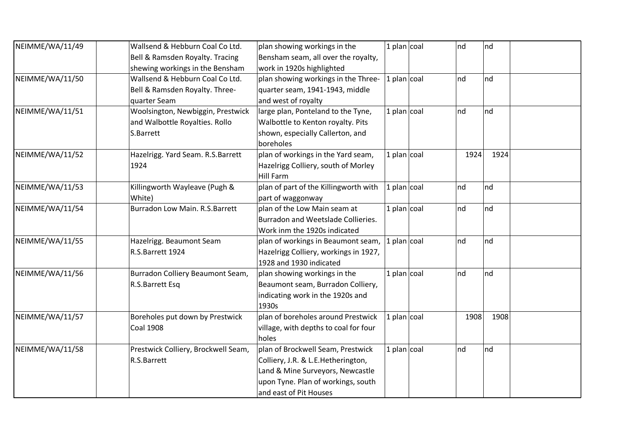| NEIMME/WA/11/49 | Wallsend & Hebburn Coal Co Ltd.     | plan showing workings in the          | 1 plan $\vert$ coal   | nd      | nd   |  |
|-----------------|-------------------------------------|---------------------------------------|-----------------------|---------|------|--|
|                 | Bell & Ramsden Royalty. Tracing     | Bensham seam, all over the royalty,   |                       |         |      |  |
|                 | shewing workings in the Bensham     | work in 1920s highlighted             |                       |         |      |  |
| NEIMME/WA/11/50 | Wallsend & Hebburn Coal Co Ltd.     | plan showing workings in the Three-   | 1 plan $ {\rm coal} $ | nd      | nd   |  |
|                 | Bell & Ramsden Royalty. Three-      | quarter seam, 1941-1943, middle       |                       |         |      |  |
|                 | quarter Seam                        | and west of royalty                   |                       |         |      |  |
| NEIMME/WA/11/51 | Woolsington, Newbiggin, Prestwick   | large plan, Ponteland to the Tyne,    | 1 plan $ {\rm coal} $ | nd      | nd   |  |
|                 | and Walbottle Royalties. Rollo      | Walbottle to Kenton royalty. Pits     |                       |         |      |  |
|                 | S.Barrett                           | shown, especially Callerton, and      |                       |         |      |  |
|                 |                                     | boreholes                             |                       |         |      |  |
| NEIMME/WA/11/52 | Hazelrigg. Yard Seam. R.S.Barrett   | plan of workings in the Yard seam,    | $1$ plan coal         | 1924    | 1924 |  |
|                 | 1924                                | Hazelrigg Colliery, south of Morley   |                       |         |      |  |
|                 |                                     | <b>Hill Farm</b>                      |                       |         |      |  |
| NEIMME/WA/11/53 | Killingworth Wayleave (Pugh &       | plan of part of the Killingworth with | 1 plan $\vert$ coal   | nd      | nd   |  |
|                 | White)                              | part of waggonway                     |                       |         |      |  |
| NEIMME/WA/11/54 | Burradon Low Main. R.S.Barrett      | plan of the Low Main seam at          | 1 plan $ {\rm coal} $ | nd      | nd   |  |
|                 |                                     | Burradon and Weetslade Collieries.    |                       |         |      |  |
|                 |                                     | Work inm the 1920s indicated          |                       |         |      |  |
| NEIMME/WA/11/55 | Hazelrigg. Beaumont Seam            | plan of workings in Beaumont seam,    | 1 plan $ {\rm coal} $ | $\ln d$ | nd   |  |
|                 | R.S.Barrett 1924                    | Hazelrigg Colliery, workings in 1927, |                       |         |      |  |
|                 |                                     | 1928 and 1930 indicated               |                       |         |      |  |
| NEIMME/WA/11/56 | Burradon Colliery Beaumont Seam,    | plan showing workings in the          | 1 plan $ {\rm coal} $ | nd      | nd   |  |
|                 | R.S.Barrett Esq                     | Beaumont seam, Burradon Colliery,     |                       |         |      |  |
|                 |                                     | indicating work in the 1920s and      |                       |         |      |  |
|                 |                                     | 1930s                                 |                       |         |      |  |
| NEIMME/WA/11/57 | Boreholes put down by Prestwick     | plan of boreholes around Prestwick    | 1 plan $ {\rm coal} $ | 1908    | 1908 |  |
|                 | <b>Coal 1908</b>                    | village, with depths to coal for four |                       |         |      |  |
|                 |                                     | holes                                 |                       |         |      |  |
| NEIMME/WA/11/58 | Prestwick Colliery, Brockwell Seam, | plan of Brockwell Seam, Prestwick     | 1 plan $\vert$ coal   | nd      | nd   |  |
|                 | R.S.Barrett                         | Colliery, J.R. & L.E.Hetherington,    |                       |         |      |  |
|                 |                                     | Land & Mine Surveyors, Newcastle      |                       |         |      |  |
|                 |                                     | upon Tyne. Plan of workings, south    |                       |         |      |  |
|                 |                                     | and east of Pit Houses                |                       |         |      |  |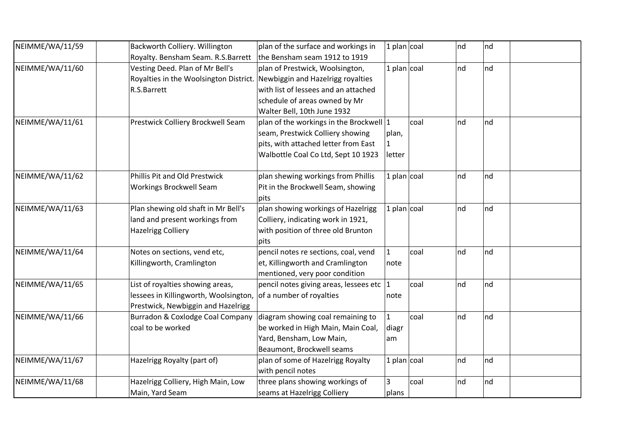| NEIMME/WA/11/59 | Backworth Colliery. Willington                                           | plan of the surface and workings in       | 1 plan $\cos$       |      | nd | Ind |  |
|-----------------|--------------------------------------------------------------------------|-------------------------------------------|---------------------|------|----|-----|--|
|                 | Royalty. Bensham Seam. R.S.Barrett                                       | the Bensham seam 1912 to 1919             |                     |      |    |     |  |
| NEIMME/WA/11/60 | Vesting Deed. Plan of Mr Bell's                                          | plan of Prestwick, Woolsington,           | 1 plan $\vert$ coal |      | nd | nd  |  |
|                 | Royalties in the Woolsington District. Newbiggin and Hazelrigg royalties |                                           |                     |      |    |     |  |
|                 | R.S.Barrett                                                              | with list of lessees and an attached      |                     |      |    |     |  |
|                 |                                                                          | schedule of areas owned by Mr             |                     |      |    |     |  |
|                 |                                                                          | Walter Bell, 10th June 1932               |                     |      |    |     |  |
| NEIMME/WA/11/61 | Prestwick Colliery Brockwell Seam                                        | plan of the workings in the Brockwell 1   |                     | coal | nd | Ind |  |
|                 |                                                                          | seam, Prestwick Colliery showing          | plan,               |      |    |     |  |
|                 |                                                                          | pits, with attached letter from East      | $\mathbf{1}$        |      |    |     |  |
|                 |                                                                          | Walbottle Coal Co Ltd, Sept 10 1923       | letter              |      |    |     |  |
|                 |                                                                          |                                           |                     |      |    |     |  |
| NEIMME/WA/11/62 | Phillis Pit and Old Prestwick                                            | plan shewing workings from Phillis        | 1 plan $\vert$ coal |      | nd | nd  |  |
|                 | <b>Workings Brockwell Seam</b>                                           | Pit in the Brockwell Seam, showing        |                     |      |    |     |  |
|                 |                                                                          | pits                                      |                     |      |    |     |  |
| NEIMME/WA/11/63 | Plan shewing old shaft in Mr Bell's                                      | plan showing workings of Hazelrigg        | 1 plan $\vert$ coal |      | nd | nd  |  |
|                 | land and present workings from                                           | Colliery, indicating work in 1921,        |                     |      |    |     |  |
|                 | <b>Hazelrigg Colliery</b>                                                | with position of three old Brunton        |                     |      |    |     |  |
|                 |                                                                          | pits                                      |                     |      |    |     |  |
| NEIMME/WA/11/64 | Notes on sections, vend etc,                                             | pencil notes re sections, coal, vend      | $\mathbf{1}$        | coal | nd | nd  |  |
|                 | Killingworth, Cramlington                                                | et, Killingworth and Cramlington          | note                |      |    |     |  |
|                 |                                                                          | mentioned, very poor condition            |                     |      |    |     |  |
| NEIMME/WA/11/65 | List of royalties showing areas,                                         | pencil notes giving areas, lessees etc  1 |                     | coal | nd | nd  |  |
|                 | lessees in Killingworth, Woolsington, of a number of royalties           |                                           | note                |      |    |     |  |
|                 | Prestwick, Newbiggin and Hazelrigg                                       |                                           |                     |      |    |     |  |
| NEIMME/WA/11/66 | Burradon & Coxlodge Coal Company                                         | diagram showing coal remaining to         | $\mathbf{1}$        | coal | nd | Ind |  |
|                 | coal to be worked                                                        | be worked in High Main, Main Coal,        | diagr               |      |    |     |  |
|                 |                                                                          | Yard, Bensham, Low Main,                  | am                  |      |    |     |  |
|                 |                                                                          | Beaumont, Brockwell seams                 |                     |      |    |     |  |
| NEIMME/WA/11/67 | Hazelrigg Royalty (part of)                                              | plan of some of Hazelrigg Royalty         | 1 plan $\vert$ coal |      | nd | nd  |  |
|                 |                                                                          | with pencil notes                         |                     |      |    |     |  |
| NEIMME/WA/11/68 | Hazelrigg Colliery, High Main, Low                                       | three plans showing workings of           | 3                   | coal | nd | nd  |  |
|                 | Main, Yard Seam                                                          | seams at Hazelrigg Colliery               | plans               |      |    |     |  |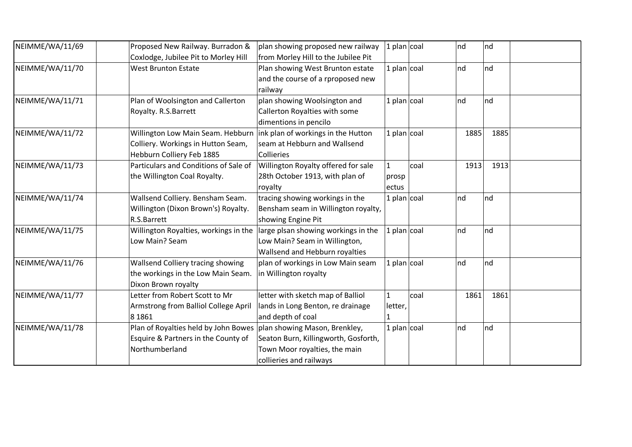| NEIMME/WA/11/69 | Proposed New Railway. Burradon &                                      | plan showing proposed new railway    | $ 1$ plan $ 1$        |      | nd      | nd      |
|-----------------|-----------------------------------------------------------------------|--------------------------------------|-----------------------|------|---------|---------|
|                 | Coxlodge, Jubilee Pit to Morley Hill                                  | from Morley Hill to the Jubilee Pit  |                       |      |         |         |
| NEIMME/WA/11/70 | <b>West Brunton Estate</b>                                            | Plan showing West Brunton estate     | $1$ plan coal         |      | nd      | $\ln d$ |
|                 |                                                                       | and the course of a rproposed new    |                       |      |         |         |
|                 |                                                                       | railway                              |                       |      |         |         |
| NEIMME/WA/11/71 | Plan of Woolsington and Callerton                                     | plan showing Woolsington and         | 1 plan $ {\rm coal} $ |      | $\ln d$ | nd      |
|                 | Royalty. R.S.Barrett                                                  | Callerton Royalties with some        |                       |      |         |         |
|                 |                                                                       | dimentions in pencilo                |                       |      |         |         |
| NEIMME/WA/11/72 | Willington Low Main Seam. Hebburn  ink plan of workings in the Hutton |                                      | $ 1$ plan $ 1$        |      | 1885    | 1885    |
|                 | Colliery. Workings in Hutton Seam,                                    | seam at Hebburn and Wallsend         |                       |      |         |         |
|                 | Hebburn Colliery Feb 1885                                             | Collieries                           |                       |      |         |         |
| NEIMME/WA/11/73 | Particulars and Conditions of Sale of                                 | Willington Royalty offered for sale  | $\mathbf{1}$          | coal | 1913    | 1913    |
|                 | the Willington Coal Royalty.                                          | 28th October 1913, with plan of      | prosp                 |      |         |         |
|                 |                                                                       | royalty                              | ectus                 |      |         |         |
| NEIMME/WA/11/74 | Wallsend Colliery. Bensham Seam.                                      | tracing showing workings in the      | $ 1$ plan $ $ coal    |      | nd      | nd      |
|                 | Willington (Dixon Brown's) Royalty.                                   | Bensham seam in Willington royalty,  |                       |      |         |         |
|                 | R.S.Barrett                                                           | showing Engine Pit                   |                       |      |         |         |
| NEIMME/WA/11/75 | Willington Royalties, workings in the                                 | large plsan showing workings in the  | $ 1$ plan $ 1$        |      | $\ln d$ | nd      |
|                 | Low Main? Seam                                                        | Low Main? Seam in Willington,        |                       |      |         |         |
|                 |                                                                       | Wallsend and Hebburn royalties       |                       |      |         |         |
| NEIMME/WA/11/76 | Wallsend Colliery tracing showing                                     | plan of workings in Low Main seam    | $ 1$ plan $ 1$        |      | nd      | nd      |
|                 | the workings in the Low Main Seam.                                    | in Willington royalty                |                       |      |         |         |
|                 | Dixon Brown royalty                                                   |                                      |                       |      |         |         |
| NEIMME/WA/11/77 | Letter from Robert Scott to Mr                                        | letter with sketch map of Balliol    | $\mathbf{1}$          | coal | 1861    | 1861    |
|                 | Armstrong from Balliol College April                                  | lands in Long Benton, re drainage    | letter,               |      |         |         |
|                 | 8 18 6 1                                                              | and depth of coal                    |                       |      |         |         |
| NEIMME/WA/11/78 | Plan of Royalties held by John Bowes   plan showing Mason, Brenkley,  |                                      | 1 plan $ {\rm coal} $ |      | $\ln d$ | nd      |
|                 | Esquire & Partners in the County of                                   | Seaton Burn, Killingworth, Gosforth, |                       |      |         |         |
|                 | Northumberland                                                        | Town Moor royalties, the main        |                       |      |         |         |
|                 |                                                                       | collieries and railways              |                       |      |         |         |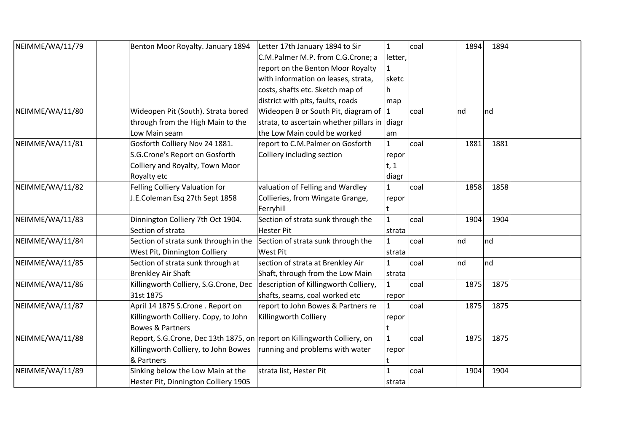| NEIMME/WA/11/79 | Benton Moor Royalty. January 1894                                        | Letter 17th January 1894 to Sir               | $\mathbf{1}$ | coal | 1894 | 1894 |  |
|-----------------|--------------------------------------------------------------------------|-----------------------------------------------|--------------|------|------|------|--|
|                 |                                                                          | C.M.Palmer M.P. from C.G.Crone; a             | letter,      |      |      |      |  |
|                 |                                                                          | report on the Benton Moor Royalty             |              |      |      |      |  |
|                 |                                                                          | with information on leases, strata,           | sketc        |      |      |      |  |
|                 |                                                                          | costs, shafts etc. Sketch map of              | h            |      |      |      |  |
|                 |                                                                          | district with pits, faults, roads             | map          |      |      |      |  |
| NEIMME/WA/11/80 | Wideopen Pit (South). Strata bored                                       | Wideopen B or South Pit, diagram of           | 1            | coal | nd   | nd   |  |
|                 | through from the High Main to the                                        | strata, to ascertain whether pillars in diagr |              |      |      |      |  |
|                 | Low Main seam                                                            | the Low Main could be worked                  | am           |      |      |      |  |
| NEIMME/WA/11/81 | Gosforth Colliery Nov 24 1881.                                           | report to C.M.Palmer on Gosforth              | $\mathbf{1}$ | coal | 1881 | 1881 |  |
|                 | S.G.Crone's Report on Gosforth                                           | Colliery including section                    | repor        |      |      |      |  |
|                 | Colliery and Royalty, Town Moor                                          |                                               | t, 1         |      |      |      |  |
|                 | Royalty etc                                                              |                                               | diagr        |      |      |      |  |
| NEIMME/WA/11/82 | Felling Colliery Valuation for                                           | valuation of Felling and Wardley              | 1            | coal | 1858 | 1858 |  |
|                 | J.E.Coleman Esq 27th Sept 1858                                           | Collieries, from Wingate Grange,              | repor        |      |      |      |  |
|                 |                                                                          | Ferryhill                                     | t            |      |      |      |  |
| NEIMME/WA/11/83 | Dinnington Colliery 7th Oct 1904.                                        | Section of strata sunk through the            | $\mathbf{1}$ | coal | 1904 | 1904 |  |
|                 | Section of strata                                                        | <b>Hester Pit</b>                             | strata       |      |      |      |  |
| NEIMME/WA/11/84 | Section of strata sunk through in the                                    | Section of strata sunk through the            | $\mathbf{1}$ | coal | nd   | nd   |  |
|                 | West Pit, Dinnington Colliery                                            | West Pit                                      | strata       |      |      |      |  |
| NEIMME/WA/11/85 | Section of strata sunk through at                                        | section of strata at Brenkley Air             | 1            | coal | nd   | Ind  |  |
|                 | <b>Brenkley Air Shaft</b>                                                | Shaft, through from the Low Main              | strata       |      |      |      |  |
| NEIMME/WA/11/86 | Killingworth Colliery, S.G.Crone, Dec                                    | description of Killingworth Colliery,         | $\mathbf{1}$ | coal | 1875 | 1875 |  |
|                 | 31st 1875                                                                | shafts, seams, coal worked etc                | repor        |      |      |      |  |
| NEIMME/WA/11/87 | April 14 1875 S.Crone . Report on                                        | report to John Bowes & Partners re            | $\mathbf{1}$ | coal | 1875 | 1875 |  |
|                 | Killingworth Colliery. Copy, to John                                     | Killingworth Colliery                         | repor        |      |      |      |  |
|                 | <b>Bowes &amp; Partners</b>                                              |                                               |              |      |      |      |  |
| NEIMME/WA/11/88 | Report, S.G.Crone, Dec 13th 1875, on report on Killingworth Colliery, on |                                               | $\mathbf{1}$ | coal | 1875 | 1875 |  |
|                 | Killingworth Colliery, to John Bowes                                     | running and problems with water               | repor        |      |      |      |  |
|                 | & Partners                                                               |                                               |              |      |      |      |  |
| NEIMME/WA/11/89 | Sinking below the Low Main at the                                        | strata list, Hester Pit                       | 1            | coal | 1904 | 1904 |  |
|                 | Hester Pit, Dinnington Colliery 1905                                     |                                               | strata       |      |      |      |  |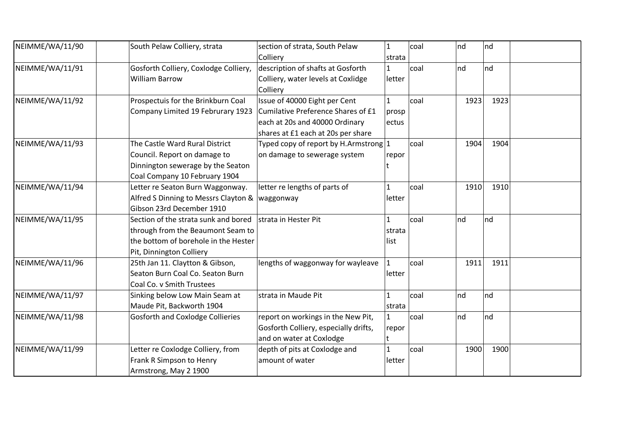| NEIMME/WA/11/90 | South Pelaw Colliery, strata                                                                                                                  | section of strata, South Pelaw<br>Colliery                                                                                                  | $\mathbf{1}$<br>strata         | coal | nd      | $\ln d$ |  |
|-----------------|-----------------------------------------------------------------------------------------------------------------------------------------------|---------------------------------------------------------------------------------------------------------------------------------------------|--------------------------------|------|---------|---------|--|
| NEIMME/WA/11/91 | Gosforth Colliery, Coxlodge Colliery,<br><b>William Barrow</b>                                                                                | description of shafts at Gosforth<br>Colliery, water levels at Coxlidge<br>Colliery                                                         | 1<br>letter                    | coal | nd      | Ind     |  |
| NEIMME/WA/11/92 | Prospectuis for the Brinkburn Coal<br>Company Limited 19 Februrary 1923                                                                       | Issue of 40000 Eight per Cent<br>Cumilative Preference Shares of £1<br>each at 20s and 40000 Ordinary<br>shares at £1 each at 20s per share | $\mathbf{1}$<br>prosp<br>ectus | coal | 1923    | 1923    |  |
| NEIMME/WA/11/93 | The Castle Ward Rural District<br>Council. Report on damage to<br>Dinnington sewerage by the Seaton<br>Coal Company 10 February 1904          | Typed copy of report by H.Armstrong $ 1 $<br>on damage to sewerage system                                                                   | repor                          | coal | 1904    | 1904    |  |
| NEIMME/WA/11/94 | Letter re Seaton Burn Waggonway.<br>Alfred S Dinning to Messrs Clayton &   waggonway<br>Gibson 23rd December 1910                             | letter re lengths of parts of                                                                                                               | 1<br>letter                    | coal | 1910    | 1910    |  |
| NEIMME/WA/11/95 | Section of the strata sunk and bored<br>through from the Beaumont Seam to<br>the bottom of borehole in the Hester<br>Pit, Dinnington Colliery | strata in Hester Pit                                                                                                                        | 1<br>strata<br>list            | coal | Ind     | nd      |  |
| NEIMME/WA/11/96 | 25th Jan 11. Claytton & Gibson,<br>Seaton Burn Coal Co. Seaton Burn<br>Coal Co. v Smith Trustees                                              | lengths of waggonway for wayleave                                                                                                           | 1<br>letter                    | coal | 1911    | 1911    |  |
| NEIMME/WA/11/97 | Sinking below Low Main Seam at<br>Maude Pit, Backworth 1904                                                                                   | strata in Maude Pit                                                                                                                         | $\mathbf{1}$<br>strata         | coal | nd      | nd      |  |
| NEIMME/WA/11/98 | <b>Gosforth and Coxlodge Collieries</b>                                                                                                       | report on workings in the New Pit,<br>Gosforth Colliery, especially drifts,<br>and on water at Coxlodge                                     | $\mathbf{1}$<br>repor          | coal | $\ln d$ | Ind     |  |
| NEIMME/WA/11/99 | Letter re Coxlodge Colliery, from<br>Frank R Simpson to Henry<br>Armstrong, May 2 1900                                                        | depth of pits at Coxlodge and<br>amount of water                                                                                            | letter                         | coal | 1900    | 1900    |  |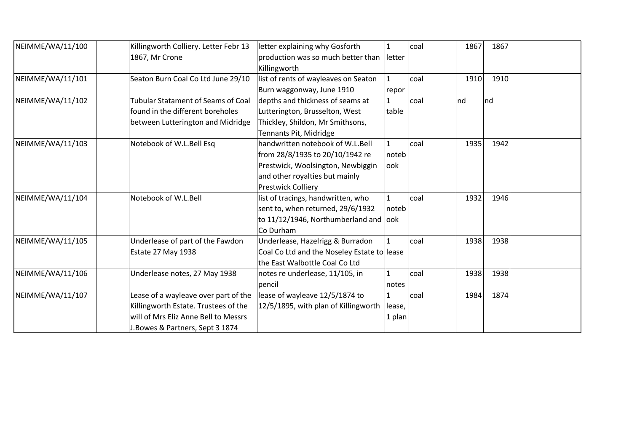| NEIMME/WA/11/100 | Killingworth Colliery. Letter Febr 13 | letter explaining why Gosforth              |                | coal | 1867 | 1867 |  |
|------------------|---------------------------------------|---------------------------------------------|----------------|------|------|------|--|
|                  | 1867, Mr Crone                        | production was so much better than          | <b>lletter</b> |      |      |      |  |
|                  |                                       | Killingworth                                |                |      |      |      |  |
| NEIMME/WA/11/101 | Seaton Burn Coal Co Ltd June 29/10    | list of rents of wayleaves on Seaton        | $\mathbf{1}$   | coal | 1910 | 1910 |  |
|                  |                                       | Burn waggonway, June 1910                   | repor          |      |      |      |  |
| NEIMME/WA/11/102 | Tubular Statament of Seams of Coal    | depths and thickness of seams at            | 1              | coal | nd   | Ind  |  |
|                  | found in the different boreholes      | Lutterington, Brusselton, West              | table          |      |      |      |  |
|                  | between Lutterington and Midridge     | Thickley, Shildon, Mr Smithsons,            |                |      |      |      |  |
|                  |                                       | Tennants Pit, Midridge                      |                |      |      |      |  |
| NEIMME/WA/11/103 | Notebook of W.L.Bell Esq              | handwritten notebook of W.L.Bell            | $\mathbf{1}$   | coal | 1935 | 1942 |  |
|                  |                                       | from 28/8/1935 to 20/10/1942 re             | noteb          |      |      |      |  |
|                  |                                       | Prestwick, Woolsington, Newbiggin           | look           |      |      |      |  |
|                  |                                       | and other royalties but mainly              |                |      |      |      |  |
|                  |                                       | <b>Prestwick Colliery</b>                   |                |      |      |      |  |
| NEIMME/WA/11/104 | Notebook of W.L.Bell                  | list of tracings, handwritten, who          |                | coal | 1932 | 1946 |  |
|                  |                                       | sent to, when returned, 29/6/1932           | noteb          |      |      |      |  |
|                  |                                       | to 11/12/1946, Northumberland and look      |                |      |      |      |  |
|                  |                                       | Co Durham                                   |                |      |      |      |  |
| NEIMME/WA/11/105 | Underlease of part of the Fawdon      | Underlease, Hazelrigg & Burradon            |                | coal | 1938 | 1938 |  |
|                  | Estate 27 May 1938                    | Coal Co Ltd and the Noseley Estate to lease |                |      |      |      |  |
|                  |                                       | the East Walbottle Coal Co Ltd              |                |      |      |      |  |
| NEIMME/WA/11/106 | Underlease notes, 27 May 1938         | notes re underlease, 11/105, in             |                | coal | 1938 | 1938 |  |
|                  |                                       | pencil                                      | notes          |      |      |      |  |
| NEIMME/WA/11/107 | Lease of a wayleave over part of the  | lease of wayleave 12/5/1874 to              | $\mathbf{1}$   | coal | 1984 | 1874 |  |
|                  | Killingworth Estate. Trustees of the  | 12/5/1895, with plan of Killingworth        | lease,         |      |      |      |  |
|                  | will of Mrs Eliz Anne Bell to Messrs  |                                             | 1 plan         |      |      |      |  |
|                  | J. Bowes & Partners, Sept 3 1874      |                                             |                |      |      |      |  |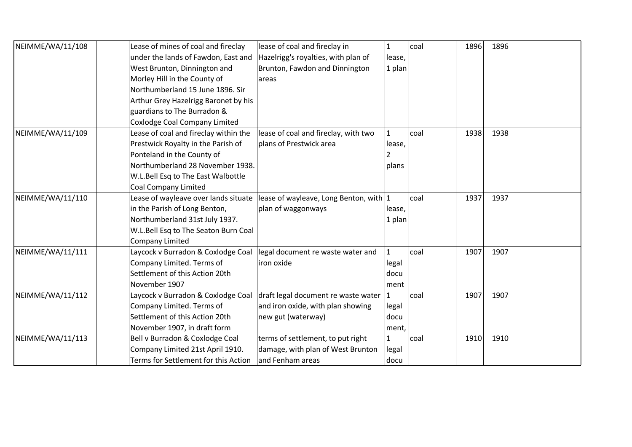| NEIMME/WA/11/108 | Lease of mines of coal and fireclay   | lease of coal and fireclay in          | $\mathbf{1}$ | coal | 1896 | 1896 |
|------------------|---------------------------------------|----------------------------------------|--------------|------|------|------|
|                  | under the lands of Fawdon, East and   | Hazelrigg's royalties, with plan of    | lease,       |      |      |      |
|                  | West Brunton, Dinnington and          | Brunton, Fawdon and Dinnington         | $ 1$ plan    |      |      |      |
|                  | Morley Hill in the County of          | areas                                  |              |      |      |      |
|                  | Northumberland 15 June 1896. Sir      |                                        |              |      |      |      |
|                  | Arthur Grey Hazelrigg Baronet by his  |                                        |              |      |      |      |
|                  | guardians to The Burradon &           |                                        |              |      |      |      |
|                  | Coxlodge Coal Company Limited         |                                        |              |      |      |      |
| NEIMME/WA/11/109 | Lease of coal and fireclay within the | lease of coal and fireclay, with two   | $\mathbf{1}$ | coal | 1938 | 1938 |
|                  | Prestwick Royalty in the Parish of    | plans of Prestwick area                | lease,       |      |      |      |
|                  | Ponteland in the County of            |                                        |              |      |      |      |
|                  | Northumberland 28 November 1938.      |                                        | plans        |      |      |      |
|                  | W.L.Bell Esq to The East Walbottle    |                                        |              |      |      |      |
|                  | <b>Coal Company Limited</b>           |                                        |              |      |      |      |
| NEIMME/WA/11/110 | Lease of wayleave over lands situate  | lease of wayleave, Long Benton, with 1 |              | coal | 1937 | 1937 |
|                  | in the Parish of Long Benton,         | plan of waggonways                     | lease,       |      |      |      |
|                  | Northumberland 31st July 1937.        |                                        | 1 plan       |      |      |      |
|                  | W.L.Bell Esq to The Seaton Burn Coal  |                                        |              |      |      |      |
|                  | <b>Company Limited</b>                |                                        |              |      |      |      |
| NEIMME/WA/11/111 | Laycock v Burradon & Coxlodge Coal    | legal document re waste water and      | $\mathbf{1}$ | coal | 1907 | 1907 |
|                  | Company Limited. Terms of             | iron oxide                             | legal        |      |      |      |
|                  | Settlement of this Action 20th        |                                        | docu         |      |      |      |
|                  | November 1907                         |                                        | ment         |      |      |      |
| NEIMME/WA/11/112 | Laycock v Burradon & Coxlodge Coal    | draft legal document re waste water 1  |              | coal | 1907 | 1907 |
|                  | Company Limited. Terms of             | and iron oxide, with plan showing      | legal        |      |      |      |
|                  | Settlement of this Action 20th        | new gut (waterway)                     | docu         |      |      |      |
|                  | November 1907, in draft form          |                                        | ment,        |      |      |      |
| NEIMME/WA/11/113 | Bell v Burradon & Coxlodge Coal       | terms of settlement, to put right      | $\mathbf{1}$ | coal | 1910 | 1910 |
|                  | Company Limited 21st April 1910.      | damage, with plan of West Brunton      | legal        |      |      |      |
|                  | Terms for Settlement for this Action  | and Fenham areas                       | docu         |      |      |      |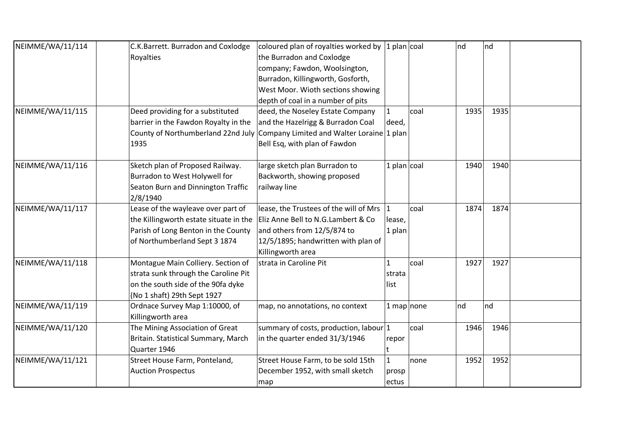| NEIMME/WA/11/114 | C.K.Barrett. Burradon and Coxlodge     | coloured plan of royalties worked by      | $1$ plan coal       |      | nd   | nd   |
|------------------|----------------------------------------|-------------------------------------------|---------------------|------|------|------|
|                  | Royalties                              | the Burradon and Coxlodge                 |                     |      |      |      |
|                  |                                        | company; Fawdon, Woolsington,             |                     |      |      |      |
|                  |                                        | Burradon, Killingworth, Gosforth,         |                     |      |      |      |
|                  |                                        | West Moor. Wioth sections showing         |                     |      |      |      |
|                  |                                        | depth of coal in a number of pits         |                     |      |      |      |
| NEIMME/WA/11/115 | Deed providing for a substituted       | deed, the Noseley Estate Company          | $\mathbf{1}$        | coal | 1935 | 1935 |
|                  | barrier in the Fawdon Royalty in the   | and the Hazelrigg & Burradon Coal         | deed,               |      |      |      |
|                  | County of Northumberland 22nd July     | Company Limited and Walter Loraine 1 plan |                     |      |      |      |
|                  | 1935                                   | Bell Esq, with plan of Fawdon             |                     |      |      |      |
| NEIMME/WA/11/116 | Sketch plan of Proposed Railway.       | large sketch plan Burradon to             | 1 plan $\vert$ coal |      | 1940 | 1940 |
|                  | Burradon to West Holywell for          | Backworth, showing proposed               |                     |      |      |      |
|                  | Seaton Burn and Dinnington Traffic     | railway line                              |                     |      |      |      |
|                  | 2/8/1940                               |                                           |                     |      |      |      |
| NEIMME/WA/11/117 | Lease of the wayleave over part of     | lease, the Trustees of the will of Mrs    |                     | coal | 1874 | 1874 |
|                  | the Killingworth estate situate in the | Eliz Anne Bell to N.G. Lambert & Co       | lease,              |      |      |      |
|                  | Parish of Long Benton in the County    | and others from 12/5/874 to               | 1 plan              |      |      |      |
|                  | of Northumberland Sept 3 1874          | 12/5/1895; handwritten with plan of       |                     |      |      |      |
|                  |                                        | Killingworth area                         |                     |      |      |      |
| NEIMME/WA/11/118 | Montague Main Colliery. Section of     | strata in Caroline Pit                    | 1                   | coal | 1927 | 1927 |
|                  | strata sunk through the Caroline Pit   |                                           | strata              |      |      |      |
|                  | on the south side of the 90fa dyke     |                                           | llist               |      |      |      |
|                  | (No 1 shaft) 29th Sept 1927            |                                           |                     |      |      |      |
| NEIMME/WA/11/119 | Ordnace Survey Map 1:10000, of         | map, no annotations, no context           | 1 map none          |      | nd   | nd   |
|                  | Killingworth area                      |                                           |                     |      |      |      |
| NEIMME/WA/11/120 | The Mining Association of Great        | summary of costs, production, labour 1    |                     | coal | 1946 | 1946 |
|                  | Britain. Statistical Summary, March    | in the quarter ended 31/3/1946            | repor               |      |      |      |
|                  | Quarter 1946                           |                                           |                     |      |      |      |
| NEIMME/WA/11/121 | Street House Farm, Ponteland,          | Street House Farm, to be sold 15th        | $\mathbf{1}$        | none | 1952 | 1952 |
|                  | <b>Auction Prospectus</b>              | December 1952, with small sketch          | prosp               |      |      |      |
|                  |                                        | map                                       | ectus               |      |      |      |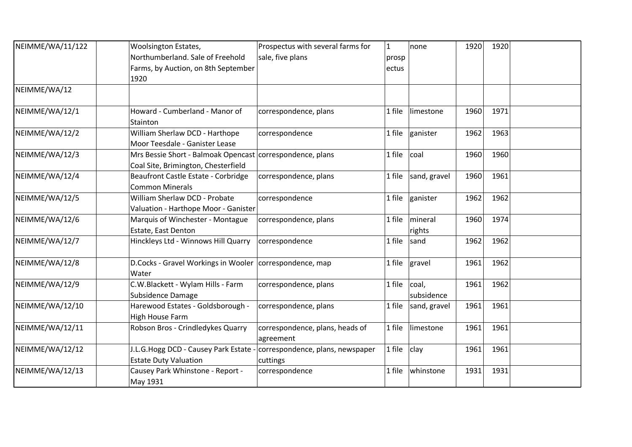| NEIMME/WA/11/122 | Woolsington Estates,                                                   | Prospectus with several farms for | $\mathbf{1}$ | none            | 1920 | 1920 |  |
|------------------|------------------------------------------------------------------------|-----------------------------------|--------------|-----------------|------|------|--|
|                  | Northumberland. Sale of Freehold                                       | sale, five plans                  | prosp        |                 |      |      |  |
|                  | Farms, by Auction, on 8th September                                    |                                   | ectus        |                 |      |      |  |
|                  | 1920                                                                   |                                   |              |                 |      |      |  |
| NEIMME/WA/12     |                                                                        |                                   |              |                 |      |      |  |
| NEIMME/WA/12/1   | Howard - Cumberland - Manor of<br>Stainton                             | correspondence, plans             | 1 file       | limestone       | 1960 | 1971 |  |
| NEIMME/WA/12/2   | William Sherlaw DCD - Harthope                                         | correspondence                    | 1 file       | ganister        | 1962 | 1963 |  |
|                  | Moor Teesdale - Ganister Lease                                         |                                   |              |                 |      |      |  |
| NEIMME/WA/12/3   | Mrs Bessie Short - Balmoak Opencast correspondence, plans              |                                   | 1 file       | coal            | 1960 | 1960 |  |
|                  | Coal Site, Brimington, Chesterfield                                    |                                   |              |                 |      |      |  |
| NEIMME/WA/12/4   | Beaufront Castle Estate - Corbridge                                    | correspondence, plans             | 1 file       | sand, gravel    | 1960 | 1961 |  |
|                  | <b>Common Minerals</b>                                                 |                                   |              |                 |      |      |  |
| NEIMME/WA/12/5   | William Sherlaw DCD - Probate                                          | correspondence                    | 1 file       | ganister        | 1962 | 1962 |  |
|                  | Valuation - Harthope Moor - Ganister                                   |                                   |              |                 |      |      |  |
| NEIMME/WA/12/6   | Marquis of Winchester - Montague                                       | correspondence, plans             | 1 file       | mineral         | 1960 | 1974 |  |
|                  | Estate, East Denton                                                    |                                   |              | rights          |      |      |  |
| NEIMME/WA/12/7   | Hinckleys Ltd - Winnows Hill Quarry                                    | correspondence                    | 1 file       | sand            | 1962 | 1962 |  |
| NEIMME/WA/12/8   | D.Cocks - Gravel Workings in Wooler   correspondence, map<br>Water     |                                   | 1 file       | gravel          | 1961 | 1962 |  |
| NEIMME/WA/12/9   | C.W.Blackett - Wylam Hills - Farm                                      | correspondence, plans             | 1 file       | <sub>coal</sub> | 1961 | 1962 |  |
|                  | Subsidence Damage                                                      |                                   |              | subsidence      |      |      |  |
| NEIMME/WA/12/10  | Harewood Estates - Goldsborough -                                      | correspondence, plans             | 1 file       | sand, gravel    | 1961 | 1961 |  |
|                  | High House Farm                                                        |                                   |              |                 |      |      |  |
| NEIMME/WA/12/11  | Robson Bros - Crindledykes Quarry                                      | correspondence, plans, heads of   | 1 file       | limestone       | 1961 | 1961 |  |
|                  |                                                                        | agreement                         |              |                 |      |      |  |
| NEIMME/WA/12/12  | J.L.G.Hogg DCD - Causey Park Estate - correspondence, plans, newspaper |                                   | 1 file       | clay            | 1961 | 1961 |  |
|                  | <b>Estate Duty Valuation</b>                                           | cuttings                          |              |                 |      |      |  |
| NEIMME/WA/12/13  | Causey Park Whinstone - Report -                                       | correspondence                    | 1 file       | whinstone       | 1931 | 1931 |  |
|                  | May 1931                                                               |                                   |              |                 |      |      |  |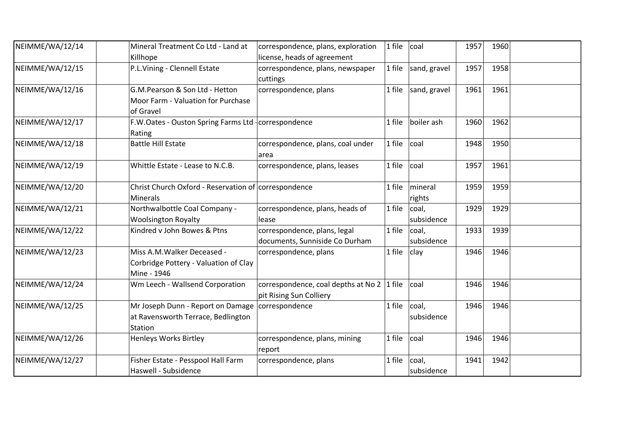| NEIMME/WA/12/14 | Mineral Treatment Co Ltd - Land at<br>Killhope                                      | correspondence, plans, exploration<br>license, heads of agreement     | $1$ file | coal                | 1957 | 1960 |  |
|-----------------|-------------------------------------------------------------------------------------|-----------------------------------------------------------------------|----------|---------------------|------|------|--|
| NEIMME/WA/12/15 | P.L.Vining - Clennell Estate                                                        | correspondence, plans, newspaper<br>cuttings                          | $1$ file | sand, gravel        | 1957 | 1958 |  |
| NEIMME/WA/12/16 | G.M.Pearson & Son Ltd - Hetton<br>Moor Farm - Valuation for Purchase<br>of Gravel   | correspondence, plans                                                 | 1 file   | sand, gravel        | 1961 | 1961 |  |
| NEIMME/WA/12/17 | F.W.Oates - Ouston Spring Farms Ltd - correspondence<br>Rating                      |                                                                       | 1 file   | boiler ash          | 1960 | 1962 |  |
| NEIMME/WA/12/18 | <b>Battle Hill Estate</b>                                                           | correspondence, plans, coal under<br>larea                            | 1 file   | coal                | 1948 | 1950 |  |
| NEIMME/WA/12/19 | Whittle Estate - Lease to N.C.B.                                                    | correspondence, plans, leases                                         | 1 file   | coal                | 1957 | 1961 |  |
| NEIMME/WA/12/20 | Christ Church Oxford - Reservation of correspondence<br><b>Minerals</b>             |                                                                       | 1 file   | mineral<br>rights   | 1959 | 1959 |  |
| NEIMME/WA/12/21 | Northwalbottle Coal Company -<br><b>Woolsington Royalty</b>                         | correspondence, plans, heads of<br>lease                              | 1 file   | coal,<br>subsidence | 1929 | 1929 |  |
| NEIMME/WA/12/22 | Kindred v John Bowes & Ptns                                                         | correspondence, plans, legal<br>documents, Sunniside Co Durham        | 1 file   | coal,<br>subsidence | 1933 | 1939 |  |
| NEIMME/WA/12/23 | Miss A.M. Walker Deceased -<br>Corbridge Pottery - Valuation of Clay<br>Mine - 1946 | correspondence, plans                                                 | 1 file   | clay                | 1946 | 1946 |  |
| NEIMME/WA/12/24 | Wm Leech - Wallsend Corporation                                                     | correspondence, coal depths at No 2 1 file<br>pit Rising Sun Colliery |          | coal                | 1946 | 1946 |  |
| NEIMME/WA/12/25 | Mr Joseph Dunn - Report on Damage<br>at Ravensworth Terrace, Bedlington<br>Station  | correspondence                                                        | 1 file   | coal,<br>subsidence | 1946 | 1946 |  |
| NEIMME/WA/12/26 | <b>Henleys Works Birtley</b>                                                        | correspondence, plans, mining<br>report                               | 1 file   | coal                | 1946 | 1946 |  |
| NEIMME/WA/12/27 | Fisher Estate - Pesspool Hall Farm<br>Haswell - Subsidence                          | correspondence, plans                                                 | 1 file   | coal,<br>subsidence | 1941 | 1942 |  |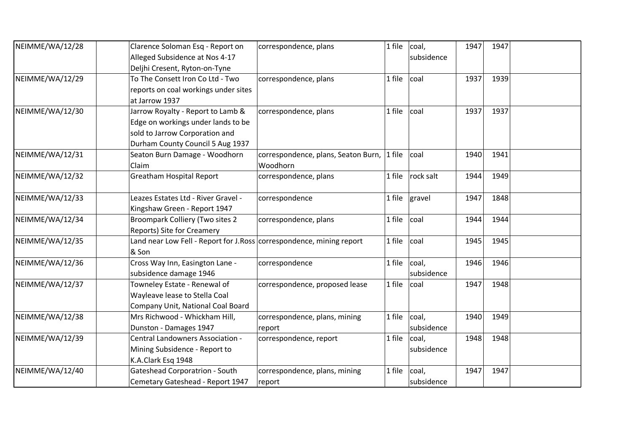| NEIMME/WA/12/28 | Clarence Soloman Esq - Report on                                      | correspondence, plans               | $1$ file  | coal,           | 1947 | 1947 |  |
|-----------------|-----------------------------------------------------------------------|-------------------------------------|-----------|-----------------|------|------|--|
|                 | Alleged Subsidence at Nos 4-17                                        |                                     |           | subsidence      |      |      |  |
|                 | Deljhi Cresent, Ryton-on-Tyne                                         |                                     |           |                 |      |      |  |
| NEIMME/WA/12/29 | To The Consett Iron Co Ltd - Two                                      | correspondence, plans               | $1$ file  | coal            | 1937 | 1939 |  |
|                 | reports on coal workings under sites                                  |                                     |           |                 |      |      |  |
|                 | at Jarrow 1937                                                        |                                     |           |                 |      |      |  |
| NEIMME/WA/12/30 | Jarrow Royalty - Report to Lamb &                                     | correspondence, plans               | $1$ file  | coal            | 1937 | 1937 |  |
|                 | Edge on workings under lands to be                                    |                                     |           |                 |      |      |  |
|                 | sold to Jarrow Corporation and                                        |                                     |           |                 |      |      |  |
|                 | Durham County Council 5 Aug 1937                                      |                                     |           |                 |      |      |  |
| NEIMME/WA/12/31 | Seaton Burn Damage - Woodhorn                                         | correspondence, plans, Seaton Burn, | $ 1$ file | <sub>coal</sub> | 1940 | 1941 |  |
|                 | Claim                                                                 | Woodhorn                            |           |                 |      |      |  |
| NEIMME/WA/12/32 | <b>Greatham Hospital Report</b>                                       | correspondence, plans               | 1 file    | rock salt       | 1944 | 1949 |  |
|                 |                                                                       |                                     |           |                 |      |      |  |
| NEIMME/WA/12/33 | Leazes Estates Ltd - River Gravel -                                   | correspondence                      | 1 file    | gravel          | 1947 | 1848 |  |
|                 | Kingshaw Green - Report 1947                                          |                                     |           |                 |      |      |  |
| NEIMME/WA/12/34 | <b>Broompark Colliery (Two sites 2</b>                                | correspondence, plans               | 1 file    | <sub>coal</sub> | 1944 | 1944 |  |
|                 | Reports) Site for Creamery                                            |                                     |           |                 |      |      |  |
| NEIMME/WA/12/35 | Land near Low Fell - Report for J. Ross correspondence, mining report |                                     | 1 file    | coal            | 1945 | 1945 |  |
|                 | & Son                                                                 |                                     |           |                 |      |      |  |
| NEIMME/WA/12/36 | Cross Way Inn, Easington Lane -                                       | correspondence                      | 1 file    | coal,           | 1946 | 1946 |  |
|                 | subsidence damage 1946                                                |                                     |           | subsidence      |      |      |  |
| NEIMME/WA/12/37 | Towneley Estate - Renewal of                                          | correspondence, proposed lease      | 1 file    | coal            | 1947 | 1948 |  |
|                 | Wayleave lease to Stella Coal                                         |                                     |           |                 |      |      |  |
|                 | Company Unit, National Coal Board                                     |                                     |           |                 |      |      |  |
| NEIMME/WA/12/38 | Mrs Richwood - Whickham Hill,                                         | correspondence, plans, mining       | $1$ file  | coal,           | 1940 | 1949 |  |
|                 | Dunston - Damages 1947                                                | report                              |           | subsidence      |      |      |  |
| NEIMME/WA/12/39 | Central Landowners Association -                                      | correspondence, report              | 1 file    | coal,           | 1948 | 1948 |  |
|                 | Mining Subsidence - Report to                                         |                                     |           | subsidence      |      |      |  |
|                 | K.A.Clark Esq 1948                                                    |                                     |           |                 |      |      |  |
| NEIMME/WA/12/40 | <b>Gateshead Corporatrion - South</b>                                 | correspondence, plans, mining       | 1 file    | coal,           | 1947 | 1947 |  |
|                 | Cemetary Gateshead - Report 1947                                      | report                              |           | subsidence      |      |      |  |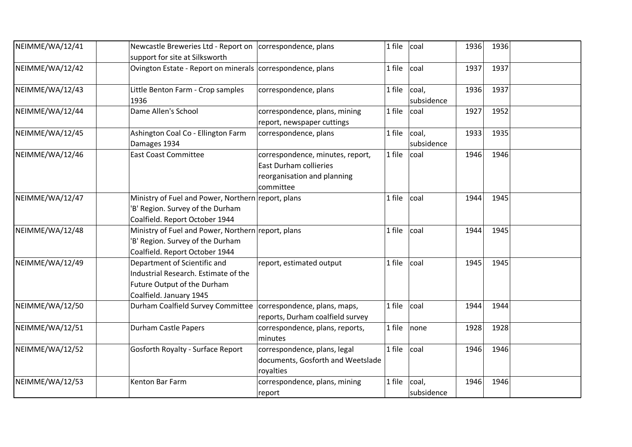| NEIMME/WA/12/41 | Newcastle Breweries Ltd - Report on correspondence, plans<br>support for site at Silksworth                                    |                                                                                                               | 1 file | coal                | 1936 | 1936 |  |
|-----------------|--------------------------------------------------------------------------------------------------------------------------------|---------------------------------------------------------------------------------------------------------------|--------|---------------------|------|------|--|
| NEIMME/WA/12/42 | Ovington Estate - Report on minerals correspondence, plans                                                                     |                                                                                                               | 1 file | coal                | 1937 | 1937 |  |
| NEIMME/WA/12/43 | Little Benton Farm - Crop samples<br>1936                                                                                      | correspondence, plans                                                                                         | 1 file | coal,<br>subsidence | 1936 | 1937 |  |
| NEIMME/WA/12/44 | Dame Allen's School                                                                                                            | correspondence, plans, mining<br>report, newspaper cuttings                                                   | 1 file | coal                | 1927 | 1952 |  |
| NEIMME/WA/12/45 | Ashington Coal Co - Ellington Farm<br>Damages 1934                                                                             | correspondence, plans                                                                                         | 1 file | coal,<br>subsidence | 1933 | 1935 |  |
| NEIMME/WA/12/46 | <b>East Coast Committee</b>                                                                                                    | correspondence, minutes, report,<br><b>East Durham collieries</b><br>reorganisation and planning<br>committee | 1 file | coal                | 1946 | 1946 |  |
| NEIMME/WA/12/47 | Ministry of Fuel and Power, Northern report, plans<br>'B' Region. Survey of the Durham<br>Coalfield. Report October 1944       |                                                                                                               | 1 file | coal                | 1944 | 1945 |  |
| NEIMME/WA/12/48 | Ministry of Fuel and Power, Northern report, plans<br>'B' Region. Survey of the Durham<br>Coalfield. Report October 1944       |                                                                                                               | 1 file | coal                | 1944 | 1945 |  |
| NEIMME/WA/12/49 | Department of Scientific and<br>Industrial Research. Estimate of the<br>Future Output of the Durham<br>Coalfield. January 1945 | report, estimated output                                                                                      | 1 file | coal                | 1945 | 1945 |  |
| NEIMME/WA/12/50 | Durham Coalfield Survey Committee   correspondence, plans, maps,                                                               | reports, Durham coalfield survey                                                                              | 1 file | coal                | 1944 | 1944 |  |
| NEIMME/WA/12/51 | <b>Durham Castle Papers</b>                                                                                                    | correspondence, plans, reports,<br>minutes                                                                    | 1 file | none                | 1928 | 1928 |  |
| NEIMME/WA/12/52 | Gosforth Royalty - Surface Report                                                                                              | correspondence, plans, legal<br>documents, Gosforth and Weetslade<br>royalties                                | 1 file | coal                | 1946 | 1946 |  |
| NEIMME/WA/12/53 | Kenton Bar Farm                                                                                                                | correspondence, plans, mining<br>report                                                                       | 1 file | coal,<br>subsidence | 1946 | 1946 |  |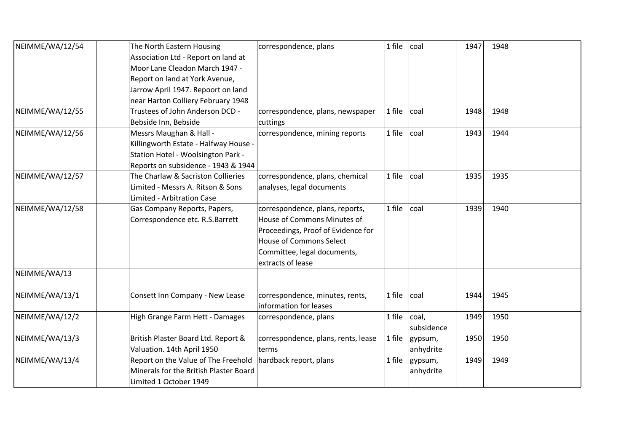| NEIMME/WA/12/54 | The North Eastern Housing              | correspondence, plans               | 1 file | coal       | 1947 | 1948 |  |
|-----------------|----------------------------------------|-------------------------------------|--------|------------|------|------|--|
|                 | Association Ltd - Report on land at    |                                     |        |            |      |      |  |
|                 | Moor Lane Cleadon March 1947 -         |                                     |        |            |      |      |  |
|                 | Report on land at York Avenue,         |                                     |        |            |      |      |  |
|                 | Jarrow April 1947. Repoort on land     |                                     |        |            |      |      |  |
|                 |                                        |                                     |        |            |      |      |  |
|                 | near Harton Colliery February 1948     |                                     |        |            |      |      |  |
| NEIMME/WA/12/55 | Trustees of John Anderson DCD -        | correspondence, plans, newspaper    | 1 file | coal       | 1948 | 1948 |  |
|                 | Bebside Inn, Bebside                   | cuttings                            |        |            |      |      |  |
| NEIMME/WA/12/56 | Messrs Maughan & Hall -                | correspondence, mining reports      | 1 file | coal       | 1943 | 1944 |  |
|                 | Killingworth Estate - Halfway House -  |                                     |        |            |      |      |  |
|                 | Station Hotel - Woolsington Park -     |                                     |        |            |      |      |  |
|                 | Reports on subsidence - 1943 & 1944    |                                     |        |            |      |      |  |
| NEIMME/WA/12/57 | The Charlaw & Sacriston Collieries     | correspondence, plans, chemical     | 1 file | coal       | 1935 | 1935 |  |
|                 | Limited - Messrs A. Ritson & Sons      | analyses, legal documents           |        |            |      |      |  |
|                 | Limited - Arbitration Case             |                                     |        |            |      |      |  |
| NEIMME/WA/12/58 | Gas Company Reports, Papers,           | correspondence, plans, reports,     | 1 file | coal       | 1939 | 1940 |  |
|                 | Correspondence etc. R.S.Barrett        | House of Commons Minutes of         |        |            |      |      |  |
|                 |                                        | Proceedings, Proof of Evidence for  |        |            |      |      |  |
|                 |                                        | <b>House of Commons Select</b>      |        |            |      |      |  |
|                 |                                        | Committee, legal documents,         |        |            |      |      |  |
|                 |                                        | extracts of lease                   |        |            |      |      |  |
| NEIMME/WA/13    |                                        |                                     |        |            |      |      |  |
|                 |                                        |                                     |        |            |      |      |  |
| NEIMME/WA/13/1  | Consett Inn Company - New Lease        | correspondence, minutes, rents,     | 1 file | coal       | 1944 | 1945 |  |
|                 |                                        | information for leases              |        |            |      |      |  |
| NEIMME/WA/12/2  | High Grange Farm Hett - Damages        | correspondence, plans               | 1 file | coal,      | 1949 | 1950 |  |
|                 |                                        |                                     |        | subsidence |      |      |  |
| NEIMME/WA/13/3  | British Plaster Board Ltd. Report &    | correspondence, plans, rents, lease | 1 file |            | 1950 | 1950 |  |
|                 |                                        |                                     |        | gypsum,    |      |      |  |
|                 | Valuation. 14th April 1950             | terms                               |        | anhydrite  |      |      |  |
| NEIMME/WA/13/4  | Report on the Value of The Freehold    | hardback report, plans              | 1 file | gypsum,    | 1949 | 1949 |  |
|                 | Minerals for the British Plaster Board |                                     |        | anhydrite  |      |      |  |
|                 | Limited 1 October 1949                 |                                     |        |            |      |      |  |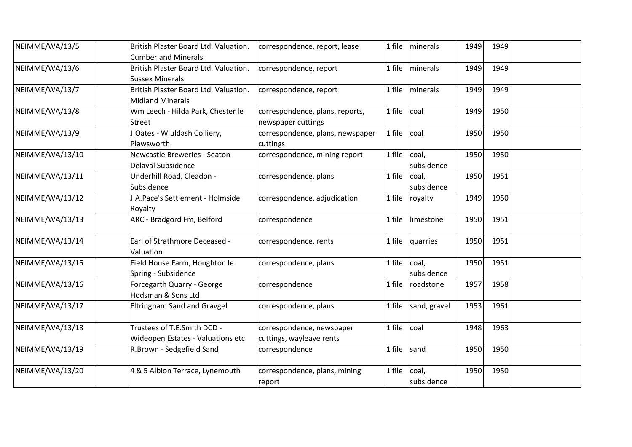| NEIMME/WA/13/5  | British Plaster Board Ltd. Valuation.<br><b>Cumberland Minerals</b> | correspondence, report, lease                         | 1 file | minerals            | 1949 | 1949 |  |
|-----------------|---------------------------------------------------------------------|-------------------------------------------------------|--------|---------------------|------|------|--|
| NEIMME/WA/13/6  | British Plaster Board Ltd. Valuation.<br><b>Sussex Minerals</b>     | correspondence, report                                | 1 file | minerals            | 1949 | 1949 |  |
| NEIMME/WA/13/7  | British Plaster Board Ltd. Valuation.<br><b>Midland Minerals</b>    | correspondence, report                                | 1 file | minerals            | 1949 | 1949 |  |
| NEIMME/WA/13/8  | Wm Leech - Hilda Park, Chester le<br><b>Street</b>                  | correspondence, plans, reports,<br>newspaper cuttings | 1 file | coal                | 1949 | 1950 |  |
| NEIMME/WA/13/9  | J.Oates - Wiuldash Colliery,<br>Plawsworth                          | correspondence, plans, newspaper<br>cuttings          | 1 file | coal                | 1950 | 1950 |  |
| NEIMME/WA/13/10 | Newcastle Breweries - Seaton<br><b>Delaval Subsidence</b>           | correspondence, mining report                         | 1 file | coal,<br>subsidence | 1950 | 1950 |  |
| NEIMME/WA/13/11 | Underhill Road, Cleadon -<br>Subsidence                             | correspondence, plans                                 | 1 file | coal,<br>subsidence | 1950 | 1951 |  |
| NEIMME/WA/13/12 | J.A.Pace's Settlement - Holmside<br>Royalty                         | correspondence, adjudication                          | 1 file | royalty             | 1949 | 1950 |  |
| NEIMME/WA/13/13 | ARC - Bradgord Fm, Belford                                          | correspondence                                        | 1 file | limestone           | 1950 | 1951 |  |
| NEIMME/WA/13/14 | Earl of Strathmore Deceased -<br>Valuation                          | correspondence, rents                                 | 1 file | quarries            | 1950 | 1951 |  |
| NEIMME/WA/13/15 | Field House Farm, Houghton le<br>Spring - Subsidence                | correspondence, plans                                 | 1 file | coal,<br>subsidence | 1950 | 1951 |  |
| NEIMME/WA/13/16 | Forcegarth Quarry - George<br>Hodsman & Sons Ltd                    | correspondence                                        | 1 file | roadstone           | 1957 | 1958 |  |
| NEIMME/WA/13/17 | <b>Eltringham Sand and Gravgel</b>                                  | correspondence, plans                                 | 1 file | sand, gravel        | 1953 | 1961 |  |
| NEIMME/WA/13/18 | Trustees of T.E.Smith DCD -<br>Wideopen Estates - Valuations etc    | correspondence, newspaper<br>cuttings, wayleave rents | 1 file | coal                | 1948 | 1963 |  |
| NEIMME/WA/13/19 | R.Brown - Sedgefield Sand                                           | correspondence                                        | 1 file | sand                | 1950 | 1950 |  |
| NEIMME/WA/13/20 | 4 & 5 Albion Terrace, Lynemouth                                     | correspondence, plans, mining<br>report               | 1 file | coal,<br>subsidence | 1950 | 1950 |  |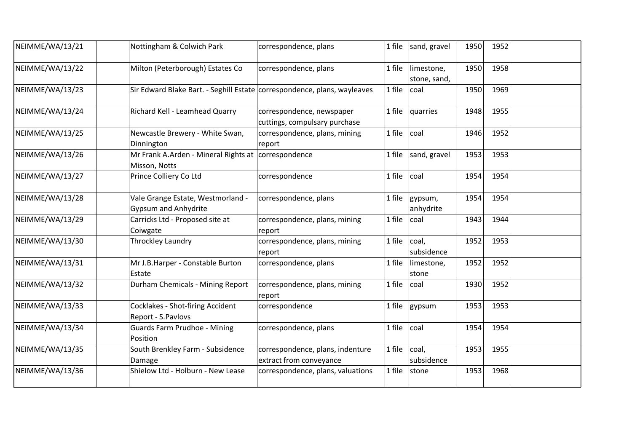| NEIMME/WA/13/21 | Nottingham & Colwich Park                                                | correspondence, plans                                       |        | 1 file $ $ sand, gravel    | 1950 | 1952 |  |
|-----------------|--------------------------------------------------------------------------|-------------------------------------------------------------|--------|----------------------------|------|------|--|
| NEIMME/WA/13/22 | Milton (Peterborough) Estates Co                                         | correspondence, plans                                       | 1 file | limestone,<br>stone, sand, | 1950 | 1958 |  |
| NEIMME/WA/13/23 | Sir Edward Blake Bart. - Seghill Estate correspondence, plans, wayleaves |                                                             | 1 file | coal                       | 1950 | 1969 |  |
| NEIMME/WA/13/24 | Richard Kell - Leamhead Quarry                                           | correspondence, newspaper<br>cuttings, compulsary purchase  | 1 file | quarries                   | 1948 | 1955 |  |
| NEIMME/WA/13/25 | Newcastle Brewery - White Swan,<br>Dinnington                            | correspondence, plans, mining<br>report                     | 1 file | coal                       | 1946 | 1952 |  |
| NEIMME/WA/13/26 | Mr Frank A.Arden - Mineral Rights at correspondence<br>Misson, Notts     |                                                             | 1 file | sand, gravel               | 1953 | 1953 |  |
| NEIMME/WA/13/27 | Prince Colliery Co Ltd                                                   | correspondence                                              | 1 file | coal                       | 1954 | 1954 |  |
| NEIMME/WA/13/28 | Vale Grange Estate, Westmorland -<br><b>Gypsum and Anhydrite</b>         | correspondence, plans                                       | 1 file | gypsum,<br>anhydrite       | 1954 | 1954 |  |
| NEIMME/WA/13/29 | Carricks Ltd - Proposed site at<br>Coiwgate                              | correspondence, plans, mining<br>report                     | 1 file | coal                       | 1943 | 1944 |  |
| NEIMME/WA/13/30 | Throckley Laundry                                                        | correspondence, plans, mining<br>report                     | 1 file | coal,<br>subsidence        | 1952 | 1953 |  |
| NEIMME/WA/13/31 | Mr J.B.Harper - Constable Burton<br>Estate                               | correspondence, plans                                       | 1 file | limestone,<br>stone        | 1952 | 1952 |  |
| NEIMME/WA/13/32 | Durham Chemicals - Mining Report                                         | correspondence, plans, mining<br>report                     | 1 file | coal                       | 1930 | 1952 |  |
| NEIMME/WA/13/33 | Cocklakes - Shot-firing Accident<br>Report - S.Pavlovs                   | correspondence                                              | 1 file | gypsum                     | 1953 | 1953 |  |
| NEIMME/WA/13/34 | <b>Guards Farm Prudhoe - Mining</b><br>Position                          | correspondence, plans                                       | 1 file | coal                       | 1954 | 1954 |  |
| NEIMME/WA/13/35 | South Brenkley Farm - Subsidence<br>Damage                               | correspondence, plans, indenture<br>extract from conveyance | 1 file | coal,<br>subsidence        | 1953 | 1955 |  |
| NEIMME/WA/13/36 | Shielow Ltd - Holburn - New Lease                                        | correspondence, plans, valuations                           | 1 file | stone                      | 1953 | 1968 |  |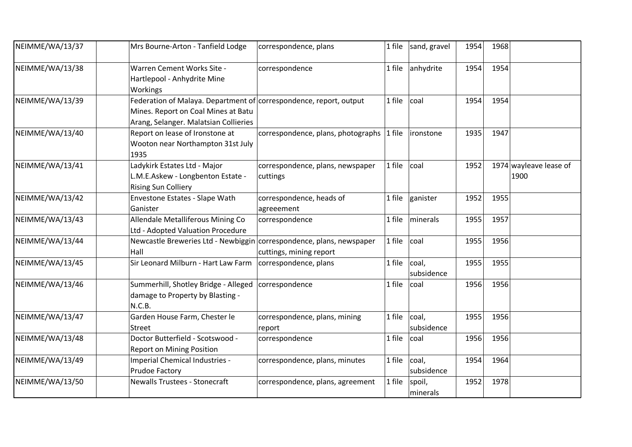| NEIMME/WA/13/37 | Mrs Bourne-Arton - Tanfield Lodge                                                                                                                  | correspondence, plans                        | 1 file | sand, gravel         | 1954 | 1968 |                                |
|-----------------|----------------------------------------------------------------------------------------------------------------------------------------------------|----------------------------------------------|--------|----------------------|------|------|--------------------------------|
| NEIMME/WA/13/38 | Warren Cement Works Site -<br>Hartlepool - Anhydrite Mine<br>Workings                                                                              | correspondence                               |        | 1 file $ $ anhydrite | 1954 | 1954 |                                |
| NEIMME/WA/13/39 | Federation of Malaya. Department of correspondence, report, output<br>Mines. Report on Coal Mines at Batu<br>Arang, Selanger. Malatsian Collieries |                                              | 1 file | coal                 | 1954 | 1954 |                                |
| NEIMME/WA/13/40 | Report on lease of Ironstone at<br>Wooton near Northampton 31st July<br>1935                                                                       | correspondence, plans, photographs 1 file    |        | ironstone            | 1935 | 1947 |                                |
| NEIMME/WA/13/41 | Ladykirk Estates Ltd - Major<br>L.M.E.Askew - Longbenton Estate -<br><b>Rising Sun Colliery</b>                                                    | correspondence, plans, newspaper<br>cuttings | 1 file | coal                 | 1952 |      | 1974 wayleave lease of<br>1900 |
| NEIMME/WA/13/42 | Envestone Estates - Slape Wath<br>Ganister                                                                                                         | correspondence, heads of<br>agreeement       | 1 file | ganister             | 1952 | 1955 |                                |
| NEIMME/WA/13/43 | Allendale Metalliferous Mining Co<br>Ltd - Adopted Valuation Procedure                                                                             | correspondence                               | 1 file | minerals             | 1955 | 1957 |                                |
| NEIMME/WA/13/44 | Newcastle Breweries Ltd - Newbiggin correspondence, plans, newspaper<br>Hall                                                                       | cuttings, mining report                      | 1 file | coal                 | 1955 | 1956 |                                |
| NEIMME/WA/13/45 | Sir Leonard Milburn - Hart Law Farm                                                                                                                | correspondence, plans                        | 1 file | coal,<br>subsidence  | 1955 | 1955 |                                |
| NEIMME/WA/13/46 | Summerhill, Shotley Bridge - Alleged<br>damage to Property by Blasting -<br>N.C.B.                                                                 | correspondence                               | 1 file | coal                 | 1956 | 1956 |                                |
| NEIMME/WA/13/47 | Garden House Farm, Chester le<br><b>Street</b>                                                                                                     | correspondence, plans, mining<br>report      | 1 file | coal,<br>subsidence  | 1955 | 1956 |                                |
| NEIMME/WA/13/48 | Doctor Butterfield - Scotswood -<br><b>Report on Mining Position</b>                                                                               | correspondence                               | 1 file | coal                 | 1956 | 1956 |                                |
| NEIMME/WA/13/49 | Imperial Chemical Industries -<br>Prudoe Factory                                                                                                   | correspondence, plans, minutes               | 1 file | coal,<br>subsidence  | 1954 | 1964 |                                |
| NEIMME/WA/13/50 | <b>Newalls Trustees - Stonecraft</b>                                                                                                               | correspondence, plans, agreement             | 1 file | spoil,<br>minerals   | 1952 | 1978 |                                |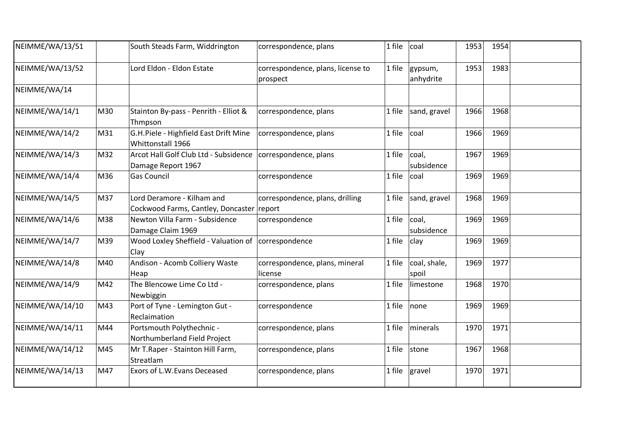| NEIMME/WA/13/51 |     | South Steads Farm, Widdrington                                                      | correspondence, plans                         | 1 file | coal                   | 1953 | 1954 |  |
|-----------------|-----|-------------------------------------------------------------------------------------|-----------------------------------------------|--------|------------------------|------|------|--|
| NEIMME/WA/13/52 |     | Lord Eldon - Eldon Estate                                                           | correspondence, plans, license to<br>prospect | 1 file | gypsum,<br>anhydrite   | 1953 | 1983 |  |
| NEIMME/WA/14    |     |                                                                                     |                                               |        |                        |      |      |  |
| NEIMME/WA/14/1  | M30 | Stainton By-pass - Penrith - Elliot &<br>Thmpson                                    | correspondence, plans                         | 1 file | sand, gravel           | 1966 | 1968 |  |
| NEIMME/WA/14/2  | M31 | G.H.Piele - Highfield East Drift Mine<br>Whittonstall 1966                          | correspondence, plans                         | 1 file | coal                   | 1966 | 1969 |  |
| NEIMME/WA/14/3  | M32 | Arcot Hall Golf Club Ltd - Subsidence   correspondence, plans<br>Damage Report 1967 |                                               | 1 file | coal,<br>subsidence    | 1967 | 1969 |  |
| NEIMME/WA/14/4  | M36 | <b>Gas Council</b>                                                                  | correspondence                                | 1 file | coal                   | 1969 | 1969 |  |
| NEIMME/WA/14/5  | M37 | Lord Deramore - Kilham and<br>Cockwood Farms, Cantley, Doncaster report             | correspondence, plans, drilling               | 1 file | sand, gravel           | 1968 | 1969 |  |
| NEIMME/WA/14/6  | M38 | Newton Villa Farm - Subsidence<br>Damage Claim 1969                                 | correspondence                                | 1 file | coal,<br>subsidence    | 1969 | 1969 |  |
| NEIMME/WA/14/7  | M39 | Wood Loxley Sheffield - Valuation of correspondence<br>Clay                         |                                               | 1 file | clay                   | 1969 | 1969 |  |
| NEIMME/WA/14/8  | M40 | Andison - Acomb Colliery Waste<br>Heap                                              | correspondence, plans, mineral<br>license     | 1 file | coal, shale,<br>Ispoil | 1969 | 1977 |  |
| NEIMME/WA/14/9  | M42 | The Blencowe Lime Co Ltd -<br>Newbiggin                                             | correspondence, plans                         | 1 file | limestone              | 1968 | 1970 |  |
| NEIMME/WA/14/10 | M43 | Port of Tyne - Lemington Gut -<br>Reclaimation                                      | correspondence                                | 1 file | none                   | 1969 | 1969 |  |
| NEIMME/WA/14/11 | M44 | Portsmouth Polythechnic -<br>Northumberland Field Project                           | correspondence, plans                         | 1 file | minerals               | 1970 | 1971 |  |
| NEIMME/WA/14/12 | M45 | Mr T. Raper - Stainton Hill Farm,<br>Streatlam                                      | correspondence, plans                         | 1 file | stone                  | 1967 | 1968 |  |
| NEIMME/WA/14/13 | M47 | Exors of L.W. Evans Deceased                                                        | correspondence, plans                         | 1 file | gravel                 | 1970 | 1971 |  |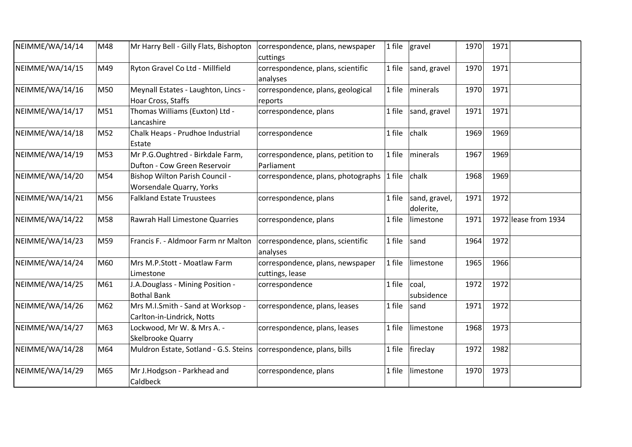| NEIMME/WA/14/14 | M48 | Mr Harry Bell - Gilly Flats, Bishopton                               | correspondence, plans, newspaper<br>cuttings        |        | 1 file $ $ gravel          | 1970 | 1971 |                      |
|-----------------|-----|----------------------------------------------------------------------|-----------------------------------------------------|--------|----------------------------|------|------|----------------------|
| NEIMME/WA/14/15 | M49 | Ryton Gravel Co Ltd - Millfield                                      | correspondence, plans, scientific<br>analyses       | 1 file | sand, gravel               | 1970 | 1971 |                      |
| NEIMME/WA/14/16 | M50 | Meynall Estates - Laughton, Lincs -<br>Hoar Cross, Staffs            | correspondence, plans, geological<br>reports        | 1 file | minerals                   | 1970 | 1971 |                      |
| NEIMME/WA/14/17 | M51 | Thomas Williams (Euxton) Ltd -<br>Lancashire                         | correspondence, plans                               | 1 file | sand, gravel               | 1971 | 1971 |                      |
| NEIMME/WA/14/18 | M52 | Chalk Heaps - Prudhoe Industrial<br>Estate                           | correspondence                                      | 1 file | chalk                      | 1969 | 1969 |                      |
| NEIMME/WA/14/19 | M53 | Mr P.G.Oughtred - Birkdale Farm,<br>Dufton - Cow Green Reservoir     | correspondence, plans, petition to<br>Parliament    | 1 file | minerals                   | 1967 | 1969 |                      |
| NEIMME/WA/14/20 | M54 | Bishop Wilton Parish Council -<br>Worsendale Quarry, Yorks           | correspondence, plans, photographs                  | 1 file | chalk                      | 1968 | 1969 |                      |
| NEIMME/WA/14/21 | M56 | <b>Falkland Estate Truustees</b>                                     | correspondence, plans                               | 1 file | sand, gravel,<br>dolerite, | 1971 | 1972 |                      |
| NEIMME/WA/14/22 | M58 | Rawrah Hall Limestone Quarries                                       | correspondence, plans                               | 1 file | limestone                  | 1971 |      | 1972 lease from 1934 |
| NEIMME/WA/14/23 | M59 | Francis F. - Aldmoor Farm nr Malton                                  | correspondence, plans, scientific<br>analyses       | 1 file | sand                       | 1964 | 1972 |                      |
| NEIMME/WA/14/24 | M60 | Mrs M.P.Stott - Moatlaw Farm<br>Limestone                            | correspondence, plans, newspaper<br>cuttings, lease | 1 file | limestone                  | 1965 | 1966 |                      |
| NEIMME/WA/14/25 | M61 | J.A.Douglass - Mining Position -<br><b>Bothal Bank</b>               | correspondence                                      | 1 file | coal,<br>subsidence        | 1972 | 1972 |                      |
| NEIMME/WA/14/26 | M62 | Mrs M.I.Smith - Sand at Worksop -<br>Carlton-in-Lindrick, Notts      | correspondence, plans, leases                       | 1 file | sand                       | 1971 | 1972 |                      |
| NEIMME/WA/14/27 | M63 | Lockwood, Mr W. & Mrs A. -<br>Skelbrooke Quarry                      | correspondence, plans, leases                       | 1 file | limestone                  | 1968 | 1973 |                      |
| NEIMME/WA/14/28 | M64 | Muldron Estate, Sotland - G.S. Steins   correspondence, plans, bills |                                                     | 1 file | fireclay                   | 1972 | 1982 |                      |
| NEIMME/WA/14/29 | M65 | Mr J.Hodgson - Parkhead and<br>Caldbeck                              | correspondence, plans                               | 1 file | limestone                  | 1970 | 1973 |                      |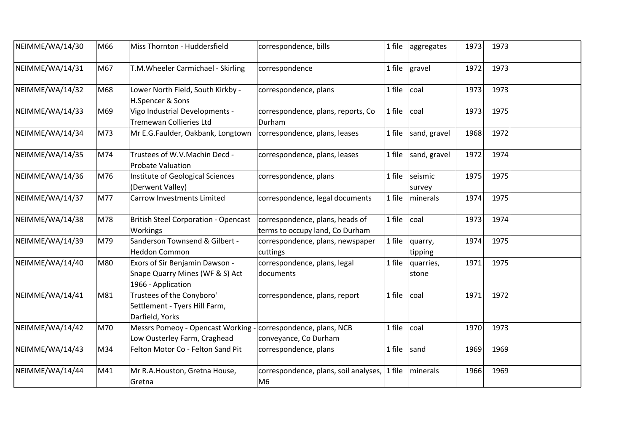| NEIMME/WA/14/30 | M66 | Miss Thornton - Huddersfield                                                                  | correspondence, bills                                              |        | 1 file aggregates  | 1973 | 1973 |  |
|-----------------|-----|-----------------------------------------------------------------------------------------------|--------------------------------------------------------------------|--------|--------------------|------|------|--|
| NEIMME/WA/14/31 | M67 | T.M. Wheeler Carmichael - Skirling                                                            | correspondence                                                     | 1 file | gravel             | 1972 | 1973 |  |
| NEIMME/WA/14/32 | M68 | Lower North Field, South Kirkby -<br>H.Spencer & Sons                                         | correspondence, plans                                              | 1 file | coal               | 1973 | 1973 |  |
| NEIMME/WA/14/33 | M69 | Vigo Industrial Developments -<br><b>Tremewan Collieries Ltd</b>                              | correspondence, plans, reports, Co<br>Durham                       | 1 file | coal               | 1973 | 1975 |  |
| NEIMME/WA/14/34 | M73 | Mr E.G.Faulder, Oakbank, Longtown                                                             | correspondence, plans, leases                                      | 1 file | sand, gravel       | 1968 | 1972 |  |
| NEIMME/WA/14/35 | M74 | Trustees of W.V.Machin Decd -<br><b>Probate Valuation</b>                                     | correspondence, plans, leases                                      | 1 file | sand, gravel       | 1972 | 1974 |  |
| NEIMME/WA/14/36 | M76 | Institute of Geological Sciences<br>(Derwent Valley)                                          | correspondence, plans                                              | 1 file | seismic<br>survey  | 1975 | 1975 |  |
| NEIMME/WA/14/37 | M77 | <b>Carrow Investments Limited</b>                                                             | correspondence, legal documents                                    | 1 file | minerals           | 1974 | 1975 |  |
| NEIMME/WA/14/38 | M78 | <b>British Steel Corporation - Opencast</b><br>Workings                                       | correspondence, plans, heads of<br>terms to occupy land, Co Durham | 1 file | coal               | 1973 | 1974 |  |
| NEIMME/WA/14/39 | M79 | Sanderson Townsend & Gilbert -<br><b>Heddon Common</b>                                        | correspondence, plans, newspaper<br>cuttings                       | 1 file | quarry,<br>tipping | 1974 | 1975 |  |
| NEIMME/WA/14/40 | M80 | Exors of Sir Benjamin Dawson -<br>Snape Quarry Mines (WF & S) Act<br>1966 - Application       | correspondence, plans, legal<br>documents                          | 1 file | quarries,<br>stone | 1971 | 1975 |  |
| NEIMME/WA/14/41 | M81 | Trustees of the Conyboro'<br>Settlement - Tyers Hill Farm,<br>Darfield, Yorks                 | correspondence, plans, report                                      | 1 file | coal               | 1971 | 1972 |  |
| NEIMME/WA/14/42 | M70 | Messrs Pomeoy - Opencast Working - correspondence, plans, NCB<br>Low Ousterley Farm, Craghead | conveyance, Co Durham                                              | 1 file | coal               | 1970 | 1973 |  |
| NEIMME/WA/14/43 | M34 | Felton Motor Co - Felton Sand Pit                                                             | correspondence, plans                                              | 1 file | sand               | 1969 | 1969 |  |
| NEIMME/WA/14/44 | M41 | Mr R.A. Houston, Gretna House,<br>Gretna                                                      | correspondence, plans, soil analyses,<br>M <sub>6</sub>            | 1 file | minerals           | 1966 | 1969 |  |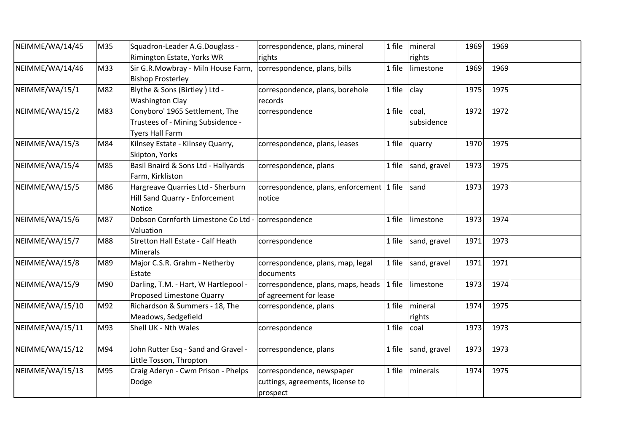| NEIMME/WA/14/45 | M35 | Squadron-Leader A.G.Douglass -       | correspondence, plans, mineral            | 1 file | mineral      | 1969 | 1969 |  |
|-----------------|-----|--------------------------------------|-------------------------------------------|--------|--------------|------|------|--|
|                 |     | Rimington Estate, Yorks WR           | rights                                    |        | rights       |      |      |  |
| NEIMME/WA/14/46 | M33 | Sir G.R.Mowbray - Miln House Farm,   | correspondence, plans, bills              | 1 file | limestone    | 1969 | 1969 |  |
|                 |     | <b>Bishop Frosterley</b>             |                                           |        |              |      |      |  |
| NEIMME/WA/15/1  | M82 | Blythe & Sons (Birtley) Ltd -        | correspondence, plans, borehole           | 1 file | clay         | 1975 | 1975 |  |
|                 |     | <b>Washington Clay</b>               | records                                   |        |              |      |      |  |
| NEIMME/WA/15/2  | M83 | Conyboro' 1965 Settlement, The       | correspondence                            | 1 file | coal,        | 1972 | 1972 |  |
|                 |     | Trustees of - Mining Subsidence -    |                                           |        | subsidence   |      |      |  |
|                 |     | <b>Tyers Hall Farm</b>               |                                           |        |              |      |      |  |
| NEIMME/WA/15/3  | M84 | Kilnsey Estate - Kilnsey Quarry,     | correspondence, plans, leases             | 1 file | quarry       | 1970 | 1975 |  |
|                 |     | Skipton, Yorks                       |                                           |        |              |      |      |  |
| NEIMME/WA/15/4  | M85 | Basil Bnaird & Sons Ltd - Hallyards  | correspondence, plans                     | 1 file | sand, gravel | 1973 | 1975 |  |
|                 |     | Farm, Kirkliston                     |                                           |        |              |      |      |  |
| NEIMME/WA/15/5  | M86 | Hargreave Quarries Ltd - Sherburn    | correspondence, plans, enforcement 1 file |        | sand         | 1973 | 1973 |  |
|                 |     | Hill Sand Quarry - Enforcement       | notice                                    |        |              |      |      |  |
|                 |     | <b>Notice</b>                        |                                           |        |              |      |      |  |
| NEIMME/WA/15/6  | M87 | Dobson Cornforth Limestone Co Ltd -  | correspondence                            | 1 file | limestone    | 1973 | 1974 |  |
|                 |     | Valuation                            |                                           |        |              |      |      |  |
| NEIMME/WA/15/7  | M88 | Stretton Hall Estate - Calf Heath    | correspondence                            | 1 file | sand, gravel | 1971 | 1973 |  |
|                 |     | <b>Minerals</b>                      |                                           |        |              |      |      |  |
| NEIMME/WA/15/8  | M89 | Major C.S.R. Grahm - Netherby        | correspondence, plans, map, legal         | 1 file | sand, gravel | 1971 | 1971 |  |
|                 |     | Estate                               | documents                                 |        |              |      |      |  |
| NEIMME/WA/15/9  | M90 | Darling, T.M. - Hart, W Hartlepool - | correspondence, plans, maps, heads        | 1 file | limestone    | 1973 | 1974 |  |
|                 |     | Proposed Limestone Quarry            | of agreement for lease                    |        |              |      |      |  |
| NEIMME/WA/15/10 | M92 | Richardson & Summers - 18, The       | correspondence, plans                     | 1 file | mineral      | 1974 | 1975 |  |
|                 |     | Meadows, Sedgefield                  |                                           |        | rights       |      |      |  |
| NEIMME/WA/15/11 | M93 | Shell UK - Nth Wales                 | correspondence                            | 1 file | coal         | 1973 | 1973 |  |
|                 |     |                                      |                                           |        |              |      |      |  |
| NEIMME/WA/15/12 | M94 | John Rutter Esq - Sand and Gravel -  | correspondence, plans                     | 1 file | sand, gravel | 1973 | 1973 |  |
|                 |     | Little Tosson, Thropton              |                                           |        |              |      |      |  |
| NEIMME/WA/15/13 | M95 | Craig Aderyn - Cwm Prison - Phelps   | correspondence, newspaper                 | 1 file | minerals     | 1974 | 1975 |  |
|                 |     | Dodge                                | cuttings, agreements, license to          |        |              |      |      |  |
|                 |     |                                      | prospect                                  |        |              |      |      |  |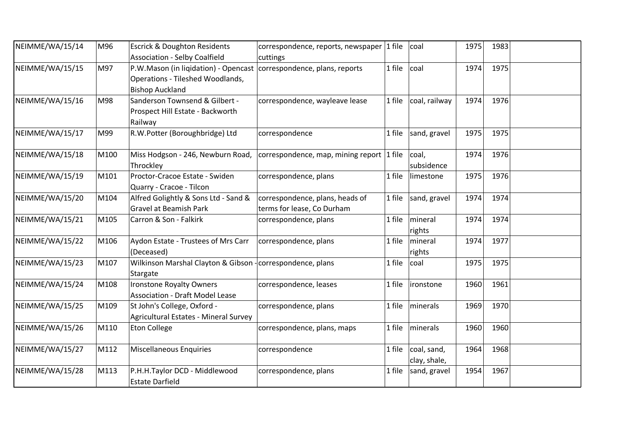| NEIMME/WA/15/14 | M96  | <b>Escrick &amp; Doughton Residents</b><br><b>Association - Selby Coalfield</b>                                                   | correspondence, reports, newspaper 1 file<br>cuttings         |        | coal                        | 1975 | 1983 |  |
|-----------------|------|-----------------------------------------------------------------------------------------------------------------------------------|---------------------------------------------------------------|--------|-----------------------------|------|------|--|
| NEIMME/WA/15/15 | M97  | P.W.Mason (in ligidation) - Opencast correspondence, plans, reports<br>Operations - Tileshed Woodlands,<br><b>Bishop Auckland</b> |                                                               | 1 file | coal                        | 1974 | 1975 |  |
| NEIMME/WA/15/16 | M98  | Sanderson Townsend & Gilbert -<br>Prospect Hill Estate - Backworth<br>Railway                                                     | correspondence, wayleave lease                                | 1 file | coal, railway               | 1974 | 1976 |  |
| NEIMME/WA/15/17 | M99  | R.W.Potter (Boroughbridge) Ltd                                                                                                    | correspondence                                                | 1 file | sand, gravel                | 1975 | 1975 |  |
| NEIMME/WA/15/18 | M100 | Miss Hodgson - 246, Newburn Road,<br>Throckley                                                                                    | correspondence, map, mining report 1 file                     |        | coal,<br>subsidence         | 1974 | 1976 |  |
| NEIMME/WA/15/19 | M101 | Proctor-Cracoe Estate - Swiden<br>Quarry - Cracoe - Tilcon                                                                        | correspondence, plans                                         | 1 file | limestone                   | 1975 | 1976 |  |
| NEIMME/WA/15/20 | M104 | Alfred Golightly & Sons Ltd - Sand &<br><b>Gravel at Beamish Park</b>                                                             | correspondence, plans, heads of<br>terms for lease, Co Durham | 1 file | sand, gravel                | 1974 | 1974 |  |
| NEIMME/WA/15/21 | M105 | Carron & Son - Falkirk                                                                                                            | correspondence, plans                                         | 1 file | mineral<br>rights           | 1974 | 1974 |  |
| NEIMME/WA/15/22 | M106 | Aydon Estate - Trustees of Mrs Carr<br>(Deceased)                                                                                 | correspondence, plans                                         | 1 file | mineral<br>rights           | 1974 | 1977 |  |
| NEIMME/WA/15/23 | M107 | Wilkinson Marshal Clayton & Gibson - correspondence, plans<br>Stargate                                                            |                                                               | 1 file | coal                        | 1975 | 1975 |  |
| NEIMME/WA/15/24 | M108 | Ironstone Royalty Owners<br><b>Association - Draft Model Lease</b>                                                                | correspondence, leases                                        | 1 file | ironstone                   | 1960 | 1961 |  |
| NEIMME/WA/15/25 | M109 | St John's College, Oxford -<br>Agricultural Estates - Mineral Survey                                                              | correspondence, plans                                         | 1 file | minerals                    | 1969 | 1970 |  |
| NEIMME/WA/15/26 | M110 | <b>Eton College</b>                                                                                                               | correspondence, plans, maps                                   | 1 file | minerals                    | 1960 | 1960 |  |
| NEIMME/WA/15/27 | M112 | <b>Miscellaneous Enquiries</b>                                                                                                    | correspondence                                                | 1 file | coal, sand,<br>clay, shale, | 1964 | 1968 |  |
| NEIMME/WA/15/28 | M113 | P.H.H.Taylor DCD - Middlewood<br><b>Estate Darfield</b>                                                                           | correspondence, plans                                         | 1 file | sand, gravel                | 1954 | 1967 |  |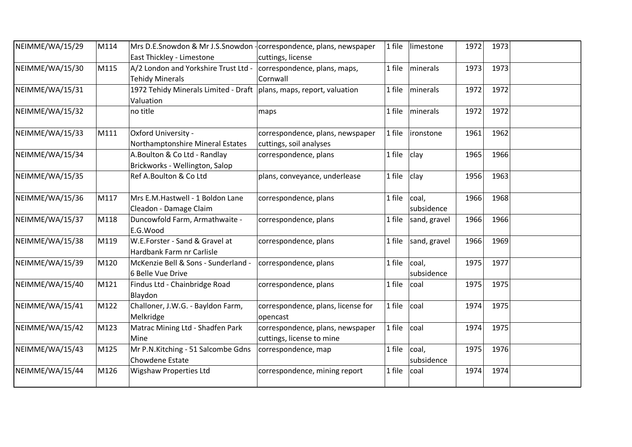| NEIMME/WA/15/29 | M114 | Mrs D.E.Snowdon & Mr J.S.Snowdon - correspondence, plans, newspaper   |                                    | 1 file | limestone    | 1972 | 1973 |  |
|-----------------|------|-----------------------------------------------------------------------|------------------------------------|--------|--------------|------|------|--|
|                 |      | East Thickley - Limestone                                             | cuttings, license                  |        |              |      |      |  |
| NEIMME/WA/15/30 | M115 | A/2 London and Yorkshire Trust Ltd -                                  | correspondence, plans, maps,       | 1 file | minerals     | 1973 | 1973 |  |
|                 |      | <b>Tehidy Minerals</b>                                                | Cornwall                           |        |              |      |      |  |
| NEIMME/WA/15/31 |      | 1972 Tehidy Minerals Limited - Draft   plans, maps, report, valuation |                                    | 1 file | minerals     | 1972 | 1972 |  |
|                 |      | Valuation                                                             |                                    |        |              |      |      |  |
| NEIMME/WA/15/32 |      | no title                                                              | maps                               | 1 file | minerals     | 1972 | 1972 |  |
| NEIMME/WA/15/33 | M111 | Oxford University -                                                   | correspondence, plans, newspaper   | 1 file | lironstone   | 1961 | 1962 |  |
|                 |      | Northamptonshire Mineral Estates                                      | cuttings, soil analyses            |        |              |      |      |  |
| NEIMME/WA/15/34 |      | A.Boulton & Co Ltd - Randlay                                          | correspondence, plans              | 1 file | clay         | 1965 | 1966 |  |
|                 |      | Brickworks - Wellington, Salop                                        |                                    |        |              |      |      |  |
| NEIMME/WA/15/35 |      | Ref A.Boulton & Co Ltd                                                | plans, conveyance, underlease      | 1 file | clay         | 1956 | 1963 |  |
| NEIMME/WA/15/36 | M117 | Mrs E.M.Hastwell - 1 Boldon Lane                                      | correspondence, plans              | 1 file | coal,        | 1966 | 1968 |  |
|                 |      | Cleadon - Damage Claim                                                |                                    |        | subsidence   |      |      |  |
| NEIMME/WA/15/37 | M118 | Duncowfold Farm, Armathwaite -                                        | correspondence, plans              | 1 file | sand, gravel | 1966 | 1966 |  |
|                 |      | E.G.Wood                                                              |                                    |        |              |      |      |  |
| NEIMME/WA/15/38 | M119 | W.E.Forster - Sand & Gravel at                                        | correspondence, plans              | 1 file | sand, gravel | 1966 | 1969 |  |
|                 |      | Hardbank Farm nr Carlisle                                             |                                    |        |              |      |      |  |
| NEIMME/WA/15/39 | M120 | McKenzie Bell & Sons - Sunderland -                                   | correspondence, plans              | 1 file | coal,        | 1975 | 1977 |  |
|                 |      | 6 Belle Vue Drive                                                     |                                    |        | subsidence   |      |      |  |
| NEIMME/WA/15/40 | M121 | Findus Ltd - Chainbridge Road                                         | correspondence, plans              | 1 file | coal         | 1975 | 1975 |  |
|                 |      | Blaydon                                                               |                                    |        |              |      |      |  |
| NEIMME/WA/15/41 | M122 | Challoner, J.W.G. - Bayldon Farm,                                     | correspondence, plans, license for | 1 file | coal         | 1974 | 1975 |  |
|                 |      | Melkridge                                                             | opencast                           |        |              |      |      |  |
| NEIMME/WA/15/42 | M123 | Matrac Mining Ltd - Shadfen Park                                      | correspondence, plans, newspaper   | 1 file | coal         | 1974 | 1975 |  |
|                 |      | Mine                                                                  | cuttings, license to mine          |        |              |      |      |  |
| NEIMME/WA/15/43 | M125 | Mr P.N.Kitching - 51 Salcombe Gdns                                    | correspondence, map                | 1 file | coal,        | 1975 | 1976 |  |
|                 |      | Chowdene Estate                                                       |                                    |        | subsidence   |      |      |  |
| NEIMME/WA/15/44 | M126 | <b>Wigshaw Properties Ltd</b>                                         | correspondence, mining report      | 1 file | coal         | 1974 | 1974 |  |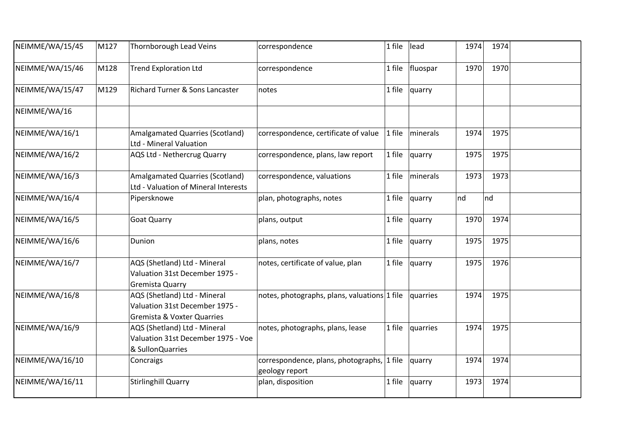| NEIMME/WA/15/45 | M127 | Thornborough Lead Veins                                                                                 | correspondence                                               | 1 file | lead     | 1974 | 1974 |  |
|-----------------|------|---------------------------------------------------------------------------------------------------------|--------------------------------------------------------------|--------|----------|------|------|--|
| NEIMME/WA/15/46 | M128 | <b>Trend Exploration Ltd</b>                                                                            | correspondence                                               | 1 file | fluospar | 1970 | 1970 |  |
| NEIMME/WA/15/47 | M129 | Richard Turner & Sons Lancaster                                                                         | notes                                                        | 1 file | quarry   |      |      |  |
| NEIMME/WA/16    |      |                                                                                                         |                                                              |        |          |      |      |  |
| NEIMME/WA/16/1  |      | <b>Amalgamated Quarries (Scotland)</b><br>Ltd - Mineral Valuation                                       | correspondence, certificate of value                         | 1 file | minerals | 1974 | 1975 |  |
| NEIMME/WA/16/2  |      | AQS Ltd - Nethercrug Quarry                                                                             | correspondence, plans, law report                            | 1 file | quarry   | 1975 | 1975 |  |
| NEIMME/WA/16/3  |      | <b>Amalgamated Quarries (Scotland)</b><br>Ltd - Valuation of Mineral Interests                          | correspondence, valuations                                   | 1 file | minerals | 1973 | 1973 |  |
| NEIMME/WA/16/4  |      | Pipersknowe                                                                                             | plan, photographs, notes                                     | 1 file | quarry   | nd   | nd   |  |
| NEIMME/WA/16/5  |      | <b>Goat Quarry</b>                                                                                      | plans, output                                                | 1 file | quarry   | 1970 | 1974 |  |
| NEIMME/WA/16/6  |      | Dunion                                                                                                  | plans, notes                                                 | 1 file | quarry   | 1975 | 1975 |  |
| NEIMME/WA/16/7  |      | AQS (Shetland) Ltd - Mineral<br>Valuation 31st December 1975 -<br><b>Gremista Quarry</b>                | notes, certificate of value, plan                            | 1 file | quarry   | 1975 | 1976 |  |
| NEIMME/WA/16/8  |      | AQS (Shetland) Ltd - Mineral<br>Valuation 31st December 1975 -<br><b>Gremista &amp; Voxter Quarries</b> | notes, photographs, plans, valuations 1 file                 |        | quarries | 1974 | 1975 |  |
| NEIMME/WA/16/9  |      | AQS (Shetland) Ltd - Mineral<br>Valuation 31st December 1975 - Voe<br>& SullonQuarries                  | notes, photographs, plans, lease                             | 1 file | quarries | 1974 | 1975 |  |
| NEIMME/WA/16/10 |      | Concraigs                                                                                               | correspondence, plans, photographs, 1 file<br>geology report |        | quarry   | 1974 | 1974 |  |
| NEIMME/WA/16/11 |      | <b>Stirlinghill Quarry</b>                                                                              | plan, disposition                                            | 1 file | quarry   | 1973 | 1974 |  |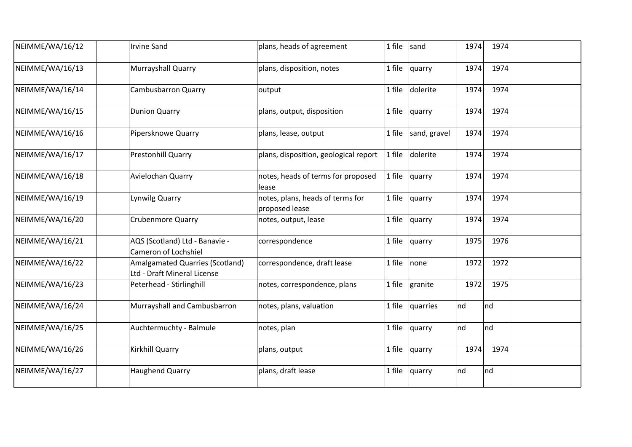| NEIMME/WA/16/12 | <b>Irvine Sand</b>                                             | plans, heads of agreement                          | 1 file | sand         | 1974 | 1974 |  |
|-----------------|----------------------------------------------------------------|----------------------------------------------------|--------|--------------|------|------|--|
| NEIMME/WA/16/13 | Murrayshall Quarry                                             | plans, disposition, notes                          | 1 file | quarry       | 1974 | 1974 |  |
| NEIMME/WA/16/14 | <b>Cambusbarron Quarry</b>                                     | output                                             | 1 file | dolerite     | 1974 | 1974 |  |
| NEIMME/WA/16/15 | <b>Dunion Quarry</b>                                           | plans, output, disposition                         | 1 file | quarry       | 1974 | 1974 |  |
| NEIMME/WA/16/16 | Pipersknowe Quarry                                             | plans, lease, output                               | 1 file | sand, gravel | 1974 | 1974 |  |
| NEIMME/WA/16/17 | Prestonhill Quarry                                             | plans, disposition, geological report              | 1 file | dolerite     | 1974 | 1974 |  |
| NEIMME/WA/16/18 | Avielochan Quarry                                              | notes, heads of terms for proposed<br>lease        | 1 file | quarry       | 1974 | 1974 |  |
| NEIMME/WA/16/19 | Lynwilg Quarry                                                 | notes, plans, heads of terms for<br>proposed lease | 1 file | quarry       | 1974 | 1974 |  |
| NEIMME/WA/16/20 | <b>Crubenmore Quarry</b>                                       | notes, output, lease                               | 1 file | quarry       | 1974 | 1974 |  |
| NEIMME/WA/16/21 | AQS (Scotland) Ltd - Banavie -<br>Cameron of Lochshiel         | correspondence                                     | 1 file | quarry       | 1975 | 1976 |  |
| NEIMME/WA/16/22 | Amalgamated Quarries (Scotland)<br>Ltd - Draft Mineral License | correspondence, draft lease                        | 1 file | none         | 1972 | 1972 |  |
| NEIMME/WA/16/23 | Peterhead - Stirlinghill                                       | notes, correspondence, plans                       | 1 file | granite      | 1972 | 1975 |  |
| NEIMME/WA/16/24 | Murrayshall and Cambusbarron                                   | notes, plans, valuation                            | 1 file | quarries     | nd   | nd   |  |
| NEIMME/WA/16/25 | Auchtermuchty - Balmule                                        | notes, plan                                        | 1 file | quarry       | nd   | nd   |  |
| NEIMME/WA/16/26 | Kirkhill Quarry                                                | plans, output                                      | 1 file | quarry       | 1974 | 1974 |  |
| NEIMME/WA/16/27 | <b>Haughend Quarry</b>                                         | plans, draft lease                                 | 1 file | quarry       | nd   | nd   |  |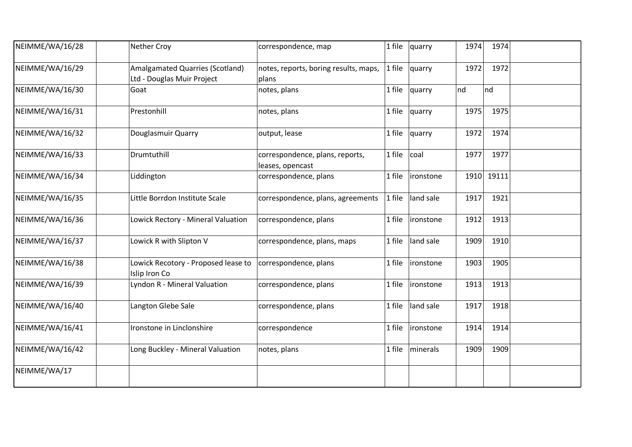| NEIMME/WA/16/28 | Nether Croy                                                          | correspondence, map                                 | 1 file | quarry     | 1974 | 1974  |  |
|-----------------|----------------------------------------------------------------------|-----------------------------------------------------|--------|------------|------|-------|--|
| NEIMME/WA/16/29 | <b>Amalgamated Quarries (Scotland)</b><br>Ltd - Douglas Muir Project | notes, reports, boring results, maps,<br>plans      | 1 file | quarry     | 1972 | 1972  |  |
| NEIMME/WA/16/30 | Goat                                                                 | notes, plans                                        | 1 file | quarry     | nd   | nd    |  |
| NEIMME/WA/16/31 | Prestonhill                                                          | notes, plans                                        | 1 file | quarry     | 1975 | 1975  |  |
| NEIMME/WA/16/32 | Douglasmuir Quarry                                                   | output, lease                                       | 1 file | quarry     | 1972 | 1974  |  |
| NEIMME/WA/16/33 | Drumtuthill                                                          | correspondence, plans, reports,<br>leases, opencast | 1 file | coal       | 1977 | 1977  |  |
| NEIMME/WA/16/34 | Liddington                                                           | correspondence, plans                               | 1 file | ironstone  | 1910 | 19111 |  |
| NEIMME/WA/16/35 | Little Borrdon Institute Scale                                       | correspondence, plans, agreements                   | 1 file | land sale  | 1917 | 1921  |  |
| NEIMME/WA/16/36 | Lowick Rectory - Mineral Valuation                                   | correspondence, plans                               | 1 file | ironstone  | 1912 | 1913  |  |
| NEIMME/WA/16/37 | Lowick R with Slipton V                                              | correspondence, plans, maps                         | 1 file | land sale  | 1909 | 1910  |  |
| NEIMME/WA/16/38 | Lowick Recotory - Proposed lease to<br>Islip Iron Co                 | correspondence, plans                               | 1 file | ironstone  | 1903 | 1905  |  |
| NEIMME/WA/16/39 | Lyndon R - Mineral Valuation                                         | correspondence, plans                               | 1 file | lironstone | 1913 | 1913  |  |
| NEIMME/WA/16/40 | Langton Glebe Sale                                                   | correspondence, plans                               | 1 file | land sale  | 1917 | 1918  |  |
| NEIMME/WA/16/41 | Ironstone in Linclonshire                                            | correspondence                                      | 1 file | ironstone  | 1914 | 1914  |  |
| NEIMME/WA/16/42 | Long Buckley - Mineral Valuation                                     | notes, plans                                        | 1 file | minerals   | 1909 | 1909  |  |
| NEIMME/WA/17    |                                                                      |                                                     |        |            |      |       |  |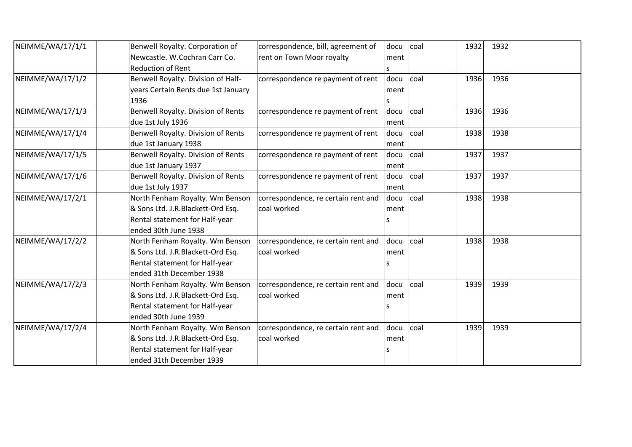| NEIMME/WA/17/1/1 | Benwell Royalty. Corporation of     | correspondence, bill, agreement of  | docu | coal | 1932 | 1932 |  |
|------------------|-------------------------------------|-------------------------------------|------|------|------|------|--|
|                  | Newcastle. W.Cochran Carr Co.       | rent on Town Moor royalty           | ment |      |      |      |  |
|                  | <b>Reduction of Rent</b>            |                                     | S    |      |      |      |  |
| NEIMME/WA/17/1/2 | Benwell Royalty. Division of Half-  | correspondence re payment of rent   | docu | coal | 1936 | 1936 |  |
|                  | years Certain Rents due 1st January |                                     | ment |      |      |      |  |
|                  | 1936                                |                                     | S    |      |      |      |  |
| NEIMME/WA/17/1/3 | Benwell Royalty. Division of Rents  | correspondence re payment of rent   | docu | coal | 1936 | 1936 |  |
|                  | due 1st July 1936                   |                                     | ment |      |      |      |  |
| NEIMME/WA/17/1/4 | Benwell Royalty. Division of Rents  | correspondence re payment of rent   | docu | coal | 1938 | 1938 |  |
|                  | due 1st January 1938                |                                     | ment |      |      |      |  |
| NEIMME/WA/17/1/5 | Benwell Royalty. Division of Rents  | correspondence re payment of rent   | docu | coal | 1937 | 1937 |  |
|                  | due 1st January 1937                |                                     | ment |      |      |      |  |
| NEIMME/WA/17/1/6 | Benwell Royalty. Division of Rents  | correspondence re payment of rent   | docu | coal | 1937 | 1937 |  |
|                  | due 1st July 1937                   |                                     | ment |      |      |      |  |
| NEIMME/WA/17/2/1 | North Fenham Royalty. Wm Benson     | correspondence, re certain rent and | docu | coal | 1938 | 1938 |  |
|                  | & Sons Ltd. J.R.Blackett-Ord Esq.   | coal worked                         | ment |      |      |      |  |
|                  | Rental statement for Half-year      |                                     |      |      |      |      |  |
|                  | ended 30th June 1938                |                                     |      |      |      |      |  |
| NEIMME/WA/17/2/2 | North Fenham Royalty. Wm Benson     | correspondence, re certain rent and | docu | coal | 1938 | 1938 |  |
|                  | & Sons Ltd. J.R.Blackett-Ord Esq.   | coal worked                         | ment |      |      |      |  |
|                  | Rental statement for Half-year      |                                     |      |      |      |      |  |
|                  | ended 31th December 1938            |                                     |      |      |      |      |  |
| NEIMME/WA/17/2/3 | North Fenham Royalty. Wm Benson     | correspondence, re certain rent and | docu | coal | 1939 | 1939 |  |
|                  | & Sons Ltd. J.R.Blackett-Ord Esq.   | coal worked                         | ment |      |      |      |  |
|                  | Rental statement for Half-year      |                                     |      |      |      |      |  |
|                  | ended 30th June 1939                |                                     |      |      |      |      |  |
| NEIMME/WA/17/2/4 | North Fenham Royalty. Wm Benson     | correspondence, re certain rent and | docu | coal | 1939 | 1939 |  |
|                  | & Sons Ltd. J.R.Blackett-Ord Esq.   | coal worked                         | ment |      |      |      |  |
|                  | Rental statement for Half-year      |                                     |      |      |      |      |  |
|                  | ended 31th December 1939            |                                     |      |      |      |      |  |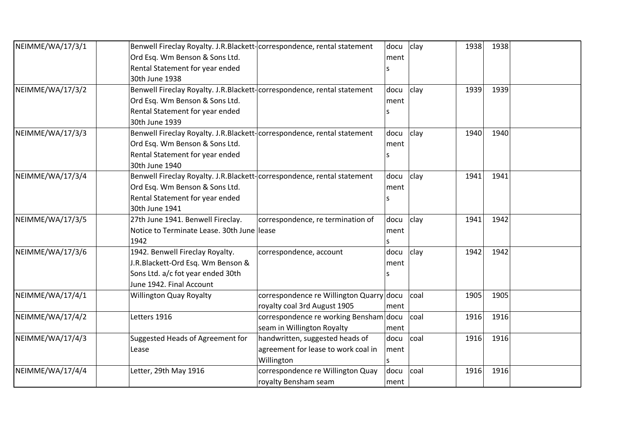| NEIMME/WA/17/3/1 | Benwell Fireclay Royalty. J.R.Blackett-correspondence, rental statement |                                          | docu | clay | 1938 | 1938 |  |
|------------------|-------------------------------------------------------------------------|------------------------------------------|------|------|------|------|--|
|                  | Ord Esq. Wm Benson & Sons Ltd.                                          |                                          | ment |      |      |      |  |
|                  | Rental Statement for year ended                                         |                                          |      |      |      |      |  |
|                  | 30th June 1938                                                          |                                          |      |      |      |      |  |
| NEIMME/WA/17/3/2 | Benwell Fireclay Royalty. J.R.Blackett-correspondence, rental statement |                                          | docu | clay | 1939 | 1939 |  |
|                  | Ord Esq. Wm Benson & Sons Ltd.                                          |                                          | ment |      |      |      |  |
|                  | Rental Statement for year ended                                         |                                          | s    |      |      |      |  |
|                  | 30th June 1939                                                          |                                          |      |      |      |      |  |
| NEIMME/WA/17/3/3 | Benwell Fireclay Royalty. J.R.Blackett-correspondence, rental statement |                                          | docu | clay | 1940 | 1940 |  |
|                  | Ord Esq. Wm Benson & Sons Ltd.                                          |                                          | ment |      |      |      |  |
|                  | Rental Statement for year ended                                         |                                          | ς    |      |      |      |  |
|                  | 30th June 1940                                                          |                                          |      |      |      |      |  |
| NEIMME/WA/17/3/4 | Benwell Fireclay Royalty. J.R.Blackett-correspondence, rental statement |                                          | docu | clay | 1941 | 1941 |  |
|                  | Ord Esq. Wm Benson & Sons Ltd.                                          |                                          | ment |      |      |      |  |
|                  | Rental Statement for year ended                                         |                                          | S    |      |      |      |  |
|                  | 30th June 1941                                                          |                                          |      |      |      |      |  |
| NEIMME/WA/17/3/5 | 27th June 1941. Benwell Fireclay.                                       | correspondence, re termination of        | docu | clay | 1941 | 1942 |  |
|                  | Notice to Terminate Lease. 30th June lease                              |                                          | ment |      |      |      |  |
|                  | 1942                                                                    |                                          | S    |      |      |      |  |
| NEIMME/WA/17/3/6 | 1942. Benwell Fireclay Royalty.                                         | correspondence, account                  | docu | clay | 1942 | 1942 |  |
|                  | J.R.Blackett-Ord Esq. Wm Benson &                                       |                                          | ment |      |      |      |  |
|                  | Sons Ltd. a/c fot year ended 30th                                       |                                          | ς    |      |      |      |  |
|                  | June 1942. Final Account                                                |                                          |      |      |      |      |  |
| NEIMME/WA/17/4/1 | <b>Willington Quay Royalty</b>                                          | correspondence re Willington Quarry docu |      | coal | 1905 | 1905 |  |
|                  |                                                                         | royalty coal 3rd August 1905             | ment |      |      |      |  |
| NEIMME/WA/17/4/2 | Letters 1916                                                            | correspondence re working Bensham docu   |      | coal | 1916 | 1916 |  |
|                  |                                                                         | seam in Willington Royalty               | ment |      |      |      |  |
| NEIMME/WA/17/4/3 | Suggested Heads of Agreement for                                        | handwritten, suggested heads of          | docu | coal | 1916 | 1916 |  |
|                  | Lease                                                                   | agreement for lease to work coal in      | ment |      |      |      |  |
|                  |                                                                         | Willington                               |      |      |      |      |  |
| NEIMME/WA/17/4/4 | Letter, 29th May 1916                                                   | correspondence re Willington Quay        | docu | coal | 1916 | 1916 |  |
|                  |                                                                         | royalty Bensham seam                     | ment |      |      |      |  |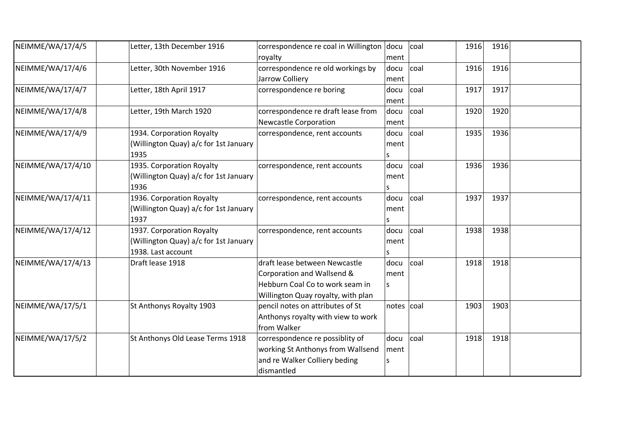| NEIMME/WA/17/4/5  | Letter, 13th December 1916                                                               | correspondence re coal in Willington docu<br>royalty                                                                                 | ment                 | coal | 1916 | 1916 |  |
|-------------------|------------------------------------------------------------------------------------------|--------------------------------------------------------------------------------------------------------------------------------------|----------------------|------|------|------|--|
| NEIMME/WA/17/4/6  | Letter, 30th November 1916                                                               | correspondence re old workings by<br>Jarrow Colliery                                                                                 | docu<br>ment         | coal | 1916 | 1916 |  |
| NEIMME/WA/17/4/7  | Letter, 18th April 1917                                                                  | correspondence re boring                                                                                                             | docu<br>ment         | coal | 1917 | 1917 |  |
| NEIMME/WA/17/4/8  | Letter, 19th March 1920                                                                  | correspondence re draft lease from<br><b>Newcastle Corporation</b>                                                                   | docu<br>ment         | coal | 1920 | 1920 |  |
| NEIMME/WA/17/4/9  | 1934. Corporation Royalty<br>(Willington Quay) a/c for 1st January<br>1935               | correspondence, rent accounts                                                                                                        | docu<br>ment         | coal | 1935 | 1936 |  |
| NEIMME/WA/17/4/10 | 1935. Corporation Royalty<br>(Willington Quay) a/c for 1st January<br>1936               | correspondence, rent accounts                                                                                                        | docu<br>ment<br>S    | coal | 1936 | 1936 |  |
| NEIMME/WA/17/4/11 | 1936. Corporation Royalty<br>(Willington Quay) a/c for 1st January<br>1937               | correspondence, rent accounts                                                                                                        | docu<br>ment<br>S    | coal | 1937 | 1937 |  |
| NEIMME/WA/17/4/12 | 1937. Corporation Royalty<br>(Willington Quay) a/c for 1st January<br>1938. Last account | correspondence, rent accounts                                                                                                        | docu<br>ment<br>s    | coal | 1938 | 1938 |  |
| NEIMME/WA/17/4/13 | Draft lease 1918                                                                         | draft lease between Newcastle<br>Corporation and Wallsend &<br>Hebburn Coal Co to work seam in<br>Willington Quay royalty, with plan | docu<br>ment<br>S    | coal | 1918 | 1918 |  |
| NEIMME/WA/17/5/1  | St Anthonys Royalty 1903                                                                 | pencil notes on attributes of St<br>Anthonys royalty with view to work<br>from Walker                                                | notes $ {\rm coal} $ |      | 1903 | 1903 |  |
| NEIMME/WA/17/5/2  | St Anthonys Old Lease Terms 1918                                                         | correspondence re possiblity of<br>working St Anthonys from Wallsend<br>and re Walker Colliery beding<br>dismantled                  | docu<br>ment<br>s    | coal | 1918 | 1918 |  |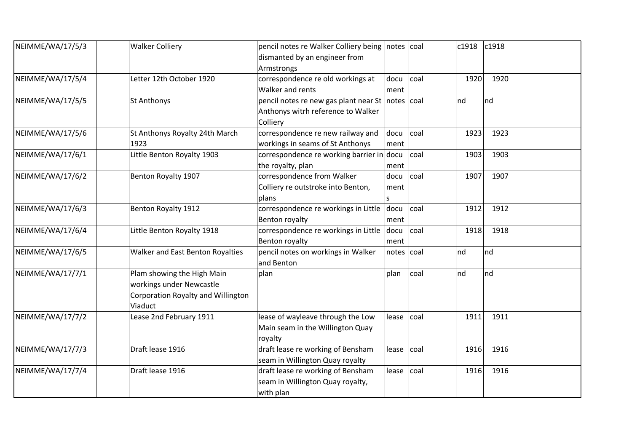| NEIMME/WA/17/5/3 | <b>Walker Colliery</b>             | pencil notes re Walker Colliery being notes coal |            |      | c1918 | c1918 |  |
|------------------|------------------------------------|--------------------------------------------------|------------|------|-------|-------|--|
|                  |                                    | dismanted by an engineer from                    |            |      |       |       |  |
|                  |                                    | Armstrongs                                       |            |      |       |       |  |
| NEIMME/WA/17/5/4 | Letter 12th October 1920           | correspondence re old workings at                | docu       | coal | 1920  | 1920  |  |
|                  |                                    | Walker and rents                                 | ment       |      |       |       |  |
| NEIMME/WA/17/5/5 | <b>St Anthonys</b>                 | pencil notes re new gas plant near St notes coal |            |      | nd    | nd    |  |
|                  |                                    | Anthonys witrh reference to Walker               |            |      |       |       |  |
|                  |                                    | Colliery                                         |            |      |       |       |  |
| NEIMME/WA/17/5/6 | St Anthonys Royalty 24th March     | correspondence re new railway and                | docu       | coal | 1923  | 1923  |  |
|                  | 1923                               | workings in seams of St Anthonys                 | ment       |      |       |       |  |
| NEIMME/WA/17/6/1 | Little Benton Royalty 1903         | correspondence re working barrier in docu        |            | coal | 1903  | 1903  |  |
|                  |                                    | the royalty, plan                                | ment       |      |       |       |  |
| NEIMME/WA/17/6/2 | Benton Royalty 1907                | correspondence from Walker                       | docu       | coal | 1907  | 1907  |  |
|                  |                                    | Colliery re outstroke into Benton,               | ment       |      |       |       |  |
|                  |                                    | plans                                            |            |      |       |       |  |
| NEIMME/WA/17/6/3 | Benton Royalty 1912                | correspondence re workings in Little             | docu       | coal | 1912  | 1912  |  |
|                  |                                    | Benton royalty                                   | ment       |      |       |       |  |
| NEIMME/WA/17/6/4 | Little Benton Royalty 1918         | correspondence re workings in Little docu        |            | coal | 1918  | 1918  |  |
|                  |                                    | Benton royalty                                   | ment       |      |       |       |  |
| NEIMME/WA/17/6/5 | Walker and East Benton Royalties   | pencil notes on workings in Walker               | notes coal |      | nd    | nd    |  |
|                  |                                    | and Benton                                       |            |      |       |       |  |
| NEIMME/WA/17/7/1 | Plam showing the High Main         | plan                                             | plan       | coal | nd    | nd    |  |
|                  | workings under Newcastle           |                                                  |            |      |       |       |  |
|                  | Corporation Royalty and Willington |                                                  |            |      |       |       |  |
|                  | Viaduct                            |                                                  |            |      |       |       |  |
| NEIMME/WA/17/7/2 | Lease 2nd February 1911            | lease of wayleave through the Low                | lease      | coal | 1911  | 1911  |  |
|                  |                                    | Main seam in the Willington Quay                 |            |      |       |       |  |
|                  |                                    | royalty                                          |            |      |       |       |  |
| NEIMME/WA/17/7/3 | Draft lease 1916                   | draft lease re working of Bensham                | lease      | coal | 1916  | 1916  |  |
|                  |                                    | seam in Willington Quay royalty                  |            |      |       |       |  |
| NEIMME/WA/17/7/4 | Draft lease 1916                   | draft lease re working of Bensham                | lease      | coal | 1916  | 1916  |  |
|                  |                                    | seam in Willington Quay royalty,                 |            |      |       |       |  |
|                  |                                    | with plan                                        |            |      |       |       |  |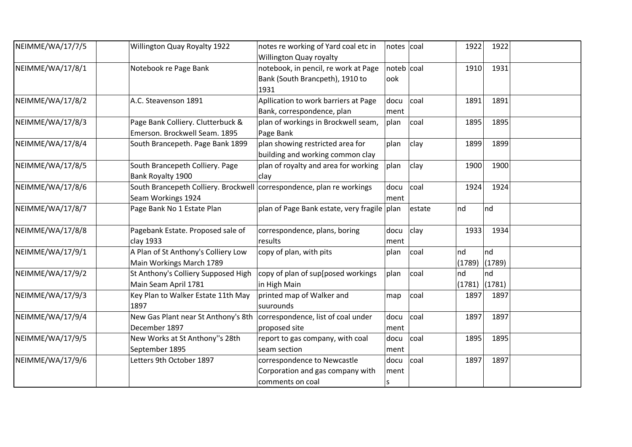| NEIMME/WA/17/7/5 | Willington Quay Royalty 1922                                                                | notes re working of Yard coal etc in<br>Willington Quay royalty                     | notes coal          |        | 1922<br>1922                 |  |
|------------------|---------------------------------------------------------------------------------------------|-------------------------------------------------------------------------------------|---------------------|--------|------------------------------|--|
| NEIMME/WA/17/8/1 | Notebook re Page Bank                                                                       | notebook, in pencil, re work at Page<br>Bank (South Brancpeth), 1910 to<br>1931     | noteb   coal<br>ook |        | 1910<br>1931                 |  |
| NEIMME/WA/17/8/2 | A.C. Steavenson 1891                                                                        | Apllication to work barriers at Page<br>Bank, correspondence, plan                  | docu<br>ment        | coal   | 1891<br>1891                 |  |
| NEIMME/WA/17/8/3 | Page Bank Colliery. Clutterbuck &<br>Emerson. Brockwell Seam. 1895                          | plan of workings in Brockwell seam,<br>Page Bank                                    | plan                | coal   | 1895<br>1895                 |  |
| NEIMME/WA/17/8/4 | South Brancepeth. Page Bank 1899                                                            | plan showing restricted area for<br>building and working common clay                | plan                | clay   | 1899<br>1899                 |  |
| NEIMME/WA/17/8/5 | South Brancepeth Colliery. Page<br>Bank Royalty 1900                                        | plan of royalty and area for working<br>clay                                        | plan                | clay   | 1900<br>1900                 |  |
| NEIMME/WA/17/8/6 | South Brancepeth Colliery. Brockwell correspondence, plan re workings<br>Seam Workings 1924 |                                                                                     | docu<br>ment        | coal   | 1924<br>1924                 |  |
| NEIMME/WA/17/8/7 | Page Bank No 1 Estate Plan                                                                  | plan of Page Bank estate, very fragile plan                                         |                     | estate | nd<br>nd                     |  |
| NEIMME/WA/17/8/8 | Pagebank Estate. Proposed sale of<br>clay 1933                                              | correspondence, plans, boring<br>results                                            | docu<br>ment        | clay   | 1933<br>1934                 |  |
| NEIMME/WA/17/9/1 | A Plan of St Anthony's Colliery Low<br>Main Workings March 1789                             | copy of plan, with pits                                                             | plan                | coal   | nd<br>nd<br>(1789)<br>(1789) |  |
| NEIMME/WA/17/9/2 | St Anthony's Colliery Supposed High<br>Main Seam April 1781                                 | copy of plan of sup[posed workings<br>in High Main                                  | plan                | coal   | nd<br>nd<br>(1781)<br>(1781) |  |
| NEIMME/WA/17/9/3 | Key Plan to Walker Estate 11th May<br>1897                                                  | printed map of Walker and<br>suurounds                                              | map                 | coal   | 1897<br>1897                 |  |
| NEIMME/WA/17/9/4 | New Gas Plant near St Anthony's 8th   correspondence, list of coal under<br>December 1897   | proposed site                                                                       | docu<br>ment        | coal   | 1897<br>1897                 |  |
| NEIMME/WA/17/9/5 | New Works at St Anthony"s 28th<br>September 1895                                            | report to gas company, with coal<br>seam section                                    | docu<br>ment        | coal   | 1895<br>1895                 |  |
| NEIMME/WA/17/9/6 | Letters 9th October 1897                                                                    | correspondence to Newcastle<br>Corporation and gas company with<br>comments on coal | docu<br>ment<br>S   | coal   | 1897<br>1897                 |  |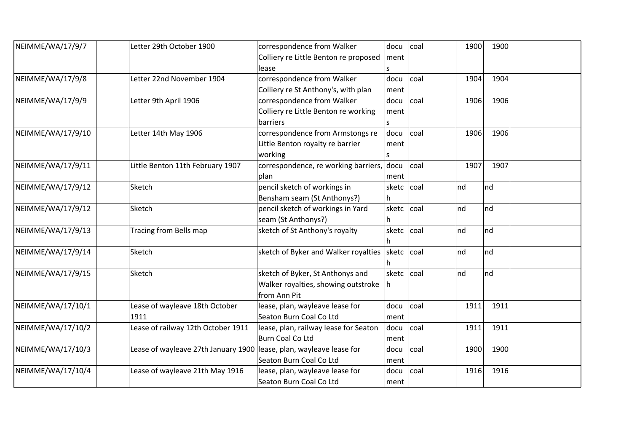| NEIMME/WA/17/9/7  | Letter 29th October 1900            | correspondence from Walker                 | docu       | coal            | 1900    | 1900 |  |
|-------------------|-------------------------------------|--------------------------------------------|------------|-----------------|---------|------|--|
|                   |                                     | Colliery re Little Benton re proposed      | ment       |                 |         |      |  |
|                   |                                     | lease                                      |            |                 |         |      |  |
| NEIMME/WA/17/9/8  | Letter 22nd November 1904           | correspondence from Walker                 | docu       | coal            | 1904    | 1904 |  |
|                   |                                     | Colliery re St Anthony's, with plan        | ment       |                 |         |      |  |
| NEIMME/WA/17/9/9  | Letter 9th April 1906               | correspondence from Walker                 | docu       | coal            | 1906    | 1906 |  |
|                   |                                     | Colliery re Little Benton re working       | ment       |                 |         |      |  |
|                   |                                     | barriers                                   |            |                 |         |      |  |
| NEIMME/WA/17/9/10 | Letter 14th May 1906                | correspondence from Armstongs re           | docu       | coal            | 1906    | 1906 |  |
|                   |                                     | Little Benton royalty re barrier           | ment       |                 |         |      |  |
|                   |                                     | working                                    | S          |                 |         |      |  |
| NEIMME/WA/17/9/11 | Little Benton 11th February 1907    | correspondence, re working barriers, docu  |            | coal            | 1907    | 1907 |  |
|                   |                                     | plan                                       | ment       |                 |         |      |  |
| NEIMME/WA/17/9/12 | Sketch                              | pencil sketch of workings in               | sketc      | coal            | $\ln d$ | nd   |  |
|                   |                                     | Bensham seam (St Anthonys?)                | lh.        |                 |         |      |  |
| NEIMME/WA/17/9/12 | Sketch                              | pencil sketch of workings in Yard          | sketc coal |                 | nd      | nd   |  |
|                   |                                     | seam (St Anthonys?)                        | h          |                 |         |      |  |
| NEIMME/WA/17/9/13 | Tracing from Bells map              | sketch of St Anthony's royalty             | sketc coal |                 | nd      | nd   |  |
|                   |                                     |                                            |            |                 |         |      |  |
| NEIMME/WA/17/9/14 | Sketch                              | sketch of Byker and Walker royalties sketc |            | <sub>coal</sub> | nd      | nd   |  |
|                   |                                     |                                            |            |                 |         |      |  |
| NEIMME/WA/17/9/15 | Sketch                              | sketch of Byker, St Anthonys and           | sketc coal |                 | nd      | nd   |  |
|                   |                                     | Walker royalties, showing outstroke        | Ih         |                 |         |      |  |
|                   |                                     | from Ann Pit                               |            |                 |         |      |  |
| NEIMME/WA/17/10/1 | Lease of wayleave 18th October      | lease, plan, wayleave lease for            | docu       | coal            | 1911    | 1911 |  |
|                   | 1911                                | Seaton Burn Coal Co Ltd                    | ment       |                 |         |      |  |
| NEIMME/WA/17/10/2 | Lease of railway 12th October 1911  | lease, plan, railway lease for Seaton      | docu       | coal            | 1911    | 1911 |  |
|                   |                                     | <b>Burn Coal Co Ltd</b>                    | ment       |                 |         |      |  |
| NEIMME/WA/17/10/3 | Lease of wayleave 27th January 1900 | lease, plan, wayleave lease for            | docu       | coal            | 1900    | 1900 |  |
|                   |                                     | Seaton Burn Coal Co Ltd                    | ment       |                 |         |      |  |
| NEIMME/WA/17/10/4 | Lease of wayleave 21th May 1916     | lease, plan, wayleave lease for            | docu       | coal            | 1916    | 1916 |  |
|                   |                                     | Seaton Burn Coal Co Ltd                    | ment       |                 |         |      |  |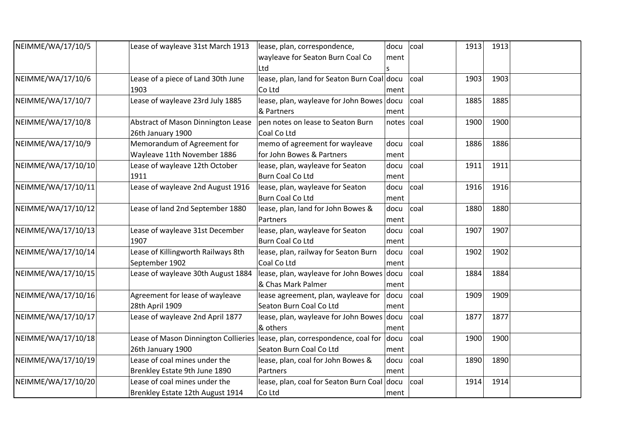| NEIMME/WA/17/10/5  | Lease of wayleave 31st March 1913    | lease, plan, correspondence,                | docu            | coal | 1913 | 1913 |  |
|--------------------|--------------------------------------|---------------------------------------------|-----------------|------|------|------|--|
|                    |                                      | wayleave for Seaton Burn Coal Co            | ment            |      |      |      |  |
|                    |                                      | Ltd                                         |                 |      |      |      |  |
| NEIMME/WA/17/10/6  | Lease of a piece of Land 30th June   | lease, plan, land for Seaton Burn Coal docu |                 | coal | 1903 | 1903 |  |
|                    | 1903                                 | Co Ltd                                      | ment            |      |      |      |  |
| NEIMME/WA/17/10/7  | Lease of wayleave 23rd July 1885     | lease, plan, wayleave for John Bowes docu   |                 | coal | 1885 | 1885 |  |
|                    |                                      | & Partners                                  | ment            |      |      |      |  |
| NEIMME/WA/17/10/8  | Abstract of Mason Dinnington Lease   | pen notes on lease to Seaton Burn           | $notes$ $ coal$ |      | 1900 | 1900 |  |
|                    | 26th January 1900                    | Coal Co Ltd                                 |                 |      |      |      |  |
| NEIMME/WA/17/10/9  | Memorandum of Agreement for          | memo of agreement for wayleave              | docu            | coal | 1886 | 1886 |  |
|                    | Wayleave 11th November 1886          | for John Bowes & Partners                   | ment            |      |      |      |  |
| NEIMME/WA/17/10/10 | Lease of wayleave 12th October       | lease, plan, wayleave for Seaton            | docu            | coal | 1911 | 1911 |  |
|                    | 1911                                 | Burn Coal Co Ltd                            | ment            |      |      |      |  |
| NEIMME/WA/17/10/11 | Lease of wayleave 2nd August 1916    | lease, plan, wayleave for Seaton            | docu            | coal | 1916 | 1916 |  |
|                    |                                      | <b>Burn Coal Co Ltd</b>                     | ment            |      |      |      |  |
| NEIMME/WA/17/10/12 | Lease of land 2nd September 1880     | lease, plan, land for John Bowes &          | docu            | coal | 1880 | 1880 |  |
|                    |                                      | Partners                                    | ment            |      |      |      |  |
| NEIMME/WA/17/10/13 | Lease of wayleave 31st December      | lease, plan, wayleave for Seaton            | docu            | coal | 1907 | 1907 |  |
|                    | 1907                                 | <b>Burn Coal Co Ltd</b>                     | ment            |      |      |      |  |
| NEIMME/WA/17/10/14 | Lease of Killingworth Railways 8th   | lease, plan, railway for Seaton Burn        | docu            | coal | 1902 | 1902 |  |
|                    | September 1902                       | Coal Co Ltd                                 | ment            |      |      |      |  |
| NEIMME/WA/17/10/15 | Lease of wayleave 30th August 1884   | lease, plan, wayleave for John Bowes docu   |                 | coal | 1884 | 1884 |  |
|                    |                                      | & Chas Mark Palmer                          | ment            |      |      |      |  |
| NEIMME/WA/17/10/16 | Agreement for lease of wayleave      | lease agreement, plan, wayleave for         | docu            | coal | 1909 | 1909 |  |
|                    | 28th April 1909                      | Seaton Burn Coal Co Ltd                     | ment            |      |      |      |  |
| NEIMME/WA/17/10/17 | Lease of wayleave 2nd April 1877     | lease, plan, wayleave for John Bowes docu   |                 | coal | 1877 | 1877 |  |
|                    |                                      | & others                                    | ment            |      |      |      |  |
| NEIMME/WA/17/10/18 | Lease of Mason Dinnington Collieries | lease, plan, correspondence, coal for       | docu            | coal | 1900 | 1900 |  |
|                    | 26th January 1900                    | Seaton Burn Coal Co Ltd                     | ment            |      |      |      |  |
| NEIMME/WA/17/10/19 | Lease of coal mines under the        | lease, plan, coal for John Bowes &          | docu            | coal | 1890 | 1890 |  |
|                    | Brenkley Estate 9th June 1890        | Partners                                    | ment            |      |      |      |  |
| NEIMME/WA/17/10/20 | Lease of coal mines under the        | lease, plan, coal for Seaton Burn Coal docu |                 | coal | 1914 | 1914 |  |
|                    | Brenkley Estate 12th August 1914     | Co Ltd                                      | ment            |      |      |      |  |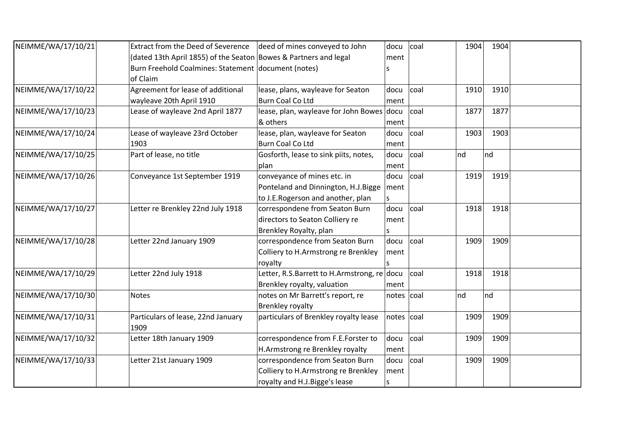| NEIMME/WA/17/10/21 | <b>Extract from the Deed of Severence</b>                        | deed of mines conveyed to John              | docu            | coal | 1904                 | 1904 |  |
|--------------------|------------------------------------------------------------------|---------------------------------------------|-----------------|------|----------------------|------|--|
|                    | (dated 13th April 1855) of the Seaton Bowes & Partners and legal |                                             | ment            |      |                      |      |  |
|                    | Burn Freehold Coalmines: Statement document (notes)              |                                             |                 |      |                      |      |  |
|                    | of Claim                                                         |                                             |                 |      |                      |      |  |
| NEIMME/WA/17/10/22 | Agreement for lease of additional                                | lease, plans, wayleave for Seaton           | docu            | coal | 1910                 | 1910 |  |
|                    | wayleave 20th April 1910                                         | <b>Burn Coal Co Ltd</b>                     | ment            |      |                      |      |  |
| NEIMME/WA/17/10/23 | Lease of wayleave 2nd April 1877                                 | lease, plan, wayleave for John Bowes docu   |                 | coal | 1877                 | 1877 |  |
|                    |                                                                  | & others                                    | ment            |      |                      |      |  |
| NEIMME/WA/17/10/24 | Lease of wayleave 23rd October                                   | lease, plan, wayleave for Seaton            | docu            | coal | 1903                 | 1903 |  |
|                    | 1903                                                             | <b>Burn Coal Co Ltd</b>                     | ment            |      |                      |      |  |
| NEIMME/WA/17/10/25 | Part of lease, no title                                          | Gosforth, lease to sink piits, notes,       | docu            | coal | $\lfloor nd \rfloor$ | nd   |  |
|                    |                                                                  | plan                                        | ment            |      |                      |      |  |
| NEIMME/WA/17/10/26 | Conveyance 1st September 1919                                    | conveyance of mines etc. in                 | docu            | coal | 1919                 | 1919 |  |
|                    |                                                                  | Ponteland and Dinnington, H.J.Bigge         | ment            |      |                      |      |  |
|                    |                                                                  | to J.E.Rogerson and another, plan           |                 |      |                      |      |  |
| NEIMME/WA/17/10/27 | Letter re Brenkley 22nd July 1918                                | correspondene from Seaton Burn              | docu            | coal | 1918                 | 1918 |  |
|                    |                                                                  | directors to Seaton Colliery re             | ment            |      |                      |      |  |
|                    |                                                                  | Brenkley Royalty, plan                      |                 |      |                      |      |  |
| NEIMME/WA/17/10/28 | Letter 22nd January 1909                                         | correspondence from Seaton Burn             | docu            | coal | 1909                 | 1909 |  |
|                    |                                                                  | Colliery to H.Armstrong re Brenkley         | ment            |      |                      |      |  |
|                    |                                                                  | royalty                                     |                 |      |                      |      |  |
| NEIMME/WA/17/10/29 | Letter 22nd July 1918                                            | Letter, R.S.Barrett to H.Armstrong, re docu |                 | coal | 1918                 | 1918 |  |
|                    |                                                                  | Brenkley royalty, valuation                 | ment            |      |                      |      |  |
| NEIMME/WA/17/10/30 | <b>Notes</b>                                                     | notes on Mr Barrett's report, re            | $notes$ $ coal$ |      | nd                   | nd   |  |
|                    |                                                                  | <b>Brenkley royalty</b>                     |                 |      |                      |      |  |
| NEIMME/WA/17/10/31 | Particulars of lease, 22nd January                               | particulars of Brenkley royalty lease       | notes coal      |      | 1909                 | 1909 |  |
|                    | 1909                                                             |                                             |                 |      |                      |      |  |
| NEIMME/WA/17/10/32 | Letter 18th January 1909                                         | correspondence from F.E.Forster to          | docu            | coal | 1909                 | 1909 |  |
|                    |                                                                  | H.Armstrong re Brenkley royalty             | ment            |      |                      |      |  |
| NEIMME/WA/17/10/33 | Letter 21st January 1909                                         | correspondence from Seaton Burn             | docu            | coal | 1909                 | 1909 |  |
|                    |                                                                  | Colliery to H.Armstrong re Brenkley         | ment            |      |                      |      |  |
|                    |                                                                  | royalty and H.J.Bigge's lease               | S               |      |                      |      |  |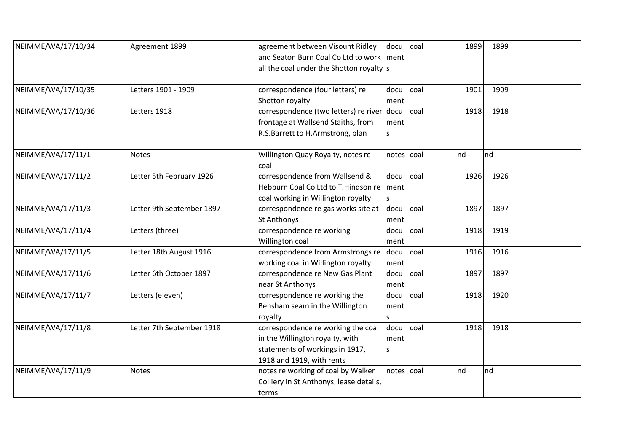| NEIMME/WA/17/10/34 | Agreement 1899            | agreement between Visount Ridley             | docu       | coal | 1899 | 1899 |  |
|--------------------|---------------------------|----------------------------------------------|------------|------|------|------|--|
|                    |                           | and Seaton Burn Coal Co Ltd to work   ment   |            |      |      |      |  |
|                    |                           | all the coal under the Shotton royalty $ s $ |            |      |      |      |  |
|                    |                           |                                              |            |      |      |      |  |
| NEIMME/WA/17/10/35 | Letters 1901 - 1909       | correspondence (four letters) re             | docu       | coal | 1901 | 1909 |  |
|                    |                           | Shotton royalty                              | ment       |      |      |      |  |
| NEIMME/WA/17/10/36 | Letters 1918              | correspondence (two letters) re river docu   |            | coal | 1918 | 1918 |  |
|                    |                           | frontage at Wallsend Staiths, from           | ment       |      |      |      |  |
|                    |                           | R.S.Barrett to H.Armstrong, plan             | S          |      |      |      |  |
| NEIMME/WA/17/11/1  | Notes                     | Willington Quay Royalty, notes re            | notes coal |      | nd   | nd   |  |
|                    |                           | coal                                         |            |      |      |      |  |
| NEIMME/WA/17/11/2  | Letter 5th February 1926  | correspondence from Wallsend &               | docu       | coal | 1926 | 1926 |  |
|                    |                           | Hebburn Coal Co Ltd to T. Hindson re         | ment       |      |      |      |  |
|                    |                           | coal working in Willington royalty           |            |      |      |      |  |
| NEIMME/WA/17/11/3  | Letter 9th September 1897 | correspondence re gas works site at          | docu       | coal | 1897 | 1897 |  |
|                    |                           | <b>St Anthonys</b>                           | ment       |      |      |      |  |
| NEIMME/WA/17/11/4  | Letters (three)           | correspondence re working                    | docu       | coal | 1918 | 1919 |  |
|                    |                           | Willington coal                              | ment       |      |      |      |  |
| NEIMME/WA/17/11/5  | Letter 18th August 1916   | correspondence from Armstrongs re            | docu       | coal | 1916 | 1916 |  |
|                    |                           | working coal in Willington royalty           | ment       |      |      |      |  |
| NEIMME/WA/17/11/6  | Letter 6th October 1897   | correspondence re New Gas Plant              | docu       | coal | 1897 | 1897 |  |
|                    |                           | near St Anthonys                             | ment       |      |      |      |  |
| NEIMME/WA/17/11/7  | Letters (eleven)          | correspondence re working the                | docu       | coal | 1918 | 1920 |  |
|                    |                           | Bensham seam in the Willington               | ment       |      |      |      |  |
|                    |                           | royalty                                      | S          |      |      |      |  |
| NEIMME/WA/17/11/8  | Letter 7th September 1918 | correspondence re working the coal           | docu       | coal | 1918 | 1918 |  |
|                    |                           | in the Willington royalty, with              | ment       |      |      |      |  |
|                    |                           | statements of workings in 1917,              | S          |      |      |      |  |
|                    |                           | 1918 and 1919, with rents                    |            |      |      |      |  |
| NEIMME/WA/17/11/9  | Notes                     | notes re working of coal by Walker           | notes coal |      | nd   | nd   |  |
|                    |                           | Colliery in St Anthonys, lease details,      |            |      |      |      |  |
|                    |                           | terms                                        |            |      |      |      |  |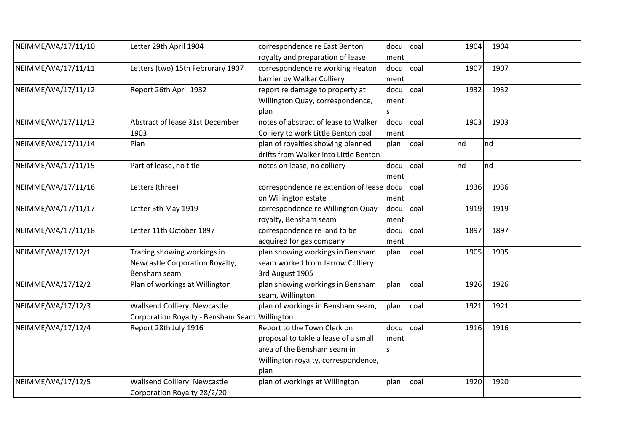| NEIMME/WA/17/11/10 | Letter 29th April 1904             | correspondence re East Benton             | docu | coal | 1904    | 1904 |  |
|--------------------|------------------------------------|-------------------------------------------|------|------|---------|------|--|
|                    |                                    | royalty and preparation of lease          | ment |      |         |      |  |
| NEIMME/WA/17/11/11 | Letters (two) 15th Februrary 1907  | correspondence re working Heaton          | docu | coal | 1907    | 1907 |  |
|                    |                                    | barrier by Walker Colliery                | ment |      |         |      |  |
| NEIMME/WA/17/11/12 | Report 26th April 1932             | report re damage to property at           | docu | coal | 1932    | 1932 |  |
|                    |                                    | Willington Quay, correspondence,          | ment |      |         |      |  |
|                    |                                    | plan                                      |      |      |         |      |  |
| NEIMME/WA/17/11/13 | Abstract of lease 31st December    | notes of abstract of lease to Walker      | docu | coal | 1903    | 1903 |  |
|                    | 1903                               | Colliery to work Little Benton coal       | ment |      |         |      |  |
| NEIMME/WA/17/11/14 | Plan                               | plan of royalties showing planned         | plan | coal | $\ln d$ | nd   |  |
|                    |                                    | drifts from Walker into Little Benton     |      |      |         |      |  |
| NEIMME/WA/17/11/15 | Part of lease, no title            | notes on lease, no colliery               | docu | coal | $\ln d$ | nd   |  |
|                    |                                    |                                           | ment |      |         |      |  |
| NEIMME/WA/17/11/16 | Letters (three)                    | correspondence re extention of lease docu |      | coal | 1936    | 1936 |  |
|                    |                                    | on Willington estate                      | ment |      |         |      |  |
| NEIMME/WA/17/11/17 | Letter 5th May 1919                | correspondence re Willington Quay         | docu | coal | 1919    | 1919 |  |
|                    |                                    | royalty, Bensham seam                     | ment |      |         |      |  |
| NEIMME/WA/17/11/18 | Letter 11th October 1897           | correspondence re land to be              | docu | coal | 1897    | 1897 |  |
|                    |                                    | acquired for gas company                  | ment |      |         |      |  |
| NEIMME/WA/17/12/1  | Tracing showing workings in        | plan showing workings in Bensham          | plan | coal | 1905    | 1905 |  |
|                    | Newcastle Corporation Royalty,     | seam worked from Jarrow Colliery          |      |      |         |      |  |
|                    | Bensham seam                       | 3rd August 1905                           |      |      |         |      |  |
| NEIMME/WA/17/12/2  | Plan of workings at Willington     | plan showing workings in Bensham          | plan | coal | 1926    | 1926 |  |
|                    |                                    | seam, Willington                          |      |      |         |      |  |
| NEIMME/WA/17/12/3  | Wallsend Colliery. Newcastle       | plan of workings in Bensham seam,         | plan | coal | 1921    | 1921 |  |
|                    | Corporation Royalty - Bensham Seam | Willington                                |      |      |         |      |  |
| NEIMME/WA/17/12/4  | Report 28th July 1916              | Report to the Town Clerk on               | docu | coal | 1916    | 1916 |  |
|                    |                                    | proposal to takle a lease of a small      | ment |      |         |      |  |
|                    |                                    | area of the Bensham seam in               |      |      |         |      |  |
|                    |                                    | Willington royalty, correspondence,       |      |      |         |      |  |
|                    |                                    | plan                                      |      |      |         |      |  |
| NEIMME/WA/17/12/5  | Wallsend Colliery. Newcastle       | plan of workings at Willington            | plan | coal | 1920    | 1920 |  |
|                    | Corporation Royalty 28/2/20        |                                           |      |      |         |      |  |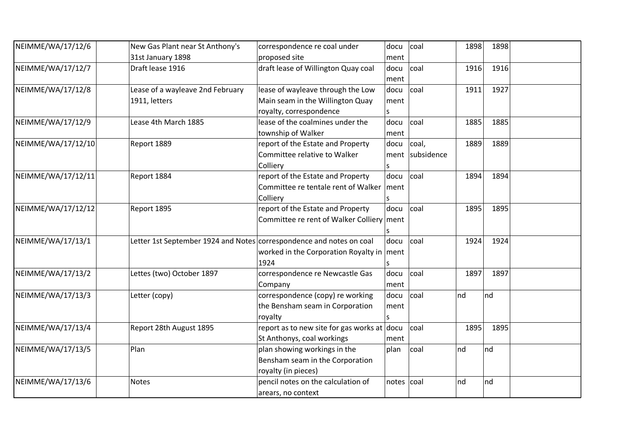| NEIMME/WA/17/12/6  | New Gas Plant near St Anthony's                                      | correspondence re coal under                | docu  | coal       | 1898    | 1898 |  |
|--------------------|----------------------------------------------------------------------|---------------------------------------------|-------|------------|---------|------|--|
|                    | 31st January 1898                                                    | proposed site                               | ment  |            |         |      |  |
| NEIMME/WA/17/12/7  | Draft lease 1916                                                     | draft lease of Willington Quay coal         | docu  | coal       | 1916    | 1916 |  |
|                    |                                                                      |                                             | ment  |            |         |      |  |
| NEIMME/WA/17/12/8  | Lease of a wayleave 2nd February                                     | lease of wayleave through the Low           | docu  | coal       | 1911    | 1927 |  |
|                    | 1911, letters                                                        | Main seam in the Willington Quay            | ment  |            |         |      |  |
|                    |                                                                      | royalty, correspondence                     |       |            |         |      |  |
| NEIMME/WA/17/12/9  | Lease 4th March 1885                                                 | lease of the coalmines under the            | docu  | coal       | 1885    | 1885 |  |
|                    |                                                                      | township of Walker                          | ment  |            |         |      |  |
| NEIMME/WA/17/12/10 | Report 1889                                                          | report of the Estate and Property           | docu  | coal,      | 1889    | 1889 |  |
|                    |                                                                      | Committee relative to Walker                | ment  | subsidence |         |      |  |
|                    |                                                                      | Colliery                                    | S     |            |         |      |  |
| NEIMME/WA/17/12/11 | Report 1884                                                          | report of the Estate and Property           | docu  | coal       | 1894    | 1894 |  |
|                    |                                                                      | Committee re tentale rent of Walker         | ment  |            |         |      |  |
|                    |                                                                      | Colliery                                    |       |            |         |      |  |
| NEIMME/WA/17/12/12 | Report 1895                                                          | report of the Estate and Property           | docu  | coal       | 1895    | 1895 |  |
|                    |                                                                      | Committee re rent of Walker Colliery ment   |       |            |         |      |  |
|                    |                                                                      |                                             |       |            |         |      |  |
| NEIMME/WA/17/13/1  | Letter 1st September 1924 and Notes correspondence and notes on coal |                                             | docu  | coal       | 1924    | 1924 |  |
|                    |                                                                      | worked in the Corporation Royalty in ment   |       |            |         |      |  |
|                    |                                                                      | 1924                                        |       |            |         |      |  |
| NEIMME/WA/17/13/2  | Lettes (two) October 1897                                            | correspondence re Newcastle Gas             | docu  | coal       | 1897    | 1897 |  |
|                    |                                                                      | Company                                     | ment  |            |         |      |  |
| NEIMME/WA/17/13/3  | Letter (copy)                                                        | correspondence (copy) re working            | docu  | coal       | nd      | nd   |  |
|                    |                                                                      | the Bensham seam in Corporation             | ment  |            |         |      |  |
|                    |                                                                      | royalty                                     | S     |            |         |      |  |
| NEIMME/WA/17/13/4  | Report 28th August 1895                                              | report as to new site for gas works at docu |       | coal       | 1895    | 1895 |  |
|                    |                                                                      | St Anthonys, coal workings                  | ment  |            |         |      |  |
| NEIMME/WA/17/13/5  | Plan                                                                 | plan showing workings in the                | plan  | coal       | $\ln d$ | nd   |  |
|                    |                                                                      | Bensham seam in the Corporation             |       |            |         |      |  |
|                    |                                                                      | royalty (in pieces)                         |       |            |         |      |  |
| NEIMME/WA/17/13/6  | <b>Notes</b>                                                         | pencil notes on the calculation of          | notes | coal       | nd      | nd   |  |
|                    |                                                                      | arears, no context                          |       |            |         |      |  |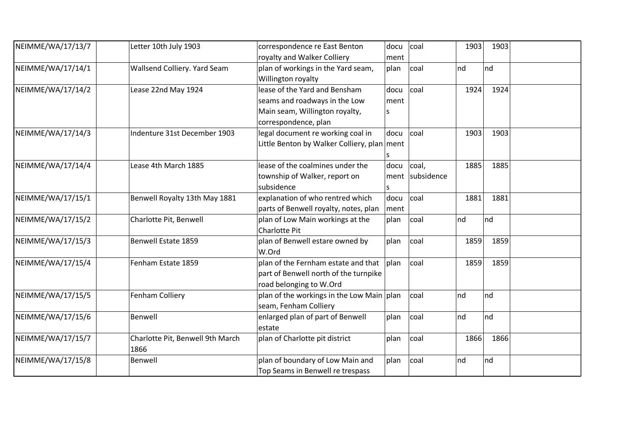| NEIMME/WA/17/13/7 | Letter 10th July 1903                    | correspondence re East Benton<br>royalty and Walker Colliery                                                             | docu<br>ment      | coal                     | 1903      | 1903 |
|-------------------|------------------------------------------|--------------------------------------------------------------------------------------------------------------------------|-------------------|--------------------------|-----------|------|
| NEIMME/WA/17/14/1 | Wallsend Colliery. Yard Seam             | plan of workings in the Yard seam,<br>Willington royalty                                                                 | plan              | coal                     | Ind<br>nd |      |
| NEIMME/WA/17/14/2 | Lease 22nd May 1924                      | lease of the Yard and Bensham<br>seams and roadways in the Low<br>Main seam, Willington royalty,<br>correspondence, plan | docu<br>ment<br>S | coal                     | 1924      | 1924 |
| NEIMME/WA/17/14/3 | Indenture 31st December 1903             | legal document re working coal in<br>Little Benton by Walker Colliery, plan ment                                         | docu              | coal                     | 1903      | 1903 |
| NEIMME/WA/17/14/4 | Lease 4th March 1885                     | lease of the coalmines under the<br>township of Walker, report on<br>subsidence                                          | docu<br>S         | coal,<br>ment subsidence | 1885      | 1885 |
| NEIMME/WA/17/15/1 | Benwell Royalty 13th May 1881            | explanation of who rentred which<br>parts of Benwell royalty, notes, plan                                                | docu<br>ment      | coal                     | 1881      | 1881 |
| NEIMME/WA/17/15/2 | Charlotte Pit, Benwell                   | plan of Low Main workings at the<br><b>Charlotte Pit</b>                                                                 | plan              | coal                     | nd<br>nd  |      |
| NEIMME/WA/17/15/3 | Benwell Estate 1859                      | plan of Benwell estare owned by<br>W.Ord                                                                                 | plan              | coal                     | 1859      | 1859 |
| NEIMME/WA/17/15/4 | Fenham Estate 1859                       | plan of the Fernham estate and that<br>part of Benwell north of the turnpike<br>road belonging to W.Ord                  | plan              | coal                     | 1859      | 1859 |
| NEIMME/WA/17/15/5 | Fenham Colliery                          | plan of the workings in the Low Main   plan<br>seam, Fenham Colliery                                                     |                   | coal                     | Ind<br>nd |      |
| NEIMME/WA/17/15/6 | Benwell                                  | enlarged plan of part of Benwell<br>estate                                                                               | plan              | coal                     | nd<br>Ind |      |
| NEIMME/WA/17/15/7 | Charlotte Pit, Benwell 9th March<br>1866 | plan of Charlotte pit district                                                                                           | plan              | coal                     | 1866      | 1866 |
| NEIMME/WA/17/15/8 | Benwell                                  | plan of boundary of Low Main and<br>Top Seams in Benwell re trespass                                                     | plan              | coal                     | nd<br>nd  |      |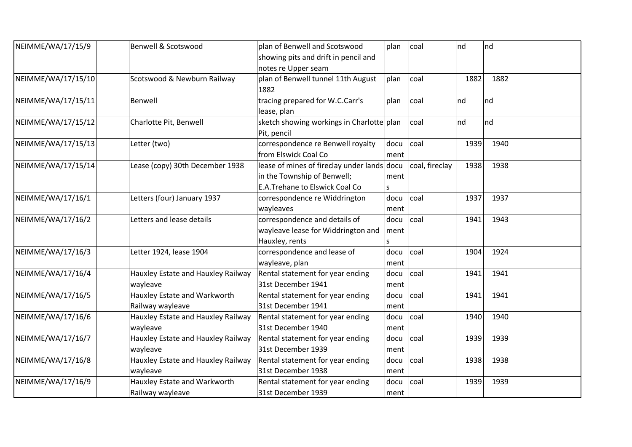| NEIMME/WA/17/15/9  | <b>Benwell &amp; Scotswood</b>     | plan of Benwell and Scotswood               | plan | coal           | nd   | Ind  |  |
|--------------------|------------------------------------|---------------------------------------------|------|----------------|------|------|--|
|                    |                                    | showing pits and drift in pencil and        |      |                |      |      |  |
|                    |                                    | notes re Upper seam                         |      |                |      |      |  |
| NEIMME/WA/17/15/10 | Scotswood & Newburn Railway        | plan of Benwell tunnel 11th August          | plan | coal           | 1882 | 1882 |  |
|                    |                                    | 1882                                        |      |                |      |      |  |
| NEIMME/WA/17/15/11 | Benwell                            | tracing prepared for W.C.Carr's             | plan | coal           | nd   | nd   |  |
|                    |                                    | lease, plan                                 |      |                |      |      |  |
| NEIMME/WA/17/15/12 | Charlotte Pit, Benwell             | sketch showing workings in Charlotte plan   |      | coal           | nd   | nd   |  |
|                    |                                    | Pit, pencil                                 |      |                |      |      |  |
| NEIMME/WA/17/15/13 | Letter (two)                       | correspondence re Benwell royalty           | docu | coal           | 1939 | 1940 |  |
|                    |                                    | from Elswick Coal Co                        | ment |                |      |      |  |
| NEIMME/WA/17/15/14 | Lease (copy) 30th December 1938    | lease of mines of fireclay under lands docu |      | coal, fireclay | 1938 | 1938 |  |
|                    |                                    | in the Township of Benwell;                 | ment |                |      |      |  |
|                    |                                    | <b>E.A.Trehane to Elswick Coal Co</b>       | S    |                |      |      |  |
| NEIMME/WA/17/16/1  | Letters (four) January 1937        | correspondence re Widdrington               | docu | coal           | 1937 | 1937 |  |
|                    |                                    | wayleaves                                   | ment |                |      |      |  |
| NEIMME/WA/17/16/2  | Letters and lease details          | correspondence and details of               | docu | coal           | 1941 | 1943 |  |
|                    |                                    | wayleave lease for Widdrington and          | ment |                |      |      |  |
|                    |                                    | Hauxley, rents                              | S    |                |      |      |  |
| NEIMME/WA/17/16/3  | Letter 1924, lease 1904            | correspondence and lease of                 | docu | coal           | 1904 | 1924 |  |
|                    |                                    | wayleave, plan                              | ment |                |      |      |  |
| NEIMME/WA/17/16/4  | Hauxley Estate and Hauxley Railway | Rental statement for year ending            | docu | coal           | 1941 | 1941 |  |
|                    | wayleave                           | 31st December 1941                          | ment |                |      |      |  |
| NEIMME/WA/17/16/5  | Hauxley Estate and Warkworth       | Rental statement for year ending            | docu | coal           | 1941 | 1941 |  |
|                    | Railway wayleave                   | 31st December 1941                          | ment |                |      |      |  |
| NEIMME/WA/17/16/6  | Hauxley Estate and Hauxley Railway | Rental statement for year ending            | docu | coal           | 1940 | 1940 |  |
|                    | wayleave                           | 31st December 1940                          | ment |                |      |      |  |
| NEIMME/WA/17/16/7  | Hauxley Estate and Hauxley Railway | Rental statement for year ending            | docu | coal           | 1939 | 1939 |  |
|                    | wayleave                           | 31st December 1939                          | ment |                |      |      |  |
| NEIMME/WA/17/16/8  | Hauxley Estate and Hauxley Railway | Rental statement for year ending            | docu | coal           | 1938 | 1938 |  |
|                    | wayleave                           | 31st December 1938                          | ment |                |      |      |  |
| NEIMME/WA/17/16/9  | Hauxley Estate and Warkworth       | Rental statement for year ending            | docu | coal           | 1939 | 1939 |  |
|                    | Railway wayleave                   | 31st December 1939                          | ment |                |      |      |  |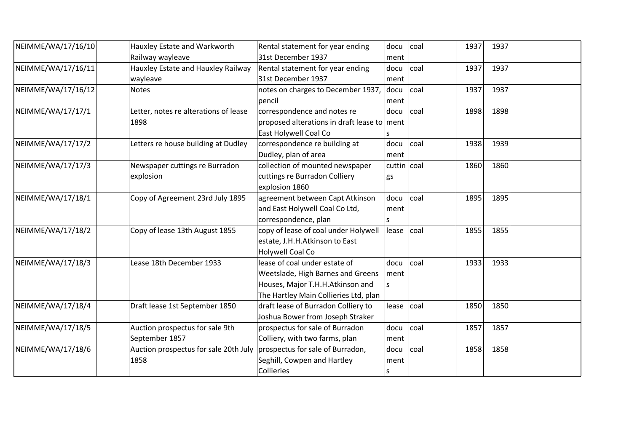| NEIMME/WA/17/16/10 | Hauxley Estate and Warkworth          | Rental statement for year ending            | docu        | coal | 1937 | 1937 |  |
|--------------------|---------------------------------------|---------------------------------------------|-------------|------|------|------|--|
|                    | Railway wayleave                      | 31st December 1937                          | ment        |      |      |      |  |
| NEIMME/WA/17/16/11 | Hauxley Estate and Hauxley Railway    | Rental statement for year ending            | docu        | coal | 1937 | 1937 |  |
|                    | wayleave                              | 31st December 1937                          | ment        |      |      |      |  |
| NEIMME/WA/17/16/12 | <b>Notes</b>                          | notes on charges to December 1937,          | docu        | coal | 1937 | 1937 |  |
|                    |                                       | pencil                                      | ment        |      |      |      |  |
| NEIMME/WA/17/17/1  | Letter, notes re alterations of lease | correspondence and notes re                 | docu        | coal | 1898 | 1898 |  |
|                    | 1898                                  | proposed alterations in draft lease to ment |             |      |      |      |  |
|                    |                                       | East Holywell Coal Co                       |             |      |      |      |  |
| NEIMME/WA/17/17/2  | Letters re house building at Dudley   | correspondence re building at               | docu        | coal | 1938 | 1939 |  |
|                    |                                       | Dudley, plan of area                        | ment        |      |      |      |  |
| NEIMME/WA/17/17/3  | Newspaper cuttings re Burradon        | collection of mounted newspaper             | cuttin coal |      | 1860 | 1860 |  |
|                    | explosion                             | cuttings re Burradon Colliery               | gs          |      |      |      |  |
|                    |                                       | explosion 1860                              |             |      |      |      |  |
| NEIMME/WA/17/18/1  | Copy of Agreement 23rd July 1895      | agreement between Capt Atkinson             | docu        | coal | 1895 | 1895 |  |
|                    |                                       | and East Holywell Coal Co Ltd,              | ment        |      |      |      |  |
|                    |                                       | correspondence, plan                        |             |      |      |      |  |
| NEIMME/WA/17/18/2  | Copy of lease 13th August 1855        | copy of lease of coal under Holywell        | lease       | coal | 1855 | 1855 |  |
|                    |                                       | estate, J.H.H.Atkinson to East              |             |      |      |      |  |
|                    |                                       | <b>Holywell Coal Co</b>                     |             |      |      |      |  |
| NEIMME/WA/17/18/3  | Lease 18th December 1933              | lease of coal under estate of               | docu        | coal | 1933 | 1933 |  |
|                    |                                       | Weetslade, High Barnes and Greens           | ment        |      |      |      |  |
|                    |                                       | Houses, Major T.H.H.Atkinson and            | ls          |      |      |      |  |
|                    |                                       | The Hartley Main Collieries Ltd, plan       |             |      |      |      |  |
| NEIMME/WA/17/18/4  | Draft lease 1st September 1850        | draft lease of Burradon Colliery to         | lease       | coal | 1850 | 1850 |  |
|                    |                                       | Joshua Bower from Joseph Straker            |             |      |      |      |  |
| NEIMME/WA/17/18/5  | Auction prospectus for sale 9th       | prospectus for sale of Burradon             | docu        | coal | 1857 | 1857 |  |
|                    | September 1857                        | Colliery, with two farms, plan              | ment        |      |      |      |  |
| NEIMME/WA/17/18/6  | Auction prospectus for sale 20th July | prospectus for sale of Burradon,            | docu        | coal | 1858 | 1858 |  |
|                    | 1858                                  | Seghill, Cowpen and Hartley                 | ment        |      |      |      |  |
|                    |                                       | Collieries                                  | S           |      |      |      |  |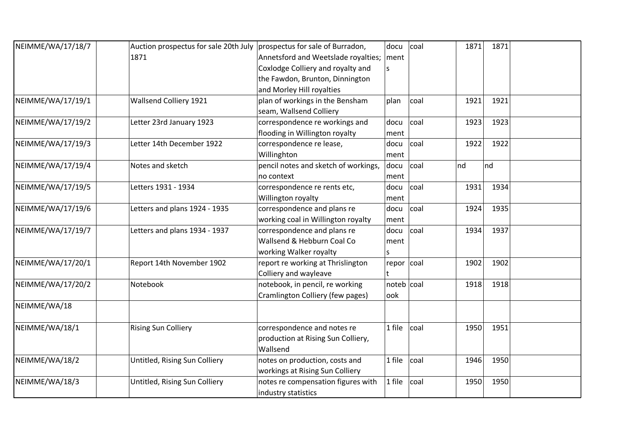| NEIMME/WA/17/18/7 | Auction prospectus for sale 20th July | prospectus for sale of Burradon,     | docu        | coal | 1871 | 1871 |  |
|-------------------|---------------------------------------|--------------------------------------|-------------|------|------|------|--|
|                   | 1871                                  | Annetsford and Weetslade royalties;  | ment        |      |      |      |  |
|                   |                                       | Coxlodge Colliery and royalty and    | S           |      |      |      |  |
|                   |                                       | the Fawdon, Brunton, Dinnington      |             |      |      |      |  |
|                   |                                       | and Morley Hill royalties            |             |      |      |      |  |
| NEIMME/WA/17/19/1 | Wallsend Colliery 1921                | plan of workings in the Bensham      | plan        | coal | 1921 | 1921 |  |
|                   |                                       | seam, Wallsend Colliery              |             |      |      |      |  |
| NEIMME/WA/17/19/2 | Letter 23rd January 1923              | correspondence re workings and       | docu        | coal | 1923 | 1923 |  |
|                   |                                       | flooding in Willington royalty       | ment        |      |      |      |  |
| NEIMME/WA/17/19/3 | Letter 14th December 1922             | correspondence re lease,             | docu        | coal | 1922 | 1922 |  |
|                   |                                       | Willinghton                          | ment        |      |      |      |  |
| NEIMME/WA/17/19/4 | Notes and sketch                      | pencil notes and sketch of workings, | docu        | coal | nd   | nd   |  |
|                   |                                       | no context                           | ment        |      |      |      |  |
| NEIMME/WA/17/19/5 | Letters 1931 - 1934                   | correspondence re rents etc,         | docu        | coal | 1931 | 1934 |  |
|                   |                                       | Willington royalty                   | ment        |      |      |      |  |
| NEIMME/WA/17/19/6 | Letters and plans 1924 - 1935         | correspondence and plans re          | docu        | coal | 1924 | 1935 |  |
|                   |                                       | working coal in Willington royalty   | ment        |      |      |      |  |
| NEIMME/WA/17/19/7 | Letters and plans 1934 - 1937         | correspondence and plans re          | docu        | coal | 1934 | 1937 |  |
|                   |                                       | Wallsend & Hebburn Coal Co           | ment        |      |      |      |  |
|                   |                                       | working Walker royalty               | S           |      |      |      |  |
| NEIMME/WA/17/20/1 | Report 14th November 1902             | report re working at Thrislington    | repor coal  |      | 1902 | 1902 |  |
|                   |                                       | Colliery and wayleave                |             |      |      |      |  |
| NEIMME/WA/17/20/2 | Notebook                              | notebook, in pencil, re working      | noteb  coal |      | 1918 | 1918 |  |
|                   |                                       | Cramlington Colliery (few pages)     | look        |      |      |      |  |
| NEIMME/WA/18      |                                       |                                      |             |      |      |      |  |
| NEIMME/WA/18/1    | <b>Rising Sun Colliery</b>            | correspondence and notes re          | $1$ file    | coal | 1950 | 1951 |  |
|                   |                                       | production at Rising Sun Colliery,   |             |      |      |      |  |
|                   |                                       | Wallsend                             |             |      |      |      |  |
| NEIMME/WA/18/2    | Untitled, Rising Sun Colliery         | notes on production, costs and       | $1$ file    | coal | 1946 | 1950 |  |
|                   |                                       | workings at Rising Sun Colliery      |             |      |      |      |  |
| NEIMME/WA/18/3    | Untitled, Rising Sun Colliery         | notes re compensation figures with   | $1$ file    | coal | 1950 | 1950 |  |
|                   |                                       | industry statistics                  |             |      |      |      |  |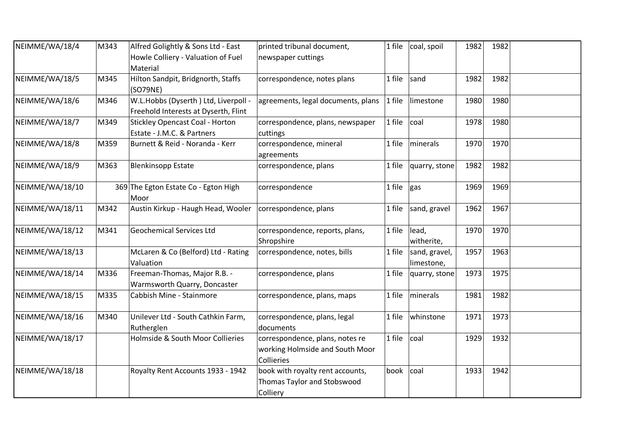| NEIMME/WA/18/4  | M343 | Alfred Golightly & Sons Ltd - East                                            | printed tribunal document,                                                       | 1 file | coal, spoil                 | 1982 | 1982 |  |
|-----------------|------|-------------------------------------------------------------------------------|----------------------------------------------------------------------------------|--------|-----------------------------|------|------|--|
|                 |      | Howle Colliery - Valuation of Fuel<br>Material                                | newspaper cuttings                                                               |        |                             |      |      |  |
| NEIMME/WA/18/5  | M345 | Hilton Sandpit, Bridgnorth, Staffs<br>(SO79NE)                                | correspondence, notes plans                                                      | 1 file | sand                        | 1982 | 1982 |  |
| NEIMME/WA/18/6  | M346 | W.L.Hobbs (Dyserth ) Ltd, Liverpoll -<br>Freehold Interests at Dyserth, Flint | agreements, legal documents, plans                                               | 1 file | limestone                   | 1980 | 1980 |  |
| NEIMME/WA/18/7  | M349 | <b>Stickley Opencast Coal - Horton</b><br>Estate - J.M.C. & Partners          | correspondence, plans, newspaper<br>cuttings                                     | 1 file | coal                        | 1978 | 1980 |  |
| NEIMME/WA/18/8  | M359 | Burnett & Reid - Noranda - Kerr                                               | correspondence, mineral<br>agreements                                            | 1 file | minerals                    | 1970 | 1970 |  |
| NEIMME/WA/18/9  | M363 | <b>Blenkinsopp Estate</b>                                                     | correspondence, plans                                                            | 1 file | quarry, stone               | 1982 | 1982 |  |
| NEIMME/WA/18/10 |      | 369 The Egton Estate Co - Egton High<br>Moor                                  | correspondence                                                                   | 1 file | gas                         | 1969 | 1969 |  |
| NEIMME/WA/18/11 | M342 | Austin Kirkup - Haugh Head, Wooler                                            | correspondence, plans                                                            | 1 file | sand, gravel                | 1962 | 1967 |  |
| NEIMME/WA/18/12 | M341 | <b>Geochemical Services Ltd</b>                                               | correspondence, reports, plans,<br>Shropshire                                    | 1 file | lead,<br>witherite,         | 1970 | 1970 |  |
| NEIMME/WA/18/13 |      | McLaren & Co (Belford) Ltd - Rating<br>Valuation                              | correspondence, notes, bills                                                     | 1 file | sand, gravel,<br>limestone, | 1957 | 1963 |  |
| NEIMME/WA/18/14 | M336 | Freeman-Thomas, Major R.B. -<br>Warmsworth Quarry, Doncaster                  | correspondence, plans                                                            | 1 file | quarry, stone               | 1973 | 1975 |  |
| NEIMME/WA/18/15 | M335 | Cabbish Mine - Stainmore                                                      | correspondence, plans, maps                                                      | 1 file | minerals                    | 1981 | 1982 |  |
| NEIMME/WA/18/16 | M340 | Unilever Ltd - South Cathkin Farm,<br>Rutherglen                              | correspondence, plans, legal<br>documents                                        | 1 file | whinstone                   | 1971 | 1973 |  |
| NEIMME/WA/18/17 |      | Holmside & South Moor Collieries                                              | correspondence, plans, notes re<br>working Holmside and South Moor<br>Collieries | 1 file | coal                        | 1929 | 1932 |  |
| NEIMME/WA/18/18 |      | Royalty Rent Accounts 1933 - 1942                                             | book with royalty rent accounts,<br>Thomas Taylor and Stobswood<br>Colliery      | book   | coal                        | 1933 | 1942 |  |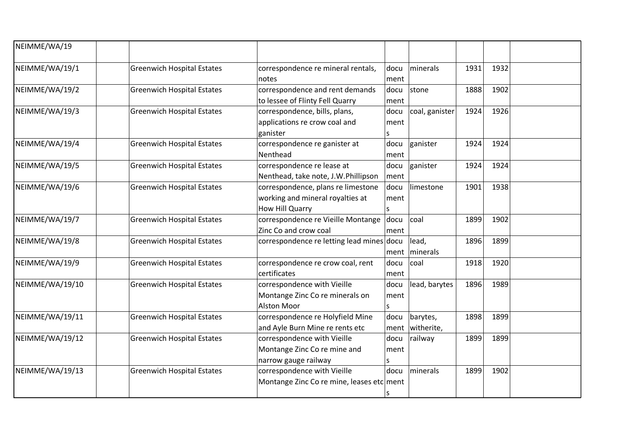| NEIMME/WA/19    |                                   |                                                                                           |                     |                        |      |      |  |
|-----------------|-----------------------------------|-------------------------------------------------------------------------------------------|---------------------|------------------------|------|------|--|
| NEIMME/WA/19/1  | <b>Greenwich Hospital Estates</b> | correspondence re mineral rentals,<br>notes                                               | docu<br>ment        | minerals               | 1931 | 1932 |  |
| NEIMME/WA/19/2  | <b>Greenwich Hospital Estates</b> | correspondence and rent demands<br>to lessee of Flinty Fell Quarry                        | docu<br>ment        | stone                  | 1888 | 1902 |  |
| NEIMME/WA/19/3  | <b>Greenwich Hospital Estates</b> | correspondence, bills, plans,<br>applications re crow coal and<br>ganister                | docu<br>ment<br>S   | coal, ganister         | 1924 | 1926 |  |
| NEIMME/WA/19/4  | <b>Greenwich Hospital Estates</b> | correspondence re ganister at<br>Nenthead                                                 | docu<br>ment        | ganister               | 1924 | 1924 |  |
| NEIMME/WA/19/5  | <b>Greenwich Hospital Estates</b> | correspondence re lease at<br>Nenthead, take note, J.W.Phillipson                         | docu<br>ment        | ganister               | 1924 | 1924 |  |
| NEIMME/WA/19/6  | <b>Greenwich Hospital Estates</b> | correspondence, plans re limestone<br>working and mineral royalties at<br>How Hill Quarry | docu<br>ment<br>ls. | limestone              | 1901 | 1938 |  |
| NEIMME/WA/19/7  | <b>Greenwich Hospital Estates</b> | correspondence re Vieille Montange<br>Zinc Co and crow coal                               | docu<br>ment        | coal                   | 1899 | 1902 |  |
| NEIMME/WA/19/8  | <b>Greenwich Hospital Estates</b> | correspondence re letting lead mines docu                                                 | ment                | lead,<br>minerals      | 1896 | 1899 |  |
| NEIMME/WA/19/9  | <b>Greenwich Hospital Estates</b> | correspondence re crow coal, rent<br>certificates                                         | docu<br>ment        | coal                   | 1918 | 1920 |  |
| NEIMME/WA/19/10 | <b>Greenwich Hospital Estates</b> | correspondence with Vieille<br>Montange Zinc Co re minerals on<br>Alston Moor             | docu<br>ment<br>ls. | lead, barytes          | 1896 | 1989 |  |
| NEIMME/WA/19/11 | <b>Greenwich Hospital Estates</b> | correspondence re Holyfield Mine<br>and Ayle Burn Mine re rents etc                       | docu<br>ment        | barytes,<br>witherite, | 1898 | 1899 |  |
| NEIMME/WA/19/12 | <b>Greenwich Hospital Estates</b> | correspondence with Vieille<br>Montange Zinc Co re mine and<br>narrow gauge railway       | docu<br>ment<br>s   | railway                | 1899 | 1899 |  |
| NEIMME/WA/19/13 | <b>Greenwich Hospital Estates</b> | correspondence with Vieille<br>Montange Zinc Co re mine, leases etc ment                  | docu<br>١s          | minerals               | 1899 | 1902 |  |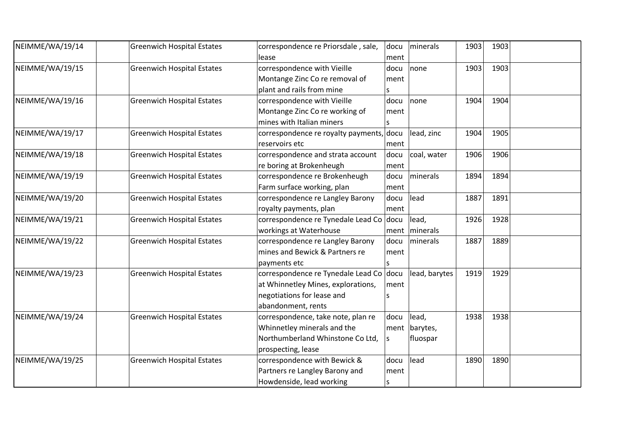| NEIMME/WA/19/14 | <b>Greenwich Hospital Estates</b> | correspondence re Priorsdale, sale,      | docu         | minerals      | 1903 | 1903 |  |
|-----------------|-----------------------------------|------------------------------------------|--------------|---------------|------|------|--|
|                 |                                   | lease                                    | ment         |               |      |      |  |
| NEIMME/WA/19/15 | <b>Greenwich Hospital Estates</b> | correspondence with Vieille              | docu         | none          | 1903 | 1903 |  |
|                 |                                   | Montange Zinc Co re removal of           | ment         |               |      |      |  |
|                 |                                   | plant and rails from mine                | $\mathsf{s}$ |               |      |      |  |
| NEIMME/WA/19/16 | <b>Greenwich Hospital Estates</b> | correspondence with Vieille              | docu         | none          | 1904 | 1904 |  |
|                 |                                   | Montange Zinc Co re working of           | ment         |               |      |      |  |
|                 |                                   | mines with Italian miners                | $\mathsf{s}$ |               |      |      |  |
| NEIMME/WA/19/17 | <b>Greenwich Hospital Estates</b> | correspondence re royalty payments, docu |              | lead, zinc    | 1904 | 1905 |  |
|                 |                                   | reservoirs etc                           | ment         |               |      |      |  |
| NEIMME/WA/19/18 | <b>Greenwich Hospital Estates</b> | correspondence and strata account        | docu         | coal, water   | 1906 | 1906 |  |
|                 |                                   | re boring at Brokenheugh                 | ment         |               |      |      |  |
| NEIMME/WA/19/19 | <b>Greenwich Hospital Estates</b> | correspondence re Brokenheugh            | docu         | minerals      | 1894 | 1894 |  |
|                 |                                   | Farm surface working, plan               | ment         |               |      |      |  |
| NEIMME/WA/19/20 | <b>Greenwich Hospital Estates</b> | correspondence re Langley Barony         | docu         | lead          | 1887 | 1891 |  |
|                 |                                   | royalty payments, plan                   | ment         |               |      |      |  |
| NEIMME/WA/19/21 | <b>Greenwich Hospital Estates</b> | correspondence re Tynedale Lead Co docu  |              | lead,         | 1926 | 1928 |  |
|                 |                                   | workings at Waterhouse                   | ment         | minerals      |      |      |  |
| NEIMME/WA/19/22 | <b>Greenwich Hospital Estates</b> | correspondence re Langley Barony         | docu         | minerals      | 1887 | 1889 |  |
|                 |                                   | mines and Bewick & Partners re           | ment         |               |      |      |  |
|                 |                                   | payments etc                             | $\mathsf S$  |               |      |      |  |
| NEIMME/WA/19/23 | <b>Greenwich Hospital Estates</b> | correspondence re Tynedale Lead Co docu  |              | lead, barytes | 1919 | 1929 |  |
|                 |                                   | at Whinnetley Mines, explorations,       | ment         |               |      |      |  |
|                 |                                   | negotiations for lease and               | ls           |               |      |      |  |
|                 |                                   | abandonment, rents                       |              |               |      |      |  |
| NEIMME/WA/19/24 | <b>Greenwich Hospital Estates</b> | correspondence, take note, plan re       | docu         | lead,         | 1938 | 1938 |  |
|                 |                                   | Whinnetley minerals and the              | ment         | barytes,      |      |      |  |
|                 |                                   | Northumberland Whinstone Co Ltd,         | ls           | fluospar      |      |      |  |
|                 |                                   | prospecting, lease                       |              |               |      |      |  |
| NEIMME/WA/19/25 | <b>Greenwich Hospital Estates</b> | correspondence with Bewick &             | docu         | lead          | 1890 | 1890 |  |
|                 |                                   | Partners re Langley Barony and           | ment         |               |      |      |  |
|                 |                                   | Howdenside, lead working                 | $\mathsf{s}$ |               |      |      |  |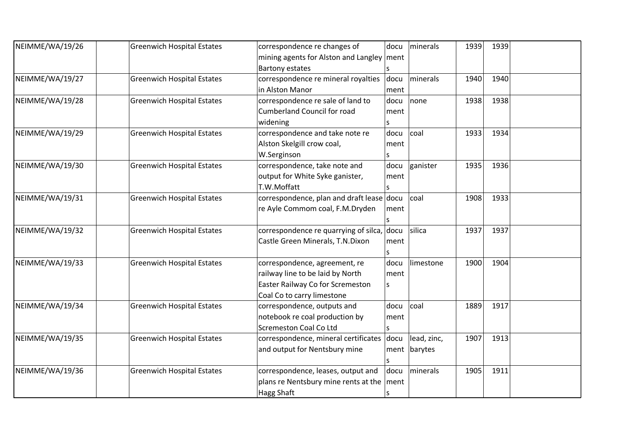| NEIMME/WA/19/26 | <b>Greenwich Hospital Estates</b> | correspondence re changes of               | docu | minerals    | 1939 | 1939 |  |
|-----------------|-----------------------------------|--------------------------------------------|------|-------------|------|------|--|
|                 |                                   | mining agents for Alston and Langley       | ment |             |      |      |  |
|                 |                                   | <b>Bartony estates</b>                     |      |             |      |      |  |
| NEIMME/WA/19/27 | <b>Greenwich Hospital Estates</b> | correspondence re mineral royalties        | docu | minerals    | 1940 | 1940 |  |
|                 |                                   | in Alston Manor                            | ment |             |      |      |  |
| NEIMME/WA/19/28 | <b>Greenwich Hospital Estates</b> | correspondence re sale of land to          | docu | none        | 1938 | 1938 |  |
|                 |                                   | <b>Cumberland Council for road</b>         | ment |             |      |      |  |
|                 |                                   | widening                                   |      |             |      |      |  |
| NEIMME/WA/19/29 | <b>Greenwich Hospital Estates</b> | correspondence and take note re            | docu | coal        | 1933 | 1934 |  |
|                 |                                   | Alston Skelgill crow coal,                 | ment |             |      |      |  |
|                 |                                   | W.Serginson                                |      |             |      |      |  |
| NEIMME/WA/19/30 | <b>Greenwich Hospital Estates</b> | correspondence, take note and              | docu | ganister    | 1935 | 1936 |  |
|                 |                                   | output for White Syke ganister,            | ment |             |      |      |  |
|                 |                                   | T.W.Moffatt                                |      |             |      |      |  |
| NEIMME/WA/19/31 | <b>Greenwich Hospital Estates</b> | correspondence, plan and draft lease docu  |      | coal        | 1908 | 1933 |  |
|                 |                                   | re Ayle Commom coal, F.M.Dryden            | ment |             |      |      |  |
|                 |                                   |                                            |      |             |      |      |  |
| NEIMME/WA/19/32 | <b>Greenwich Hospital Estates</b> | correspondence re quarrying of silca, docu |      | silica      | 1937 | 1937 |  |
|                 |                                   | Castle Green Minerals, T.N.Dixon           | ment |             |      |      |  |
|                 |                                   |                                            | S    |             |      |      |  |
| NEIMME/WA/19/33 | <b>Greenwich Hospital Estates</b> | correspondence, agreement, re              | docu | limestone   | 1900 | 1904 |  |
|                 |                                   | railway line to be laid by North           | ment |             |      |      |  |
|                 |                                   | Easter Railway Co for Scremeston           | S    |             |      |      |  |
|                 |                                   | Coal Co to carry limestone                 |      |             |      |      |  |
| NEIMME/WA/19/34 | <b>Greenwich Hospital Estates</b> | correspondence, outputs and                | docu | coal        | 1889 | 1917 |  |
|                 |                                   | notebook re coal production by             | ment |             |      |      |  |
|                 |                                   | Scremeston Coal Co Ltd                     | S    |             |      |      |  |
| NEIMME/WA/19/35 | <b>Greenwich Hospital Estates</b> | correspondence, mineral certificates       | docu | lead, zinc, | 1907 | 1913 |  |
|                 |                                   | and output for Nentsbury mine              | ment | barytes     |      |      |  |
|                 |                                   |                                            |      |             |      |      |  |
| NEIMME/WA/19/36 | <b>Greenwich Hospital Estates</b> | correspondence, leases, output and         | docu | minerals    | 1905 | 1911 |  |
|                 |                                   | plans re Nentsbury mine rents at the       | ment |             |      |      |  |
|                 |                                   | Hagg Shaft                                 | ls   |             |      |      |  |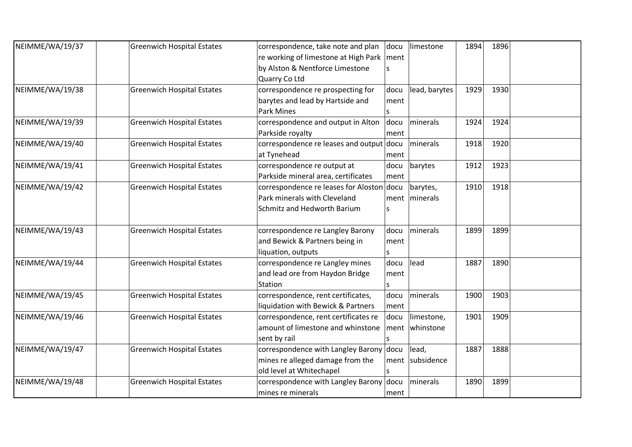| NEIMME/WA/19/37 | <b>Greenwich Hospital Estates</b> | correspondence, take note and plan          | docu | limestone       | 1894 | 1896 |  |
|-----------------|-----------------------------------|---------------------------------------------|------|-----------------|------|------|--|
|                 |                                   | re working of limestone at High Park   ment |      |                 |      |      |  |
|                 |                                   | by Alston & Nentforce Limestone             | ls.  |                 |      |      |  |
|                 |                                   | Quarry Co Ltd                               |      |                 |      |      |  |
| NEIMME/WA/19/38 | <b>Greenwich Hospital Estates</b> | correspondence re prospecting for           | docu | lead, barytes   | 1929 | 1930 |  |
|                 |                                   | barytes and lead by Hartside and            | ment |                 |      |      |  |
|                 |                                   | <b>Park Mines</b>                           | ls.  |                 |      |      |  |
| NEIMME/WA/19/39 | <b>Greenwich Hospital Estates</b> | correspondence and output in Alton          | docu | minerals        | 1924 | 1924 |  |
|                 |                                   | Parkside royalty                            | ment |                 |      |      |  |
| NEIMME/WA/19/40 | <b>Greenwich Hospital Estates</b> | correspondence re leases and output docu    |      | minerals        | 1918 | 1920 |  |
|                 |                                   | at Tynehead                                 | ment |                 |      |      |  |
| NEIMME/WA/19/41 | <b>Greenwich Hospital Estates</b> | correspondence re output at                 | docu | barytes         | 1912 | 1923 |  |
|                 |                                   | Parkside mineral area, certificates         | ment |                 |      |      |  |
| NEIMME/WA/19/42 | <b>Greenwich Hospital Estates</b> | correspondence re leases for Aloston docu   |      | barytes,        | 1910 | 1918 |  |
|                 |                                   | Park minerals with Cleveland                | ment | minerals        |      |      |  |
|                 |                                   | Schmitz and Hedworth Barium                 | S    |                 |      |      |  |
|                 |                                   |                                             |      |                 |      |      |  |
| NEIMME/WA/19/43 | <b>Greenwich Hospital Estates</b> | correspondence re Langley Barony            | docu | minerals        | 1899 | 1899 |  |
|                 |                                   | and Bewick & Partners being in              | ment |                 |      |      |  |
|                 |                                   | liquation, outputs                          | S    |                 |      |      |  |
| NEIMME/WA/19/44 | <b>Greenwich Hospital Estates</b> | correspondence re Langley mines             | docu | lead            | 1887 | 1890 |  |
|                 |                                   | and lead ore from Haydon Bridge             | ment |                 |      |      |  |
|                 |                                   | Station                                     |      |                 |      |      |  |
| NEIMME/WA/19/45 | <b>Greenwich Hospital Estates</b> | correspondence, rent certificates,          | docu | minerals        | 1900 | 1903 |  |
|                 |                                   | liquidation with Bewick & Partners          | ment |                 |      |      |  |
| NEIMME/WA/19/46 | <b>Greenwich Hospital Estates</b> | correspondence, rent certificates re        | docu | limestone,      | 1901 | 1909 |  |
|                 |                                   | amount of limestone and whinstone           | ment | whinstone       |      |      |  |
|                 |                                   | sent by rail                                | ls.  |                 |      |      |  |
| NEIMME/WA/19/47 | <b>Greenwich Hospital Estates</b> | correspondence with Langley Barony docu     |      | lead,           | 1887 | 1888 |  |
|                 |                                   | mines re alleged damage from the            |      | ment subsidence |      |      |  |
|                 |                                   | old level at Whitechapel                    | S    |                 |      |      |  |
| NEIMME/WA/19/48 | <b>Greenwich Hospital Estates</b> | correspondence with Langley Barony docu     |      | minerals        | 1890 | 1899 |  |
|                 |                                   | mines re minerals                           | ment |                 |      |      |  |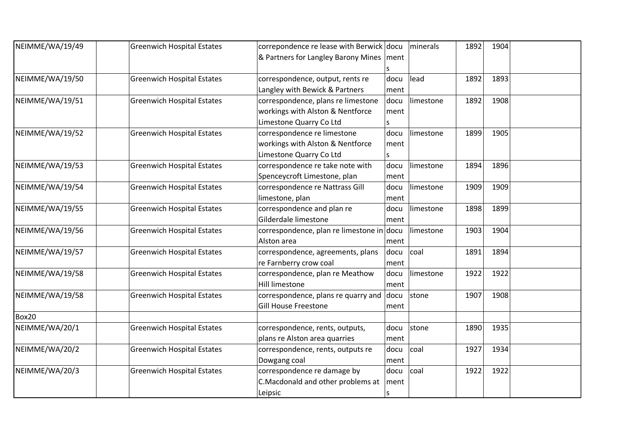| NEIMME/WA/19/49 | <b>Greenwich Hospital Estates</b> | correpondence re lease with Berwick docu  |      | minerals  | 1892 | 1904 |  |
|-----------------|-----------------------------------|-------------------------------------------|------|-----------|------|------|--|
|                 |                                   | & Partners for Langley Barony Mines       | ment |           |      |      |  |
|                 |                                   |                                           |      |           |      |      |  |
| NEIMME/WA/19/50 | <b>Greenwich Hospital Estates</b> | correspondence, output, rents re          | docu | lead      | 1892 | 1893 |  |
|                 |                                   | Langley with Bewick & Partners            | ment |           |      |      |  |
| NEIMME/WA/19/51 | <b>Greenwich Hospital Estates</b> | correspondence, plans re limestone        | docu | limestone | 1892 | 1908 |  |
|                 |                                   | workings with Alston & Nentforce          | ment |           |      |      |  |
|                 |                                   | Limestone Quarry Co Ltd                   |      |           |      |      |  |
| NEIMME/WA/19/52 | <b>Greenwich Hospital Estates</b> | correspondence re limestone               | docu | limestone | 1899 | 1905 |  |
|                 |                                   | workings with Alston & Nentforce          | ment |           |      |      |  |
|                 |                                   | Limestone Quarry Co Ltd                   |      |           |      |      |  |
| NEIMME/WA/19/53 | <b>Greenwich Hospital Estates</b> | correspondence re take note with          | docu | limestone | 1894 | 1896 |  |
|                 |                                   | Spenceycroft Limestone, plan              | ment |           |      |      |  |
| NEIMME/WA/19/54 | <b>Greenwich Hospital Estates</b> | correspondence re Nattrass Gill           | docu | limestone | 1909 | 1909 |  |
|                 |                                   | limestone, plan                           | ment |           |      |      |  |
| NEIMME/WA/19/55 | <b>Greenwich Hospital Estates</b> | correspondence and plan re                | docu | limestone | 1898 | 1899 |  |
|                 |                                   | Gilderdale limestone                      | ment |           |      |      |  |
| NEIMME/WA/19/56 | <b>Greenwich Hospital Estates</b> | correspondence, plan re limestone in docu |      | limestone | 1903 | 1904 |  |
|                 |                                   | Alston area                               | ment |           |      |      |  |
| NEIMME/WA/19/57 | <b>Greenwich Hospital Estates</b> | correspondence, agreements, plans         | docu | coal      | 1891 | 1894 |  |
|                 |                                   | re Farnberry crow coal                    | ment |           |      |      |  |
| NEIMME/WA/19/58 | <b>Greenwich Hospital Estates</b> | correspondence, plan re Meathow           | docu | limestone | 1922 | 1922 |  |
|                 |                                   | Hill limestone                            | ment |           |      |      |  |
| NEIMME/WA/19/58 | <b>Greenwich Hospital Estates</b> | correspondence, plans re quarry and       | docu | stone     | 1907 | 1908 |  |
|                 |                                   | <b>Gill House Freestone</b>               | ment |           |      |      |  |
| Box20           |                                   |                                           |      |           |      |      |  |
| NEIMME/WA/20/1  | <b>Greenwich Hospital Estates</b> | correspondence, rents, outputs,           | docu | stone     | 1890 | 1935 |  |
|                 |                                   | plans re Alston area quarries             | ment |           |      |      |  |
| NEIMME/WA/20/2  | <b>Greenwich Hospital Estates</b> | correspondence, rents, outputs re         | docu | coal      | 1927 | 1934 |  |
|                 |                                   | Dowgang coal                              | ment |           |      |      |  |
| NEIMME/WA/20/3  | <b>Greenwich Hospital Estates</b> | correspondence re damage by               | docu | coal      | 1922 | 1922 |  |
|                 |                                   | C.Macdonald and other problems at         | ment |           |      |      |  |
|                 |                                   | Leipsic                                   | S    |           |      |      |  |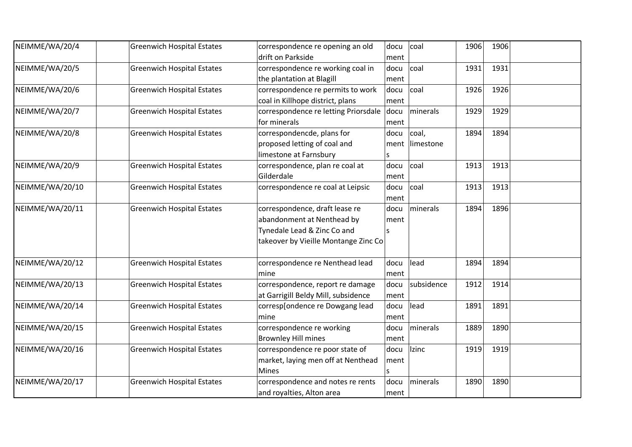| NEIMME/WA/20/4  | <b>Greenwich Hospital Estates</b> | correspondence re opening an old          | docu | coal       | 1906 | 1906 |  |
|-----------------|-----------------------------------|-------------------------------------------|------|------------|------|------|--|
|                 |                                   | drift on Parkside                         | ment |            |      |      |  |
| NEIMME/WA/20/5  | <b>Greenwich Hospital Estates</b> | correspondence re working coal in         | docu | coal       | 1931 | 1931 |  |
|                 |                                   | the plantation at Blagill                 | ment |            |      |      |  |
| NEIMME/WA/20/6  | <b>Greenwich Hospital Estates</b> | correspondence re permits to work         | docu | coal       | 1926 | 1926 |  |
|                 |                                   | coal in Killhope district, plans          | ment |            |      |      |  |
| NEIMME/WA/20/7  | <b>Greenwich Hospital Estates</b> | correspondence re letting Priorsdale docu |      | minerals   | 1929 | 1929 |  |
|                 |                                   | for minerals                              | ment |            |      |      |  |
| NEIMME/WA/20/8  | <b>Greenwich Hospital Estates</b> | correspondencde, plans for                | docu | coal,      | 1894 | 1894 |  |
|                 |                                   | proposed letting of coal and              | ment | limestone  |      |      |  |
|                 |                                   | limestone at Farnsbury                    | S    |            |      |      |  |
| NEIMME/WA/20/9  | <b>Greenwich Hospital Estates</b> | correspondence, plan re coal at           | docu | coal       | 1913 | 1913 |  |
|                 |                                   | Gilderdale                                | ment |            |      |      |  |
| NEIMME/WA/20/10 | <b>Greenwich Hospital Estates</b> | correspondence re coal at Leipsic         | docu | coal       | 1913 | 1913 |  |
|                 |                                   |                                           | ment |            |      |      |  |
| NEIMME/WA/20/11 | <b>Greenwich Hospital Estates</b> | correspondence, draft lease re            | docu | minerals   | 1894 | 1896 |  |
|                 |                                   | abandonment at Nenthead by                | ment |            |      |      |  |
|                 |                                   | Tynedale Lead & Zinc Co and               | ls   |            |      |      |  |
|                 |                                   | takeover by Vieille Montange Zinc Co      |      |            |      |      |  |
| NEIMME/WA/20/12 | <b>Greenwich Hospital Estates</b> | correspondence re Nenthead lead           | docu | lead       | 1894 | 1894 |  |
|                 |                                   | mine                                      | ment |            |      |      |  |
| NEIMME/WA/20/13 | <b>Greenwich Hospital Estates</b> | correspondence, report re damage          | docu | subsidence | 1912 | 1914 |  |
|                 |                                   | at Garrigill Beldy Mill, subsidence       | ment |            |      |      |  |
| NEIMME/WA/20/14 | <b>Greenwich Hospital Estates</b> | corresp[ondence re Dowgang lead           | docu | lead       | 1891 | 1891 |  |
|                 |                                   | mine                                      | ment |            |      |      |  |
| NEIMME/WA/20/15 | <b>Greenwich Hospital Estates</b> | correspondence re working                 | docu | minerals   | 1889 | 1890 |  |
|                 |                                   | <b>Brownley Hill mines</b>                | ment |            |      |      |  |
| NEIMME/WA/20/16 | <b>Greenwich Hospital Estates</b> | correspondence re poor state of           | docu | Izinc      | 1919 | 1919 |  |
|                 |                                   | market, laying men off at Nenthead        | ment |            |      |      |  |
|                 |                                   | <b>Mines</b>                              | S    |            |      |      |  |
| NEIMME/WA/20/17 | <b>Greenwich Hospital Estates</b> | correspondence and notes re rents         | docu | minerals   | 1890 | 1890 |  |
|                 |                                   | and royalties, Alton area                 | ment |            |      |      |  |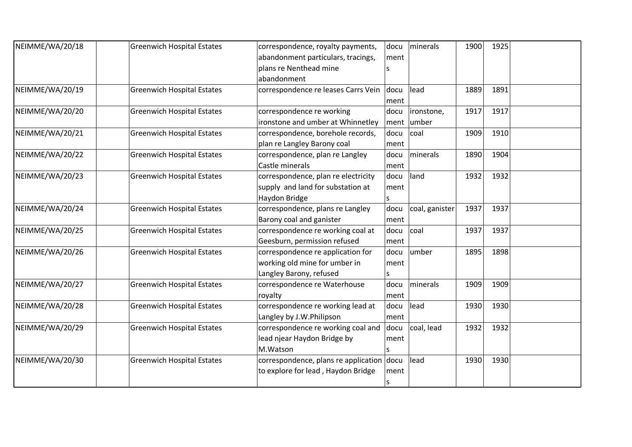| NEIMME/WA/20/18 | <b>Greenwich Hospital Estates</b> | correspondence, royalty payments,         | docu | minerals       | 1900 | 1925 |  |
|-----------------|-----------------------------------|-------------------------------------------|------|----------------|------|------|--|
|                 |                                   | abandonment particulars, tracings,        | ment |                |      |      |  |
|                 |                                   | plans re Nenthead mine                    |      |                |      |      |  |
|                 |                                   | abandonment                               |      |                |      |      |  |
| NEIMME/WA/20/19 | <b>Greenwich Hospital Estates</b> | correspondence re leases Carrs Vein       | docu | lead           | 1889 | 1891 |  |
|                 |                                   |                                           | ment |                |      |      |  |
| NEIMME/WA/20/20 | <b>Greenwich Hospital Estates</b> | correspondence re working                 | docu | ironstone,     | 1917 | 1917 |  |
|                 |                                   | ironstone and umber at Whinnetley         | ment | lumber         |      |      |  |
| NEIMME/WA/20/21 | <b>Greenwich Hospital Estates</b> | correspondence, borehole records,         | docu | coal           | 1909 | 1910 |  |
|                 |                                   | plan re Langley Barony coal               | ment |                |      |      |  |
| NEIMME/WA/20/22 | <b>Greenwich Hospital Estates</b> | correspondence, plan re Langley           | docu | minerals       | 1890 | 1904 |  |
|                 |                                   | Castle minerals                           | ment |                |      |      |  |
| NEIMME/WA/20/23 | <b>Greenwich Hospital Estates</b> | correspondence, plan re electricity       | docu | land           | 1932 | 1932 |  |
|                 |                                   | supply and land for substation at         | ment |                |      |      |  |
|                 |                                   | Haydon Bridge                             | s    |                |      |      |  |
| NEIMME/WA/20/24 | <b>Greenwich Hospital Estates</b> | correspondence, plans re Langley          | docu | coal, ganister | 1937 | 1937 |  |
|                 |                                   | Barony coal and ganister                  | ment |                |      |      |  |
| NEIMME/WA/20/25 | <b>Greenwich Hospital Estates</b> | correspondence re working coal at         | docu | coal           | 1937 | 1937 |  |
|                 |                                   | Geesburn, permission refused              | ment |                |      |      |  |
| NEIMME/WA/20/26 | <b>Greenwich Hospital Estates</b> | correspondence re application for         | docu | lumber         | 1895 | 1898 |  |
|                 |                                   | working old mine for umber in             | ment |                |      |      |  |
|                 |                                   | Langley Barony, refused                   | S    |                |      |      |  |
| NEIMME/WA/20/27 | <b>Greenwich Hospital Estates</b> | correspondence re Waterhouse              | docu | minerals       | 1909 | 1909 |  |
|                 |                                   | royalty                                   | ment |                |      |      |  |
| NEIMME/WA/20/28 | <b>Greenwich Hospital Estates</b> | correspondence re working lead at         | docu | lead           | 1930 | 1930 |  |
|                 |                                   | Langley by J.W.Philipson                  | ment |                |      |      |  |
| NEIMME/WA/20/29 | <b>Greenwich Hospital Estates</b> | correspondence re working coal and        | docu | coal, lead     | 1932 | 1932 |  |
|                 |                                   | lead njear Haydon Bridge by               | ment |                |      |      |  |
|                 |                                   | M.Watson                                  |      |                |      |      |  |
| NEIMME/WA/20/30 | <b>Greenwich Hospital Estates</b> | correspondence, plans re application docu |      | lead           | 1930 | 1930 |  |
|                 |                                   | to explore for lead, Haydon Bridge        | ment |                |      |      |  |
|                 |                                   |                                           | ls   |                |      |      |  |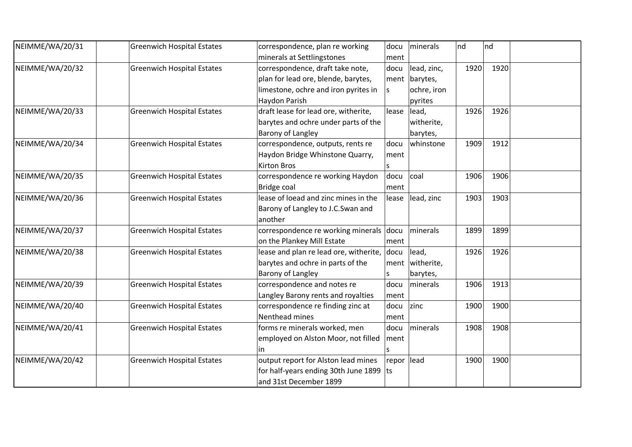| NEIMME/WA/20/31 | <b>Greenwich Hospital Estates</b> | correspondence, plan re working                 | docu       | minerals    | nd   | nd   |  |
|-----------------|-----------------------------------|-------------------------------------------------|------------|-------------|------|------|--|
|                 |                                   | minerals at Settlingstones                      | ment       |             |      |      |  |
| NEIMME/WA/20/32 | <b>Greenwich Hospital Estates</b> | correspondence, draft take note,                | docu       | lead, zinc, | 1920 | 1920 |  |
|                 |                                   | plan for lead ore, blende, barytes,             | ment       | barytes,    |      |      |  |
|                 |                                   | limestone, ochre and iron pyrites in            | ls.        | ochre, iron |      |      |  |
|                 |                                   | Haydon Parish                                   |            | pyrites     |      |      |  |
| NEIMME/WA/20/33 | <b>Greenwich Hospital Estates</b> | draft lease for lead ore, witherite,            | lease      | lead,       | 1926 | 1926 |  |
|                 |                                   | barytes and ochre under parts of the            |            | witherite,  |      |      |  |
|                 |                                   | Barony of Langley                               |            | barytes,    |      |      |  |
| NEIMME/WA/20/34 | <b>Greenwich Hospital Estates</b> | correspondence, outputs, rents re               | docu       | whinstone   | 1909 | 1912 |  |
|                 |                                   | Haydon Bridge Whinstone Quarry,                 | ment       |             |      |      |  |
|                 |                                   | <b>Kirton Bros</b>                              |            |             |      |      |  |
| NEIMME/WA/20/35 | <b>Greenwich Hospital Estates</b> | correspondence re working Haydon                | docu       | coal        | 1906 | 1906 |  |
|                 |                                   | <b>Bridge coal</b>                              | ment       |             |      |      |  |
| NEIMME/WA/20/36 | <b>Greenwich Hospital Estates</b> | lease of loead and zinc mines in the            | lease      | lead, zinc  | 1903 | 1903 |  |
|                 |                                   | Barony of Langley to J.C.Swan and               |            |             |      |      |  |
|                 |                                   | another                                         |            |             |      |      |  |
| NEIMME/WA/20/37 | <b>Greenwich Hospital Estates</b> | correspondence re working minerals docu         |            | minerals    | 1899 | 1899 |  |
|                 |                                   | on the Plankey Mill Estate                      | ment       |             |      |      |  |
| NEIMME/WA/20/38 | <b>Greenwich Hospital Estates</b> | lease and plan re lead ore, witherite, $ $ docu |            | lead,       | 1926 | 1926 |  |
|                 |                                   | barytes and ochre in parts of the               | ment       | witherite,  |      |      |  |
|                 |                                   | Barony of Langley                               | S          | barytes,    |      |      |  |
| NEIMME/WA/20/39 | <b>Greenwich Hospital Estates</b> | correspondence and notes re                     | docu       | minerals    | 1906 | 1913 |  |
|                 |                                   | Langley Barony rents and royalties              | ment       |             |      |      |  |
| NEIMME/WA/20/40 | <b>Greenwich Hospital Estates</b> | correspondence re finding zinc at               | docu       | zinc        | 1900 | 1900 |  |
|                 |                                   | Nenthead mines                                  | ment       |             |      |      |  |
| NEIMME/WA/20/41 | <b>Greenwich Hospital Estates</b> | forms re minerals worked, men                   | docu       | minerals    | 1908 | 1908 |  |
|                 |                                   | employed on Alston Moor, not filled             | ment       |             |      |      |  |
|                 |                                   | in                                              |            |             |      |      |  |
| NEIMME/WA/20/42 | <b>Greenwich Hospital Estates</b> | output report for Alston lead mines             | repor lead |             | 1900 | 1900 |  |
|                 |                                   | for half-years ending 30th June 1899            | lts.       |             |      |      |  |
|                 |                                   | and 31st December 1899                          |            |             |      |      |  |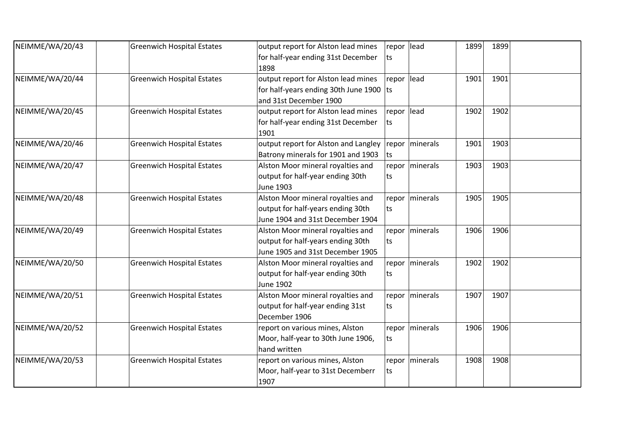| NEIMME/WA/20/43 | <b>Greenwich Hospital Estates</b> | output report for Alston lead mines     | repor lead |                  | 1899 | 1899 |  |
|-----------------|-----------------------------------|-----------------------------------------|------------|------------------|------|------|--|
|                 |                                   | for half-year ending 31st December      | ts         |                  |      |      |  |
|                 |                                   | 1898                                    |            |                  |      |      |  |
| NEIMME/WA/20/44 | <b>Greenwich Hospital Estates</b> | output report for Alston lead mines     | repor lead |                  | 1901 | 1901 |  |
|                 |                                   | for half-years ending 30th June 1900 ts |            |                  |      |      |  |
|                 |                                   | and 31st December 1900                  |            |                  |      |      |  |
| NEIMME/WA/20/45 | <b>Greenwich Hospital Estates</b> | output report for Alston lead mines     | repor lead |                  | 1902 | 1902 |  |
|                 |                                   | for half-year ending 31st December      | ts         |                  |      |      |  |
|                 |                                   | 1901                                    |            |                  |      |      |  |
| NEIMME/WA/20/46 | <b>Greenwich Hospital Estates</b> | output report for Alston and Langley    |            | repor   minerals | 1901 | 1903 |  |
|                 |                                   | Batrony minerals for 1901 and 1903      | ts         |                  |      |      |  |
| NEIMME/WA/20/47 | <b>Greenwich Hospital Estates</b> | Alston Moor mineral royalties and       |            | repor   minerals | 1903 | 1903 |  |
|                 |                                   | output for half-year ending 30th        | ts.        |                  |      |      |  |
|                 |                                   | <b>June 1903</b>                        |            |                  |      |      |  |
| NEIMME/WA/20/48 | <b>Greenwich Hospital Estates</b> | Alston Moor mineral royalties and       |            | repor   minerals | 1905 | 1905 |  |
|                 |                                   | output for half-years ending 30th       | ts.        |                  |      |      |  |
|                 |                                   | June 1904 and 31st December 1904        |            |                  |      |      |  |
| NEIMME/WA/20/49 | <b>Greenwich Hospital Estates</b> | Alston Moor mineral royalties and       |            | repor   minerals | 1906 | 1906 |  |
|                 |                                   | output for half-years ending 30th       | ts         |                  |      |      |  |
|                 |                                   | June 1905 and 31st December 1905        |            |                  |      |      |  |
| NEIMME/WA/20/50 | <b>Greenwich Hospital Estates</b> | Alston Moor mineral royalties and       |            | repor   minerals | 1902 | 1902 |  |
|                 |                                   | output for half-year ending 30th        | ts         |                  |      |      |  |
|                 |                                   | June 1902                               |            |                  |      |      |  |
| NEIMME/WA/20/51 | <b>Greenwich Hospital Estates</b> | Alston Moor mineral royalties and       |            | repor   minerals | 1907 | 1907 |  |
|                 |                                   | output for half-year ending 31st        | ts         |                  |      |      |  |
|                 |                                   | December 1906                           |            |                  |      |      |  |
| NEIMME/WA/20/52 | <b>Greenwich Hospital Estates</b> | report on various mines, Alston         |            | repor   minerals | 1906 | 1906 |  |
|                 |                                   | Moor, half-year to 30th June 1906,      | ts         |                  |      |      |  |
|                 |                                   | hand written                            |            |                  |      |      |  |
| NEIMME/WA/20/53 | <b>Greenwich Hospital Estates</b> | report on various mines, Alston         |            | repor   minerals | 1908 | 1908 |  |
|                 |                                   | Moor, half-year to 31st Decemberr       | ts         |                  |      |      |  |
|                 |                                   | 1907                                    |            |                  |      |      |  |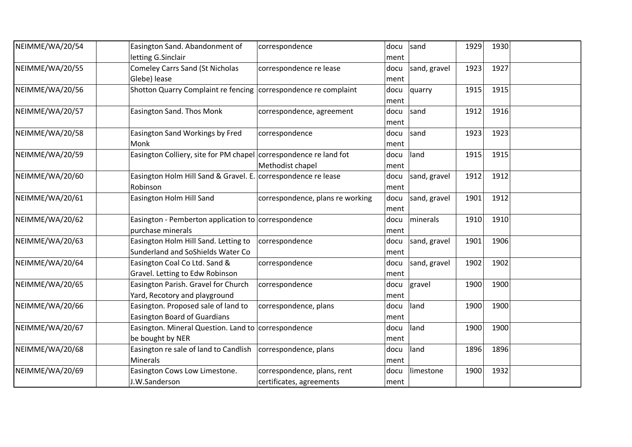| NEIMME/WA/20/54 | Easington Sand. Abandonment of<br>letting G.Sinclair                                   | correspondence                                          | docu<br>ment | sand         | 1929 | 1930 |  |
|-----------------|----------------------------------------------------------------------------------------|---------------------------------------------------------|--------------|--------------|------|------|--|
| NEIMME/WA/20/55 | <b>Comeley Carrs Sand (St Nicholas</b><br>Glebe) lease                                 | correspondence re lease                                 | docu<br>ment | sand, gravel | 1923 | 1927 |  |
| NEIMME/WA/20/56 | Shotton Quarry Complaint re fencing correspondence re complaint                        |                                                         | docu<br>ment | quarry       | 1915 | 1915 |  |
| NEIMME/WA/20/57 | Easington Sand. Thos Monk                                                              | correspondence, agreement                               | docu<br>ment | sand         | 1912 | 1916 |  |
| NEIMME/WA/20/58 | Easington Sand Workings by Fred<br>Monk                                                | correspondence                                          | docu<br>ment | sand         | 1923 | 1923 |  |
| NEIMME/WA/20/59 | Easington Colliery, site for PM chapel correspondence re land fot                      | Methodist chapel                                        | docu<br>ment | land         | 1915 | 1915 |  |
| NEIMME/WA/20/60 | Easington Holm Hill Sand & Gravel. E. correspondence re lease<br>Robinson              |                                                         | docu<br>ment | sand, gravel | 1912 | 1912 |  |
| NEIMME/WA/20/61 | Easington Holm Hill Sand                                                               | correspondence, plans re working                        | docu<br>ment | sand, gravel | 1901 | 1912 |  |
| NEIMME/WA/20/62 | Easington - Pemberton application to correspondence<br>purchase minerals               |                                                         | docu<br>ment | minerals     | 1910 | 1910 |  |
| NEIMME/WA/20/63 | Easington Holm Hill Sand. Letting to<br>Sunderland and SoShields Water Co              | correspondence                                          | docu<br>ment | sand, gravel | 1901 | 1906 |  |
| NEIMME/WA/20/64 | Easington Coal Co Ltd. Sand &<br>Gravel. Letting to Edw Robinson                       | correspondence                                          | docu<br>ment | sand, gravel | 1902 | 1902 |  |
| NEIMME/WA/20/65 | Easington Parish. Gravel for Church<br>Yard, Recotory and playground                   | correspondence                                          | docu<br>ment | gravel       | 1900 | 1900 |  |
| NEIMME/WA/20/66 | Easington. Proposed sale of land to<br><b>Easington Board of Guardians</b>             | correspondence, plans                                   | docu<br>ment | land         | 1900 | 1900 |  |
| NEIMME/WA/20/67 | Easington. Mineral Question. Land to correspondence<br>be bought by NER                |                                                         | docu<br>ment | land         | 1900 | 1900 |  |
| NEIMME/WA/20/68 | Easington re sale of land to Candlish $\vert$ correspondence, plans<br><b>Minerals</b> |                                                         | docu<br>ment | land         | 1896 | 1896 |  |
| NEIMME/WA/20/69 | Easington Cows Low Limestone.<br>J.W.Sanderson                                         | correspondence, plans, rent<br>certificates, agreements | docu<br>ment | limestone    | 1900 | 1932 |  |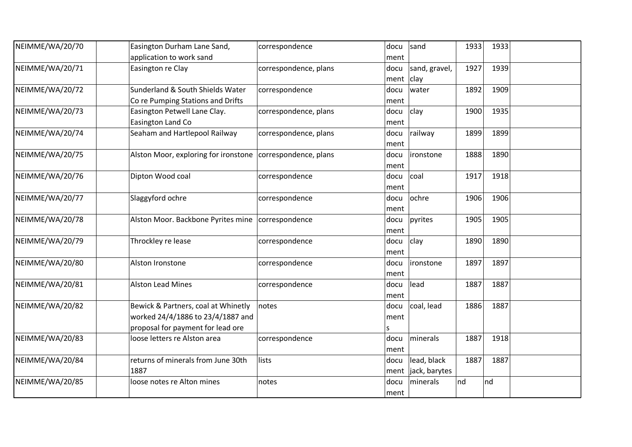| NEIMME/WA/20/70 | Easington Durham Lane Sand,          | correspondence        | docu         | sand          | 1933     | 1933 |  |
|-----------------|--------------------------------------|-----------------------|--------------|---------------|----------|------|--|
|                 | application to work sand             |                       | ment         |               |          |      |  |
| NEIMME/WA/20/71 | Easington re Clay                    | correspondence, plans | docu         | sand, gravel, | 1927     | 1939 |  |
|                 |                                      |                       | ment $ clay$ |               |          |      |  |
| NEIMME/WA/20/72 | Sunderland & South Shields Water     | correspondence        | docu         | water         | 1892     | 1909 |  |
|                 | Co re Pumping Stations and Drifts    |                       | ment         |               |          |      |  |
| NEIMME/WA/20/73 | Easington Petwell Lane Clay.         | correspondence, plans | docu         | clay          | 1900     | 1935 |  |
|                 | Easington Land Co                    |                       | ment         |               |          |      |  |
| NEIMME/WA/20/74 | Seaham and Hartlepool Railway        | correspondence, plans | docu         | railway       | 1899     | 1899 |  |
|                 |                                      |                       | ment         |               |          |      |  |
| NEIMME/WA/20/75 | Alston Moor, exploring for ironstone | correspondence, plans | docu         | ironstone     | 1888     | 1890 |  |
|                 |                                      |                       | ment         |               |          |      |  |
| NEIMME/WA/20/76 | Dipton Wood coal                     | correspondence        | docu         | coal          | 1917     | 1918 |  |
|                 |                                      |                       | ment         |               |          |      |  |
| NEIMME/WA/20/77 | Slaggyford ochre                     | correspondence        | docu         | ochre         | 1906     | 1906 |  |
|                 |                                      |                       | ment         |               |          |      |  |
| NEIMME/WA/20/78 | Alston Moor. Backbone Pyrites mine   | correspondence        | docu         | pyrites       | 1905     | 1905 |  |
|                 |                                      |                       | ment         |               |          |      |  |
| NEIMME/WA/20/79 | Throckley re lease                   | correspondence        | docu         | clay          | 1890     | 1890 |  |
|                 |                                      |                       | ment         |               |          |      |  |
| NEIMME/WA/20/80 | Alston Ironstone                     | correspondence        | docu         | lironstone    | 1897     | 1897 |  |
|                 |                                      |                       | ment         |               |          |      |  |
| NEIMME/WA/20/81 | <b>Alston Lead Mines</b>             | correspondence        | docu         | lead          | 1887     | 1887 |  |
|                 |                                      |                       | ment         |               |          |      |  |
| NEIMME/WA/20/82 | Bewick & Partners, coal at Whinetly  | notes                 | docu         | coal, lead    | 1886     | 1887 |  |
|                 | worked 24/4/1886 to 23/4/1887 and    |                       | ment         |               |          |      |  |
|                 | proposal for payment for lead ore    |                       | S            |               |          |      |  |
| NEIMME/WA/20/83 | loose letters re Alston area         | correspondence        | docu         | minerals      | 1887     | 1918 |  |
|                 |                                      |                       | ment         |               |          |      |  |
| NEIMME/WA/20/84 | returns of minerals from June 30th   | lists                 | docu         | lead, black   | 1887     | 1887 |  |
|                 | 1887                                 |                       | ment         | jack, barytes |          |      |  |
| NEIMME/WA/20/85 | loose notes re Alton mines           | notes                 | docu         | minerals      | nd<br>nd |      |  |
|                 |                                      |                       | ment         |               |          |      |  |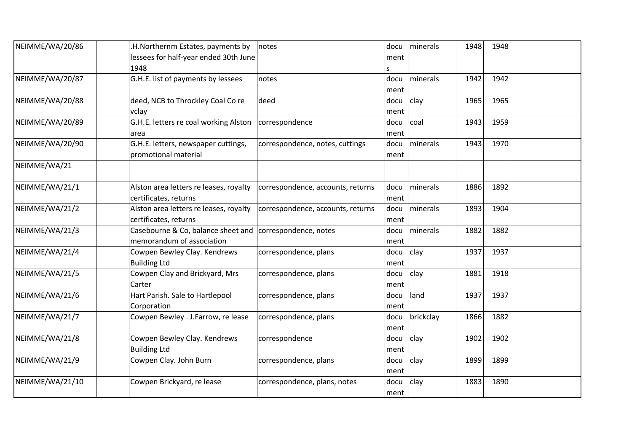| NEIMME/WA/20/86 | H.Northernm Estates, payments by                         | notes                             | docu | minerals  | 1948 | 1948 |  |
|-----------------|----------------------------------------------------------|-----------------------------------|------|-----------|------|------|--|
|                 | lessees for half-year ended 30th June                    |                                   | ment |           |      |      |  |
|                 | 1948                                                     |                                   | S    |           |      |      |  |
| NEIMME/WA/20/87 | G.H.E. list of payments by lessees                       | notes                             | docu | minerals  | 1942 | 1942 |  |
|                 |                                                          |                                   | ment |           |      |      |  |
| NEIMME/WA/20/88 | deed, NCB to Throckley Coal Co re                        | deed                              | docu | clay      | 1965 | 1965 |  |
|                 | vclay                                                    |                                   | ment |           |      |      |  |
| NEIMME/WA/20/89 | G.H.E. letters re coal working Alston                    | correspondence                    | docu | coal      | 1943 | 1959 |  |
|                 | area                                                     |                                   | ment |           |      |      |  |
| NEIMME/WA/20/90 | G.H.E. letters, newspaper cuttings,                      | correspondence, notes, cuttings   | docu | minerals  | 1943 | 1970 |  |
|                 | promotional material                                     |                                   | ment |           |      |      |  |
| NEIMME/WA/21    |                                                          |                                   |      |           |      |      |  |
|                 |                                                          |                                   |      |           |      |      |  |
| NEIMME/WA/21/1  | Alston area letters re leases, royalty                   | correspondence, accounts, returns | docu | minerals  | 1886 | 1892 |  |
|                 | certificates, returns                                    |                                   | ment |           |      |      |  |
| NEIMME/WA/21/2  | Alston area letters re leases, royalty                   | correspondence, accounts, returns | docu | minerals  | 1893 | 1904 |  |
|                 | certificates, returns                                    |                                   | ment |           |      |      |  |
| NEIMME/WA/21/3  | Casebourne & Co, balance sheet and correspondence, notes |                                   | docu | minerals  | 1882 | 1882 |  |
|                 | memorandum of association                                |                                   | ment |           |      |      |  |
| NEIMME/WA/21/4  | Cowpen Bewley Clay. Kendrews                             | correspondence, plans             | docu | clay      | 1937 | 1937 |  |
|                 | <b>Building Ltd</b>                                      |                                   | ment |           |      |      |  |
| NEIMME/WA/21/5  | Cowpen Clay and Brickyard, Mrs                           | correspondence, plans             | docu | clay      | 1881 | 1918 |  |
|                 | Carter                                                   |                                   | ment |           |      |      |  |
| NEIMME/WA/21/6  | Hart Parish. Sale to Hartlepool                          | correspondence, plans             | docu | land      | 1937 | 1937 |  |
|                 | Corporation                                              |                                   | ment |           |      |      |  |
| NEIMME/WA/21/7  | Cowpen Bewley . J.Farrow, re lease                       | correspondence, plans             | docu | brickclay | 1866 | 1882 |  |
|                 |                                                          |                                   | ment |           |      |      |  |
| NEIMME/WA/21/8  | Cowpen Bewley Clay. Kendrews                             | correspondence                    | docu | clay      | 1902 | 1902 |  |
|                 | <b>Building Ltd</b>                                      |                                   | ment |           |      |      |  |
| NEIMME/WA/21/9  | Cowpen Clay. John Burn                                   | correspondence, plans             | docu | clay      | 1899 | 1899 |  |
|                 |                                                          |                                   | ment |           |      |      |  |
| NEIMME/WA/21/10 | Cowpen Brickyard, re lease                               | correspondence, plans, notes      | docu | clay      | 1883 | 1890 |  |
|                 |                                                          |                                   | ment |           |      |      |  |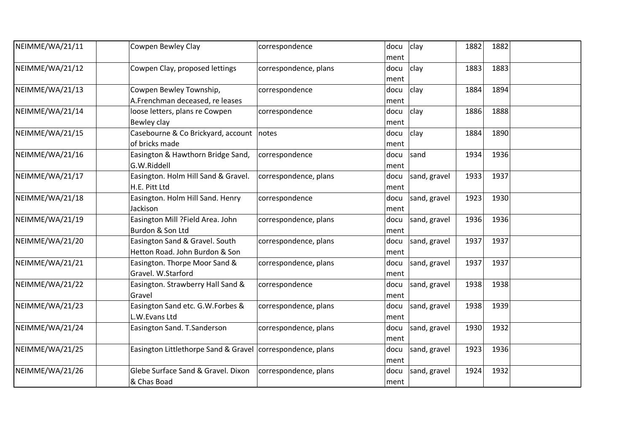| NEIMME/WA/21/11 | Cowpen Bewley Clay                                         | correspondence        | docu | clay         | 1882 | 1882 |  |
|-----------------|------------------------------------------------------------|-----------------------|------|--------------|------|------|--|
|                 |                                                            |                       | ment |              |      |      |  |
| NEIMME/WA/21/12 | Cowpen Clay, proposed lettings                             | correspondence, plans | docu | clay         | 1883 | 1883 |  |
|                 |                                                            |                       | ment |              |      |      |  |
| NEIMME/WA/21/13 | Cowpen Bewley Township,                                    | correspondence        | docu | clay         | 1884 | 1894 |  |
|                 | A.Frenchman deceased, re leases                            |                       | ment |              |      |      |  |
| NEIMME/WA/21/14 | loose letters, plans re Cowpen                             | correspondence        | docu | clay         | 1886 | 1888 |  |
|                 | Bewley clay                                                |                       | ment |              |      |      |  |
| NEIMME/WA/21/15 | Casebourne & Co Brickyard, account                         | notes                 | docu | clay         | 1884 | 1890 |  |
|                 | of bricks made                                             |                       | ment |              |      |      |  |
| NEIMME/WA/21/16 | Easington & Hawthorn Bridge Sand,                          | correspondence        | docu | sand         | 1934 | 1936 |  |
|                 | G.W.Riddell                                                |                       | ment |              |      |      |  |
| NEIMME/WA/21/17 | Easington. Holm Hill Sand & Gravel.                        | correspondence, plans | docu | sand, gravel | 1933 | 1937 |  |
|                 | H.E. Pitt Ltd                                              |                       | ment |              |      |      |  |
| NEIMME/WA/21/18 | Easington. Holm Hill Sand. Henry                           | correspondence        | docu | sand, gravel | 1923 | 1930 |  |
|                 | Jackison                                                   |                       | ment |              |      |      |  |
| NEIMME/WA/21/19 | Easington Mill ?Field Area. John                           | correspondence, plans | docu | sand, gravel | 1936 | 1936 |  |
|                 | Burdon & Son Ltd                                           |                       | ment |              |      |      |  |
| NEIMME/WA/21/20 | Easington Sand & Gravel. South                             | correspondence, plans | docu | sand, gravel | 1937 | 1937 |  |
|                 | Hetton Road. John Burdon & Son                             |                       | ment |              |      |      |  |
| NEIMME/WA/21/21 | Easington. Thorpe Moor Sand &                              | correspondence, plans | docu | sand, gravel | 1937 | 1937 |  |
|                 | Gravel. W.Starford                                         |                       | ment |              |      |      |  |
| NEIMME/WA/21/22 | Easington. Strawberry Hall Sand &                          | correspondence        | docu | sand, gravel | 1938 | 1938 |  |
|                 | Gravel                                                     |                       | ment |              |      |      |  |
| NEIMME/WA/21/23 | Easington Sand etc. G.W.Forbes &                           | correspondence, plans | docu | sand, gravel | 1938 | 1939 |  |
|                 | L.W. Evans Ltd                                             |                       | ment |              |      |      |  |
| NEIMME/WA/21/24 | Easington Sand. T.Sanderson                                | correspondence, plans | docu | sand, gravel | 1930 | 1932 |  |
|                 |                                                            |                       | ment |              |      |      |  |
| NEIMME/WA/21/25 | Easington Littlethorpe Sand & Gravel correspondence, plans |                       | docu | sand, gravel | 1923 | 1936 |  |
|                 |                                                            |                       | ment |              |      |      |  |
| NEIMME/WA/21/26 | Glebe Surface Sand & Gravel. Dixon                         | correspondence, plans | docu | sand, gravel | 1924 | 1932 |  |
|                 | & Chas Boad                                                |                       | ment |              |      |      |  |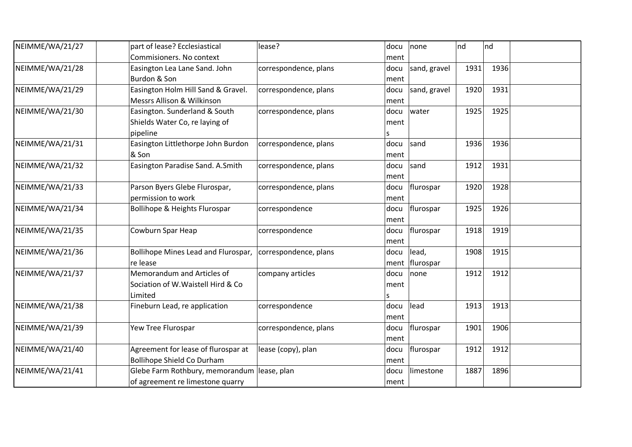| NEIMME/WA/21/27 | part of lease? Ecclesiastical               | lease?                | docu | none         | nd   | nd   |  |
|-----------------|---------------------------------------------|-----------------------|------|--------------|------|------|--|
|                 | Commisioners. No context                    |                       | ment |              |      |      |  |
| NEIMME/WA/21/28 | Easington Lea Lane Sand. John               | correspondence, plans | docu | sand, gravel | 1931 | 1936 |  |
|                 | Burdon & Son                                |                       | ment |              |      |      |  |
| NEIMME/WA/21/29 | Easington Holm Hill Sand & Gravel.          | correspondence, plans | docu | sand, gravel | 1920 | 1931 |  |
|                 | Messrs Allison & Wilkinson                  |                       | ment |              |      |      |  |
| NEIMME/WA/21/30 | Easington. Sunderland & South               | correspondence, plans | docu | water        | 1925 | 1925 |  |
|                 | Shields Water Co, re laying of              |                       | ment |              |      |      |  |
|                 | pipeline                                    |                       |      |              |      |      |  |
| NEIMME/WA/21/31 | Easington Littlethorpe John Burdon          | correspondence, plans | docu | sand         | 1936 | 1936 |  |
|                 | & Son                                       |                       | ment |              |      |      |  |
| NEIMME/WA/21/32 | Easington Paradise Sand. A.Smith            | correspondence, plans | docu | sand         | 1912 | 1931 |  |
|                 |                                             |                       | ment |              |      |      |  |
| NEIMME/WA/21/33 | Parson Byers Glebe Flurospar,               | correspondence, plans | docu | flurospar    | 1920 | 1928 |  |
|                 | permission to work                          |                       | ment |              |      |      |  |
| NEIMME/WA/21/34 | Bollihope & Heights Flurospar               | correspondence        | docu | flurospar    | 1925 | 1926 |  |
|                 |                                             |                       | ment |              |      |      |  |
| NEIMME/WA/21/35 | Cowburn Spar Heap                           | correspondence        | docu | flurospar    | 1918 | 1919 |  |
|                 |                                             |                       | ment |              |      |      |  |
| NEIMME/WA/21/36 | Bollihope Mines Lead and Flurospar,         | correspondence, plans | docu | lead,        | 1908 | 1915 |  |
|                 | re lease                                    |                       | ment | flurospar    |      |      |  |
| NEIMME/WA/21/37 | Memorandum and Articles of                  | company articles      | docu | none         | 1912 | 1912 |  |
|                 | Sociation of W. Waistell Hird & Co          |                       | ment |              |      |      |  |
|                 | Limited                                     |                       |      |              |      |      |  |
| NEIMME/WA/21/38 | Fineburn Lead, re application               | correspondence        | docu | lead         | 1913 | 1913 |  |
|                 |                                             |                       | ment |              |      |      |  |
| NEIMME/WA/21/39 | Yew Tree Flurospar                          | correspondence, plans | docu | flurospar    | 1901 | 1906 |  |
|                 |                                             |                       | ment |              |      |      |  |
| NEIMME/WA/21/40 | Agreement for lease of flurospar at         | lease (copy), plan    | docu | flurospar    | 1912 | 1912 |  |
|                 | <b>Bollihope Shield Co Durham</b>           |                       | ment |              |      |      |  |
| NEIMME/WA/21/41 | Glebe Farm Rothbury, memorandum lease, plan |                       | docu | limestone    | 1887 | 1896 |  |
|                 | of agreement re limestone quarry            |                       | ment |              |      |      |  |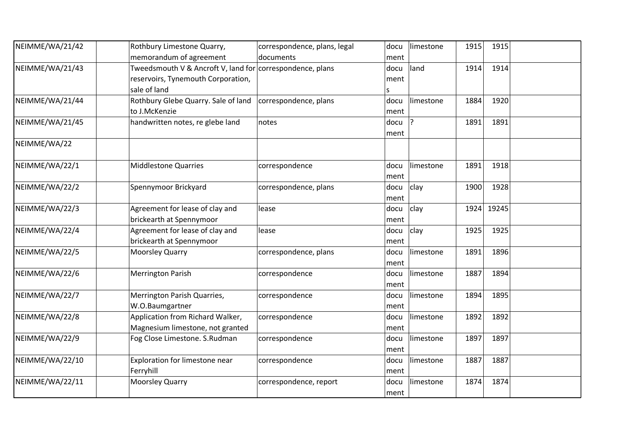| NEIMME/WA/21/42 | Rothbury Limestone Quarry,                                | correspondence, plans, legal | docu | limestone | 1915 | 1915  |  |
|-----------------|-----------------------------------------------------------|------------------------------|------|-----------|------|-------|--|
|                 | memorandum of agreement                                   | documents                    | ment |           |      |       |  |
| NEIMME/WA/21/43 | Tweedsmouth V & Ancroft V, land for correspondence, plans |                              | docu | land      | 1914 | 1914  |  |
|                 | reservoirs, Tynemouth Corporation,                        |                              | ment |           |      |       |  |
|                 | sale of land                                              |                              | S    |           |      |       |  |
| NEIMME/WA/21/44 | Rothbury Glebe Quarry. Sale of land                       | correspondence, plans        | docu | limestone | 1884 | 1920  |  |
|                 | to J.McKenzie                                             |                              | ment |           |      |       |  |
| NEIMME/WA/21/45 | handwritten notes, re glebe land                          | notes                        | docu | ?         | 1891 | 1891  |  |
|                 |                                                           |                              | ment |           |      |       |  |
| NEIMME/WA/22    |                                                           |                              |      |           |      |       |  |
| NEIMME/WA/22/1  | <b>Middlestone Quarries</b>                               | correspondence               | docu | limestone | 1891 | 1918  |  |
|                 |                                                           |                              | ment |           |      |       |  |
| NEIMME/WA/22/2  | Spennymoor Brickyard                                      | correspondence, plans        | docu | clay      | 1900 | 1928  |  |
|                 |                                                           |                              | ment |           |      |       |  |
| NEIMME/WA/22/3  | Agreement for lease of clay and                           | lease                        | docu | clay      | 1924 | 19245 |  |
|                 | brickearth at Spennymoor                                  |                              | ment |           |      |       |  |
| NEIMME/WA/22/4  | Agreement for lease of clay and                           | lease                        | docu | clay      | 1925 | 1925  |  |
|                 | brickearth at Spennymoor                                  |                              | ment |           |      |       |  |
| NEIMME/WA/22/5  | <b>Moorsley Quarry</b>                                    | correspondence, plans        | docu | limestone | 1891 | 1896  |  |
|                 |                                                           |                              | ment |           |      |       |  |
| NEIMME/WA/22/6  | <b>Merrington Parish</b>                                  | correspondence               | docu | limestone | 1887 | 1894  |  |
|                 |                                                           |                              | ment |           |      |       |  |
| NEIMME/WA/22/7  | Merrington Parish Quarries,                               | correspondence               | docu | limestone | 1894 | 1895  |  |
|                 | W.O.Baumgartner                                           |                              | ment |           |      |       |  |
| NEIMME/WA/22/8  | Application from Richard Walker,                          | correspondence               | docu | limestone | 1892 | 1892  |  |
|                 | Magnesium limestone, not granted                          |                              | ment |           |      |       |  |
| NEIMME/WA/22/9  | Fog Close Limestone. S.Rudman                             | correspondence               | docu | limestone | 1897 | 1897  |  |
|                 |                                                           |                              | ment |           |      |       |  |
| NEIMME/WA/22/10 | Exploration for limestone near                            | correspondence               | docu | limestone | 1887 | 1887  |  |
|                 | Ferryhill                                                 |                              | ment |           |      |       |  |
| NEIMME/WA/22/11 | <b>Moorsley Quarry</b>                                    | correspondence, report       | docu | limestone | 1874 | 1874  |  |
|                 |                                                           |                              | ment |           |      |       |  |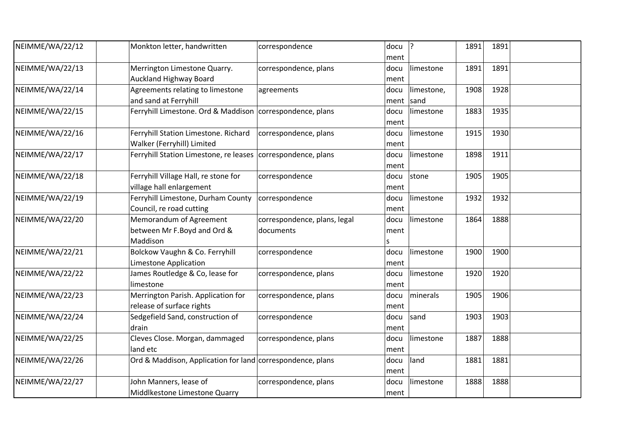| NEIMME/WA/22/12 | Monkton letter, handwritten                                  | correspondence               | docu ?       |            | 1891 | 1891 |  |
|-----------------|--------------------------------------------------------------|------------------------------|--------------|------------|------|------|--|
| NEIMME/WA/22/13 | Merrington Limestone Quarry.                                 | correspondence, plans        | ment<br>docu | limestone  | 1891 | 1891 |  |
|                 | <b>Auckland Highway Board</b>                                |                              | ment         |            |      |      |  |
| NEIMME/WA/22/14 | Agreements relating to limestone                             | agreements                   | docu         | limestone, | 1908 | 1928 |  |
|                 | and sand at Ferryhill                                        |                              | ment sand    |            |      |      |  |
| NEIMME/WA/22/15 | Ferryhill Limestone. Ord & Maddison correspondence, plans    |                              | docu         | limestone  | 1883 | 1935 |  |
|                 |                                                              |                              | ment         |            |      |      |  |
| NEIMME/WA/22/16 | Ferryhill Station Limestone. Richard                         | correspondence, plans        | docu         | limestone  | 1915 | 1930 |  |
|                 | Walker (Ferryhill) Limited                                   |                              | ment         |            |      |      |  |
| NEIMME/WA/22/17 | Ferryhill Station Limestone, re leases correspondence, plans |                              | docu         | limestone  | 1898 | 1911 |  |
|                 |                                                              |                              | ment         |            |      |      |  |
| NEIMME/WA/22/18 | Ferryhill Village Hall, re stone for                         | correspondence               | docu         | stone      | 1905 | 1905 |  |
|                 | village hall enlargement                                     |                              | ment         |            |      |      |  |
| NEIMME/WA/22/19 | Ferryhill Limestone, Durham County                           | correspondence               | docu         | limestone  | 1932 | 1932 |  |
|                 | Council, re road cutting                                     |                              | ment         |            |      |      |  |
| NEIMME/WA/22/20 | Memorandum of Agreement                                      | correspondence, plans, legal | docu         | limestone  | 1864 | 1888 |  |
|                 | between Mr F.Boyd and Ord &                                  | documents                    | ment         |            |      |      |  |
|                 | Maddison                                                     |                              | S            |            |      |      |  |
| NEIMME/WA/22/21 | Bolckow Vaughn & Co. Ferryhill                               | correspondence               | docu         | limestone  | 1900 | 1900 |  |
|                 | Limestone Application                                        |                              | ment         |            |      |      |  |
| NEIMME/WA/22/22 | James Routledge & Co, lease for                              | correspondence, plans        | docu         | limestone  | 1920 | 1920 |  |
|                 | limestone                                                    |                              | ment         |            |      |      |  |
| NEIMME/WA/22/23 | Merrington Parish. Application for                           | correspondence, plans        | docu         | minerals   | 1905 | 1906 |  |
|                 | release of surface rights                                    |                              | ment         |            |      |      |  |
| NEIMME/WA/22/24 | Sedgefield Sand, construction of                             | correspondence               | docu         | sand       | 1903 | 1903 |  |
|                 | drain                                                        |                              | ment         |            |      |      |  |
| NEIMME/WA/22/25 | Cleves Close. Morgan, dammaged                               | correspondence, plans        | docu         | limestone  | 1887 | 1888 |  |
|                 | land etc                                                     |                              | ment         |            |      |      |  |
| NEIMME/WA/22/26 | Ord & Maddison, Application for land correspondence, plans   |                              | docu         | land       | 1881 | 1881 |  |
|                 |                                                              |                              | ment         |            |      |      |  |
| NEIMME/WA/22/27 | John Manners, lease of                                       | correspondence, plans        | docu         | limestone  | 1888 | 1888 |  |
|                 | Middlkestone Limestone Quarry                                |                              | ment         |            |      |      |  |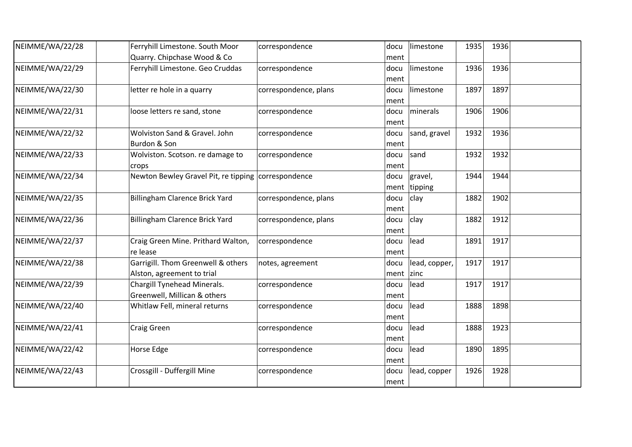| NEIMME/WA/22/28 | Ferryhill Limestone. South Moor                     | correspondence        | docu         | limestone     | 1935 | 1936 |  |
|-----------------|-----------------------------------------------------|-----------------------|--------------|---------------|------|------|--|
|                 | Quarry. Chipchase Wood & Co                         |                       | ment         |               |      |      |  |
| NEIMME/WA/22/29 | Ferryhill Limestone. Geo Cruddas                    | correspondence        | docu         | limestone     | 1936 | 1936 |  |
|                 |                                                     |                       | ment         |               |      |      |  |
| NEIMME/WA/22/30 | letter re hole in a quarry                          | correspondence, plans | docu         | limestone     | 1897 | 1897 |  |
|                 |                                                     |                       | ment         |               |      |      |  |
| NEIMME/WA/22/31 | loose letters re sand, stone                        | correspondence        | docu         | minerals      | 1906 | 1906 |  |
|                 |                                                     |                       | ment         |               |      |      |  |
| NEIMME/WA/22/32 | Wolviston Sand & Gravel. John                       | correspondence        | docu         | sand, gravel  | 1932 | 1936 |  |
|                 | Burdon & Son                                        |                       | ment         |               |      |      |  |
| NEIMME/WA/22/33 | Wolviston. Scotson. re damage to                    | correspondence        | docu         | sand          | 1932 | 1932 |  |
|                 | crops                                               |                       | ment         |               |      |      |  |
| NEIMME/WA/22/34 | Newton Bewley Gravel Pit, re tipping correspondence |                       | docu         | gravel,       | 1944 | 1944 |  |
|                 |                                                     |                       |              | ment tipping  |      |      |  |
| NEIMME/WA/22/35 | <b>Billingham Clarence Brick Yard</b>               | correspondence, plans | docu         | clay          | 1882 | 1902 |  |
|                 |                                                     |                       | ment         |               |      |      |  |
| NEIMME/WA/22/36 | <b>Billingham Clarence Brick Yard</b>               | correspondence, plans | docu         | clay          | 1882 | 1912 |  |
|                 |                                                     |                       | ment         |               |      |      |  |
| NEIMME/WA/22/37 | Craig Green Mine. Prithard Walton,                  | correspondence        | docu         | lead          | 1891 | 1917 |  |
|                 | re lease                                            |                       | ment         |               |      |      |  |
| NEIMME/WA/22/38 | Garrigill. Thom Greenwell & others                  | notes, agreement      | docu         | lead, copper, | 1917 | 1917 |  |
|                 | Alston, agreement to trial                          |                       | ment $ zinc$ |               |      |      |  |
| NEIMME/WA/22/39 | Chargill Tynehead Minerals.                         | correspondence        | docu         | lead          | 1917 | 1917 |  |
|                 | Greenwell, Millican & others                        |                       | ment         |               |      |      |  |
| NEIMME/WA/22/40 | Whitlaw Fell, mineral returns                       | correspondence        | docu         | lead          | 1888 | 1898 |  |
|                 |                                                     |                       | ment         |               |      |      |  |
| NEIMME/WA/22/41 | Craig Green                                         | correspondence        | docu         | lead          | 1888 | 1923 |  |
|                 |                                                     |                       | ment         |               |      |      |  |
| NEIMME/WA/22/42 | Horse Edge                                          | correspondence        | docu         | lead          | 1890 | 1895 |  |
|                 |                                                     |                       | ment         |               |      |      |  |
| NEIMME/WA/22/43 | Crossgill - Duffergill Mine                         | correspondence        | docu         | lead, copper  | 1926 | 1928 |  |
|                 |                                                     |                       | ment         |               |      |      |  |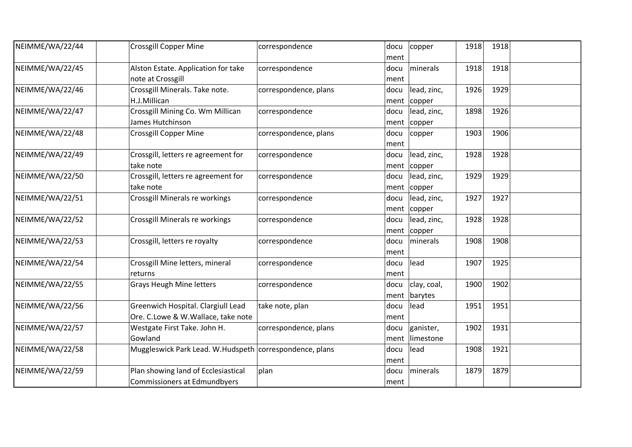| NEIMME/WA/22/44 | <b>Crossgill Copper Mine</b>                                        | correspondence        | docu         | copper          | 1918 | 1918 |  |
|-----------------|---------------------------------------------------------------------|-----------------------|--------------|-----------------|------|------|--|
|                 |                                                                     |                       | ment         |                 |      |      |  |
| NEIMME/WA/22/45 | Alston Estate. Application for take                                 | correspondence        | docu         | minerals        | 1918 | 1918 |  |
|                 | note at Crossgill                                                   |                       | ment         |                 |      |      |  |
| NEIMME/WA/22/46 | Crossgill Minerals. Take note.                                      | correspondence, plans | docu         | lead, zinc,     | 1926 | 1929 |  |
|                 | H.J.Millican                                                        |                       | ment         | copper          |      |      |  |
| NEIMME/WA/22/47 | Crossgill Mining Co. Wm Millican                                    | correspondence        | docu         | lead, zinc,     | 1898 | 1926 |  |
|                 | James Hutchinson                                                    |                       |              | $ment$   copper |      |      |  |
| NEIMME/WA/22/48 | <b>Crossgill Copper Mine</b>                                        | correspondence, plans | docu         | copper          | 1903 | 1906 |  |
|                 |                                                                     |                       | ment         |                 |      |      |  |
| NEIMME/WA/22/49 | Crossgill, letters re agreement for                                 | correspondence        | docu         | lead, zinc,     | 1928 | 1928 |  |
|                 | take note                                                           |                       |              | $ment$  copper  |      |      |  |
| NEIMME/WA/22/50 | Crossgill, letters re agreement for                                 | correspondence        | docu         | lead, zinc,     | 1929 | 1929 |  |
|                 | take note                                                           |                       |              | $ment$   copper |      |      |  |
| NEIMME/WA/22/51 | Crossgill Minerals re workings                                      | correspondence        | docu         | lead, zinc,     | 1927 | 1927 |  |
|                 |                                                                     |                       | ment         | copper          |      |      |  |
| NEIMME/WA/22/52 | <b>Crossgill Minerals re workings</b>                               | correspondence        | docu         | lead, zinc,     | 1928 | 1928 |  |
|                 |                                                                     |                       | ment         | copper          |      |      |  |
| NEIMME/WA/22/53 | Crossgill, letters re royalty                                       | correspondence        | docu         | minerals        | 1908 | 1908 |  |
|                 |                                                                     |                       | ment         |                 |      |      |  |
| NEIMME/WA/22/54 | Crossgill Mine letters, mineral                                     | correspondence        | docu         | lead            | 1907 | 1925 |  |
|                 | returns                                                             |                       | ment         |                 |      |      |  |
| NEIMME/WA/22/55 | <b>Grays Heugh Mine letters</b>                                     | correspondence        | docu         | clay, coal,     | 1900 | 1902 |  |
|                 |                                                                     |                       |              | ment barytes    |      |      |  |
| NEIMME/WA/22/56 | Greenwich Hospital. Clargiull Lead                                  | take note, plan       | docu         | lead            | 1951 | 1951 |  |
|                 | Ore. C.Lowe & W.Wallace, take note                                  |                       | ment         |                 |      |      |  |
| NEIMME/WA/22/57 | Westgate First Take. John H.                                        | correspondence, plans | docu         | ganister,       | 1902 | 1931 |  |
|                 | Gowland                                                             |                       | ment         | limestone       |      |      |  |
| NEIMME/WA/22/58 | Muggleswick Park Lead. W.Hudspeth correspondence, plans             |                       | docu         | lead            | 1908 | 1921 |  |
|                 |                                                                     |                       | ment         |                 |      |      |  |
|                 |                                                                     |                       |              |                 |      |      |  |
|                 |                                                                     |                       |              |                 |      |      |  |
| NEIMME/WA/22/59 | Plan showing land of Ecclesiastical<br>Commissioners at Edmundbyers | plan                  | docu<br>ment | minerals        | 1879 | 1879 |  |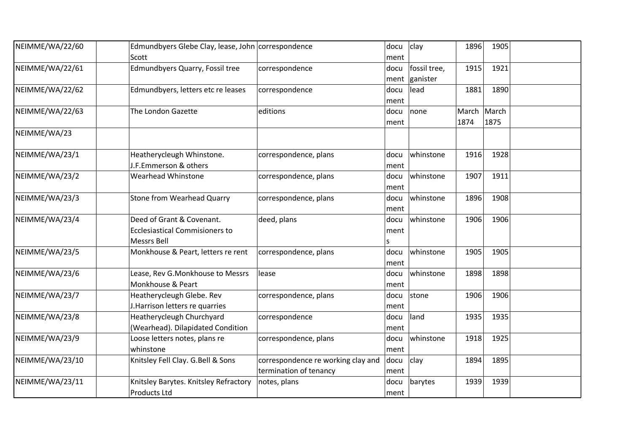| NEIMME/WA/22/60 | Edmundbyers Glebe Clay, lease, John correspondence<br>Scott |                                    | docu | clay         | 1896        | 1905 |  |
|-----------------|-------------------------------------------------------------|------------------------------------|------|--------------|-------------|------|--|
|                 |                                                             |                                    | ment |              |             |      |  |
| NEIMME/WA/22/61 | Edmundbyers Quarry, Fossil tree                             | correspondence                     | docu | fossil tree, | 1915        | 1921 |  |
|                 |                                                             |                                    | ment | ganister     |             |      |  |
| NEIMME/WA/22/62 | Edmundbyers, letters etc re leases                          | correspondence                     | docu | lead         | 1881        | 1890 |  |
|                 |                                                             |                                    | ment |              |             |      |  |
| NEIMME/WA/22/63 | The London Gazette                                          | editions                           | docu | none         | March March |      |  |
|                 |                                                             |                                    | ment |              | 1874        | 1875 |  |
| NEIMME/WA/23    |                                                             |                                    |      |              |             |      |  |
| NEIMME/WA/23/1  | Heatherycleugh Whinstone.                                   | correspondence, plans              | docu | whinstone    | 1916        | 1928 |  |
|                 | J.F.Emmerson & others                                       |                                    | ment |              |             |      |  |
| NEIMME/WA/23/2  | Wearhead Whinstone                                          | correspondence, plans              | docu | whinstone    | 1907        | 1911 |  |
|                 |                                                             |                                    | ment |              |             |      |  |
| NEIMME/WA/23/3  | Stone from Wearhead Quarry                                  | correspondence, plans              | docu | whinstone    | 1896        | 1908 |  |
|                 |                                                             |                                    | ment |              |             |      |  |
| NEIMME/WA/23/4  | Deed of Grant & Covenant.                                   | deed, plans                        | docu | whinstone    | 1906        | 1906 |  |
|                 | <b>Ecclesiastical Commisioners to</b>                       |                                    | ment |              |             |      |  |
|                 | <b>Messrs Bell</b>                                          |                                    |      |              |             |      |  |
| NEIMME/WA/23/5  |                                                             | correspondence, plans              | s    | whinstone    | 1905        | 1905 |  |
|                 | Monkhouse & Peart, letters re rent                          |                                    | docu |              |             |      |  |
|                 |                                                             |                                    | ment |              |             |      |  |
| NEIMME/WA/23/6  | Lease, Rev G.Monkhouse to Messrs                            | lease                              | docu | whinstone    | 1898        | 1898 |  |
|                 | Monkhouse & Peart                                           |                                    | ment |              |             |      |  |
| NEIMME/WA/23/7  | Heatherycleugh Glebe. Rev                                   | correspondence, plans              | docu | stone        | 1906        | 1906 |  |
|                 | J. Harrison letters re quarries                             |                                    | ment |              |             |      |  |
| NEIMME/WA/23/8  | Heatherycleugh Churchyard                                   | correspondence                     | docu | land         | 1935        | 1935 |  |
|                 | (Wearhead). Dilapidated Condition                           |                                    | ment |              |             |      |  |
| NEIMME/WA/23/9  | Loose letters notes, plans re                               | correspondence, plans              | docu | whinstone    | 1918        | 1925 |  |
|                 | whinstone                                                   |                                    | ment |              |             |      |  |
| NEIMME/WA/23/10 | Knitsley Fell Clay. G.Bell & Sons                           | correspondence re working clay and | docu | clay         | 1894        | 1895 |  |
|                 |                                                             | termination of tenancy             | ment |              |             |      |  |
| NEIMME/WA/23/11 | Knitsley Barytes. Knitsley Refractory                       | notes, plans                       | docu | barytes      | 1939        | 1939 |  |
|                 | <b>Products Ltd</b>                                         |                                    | ment |              |             |      |  |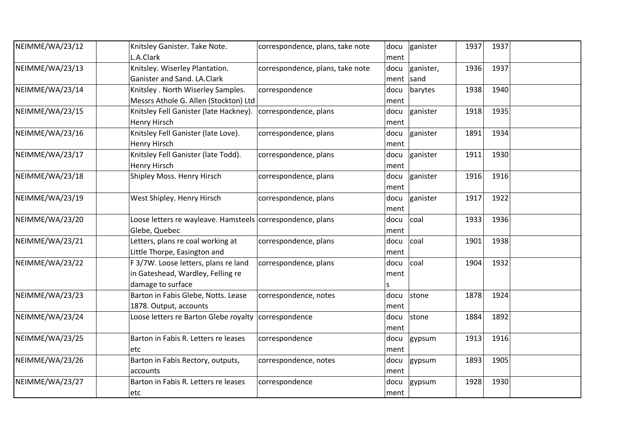| NEIMME/WA/23/12 | Knitsley Ganister. Take Note.                              | correspondence, plans, take note | docu | ganister  | 1937 | 1937 |  |
|-----------------|------------------------------------------------------------|----------------------------------|------|-----------|------|------|--|
|                 | L.A.Clark                                                  |                                  | ment |           |      |      |  |
| NEIMME/WA/23/13 | Knitsley. Wiserley Plantation.                             | correspondence, plans, take note | docu | ganister, | 1936 | 1937 |  |
|                 | Ganister and Sand. LA.Clark                                |                                  | ment | sand      |      |      |  |
| NEIMME/WA/23/14 | Knitsley . North Wiserley Samples.                         | correspondence                   | docu | barytes   | 1938 | 1940 |  |
|                 | Messrs Athole G. Allen (Stockton) Ltd                      |                                  | ment |           |      |      |  |
| NEIMME/WA/23/15 | Knitsley Fell Ganister (late Hackney).                     | correspondence, plans            | docu | ganister  | 1918 | 1935 |  |
|                 | Henry Hirsch                                               |                                  | ment |           |      |      |  |
| NEIMME/WA/23/16 | Knitsley Fell Ganister (late Love).                        | correspondence, plans            | docu | ganister  | 1891 | 1934 |  |
|                 | <b>Henry Hirsch</b>                                        |                                  | ment |           |      |      |  |
| NEIMME/WA/23/17 | Knitsley Fell Ganister (late Todd).                        | correspondence, plans            | docu | ganister  | 1911 | 1930 |  |
|                 | <b>Henry Hirsch</b>                                        |                                  | ment |           |      |      |  |
| NEIMME/WA/23/18 | Shipley Moss. Henry Hirsch                                 | correspondence, plans            | docu | ganister  | 1916 | 1916 |  |
|                 |                                                            |                                  | ment |           |      |      |  |
| NEIMME/WA/23/19 | West Shipley. Henry Hirsch                                 | correspondence, plans            | docu | ganister  | 1917 | 1922 |  |
|                 |                                                            |                                  | ment |           |      |      |  |
| NEIMME/WA/23/20 | Loose letters re wayleave. Hamsteels correspondence, plans |                                  | docu | coal      | 1933 | 1936 |  |
|                 | Glebe, Quebec                                              |                                  | ment |           |      |      |  |
| NEIMME/WA/23/21 | Letters, plans re coal working at                          | correspondence, plans            | docu | coal      | 1901 | 1938 |  |
|                 | Little Thorpe, Easington and                               |                                  | ment |           |      |      |  |
| NEIMME/WA/23/22 | F 3/7W. Loose letters, plans re land                       | correspondence, plans            | docu | coal      | 1904 | 1932 |  |
|                 | in Gateshead, Wardley, Felling re                          |                                  | ment |           |      |      |  |
|                 | damage to surface                                          |                                  | S    |           |      |      |  |
| NEIMME/WA/23/23 | Barton in Fabis Glebe, Notts. Lease                        | correspondence, notes            | docu | stone     | 1878 | 1924 |  |
|                 | 1878. Output, accounts                                     |                                  | ment |           |      |      |  |
| NEIMME/WA/23/24 | Loose letters re Barton Glebe royalty correspondence       |                                  | docu | stone     | 1884 | 1892 |  |
|                 |                                                            |                                  | ment |           |      |      |  |
| NEIMME/WA/23/25 | Barton in Fabis R. Letters re leases                       | correspondence                   | docu | gypsum    | 1913 | 1916 |  |
|                 | etc                                                        |                                  | ment |           |      |      |  |
| NEIMME/WA/23/26 | Barton in Fabis Rectory, outputs,                          | correspondence, notes            | docu | gypsum    | 1893 | 1905 |  |
|                 | accounts                                                   |                                  | ment |           |      |      |  |
| NEIMME/WA/23/27 | Barton in Fabis R. Letters re leases                       | correspondence                   | docu | gypsum    | 1928 | 1930 |  |
|                 | etc                                                        |                                  | ment |           |      |      |  |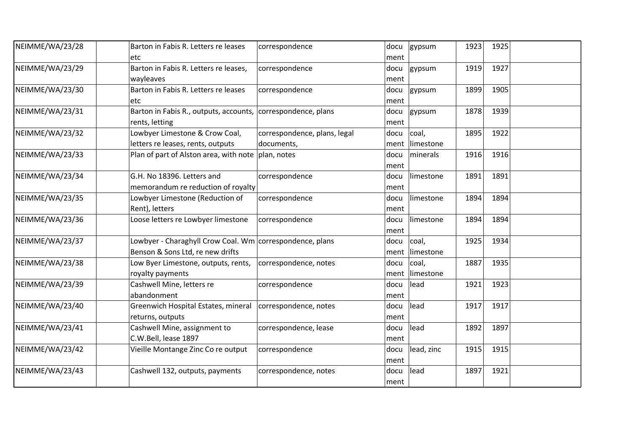| NEIMME/WA/23/28 | Barton in Fabis R. Letters re leases                         | correspondence               | docu | gypsum         | 1923 | 1925 |  |
|-----------------|--------------------------------------------------------------|------------------------------|------|----------------|------|------|--|
|                 | etc                                                          |                              | ment |                |      |      |  |
| NEIMME/WA/23/29 | Barton in Fabis R. Letters re leases,                        | correspondence               | docu | gypsum         | 1919 | 1927 |  |
|                 | wayleaves                                                    |                              | ment |                |      |      |  |
| NEIMME/WA/23/30 | Barton in Fabis R. Letters re leases                         | correspondence               | docu | gypsum         | 1899 | 1905 |  |
|                 | etc                                                          |                              | ment |                |      |      |  |
| NEIMME/WA/23/31 | Barton in Fabis R., outputs, accounts, correspondence, plans |                              | docu | gypsum         | 1878 | 1939 |  |
|                 | rents, letting                                               |                              | ment |                |      |      |  |
| NEIMME/WA/23/32 | Lowbyer Limestone & Crow Coal,                               | correspondence, plans, legal | docu | coal,          | 1895 | 1922 |  |
|                 | letters re leases, rents, outputs                            | documents,                   | ment | limestone      |      |      |  |
| NEIMME/WA/23/33 | Plan of part of Alston area, with note plan, notes           |                              | docu | minerals       | 1916 | 1916 |  |
|                 |                                                              |                              | ment |                |      |      |  |
| NEIMME/WA/23/34 | G.H. No 18396. Letters and                                   | correspondence               | docu | limestone      | 1891 | 1891 |  |
|                 | memorandum re reduction of royalty                           |                              | ment |                |      |      |  |
| NEIMME/WA/23/35 | Lowbyer Limestone (Reduction of                              | correspondence               | docu | limestone      | 1894 | 1894 |  |
|                 | Rent), letters                                               |                              | ment |                |      |      |  |
| NEIMME/WA/23/36 | Loose letters re Lowbyer limestone                           | correspondence               | docu | limestone      | 1894 | 1894 |  |
|                 |                                                              |                              | ment |                |      |      |  |
| NEIMME/WA/23/37 | Lowbyer - Charaghyll Crow Coal. Wm correspondence, plans     |                              | docu | coal,          | 1925 | 1934 |  |
|                 | Benson & Sons Ltd, re new drifts                             |                              |      | ment limestone |      |      |  |
| NEIMME/WA/23/38 | Low Byer Limestone, outputs, rents,                          | correspondence, notes        | docu | coal,          | 1887 | 1935 |  |
|                 | royalty payments                                             |                              | ment | limestone      |      |      |  |
| NEIMME/WA/23/39 | Cashwell Mine, letters re                                    | correspondence               | docu | lead           | 1921 | 1923 |  |
|                 | abandonment                                                  |                              | ment |                |      |      |  |
| NEIMME/WA/23/40 | Greenwich Hospital Estates, mineral                          | correspondence, notes        | docu | lead           | 1917 | 1917 |  |
|                 | returns, outputs                                             |                              | ment |                |      |      |  |
| NEIMME/WA/23/41 | Cashwell Mine, assignment to                                 | correspondence, lease        | docu | lead           | 1892 | 1897 |  |
|                 | C.W.Bell, lease 1897                                         |                              | ment |                |      |      |  |
| NEIMME/WA/23/42 | Vieille Montange Zinc Co re output                           | correspondence               | docu | lead, zinc     | 1915 | 1915 |  |
|                 |                                                              |                              | ment |                |      |      |  |
| NEIMME/WA/23/43 | Cashwell 132, outputs, payments                              | correspondence, notes        | docu | lead           | 1897 | 1921 |  |
|                 |                                                              |                              | ment |                |      |      |  |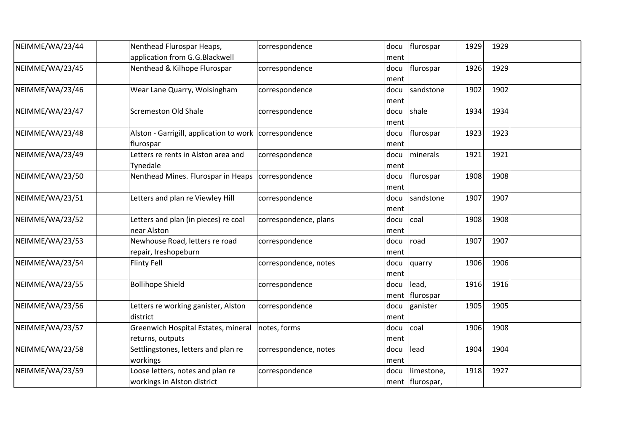| NEIMME/WA/23/44 | Nenthead Flurospar Heaps,                                | correspondence        | docu | flurospar         | 1929 | 1929 |  |
|-----------------|----------------------------------------------------------|-----------------------|------|-------------------|------|------|--|
|                 | application from G.G.Blackwell                           |                       | ment |                   |      |      |  |
| NEIMME/WA/23/45 | Nenthead & Kilhope Flurospar                             | correspondence        | docu | flurospar         | 1926 | 1929 |  |
|                 |                                                          |                       | ment |                   |      |      |  |
| NEIMME/WA/23/46 | Wear Lane Quarry, Wolsingham                             | correspondence        | docu | sandstone         | 1902 | 1902 |  |
|                 |                                                          |                       | ment |                   |      |      |  |
| NEIMME/WA/23/47 | <b>Scremeston Old Shale</b>                              | correspondence        | docu | shale             | 1934 | 1934 |  |
|                 |                                                          |                       | ment |                   |      |      |  |
| NEIMME/WA/23/48 | Alston - Garrigill, application to work   correspondence |                       | docu | flurospar         | 1923 | 1923 |  |
|                 | flurospar                                                |                       | ment |                   |      |      |  |
| NEIMME/WA/23/49 | Letters re rents in Alston area and                      | correspondence        | docu | minerals          | 1921 | 1921 |  |
|                 | Tynedale                                                 |                       | ment |                   |      |      |  |
| NEIMME/WA/23/50 | Nenthead Mines. Flurospar in Heaps                       | correspondence        | docu | flurospar         | 1908 | 1908 |  |
|                 |                                                          |                       | ment |                   |      |      |  |
| NEIMME/WA/23/51 | Letters and plan re Viewley Hill                         | correspondence        | docu | sandstone         | 1907 | 1907 |  |
|                 |                                                          |                       | ment |                   |      |      |  |
| NEIMME/WA/23/52 | Letters and plan (in pieces) re coal                     | correspondence, plans | docu | coal              | 1908 | 1908 |  |
|                 | near Alston                                              |                       | ment |                   |      |      |  |
| NEIMME/WA/23/53 | Newhouse Road, letters re road                           | correspondence        | docu | road              | 1907 | 1907 |  |
|                 | repair, Ireshopeburn                                     |                       | ment |                   |      |      |  |
| NEIMME/WA/23/54 | Flinty Fell                                              | correspondence, notes | docu | quarry            | 1906 | 1906 |  |
|                 |                                                          |                       | ment |                   |      |      |  |
| NEIMME/WA/23/55 | <b>Bollihope Shield</b>                                  | correspondence        | docu | lead,             | 1916 | 1916 |  |
|                 |                                                          |                       |      | ment flurospar    |      |      |  |
| NEIMME/WA/23/56 | Letters re working ganister, Alston                      | correspondence        | docu | ganister          | 1905 | 1905 |  |
|                 | district                                                 |                       | ment |                   |      |      |  |
| NEIMME/WA/23/57 | Greenwich Hospital Estates, mineral                      | notes, forms          | docu | coal              | 1906 | 1908 |  |
|                 | returns, outputs                                         |                       | ment |                   |      |      |  |
| NEIMME/WA/23/58 | Settlingstones, letters and plan re                      | correspondence, notes | docu | lead              | 1904 | 1904 |  |
|                 | workings                                                 |                       | ment |                   |      |      |  |
| NEIMME/WA/23/59 | Loose letters, notes and plan re                         | correspondence        | docu | limestone,        | 1918 | 1927 |  |
|                 | workings in Alston district                              |                       |      | ment   flurospar, |      |      |  |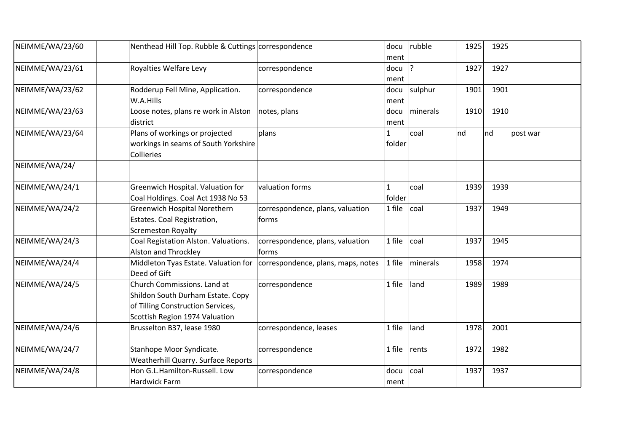| NEIMME/WA/23/60 | Nenthead Hill Top. Rubble & Cuttings correspondence                                                                                     |                                            | docu<br>ment           | rubble           | 1925 | 1925 |          |
|-----------------|-----------------------------------------------------------------------------------------------------------------------------------------|--------------------------------------------|------------------------|------------------|------|------|----------|
| NEIMME/WA/23/61 | Royalties Welfare Levy                                                                                                                  | correspondence                             | docu<br>ment           | ?                | 1927 | 1927 |          |
| NEIMME/WA/23/62 | Rodderup Fell Mine, Application.<br>W.A.Hills                                                                                           | correspondence                             | ment                   | $docu$ sulphur   | 1901 | 1901 |          |
| NEIMME/WA/23/63 | Loose notes, plans re work in Alston<br>district                                                                                        | notes, plans                               | docu<br>ment           | minerals         | 1910 | 1910 |          |
| NEIMME/WA/23/64 | Plans of workings or projected<br>workings in seams of South Yorkshire<br>Collieries                                                    | plans                                      | 1<br>folder            | coal             | nd   | Ind  | post war |
| NEIMME/WA/24/   |                                                                                                                                         |                                            |                        |                  |      |      |          |
| NEIMME/WA/24/1  | Greenwich Hospital. Valuation for<br>Coal Holdings. Coal Act 1938 No 53                                                                 | valuation forms                            | $\mathbf{1}$<br>folder | coal             | 1939 | 1939 |          |
| NEIMME/WA/24/2  | Greenwich Hospital Norethern<br>Estates. Coal Registration,<br><b>Scremeston Royalty</b>                                                | correspondence, plans, valuation<br> forms | 1 file                 | coal             | 1937 | 1949 |          |
| NEIMME/WA/24/3  | Coal Registation Alston. Valuations.<br>Alston and Throckley                                                                            | correspondence, plans, valuation<br>forms  | 1 file                 | coal             | 1937 | 1945 |          |
| NEIMME/WA/24/4  | Middleton Tyas Estate. Valuation for<br>Deed of Gift                                                                                    | correspondence, plans, maps, notes         | 1 file                 | <b>Iminerals</b> | 1958 | 1974 |          |
| NEIMME/WA/24/5  | Church Commissions. Land at<br>Shildon South Durham Estate. Copy<br>of Tilling Construction Services,<br>Scottish Region 1974 Valuation | correspondence                             | 1 file                 | land             | 1989 | 1989 |          |
| NEIMME/WA/24/6  | Brusselton B37, lease 1980                                                                                                              | correspondence, leases                     | 1 file                 | land             | 1978 | 2001 |          |
| NEIMME/WA/24/7  | Stanhope Moor Syndicate.<br>Weatherhill Quarry. Surface Reports                                                                         | correspondence                             | 1 file                 | rents            | 1972 | 1982 |          |
| NEIMME/WA/24/8  | Hon G.L.Hamilton-Russell. Low<br>Hardwick Farm                                                                                          | correspondence                             | docu<br>ment           | coal             | 1937 | 1937 |          |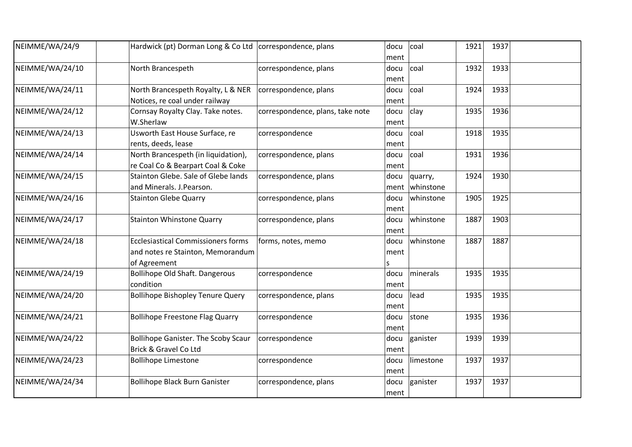| NEIMME/WA/24/9  | Hardwick (pt) Dorman Long & Co Ltd   correspondence, plans                                     |                                  | docu<br>ment      | coal                 | 1921 | 1937 |  |
|-----------------|------------------------------------------------------------------------------------------------|----------------------------------|-------------------|----------------------|------|------|--|
| NEIMME/WA/24/10 | North Brancespeth                                                                              | correspondence, plans            | docu<br>ment      | coal                 | 1932 | 1933 |  |
| NEIMME/WA/24/11 | North Brancespeth Royalty, L & NER<br>Notices, re coal under railway                           | correspondence, plans            | docu<br>ment      | coal                 | 1924 | 1933 |  |
| NEIMME/WA/24/12 | Cornsay Royalty Clay. Take notes.<br>W.Sherlaw                                                 | correspondence, plans, take note | docu<br>ment      | clay                 | 1935 | 1936 |  |
| NEIMME/WA/24/13 | Usworth East House Surface, re<br>rents, deeds, lease                                          | correspondence                   | docu<br>ment      | coal                 | 1918 | 1935 |  |
| NEIMME/WA/24/14 | North Brancespeth (in liquidation),<br>re Coal Co & Bearpart Coal & Coke                       | correspondence, plans            | docu<br>ment      | coal                 | 1931 | 1936 |  |
| NEIMME/WA/24/15 | Stainton Glebe. Sale of Glebe lands<br>and Minerals. J.Pearson.                                | correspondence, plans            | docu<br>ment      | quarry,<br>whinstone | 1924 | 1930 |  |
| NEIMME/WA/24/16 | <b>Stainton Glebe Quarry</b>                                                                   | correspondence, plans            | docu<br>ment      | whinstone            | 1905 | 1925 |  |
| NEIMME/WA/24/17 | <b>Stainton Whinstone Quarry</b>                                                               | correspondence, plans            | docu<br>ment      | whinstone            | 1887 | 1903 |  |
| NEIMME/WA/24/18 | <b>Ecclesiastical Commissioners forms</b><br>and notes re Stainton, Memorandum<br>of Agreement | forms, notes, memo               | docu<br>ment<br>S | whinstone            | 1887 | 1887 |  |
| NEIMME/WA/24/19 | <b>Bollihope Old Shaft. Dangerous</b><br>condition                                             | correspondence                   | docu<br>ment      | minerals             | 1935 | 1935 |  |
| NEIMME/WA/24/20 | <b>Bollihope Bishopley Tenure Query</b>                                                        | correspondence, plans            | docu<br>ment      | lead                 | 1935 | 1935 |  |
| NEIMME/WA/24/21 | <b>Bollihope Freestone Flag Quarry</b>                                                         | correspondence                   | docu<br>ment      | stone                | 1935 | 1936 |  |
| NEIMME/WA/24/22 | <b>Bollihope Ganister. The Scoby Scaur</b><br><b>Brick &amp; Gravel Co Ltd</b>                 | correspondence                   | docu<br>ment      | ganister             | 1939 | 1939 |  |
| NEIMME/WA/24/23 | <b>Bollihope Limestone</b>                                                                     | correspondence                   | docu<br>ment      | limestone            | 1937 | 1937 |  |
| NEIMME/WA/24/34 | <b>Bollihope Black Burn Ganister</b>                                                           | correspondence, plans            | docu<br>ment      | ganister             | 1937 | 1937 |  |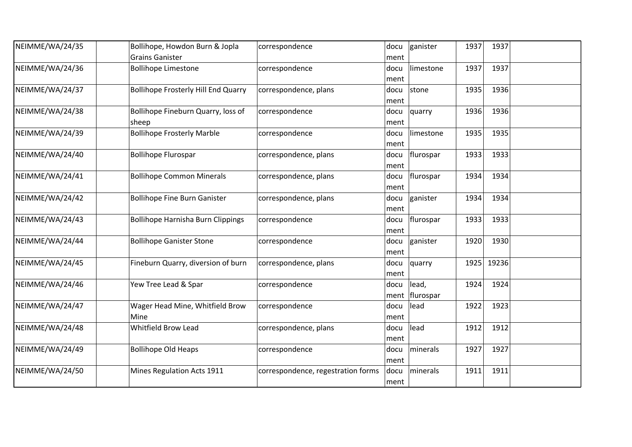| NEIMME/WA/24/35 | Bollihope, Howdon Burn & Jopla<br><b>Grains Ganister</b> | correspondence                     | docu                 | ganister                | 1937 | 1937  |  |
|-----------------|----------------------------------------------------------|------------------------------------|----------------------|-------------------------|------|-------|--|
| NEIMME/WA/24/36 | <b>Bollihope Limestone</b>                               | correspondence                     | ment<br>docu         | limestone               | 1937 | 1937  |  |
| NEIMME/WA/24/37 | <b>Bollihope Frosterly Hill End Quarry</b>               | correspondence, plans              | ment<br>docu<br>ment | stone                   | 1935 | 1936  |  |
| NEIMME/WA/24/38 | Bollihope Fineburn Quarry, loss of<br>sheep              | correspondence                     | docu<br>ment         | quarry                  | 1936 | 1936  |  |
| NEIMME/WA/24/39 | <b>Bollihope Frosterly Marble</b>                        | correspondence                     | docu<br>ment         | limestone               | 1935 | 1935  |  |
| NEIMME/WA/24/40 | <b>Bollihope Flurospar</b>                               | correspondence, plans              | docu<br>ment         | flurospar               | 1933 | 1933  |  |
| NEIMME/WA/24/41 | <b>Bollihope Common Minerals</b>                         | correspondence, plans              | docu<br>ment         | flurospar               | 1934 | 1934  |  |
| NEIMME/WA/24/42 | <b>Bollihope Fine Burn Ganister</b>                      | correspondence, plans              | docu<br>ment         | ganister                | 1934 | 1934  |  |
| NEIMME/WA/24/43 | <b>Bollihope Harnisha Burn Clippings</b>                 | correspondence                     | docu<br>ment         | flurospar               | 1933 | 1933  |  |
| NEIMME/WA/24/44 | <b>Bollihope Ganister Stone</b>                          | correspondence                     | docu<br>ment         | ganister                | 1920 | 1930  |  |
| NEIMME/WA/24/45 | Fineburn Quarry, diversion of burn                       | correspondence, plans              | docu<br>ment         | quarry                  | 1925 | 19236 |  |
| NEIMME/WA/24/46 | Yew Tree Lead & Spar                                     | correspondence                     | docu                 | lead,<br>ment flurospar | 1924 | 1924  |  |
| NEIMME/WA/24/47 | Wager Head Mine, Whitfield Brow<br>Mine                  | correspondence                     | docu<br>ment         | lead                    | 1922 | 1923  |  |
| NEIMME/WA/24/48 | <b>Whitfield Brow Lead</b>                               | correspondence, plans              | docu<br>ment         | lead                    | 1912 | 1912  |  |
| NEIMME/WA/24/49 | <b>Bollihope Old Heaps</b>                               | correspondence                     | docu<br>ment         | minerals                | 1927 | 1927  |  |
| NEIMME/WA/24/50 | Mines Regulation Acts 1911                               | correspondence, regestration forms | docu<br>ment         | minerals                | 1911 | 1911  |  |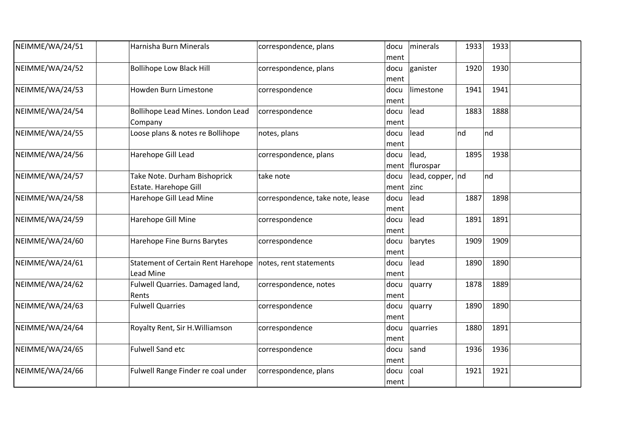| NEIMME/WA/24/51 | Harnisha Burn Minerals                                 | correspondence, plans            | docu<br>ment      | minerals                  | 1933 | 1933 |  |
|-----------------|--------------------------------------------------------|----------------------------------|-------------------|---------------------------|------|------|--|
| NEIMME/WA/24/52 | <b>Bollihope Low Black Hill</b>                        | correspondence, plans            | docu<br>ment      | ganister                  | 1920 | 1930 |  |
| NEIMME/WA/24/53 | Howden Burn Limestone                                  | correspondence                   | docu<br>ment      | limestone                 | 1941 | 1941 |  |
| NEIMME/WA/24/54 | Bollihope Lead Mines. London Lead<br>Company           | correspondence                   | docu<br>ment      | lead                      | 1883 | 1888 |  |
| NEIMME/WA/24/55 | Loose plans & notes re Bollihope                       | notes, plans                     | docu<br>ment      | lead                      | nd   | nd   |  |
| NEIMME/WA/24/56 | Harehope Gill Lead                                     | correspondence, plans            | docu              | lead,<br>ment   flurospar | 1895 | 1938 |  |
| NEIMME/WA/24/57 | Take Note. Durham Bishoprick<br>Estate. Harehope Gill  | take note                        | docu<br>ment zinc | lead, copper, nd          |      | nd   |  |
| NEIMME/WA/24/58 | Harehope Gill Lead Mine                                | correspondence, take note, lease | docu<br>ment      | lead                      | 1887 | 1898 |  |
| NEIMME/WA/24/59 | Harehope Gill Mine                                     | correspondence                   | docu<br>ment      | lead                      | 1891 | 1891 |  |
| NEIMME/WA/24/60 | Harehope Fine Burns Barytes                            | correspondence                   | docu<br>ment      | barytes                   | 1909 | 1909 |  |
| NEIMME/WA/24/61 | <b>Statement of Certain Rent Harehope</b><br>Lead Mine | notes, rent statements           | docu<br>ment      | lead                      | 1890 | 1890 |  |
| NEIMME/WA/24/62 | Fulwell Quarries. Damaged land,<br>Rents               | correspondence, notes            | docu<br>ment      | quarry                    | 1878 | 1889 |  |
| NEIMME/WA/24/63 | <b>Fulwell Quarries</b>                                | correspondence                   | docu<br>ment      | quarry                    | 1890 | 1890 |  |
| NEIMME/WA/24/64 | Royalty Rent, Sir H. Williamson                        | correspondence                   | docu<br>ment      | quarries                  | 1880 | 1891 |  |
| NEIMME/WA/24/65 | <b>Fulwell Sand etc</b>                                | correspondence                   | docu<br>ment      | sand                      | 1936 | 1936 |  |
| NEIMME/WA/24/66 | Fulwell Range Finder re coal under                     | correspondence, plans            | docu<br>ment      | coal                      | 1921 | 1921 |  |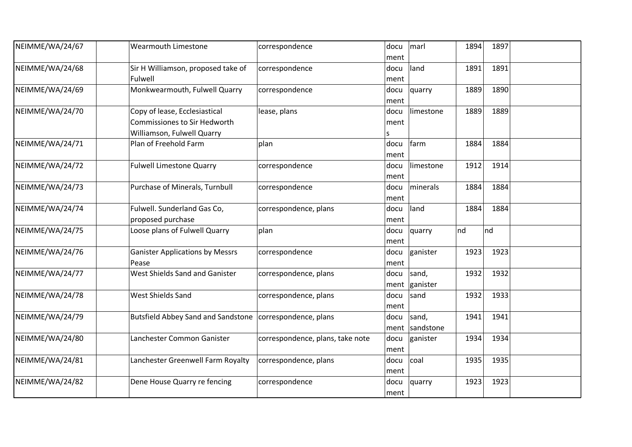| NEIMME/WA/24/67 | <b>Wearmouth Limestone</b>                | correspondence                   | docu | marl            | 1894 | 1897 |  |
|-----------------|-------------------------------------------|----------------------------------|------|-----------------|------|------|--|
|                 |                                           |                                  | ment |                 |      |      |  |
| NEIMME/WA/24/68 | Sir H Williamson, proposed take of        | correspondence                   | docu | land            | 1891 | 1891 |  |
|                 | Fulwell                                   |                                  | ment |                 |      |      |  |
| NEIMME/WA/24/69 | Monkwearmouth, Fulwell Quarry             | correspondence                   | docu | quarry          | 1889 | 1890 |  |
|                 |                                           |                                  | ment |                 |      |      |  |
| NEIMME/WA/24/70 | Copy of lease, Ecclesiastical             | lease, plans                     | docu | limestone       | 1889 | 1889 |  |
|                 | <b>Commissiones to Sir Hedworth</b>       |                                  | ment |                 |      |      |  |
|                 | Williamson, Fulwell Quarry                |                                  | s    |                 |      |      |  |
| NEIMME/WA/24/71 | Plan of Freehold Farm                     | plan                             | docu | farm            | 1884 | 1884 |  |
|                 |                                           |                                  | ment |                 |      |      |  |
| NEIMME/WA/24/72 | <b>Fulwell Limestone Quarry</b>           | correspondence                   | docu | limestone       | 1912 | 1914 |  |
|                 |                                           |                                  | ment |                 |      |      |  |
| NEIMME/WA/24/73 | Purchase of Minerals, Turnbull            | correspondence                   | docu | minerals        | 1884 | 1884 |  |
|                 |                                           |                                  | ment |                 |      |      |  |
| NEIMME/WA/24/74 | Fulwell. Sunderland Gas Co,               | correspondence, plans            | docu | land            | 1884 | 1884 |  |
|                 | proposed purchase                         |                                  | ment |                 |      |      |  |
| NEIMME/WA/24/75 | Loose plans of Fulwell Quarry             | plan                             | docu | quarry          | nd   | nd   |  |
|                 |                                           |                                  | ment |                 |      |      |  |
| NEIMME/WA/24/76 | <b>Ganister Applications by Messrs</b>    | correspondence                   | docu | ganister        | 1923 | 1923 |  |
|                 | Pease                                     |                                  | ment |                 |      |      |  |
| NEIMME/WA/24/77 | West Shields Sand and Ganister            | correspondence, plans            | docu | sand,           | 1932 | 1932 |  |
|                 |                                           |                                  |      | ment   ganister |      |      |  |
| NEIMME/WA/24/78 | West Shields Sand                         | correspondence, plans            | docu | sand            | 1932 | 1933 |  |
|                 |                                           |                                  | ment |                 |      |      |  |
| NEIMME/WA/24/79 | <b>Butsfield Abbey Sand and Sandstone</b> | correspondence, plans            | docu | sand,           | 1941 | 1941 |  |
|                 |                                           |                                  | ment | sandstone       |      |      |  |
| NEIMME/WA/24/80 | Lanchester Common Ganister                | correspondence, plans, take note | docu | ganister        | 1934 | 1934 |  |
|                 |                                           |                                  | ment |                 |      |      |  |
| NEIMME/WA/24/81 | Lanchester Greenwell Farm Royalty         | correspondence, plans            | docu | coal            | 1935 | 1935 |  |
|                 |                                           |                                  | ment |                 |      |      |  |
| NEIMME/WA/24/82 | Dene House Quarry re fencing              | correspondence                   | docu | quarry          | 1923 | 1923 |  |
|                 |                                           |                                  | ment |                 |      |      |  |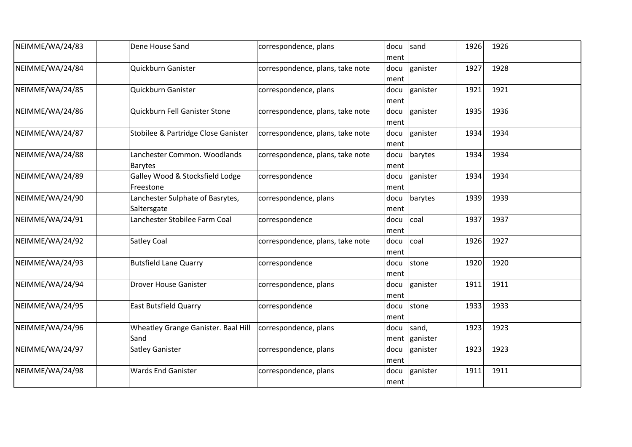| NEIMME/WA/24/83 | Dene House Sand                                 | correspondence, plans            | docu<br>ment | sand                   | 1926 | 1926 |  |
|-----------------|-------------------------------------------------|----------------------------------|--------------|------------------------|------|------|--|
| NEIMME/WA/24/84 | Quickburn Ganister                              | correspondence, plans, take note | docu<br>ment | ganister               | 1927 | 1928 |  |
| NEIMME/WA/24/85 | Quickburn Ganister                              | correspondence, plans            | docu<br>ment | ganister               | 1921 | 1921 |  |
| NEIMME/WA/24/86 | Quickburn Fell Ganister Stone                   | correspondence, plans, take note | docu<br>ment | ganister               | 1935 | 1936 |  |
| NEIMME/WA/24/87 | Stobilee & Partridge Close Ganister             | correspondence, plans, take note | docu<br>ment | ganister               | 1934 | 1934 |  |
| NEIMME/WA/24/88 | Lanchester Common. Woodlands<br><b>Barytes</b>  | correspondence, plans, take note | docu<br>ment | barytes                | 1934 | 1934 |  |
| NEIMME/WA/24/89 | Galley Wood & Stocksfield Lodge<br>Freestone    | correspondence                   | docu<br>ment | ganister               | 1934 | 1934 |  |
| NEIMME/WA/24/90 | Lanchester Sulphate of Basrytes,<br>Saltersgate | correspondence, plans            | docu<br>ment | barytes                | 1939 | 1939 |  |
| NEIMME/WA/24/91 | Lanchester Stobilee Farm Coal                   | correspondence                   | docu<br>ment | coal                   | 1937 | 1937 |  |
| NEIMME/WA/24/92 | <b>Satley Coal</b>                              | correspondence, plans, take note | docu<br>ment | coal                   | 1926 | 1927 |  |
| NEIMME/WA/24/93 | <b>Butsfield Lane Quarry</b>                    | correspondence                   | docu<br>ment | stone                  | 1920 | 1920 |  |
| NEIMME/WA/24/94 | <b>Drover House Ganister</b>                    | correspondence, plans            | docu<br>ment | ganister               | 1911 | 1911 |  |
| NEIMME/WA/24/95 | <b>East Butsfield Quarry</b>                    | correspondence                   | docu<br>ment | stone                  | 1933 | 1933 |  |
| NEIMME/WA/24/96 | Wheatley Grange Ganister. Baal Hill<br>Sand     | correspondence, plans            | docu         | sand,<br>ment ganister | 1923 | 1923 |  |
| NEIMME/WA/24/97 | <b>Satley Ganister</b>                          | correspondence, plans            | docu<br>ment | ganister               | 1923 | 1923 |  |
| NEIMME/WA/24/98 | <b>Wards End Ganister</b>                       | correspondence, plans            | docu<br>ment | ganister               | 1911 | 1911 |  |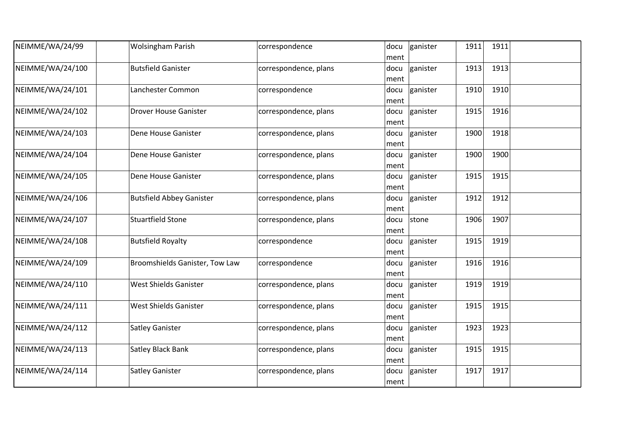| NEIMME/WA/24/99  | <b>Wolsingham Parish</b>        | correspondence        | docu | ganister | 1911 | 1911 |  |
|------------------|---------------------------------|-----------------------|------|----------|------|------|--|
|                  |                                 |                       | ment |          |      |      |  |
| NEIMME/WA/24/100 | <b>Butsfield Ganister</b>       | correspondence, plans | docu | ganister | 1913 | 1913 |  |
|                  |                                 |                       | ment |          |      |      |  |
| NEIMME/WA/24/101 | Lanchester Common               | correspondence        | docu | ganister | 1910 | 1910 |  |
|                  |                                 |                       | ment |          |      |      |  |
| NEIMME/WA/24/102 | Drover House Ganister           | correspondence, plans | docu | ganister | 1915 | 1916 |  |
|                  |                                 |                       | ment |          |      |      |  |
| NEIMME/WA/24/103 | Dene House Ganister             | correspondence, plans | docu | ganister | 1900 | 1918 |  |
|                  |                                 |                       | ment |          |      |      |  |
| NEIMME/WA/24/104 | Dene House Ganister             | correspondence, plans | docu | ganister | 1900 | 1900 |  |
|                  |                                 |                       | ment |          |      |      |  |
| NEIMME/WA/24/105 | Dene House Ganister             | correspondence, plans | docu | ganister | 1915 | 1915 |  |
|                  |                                 |                       | ment |          |      |      |  |
| NEIMME/WA/24/106 | <b>Butsfield Abbey Ganister</b> | correspondence, plans | docu | ganister | 1912 | 1912 |  |
|                  |                                 |                       |      |          |      |      |  |
|                  |                                 |                       | ment |          |      |      |  |
| NEIMME/WA/24/107 | <b>Stuartfield Stone</b>        | correspondence, plans | docu | stone    | 1906 | 1907 |  |
|                  |                                 |                       | ment |          |      |      |  |
| NEIMME/WA/24/108 | <b>Butsfield Royalty</b>        | correspondence        | docu | ganister | 1915 | 1919 |  |
|                  |                                 |                       | ment |          |      |      |  |
| NEIMME/WA/24/109 | Broomshields Ganister, Tow Law  | correspondence        | docu | ganister | 1916 | 1916 |  |
|                  |                                 |                       | ment |          |      |      |  |
| NEIMME/WA/24/110 | <b>West Shields Ganister</b>    | correspondence, plans | docu | ganister | 1919 | 1919 |  |
|                  |                                 |                       | ment |          |      |      |  |
| NEIMME/WA/24/111 | West Shields Ganister           | correspondence, plans | docu | ganister | 1915 | 1915 |  |
|                  |                                 |                       | ment |          |      |      |  |
| NEIMME/WA/24/112 | <b>Satley Ganister</b>          | correspondence, plans | docu | ganister | 1923 | 1923 |  |
|                  |                                 |                       | ment |          |      |      |  |
| NEIMME/WA/24/113 | <b>Satley Black Bank</b>        | correspondence, plans | docu | ganister | 1915 | 1915 |  |
|                  |                                 |                       | ment |          |      |      |  |
| NEIMME/WA/24/114 | <b>Satley Ganister</b>          | correspondence, plans | docu | ganister | 1917 | 1917 |  |
|                  |                                 |                       | ment |          |      |      |  |
|                  |                                 |                       |      |          |      |      |  |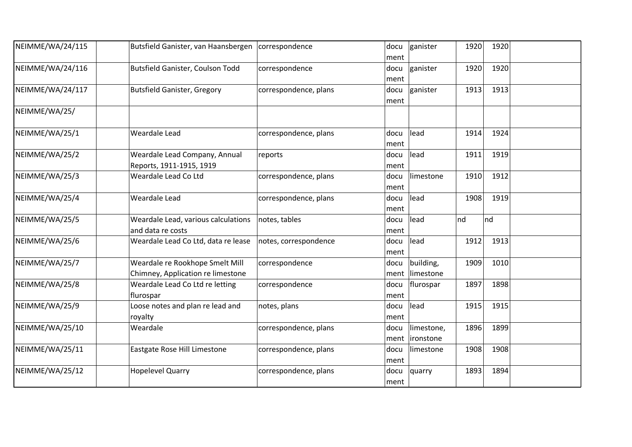| NEIMME/WA/24/115 | Butsfield Ganister, van Haansbergen                                  | correspondence        | docu<br>ment | ganister                        | 1920<br>1920 |  |
|------------------|----------------------------------------------------------------------|-----------------------|--------------|---------------------------------|--------------|--|
| NEIMME/WA/24/116 | Butsfield Ganister, Coulson Todd                                     | correspondence        | docu<br>ment | ganister                        | 1920<br>1920 |  |
| NEIMME/WA/24/117 | <b>Butsfield Ganister, Gregory</b>                                   | correspondence, plans | docu<br>ment | ganister                        | 1913<br>1913 |  |
| NEIMME/WA/25/    |                                                                      |                       |              |                                 |              |  |
| NEIMME/WA/25/1   | Weardale Lead                                                        | correspondence, plans | docu<br>ment | lead                            | 1914<br>1924 |  |
| NEIMME/WA/25/2   | Weardale Lead Company, Annual<br>Reports, 1911-1915, 1919            | reports               | docu<br>ment | lead                            | 1911<br>1919 |  |
| NEIMME/WA/25/3   | Weardale Lead Co Ltd                                                 | correspondence, plans | docu<br>ment | limestone                       | 1910<br>1912 |  |
| NEIMME/WA/25/4   | Weardale Lead                                                        | correspondence, plans | docu<br>ment | lead                            | 1908<br>1919 |  |
| NEIMME/WA/25/5   | Weardale Lead, various calculations<br>and data re costs             | notes, tables         | docu<br>ment | lead                            | nd<br>nd     |  |
| NEIMME/WA/25/6   | Weardale Lead Co Ltd, data re lease                                  | notes, correspondence | docu<br>ment | lead                            | 1913<br>1912 |  |
| NEIMME/WA/25/7   | Weardale re Rookhope Smelt Mill<br>Chimney, Application re limestone | correspondence        | docu<br>ment | building,<br>limestone          | 1909<br>1010 |  |
| NEIMME/WA/25/8   | Weardale Lead Co Ltd re letting<br>flurospar                         | correspondence        | docu<br>ment | flurospar                       | 1897<br>1898 |  |
| NEIMME/WA/25/9   | Loose notes and plan re lead and<br>royalty                          | notes, plans          | docu<br>ment | lead                            | 1915<br>1915 |  |
| NEIMME/WA/25/10  | Weardale                                                             | correspondence, plans | docu<br>ment | limestone,<br><i>lironstone</i> | 1896<br>1899 |  |
| NEIMME/WA/25/11  | Eastgate Rose Hill Limestone                                         | correspondence, plans | docu<br>ment | limestone                       | 1908<br>1908 |  |
| NEIMME/WA/25/12  | <b>Hopelevel Quarry</b>                                              | correspondence, plans | docu<br>ment | quarry                          | 1893<br>1894 |  |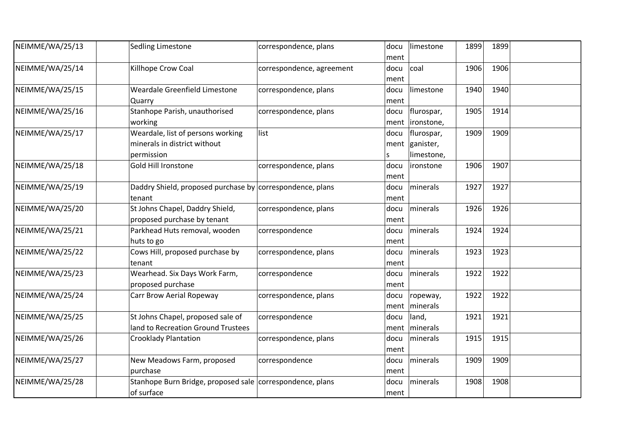| NEIMME/WA/25/13 | Sedling Limestone                                                               | correspondence, plans     | docu<br>ment | limestone                                  | 1899 | 1899 |  |
|-----------------|---------------------------------------------------------------------------------|---------------------------|--------------|--------------------------------------------|------|------|--|
| NEIMME/WA/25/14 | Killhope Crow Coal                                                              | correspondence, agreement | docu<br>ment | coal                                       | 1906 | 1906 |  |
| NEIMME/WA/25/15 | Weardale Greenfield Limestone<br>Quarry                                         | correspondence, plans     | docu<br>ment | limestone                                  | 1940 | 1940 |  |
| NEIMME/WA/25/16 | Stanhope Parish, unauthorised<br>working                                        | correspondence, plans     | docu<br>ment | flurospar,<br> ironstone,                  | 1905 | 1914 |  |
| NEIMME/WA/25/17 | Weardale, list of persons working<br>minerals in district without<br>permission | list                      | docu<br>S    | flurospar,<br>ment ganister,<br>limestone, | 1909 | 1909 |  |
| NEIMME/WA/25/18 | <b>Gold Hill Ironstone</b>                                                      | correspondence, plans     | docu<br>ment | lironstone                                 | 1906 | 1907 |  |
| NEIMME/WA/25/19 | Daddry Shield, proposed purchase by correspondence, plans<br>tenant             |                           | docu<br>ment | minerals                                   | 1927 | 1927 |  |
| NEIMME/WA/25/20 | St Johns Chapel, Daddry Shield,<br>proposed purchase by tenant                  | correspondence, plans     | docu<br>ment | minerals                                   | 1926 | 1926 |  |
| NEIMME/WA/25/21 | Parkhead Huts removal, wooden<br>huts to go                                     | correspondence            | docu<br>ment | minerals                                   | 1924 | 1924 |  |
| NEIMME/WA/25/22 | Cows Hill, proposed purchase by<br>tenant                                       | correspondence, plans     | docu<br>ment | minerals                                   | 1923 | 1923 |  |
| NEIMME/WA/25/23 | Wearhead. Six Days Work Farm,<br>proposed purchase                              | correspondence            | docu<br>ment | minerals                                   | 1922 | 1922 |  |
| NEIMME/WA/25/24 | Carr Brow Aerial Ropeway                                                        | correspondence, plans     | docu<br>ment | ropeway,<br>minerals                       | 1922 | 1922 |  |
| NEIMME/WA/25/25 | St Johns Chapel, proposed sale of<br>land to Recreation Ground Trustees         | correspondence            | docu<br>ment | land,<br>minerals                          | 1921 | 1921 |  |
| NEIMME/WA/25/26 | <b>Crooklady Plantation</b>                                                     | correspondence, plans     | docu<br>ment | minerals                                   | 1915 | 1915 |  |
| NEIMME/WA/25/27 | New Meadows Farm, proposed<br>purchase                                          | correspondence            | docu<br>ment | minerals                                   | 1909 | 1909 |  |
| NEIMME/WA/25/28 | Stanhope Burn Bridge, proposed sale correspondence, plans<br>of surface         |                           | docu<br>ment | minerals                                   | 1908 | 1908 |  |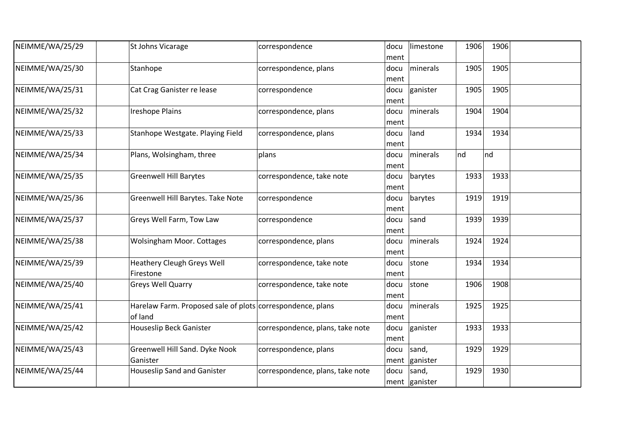| NEIMME/WA/25/29 | St Johns Vicarage                                                     | correspondence                   | docu<br>ment | limestone              | 1906 | 1906 |  |
|-----------------|-----------------------------------------------------------------------|----------------------------------|--------------|------------------------|------|------|--|
| NEIMME/WA/25/30 | Stanhope                                                              | correspondence, plans            | docu<br>ment | minerals               | 1905 | 1905 |  |
| NEIMME/WA/25/31 | Cat Crag Ganister re lease                                            | correspondence                   | docu<br>ment | ganister               | 1905 | 1905 |  |
| NEIMME/WA/25/32 | <b>Ireshope Plains</b>                                                | correspondence, plans            | docu<br>ment | minerals               | 1904 | 1904 |  |
| NEIMME/WA/25/33 | Stanhope Westgate. Playing Field                                      | correspondence, plans            | docu<br>ment | land                   | 1934 | 1934 |  |
| NEIMME/WA/25/34 | Plans, Wolsingham, three                                              | plans                            | docu<br>ment | minerals               | nd   | Ind  |  |
| NEIMME/WA/25/35 | <b>Greenwell Hill Barytes</b>                                         | correspondence, take note        | docu<br>ment | barytes                | 1933 | 1933 |  |
| NEIMME/WA/25/36 | Greenwell Hill Barytes. Take Note                                     | correspondence                   | docu<br>ment | barytes                | 1919 | 1919 |  |
| NEIMME/WA/25/37 | Greys Well Farm, Tow Law                                              | correspondence                   | docu<br>ment | sand                   | 1939 | 1939 |  |
| NEIMME/WA/25/38 | <b>Wolsingham Moor. Cottages</b>                                      | correspondence, plans            | docu<br>ment | minerals               | 1924 | 1924 |  |
| NEIMME/WA/25/39 | <b>Heathery Cleugh Greys Well</b><br>Firestone                        | correspondence, take note        | docu<br>ment | stone                  | 1934 | 1934 |  |
| NEIMME/WA/25/40 | Greys Well Quarry                                                     | correspondence, take note        | docu<br>ment | stone                  | 1906 | 1908 |  |
| NEIMME/WA/25/41 | Harelaw Farm. Proposed sale of plots correspondence, plans<br>of land |                                  | docu<br>ment | minerals               | 1925 | 1925 |  |
| NEIMME/WA/25/42 | <b>Houseslip Beck Ganister</b>                                        | correspondence, plans, take note | docu<br>ment | ganister               | 1933 | 1933 |  |
| NEIMME/WA/25/43 | Greenwell Hill Sand. Dyke Nook<br>Ganister                            | correspondence, plans            | docu         | sand,<br>ment ganister | 1929 | 1929 |  |
| NEIMME/WA/25/44 | <b>Houseslip Sand and Ganister</b>                                    | correspondence, plans, take note | docu         | sand,<br>ment ganister | 1929 | 1930 |  |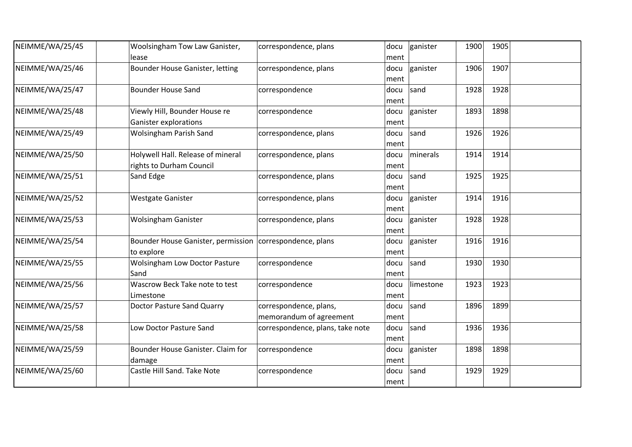| NEIMME/WA/25/45 | Woolsingham Tow Law Ganister,<br>lease                                 | correspondence, plans                             | docu<br>ment | ganister  | 1900 | 1905 |  |
|-----------------|------------------------------------------------------------------------|---------------------------------------------------|--------------|-----------|------|------|--|
| NEIMME/WA/25/46 | Bounder House Ganister, letting                                        | correspondence, plans                             | docu<br>ment | ganister  | 1906 | 1907 |  |
| NEIMME/WA/25/47 | <b>Bounder House Sand</b>                                              | correspondence                                    | docu<br>ment | sand      | 1928 | 1928 |  |
| NEIMME/WA/25/48 | Viewly Hill, Bounder House re<br><b>Ganister explorations</b>          | correspondence                                    | docu<br>ment | ganister  | 1893 | 1898 |  |
| NEIMME/WA/25/49 | <b>Wolsingham Parish Sand</b>                                          | correspondence, plans                             | docu<br>ment | sand      | 1926 | 1926 |  |
| NEIMME/WA/25/50 | Holywell Hall. Release of mineral<br>rights to Durham Council          | correspondence, plans                             | docu<br>ment | minerals  | 1914 | 1914 |  |
| NEIMME/WA/25/51 | Sand Edge                                                              | correspondence, plans                             | docu<br>ment | sand      | 1925 | 1925 |  |
| NEIMME/WA/25/52 | <b>Westgate Ganister</b>                                               | correspondence, plans                             | docu<br>ment | ganister  | 1914 | 1916 |  |
| NEIMME/WA/25/53 | <b>Wolsingham Ganister</b>                                             | correspondence, plans                             | docu<br>ment | ganister  | 1928 | 1928 |  |
| NEIMME/WA/25/54 | Bounder House Ganister, permission correspondence, plans<br>to explore |                                                   | docu<br>ment | ganister  | 1916 | 1916 |  |
| NEIMME/WA/25/55 | <b>Wolsingham Low Doctor Pasture</b><br>Sand                           | correspondence                                    | docu<br>ment | sand      | 1930 | 1930 |  |
| NEIMME/WA/25/56 | Wascrow Beck Take note to test<br>Limestone                            | correspondence                                    | docu<br>ment | limestone | 1923 | 1923 |  |
| NEIMME/WA/25/57 | <b>Doctor Pasture Sand Quarry</b>                                      | correspondence, plans,<br>memorandum of agreement | docu<br>ment | sand      | 1896 | 1899 |  |
| NEIMME/WA/25/58 | Low Doctor Pasture Sand                                                | correspondence, plans, take note                  | docu<br>ment | sand      | 1936 | 1936 |  |
| NEIMME/WA/25/59 | Bounder House Ganister. Claim for<br>damage                            | correspondence                                    | docu<br>ment | ganister  | 1898 | 1898 |  |
| NEIMME/WA/25/60 | Castle Hill Sand. Take Note                                            | correspondence                                    | docu<br>ment | sand      | 1929 | 1929 |  |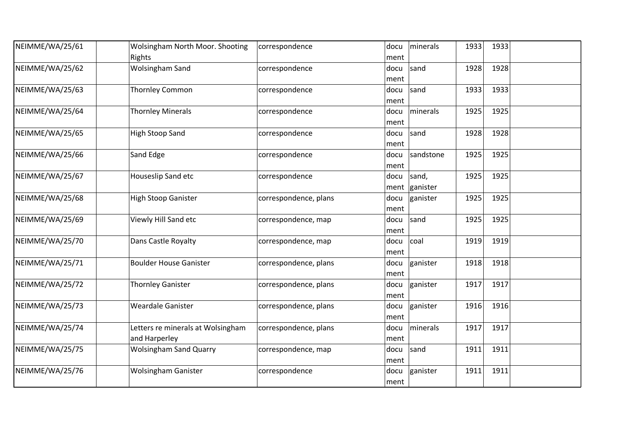| NEIMME/WA/25/61 | Wolsingham North Moor. Shooting<br>Rights          | correspondence        | docu<br>ment | minerals          | 1933 | 1933 |  |
|-----------------|----------------------------------------------------|-----------------------|--------------|-------------------|------|------|--|
| NEIMME/WA/25/62 | <b>Wolsingham Sand</b>                             | correspondence        | docu<br>ment | sand              | 1928 | 1928 |  |
| NEIMME/WA/25/63 | <b>Thornley Common</b>                             | correspondence        | docu<br>ment | sand              | 1933 | 1933 |  |
| NEIMME/WA/25/64 | <b>Thornley Minerals</b>                           | correspondence        | docu<br>ment | minerals          | 1925 | 1925 |  |
| NEIMME/WA/25/65 | <b>High Stoop Sand</b>                             | correspondence        | docu<br>ment | sand              | 1928 | 1928 |  |
| NEIMME/WA/25/66 | Sand Edge                                          | correspondence        | docu<br>ment | sandstone         | 1925 | 1925 |  |
| NEIMME/WA/25/67 | Houseslip Sand etc                                 | correspondence        | docu<br>ment | sand,<br>ganister | 1925 | 1925 |  |
| NEIMME/WA/25/68 | <b>High Stoop Ganister</b>                         | correspondence, plans | docu<br>ment | ganister          | 1925 | 1925 |  |
| NEIMME/WA/25/69 | Viewly Hill Sand etc                               | correspondence, map   | docu<br>ment | sand              | 1925 | 1925 |  |
| NEIMME/WA/25/70 | Dans Castle Royalty                                | correspondence, map   | docu<br>ment | coal              | 1919 | 1919 |  |
| NEIMME/WA/25/71 | <b>Boulder House Ganister</b>                      | correspondence, plans | docu<br>ment | ganister          | 1918 | 1918 |  |
| NEIMME/WA/25/72 | <b>Thornley Ganister</b>                           | correspondence, plans | docu<br>ment | ganister          | 1917 | 1917 |  |
| NEIMME/WA/25/73 | <b>Weardale Ganister</b>                           | correspondence, plans | docu<br>ment | ganister          | 1916 | 1916 |  |
| NEIMME/WA/25/74 | Letters re minerals at Wolsingham<br>and Harperley | correspondence, plans | docu<br>ment | minerals          | 1917 | 1917 |  |
| NEIMME/WA/25/75 | <b>Wolsingham Sand Quarry</b>                      | correspondence, map   | docu<br>ment | sand              | 1911 | 1911 |  |
| NEIMME/WA/25/76 | <b>Wolsingham Ganister</b>                         | correspondence        | docu<br>ment | ganister          | 1911 | 1911 |  |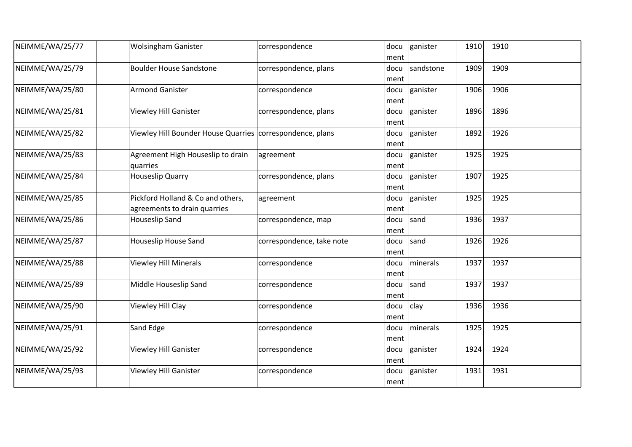| NEIMME/WA/25/77 | <b>Wolsingham Ganister</b>                                        | correspondence            | docu<br>ment | ganister  | 1910 | 1910 |  |
|-----------------|-------------------------------------------------------------------|---------------------------|--------------|-----------|------|------|--|
| NEIMME/WA/25/79 | <b>Boulder House Sandstone</b>                                    | correspondence, plans     | docu<br>ment | sandstone | 1909 | 1909 |  |
| NEIMME/WA/25/80 | <b>Armond Ganister</b>                                            | correspondence            | docu<br>ment | ganister  | 1906 | 1906 |  |
| NEIMME/WA/25/81 | <b>Viewley Hill Ganister</b>                                      | correspondence, plans     | docu<br>ment | ganister  | 1896 | 1896 |  |
| NEIMME/WA/25/82 | Viewley Hill Bounder House Quarries   correspondence, plans       |                           | docu<br>ment | ganister  | 1892 | 1926 |  |
| NEIMME/WA/25/83 | Agreement High Houseslip to drain<br>quarries                     | agreement                 | docu<br>ment | ganister  | 1925 | 1925 |  |
| NEIMME/WA/25/84 | <b>Houseslip Quarry</b>                                           | correspondence, plans     | docu<br>ment | ganister  | 1907 | 1925 |  |
| NEIMME/WA/25/85 | Pickford Holland & Co and others,<br>agreements to drain quarries | agreement                 | docu<br>ment | ganister  | 1925 | 1925 |  |
| NEIMME/WA/25/86 | <b>Houseslip Sand</b>                                             | correspondence, map       | docu<br>ment | sand      | 1936 | 1937 |  |
| NEIMME/WA/25/87 | <b>Houseslip House Sand</b>                                       | correspondence, take note | docu<br>ment | sand      | 1926 | 1926 |  |
| NEIMME/WA/25/88 | <b>Viewley Hill Minerals</b>                                      | correspondence            | docu<br>ment | minerals  | 1937 | 1937 |  |
| NEIMME/WA/25/89 | Middle Houseslip Sand                                             | correspondence            | docu<br>ment | sand      | 1937 | 1937 |  |
| NEIMME/WA/25/90 | Viewley Hill Clay                                                 | correspondence            | docu<br>ment | clay      | 1936 | 1936 |  |
| NEIMME/WA/25/91 | Sand Edge                                                         | correspondence            | docu<br>ment | minerals  | 1925 | 1925 |  |
| NEIMME/WA/25/92 | <b>Viewley Hill Ganister</b>                                      | correspondence            | docu<br>ment | ganister  | 1924 | 1924 |  |
| NEIMME/WA/25/93 | <b>Viewley Hill Ganister</b>                                      | correspondence            | docu<br>ment | ganister  | 1931 | 1931 |  |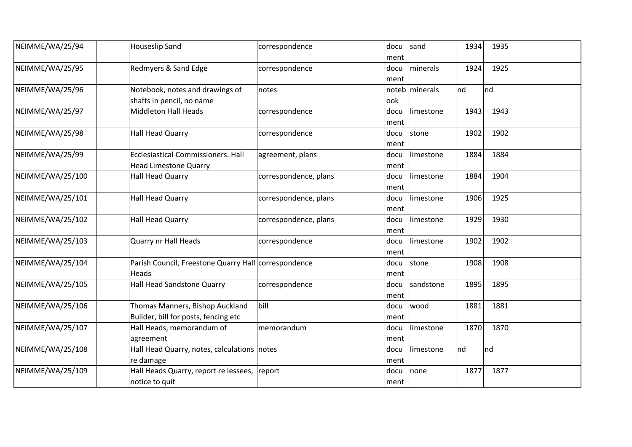| NEIMME/WA/25/94  | <b>Houseslip Sand</b>                                | correspondence        | docu | sand           | 1934 | 1935 |  |
|------------------|------------------------------------------------------|-----------------------|------|----------------|------|------|--|
|                  |                                                      |                       | ment |                |      |      |  |
| NEIMME/WA/25/95  | Redmyers & Sand Edge                                 | correspondence        | docu | minerals       | 1924 | 1925 |  |
|                  |                                                      |                       | ment |                |      |      |  |
| NEIMME/WA/25/96  | Notebook, notes and drawings of                      | notes                 |      | noteb minerals | nd   | Ind  |  |
|                  | shafts in pencil, no name                            |                       | ook  |                |      |      |  |
| NEIMME/WA/25/97  | <b>Middleton Hall Heads</b>                          | correspondence        | docu | limestone      | 1943 | 1943 |  |
|                  |                                                      |                       | ment |                |      |      |  |
| NEIMME/WA/25/98  | <b>Hall Head Quarry</b>                              | correspondence        | docu | stone          | 1902 | 1902 |  |
|                  |                                                      |                       | ment |                |      |      |  |
| NEIMME/WA/25/99  | <b>Ecclesiastical Commissioners. Hall</b>            | agreement, plans      | docu | limestone      | 1884 | 1884 |  |
|                  | <b>Head Limestone Quarry</b>                         |                       | ment |                |      |      |  |
| NEIMME/WA/25/100 | <b>Hall Head Quarry</b>                              | correspondence, plans | docu | limestone      | 1884 | 1904 |  |
|                  |                                                      |                       | ment |                |      |      |  |
| NEIMME/WA/25/101 | <b>Hall Head Quarry</b>                              | correspondence, plans | docu | limestone      | 1906 | 1925 |  |
|                  |                                                      |                       | ment |                |      |      |  |
| NEIMME/WA/25/102 | <b>Hall Head Quarry</b>                              | correspondence, plans | docu | limestone      | 1929 | 1930 |  |
|                  |                                                      |                       | ment |                |      |      |  |
| NEIMME/WA/25/103 | Quarry nr Hall Heads                                 | correspondence        | docu | limestone      | 1902 | 1902 |  |
|                  |                                                      |                       | ment |                |      |      |  |
| NEIMME/WA/25/104 | Parish Council, Freestone Quarry Hall correspondence |                       | docu | stone          | 1908 | 1908 |  |
|                  | Heads                                                |                       | ment |                |      |      |  |
| NEIMME/WA/25/105 | Hall Head Sandstone Quarry                           | correspondence        |      | docu sandstone | 1895 | 1895 |  |
|                  |                                                      |                       | ment |                |      |      |  |
| NEIMME/WA/25/106 | Thomas Manners, Bishop Auckland                      | bill                  | docu | wood           | 1881 | 1881 |  |
|                  | Builder, bill for posts, fencing etc                 |                       | ment |                |      |      |  |
| NEIMME/WA/25/107 | Hall Heads, memorandum of                            | memorandum            | docu | limestone      | 1870 | 1870 |  |
|                  | agreement                                            |                       | ment |                |      |      |  |
| NEIMME/WA/25/108 | Hall Head Quarry, notes, calculations notes          |                       | docu | limestone      | nd   | Ind  |  |
|                  | re damage                                            |                       | ment |                |      |      |  |
| NEIMME/WA/25/109 | Hall Heads Quarry, report re lessees,                | report                | docu | none           | 1877 | 1877 |  |
|                  | notice to quit                                       |                       | ment |                |      |      |  |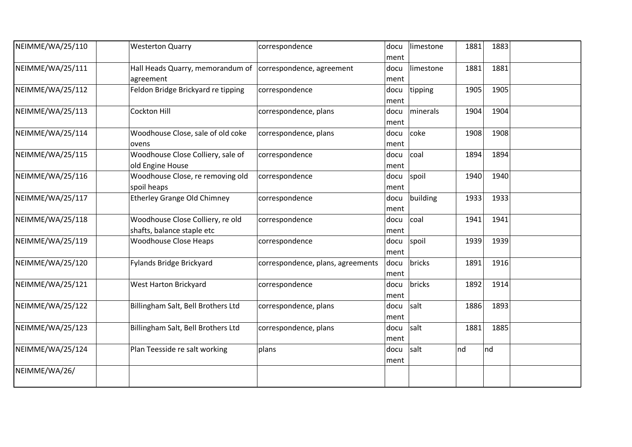| NEIMME/WA/25/110 | <b>Westerton Quarry</b>                                                 | correspondence                    | docu<br>ment | limestone | 1881 | 1883 |  |
|------------------|-------------------------------------------------------------------------|-----------------------------------|--------------|-----------|------|------|--|
| NEIMME/WA/25/111 | Hall Heads Quarry, memorandum of correspondence, agreement<br>agreement |                                   | docu<br>ment | limestone | 1881 | 1881 |  |
| NEIMME/WA/25/112 | Feldon Bridge Brickyard re tipping                                      | correspondence                    | docu<br>ment | tipping   | 1905 | 1905 |  |
| NEIMME/WA/25/113 | Cockton Hill                                                            | correspondence, plans             | docu<br>ment | minerals  | 1904 | 1904 |  |
| NEIMME/WA/25/114 | Woodhouse Close, sale of old coke<br>ovens                              | correspondence, plans             | docu<br>ment | coke      | 1908 | 1908 |  |
| NEIMME/WA/25/115 | Woodhouse Close Colliery, sale of<br>old Engine House                   | correspondence                    | docu<br>ment | coal      | 1894 | 1894 |  |
| NEIMME/WA/25/116 | Woodhouse Close, re removing old<br>spoil heaps                         | correspondence                    | docu<br>ment | spoil     | 1940 | 1940 |  |
| NEIMME/WA/25/117 | <b>Etherley Grange Old Chimney</b>                                      | correspondence                    | docu<br>ment | building  | 1933 | 1933 |  |
| NEIMME/WA/25/118 | Woodhouse Close Colliery, re old<br>shafts, balance staple etc          | correspondence                    | docu<br>ment | coal      | 1941 | 1941 |  |
| NEIMME/WA/25/119 | <b>Woodhouse Close Heaps</b>                                            | correspondence                    | docu<br>ment | spoil     | 1939 | 1939 |  |
| NEIMME/WA/25/120 | Fylands Bridge Brickyard                                                | correspondence, plans, agreements | docu<br>ment | bricks    | 1891 | 1916 |  |
| NEIMME/WA/25/121 | West Harton Brickyard                                                   | correspondence                    | docu<br>ment | bricks    | 1892 | 1914 |  |
| NEIMME/WA/25/122 | Billingham Salt, Bell Brothers Ltd                                      | correspondence, plans             | docu<br>ment | salt      | 1886 | 1893 |  |
| NEIMME/WA/25/123 | Billingham Salt, Bell Brothers Ltd                                      | correspondence, plans             | docu<br>ment | salt      | 1881 | 1885 |  |
| NEIMME/WA/25/124 | Plan Teesside re salt working                                           | plans                             | docu<br>ment | salt      | nd   | nd   |  |
| NEIMME/WA/26/    |                                                                         |                                   |              |           |      |      |  |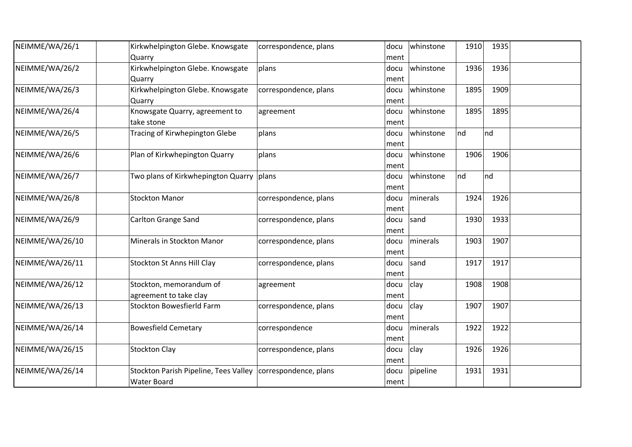| NEIMME/WA/26/1  | Kirkwhelpington Glebe. Knowsgate          | correspondence, plans | docu | whinstone | 1910 | 1935 |  |
|-----------------|-------------------------------------------|-----------------------|------|-----------|------|------|--|
|                 | Quarry                                    |                       | ment |           |      |      |  |
| NEIMME/WA/26/2  | Kirkwhelpington Glebe. Knowsgate          | plans                 | docu | whinstone | 1936 | 1936 |  |
|                 | Quarry                                    |                       | ment |           |      |      |  |
| NEIMME/WA/26/3  | Kirkwhelpington Glebe. Knowsgate          | correspondence, plans | docu | whinstone | 1895 | 1909 |  |
|                 | Quarry                                    |                       | ment |           |      |      |  |
| NEIMME/WA/26/4  | Knowsgate Quarry, agreement to            | agreement             | docu | whinstone | 1895 | 1895 |  |
|                 | take stone                                |                       | ment |           |      |      |  |
| NEIMME/WA/26/5  | Tracing of Kirwhepington Glebe            | plans                 | docu | whinstone | Ind  | nd   |  |
|                 |                                           |                       | ment |           |      |      |  |
| NEIMME/WA/26/6  | Plan of Kirkwhepington Quarry             | plans                 | docu | whinstone | 1906 | 1906 |  |
|                 |                                           |                       | ment |           |      |      |  |
| NEIMME/WA/26/7  | Two plans of Kirkwhepington Quarry  plans |                       | docu | whinstone | nd   | nd   |  |
|                 |                                           |                       | ment |           |      |      |  |
| NEIMME/WA/26/8  | <b>Stockton Manor</b>                     | correspondence, plans | docu | minerals  | 1924 | 1926 |  |
|                 |                                           |                       | ment |           |      |      |  |
| NEIMME/WA/26/9  | <b>Carlton Grange Sand</b>                | correspondence, plans | docu | sand      | 1930 | 1933 |  |
|                 |                                           |                       | ment |           |      |      |  |
| NEIMME/WA/26/10 | Minerals in Stockton Manor                | correspondence, plans | docu | minerals  | 1903 | 1907 |  |
|                 |                                           |                       | ment |           |      |      |  |
| NEIMME/WA/26/11 | <b>Stockton St Anns Hill Clay</b>         | correspondence, plans | docu | sand      | 1917 | 1917 |  |
|                 |                                           |                       | ment |           |      |      |  |
| NEIMME/WA/26/12 | Stockton, memorandum of                   | agreement             | docu | clay      | 1908 | 1908 |  |
|                 | agreement to take clay                    |                       | ment |           |      |      |  |
| NEIMME/WA/26/13 | <b>Stockton Bowesfierld Farm</b>          | correspondence, plans | docu | clay      | 1907 | 1907 |  |
|                 |                                           |                       | ment |           |      |      |  |
| NEIMME/WA/26/14 | <b>Bowesfield Cemetary</b>                | correspondence        | docu | minerals  | 1922 | 1922 |  |
|                 |                                           |                       | ment |           |      |      |  |
| NEIMME/WA/26/15 | <b>Stockton Clay</b>                      | correspondence, plans | docu | clay      | 1926 | 1926 |  |
|                 |                                           |                       | ment |           |      |      |  |
| NEIMME/WA/26/14 | Stockton Parish Pipeline, Tees Valley     | correspondence, plans | docu | pipeline  | 1931 | 1931 |  |
|                 | <b>Water Board</b>                        |                       | ment |           |      |      |  |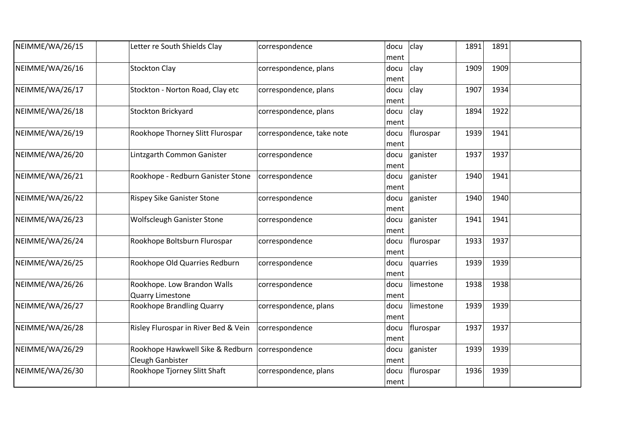| NEIMME/WA/26/15 | Letter re South Shields Clay                           | correspondence            | docu<br>ment | clay<br>1891      | 1891         |  |
|-----------------|--------------------------------------------------------|---------------------------|--------------|-------------------|--------------|--|
| NEIMME/WA/26/16 | <b>Stockton Clay</b>                                   | correspondence, plans     | docu<br>ment | clay              | 1909<br>1909 |  |
| NEIMME/WA/26/17 | Stockton - Norton Road, Clay etc                       | correspondence, plans     | docu<br>ment | clay<br>1907      | 1934         |  |
| NEIMME/WA/26/18 | Stockton Brickyard                                     | correspondence, plans     | docu<br>ment | clay<br>1894      | 1922         |  |
| NEIMME/WA/26/19 | Rookhope Thorney Slitt Flurospar                       | correspondence, take note | docu<br>ment | flurospar         | 1939<br>1941 |  |
| NEIMME/WA/26/20 | Lintzgarth Common Ganister                             | correspondence            | docu<br>ment | 1937<br>ganister  | 1937         |  |
| NEIMME/WA/26/21 | Rookhope - Redburn Ganister Stone                      | correspondence            | docu<br>ment | ganister          | 1940<br>1941 |  |
| NEIMME/WA/26/22 | <b>Rispey Sike Ganister Stone</b>                      | correspondence            | docu<br>ment | ganister          | 1940<br>1940 |  |
| NEIMME/WA/26/23 | <b>Wolfscleugh Ganister Stone</b>                      | correspondence            | docu<br>ment | 1941<br>ganister  | 1941         |  |
| NEIMME/WA/26/24 | Rookhope Boltsburn Flurospar                           | correspondence            | docu<br>ment | flurospar<br>1933 | 1937         |  |
| NEIMME/WA/26/25 | Rookhope Old Quarries Redburn                          | correspondence            | docu<br>ment | quarries          | 1939<br>1939 |  |
| NEIMME/WA/26/26 | Rookhope. Low Brandon Walls<br><b>Quarry Limestone</b> | correspondence            | docu<br>ment | limestone         | 1938<br>1938 |  |
| NEIMME/WA/26/27 | Rookhope Brandling Quarry                              | correspondence, plans     | docu<br>ment | limestone         | 1939<br>1939 |  |
| NEIMME/WA/26/28 | Risley Flurospar in River Bed & Vein                   | correspondence            | docu<br>ment | 1937<br>flurospar | 1937         |  |
| NEIMME/WA/26/29 | Rookhope Hawkwell Sike & Redburn<br>Cleugh Ganbister   | correspondence            | docu<br>ment | ganister          | 1939<br>1939 |  |
| NEIMME/WA/26/30 | Rookhope Tjorney Slitt Shaft                           | correspondence, plans     | docu<br>ment | flurospar         | 1936<br>1939 |  |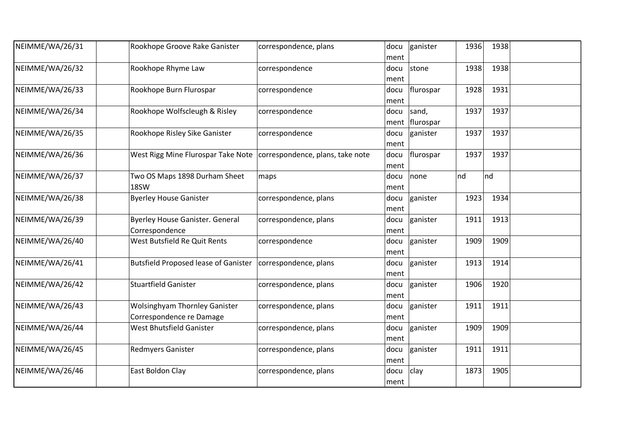| NEIMME/WA/26/31 | Rookhope Groove Rake Ganister                                         | correspondence, plans | docu<br>ment | ganister                | 1936 | 1938 |  |
|-----------------|-----------------------------------------------------------------------|-----------------------|--------------|-------------------------|------|------|--|
| NEIMME/WA/26/32 | Rookhope Rhyme Law                                                    | correspondence        | docu<br>ment | stone                   | 1938 | 1938 |  |
| NEIMME/WA/26/33 | Rookhope Burn Flurospar                                               | correspondence        | docu<br>ment | flurospar               | 1928 | 1931 |  |
| NEIMME/WA/26/34 | Rookhope Wolfscleugh & Risley                                         | correspondence        | docu         | sand,<br>ment flurospar | 1937 | 1937 |  |
| NEIMME/WA/26/35 | Rookhope Risley Sike Ganister                                         | correspondence        | docu<br>ment | ganister                | 1937 | 1937 |  |
| NEIMME/WA/26/36 | West Rigg Mine Flurospar Take Note   correspondence, plans, take note |                       | docu<br>ment | flurospar               | 1937 | 1937 |  |
| NEIMME/WA/26/37 | Two OS Maps 1898 Durham Sheet<br>18SW                                 | maps                  | docu<br>ment | none                    | nd   | nd   |  |
| NEIMME/WA/26/38 | <b>Byerley House Ganister</b>                                         | correspondence, plans | docu<br>ment | ganister                | 1923 | 1934 |  |
| NEIMME/WA/26/39 | <b>Byerley House Ganister. General</b><br>Correspondence              | correspondence, plans | docu<br>ment | ganister                | 1911 | 1913 |  |
| NEIMME/WA/26/40 | West Butsfield Re Quit Rents                                          | correspondence        | docu<br>ment | ganister                | 1909 | 1909 |  |
| NEIMME/WA/26/41 | <b>Butsfield Proposed lease of Ganister</b>                           | correspondence, plans | docu<br>ment | ganister                | 1913 | 1914 |  |
| NEIMME/WA/26/42 | <b>Stuartfield Ganister</b>                                           | correspondence, plans | docu<br>ment | ganister                | 1906 | 1920 |  |
| NEIMME/WA/26/43 | <b>Wolsinghyam Thornley Ganister</b><br>Correspondence re Damage      | correspondence, plans | docu<br>ment | ganister                | 1911 | 1911 |  |
| NEIMME/WA/26/44 | West Bhutsfield Ganister                                              | correspondence, plans | docu<br>ment | ganister                | 1909 | 1909 |  |
| NEIMME/WA/26/45 | <b>Redmyers Ganister</b>                                              | correspondence, plans | docu<br>ment | ganister                | 1911 | 1911 |  |
| NEIMME/WA/26/46 | East Boldon Clay                                                      | correspondence, plans | docu<br>ment | clay                    | 1873 | 1905 |  |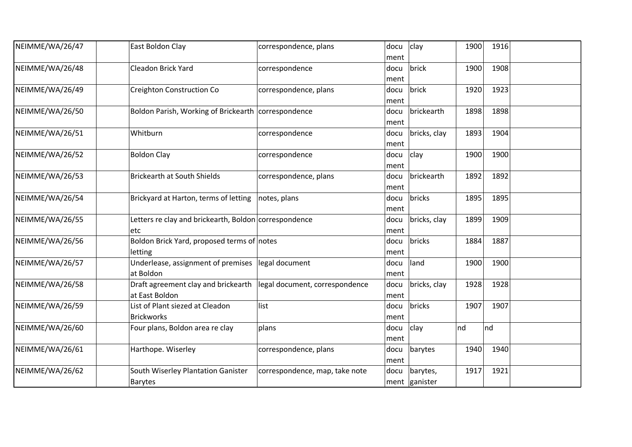| NEIMME/WA/26/47 | East Boldon Clay                                               | correspondence, plans          | docu<br>ment | clay                      | 1900 | 1916 |  |
|-----------------|----------------------------------------------------------------|--------------------------------|--------------|---------------------------|------|------|--|
| NEIMME/WA/26/48 | Cleadon Brick Yard                                             | correspondence                 | docu<br>ment | brick                     | 1900 | 1908 |  |
| NEIMME/WA/26/49 | Creighton Construction Co                                      | correspondence, plans          | docu<br>ment | brick                     | 1920 | 1923 |  |
| NEIMME/WA/26/50 | Boldon Parish, Working of Brickearth correspondence            |                                | docu<br>ment | brickearth                | 1898 | 1898 |  |
| NEIMME/WA/26/51 | Whitburn                                                       | correspondence                 | docu<br>ment | bricks, clay              | 1893 | 1904 |  |
| NEIMME/WA/26/52 | <b>Boldon Clay</b>                                             | correspondence                 | docu<br>ment | clay                      | 1900 | 1900 |  |
| NEIMME/WA/26/53 | <b>Brickearth at South Shields</b>                             | correspondence, plans          | docu<br>ment | brickearth                | 1892 | 1892 |  |
| NEIMME/WA/26/54 | Brickyard at Harton, terms of letting                          | notes, plans                   | docu<br>ment | bricks                    | 1895 | 1895 |  |
| NEIMME/WA/26/55 | Letters re clay and brickearth, Boldon correspondence<br>etc   |                                | docu<br>ment | bricks, clay              | 1899 | 1909 |  |
| NEIMME/WA/26/56 | Boldon Brick Yard, proposed terms of notes<br>letting          |                                | docu<br>ment | bricks                    | 1884 | 1887 |  |
| NEIMME/WA/26/57 | Underlease, assignment of premises legal document<br>at Boldon |                                | docu<br>ment | land                      | 1900 | 1900 |  |
| NEIMME/WA/26/58 | Draft agreement clay and brickearth<br>at East Boldon          | legal document, correspondence | docu<br>ment | bricks, clay              | 1928 | 1928 |  |
| NEIMME/WA/26/59 | List of Plant siezed at Cleadon<br><b>Brickworks</b>           | list                           | docu<br>ment | bricks                    | 1907 | 1907 |  |
| NEIMME/WA/26/60 | Four plans, Boldon area re clay                                | plans                          | docu<br>ment | clay                      | nd   | Ind  |  |
| NEIMME/WA/26/61 | Harthope. Wiserley                                             | correspondence, plans          | docu<br>ment | barytes                   | 1940 | 1940 |  |
| NEIMME/WA/26/62 | South Wiserley Plantation Ganister<br><b>Barytes</b>           | correspondence, map, take note | docu         | barytes,<br>ment ganister | 1917 | 1921 |  |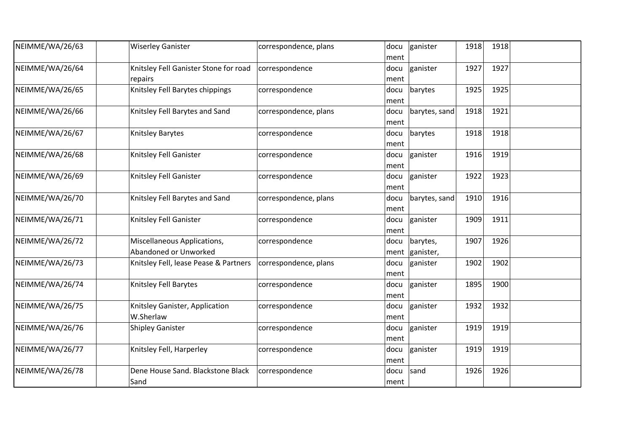| NEIMME/WA/26/63 | <b>Wiserley Ganister</b>                             | correspondence, plans | docu<br>ment | ganister              | 1918 | 1918 |  |
|-----------------|------------------------------------------------------|-----------------------|--------------|-----------------------|------|------|--|
| NEIMME/WA/26/64 | Knitsley Fell Ganister Stone for road<br>repairs     | correspondence        | docu<br>ment | ganister              | 1927 | 1927 |  |
| NEIMME/WA/26/65 | Knitsley Fell Barytes chippings                      | correspondence        | docu<br>ment | barytes               | 1925 | 1925 |  |
| NEIMME/WA/26/66 | Knitsley Fell Barytes and Sand                       | correspondence, plans | docu<br>ment | barytes, sand         | 1918 | 1921 |  |
| NEIMME/WA/26/67 | Knitsley Barytes                                     | correspondence        | docu<br>ment | barytes               | 1918 | 1918 |  |
| NEIMME/WA/26/68 | Knitsley Fell Ganister                               | correspondence        | docu<br>ment | ganister              | 1916 | 1919 |  |
| NEIMME/WA/26/69 | Knitsley Fell Ganister                               | correspondence        | docu<br>ment | ganister              | 1922 | 1923 |  |
| NEIMME/WA/26/70 | Knitsley Fell Barytes and Sand                       | correspondence, plans | docu<br>ment | barytes, sand         | 1910 | 1916 |  |
| NEIMME/WA/26/71 | Knitsley Fell Ganister                               | correspondence        | docu<br>ment | ganister              | 1909 | 1911 |  |
| NEIMME/WA/26/72 | Miscellaneous Applications,<br>Abandoned or Unworked | correspondence        | docu<br>ment | barytes,<br>ganister, | 1907 | 1926 |  |
| NEIMME/WA/26/73 | Knitsley Fell, lease Pease & Partners                | correspondence, plans | docu<br>ment | ganister              | 1902 | 1902 |  |
| NEIMME/WA/26/74 | Knitsley Fell Barytes                                | correspondence        | docu<br>ment | ganister              | 1895 | 1900 |  |
| NEIMME/WA/26/75 | Knitsley Ganister, Application<br>W.Sherlaw          | correspondence        | docu<br>ment | ganister              | 1932 | 1932 |  |
| NEIMME/WA/26/76 | <b>Shipley Ganister</b>                              | correspondence        | docu<br>ment | ganister              | 1919 | 1919 |  |
| NEIMME/WA/26/77 | Knitsley Fell, Harperley                             | correspondence        | docu<br>ment | ganister              | 1919 | 1919 |  |
| NEIMME/WA/26/78 | Dene House Sand. Blackstone Black<br>Sand            | correspondence        | docu<br>ment | sand                  | 1926 | 1926 |  |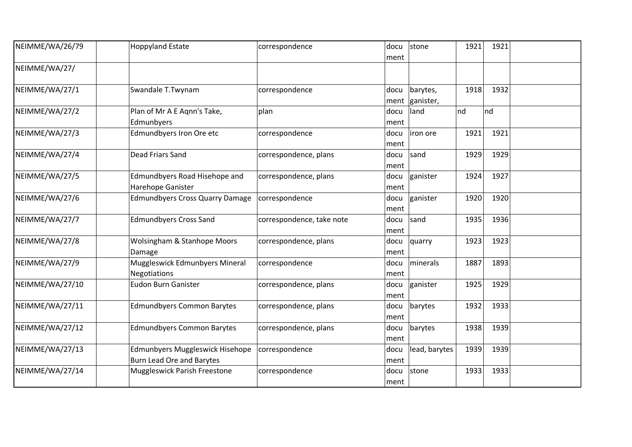| NEIMME/WA/26/79 | <b>Hoppyland Estate</b>                                             | correspondence            | docu<br>ment | stone                 | 1921 | 1921 |  |
|-----------------|---------------------------------------------------------------------|---------------------------|--------------|-----------------------|------|------|--|
| NEIMME/WA/27/   |                                                                     |                           |              |                       |      |      |  |
| NEIMME/WA/27/1  | Swandale T.Twynam                                                   | correspondence            | docu<br>ment | barytes,<br>ganister, | 1918 | 1932 |  |
| NEIMME/WA/27/2  | Plan of Mr A E Aqnn's Take,<br>Edmunbyers                           | plan                      | docu<br>ment | land                  | nd   | Ind  |  |
| NEIMME/WA/27/3  | Edmundbyers Iron Ore etc                                            | correspondence            | docu<br>ment | iron ore              | 1921 | 1921 |  |
| NEIMME/WA/27/4  | Dead Friars Sand                                                    | correspondence, plans     | docu<br>ment | sand                  | 1929 | 1929 |  |
| NEIMME/WA/27/5  | Edmundbyers Road Hisehope and<br>Harehope Ganister                  | correspondence, plans     | docu<br>ment | ganister              | 1924 | 1927 |  |
| NEIMME/WA/27/6  | <b>Edmundbyers Cross Quarry Damage</b>                              | correspondence            | docu<br>ment | ganister              | 1920 | 1920 |  |
| NEIMME/WA/27/7  | <b>Edmundbyers Cross Sand</b>                                       | correspondence, take note | docu<br>ment | sand                  | 1935 | 1936 |  |
| NEIMME/WA/27/8  | <b>Wolsingham &amp; Stanhope Moors</b><br>Damage                    | correspondence, plans     | docu<br>ment | quarry                | 1923 | 1923 |  |
| NEIMME/WA/27/9  | Muggleswick Edmunbyers Mineral<br><b>Negotiations</b>               | correspondence            | docu<br>ment | minerals              | 1887 | 1893 |  |
| NEIMME/WA/27/10 | <b>Eudon Burn Ganister</b>                                          | correspondence, plans     | docu<br>ment | ganister              | 1925 | 1929 |  |
| NEIMME/WA/27/11 | <b>Edmundbyers Common Barytes</b>                                   | correspondence, plans     | docu<br>ment | barytes               | 1932 | 1933 |  |
| NEIMME/WA/27/12 | <b>Edmundbyers Common Barytes</b>                                   | correspondence, plans     | docu<br>ment | barytes               | 1938 | 1939 |  |
| NEIMME/WA/27/13 | Edmunbyers Muggleswick Hisehope<br><b>Burn Lead Ore and Barytes</b> | correspondence            | docu<br>ment | lead, barytes         | 1939 | 1939 |  |
| NEIMME/WA/27/14 | Muggleswick Parish Freestone                                        | correspondence            | docu<br>ment | stone                 | 1933 | 1933 |  |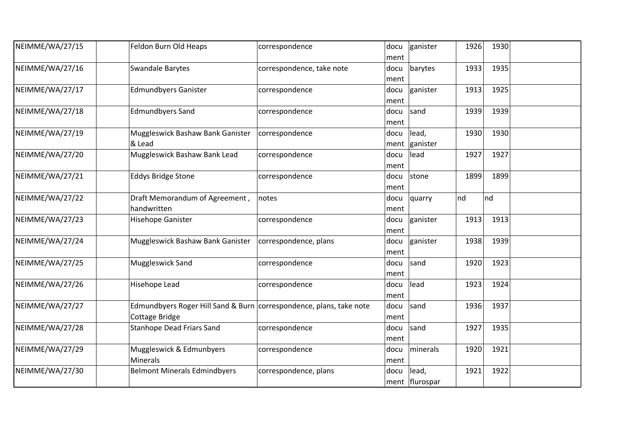| NEIMME/WA/27/15 | Feldon Burn Old Heaps                                                                 | correspondence            | docu<br>ment | ganister                | 1926 | 1930 |  |
|-----------------|---------------------------------------------------------------------------------------|---------------------------|--------------|-------------------------|------|------|--|
| NEIMME/WA/27/16 | <b>Swandale Barytes</b>                                                               | correspondence, take note | docu<br>ment | barytes                 | 1933 | 1935 |  |
| NEIMME/WA/27/17 | <b>Edmundbyers Ganister</b>                                                           | correspondence            | docu<br>ment | ganister                | 1913 | 1925 |  |
| NEIMME/WA/27/18 | <b>Edmundbyers Sand</b>                                                               | correspondence            | docu<br>ment | sand                    | 1939 | 1939 |  |
| NEIMME/WA/27/19 | Muggleswick Bashaw Bank Ganister<br>& Lead                                            | correspondence            | docu<br>ment | lead,<br>ganister       | 1930 | 1930 |  |
| NEIMME/WA/27/20 | Muggleswick Bashaw Bank Lead                                                          | correspondence            | docu<br>ment | lead                    | 1927 | 1927 |  |
| NEIMME/WA/27/21 | <b>Eddys Bridge Stone</b>                                                             | correspondence            | docu<br>ment | stone                   | 1899 | 1899 |  |
| NEIMME/WA/27/22 | Draft Memorandum of Agreement,<br>handwritten                                         | notes                     | docu<br>ment | quarry                  | nd   | nd   |  |
| NEIMME/WA/27/23 | <b>Hisehope Ganister</b>                                                              | correspondence            | docu<br>ment | ganister                | 1913 | 1913 |  |
| NEIMME/WA/27/24 | Muggleswick Bashaw Bank Ganister                                                      | correspondence, plans     | docu<br>ment | ganister                | 1938 | 1939 |  |
| NEIMME/WA/27/25 | Muggleswick Sand                                                                      | correspondence            | docu<br>ment | sand                    | 1920 | 1923 |  |
| NEIMME/WA/27/26 | <b>Hisehope Lead</b>                                                                  | correspondence            | docu<br>ment | lead                    | 1923 | 1924 |  |
| NEIMME/WA/27/27 | Edmundbyers Roger Hill Sand & Burn correspondence, plans, take note<br>Cottage Bridge |                           | docu<br>ment | sand                    | 1936 | 1937 |  |
| NEIMME/WA/27/28 | <b>Stanhope Dead Friars Sand</b>                                                      | correspondence            | docu<br>ment | sand                    | 1927 | 1935 |  |
| NEIMME/WA/27/29 | Muggleswick & Edmunbyers<br><b>Minerals</b>                                           | correspondence            | docu<br>ment | minerals                | 1920 | 1921 |  |
| NEIMME/WA/27/30 | <b>Belmont Minerals Edmindbyers</b>                                                   | correspondence, plans     | docu         | lead,<br>ment flurospar | 1921 | 1922 |  |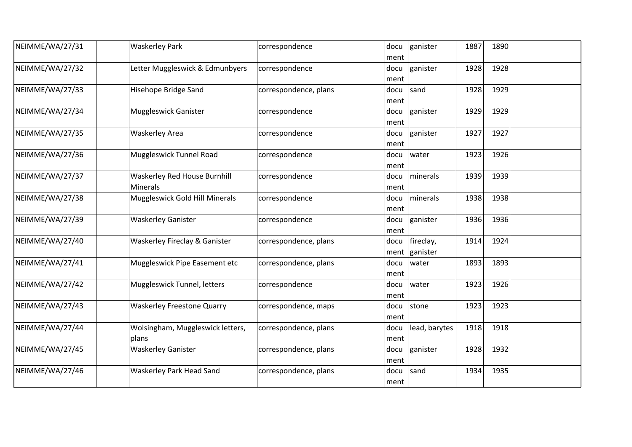| NEIMME/WA/27/31 | <b>Waskerley Park</b>                                  | correspondence        | docu<br>ment | ganister              | 1887 | 1890 |  |
|-----------------|--------------------------------------------------------|-----------------------|--------------|-----------------------|------|------|--|
| NEIMME/WA/27/32 | Letter Muggleswick & Edmunbyers                        | correspondence        | docu<br>ment | ganister              | 1928 | 1928 |  |
| NEIMME/WA/27/33 | Hisehope Bridge Sand                                   | correspondence, plans | docu<br>ment | sand                  | 1928 | 1929 |  |
| NEIMME/WA/27/34 | <b>Muggleswick Ganister</b>                            | correspondence        | docu<br>ment | ganister              | 1929 | 1929 |  |
| NEIMME/WA/27/35 | <b>Waskerley Area</b>                                  | correspondence        | docu<br>ment | ganister              | 1927 | 1927 |  |
| NEIMME/WA/27/36 | Muggleswick Tunnel Road                                | correspondence        | docu<br>ment | water                 | 1923 | 1926 |  |
| NEIMME/WA/27/37 | <b>Waskerley Red House Burnhill</b><br><b>Minerals</b> | correspondence        | docu<br>ment | minerals              | 1939 | 1939 |  |
| NEIMME/WA/27/38 | Muggleswick Gold Hill Minerals                         | correspondence        | docu<br>ment | minerals              | 1938 | 1938 |  |
| NEIMME/WA/27/39 | <b>Waskerley Ganister</b>                              | correspondence        | docu<br>ment | ganister              | 1936 | 1936 |  |
| NEIMME/WA/27/40 | Waskerley Fireclay & Ganister                          | correspondence, plans | docu<br>ment | fireclay,<br>ganister | 1914 | 1924 |  |
| NEIMME/WA/27/41 | Muggleswick Pipe Easement etc                          | correspondence, plans | docu<br>ment | water                 | 1893 | 1893 |  |
| NEIMME/WA/27/42 | Muggleswick Tunnel, letters                            | correspondence        | docu<br>ment | water                 | 1923 | 1926 |  |
| NEIMME/WA/27/43 | <b>Waskerley Freestone Quarry</b>                      | correspondence, maps  | docu<br>ment | stone                 | 1923 | 1923 |  |
| NEIMME/WA/27/44 | Wolsingham, Muggleswick letters,<br>plans              | correspondence, plans | docu<br>ment | lead, barytes         | 1918 | 1918 |  |
| NEIMME/WA/27/45 | <b>Waskerley Ganister</b>                              | correspondence, plans | docu<br>ment | ganister              | 1928 | 1932 |  |
| NEIMME/WA/27/46 | <b>Waskerley Park Head Sand</b>                        | correspondence, plans | docu<br>ment | sand                  | 1934 | 1935 |  |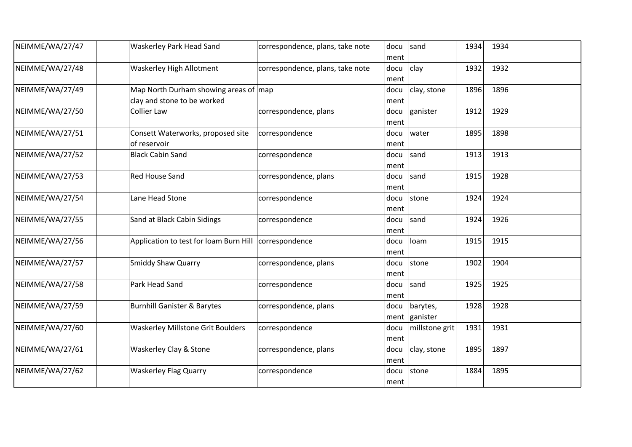| NEIMME/WA/27/47 | <b>Waskerley Park Head Sand</b>                                              | correspondence, plans, take note | docu<br>ment | sand                      | 1934 | 1934 |  |
|-----------------|------------------------------------------------------------------------------|----------------------------------|--------------|---------------------------|------|------|--|
| NEIMME/WA/27/48 | Waskerley High Allotment                                                     | correspondence, plans, take note | docu<br>ment | clay                      | 1932 | 1932 |  |
| NEIMME/WA/27/49 | Map North Durham showing areas of $\vert$ map<br>clay and stone to be worked |                                  | docu<br>ment | clay, stone               | 1896 | 1896 |  |
| NEIMME/WA/27/50 | <b>Collier Law</b>                                                           | correspondence, plans            | docu<br>ment | ganister                  | 1912 | 1929 |  |
| NEIMME/WA/27/51 | Consett Waterworks, proposed site<br>of reservoir                            | correspondence                   | docu<br>ment | water                     | 1895 | 1898 |  |
| NEIMME/WA/27/52 | <b>Black Cabin Sand</b>                                                      | correspondence                   | docu<br>ment | sand                      | 1913 | 1913 |  |
| NEIMME/WA/27/53 | Red House Sand                                                               | correspondence, plans            | docu<br>ment | sand                      | 1915 | 1928 |  |
| NEIMME/WA/27/54 | Lane Head Stone                                                              | correspondence                   | docu<br>ment | stone                     | 1924 | 1924 |  |
| NEIMME/WA/27/55 | Sand at Black Cabin Sidings                                                  | correspondence                   | docu<br>ment | sand                      | 1924 | 1926 |  |
| NEIMME/WA/27/56 | Application to test for loam Burn Hill   correspondence                      |                                  | docu<br>ment | loam                      | 1915 | 1915 |  |
| NEIMME/WA/27/57 | <b>Smiddy Shaw Quarry</b>                                                    | correspondence, plans            | docu<br>ment | stone                     | 1902 | 1904 |  |
| NEIMME/WA/27/58 | Park Head Sand                                                               | correspondence                   | docu<br>ment | sand                      | 1925 | 1925 |  |
| NEIMME/WA/27/59 | <b>Burnhill Ganister &amp; Barytes</b>                                       | correspondence, plans            | docu         | barytes,<br>ment ganister | 1928 | 1928 |  |
| NEIMME/WA/27/60 | <b>Waskerley Millstone Grit Boulders</b>                                     | correspondence                   | docu<br>ment | millstone grit            | 1931 | 1931 |  |
| NEIMME/WA/27/61 | Waskerley Clay & Stone                                                       | correspondence, plans            | docu<br>ment | clay, stone               | 1895 | 1897 |  |
| NEIMME/WA/27/62 | <b>Waskerley Flag Quarry</b>                                                 | correspondence                   | docu<br>ment | stone                     | 1884 | 1895 |  |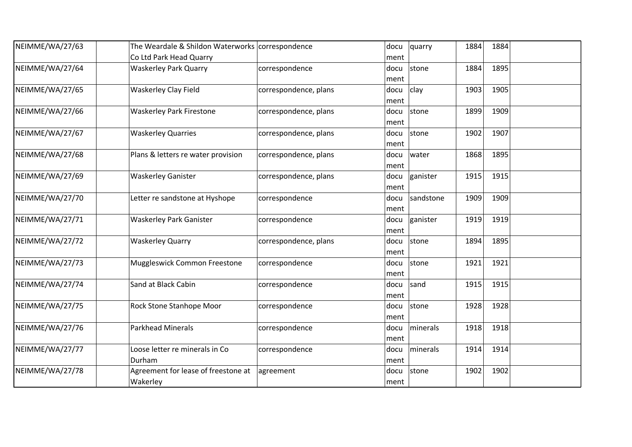| NEIMME/WA/27/63 | The Weardale & Shildon Waterworks correspondence |                       | docu | quarry    | 1884 | 1884 |  |
|-----------------|--------------------------------------------------|-----------------------|------|-----------|------|------|--|
|                 | Co Ltd Park Head Quarry                          |                       | ment |           |      |      |  |
| NEIMME/WA/27/64 | <b>Waskerley Park Quarry</b>                     | correspondence        | docu | stone     | 1884 | 1895 |  |
|                 |                                                  |                       | ment |           |      |      |  |
| NEIMME/WA/27/65 | <b>Waskerley Clay Field</b>                      | correspondence, plans | docu | clay      | 1903 | 1905 |  |
|                 |                                                  |                       | ment |           |      |      |  |
| NEIMME/WA/27/66 | <b>Waskerley Park Firestone</b>                  | correspondence, plans | docu | stone     | 1899 | 1909 |  |
|                 |                                                  |                       | ment |           |      |      |  |
| NEIMME/WA/27/67 | <b>Waskerley Quarries</b>                        | correspondence, plans | docu | stone     | 1902 | 1907 |  |
|                 |                                                  |                       | ment |           |      |      |  |
| NEIMME/WA/27/68 | Plans & letters re water provision               | correspondence, plans | docu | water     | 1868 | 1895 |  |
|                 |                                                  |                       | ment |           |      |      |  |
| NEIMME/WA/27/69 | <b>Waskerley Ganister</b>                        | correspondence, plans | docu | ganister  | 1915 | 1915 |  |
|                 |                                                  |                       | ment |           |      |      |  |
| NEIMME/WA/27/70 | Letter re sandstone at Hyshope                   | correspondence        | docu | sandstone | 1909 | 1909 |  |
|                 |                                                  |                       | ment |           |      |      |  |
| NEIMME/WA/27/71 | Waskerley Park Ganister                          | correspondence        | docu | ganister  | 1919 | 1919 |  |
|                 |                                                  |                       | ment |           |      |      |  |
| NEIMME/WA/27/72 | <b>Waskerley Quarry</b>                          | correspondence, plans | docu | stone     | 1894 | 1895 |  |
|                 |                                                  |                       | ment |           |      |      |  |
| NEIMME/WA/27/73 | Muggleswick Common Freestone                     | correspondence        | docu | stone     | 1921 | 1921 |  |
|                 |                                                  |                       | ment |           |      |      |  |
| NEIMME/WA/27/74 | Sand at Black Cabin                              | correspondence        | docu | sand      | 1915 | 1915 |  |
|                 |                                                  |                       | ment |           |      |      |  |
| NEIMME/WA/27/75 | Rock Stone Stanhope Moor                         | correspondence        | docu | stone     | 1928 | 1928 |  |
|                 |                                                  |                       | ment |           |      |      |  |
| NEIMME/WA/27/76 | <b>Parkhead Minerals</b>                         | correspondence        | docu | minerals  | 1918 | 1918 |  |
|                 |                                                  |                       | ment |           |      |      |  |
| NEIMME/WA/27/77 | Loose letter re minerals in Co                   | correspondence        | docu | minerals  | 1914 | 1914 |  |
|                 | Durham                                           |                       | ment |           |      |      |  |
| NEIMME/WA/27/78 | Agreement for lease of freestone at              | agreement             | docu | stone     | 1902 | 1902 |  |
|                 | Wakerley                                         |                       | ment |           |      |      |  |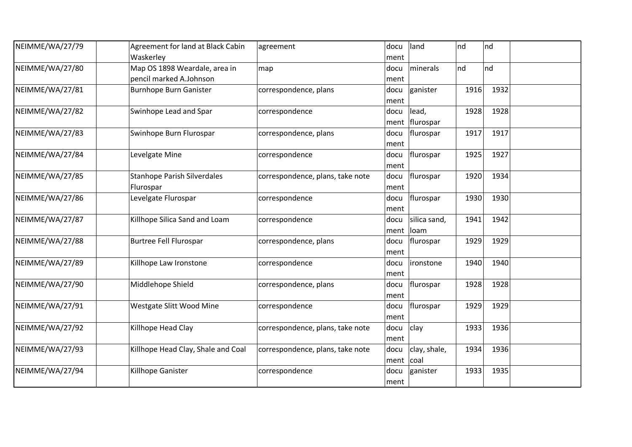| NEIMME/WA/27/79 | Agreement for land at Black Cabin<br>Waskerley           | agreement                        | docu<br>ment      | land                    | nd   | nd   |  |
|-----------------|----------------------------------------------------------|----------------------------------|-------------------|-------------------------|------|------|--|
| NEIMME/WA/27/80 | Map OS 1898 Weardale, area in<br>pencil marked A.Johnson | map                              | docu<br>ment      | minerals                | nd   | nd   |  |
| NEIMME/WA/27/81 | <b>Burnhope Burn Ganister</b>                            | correspondence, plans            | docu<br>ment      | ganister                | 1916 | 1932 |  |
| NEIMME/WA/27/82 | Swinhope Lead and Spar                                   | correspondence                   | docu              | lead,<br>ment flurospar | 1928 | 1928 |  |
| NEIMME/WA/27/83 | Swinhope Burn Flurospar                                  | correspondence, plans            | docu<br>ment      | flurospar               | 1917 | 1917 |  |
| NEIMME/WA/27/84 | Levelgate Mine                                           | correspondence                   | docu<br>ment      | flurospar               | 1925 | 1927 |  |
| NEIMME/WA/27/85 | <b>Stanhope Parish Silverdales</b><br>Flurospar          | correspondence, plans, take note | docu<br>ment      | flurospar               | 1920 | 1934 |  |
| NEIMME/WA/27/86 | Levelgate Flurospar                                      | correspondence                   | docu<br>ment      | flurospar               | 1930 | 1930 |  |
| NEIMME/WA/27/87 | Killhope Silica Sand and Loam                            | correspondence                   | docu<br>ment      | silica sand,<br>Ioam    | 1941 | 1942 |  |
| NEIMME/WA/27/88 | <b>Burtree Fell Flurospar</b>                            | correspondence, plans            | docu<br>ment      | flurospar               | 1929 | 1929 |  |
| NEIMME/WA/27/89 | Killhope Law Ironstone                                   | correspondence                   | docu<br>ment      | ironstone               | 1940 | 1940 |  |
| NEIMME/WA/27/90 | Middlehope Shield                                        | correspondence, plans            | docu<br>ment      | flurospar               | 1928 | 1928 |  |
| NEIMME/WA/27/91 | Westgate Slitt Wood Mine                                 | correspondence                   | docu<br>ment      | flurospar               | 1929 | 1929 |  |
| NEIMME/WA/27/92 | Killhope Head Clay                                       | correspondence, plans, take note | docu<br>ment      | clay                    | 1933 | 1936 |  |
| NEIMME/WA/27/93 | Killhope Head Clay, Shale and Coal                       | correspondence, plans, take note | docu<br>ment coal | clay, shale,            | 1934 | 1936 |  |
| NEIMME/WA/27/94 | Killhope Ganister                                        | correspondence                   | docu<br>ment      | ganister                | 1933 | 1935 |  |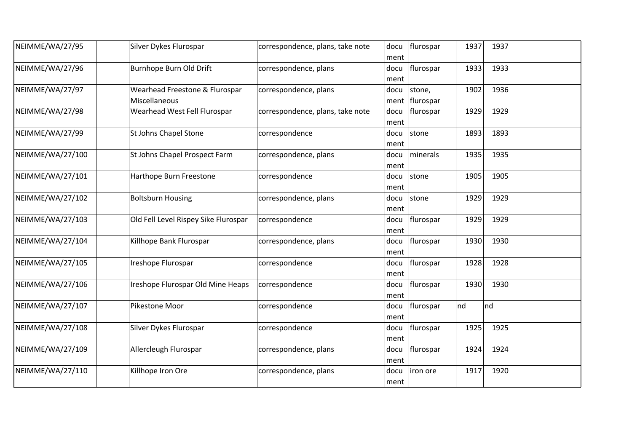| NEIMME/WA/27/95  | Silver Dykes Flurospar                          | correspondence, plans, take note | docu<br>ment | flurospar            | 1937 | 1937 |  |
|------------------|-------------------------------------------------|----------------------------------|--------------|----------------------|------|------|--|
| NEIMME/WA/27/96  | Burnhope Burn Old Drift                         | correspondence, plans            | docu<br>ment | flurospar            | 1933 | 1933 |  |
| NEIMME/WA/27/97  | Wearhead Freestone & Flurospar<br>Miscellaneous | correspondence, plans            | docu<br>ment | stone,<br> flurospar | 1902 | 1936 |  |
| NEIMME/WA/27/98  | Wearhead West Fell Flurospar                    | correspondence, plans, take note | docu<br>ment | flurospar            | 1929 | 1929 |  |
| NEIMME/WA/27/99  | St Johns Chapel Stone                           | correspondence                   | docu<br>ment | stone                | 1893 | 1893 |  |
| NEIMME/WA/27/100 | St Johns Chapel Prospect Farm                   | correspondence, plans            | docu<br>ment | minerals             | 1935 | 1935 |  |
| NEIMME/WA/27/101 | Harthope Burn Freestone                         | correspondence                   | docu<br>ment | stone                | 1905 | 1905 |  |
| NEIMME/WA/27/102 | <b>Boltsburn Housing</b>                        | correspondence, plans            | docu<br>ment | stone                | 1929 | 1929 |  |
| NEIMME/WA/27/103 | Old Fell Level Rispey Sike Flurospar            | correspondence                   | docu<br>ment | flurospar            | 1929 | 1929 |  |
| NEIMME/WA/27/104 | Killhope Bank Flurospar                         | correspondence, plans            | docu<br>ment | flurospar            | 1930 | 1930 |  |
| NEIMME/WA/27/105 | Ireshope Flurospar                              | correspondence                   | docu<br>ment | flurospar            | 1928 | 1928 |  |
| NEIMME/WA/27/106 | Ireshope Flurospar Old Mine Heaps               | correspondence                   | docu<br>ment | flurospar            | 1930 | 1930 |  |
| NEIMME/WA/27/107 | Pikestone Moor                                  | correspondence                   | docu<br>ment | flurospar            | nd   | nd   |  |
| NEIMME/WA/27/108 | Silver Dykes Flurospar                          | correspondence                   | docu<br>ment | flurospar            | 1925 | 1925 |  |
| NEIMME/WA/27/109 | Allercleugh Flurospar                           | correspondence, plans            | docu<br>ment | flurospar            | 1924 | 1924 |  |
| NEIMME/WA/27/110 | Killhope Iron Ore                               | correspondence, plans            | docu<br>ment | iron ore             | 1917 | 1920 |  |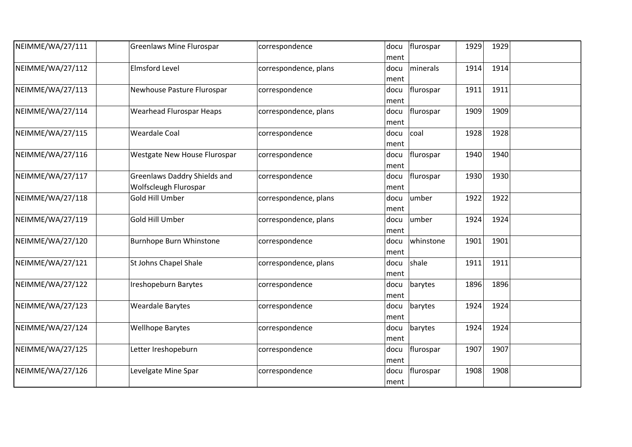| NEIMME/WA/27/111 | <b>Greenlaws Mine Flurospar</b>                       | correspondence        | docu<br>ment          | flurospar<br>1929 | 1929 |  |
|------------------|-------------------------------------------------------|-----------------------|-----------------------|-------------------|------|--|
| NEIMME/WA/27/112 | <b>Elmsford Level</b>                                 | correspondence, plans | docu<br>ment          | minerals<br>1914  | 1914 |  |
| NEIMME/WA/27/113 | Newhouse Pasture Flurospar                            | correspondence        | docu<br>ment          | flurospar<br>1911 | 1911 |  |
| NEIMME/WA/27/114 | <b>Wearhead Flurospar Heaps</b>                       | correspondence, plans | docu<br>ment          | flurospar<br>1909 | 1909 |  |
| NEIMME/WA/27/115 | <b>Weardale Coal</b>                                  | correspondence        | coal<br>docu<br>ment  | 1928              | 1928 |  |
| NEIMME/WA/27/116 | Westgate New House Flurospar                          | correspondence        | docu<br>ment          | flurospar<br>1940 | 1940 |  |
| NEIMME/WA/27/117 | Greenlaws Daddry Shields and<br>Wolfscleugh Flurospar | correspondence        | docu<br>ment          | flurospar<br>1930 | 1930 |  |
| NEIMME/WA/27/118 | Gold Hill Umber                                       | correspondence, plans | umber<br>docu<br>ment | 1922              | 1922 |  |
| NEIMME/WA/27/119 | Gold Hill Umber                                       | correspondence, plans | umber<br>docu<br>ment | 1924              | 1924 |  |
| NEIMME/WA/27/120 | <b>Burnhope Burn Whinstone</b>                        | correspondence        | docu<br>ment          | whinstone<br>1901 | 1901 |  |
| NEIMME/WA/27/121 | St Johns Chapel Shale                                 | correspondence, plans | shale<br>docu<br>ment | 1911              | 1911 |  |
| NEIMME/WA/27/122 | Ireshopeburn Barytes                                  | correspondence        | docu<br>ment          | 1896<br>barytes   | 1896 |  |
| NEIMME/WA/27/123 | <b>Weardale Barytes</b>                               | correspondence        | docu<br>ment          | barytes<br>1924   | 1924 |  |
| NEIMME/WA/27/124 | <b>Wellhope Barytes</b>                               | correspondence        | docu<br>ment          | barytes<br>1924   | 1924 |  |
| NEIMME/WA/27/125 | Letter Ireshopeburn                                   | correspondence        | docu<br>ment          | flurospar<br>1907 | 1907 |  |
| NEIMME/WA/27/126 | Levelgate Mine Spar                                   | correspondence        | docu<br>ment          | flurospar<br>1908 | 1908 |  |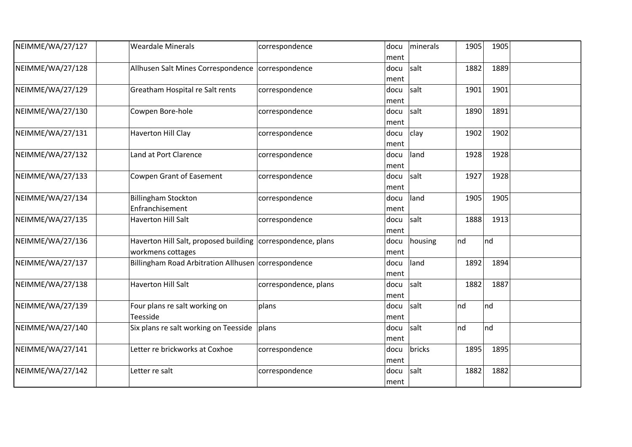| NEIMME/WA/27/127 | <b>Weardale Minerals</b>                                                         | correspondence        | docu<br>ment | minerals | 1905 | 1905 |  |
|------------------|----------------------------------------------------------------------------------|-----------------------|--------------|----------|------|------|--|
| NEIMME/WA/27/128 | Allhusen Salt Mines Correspondence   correspondence                              |                       | docu<br>ment | salt     | 1882 | 1889 |  |
| NEIMME/WA/27/129 | Greatham Hospital re Salt rents                                                  | correspondence        | docu<br>ment | salt     | 1901 | 1901 |  |
| NEIMME/WA/27/130 | Cowpen Bore-hole                                                                 | correspondence        | docu<br>ment | salt     | 1890 | 1891 |  |
| NEIMME/WA/27/131 | <b>Haverton Hill Clay</b>                                                        | correspondence        | docu<br>ment | clay     | 1902 | 1902 |  |
| NEIMME/WA/27/132 | Land at Port Clarence                                                            | correspondence        | docu<br>ment | land     | 1928 | 1928 |  |
| NEIMME/WA/27/133 | <b>Cowpen Grant of Easement</b>                                                  | correspondence        | docu<br>ment | salt     | 1927 | 1928 |  |
| NEIMME/WA/27/134 | <b>Billingham Stockton</b><br>Enfranchisement                                    | correspondence        | docu<br>ment | land     | 1905 | 1905 |  |
| NEIMME/WA/27/135 | <b>Haverton Hill Salt</b>                                                        | correspondence        | docu<br>ment | salt     | 1888 | 1913 |  |
| NEIMME/WA/27/136 | Haverton Hill Salt, proposed building correspondence, plans<br>workmens cottages |                       | docu<br>ment | housing  | nd   | nd   |  |
| NEIMME/WA/27/137 | Billingham Road Arbitration Allhusen correspondence                              |                       | docu<br>ment | land     | 1892 | 1894 |  |
| NEIMME/WA/27/138 | <b>Haverton Hill Salt</b>                                                        | correspondence, plans | docu<br>ment | salt     | 1882 | 1887 |  |
| NEIMME/WA/27/139 | Four plans re salt working on<br>Teesside                                        | plans                 | docu<br>ment | salt     | nd   | Ind  |  |
| NEIMME/WA/27/140 | Six plans re salt working on Teesside                                            | plans                 | docu<br>ment | salt     | nd   | Ind  |  |
| NEIMME/WA/27/141 | Letter re brickworks at Coxhoe                                                   | correspondence        | docu<br>ment | bricks   | 1895 | 1895 |  |
| NEIMME/WA/27/142 | Letter re salt                                                                   | correspondence        | docu<br>ment | salt     | 1882 | 1882 |  |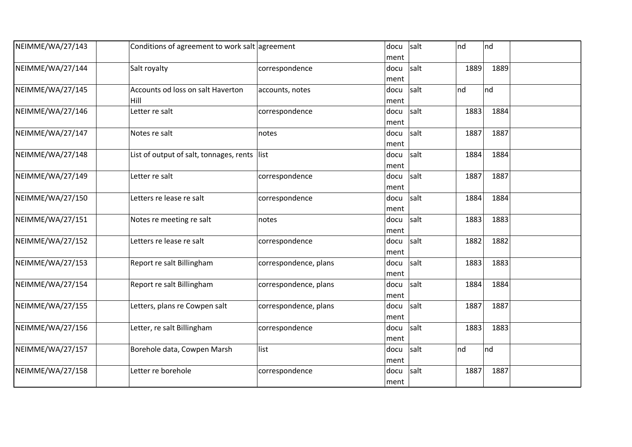| NEIMME/WA/27/143 | Conditions of agreement to work salt agreement |                       | docu | salt | nd   | nd   |  |
|------------------|------------------------------------------------|-----------------------|------|------|------|------|--|
|                  |                                                |                       | ment |      |      |      |  |
| NEIMME/WA/27/144 | Salt royalty                                   | correspondence        | docu | salt | 1889 | 1889 |  |
|                  |                                                |                       | ment |      |      |      |  |
| NEIMME/WA/27/145 | Accounts od loss on salt Haverton              | accounts, notes       | docu | salt | nd   | nd   |  |
|                  | Hill                                           |                       | ment |      |      |      |  |
| NEIMME/WA/27/146 | Letter re salt                                 | correspondence        | docu | salt | 1883 | 1884 |  |
|                  |                                                |                       | ment |      |      |      |  |
| NEIMME/WA/27/147 | Notes re salt                                  | notes                 | docu | salt | 1887 | 1887 |  |
|                  |                                                |                       | ment |      |      |      |  |
| NEIMME/WA/27/148 | List of output of salt, tonnages, rents list   |                       | docu | salt | 1884 | 1884 |  |
|                  |                                                |                       | ment |      |      |      |  |
| NEIMME/WA/27/149 | Letter re salt                                 | correspondence        | docu | salt | 1887 | 1887 |  |
|                  |                                                |                       | ment |      |      |      |  |
| NEIMME/WA/27/150 | Letters re lease re salt                       | correspondence        | docu | salt | 1884 | 1884 |  |
|                  |                                                |                       | ment |      |      |      |  |
| NEIMME/WA/27/151 | Notes re meeting re salt                       | notes                 | docu | salt | 1883 | 1883 |  |
|                  |                                                |                       |      |      |      |      |  |
|                  |                                                |                       | ment |      |      |      |  |
| NEIMME/WA/27/152 | Letters re lease re salt                       | correspondence        | docu | salt | 1882 | 1882 |  |
|                  |                                                |                       | ment |      |      |      |  |
| NEIMME/WA/27/153 | Report re salt Billingham                      | correspondence, plans | docu | salt | 1883 | 1883 |  |
|                  |                                                |                       | ment |      |      |      |  |
| NEIMME/WA/27/154 | Report re salt Billingham                      | correspondence, plans | docu | salt | 1884 | 1884 |  |
|                  |                                                |                       | ment |      |      |      |  |
| NEIMME/WA/27/155 | Letters, plans re Cowpen salt                  | correspondence, plans | docu | salt | 1887 | 1887 |  |
|                  |                                                |                       | ment |      |      |      |  |
| NEIMME/WA/27/156 | Letter, re salt Billingham                     | correspondence        | docu | salt | 1883 | 1883 |  |
|                  |                                                |                       | ment |      |      |      |  |
| NEIMME/WA/27/157 | Borehole data, Cowpen Marsh                    | list                  | docu | salt | nd   | nd   |  |
|                  |                                                |                       | ment |      |      |      |  |
| NEIMME/WA/27/158 | Letter re borehole                             | correspondence        | docu | salt | 1887 | 1887 |  |
|                  |                                                |                       |      |      |      |      |  |
|                  |                                                |                       | ment |      |      |      |  |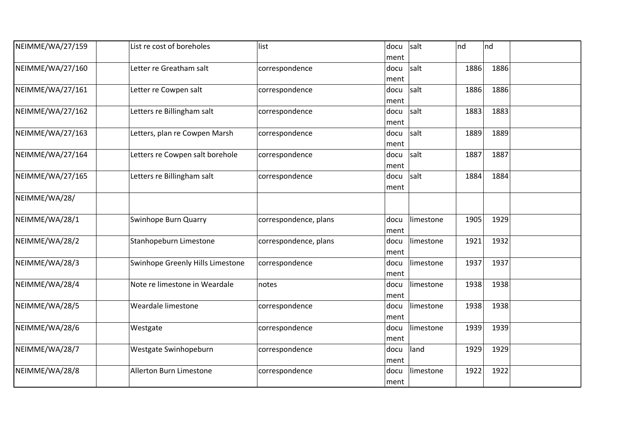| NEIMME/WA/27/159 | List re cost of boreholes        | list                  | docu | salt      | nd   | nd   |  |
|------------------|----------------------------------|-----------------------|------|-----------|------|------|--|
|                  |                                  |                       | ment |           |      |      |  |
| NEIMME/WA/27/160 | Letter re Greatham salt          | correspondence        | docu | salt      | 1886 | 1886 |  |
|                  |                                  |                       | ment |           |      |      |  |
| NEIMME/WA/27/161 | Letter re Cowpen salt            | correspondence        | docu | salt      | 1886 | 1886 |  |
|                  |                                  |                       | ment |           |      |      |  |
| NEIMME/WA/27/162 | Letters re Billingham salt       | correspondence        | docu | salt      | 1883 | 1883 |  |
|                  |                                  |                       | ment |           |      |      |  |
| NEIMME/WA/27/163 | Letters, plan re Cowpen Marsh    | correspondence        | docu | salt      | 1889 | 1889 |  |
|                  |                                  |                       | ment |           |      |      |  |
| NEIMME/WA/27/164 | Letters re Cowpen salt borehole  | correspondence        | docu | salt      | 1887 | 1887 |  |
|                  |                                  |                       | ment |           |      |      |  |
| NEIMME/WA/27/165 | Letters re Billingham salt       | correspondence        | docu | salt      | 1884 | 1884 |  |
|                  |                                  |                       | ment |           |      |      |  |
| NEIMME/WA/28/    |                                  |                       |      |           |      |      |  |
| NEIMME/WA/28/1   | Swinhope Burn Quarry             | correspondence, plans | docu | limestone | 1905 | 1929 |  |
|                  |                                  |                       | ment |           |      |      |  |
| NEIMME/WA/28/2   | Stanhopeburn Limestone           | correspondence, plans | docu | limestone | 1921 | 1932 |  |
|                  |                                  |                       | ment |           |      |      |  |
| NEIMME/WA/28/3   | Swinhope Greenly Hills Limestone | correspondence        | docu | limestone | 1937 | 1937 |  |
|                  |                                  |                       | ment |           |      |      |  |
| NEIMME/WA/28/4   | Note re limestone in Weardale    | notes                 | docu | limestone | 1938 | 1938 |  |
|                  |                                  |                       | ment |           |      |      |  |
| NEIMME/WA/28/5   | Weardale limestone               | correspondence        | docu | limestone | 1938 | 1938 |  |
|                  |                                  |                       | ment |           |      |      |  |
| NEIMME/WA/28/6   | Westgate                         | correspondence        | docu | limestone | 1939 | 1939 |  |
|                  |                                  |                       | ment |           |      |      |  |
| NEIMME/WA/28/7   | Westgate Swinhopeburn            | correspondence        | docu | land      | 1929 | 1929 |  |
|                  |                                  |                       | ment |           |      |      |  |
| NEIMME/WA/28/8   | Allerton Burn Limestone          | correspondence        | docu | limestone | 1922 | 1922 |  |
|                  |                                  |                       | ment |           |      |      |  |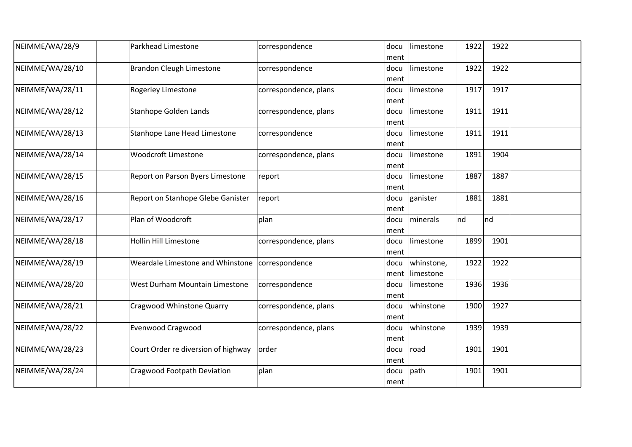| NEIMME/WA/28/9  | Parkhead Limestone                  | correspondence        | docu<br>ment | limestone               | 1922 | 1922 |  |
|-----------------|-------------------------------------|-----------------------|--------------|-------------------------|------|------|--|
| NEIMME/WA/28/10 | <b>Brandon Cleugh Limestone</b>     | correspondence        | docu<br>ment | limestone               | 1922 | 1922 |  |
| NEIMME/WA/28/11 | <b>Rogerley Limestone</b>           | correspondence, plans | docu<br>ment | limestone               | 1917 | 1917 |  |
| NEIMME/WA/28/12 | Stanhope Golden Lands               | correspondence, plans | docu<br>ment | limestone               | 1911 | 1911 |  |
| NEIMME/WA/28/13 | Stanhope Lane Head Limestone        | correspondence        | docu<br>ment | limestone               | 1911 | 1911 |  |
| NEIMME/WA/28/14 | <b>Woodcroft Limestone</b>          | correspondence, plans | docu<br>ment | limestone               | 1891 | 1904 |  |
| NEIMME/WA/28/15 | Report on Parson Byers Limestone    | report                | docu<br>ment | limestone               | 1887 | 1887 |  |
| NEIMME/WA/28/16 | Report on Stanhope Glebe Ganister   | report                | docu<br>ment | ganister                | 1881 | 1881 |  |
| NEIMME/WA/28/17 | Plan of Woodcroft                   | plan                  | docu<br>ment | minerals                | nd   | nd   |  |
| NEIMME/WA/28/18 | <b>Hollin Hill Limestone</b>        | correspondence, plans | docu<br>ment | limestone               | 1899 | 1901 |  |
| NEIMME/WA/28/19 | Weardale Limestone and Whinstone    | correspondence        | docu<br>ment | whinstone,<br>limestone | 1922 | 1922 |  |
| NEIMME/WA/28/20 | West Durham Mountain Limestone      | correspondence        | docu<br>ment | limestone               | 1936 | 1936 |  |
| NEIMME/WA/28/21 | Cragwood Whinstone Quarry           | correspondence, plans | docu<br>ment | whinstone               | 1900 | 1927 |  |
| NEIMME/WA/28/22 | <b>Evenwood Cragwood</b>            | correspondence, plans | docu<br>ment | whinstone               | 1939 | 1939 |  |
| NEIMME/WA/28/23 | Court Order re diversion of highway | order                 | docu<br>ment | road                    | 1901 | 1901 |  |
| NEIMME/WA/28/24 | Cragwood Footpath Deviation         | plan                  | docu<br>ment | path                    | 1901 | 1901 |  |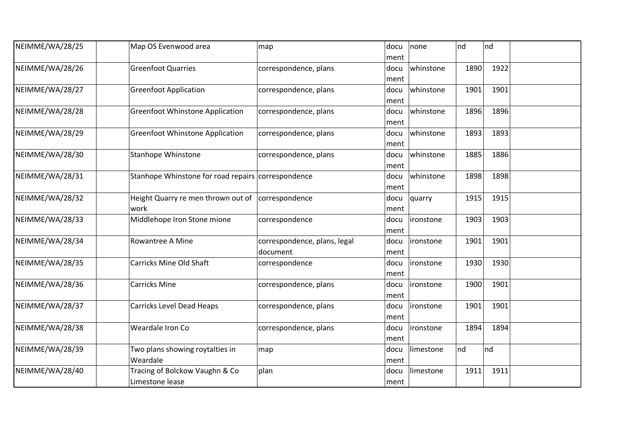| NEIMME/WA/28/25 | Map OS Evenwood area                               | map                          | docu | none              | nd   | Ind  |  |
|-----------------|----------------------------------------------------|------------------------------|------|-------------------|------|------|--|
|                 |                                                    |                              | ment |                   |      |      |  |
| NEIMME/WA/28/26 | <b>Greenfoot Quarries</b>                          | correspondence, plans        | docu | whinstone         | 1890 | 1922 |  |
|                 |                                                    |                              | ment |                   |      |      |  |
| NEIMME/WA/28/27 | <b>Greenfoot Application</b>                       | correspondence, plans        | docu | whinstone         | 1901 | 1901 |  |
|                 |                                                    |                              | ment |                   |      |      |  |
| NEIMME/WA/28/28 | <b>Greenfoot Whinstone Application</b>             | correspondence, plans        | docu | whinstone         | 1896 | 1896 |  |
|                 |                                                    |                              | ment |                   |      |      |  |
| NEIMME/WA/28/29 | <b>Greenfoot Whinstone Application</b>             | correspondence, plans        | docu | whinstone         | 1893 | 1893 |  |
|                 |                                                    |                              | ment |                   |      |      |  |
| NEIMME/WA/28/30 | <b>Stanhope Whinstone</b>                          | correspondence, plans        | docu | whinstone         | 1885 | 1886 |  |
|                 |                                                    |                              | ment |                   |      |      |  |
| NEIMME/WA/28/31 | Stanhope Whinstone for road repairs correspondence |                              | docu | whinstone         | 1898 | 1898 |  |
|                 |                                                    |                              |      |                   |      |      |  |
|                 |                                                    |                              | ment |                   |      |      |  |
| NEIMME/WA/28/32 | Height Quarry re men thrown out of correspondence  |                              | docu | quarry            | 1915 | 1915 |  |
|                 | work                                               |                              | ment |                   |      |      |  |
| NEIMME/WA/28/33 | Middlehope Iron Stone mione                        | correspondence               | docu | lironstone        | 1903 | 1903 |  |
|                 |                                                    |                              | ment |                   |      |      |  |
| NEIMME/WA/28/34 | Rowantree A Mine                                   | correspondence, plans, legal | docu | ironstone         | 1901 | 1901 |  |
|                 |                                                    | document                     | ment |                   |      |      |  |
| NEIMME/WA/28/35 | Carricks Mine Old Shaft                            | correspondence               | docu | <i>lironstone</i> | 1930 | 1930 |  |
|                 |                                                    |                              | ment |                   |      |      |  |
| NEIMME/WA/28/36 | <b>Carricks Mine</b>                               | correspondence, plans        | docu | lironstone        | 1900 | 1901 |  |
|                 |                                                    |                              | ment |                   |      |      |  |
| NEIMME/WA/28/37 | <b>Carricks Level Dead Heaps</b>                   | correspondence, plans        | docu | ironstone         | 1901 | 1901 |  |
|                 |                                                    |                              | ment |                   |      |      |  |
| NEIMME/WA/28/38 | Weardale Iron Co                                   | correspondence, plans        |      | ironstone         | 1894 | 1894 |  |
|                 |                                                    |                              | docu |                   |      |      |  |
|                 |                                                    |                              | ment |                   |      |      |  |
| NEIMME/WA/28/39 | Two plans showing roytalties in                    | map                          | docu | limestone         | nd   | Ind  |  |
|                 | Weardale                                           |                              | ment |                   |      |      |  |
| NEIMME/WA/28/40 | Tracing of Bolckow Vaughn & Co                     | plan                         | docu | limestone         | 1911 | 1911 |  |
|                 | Limestone lease                                    |                              | ment |                   |      |      |  |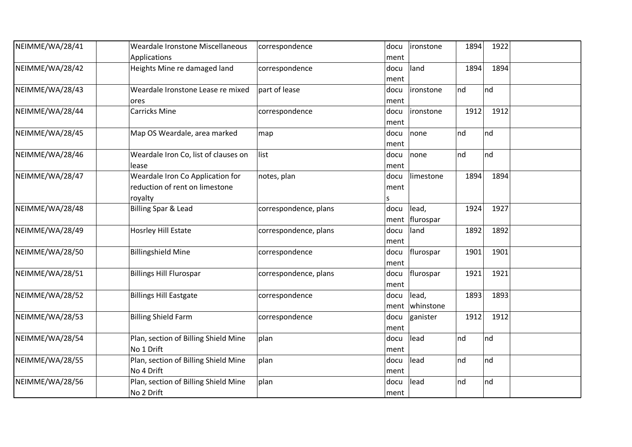| NEIMME/WA/28/41 | Weardale Ironstone Miscellaneous     | correspondence        | docu | ironstone        | 1894<br>1922 |  |
|-----------------|--------------------------------------|-----------------------|------|------------------|--------------|--|
|                 | Applications                         |                       | ment |                  |              |  |
| NEIMME/WA/28/42 | Heights Mine re damaged land         | correspondence        | docu | land             | 1894<br>1894 |  |
|                 |                                      |                       | ment |                  |              |  |
| NEIMME/WA/28/43 | Weardale Ironstone Lease re mixed    | part of lease         | docu | ironstone        | nd<br>nd     |  |
|                 | ores                                 |                       | ment |                  |              |  |
| NEIMME/WA/28/44 | <b>Carricks Mine</b>                 | correspondence        | docu | <i>ironstone</i> | 1912<br>1912 |  |
|                 |                                      |                       | ment |                  |              |  |
| NEIMME/WA/28/45 | Map OS Weardale, area marked         | map                   | docu | none             | nd<br>nd     |  |
|                 |                                      |                       | ment |                  |              |  |
| NEIMME/WA/28/46 | Weardale Iron Co, list of clauses on | list                  | docu | none             | nd<br>nd     |  |
|                 | lease                                |                       | ment |                  |              |  |
| NEIMME/WA/28/47 | Weardale Iron Co Application for     | notes, plan           | docu | limestone        | 1894<br>1894 |  |
|                 | reduction of rent on limestone       |                       | ment |                  |              |  |
|                 | royalty                              |                       |      |                  |              |  |
| NEIMME/WA/28/48 | <b>Billing Spar &amp; Lead</b>       | correspondence, plans | docu | lead,            | 1924<br>1927 |  |
|                 |                                      |                       | ment | flurospar        |              |  |
| NEIMME/WA/28/49 | Hosrley Hill Estate                  | correspondence, plans | docu | land             | 1892<br>1892 |  |
|                 |                                      |                       | ment |                  |              |  |
| NEIMME/WA/28/50 | <b>Billingshield Mine</b>            | correspondence        | docu | flurospar        | 1901<br>1901 |  |
|                 |                                      |                       | ment |                  |              |  |
| NEIMME/WA/28/51 | <b>Billings Hill Flurospar</b>       | correspondence, plans | docu | flurospar        | 1921<br>1921 |  |
|                 |                                      |                       | ment |                  |              |  |
| NEIMME/WA/28/52 | <b>Billings Hill Eastgate</b>        | correspondence        | docu | lead,            | 1893<br>1893 |  |
|                 |                                      |                       | ment | whinstone        |              |  |
| NEIMME/WA/28/53 | <b>Billing Shield Farm</b>           | correspondence        | docu | ganister         | 1912<br>1912 |  |
|                 |                                      |                       | ment |                  |              |  |
| NEIMME/WA/28/54 | Plan, section of Billing Shield Mine | plan                  | docu | lead             | nd<br>nd     |  |
|                 | No 1 Drift                           |                       | ment |                  |              |  |
| NEIMME/WA/28/55 | Plan, section of Billing Shield Mine | plan                  | docu | lead             | Ind<br>nd    |  |
|                 | No 4 Drift                           |                       | ment |                  |              |  |
| NEIMME/WA/28/56 | Plan, section of Billing Shield Mine | plan                  | docu | lead             | nd<br>nd     |  |
|                 | No 2 Drift                           |                       | ment |                  |              |  |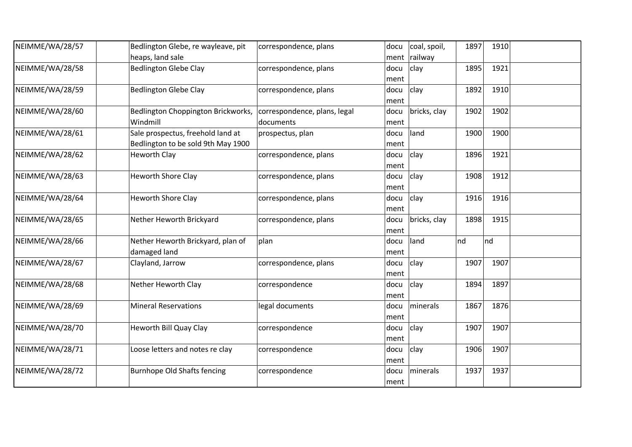| NEIMME/WA/28/57 | Bedlington Glebe, re wayleave, pit | correspondence, plans        | docu | coal, spoil, | 1897 | 1910 |  |
|-----------------|------------------------------------|------------------------------|------|--------------|------|------|--|
|                 | heaps, land sale                   |                              | ment | railway      |      |      |  |
| NEIMME/WA/28/58 | <b>Bedlington Glebe Clay</b>       | correspondence, plans        | docu | clay         | 1895 | 1921 |  |
|                 |                                    |                              | ment |              |      |      |  |
| NEIMME/WA/28/59 | <b>Bedlington Glebe Clay</b>       | correspondence, plans        | docu | clay         | 1892 | 1910 |  |
|                 |                                    |                              | ment |              |      |      |  |
| NEIMME/WA/28/60 | Bedlington Choppington Brickworks, | correspondence, plans, legal | docu | bricks, clay | 1902 | 1902 |  |
|                 | Windmill                           | documents                    | ment |              |      |      |  |
| NEIMME/WA/28/61 | Sale prospectus, freehold land at  | prospectus, plan             | docu | land         | 1900 | 1900 |  |
|                 | Bedlington to be sold 9th May 1900 |                              | ment |              |      |      |  |
| NEIMME/WA/28/62 | <b>Heworth Clay</b>                | correspondence, plans        | docu | clay         | 1896 | 1921 |  |
|                 |                                    |                              | ment |              |      |      |  |
| NEIMME/WA/28/63 | <b>Heworth Shore Clay</b>          | correspondence, plans        | docu | clay         | 1908 | 1912 |  |
|                 |                                    |                              | ment |              |      |      |  |
| NEIMME/WA/28/64 | <b>Heworth Shore Clay</b>          | correspondence, plans        | docu | clay         | 1916 | 1916 |  |
|                 |                                    |                              | ment |              |      |      |  |
| NEIMME/WA/28/65 | Nether Heworth Brickyard           | correspondence, plans        | docu | bricks, clay | 1898 | 1915 |  |
|                 |                                    |                              | ment |              |      |      |  |
| NEIMME/WA/28/66 | Nether Heworth Brickyard, plan of  | plan                         | docu | land         | nd   | nd   |  |
|                 | damaged land                       |                              | ment |              |      |      |  |
| NEIMME/WA/28/67 | Clayland, Jarrow                   | correspondence, plans        | docu | clay         | 1907 | 1907 |  |
|                 |                                    |                              | ment |              |      |      |  |
| NEIMME/WA/28/68 | Nether Heworth Clay                | correspondence               | docu | clay         | 1894 | 1897 |  |
|                 |                                    |                              | ment |              |      |      |  |
| NEIMME/WA/28/69 | <b>Mineral Reservations</b>        | legal documents              | docu | minerals     | 1867 | 1876 |  |
|                 |                                    |                              | ment |              |      |      |  |
| NEIMME/WA/28/70 | Heworth Bill Quay Clay             | correspondence               | docu | clay         | 1907 | 1907 |  |
|                 |                                    |                              | ment |              |      |      |  |
| NEIMME/WA/28/71 | Loose letters and notes re clay    | correspondence               | docu | clay         | 1906 | 1907 |  |
|                 |                                    |                              | ment |              |      |      |  |
| NEIMME/WA/28/72 | <b>Burnhope Old Shafts fencing</b> | correspondence               | docu | minerals     | 1937 | 1937 |  |
|                 |                                    |                              | ment |              |      |      |  |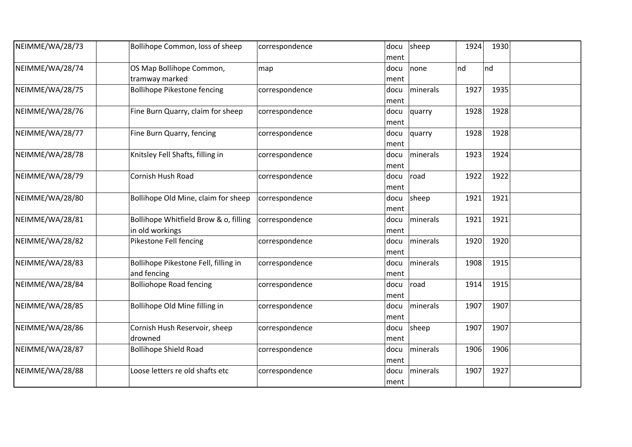| NEIMME/WA/28/73 | Bollihope Common, loss of sheep                          | correspondence | docu<br>ment | sheep             | 1924 | 1930 |  |
|-----------------|----------------------------------------------------------|----------------|--------------|-------------------|------|------|--|
| NEIMME/WA/28/74 | OS Map Bollihope Common,<br>tramway marked               | map            | docu<br>ment | none              | nd   | nd   |  |
| NEIMME/WA/28/75 | <b>Bollihope Pikestone fencing</b>                       | correspondence | docu<br>ment | <i>I</i> minerals | 1927 | 1935 |  |
| NEIMME/WA/28/76 | Fine Burn Quarry, claim for sheep                        | correspondence | docu<br>ment | quarry            | 1928 | 1928 |  |
| NEIMME/WA/28/77 | Fine Burn Quarry, fencing                                | correspondence | docu<br>ment | quarry            | 1928 | 1928 |  |
| NEIMME/WA/28/78 | Knitsley Fell Shafts, filling in                         | correspondence | docu<br>ment | minerals          | 1923 | 1924 |  |
| NEIMME/WA/28/79 | Cornish Hush Road                                        | correspondence | docu<br>ment | road              | 1922 | 1922 |  |
| NEIMME/WA/28/80 | Bollihope Old Mine, claim for sheep                      | correspondence | docu<br>ment | sheep             | 1921 | 1921 |  |
| NEIMME/WA/28/81 | Bollihope Whitfield Brow & o, filling<br>in old workings | correspondence | docu<br>ment | minerals          | 1921 | 1921 |  |
| NEIMME/WA/28/82 | Pikestone Fell fencing                                   | correspondence | docu<br>ment | minerals          | 1920 | 1920 |  |
| NEIMME/WA/28/83 | Bollihope Pikestone Fell, filling in<br>and fencing      | correspondence | docu<br>ment | minerals          | 1908 | 1915 |  |
| NEIMME/WA/28/84 | <b>Bolliohope Road fencing</b>                           | correspondence | docu<br>ment | road              | 1914 | 1915 |  |
| NEIMME/WA/28/85 | Bollihope Old Mine filling in                            | correspondence | docu<br>ment | minerals          | 1907 | 1907 |  |
| NEIMME/WA/28/86 | Cornish Hush Reservoir, sheep<br>drowned                 | correspondence | docu<br>ment | sheep             | 1907 | 1907 |  |
| NEIMME/WA/28/87 | <b>Bollihope Shield Road</b>                             | correspondence | docu<br>ment | minerals          | 1906 | 1906 |  |
| NEIMME/WA/28/88 | Loose letters re old shafts etc                          | correspondence | docu<br>ment | minerals          | 1907 | 1927 |  |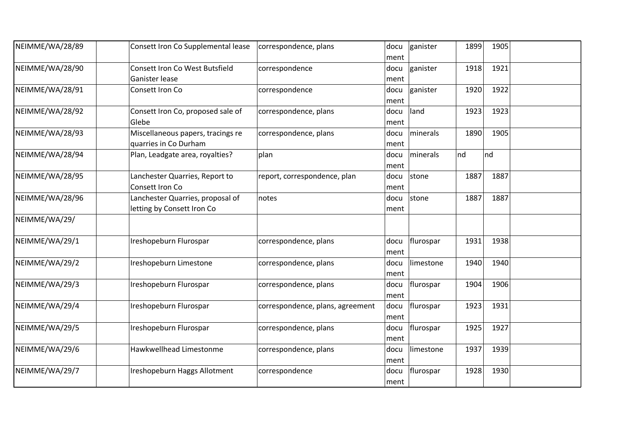| NEIMME/WA/28/89 | Consett Iron Co Supplemental lease                             | correspondence, plans            | docu<br>ment | ganister  | 1899 | 1905 |  |
|-----------------|----------------------------------------------------------------|----------------------------------|--------------|-----------|------|------|--|
| NEIMME/WA/28/90 | Consett Iron Co West Butsfield<br>Ganister lease               | correspondence                   | docu<br>ment | ganister  | 1918 | 1921 |  |
| NEIMME/WA/28/91 | Consett Iron Co                                                | correspondence                   | docu<br>ment | ganister  | 1920 | 1922 |  |
| NEIMME/WA/28/92 | Consett Iron Co, proposed sale of<br>Glebe                     | correspondence, plans            | docu<br>ment | land      | 1923 | 1923 |  |
| NEIMME/WA/28/93 | Miscellaneous papers, tracings re<br>quarries in Co Durham     | correspondence, plans            | docu<br>ment | minerals  | 1890 | 1905 |  |
| NEIMME/WA/28/94 | Plan, Leadgate area, royalties?                                | plan                             | docu<br>ment | minerals  | nd   | Ind  |  |
| NEIMME/WA/28/95 | Lanchester Quarries, Report to<br>Consett Iron Co              | report, correspondence, plan     | docu<br>ment | stone     | 1887 | 1887 |  |
| NEIMME/WA/28/96 | Lanchester Quarries, proposal of<br>letting by Consett Iron Co | notes                            | docu<br>ment | stone     | 1887 | 1887 |  |
| NEIMME/WA/29/   |                                                                |                                  |              |           |      |      |  |
| NEIMME/WA/29/1  | Ireshopeburn Flurospar                                         | correspondence, plans            | docu<br>ment | flurospar | 1931 | 1938 |  |
| NEIMME/WA/29/2  | Ireshopeburn Limestone                                         | correspondence, plans            | docu<br>ment | limestone | 1940 | 1940 |  |
| NEIMME/WA/29/3  | Ireshopeburn Flurospar                                         | correspondence, plans            | docu<br>ment | flurospar | 1904 | 1906 |  |
| NEIMME/WA/29/4  | Ireshopeburn Flurospar                                         | correspondence, plans, agreement | docu<br>ment | flurospar | 1923 | 1931 |  |
| NEIMME/WA/29/5  | Ireshopeburn Flurospar                                         | correspondence, plans            | docu<br>ment | flurospar | 1925 | 1927 |  |
| NEIMME/WA/29/6  | Hawkwellhead Limestonme                                        | correspondence, plans            | docu<br>ment | limestone | 1937 | 1939 |  |
| NEIMME/WA/29/7  | Ireshopeburn Haggs Allotment                                   | correspondence                   | docu<br>ment | flurospar | 1928 | 1930 |  |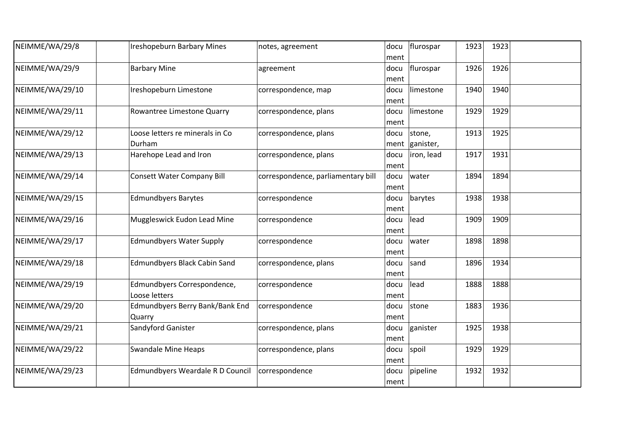| NEIMME/WA/29/8  | <b>Ireshopeburn Barbary Mines</b>            | notes, agreement                   | docu<br>ment | flurospar           | 1923 | 1923 |  |
|-----------------|----------------------------------------------|------------------------------------|--------------|---------------------|------|------|--|
| NEIMME/WA/29/9  | <b>Barbary Mine</b>                          | agreement                          | docu<br>ment | flurospar           | 1926 | 1926 |  |
| NEIMME/WA/29/10 | Ireshopeburn Limestone                       | correspondence, map                | docu<br>ment | limestone           | 1940 | 1940 |  |
| NEIMME/WA/29/11 | Rowantree Limestone Quarry                   | correspondence, plans              | docu<br>ment | limestone           | 1929 | 1929 |  |
| NEIMME/WA/29/12 | Loose letters re minerals in Co<br>Durham    | correspondence, plans              | docu<br>ment | stone,<br>ganister, | 1913 | 1925 |  |
| NEIMME/WA/29/13 | Harehope Lead and Iron                       | correspondence, plans              | docu<br>ment | iron, lead          | 1917 | 1931 |  |
| NEIMME/WA/29/14 | <b>Consett Water Company Bill</b>            | correspondence, parliamentary bill | docu<br>ment | water               | 1894 | 1894 |  |
| NEIMME/WA/29/15 | <b>Edmundbyers Barytes</b>                   | correspondence                     | docu<br>ment | barytes             | 1938 | 1938 |  |
| NEIMME/WA/29/16 | Muggleswick Eudon Lead Mine                  | correspondence                     | docu<br>ment | lead                | 1909 | 1909 |  |
| NEIMME/WA/29/17 | <b>Edmundbyers Water Supply</b>              | correspondence                     | docu<br>ment | water               | 1898 | 1898 |  |
| NEIMME/WA/29/18 | <b>Edmundbyers Black Cabin Sand</b>          | correspondence, plans              | docu<br>ment | sand                | 1896 | 1934 |  |
| NEIMME/WA/29/19 | Edmundbyers Correspondence,<br>Loose letters | correspondence                     | docu<br>ment | lead                | 1888 | 1888 |  |
| NEIMME/WA/29/20 | Edmundbyers Berry Bank/Bank End<br>Quarry    | correspondence                     | docu<br>ment | stone               | 1883 | 1936 |  |
| NEIMME/WA/29/21 | Sandyford Ganister                           | correspondence, plans              | docu<br>ment | ganister            | 1925 | 1938 |  |
| NEIMME/WA/29/22 | <b>Swandale Mine Heaps</b>                   | correspondence, plans              | docu<br>ment | spoil               | 1929 | 1929 |  |
| NEIMME/WA/29/23 | Edmundbyers Weardale R D Council             | correspondence                     | docu<br>ment | pipeline            | 1932 | 1932 |  |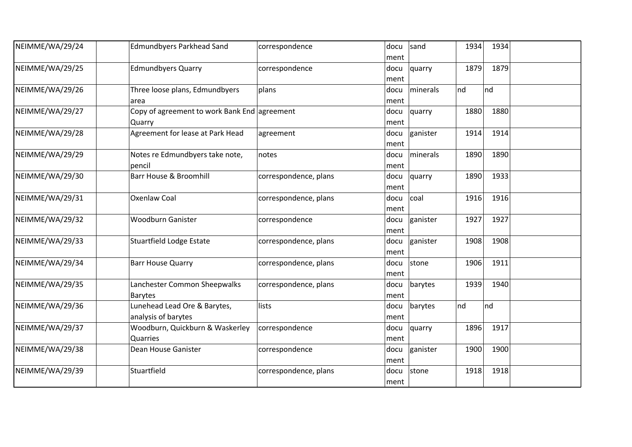| NEIMME/WA/29/24 | <b>Edmundbyers Parkhead Sand</b>                       | correspondence        | docu<br>ment | sand     | 1934 | 1934 |  |
|-----------------|--------------------------------------------------------|-----------------------|--------------|----------|------|------|--|
| NEIMME/WA/29/25 | <b>Edmundbyers Quarry</b>                              | correspondence        | docu<br>ment | quarry   | 1879 | 1879 |  |
| NEIMME/WA/29/26 | Three loose plans, Edmundbyers<br>area                 | plans                 | docu<br>ment | minerals | nd   | nd   |  |
| NEIMME/WA/29/27 | Copy of agreement to work Bank End agreement<br>Quarry |                       | docu<br>ment | quarry   | 1880 | 1880 |  |
| NEIMME/WA/29/28 | Agreement for lease at Park Head                       | agreement             | docu<br>ment | ganister | 1914 | 1914 |  |
| NEIMME/WA/29/29 | Notes re Edmundbyers take note,<br>pencil              | notes                 | docu<br>ment | minerals | 1890 | 1890 |  |
| NEIMME/WA/29/30 | <b>Barr House &amp; Broomhill</b>                      | correspondence, plans | docu<br>ment | quarry   | 1890 | 1933 |  |
| NEIMME/WA/29/31 | <b>Oxenlaw Coal</b>                                    | correspondence, plans | docu<br>ment | coal     | 1916 | 1916 |  |
| NEIMME/WA/29/32 | <b>Woodburn Ganister</b>                               | correspondence        | docu<br>ment | ganister | 1927 | 1927 |  |
| NEIMME/WA/29/33 | <b>Stuartfield Lodge Estate</b>                        | correspondence, plans | docu<br>ment | ganister | 1908 | 1908 |  |
| NEIMME/WA/29/34 | <b>Barr House Quarry</b>                               | correspondence, plans | docu<br>ment | stone    | 1906 | 1911 |  |
| NEIMME/WA/29/35 | Lanchester Common Sheepwalks<br><b>Barytes</b>         | correspondence, plans | docu<br>ment | barytes  | 1939 | 1940 |  |
| NEIMME/WA/29/36 | Lunehead Lead Ore & Barytes,<br>analysis of barytes    | lists                 | docu<br>ment | barytes  | nd   | Ind  |  |
| NEIMME/WA/29/37 | Woodburn, Quickburn & Waskerley<br>Quarries            | correspondence        | docu<br>ment | quarry   | 1896 | 1917 |  |
| NEIMME/WA/29/38 | Dean House Ganister                                    | correspondence        | docu<br>ment | ganister | 1900 | 1900 |  |
| NEIMME/WA/29/39 | Stuartfield                                            | correspondence, plans | docu<br>ment | stone    | 1918 | 1918 |  |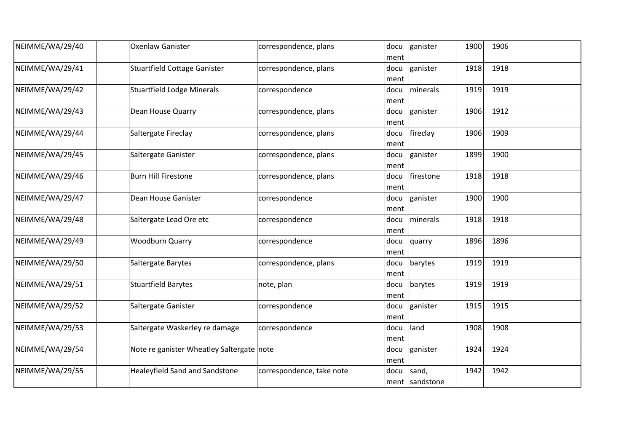| NEIMME/WA/29/40 | <b>Oxenlaw Ganister</b>                   | correspondence, plans     | docu<br>ment | ganister                | 1900 | 1906 |
|-----------------|-------------------------------------------|---------------------------|--------------|-------------------------|------|------|
| NEIMME/WA/29/41 | <b>Stuartfield Cottage Ganister</b>       | correspondence, plans     | docu<br>ment | ganister                | 1918 | 1918 |
| NEIMME/WA/29/42 | <b>Stuartfield Lodge Minerals</b>         | correspondence            | docu<br>ment | minerals                | 1919 | 1919 |
| NEIMME/WA/29/43 | Dean House Quarry                         | correspondence, plans     | docu<br>ment | ganister                | 1906 | 1912 |
| NEIMME/WA/29/44 | Saltergate Fireclay                       | correspondence, plans     | docu<br>ment | fireclay                | 1906 | 1909 |
| NEIMME/WA/29/45 | Saltergate Ganister                       | correspondence, plans     | docu<br>ment | ganister                | 1899 | 1900 |
| NEIMME/WA/29/46 | <b>Burn Hill Firestone</b>                | correspondence, plans     | docu<br>ment | firestone               | 1918 | 1918 |
| NEIMME/WA/29/47 | Dean House Ganister                       | correspondence            | docu<br>ment | ganister                | 1900 | 1900 |
| NEIMME/WA/29/48 | Saltergate Lead Ore etc                   | correspondence            | docu<br>ment | minerals                | 1918 | 1918 |
| NEIMME/WA/29/49 | <b>Woodburn Quarry</b>                    | correspondence            | docu<br>ment | quarry                  | 1896 | 1896 |
| NEIMME/WA/29/50 | Saltergate Barytes                        | correspondence, plans     | docu<br>ment | barytes                 | 1919 | 1919 |
| NEIMME/WA/29/51 | <b>Stuartfield Barytes</b>                | note, plan                | docu<br>ment | barytes                 | 1919 | 1919 |
| NEIMME/WA/29/52 | Saltergate Ganister                       | correspondence            | docu<br>ment | ganister                | 1915 | 1915 |
| NEIMME/WA/29/53 | Saltergate Waskerley re damage            | correspondence            | docu<br>ment | land                    | 1908 | 1908 |
| NEIMME/WA/29/54 | Note re ganister Wheatley Saltergate note |                           | docu<br>ment | ganister                | 1924 | 1924 |
| NEIMME/WA/29/55 | <b>Healeyfield Sand and Sandstone</b>     | correspondence, take note | docu         | sand,<br>ment sandstone | 1942 | 1942 |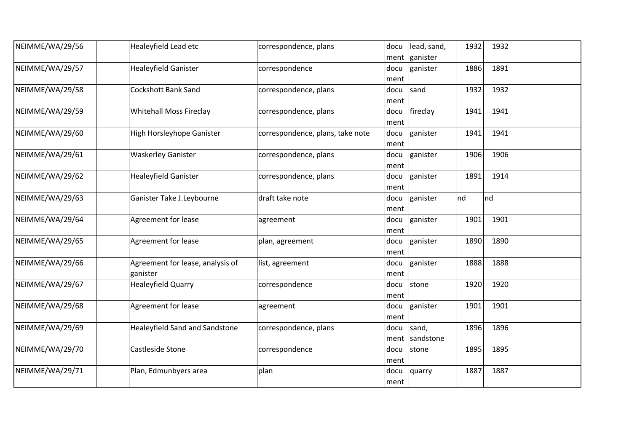| NEIMME/WA/29/56 | Healeyfield Lead etc                         | correspondence, plans            | docu         | lead, sand,<br>ment ganister | 1932 | 1932 |  |
|-----------------|----------------------------------------------|----------------------------------|--------------|------------------------------|------|------|--|
| NEIMME/WA/29/57 | <b>Healeyfield Ganister</b>                  | correspondence                   | docu<br>ment | ganister                     | 1886 | 1891 |  |
| NEIMME/WA/29/58 | <b>Cockshott Bank Sand</b>                   | correspondence, plans            | docu<br>ment | sand                         | 1932 | 1932 |  |
| NEIMME/WA/29/59 | <b>Whitehall Moss Fireclay</b>               | correspondence, plans            | docu<br>ment | fireclay                     | 1941 | 1941 |  |
| NEIMME/WA/29/60 | High Horsleyhope Ganister                    | correspondence, plans, take note | docu<br>ment | ganister                     | 1941 | 1941 |  |
| NEIMME/WA/29/61 | <b>Waskerley Ganister</b>                    | correspondence, plans            | docu<br>ment | ganister                     | 1906 | 1906 |  |
| NEIMME/WA/29/62 | <b>Healeyfield Ganister</b>                  | correspondence, plans            | docu<br>ment | ganister                     | 1891 | 1914 |  |
| NEIMME/WA/29/63 | Ganister Take J.Leybourne                    | draft take note                  | docu<br>ment | ganister                     | nd   | nd   |  |
| NEIMME/WA/29/64 | Agreement for lease                          | agreement                        | docu<br>ment | ganister                     | 1901 | 1901 |  |
| NEIMME/WA/29/65 | Agreement for lease                          | plan, agreement                  | docu<br>ment | ganister                     | 1890 | 1890 |  |
| NEIMME/WA/29/66 | Agreement for lease, analysis of<br>ganister | list, agreement                  | docu<br>ment | ganister                     | 1888 | 1888 |  |
| NEIMME/WA/29/67 | <b>Healeyfield Quarry</b>                    | correspondence                   | docu<br>ment | stone                        | 1920 | 1920 |  |
| NEIMME/WA/29/68 | Agreement for lease                          | agreement                        | docu<br>ment | ganister                     | 1901 | 1901 |  |
| NEIMME/WA/29/69 | <b>Healeyfield Sand and Sandstone</b>        | correspondence, plans            | docu<br>ment | sand,<br>sandstone           | 1896 | 1896 |  |
| NEIMME/WA/29/70 | Castleside Stone                             | correspondence                   | docu<br>ment | stone                        | 1895 | 1895 |  |
| NEIMME/WA/29/71 | Plan, Edmunbyers area                        | plan                             | docu<br>ment | quarry                       | 1887 | 1887 |  |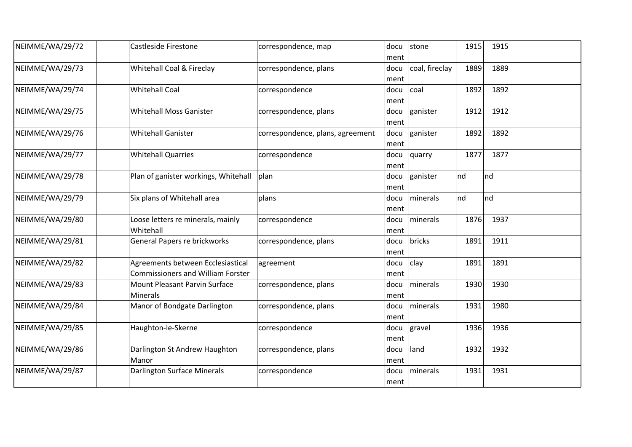| NEIMME/WA/29/72 | <b>Castleside Firestone</b>                                                   | correspondence, map              | docu<br>ment | stone          | 1915 | 1915 |  |
|-----------------|-------------------------------------------------------------------------------|----------------------------------|--------------|----------------|------|------|--|
| NEIMME/WA/29/73 | Whitehall Coal & Fireclay                                                     | correspondence, plans            | docu<br>ment | coal, fireclay | 1889 | 1889 |  |
| NEIMME/WA/29/74 | <b>Whitehall Coal</b>                                                         | correspondence                   | docu<br>ment | coal           | 1892 | 1892 |  |
| NEIMME/WA/29/75 | <b>Whitehall Moss Ganister</b>                                                | correspondence, plans            | docu<br>ment | ganister       | 1912 | 1912 |  |
| NEIMME/WA/29/76 | <b>Whitehall Ganister</b>                                                     | correspondence, plans, agreement | docu<br>ment | ganister       | 1892 | 1892 |  |
| NEIMME/WA/29/77 | <b>Whitehall Quarries</b>                                                     | correspondence                   | docu<br>ment | quarry         | 1877 | 1877 |  |
| NEIMME/WA/29/78 | Plan of ganister workings, Whitehall                                          | plan                             | docu<br>ment | ganister       | nd   | Ind  |  |
| NEIMME/WA/29/79 | Six plans of Whitehall area                                                   | plans                            | docu<br>ment | minerals       | nd   | Ind  |  |
| NEIMME/WA/29/80 | Loose letters re minerals, mainly<br>Whitehall                                | correspondence                   | docu<br>ment | minerals       | 1876 | 1937 |  |
| NEIMME/WA/29/81 | General Papers re brickworks                                                  | correspondence, plans            | docu<br>ment | bricks         | 1891 | 1911 |  |
| NEIMME/WA/29/82 | Agreements between Ecclesiastical<br><b>Commissioners and William Forster</b> | agreement                        | docu<br>ment | clay           | 1891 | 1891 |  |
| NEIMME/WA/29/83 | Mount Pleasant Parvin Surface<br><b>Minerals</b>                              | correspondence, plans            | docu<br>ment | minerals       | 1930 | 1930 |  |
| NEIMME/WA/29/84 | Manor of Bondgate Darlington                                                  | correspondence, plans            | docu<br>ment | minerals       | 1931 | 1980 |  |
| NEIMME/WA/29/85 | Haughton-le-Skerne                                                            | correspondence                   | docu<br>ment | gravel         | 1936 | 1936 |  |
| NEIMME/WA/29/86 | Darlington St Andrew Haughton<br>Manor                                        | correspondence, plans            | docu<br>ment | land           | 1932 | 1932 |  |
| NEIMME/WA/29/87 | <b>Darlington Surface Minerals</b>                                            | correspondence                   | docu<br>ment | minerals       | 1931 | 1931 |  |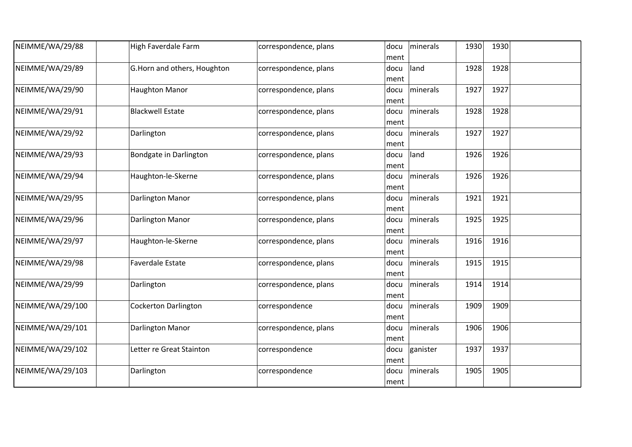| NEIMME/WA/29/88  | High Faverdale Farm         | correspondence, plans | minerals<br>docu<br>ment | 1930<br>1930 |  |
|------------------|-----------------------------|-----------------------|--------------------------|--------------|--|
| NEIMME/WA/29/89  | G.Horn and others, Houghton | correspondence, plans | land<br>docu<br>ment     | 1928<br>1928 |  |
| NEIMME/WA/29/90  | <b>Haughton Manor</b>       | correspondence, plans | minerals<br>docu<br>ment | 1927<br>1927 |  |
| NEIMME/WA/29/91  | <b>Blackwell Estate</b>     | correspondence, plans | minerals<br>docu<br>ment | 1928<br>1928 |  |
| NEIMME/WA/29/92  | Darlington                  | correspondence, plans | minerals<br>docu<br>ment | 1927<br>1927 |  |
| NEIMME/WA/29/93  | Bondgate in Darlington      | correspondence, plans | land<br>docu<br>ment     | 1926<br>1926 |  |
| NEIMME/WA/29/94  | Haughton-le-Skerne          | correspondence, plans | minerals<br>docu<br>ment | 1926<br>1926 |  |
| NEIMME/WA/29/95  | Darlington Manor            | correspondence, plans | minerals<br>docu<br>ment | 1921<br>1921 |  |
| NEIMME/WA/29/96  | Darlington Manor            | correspondence, plans | minerals<br>docu<br>ment | 1925<br>1925 |  |
| NEIMME/WA/29/97  | Haughton-le-Skerne          | correspondence, plans | minerals<br>docu<br>ment | 1916<br>1916 |  |
| NEIMME/WA/29/98  | <b>Faverdale Estate</b>     | correspondence, plans | minerals<br>docu<br>ment | 1915<br>1915 |  |
| NEIMME/WA/29/99  | Darlington                  | correspondence, plans | minerals<br>docu<br>ment | 1914<br>1914 |  |
| NEIMME/WA/29/100 | <b>Cockerton Darlington</b> | correspondence        | minerals<br>docu<br>ment | 1909<br>1909 |  |
| NEIMME/WA/29/101 | Darlington Manor            | correspondence, plans | minerals<br>docu<br>ment | 1906<br>1906 |  |
| NEIMME/WA/29/102 | Letter re Great Stainton    | correspondence        | ganister<br>docu<br>ment | 1937<br>1937 |  |
| NEIMME/WA/29/103 | Darlington                  | correspondence        | minerals<br>docu<br>ment | 1905<br>1905 |  |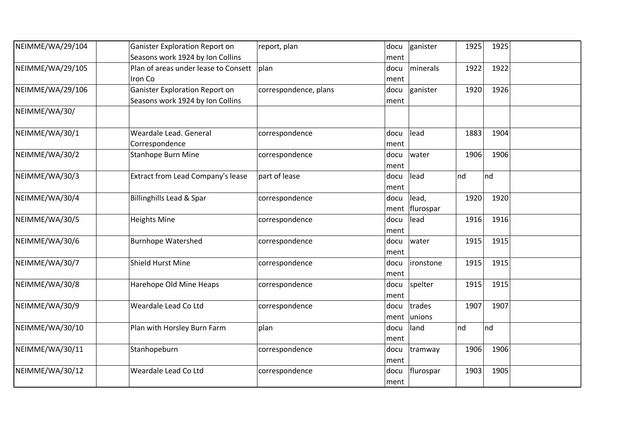| NEIMME/WA/29/104 | Ganister Exploration Report on        | report, plan          | docu | ganister  | 1925 | 1925 |  |
|------------------|---------------------------------------|-----------------------|------|-----------|------|------|--|
|                  | Seasons work 1924 by Ion Collins      |                       | ment |           |      |      |  |
| NEIMME/WA/29/105 | Plan of areas under lease to Consett  | plan                  | docu | minerals  | 1922 | 1922 |  |
|                  | Iron Co                               |                       | ment |           |      |      |  |
| NEIMME/WA/29/106 | <b>Ganister Exploration Report on</b> | correspondence, plans | docu | ganister  | 1920 | 1926 |  |
|                  | Seasons work 1924 by Ion Collins      |                       | ment |           |      |      |  |
| NEIMME/WA/30/    |                                       |                       |      |           |      |      |  |
| NEIMME/WA/30/1   | Weardale Lead, General                | correspondence        | docu | lead      | 1883 | 1904 |  |
|                  | Correspondence                        |                       | ment |           |      |      |  |
| NEIMME/WA/30/2   | <b>Stanhope Burn Mine</b>             | correspondence        | docu | water     | 1906 | 1906 |  |
|                  |                                       |                       | ment |           |      |      |  |
| NEIMME/WA/30/3   | Extract from Lead Company's lease     | part of lease         | docu | lead      | nd   | Ind  |  |
|                  |                                       |                       | ment |           |      |      |  |
| NEIMME/WA/30/4   | <b>Billinghills Lead &amp; Spar</b>   | correspondence        | docu | lead,     | 1920 | 1920 |  |
|                  |                                       |                       | ment | flurospar |      |      |  |
| NEIMME/WA/30/5   | <b>Heights Mine</b>                   | correspondence        | docu | lead      | 1916 | 1916 |  |
|                  |                                       |                       | ment |           |      |      |  |
| NEIMME/WA/30/6   | <b>Burnhope Watershed</b>             | correspondence        | docu | water     | 1915 | 1915 |  |
|                  |                                       |                       | ment |           |      |      |  |
| NEIMME/WA/30/7   | <b>Shield Hurst Mine</b>              | correspondence        | docu | ironstone | 1915 | 1915 |  |
|                  |                                       |                       | ment |           |      |      |  |
| NEIMME/WA/30/8   | Harehope Old Mine Heaps               | correspondence        | docu | spelter   | 1915 | 1915 |  |
|                  |                                       |                       | ment |           |      |      |  |
| NEIMME/WA/30/9   | Weardale Lead Co Ltd                  | correspondence        | docu | trades    | 1907 | 1907 |  |
|                  |                                       |                       | ment | unions    |      |      |  |
| NEIMME/WA/30/10  | Plan with Horsley Burn Farm           | plan                  | docu | land      | nd   | nd   |  |
|                  |                                       |                       | ment |           |      |      |  |
| NEIMME/WA/30/11  | Stanhopeburn                          | correspondence        | docu | tramway   | 1906 | 1906 |  |
|                  |                                       |                       | ment |           |      |      |  |
| NEIMME/WA/30/12  | Weardale Lead Co Ltd                  | correspondence        | docu | flurospar | 1903 | 1905 |  |
|                  |                                       |                       | ment |           |      |      |  |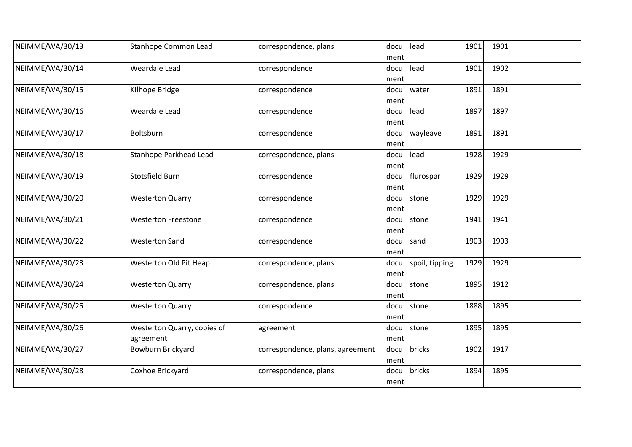| NEIMME/WA/30/13 | <b>Stanhope Common Lead</b>              | correspondence, plans            | docu<br>ment | lead           | 1901 | 1901 |  |
|-----------------|------------------------------------------|----------------------------------|--------------|----------------|------|------|--|
| NEIMME/WA/30/14 | <b>Weardale Lead</b>                     | correspondence                   | docu<br>ment | lead           | 1901 | 1902 |  |
| NEIMME/WA/30/15 | Kilhope Bridge                           | correspondence                   | docu<br>ment | water          | 1891 | 1891 |  |
| NEIMME/WA/30/16 | Weardale Lead                            | correspondence                   | docu<br>ment | lead           | 1897 | 1897 |  |
| NEIMME/WA/30/17 | Boltsburn                                | correspondence                   | docu<br>ment | wayleave       | 1891 | 1891 |  |
| NEIMME/WA/30/18 | Stanhope Parkhead Lead                   | correspondence, plans            | docu<br>ment | lead           | 1928 | 1929 |  |
| NEIMME/WA/30/19 | Stotsfield Burn                          | correspondence                   | docu<br>ment | flurospar      | 1929 | 1929 |  |
| NEIMME/WA/30/20 | <b>Westerton Quarry</b>                  | correspondence                   | docu<br>ment | stone          | 1929 | 1929 |  |
| NEIMME/WA/30/21 | <b>Westerton Freestone</b>               | correspondence                   | docu<br>ment | stone          | 1941 | 1941 |  |
| NEIMME/WA/30/22 | <b>Westerton Sand</b>                    | correspondence                   | docu<br>ment | sand           | 1903 | 1903 |  |
| NEIMME/WA/30/23 | Westerton Old Pit Heap                   | correspondence, plans            | docu<br>ment | spoil, tipping | 1929 | 1929 |  |
| NEIMME/WA/30/24 | <b>Westerton Quarry</b>                  | correspondence, plans            | docu<br>ment | stone          | 1895 | 1912 |  |
| NEIMME/WA/30/25 | <b>Westerton Quarry</b>                  | correspondence                   | docu<br>ment | stone          | 1888 | 1895 |  |
| NEIMME/WA/30/26 | Westerton Quarry, copies of<br>agreement | agreement                        | docu<br>ment | stone          | 1895 | 1895 |  |
| NEIMME/WA/30/27 | Bowburn Brickyard                        | correspondence, plans, agreement | docu<br>ment | bricks         | 1902 | 1917 |  |
| NEIMME/WA/30/28 | Coxhoe Brickyard                         | correspondence, plans            | docu<br>ment | bricks         | 1894 | 1895 |  |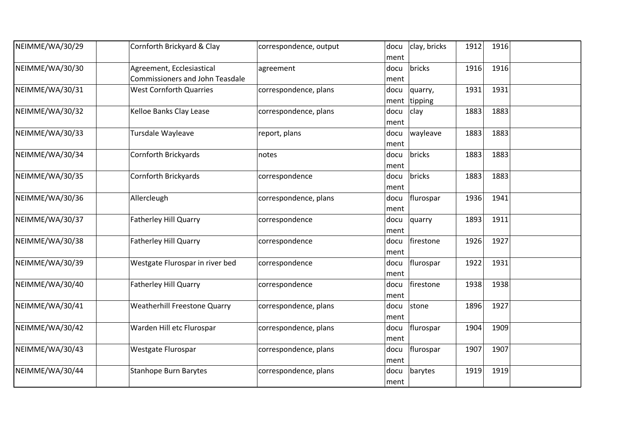| NEIMME/WA/30/29 | Cornforth Brickyard & Clay                                          | correspondence, output | docu<br>ment | clay, bricks              | 1912 | 1916 |  |
|-----------------|---------------------------------------------------------------------|------------------------|--------------|---------------------------|------|------|--|
| NEIMME/WA/30/30 | Agreement, Ecclesiastical<br><b>Commissioners and John Teasdale</b> | agreement              | docu<br>ment | bricks                    | 1916 | 1916 |  |
| NEIMME/WA/30/31 | <b>West Cornforth Quarries</b>                                      | correspondence, plans  | docu         | quarry,<br>ment   tipping | 1931 | 1931 |  |
| NEIMME/WA/30/32 | Kelloe Banks Clay Lease                                             | correspondence, plans  | docu<br>ment | clay                      | 1883 | 1883 |  |
| NEIMME/WA/30/33 | Tursdale Wayleave                                                   | report, plans          | docu<br>ment | wayleave                  | 1883 | 1883 |  |
| NEIMME/WA/30/34 | Cornforth Brickyards                                                | notes                  | docu<br>ment | bricks                    | 1883 | 1883 |  |
| NEIMME/WA/30/35 | Cornforth Brickyards                                                | correspondence         | docu<br>ment | bricks                    | 1883 | 1883 |  |
| NEIMME/WA/30/36 | Allercleugh                                                         | correspondence, plans  | docu<br>ment | flurospar                 | 1936 | 1941 |  |
| NEIMME/WA/30/37 | <b>Fatherley Hill Quarry</b>                                        | correspondence         | docu<br>ment | quarry                    | 1893 | 1911 |  |
| NEIMME/WA/30/38 | Fatherley Hill Quarry                                               | correspondence         | docu<br>ment | firestone                 | 1926 | 1927 |  |
| NEIMME/WA/30/39 | Westgate Flurospar in river bed                                     | correspondence         | docu<br>ment | flurospar                 | 1922 | 1931 |  |
| NEIMME/WA/30/40 | <b>Fatherley Hill Quarry</b>                                        | correspondence         | docu<br>ment | firestone                 | 1938 | 1938 |  |
| NEIMME/WA/30/41 | <b>Weatherhill Freestone Quarry</b>                                 | correspondence, plans  | docu<br>ment | stone                     | 1896 | 1927 |  |
| NEIMME/WA/30/42 | Warden Hill etc Flurospar                                           | correspondence, plans  | docu<br>ment | flurospar                 | 1904 | 1909 |  |
| NEIMME/WA/30/43 | Westgate Flurospar                                                  | correspondence, plans  | docu<br>ment | flurospar                 | 1907 | 1907 |  |
| NEIMME/WA/30/44 | <b>Stanhope Burn Barytes</b>                                        | correspondence, plans  | docu<br>ment | barytes                   | 1919 | 1919 |  |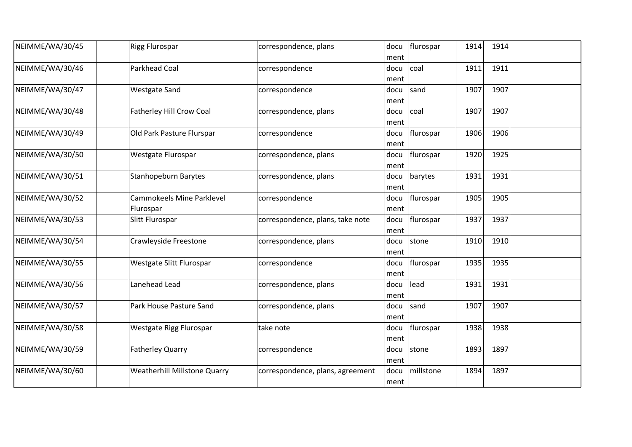| NEIMME/WA/30/45 | <b>Rigg Flurospar</b>                         | correspondence, plans            | docu<br>ment | flurospar | 1914 | 1914 |  |
|-----------------|-----------------------------------------------|----------------------------------|--------------|-----------|------|------|--|
| NEIMME/WA/30/46 | <b>Parkhead Coal</b>                          | correspondence                   | docu<br>ment | coal      | 1911 | 1911 |  |
| NEIMME/WA/30/47 | <b>Westgate Sand</b>                          | correspondence                   | docu<br>ment | sand      | 1907 | 1907 |  |
| NEIMME/WA/30/48 | <b>Fatherley Hill Crow Coal</b>               | correspondence, plans            | docu<br>ment | coal      | 1907 | 1907 |  |
| NEIMME/WA/30/49 | Old Park Pasture Flurspar                     | correspondence                   | docu<br>ment | flurospar | 1906 | 1906 |  |
| NEIMME/WA/30/50 | Westgate Flurospar                            | correspondence, plans            | docu<br>ment | flurospar | 1920 | 1925 |  |
| NEIMME/WA/30/51 | <b>Stanhopeburn Barytes</b>                   | correspondence, plans            | docu<br>ment | barytes   | 1931 | 1931 |  |
| NEIMME/WA/30/52 | <b>Cammokeels Mine Parklevel</b><br>Flurospar | correspondence                   | docu<br>ment | flurospar | 1905 | 1905 |  |
| NEIMME/WA/30/53 | Slitt Flurospar                               | correspondence, plans, take note | docu<br>ment | flurospar | 1937 | 1937 |  |
| NEIMME/WA/30/54 | Crawleyside Freestone                         | correspondence, plans            | docu<br>ment | stone     | 1910 | 1910 |  |
| NEIMME/WA/30/55 | Westgate Slitt Flurospar                      | correspondence                   | docu<br>ment | flurospar | 1935 | 1935 |  |
| NEIMME/WA/30/56 | Lanehead Lead                                 | correspondence, plans            | docu<br>ment | lead      | 1931 | 1931 |  |
| NEIMME/WA/30/57 | Park House Pasture Sand                       | correspondence, plans            | docu<br>ment | sand      | 1907 | 1907 |  |
| NEIMME/WA/30/58 | Westgate Rigg Flurospar                       | take note                        | docu<br>ment | flurospar | 1938 | 1938 |  |
| NEIMME/WA/30/59 | <b>Fatherley Quarry</b>                       | correspondence                   | docu<br>ment | stone     | 1893 | 1897 |  |
| NEIMME/WA/30/60 | <b>Weatherhill Millstone Quarry</b>           | correspondence, plans, agreement | docu<br>ment | millstone | 1894 | 1897 |  |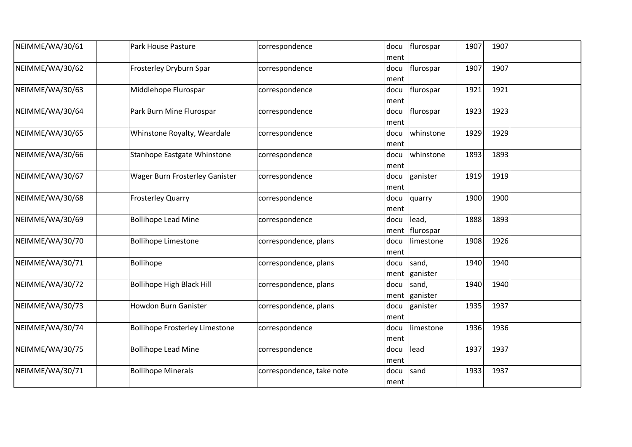| NEIMME/WA/30/61 | Park House Pasture                    | correspondence            | docu<br>ment           | flurospar<br>1907         | 1907 |  |
|-----------------|---------------------------------------|---------------------------|------------------------|---------------------------|------|--|
| NEIMME/WA/30/62 | Frosterley Dryburn Spar               | correspondence            | docu<br>ment           | 1907<br>flurospar         | 1907 |  |
| NEIMME/WA/30/63 | Middlehope Flurospar                  | correspondence            | docu<br>ment           | flurospar<br>1921         | 1921 |  |
| NEIMME/WA/30/64 | Park Burn Mine Flurospar              | correspondence            | docu<br>ment           | flurospar<br>1923         | 1923 |  |
| NEIMME/WA/30/65 | Whinstone Royalty, Weardale           | correspondence            | docu<br>ment           | 1929<br>whinstone         | 1929 |  |
| NEIMME/WA/30/66 | Stanhope Eastgate Whinstone           | correspondence            | docu<br>ment           | whinstone<br>1893         | 1893 |  |
| NEIMME/WA/30/67 | <b>Wager Burn Frosterley Ganister</b> | correspondence            | docu<br>ment           | ganister<br>1919          | 1919 |  |
| NEIMME/WA/30/68 | <b>Frosterley Quarry</b>              | correspondence            | docu<br>ment           | 1900<br>quarry            | 1900 |  |
| NEIMME/WA/30/69 | <b>Bollihope Lead Mine</b>            | correspondence            | docu<br>ment flurospar | lead,<br>1888             | 1893 |  |
| NEIMME/WA/30/70 | <b>Bollihope Limestone</b>            | correspondence, plans     | docu<br>ment           | 1908<br>limestone         | 1926 |  |
| NEIMME/WA/30/71 | <b>Bollihope</b>                      | correspondence, plans     | docu<br>ment           | 1940<br>sand,<br>ganister | 1940 |  |
| NEIMME/WA/30/72 | <b>Bollihope High Black Hill</b>      | correspondence, plans     | docu<br>ment ganister  | sand,<br>1940             | 1940 |  |
| NEIMME/WA/30/73 | <b>Howdon Burn Ganister</b>           | correspondence, plans     | docu<br>ment           | ganister<br>1935          | 1937 |  |
| NEIMME/WA/30/74 | <b>Bollihope Frosterley Limestone</b> | correspondence            | docu<br>ment           | 1936<br>limestone         | 1936 |  |
| NEIMME/WA/30/75 | <b>Bollihope Lead Mine</b>            | correspondence            | lead<br>docu<br>ment   | 1937                      | 1937 |  |
| NEIMME/WA/30/71 | <b>Bollihope Minerals</b>             | correspondence, take note | sand<br>docu<br>ment   | 1933                      | 1937 |  |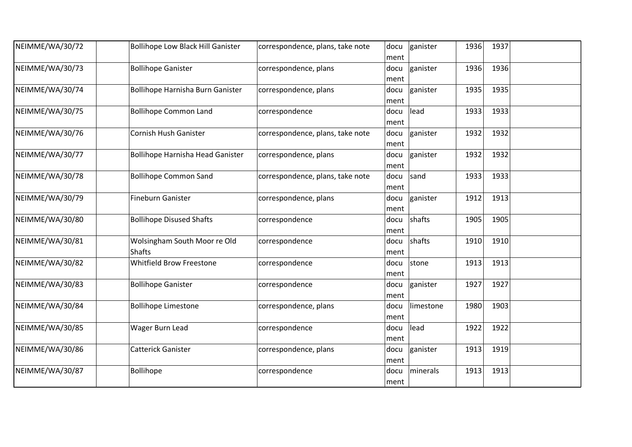| NEIMME/WA/30/72 | <b>Bollihope Low Black Hill Ganister</b>      | correspondence, plans, take note | docu<br>ment | ganister  | 1936 | 1937 |  |
|-----------------|-----------------------------------------------|----------------------------------|--------------|-----------|------|------|--|
| NEIMME/WA/30/73 | <b>Bollihope Ganister</b>                     | correspondence, plans            | docu<br>ment | ganister  | 1936 | 1936 |  |
| NEIMME/WA/30/74 | Bollihope Harnisha Burn Ganister              | correspondence, plans            | docu<br>ment | ganister  | 1935 | 1935 |  |
| NEIMME/WA/30/75 | <b>Bollihope Common Land</b>                  | correspondence                   | docu<br>ment | lead      | 1933 | 1933 |  |
| NEIMME/WA/30/76 | Cornish Hush Ganister                         | correspondence, plans, take note | docu<br>ment | ganister  | 1932 | 1932 |  |
| NEIMME/WA/30/77 | <b>Bollihope Harnisha Head Ganister</b>       | correspondence, plans            | docu<br>ment | ganister  | 1932 | 1932 |  |
| NEIMME/WA/30/78 | <b>Bollihope Common Sand</b>                  | correspondence, plans, take note | docu<br>ment | sand      | 1933 | 1933 |  |
| NEIMME/WA/30/79 | <b>Fineburn Ganister</b>                      | correspondence, plans            | docu<br>ment | ganister  | 1912 | 1913 |  |
| NEIMME/WA/30/80 | <b>Bollihope Disused Shafts</b>               | correspondence                   | docu<br>ment | shafts    | 1905 | 1905 |  |
| NEIMME/WA/30/81 | Wolsingham South Moor re Old<br><b>Shafts</b> | correspondence                   | docu<br>ment | shafts    | 1910 | 1910 |  |
| NEIMME/WA/30/82 | <b>Whitfield Brow Freestone</b>               | correspondence                   | docu<br>ment | stone     | 1913 | 1913 |  |
| NEIMME/WA/30/83 | <b>Bollihope Ganister</b>                     | correspondence                   | docu<br>ment | ganister  | 1927 | 1927 |  |
| NEIMME/WA/30/84 | <b>Bollihope Limestone</b>                    | correspondence, plans            | docu<br>ment | limestone | 1980 | 1903 |  |
| NEIMME/WA/30/85 | Wager Burn Lead                               | correspondence                   | docu<br>ment | lead      | 1922 | 1922 |  |
| NEIMME/WA/30/86 | <b>Catterick Ganister</b>                     | correspondence, plans            | docu<br>ment | ganister  | 1913 | 1919 |  |
| NEIMME/WA/30/87 | Bollihope                                     | correspondence                   | docu<br>ment | minerals  | 1913 | 1913 |  |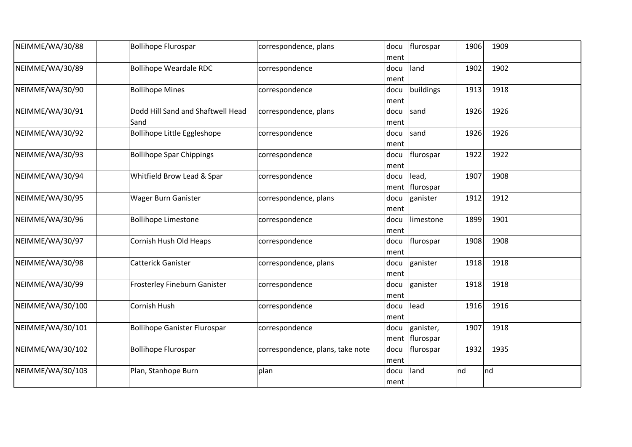| NEIMME/WA/30/88  | <b>Bollihope Flurospar</b>          | correspondence, plans            | docu | flurospar      | 1906 | 1909 |  |
|------------------|-------------------------------------|----------------------------------|------|----------------|------|------|--|
|                  |                                     |                                  | ment |                |      |      |  |
| NEIMME/WA/30/89  | <b>Bollihope Weardale RDC</b>       | correspondence                   | docu | land           | 1902 | 1902 |  |
|                  |                                     |                                  | ment |                |      |      |  |
| NEIMME/WA/30/90  | <b>Bollihope Mines</b>              | correspondence                   | docu | buildings      | 1913 | 1918 |  |
|                  |                                     |                                  | ment |                |      |      |  |
| NEIMME/WA/30/91  | Dodd Hill Sand and Shaftwell Head   | correspondence, plans            | docu | sand           | 1926 | 1926 |  |
|                  | Sand                                |                                  | ment |                |      |      |  |
| NEIMME/WA/30/92  | Bollihope Little Eggleshope         | correspondence                   | docu | sand           | 1926 | 1926 |  |
|                  |                                     |                                  | ment |                |      |      |  |
| NEIMME/WA/30/93  | <b>Bollihope Spar Chippings</b>     | correspondence                   | docu | flurospar      | 1922 | 1922 |  |
|                  |                                     |                                  | ment |                |      |      |  |
| NEIMME/WA/30/94  | Whitfield Brow Lead & Spar          | correspondence                   | docu | lead,          | 1907 | 1908 |  |
|                  |                                     |                                  |      | ment flurospar |      |      |  |
| NEIMME/WA/30/95  | Wager Burn Ganister                 | correspondence, plans            | docu | ganister       | 1912 | 1912 |  |
|                  |                                     |                                  | ment |                |      |      |  |
| NEIMME/WA/30/96  | <b>Bollihope Limestone</b>          | correspondence                   | docu | limestone      | 1899 | 1901 |  |
|                  |                                     |                                  | ment |                |      |      |  |
| NEIMME/WA/30/97  | Cornish Hush Old Heaps              | correspondence                   | docu | flurospar      | 1908 | 1908 |  |
|                  |                                     |                                  | ment |                |      |      |  |
| NEIMME/WA/30/98  | <b>Catterick Ganister</b>           | correspondence, plans            | docu | ganister       | 1918 | 1918 |  |
|                  |                                     |                                  | ment |                |      |      |  |
| NEIMME/WA/30/99  | Frosterley Fineburn Ganister        | correspondence                   | docu | ganister       | 1918 | 1918 |  |
|                  |                                     |                                  | ment |                |      |      |  |
| NEIMME/WA/30/100 | Cornish Hush                        | correspondence                   | docu | lead           | 1916 | 1916 |  |
|                  |                                     |                                  | ment |                |      |      |  |
| NEIMME/WA/30/101 | <b>Bollihope Ganister Flurospar</b> | correspondence                   | docu | ganister,      | 1907 | 1918 |  |
|                  |                                     |                                  | ment | flurospar      |      |      |  |
| NEIMME/WA/30/102 | <b>Bollihope Flurospar</b>          | correspondence, plans, take note | docu | flurospar      | 1932 | 1935 |  |
|                  |                                     |                                  | ment |                |      |      |  |
| NEIMME/WA/30/103 | Plan, Stanhope Burn                 | plan                             | docu | land           | nd   | nd   |  |
|                  |                                     |                                  | ment |                |      |      |  |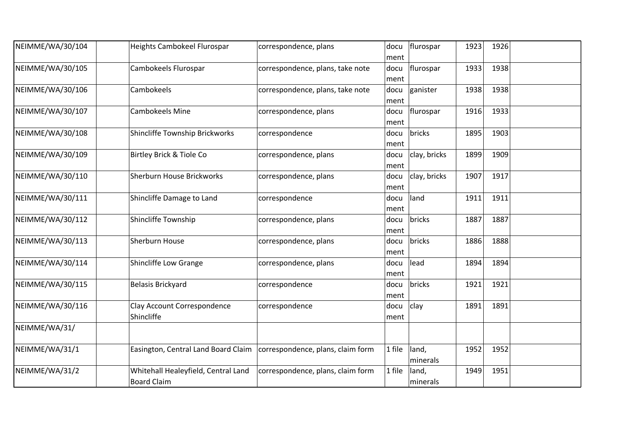| NEIMME/WA/30/104 | Heights Cambokeel Flurospar                                             | correspondence, plans             | docu<br>ment | flurospar         | 1923 | 1926 |  |
|------------------|-------------------------------------------------------------------------|-----------------------------------|--------------|-------------------|------|------|--|
| NEIMME/WA/30/105 | Cambokeels Flurospar                                                    | correspondence, plans, take note  | docu<br>ment | flurospar         | 1933 | 1938 |  |
| NEIMME/WA/30/106 | Cambokeels                                                              | correspondence, plans, take note  | docu<br>ment | ganister          | 1938 | 1938 |  |
| NEIMME/WA/30/107 | <b>Cambokeels Mine</b>                                                  | correspondence, plans             | docu<br>ment | flurospar         | 1916 | 1933 |  |
| NEIMME/WA/30/108 | Shincliffe Township Brickworks                                          | correspondence                    | docu<br>ment | bricks            | 1895 | 1903 |  |
| NEIMME/WA/30/109 | Birtley Brick & Tiole Co                                                | correspondence, plans             | docu<br>ment | clay, bricks      | 1899 | 1909 |  |
| NEIMME/WA/30/110 | Sherburn House Brickworks                                               | correspondence, plans             | docu<br>ment | clay, bricks      | 1907 | 1917 |  |
| NEIMME/WA/30/111 | Shincliffe Damage to Land                                               | correspondence                    | docu<br>ment | land              | 1911 | 1911 |  |
| NEIMME/WA/30/112 | Shincliffe Township                                                     | correspondence, plans             | docu<br>ment | bricks            | 1887 | 1887 |  |
| NEIMME/WA/30/113 | Sherburn House                                                          | correspondence, plans             | docu<br>ment | bricks            | 1886 | 1888 |  |
| NEIMME/WA/30/114 | Shincliffe Low Grange                                                   | correspondence, plans             | docu<br>ment | lead              | 1894 | 1894 |  |
| NEIMME/WA/30/115 | Belasis Brickyard                                                       | correspondence                    | docu<br>ment | bricks            | 1921 | 1921 |  |
| NEIMME/WA/30/116 | Clay Account Correspondence<br>Shincliffe                               | correspondence                    | docu<br>ment | clay              | 1891 | 1891 |  |
| NEIMME/WA/31/    |                                                                         |                                   |              |                   |      |      |  |
| NEIMME/WA/31/1   | Easington, Central Land Board Claim   correspondence, plans, claim form |                                   | 1 file       | land,<br>minerals | 1952 | 1952 |  |
| NEIMME/WA/31/2   | Whitehall Healeyfield, Central Land<br><b>Board Claim</b>               | correspondence, plans, claim form | 1 file       | land,<br>minerals | 1949 | 1951 |  |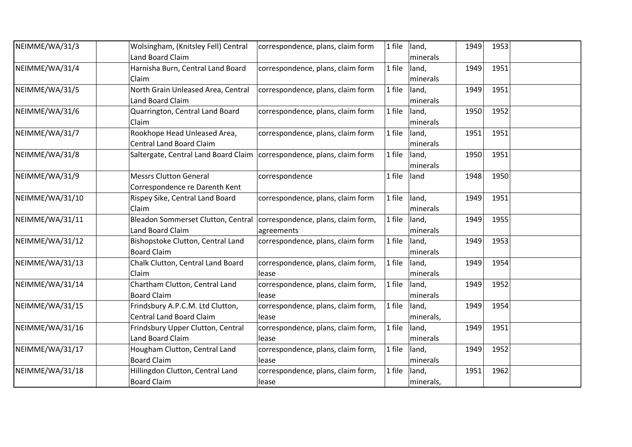| NEIMME/WA/31/3  | Wolsingham, (Knitsley Fell) Central                                      | correspondence, plans, claim form  | 1 file | land,     | 1949 | 1953 |  |
|-----------------|--------------------------------------------------------------------------|------------------------------------|--------|-----------|------|------|--|
|                 | Land Board Claim                                                         |                                    |        | minerals  |      |      |  |
| NEIMME/WA/31/4  | Harnisha Burn, Central Land Board                                        | correspondence, plans, claim form  | 1 file | land,     | 1949 | 1951 |  |
|                 | Claim                                                                    |                                    |        | minerals  |      |      |  |
| NEIMME/WA/31/5  | North Grain Unleased Area, Central                                       | correspondence, plans, claim form  | 1 file | land,     | 1949 | 1951 |  |
|                 | Land Board Claim                                                         |                                    |        | minerals  |      |      |  |
| NEIMME/WA/31/6  | Quarrington, Central Land Board                                          | correspondence, plans, claim form  | 1 file | land,     | 1950 | 1952 |  |
|                 | Claim                                                                    |                                    |        | minerals  |      |      |  |
| NEIMME/WA/31/7  | Rookhope Head Unleased Area,                                             | correspondence, plans, claim form  | 1 file | land,     | 1951 | 1951 |  |
|                 | <b>Central Land Board Claim</b>                                          |                                    |        | minerals  |      |      |  |
| NEIMME/WA/31/8  | Saltergate, Central Land Board Claim   correspondence, plans, claim form |                                    | 1 file | land,     | 1950 | 1951 |  |
|                 |                                                                          |                                    |        | minerals  |      |      |  |
| NEIMME/WA/31/9  | <b>Messrs Clutton General</b>                                            | correspondence                     | 1 file | land      | 1948 | 1950 |  |
|                 | Correspondence re Darenth Kent                                           |                                    |        |           |      |      |  |
| NEIMME/WA/31/10 | Rispey Sike, Central Land Board                                          | correspondence, plans, claim form  | 1 file | land,     | 1949 | 1951 |  |
|                 | Claim                                                                    |                                    |        | minerals  |      |      |  |
| NEIMME/WA/31/11 | Bleadon Sommerset Clutton, Central   correspondence, plans, claim form,  |                                    | 1 file | land,     | 1949 | 1955 |  |
|                 | Land Board Claim                                                         | agreements                         |        | minerals  |      |      |  |
| NEIMME/WA/31/12 | Bishopstoke Clutton, Central Land                                        | correspondence, plans, claim form  | 1 file | land,     | 1949 | 1953 |  |
|                 | <b>Board Claim</b>                                                       |                                    |        | minerals  |      |      |  |
| NEIMME/WA/31/13 | Chalk Clutton, Central Land Board                                        | correspondence, plans, claim form, | 1 file | land,     | 1949 | 1954 |  |
|                 | Claim                                                                    | lease                              |        | minerals  |      |      |  |
| NEIMME/WA/31/14 | Chartham Clutton, Central Land                                           | correspondence, plans, claim form, | 1 file | land,     | 1949 | 1952 |  |
|                 | <b>Board Claim</b>                                                       | lease                              |        | minerals  |      |      |  |
| NEIMME/WA/31/15 | Frindsbury A.P.C.M. Ltd Clutton,                                         | correspondence, plans, claim form, | 1 file | land,     | 1949 | 1954 |  |
|                 | <b>Central Land Board Claim</b>                                          | lease                              |        | minerals, |      |      |  |
| NEIMME/WA/31/16 | Frindsbury Upper Clutton, Central                                        | correspondence, plans, claim form, | 1 file | land,     | 1949 | 1951 |  |
|                 | Land Board Claim                                                         | lease                              |        | minerals  |      |      |  |
| NEIMME/WA/31/17 | Hougham Clutton, Central Land                                            | correspondence, plans, claim form, | 1 file | land,     | 1949 | 1952 |  |
|                 | <b>Board Claim</b>                                                       | lease                              |        | minerals  |      |      |  |
| NEIMME/WA/31/18 | Hillingdon Clutton, Central Land                                         | correspondence, plans, claim form, | 1 file | land,     | 1951 | 1962 |  |
|                 | <b>Board Claim</b>                                                       | lease                              |        | minerals, |      |      |  |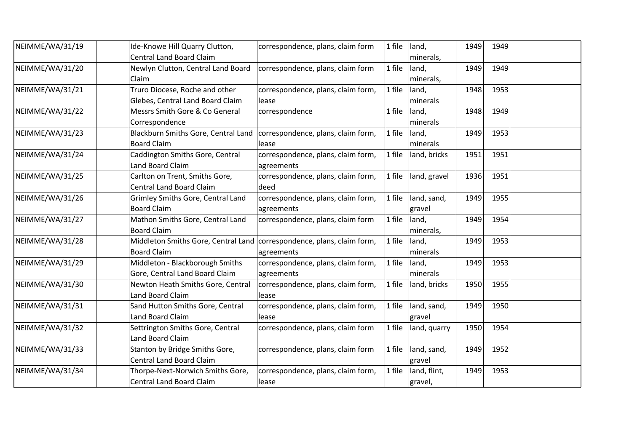| NEIMME/WA/31/19 | Ide-Knowe Hill Quarry Clutton,                                           | correspondence, plans, claim form  | 1 file | land,        | 1949 | 1949 |  |
|-----------------|--------------------------------------------------------------------------|------------------------------------|--------|--------------|------|------|--|
|                 | <b>Central Land Board Claim</b>                                          |                                    |        | minerals,    |      |      |  |
| NEIMME/WA/31/20 | Newlyn Clutton, Central Land Board                                       | correspondence, plans, claim form  | 1 file | land,        | 1949 | 1949 |  |
|                 | Claim                                                                    |                                    |        | minerals,    |      |      |  |
| NEIMME/WA/31/21 | Truro Diocese, Roche and other                                           | correspondence, plans, claim form, | 1 file | land,        | 1948 | 1953 |  |
|                 | Glebes, Central Land Board Claim                                         | lease                              |        | minerals     |      |      |  |
| NEIMME/WA/31/22 | Messrs Smith Gore & Co General                                           | correspondence                     | 1 file | land,        | 1948 | 1949 |  |
|                 | Correspondence                                                           |                                    |        | minerals     |      |      |  |
| NEIMME/WA/31/23 | Blackburn Smiths Gore, Central Land   correspondence, plans, claim form, |                                    | 1 file | land,        | 1949 | 1953 |  |
|                 | <b>Board Claim</b>                                                       | lease                              |        | minerals     |      |      |  |
| NEIMME/WA/31/24 | Caddington Smiths Gore, Central                                          | correspondence, plans, claim form, | 1 file | land, bricks | 1951 | 1951 |  |
|                 | Land Board Claim                                                         | agreements                         |        |              |      |      |  |
| NEIMME/WA/31/25 | Carlton on Trent, Smiths Gore,                                           | correspondence, plans, claim form, | 1 file | land, gravel | 1936 | 1951 |  |
|                 | <b>Central Land Board Claim</b>                                          | deed                               |        |              |      |      |  |
| NEIMME/WA/31/26 | Grimley Smiths Gore, Central Land                                        | correspondence, plans, claim form, | 1 file | land, sand,  | 1949 | 1955 |  |
|                 | <b>Board Claim</b>                                                       | agreements                         |        | gravel       |      |      |  |
| NEIMME/WA/31/27 | Mathon Smiths Gore, Central Land                                         | correspondence, plans, claim form  | 1 file | land,        | 1949 | 1954 |  |
|                 | <b>Board Claim</b>                                                       |                                    |        | minerals,    |      |      |  |
| NEIMME/WA/31/28 | Middleton Smiths Gore, Central Land   correspondence, plans, claim form, |                                    | 1 file | land,        | 1949 | 1953 |  |
|                 | <b>Board Claim</b>                                                       | agreements                         |        | minerals     |      |      |  |
| NEIMME/WA/31/29 | Middleton - Blackborough Smiths                                          | correspondence, plans, claim form, | 1 file | land,        | 1949 | 1953 |  |
|                 | Gore, Central Land Board Claim                                           | agreements                         |        | minerals     |      |      |  |
| NEIMME/WA/31/30 | Newton Heath Smiths Gore, Central                                        | correspondence, plans, claim form, | 1 file | land, bricks | 1950 | 1955 |  |
|                 | Land Board Claim                                                         | lease                              |        |              |      |      |  |
| NEIMME/WA/31/31 | Sand Hutton Smiths Gore, Central                                         | correspondence, plans, claim form, | 1 file | land, sand,  | 1949 | 1950 |  |
|                 | Land Board Claim                                                         | lease                              |        | gravel       |      |      |  |
| NEIMME/WA/31/32 | Settrington Smiths Gore, Central                                         | correspondence, plans, claim form  | 1 file | land, quarry | 1950 | 1954 |  |
|                 | Land Board Claim                                                         |                                    |        |              |      |      |  |
| NEIMME/WA/31/33 | Stanton by Bridge Smiths Gore,                                           | correspondence, plans, claim form  | 1 file | land, sand,  | 1949 | 1952 |  |
|                 | <b>Central Land Board Claim</b>                                          |                                    |        | gravel       |      |      |  |
| NEIMME/WA/31/34 | Thorpe-Next-Norwich Smiths Gore,                                         | correspondence, plans, claim form, | 1 file | land, flint, | 1949 | 1953 |  |
|                 | <b>Central Land Board Claim</b>                                          | lease                              |        | gravel,      |      |      |  |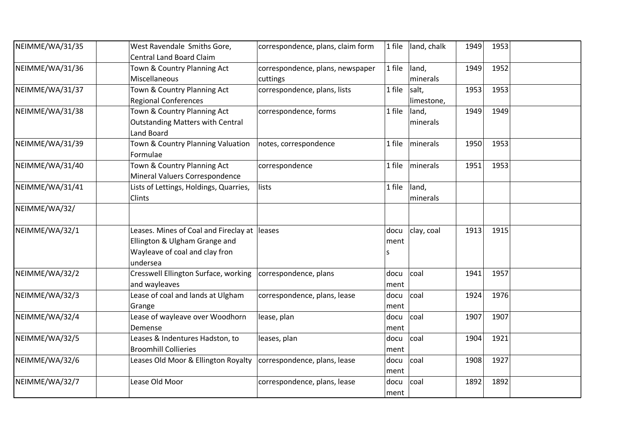| NEIMME/WA/31/35 | West Ravendale Smiths Gore,                  | correspondence, plans, claim form | 1 file | land, chalk | 1949 | 1953 |  |
|-----------------|----------------------------------------------|-----------------------------------|--------|-------------|------|------|--|
|                 | <b>Central Land Board Claim</b>              |                                   |        |             |      |      |  |
| NEIMME/WA/31/36 | Town & Country Planning Act                  | correspondence, plans, newspaper  | 1 file | land,       | 1949 | 1952 |  |
|                 | Miscellaneous                                | cuttings                          |        | minerals    |      |      |  |
| NEIMME/WA/31/37 | Town & Country Planning Act                  | correspondence, plans, lists      | 1 file | salt,       | 1953 | 1953 |  |
|                 | <b>Regional Conferences</b>                  |                                   |        | limestone,  |      |      |  |
| NEIMME/WA/31/38 | Town & Country Planning Act                  | correspondence, forms             | 1 file | land,       | 1949 | 1949 |  |
|                 | <b>Outstanding Matters with Central</b>      |                                   |        | minerals    |      |      |  |
|                 | <b>Land Board</b>                            |                                   |        |             |      |      |  |
| NEIMME/WA/31/39 | Town & Country Planning Valuation            | notes, correspondence             | 1 file | minerals    | 1950 | 1953 |  |
|                 | Formulae                                     |                                   |        |             |      |      |  |
| NEIMME/WA/31/40 | Town & Country Planning Act                  | correspondence                    | 1 file | minerals    | 1951 | 1953 |  |
|                 | Mineral Valuers Correspondence               |                                   |        |             |      |      |  |
| NEIMME/WA/31/41 | Lists of Lettings, Holdings, Quarries,       | lists                             | 1 file | land,       |      |      |  |
|                 | <b>Clints</b>                                |                                   |        | minerals    |      |      |  |
| NEIMME/WA/32/   |                                              |                                   |        |             |      |      |  |
| NEIMME/WA/32/1  | Leases. Mines of Coal and Fireclay at leases |                                   | docu   | clay, coal  | 1913 | 1915 |  |
|                 | Ellington & Ulgham Grange and                |                                   | ment   |             |      |      |  |
|                 | Wayleave of coal and clay fron               |                                   | S      |             |      |      |  |
|                 | undersea                                     |                                   |        |             |      |      |  |
| NEIMME/WA/32/2  | Cresswell Ellington Surface, working         | correspondence, plans             | docu   | coal        | 1941 | 1957 |  |
|                 | and wayleaves                                |                                   | ment   |             |      |      |  |
| NEIMME/WA/32/3  | Lease of coal and lands at Ulgham            | correspondence, plans, lease      | docu   | coal        | 1924 | 1976 |  |
|                 | Grange                                       |                                   | ment   |             |      |      |  |
| NEIMME/WA/32/4  | Lease of wayleave over Woodhorn              | lease, plan                       | docu   | coal        | 1907 | 1907 |  |
|                 | Demense                                      |                                   | ment   |             |      |      |  |
| NEIMME/WA/32/5  | Leases & Indentures Hadston, to              | leases, plan                      | docu   | coal        | 1904 | 1921 |  |
|                 | <b>Broomhill Collieries</b>                  |                                   | ment   |             |      |      |  |
| NEIMME/WA/32/6  | Leases Old Moor & Ellington Royalty          | correspondence, plans, lease      | docu   | coal        | 1908 | 1927 |  |
|                 |                                              |                                   | ment   |             |      |      |  |
| NEIMME/WA/32/7  | Lease Old Moor                               | correspondence, plans, lease      | docu   | coal        | 1892 | 1892 |  |
|                 |                                              |                                   | ment   |             |      |      |  |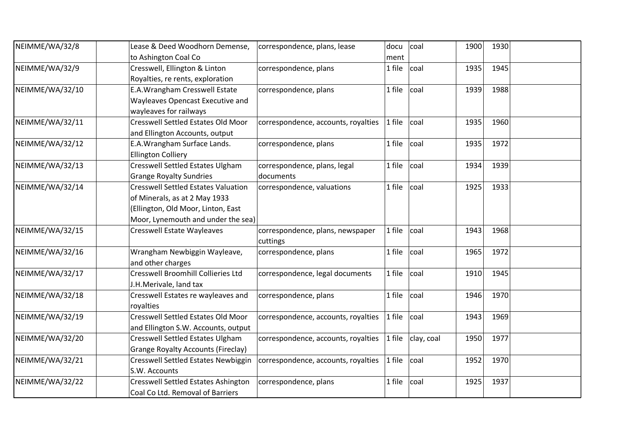| NEIMME/WA/32/8  | Lease & Deed Woodhorn Demense,             | correspondence, plans, lease        | docu   | coal       | 1900 | 1930 |  |
|-----------------|--------------------------------------------|-------------------------------------|--------|------------|------|------|--|
|                 | to Ashington Coal Co                       |                                     | ment   |            |      |      |  |
| NEIMME/WA/32/9  | Cresswell, Ellington & Linton              | correspondence, plans               | 1 file | coal       | 1935 | 1945 |  |
|                 | Royalties, re rents, exploration           |                                     |        |            |      |      |  |
| NEIMME/WA/32/10 | E.A. Wrangham Cresswell Estate             | correspondence, plans               | 1 file | coal       | 1939 | 1988 |  |
|                 | Wayleaves Opencast Executive and           |                                     |        |            |      |      |  |
|                 | wayleaves for railways                     |                                     |        |            |      |      |  |
| NEIMME/WA/32/11 | <b>Cresswell Settled Estates Old Moor</b>  | correspondence, accounts, royalties | 1 file | coal       | 1935 | 1960 |  |
|                 | and Ellington Accounts, output             |                                     |        |            |      |      |  |
| NEIMME/WA/32/12 | E.A. Wrangham Surface Lands.               | correspondence, plans               | 1 file | coal       | 1935 | 1972 |  |
|                 | <b>Ellington Colliery</b>                  |                                     |        |            |      |      |  |
| NEIMME/WA/32/13 | <b>Cresswell Settled Estates Ulgham</b>    | correspondence, plans, legal        | 1 file | coal       | 1934 | 1939 |  |
|                 | <b>Grange Royalty Sundries</b>             | documents                           |        |            |      |      |  |
| NEIMME/WA/32/14 | <b>Cresswell Settled Estates Valuation</b> | correspondence, valuations          | 1 file | coal       | 1925 | 1933 |  |
|                 | of Minerals, as at 2 May 1933              |                                     |        |            |      |      |  |
|                 | (Ellington, Old Moor, Linton, East         |                                     |        |            |      |      |  |
|                 | Moor, Lynemouth and under the sea)         |                                     |        |            |      |      |  |
| NEIMME/WA/32/15 | <b>Cresswell Estate Wayleaves</b>          | correspondence, plans, newspaper    | 1 file | coal       | 1943 | 1968 |  |
|                 |                                            | cuttings                            |        |            |      |      |  |
| NEIMME/WA/32/16 | Wrangham Newbiggin Wayleave,               | correspondence, plans               | 1 file | coal       | 1965 | 1972 |  |
|                 | and other charges                          |                                     |        |            |      |      |  |
| NEIMME/WA/32/17 | Cresswell Broomhill Collieries Ltd         | correspondence, legal documents     | 1 file | coal       | 1910 | 1945 |  |
|                 | J.H.Merivale, land tax                     |                                     |        |            |      |      |  |
| NEIMME/WA/32/18 | Cresswell Estates re wayleaves and         | correspondence, plans               | 1 file | coal       | 1946 | 1970 |  |
|                 | royalties                                  |                                     |        |            |      |      |  |
| NEIMME/WA/32/19 | <b>Cresswell Settled Estates Old Moor</b>  | correspondence, accounts, royalties | 1 file | coal       | 1943 | 1969 |  |
|                 | and Ellington S.W. Accounts, output        |                                     |        |            |      |      |  |
| NEIMME/WA/32/20 | <b>Cresswell Settled Estates Ulgham</b>    | correspondence, accounts, royalties | 1 file | clay, coal | 1950 | 1977 |  |
|                 | <b>Grange Royalty Accounts (Fireclay)</b>  |                                     |        |            |      |      |  |
| NEIMME/WA/32/21 | Cresswell Settled Estates Newbiggin        | correspondence, accounts, royalties | 1 file | coal       | 1952 | 1970 |  |
|                 | S.W. Accounts                              |                                     |        |            |      |      |  |
| NEIMME/WA/32/22 | <b>Cresswell Settled Estates Ashington</b> | correspondence, plans               | 1 file | coal       | 1925 | 1937 |  |
|                 | Coal Co Ltd. Removal of Barriers           |                                     |        |            |      |      |  |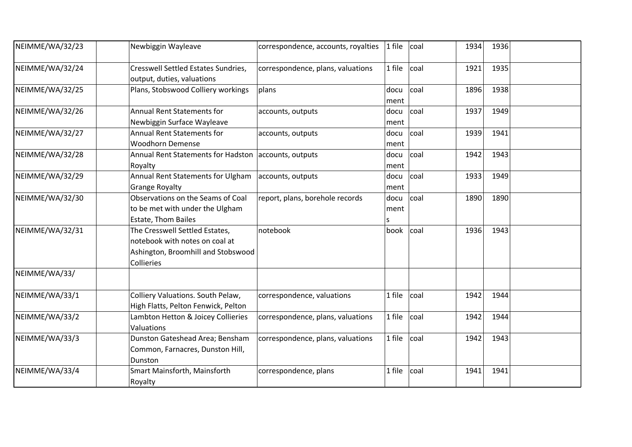| NEIMME/WA/32/23 | Newbiggin Wayleave                                                                                                   | correspondence, accounts, royalties | $1$ file          | coal | 1934 | 1936 |  |
|-----------------|----------------------------------------------------------------------------------------------------------------------|-------------------------------------|-------------------|------|------|------|--|
| NEIMME/WA/32/24 | <b>Cresswell Settled Estates Sundries,</b><br>output, duties, valuations                                             | correspondence, plans, valuations   | 1 file            | coal | 1921 | 1935 |  |
| NEIMME/WA/32/25 | Plans, Stobswood Colliery workings                                                                                   | plans                               | docu<br>ment      | coal | 1896 | 1938 |  |
| NEIMME/WA/32/26 | <b>Annual Rent Statements for</b><br>Newbiggin Surface Wayleave                                                      | accounts, outputs                   | docu<br>ment      | coal | 1937 | 1949 |  |
| NEIMME/WA/32/27 | <b>Annual Rent Statements for</b><br><b>Woodhorn Demense</b>                                                         | accounts, outputs                   | docu<br>ment      | coal | 1939 | 1941 |  |
| NEIMME/WA/32/28 | Annual Rent Statements for Hadston accounts, outputs<br>Royalty                                                      |                                     | docu<br>ment      | coal | 1942 | 1943 |  |
| NEIMME/WA/32/29 | Annual Rent Statements for Ulgham<br><b>Grange Royalty</b>                                                           | accounts, outputs                   | docu<br>ment      | coal | 1933 | 1949 |  |
| NEIMME/WA/32/30 | Observations on the Seams of Coal<br>to be met with under the Ulgham<br><b>Estate, Thom Bailes</b>                   | report, plans, borehole records     | docu<br>ment<br>S | coal | 1890 | 1890 |  |
| NEIMME/WA/32/31 | The Cresswell Settled Estates,<br>notebook with notes on coal at<br>Ashington, Broomhill and Stobswood<br>Collieries | notebook                            | book              | coal | 1936 | 1943 |  |
| NEIMME/WA/33/   |                                                                                                                      |                                     |                   |      |      |      |  |
| NEIMME/WA/33/1  | Colliery Valuations. South Pelaw,<br>High Flatts, Pelton Fenwick, Pelton                                             | correspondence, valuations          | 1 file            | coal | 1942 | 1944 |  |
| NEIMME/WA/33/2  | Lambton Hetton & Joicey Collieries<br>Valuations                                                                     | correspondence, plans, valuations   | 1 file            | coal | 1942 | 1944 |  |
| NEIMME/WA/33/3  | Dunston Gateshead Area; Bensham<br>Common, Farnacres, Dunston Hill,<br>Dunston                                       | correspondence, plans, valuations   | 1 file            | coal | 1942 | 1943 |  |
| NEIMME/WA/33/4  | Smart Mainsforth, Mainsforth<br>Royalty                                                                              | correspondence, plans               | 1 file            | coal | 1941 | 1941 |  |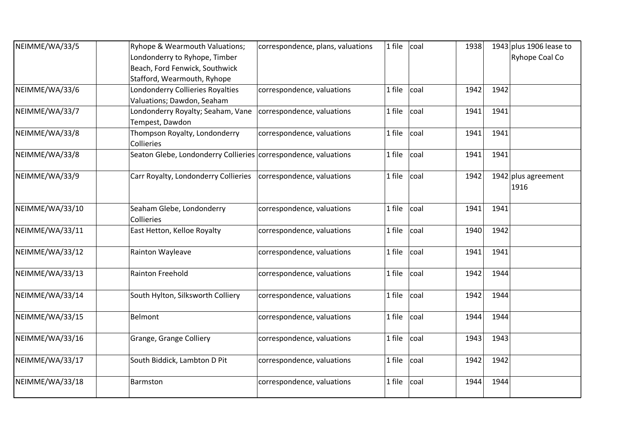| NEIMME/WA/33/5  | Ryhope & Wearmouth Valuations;                                  | correspondence, plans, valuations | 1 file | coal | 1938 |      | 1943 plus 1906 lease to |
|-----------------|-----------------------------------------------------------------|-----------------------------------|--------|------|------|------|-------------------------|
|                 | Londonderry to Ryhope, Timber                                   |                                   |        |      |      |      | Ryhope Coal Co          |
|                 | Beach, Ford Fenwick, Southwick                                  |                                   |        |      |      |      |                         |
|                 | Stafford, Wearmouth, Ryhope                                     |                                   |        |      |      |      |                         |
| NEIMME/WA/33/6  | Londonderry Collieries Royalties                                | correspondence, valuations        | 1 file | coal | 1942 | 1942 |                         |
|                 | Valuations; Dawdon, Seaham                                      |                                   |        |      |      |      |                         |
| NEIMME/WA/33/7  | Londonderry Royalty; Seaham, Vane                               | correspondence, valuations        | 1 file | coal | 1941 | 1941 |                         |
|                 | Tempest, Dawdon                                                 |                                   |        |      |      |      |                         |
| NEIMME/WA/33/8  | Thompson Royalty, Londonderry                                   | correspondence, valuations        | 1 file | coal | 1941 | 1941 |                         |
|                 | Collieries                                                      |                                   |        |      |      |      |                         |
| NEIMME/WA/33/8  | Seaton Glebe, Londonderry Collieries correspondence, valuations |                                   | 1 file | coal | 1941 | 1941 |                         |
| NEIMME/WA/33/9  | Carr Royalty, Londonderry Collieries                            | correspondence, valuations        | 1 file | coal | 1942 |      | $1942$ plus agreement   |
|                 |                                                                 |                                   |        |      |      |      | 1916                    |
| NEIMME/WA/33/10 | Seaham Glebe, Londonderry                                       | correspondence, valuations        | 1 file | coal | 1941 | 1941 |                         |
|                 | Collieries                                                      |                                   |        |      |      |      |                         |
| NEIMME/WA/33/11 | East Hetton, Kelloe Royalty                                     | correspondence, valuations        | 1 file | coal | 1940 | 1942 |                         |
| NEIMME/WA/33/12 | Rainton Wayleave                                                | correspondence, valuations        | 1 file | coal | 1941 | 1941 |                         |
|                 |                                                                 |                                   |        |      |      |      |                         |
| NEIMME/WA/33/13 | Rainton Freehold                                                | correspondence, valuations        | 1 file | coal | 1942 | 1944 |                         |
| NEIMME/WA/33/14 | South Hylton, Silksworth Colliery                               | correspondence, valuations        | 1 file | coal | 1942 | 1944 |                         |
|                 |                                                                 |                                   |        |      |      |      |                         |
| NEIMME/WA/33/15 | Belmont                                                         | correspondence, valuations        | 1 file | coal | 1944 | 1944 |                         |
| NEIMME/WA/33/16 | Grange, Grange Colliery                                         | correspondence, valuations        | 1 file | coal | 1943 | 1943 |                         |
| NEIMME/WA/33/17 | South Biddick, Lambton D Pit                                    | correspondence, valuations        | 1 file | coal | 1942 | 1942 |                         |
| NEIMME/WA/33/18 | Barmston                                                        | correspondence, valuations        | 1 file | coal | 1944 | 1944 |                         |
|                 |                                                                 |                                   |        |      |      |      |                         |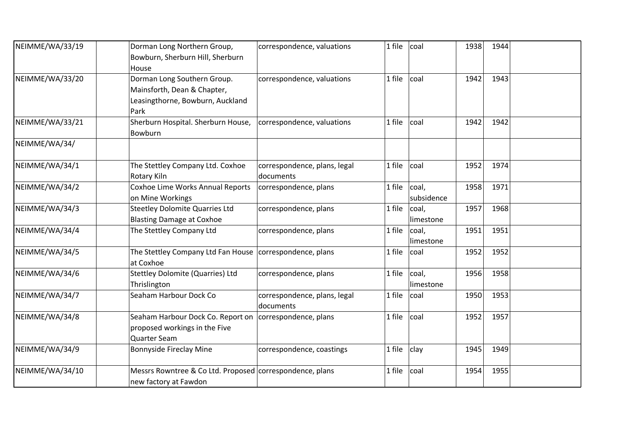| NEIMME/WA/33/19 | Dorman Long Northern Group,<br>Bowburn, Sherburn Hill, Sherburn<br>House                                   | correspondence, valuations                | 1 file | coal                | 1938 | 1944 |  |
|-----------------|------------------------------------------------------------------------------------------------------------|-------------------------------------------|--------|---------------------|------|------|--|
| NEIMME/WA/33/20 | Dorman Long Southern Group.<br>Mainsforth, Dean & Chapter,<br>Leasingthorne, Bowburn, Auckland<br>Park     | correspondence, valuations                | 1 file | coal                | 1942 | 1943 |  |
| NEIMME/WA/33/21 | Sherburn Hospital. Sherburn House,<br>Bowburn                                                              | correspondence, valuations                | 1 file | coal                | 1942 | 1942 |  |
| NEIMME/WA/34/   |                                                                                                            |                                           |        |                     |      |      |  |
| NEIMME/WA/34/1  | The Stettley Company Ltd. Coxhoe<br>Rotary Kiln                                                            | correspondence, plans, legal<br>documents | 1 file | coal                | 1952 | 1974 |  |
| NEIMME/WA/34/2  | Coxhoe Lime Works Annual Reports<br>on Mine Workings                                                       | correspondence, plans                     | 1 file | coal,<br>subsidence | 1958 | 1971 |  |
| NEIMME/WA/34/3  | <b>Steetley Dolomite Quarries Ltd</b><br><b>Blasting Damage at Coxhoe</b>                                  | correspondence, plans                     | 1 file | coal,<br>limestone  | 1957 | 1968 |  |
| NEIMME/WA/34/4  | The Stettley Company Ltd                                                                                   | correspondence, plans                     | 1 file | coal,<br>limestone  | 1951 | 1951 |  |
| NEIMME/WA/34/5  | The Stettley Company Ltd Fan House   correspondence, plans<br>at Coxhoe                                    |                                           | 1 file | coal                | 1952 | 1952 |  |
| NEIMME/WA/34/6  | <b>Stettley Dolomite (Quarries) Ltd</b><br>Thrislington                                                    | correspondence, plans                     | 1 file | coal,<br>limestone  | 1956 | 1958 |  |
| NEIMME/WA/34/7  | Seaham Harbour Dock Co                                                                                     | correspondence, plans, legal<br>documents | 1 file | coal                | 1950 | 1953 |  |
| NEIMME/WA/34/8  | Seaham Harbour Dock Co. Report on   correspondence, plans<br>proposed workings in the Five<br>Quarter Seam |                                           | 1 file | coal                | 1952 | 1957 |  |
| NEIMME/WA/34/9  | Bonnyside Fireclay Mine                                                                                    | correspondence, coastings                 | 1 file | clay                | 1945 | 1949 |  |
| NEIMME/WA/34/10 | Messrs Rowntree & Co Ltd. Proposed correspondence, plans<br>new factory at Fawdon                          |                                           | 1 file | coal                | 1954 | 1955 |  |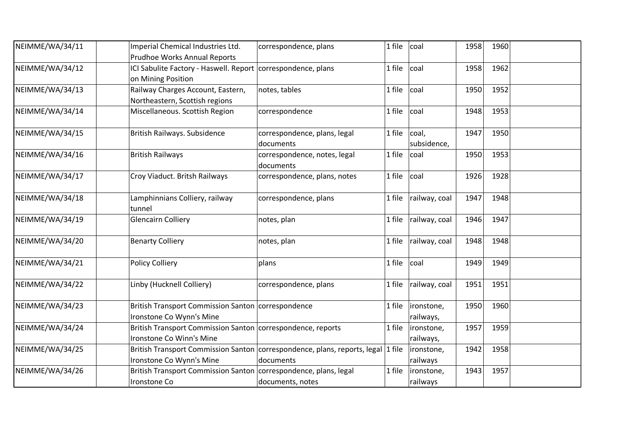| NEIMME/WA/34/11 | Imperial Chemical Industries Ltd.                                  | correspondence, plans                                                            | 1 file | coal          | 1958 | 1960 |  |
|-----------------|--------------------------------------------------------------------|----------------------------------------------------------------------------------|--------|---------------|------|------|--|
|                 | <b>Prudhoe Works Annual Reports</b>                                |                                                                                  |        |               |      |      |  |
| NEIMME/WA/34/12 | ICI Sabulite Factory - Haswell. Report correspondence, plans       |                                                                                  | 1 file | coal          | 1958 | 1962 |  |
|                 | on Mining Position                                                 |                                                                                  |        |               |      |      |  |
| NEIMME/WA/34/13 | Railway Charges Account, Eastern,                                  | notes, tables                                                                    | 1 file | coal          | 1950 | 1952 |  |
|                 | Northeastern, Scottish regions                                     |                                                                                  |        |               |      |      |  |
| NEIMME/WA/34/14 | Miscellaneous. Scottish Region                                     | correspondence                                                                   | 1 file | coal          | 1948 | 1953 |  |
| NEIMME/WA/34/15 | British Railways. Subsidence                                       | correspondence, plans, legal                                                     | 1 file | coal,         | 1947 | 1950 |  |
|                 |                                                                    | documents                                                                        |        | subsidence,   |      |      |  |
| NEIMME/WA/34/16 | <b>British Railways</b>                                            | correspondence, notes, legal                                                     | 1 file | coal          | 1950 | 1953 |  |
|                 |                                                                    | documents                                                                        |        |               |      |      |  |
| NEIMME/WA/34/17 | Croy Viaduct. Britsh Railways                                      | correspondence, plans, notes                                                     | 1 file | coal          | 1926 | 1928 |  |
| NEIMME/WA/34/18 | Lamphinnians Colliery, railway                                     | correspondence, plans                                                            | 1 file | railway, coal | 1947 | 1948 |  |
|                 | tunnel                                                             |                                                                                  |        |               |      |      |  |
| NEIMME/WA/34/19 | <b>Glencairn Colliery</b>                                          | notes, plan                                                                      | 1 file | railway, coal | 1946 | 1947 |  |
| NEIMME/WA/34/20 | <b>Benarty Colliery</b>                                            | notes, plan                                                                      | 1 file | railway, coal | 1948 | 1948 |  |
| NEIMME/WA/34/21 | <b>Policy Colliery</b>                                             | plans                                                                            | 1 file | coal          | 1949 | 1949 |  |
|                 |                                                                    |                                                                                  |        |               |      |      |  |
| NEIMME/WA/34/22 | Linby (Hucknell Colliery)                                          | correspondence, plans                                                            | 1 file | railway, coal | 1951 | 1951 |  |
| NEIMME/WA/34/23 | British Transport Commission Santon correspondence                 |                                                                                  | 1 file | ironstone,    | 1950 | 1960 |  |
|                 | Ironstone Co Wynn's Mine                                           |                                                                                  |        | railways,     |      |      |  |
| NEIMME/WA/34/24 | British Transport Commission Santon correspondence, reports        |                                                                                  | 1 file | ironstone,    | 1957 | 1959 |  |
|                 | Ironstone Co Winn's Mine                                           |                                                                                  |        | railways,     |      |      |  |
| NEIMME/WA/34/25 |                                                                    | British Transport Commission Santon correspondence, plans, reports, legal 1 file |        | ironstone,    | 1942 | 1958 |  |
|                 | Ironstone Co Wynn's Mine                                           | documents                                                                        |        | railways      |      |      |  |
| NEIMME/WA/34/26 | British Transport Commission Santon   correspondence, plans, legal |                                                                                  | 1 file | ironstone,    | 1943 | 1957 |  |
|                 | Ironstone Co                                                       | documents, notes                                                                 |        | railways      |      |      |  |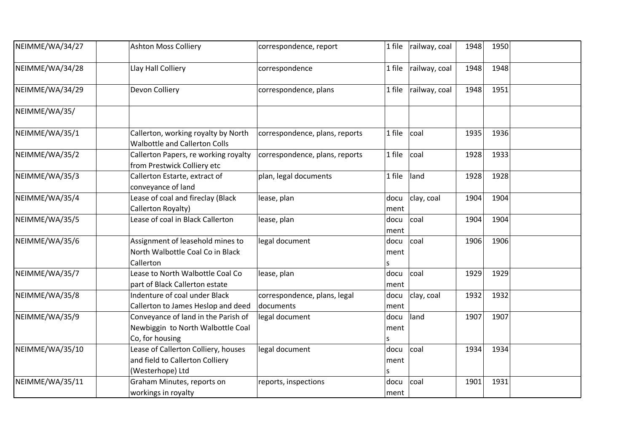| NEIMME/WA/34/27 | <b>Ashton Moss Colliery</b>                                                                 | correspondence, report                    | 1 file            | railway, coal   | 1948 | 1950 |  |
|-----------------|---------------------------------------------------------------------------------------------|-------------------------------------------|-------------------|-----------------|------|------|--|
| NEIMME/WA/34/28 | Llay Hall Colliery                                                                          | correspondence                            | 1 file            | railway, coal   | 1948 | 1948 |  |
| NEIMME/WA/34/29 | Devon Colliery                                                                              | correspondence, plans                     | 1 file            | railway, coal   | 1948 | 1951 |  |
| NEIMME/WA/35/   |                                                                                             |                                           |                   |                 |      |      |  |
| NEIMME/WA/35/1  | Callerton, working royalty by North<br><b>Walbottle and Callerton Colls</b>                 | correspondence, plans, reports            | 1 file            | coal            | 1935 | 1936 |  |
| NEIMME/WA/35/2  | Callerton Papers, re working royalty<br>from Prestwick Colliery etc                         | correspondence, plans, reports            | 1 file            | coal            | 1928 | 1933 |  |
| NEIMME/WA/35/3  | Callerton Estarte, extract of<br>conveyance of land                                         | plan, legal documents                     | 1 file            | land            | 1928 | 1928 |  |
| NEIMME/WA/35/4  | Lease of coal and fireclay (Black<br>Callerton Royalty)                                     | lease, plan                               | docu<br>ment      | clay, coal      | 1904 | 1904 |  |
| NEIMME/WA/35/5  | Lease of coal in Black Callerton                                                            | lease, plan                               | docu<br>ment      | coal            | 1904 | 1904 |  |
| NEIMME/WA/35/6  | Assignment of leasehold mines to<br>North Walbottle Coal Co in Black<br>Callerton           | legal document                            | docu<br>ment<br>S | coal            | 1906 | 1906 |  |
| NEIMME/WA/35/7  | Lease to North Walbottle Coal Co<br>part of Black Callerton estate                          | lease, plan                               | docu<br>ment      | coal            | 1929 | 1929 |  |
| NEIMME/WA/35/8  | Indenture of coal under Black<br>Callerton to James Heslop and deed                         | correspondence, plans, legal<br>documents | docu<br>ment      | clay, coal      | 1932 | 1932 |  |
| NEIMME/WA/35/9  | Conveyance of land in the Parish of<br>Newbiggin to North Walbottle Coal<br>Co, for housing | legal document                            | docu<br>ment<br>S | land            | 1907 | 1907 |  |
| NEIMME/WA/35/10 | Lease of Callerton Colliery, houses<br>and field to Callerton Colliery<br>(Westerhope) Ltd  | legal document                            | docu<br>ment<br>S | <sub>coal</sub> | 1934 | 1934 |  |
| NEIMME/WA/35/11 | Graham Minutes, reports on<br>workings in royalty                                           | reports, inspections                      | docu<br>ment      | coal            | 1901 | 1931 |  |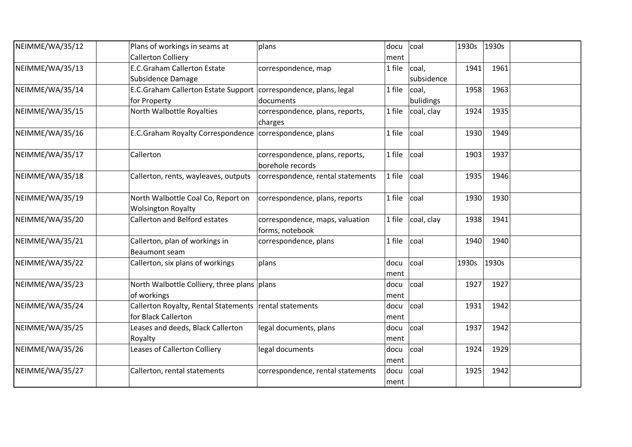| NEIMME/WA/35/12 | Plans of workings in seams at<br><b>Callerton Colliery</b>                         | plans                                               | docu           | coal                | 1930s | 1930s |  |
|-----------------|------------------------------------------------------------------------------------|-----------------------------------------------------|----------------|---------------------|-------|-------|--|
| NEIMME/WA/35/13 | <b>E.C.Graham Callerton Estate</b><br>Subsidence Damage                            | correspondence, map                                 | ment<br>1 file | coal,<br>subsidence | 1941  | 1961  |  |
| NEIMME/WA/35/14 | E.C.Graham Callerton Estate Support   correspondence, plans, legal<br>for Property | documents                                           | 1 file         | coal,<br>bulidings  | 1958  | 1963  |  |
| NEIMME/WA/35/15 | North Walbottle Royalties                                                          | correspondence, plans, reports,<br>charges          | 1 file         | coal, clay          | 1924  | 1935  |  |
| NEIMME/WA/35/16 | E.C.Graham Royalty Correspondence   correspondence, plans                          |                                                     | 1 file         | coal                | 1930  | 1949  |  |
| NEIMME/WA/35/17 | Callerton                                                                          | correspondence, plans, reports,<br>borehole records | 1 file         | coal                | 1903  | 1937  |  |
| NEIMME/WA/35/18 | Callerton, rents, wayleaves, outputs                                               | correspondence, rental statements                   | 1 file         | coal                | 1935  | 1946  |  |
| NEIMME/WA/35/19 | North Walbottle Coal Co, Report on<br><b>Wolsington Royalty</b>                    | correspondence, plans, reports                      | 1 file         | coal                | 1930  | 1930  |  |
| NEIMME/WA/35/20 | <b>Callerton and Belford estates</b>                                               | correspondence, maps, valuation<br>forms, notebook  | 1 file         | coal, clay          | 1938  | 1941  |  |
| NEIMME/WA/35/21 | Callerton, plan of workings in<br><b>Beaumont seam</b>                             | correspondence, plans                               | 1 file         | coal                | 1940  | 1940  |  |
| NEIMME/WA/35/22 | Callerton, six plans of workings                                                   | plans                                               | docu<br>ment   | coal                | 1930s | 1930s |  |
| NEIMME/WA/35/23 | North Walbottle Colliery, three plans plans<br>of workings                         |                                                     | docu<br>ment   | coal                | 1927  | 1927  |  |
| NEIMME/WA/35/24 | Callerton Royalty, Rental Statements rental statements<br>for Black Callerton      |                                                     | docu<br>ment   | coal                | 1931  | 1942  |  |
| NEIMME/WA/35/25 | Leases and deeds, Black Callerton<br>Royalty                                       | legal documents, plans                              | docu<br>ment   | coal                | 1937  | 1942  |  |
| NEIMME/WA/35/26 | Leases of Callerton Colliery                                                       | legal documents                                     | docu<br>ment   | coal                | 1924  | 1929  |  |
| NEIMME/WA/35/27 | Callerton, rental statements                                                       | correspondence, rental statements                   | docu<br>ment   | coal                | 1925  | 1942  |  |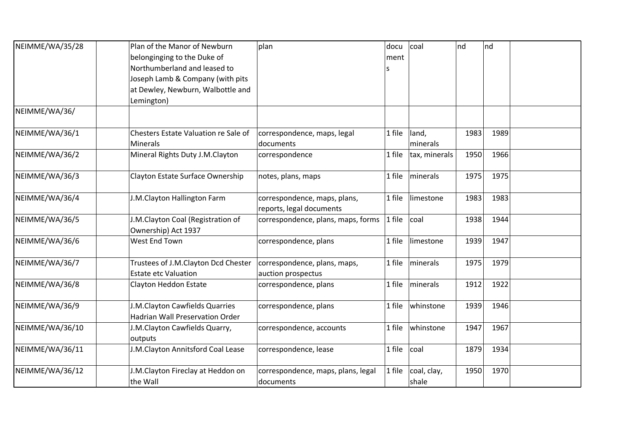| NEIMME/WA/35/28 | Plan of the Manor of Newburn         | plan                               | docu   | coal          | nd   | nd   |  |
|-----------------|--------------------------------------|------------------------------------|--------|---------------|------|------|--|
|                 | belonginging to the Duke of          |                                    | ment   |               |      |      |  |
|                 | Northumberland and leased to         |                                    | S      |               |      |      |  |
|                 | Joseph Lamb & Company (with pits     |                                    |        |               |      |      |  |
|                 | at Dewley, Newburn, Walbottle and    |                                    |        |               |      |      |  |
|                 | Lemington)                           |                                    |        |               |      |      |  |
| NEIMME/WA/36/   |                                      |                                    |        |               |      |      |  |
| NEIMME/WA/36/1  | Chesters Estate Valuation re Sale of | correspondence, maps, legal        | 1 file | land,         | 1983 | 1989 |  |
|                 | <b>Minerals</b>                      | documents                          |        | minerals      |      |      |  |
| NEIMME/WA/36/2  | Mineral Rights Duty J.M.Clayton      | correspondence                     | 1 file | tax, minerals | 1950 | 1966 |  |
| NEIMME/WA/36/3  | Clayton Estate Surface Ownership     | notes, plans, maps                 | 1 file | minerals      | 1975 | 1975 |  |
| NEIMME/WA/36/4  | J.M.Clayton Hallington Farm          | correspondence, maps, plans,       | 1 file | limestone     | 1983 | 1983 |  |
|                 |                                      | reports, legal documents           |        |               |      |      |  |
| NEIMME/WA/36/5  | J.M.Clayton Coal (Registration of    | correspondence, plans, maps, forms | 1 file | coal          | 1938 | 1944 |  |
|                 | Ownership) Act 1937                  |                                    |        |               |      |      |  |
| NEIMME/WA/36/6  | West End Town                        | correspondence, plans              | 1 file | limestone     | 1939 | 1947 |  |
| NEIMME/WA/36/7  | Trustees of J.M.Clayton Dcd Chester  | correspondence, plans, maps,       | 1 file | minerals      | 1975 | 1979 |  |
|                 | <b>Estate etc Valuation</b>          | auction prospectus                 |        |               |      |      |  |
| NEIMME/WA/36/8  | Clayton Heddon Estate                | correspondence, plans              | 1 file | minerals      | 1912 | 1922 |  |
| NEIMME/WA/36/9  | J.M.Clayton Cawfields Quarries       | correspondence, plans              | 1 file | whinstone     | 1939 | 1946 |  |
|                 | Hadrian Wall Preservation Order      |                                    |        |               |      |      |  |
| NEIMME/WA/36/10 | J.M.Clayton Cawfields Quarry,        | correspondence, accounts           | 1 file | whinstone     | 1947 | 1967 |  |
|                 | outputs                              |                                    |        |               |      |      |  |
| NEIMME/WA/36/11 | J.M.Clayton Annitsford Coal Lease    | correspondence, lease              | 1 file | coal          | 1879 | 1934 |  |
| NEIMME/WA/36/12 | J.M.Clayton Fireclay at Heddon on    | correspondence, maps, plans, legal | 1 file | coal, clay,   | 1950 | 1970 |  |
|                 | the Wall                             | documents                          |        | shale         |      |      |  |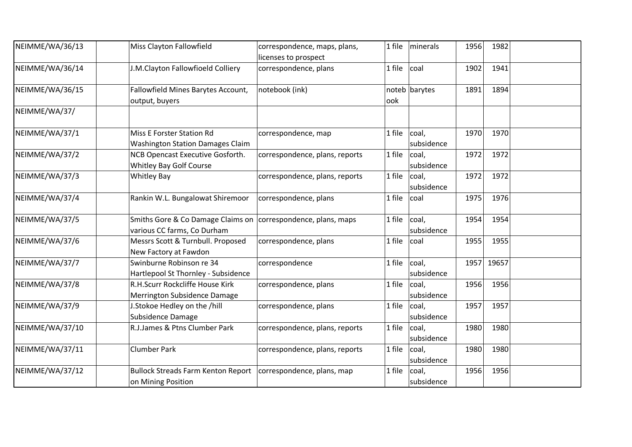| NEIMME/WA/36/13 | Miss Clayton Fallowfield                                                                       | correspondence, maps, plans,<br>licenses to prospect | 1 file | minerals            | 1956 | 1982  |  |
|-----------------|------------------------------------------------------------------------------------------------|------------------------------------------------------|--------|---------------------|------|-------|--|
| NEIMME/WA/36/14 | J.M.Clayton Fallowfioeld Colliery                                                              | correspondence, plans                                | 1 file | coal                | 1902 | 1941  |  |
| NEIMME/WA/36/15 | Fallowfield Mines Barytes Account,<br>output, buyers                                           | notebook (ink)                                       | ook    | noteb barytes       | 1891 | 1894  |  |
| NEIMME/WA/37/   |                                                                                                |                                                      |        |                     |      |       |  |
| NEIMME/WA/37/1  | Miss E Forster Station Rd<br><b>Washington Station Damages Claim</b>                           | correspondence, map                                  | 1 file | coal,<br>subsidence | 1970 | 1970  |  |
| NEIMME/WA/37/2  | NCB Opencast Executive Gosforth.<br><b>Whitley Bay Golf Course</b>                             | correspondence, plans, reports                       | 1 file | coal,<br>subsidence | 1972 | 1972  |  |
| NEIMME/WA/37/3  | <b>Whitley Bay</b>                                                                             | correspondence, plans, reports                       | 1 file | coal,<br>subsidence | 1972 | 1972  |  |
| NEIMME/WA/37/4  | Rankin W.L. Bungalowat Shiremoor                                                               | correspondence, plans                                | 1 file | coal                | 1975 | 1976  |  |
| NEIMME/WA/37/5  | Smiths Gore & Co Damage Claims on   correspondence, plans, maps<br>various CC farms, Co Durham |                                                      | 1 file | coal,<br>subsidence | 1954 | 1954  |  |
| NEIMME/WA/37/6  | Messrs Scott & Turnbull. Proposed<br>New Factory at Fawdon                                     | correspondence, plans                                | 1 file | coal                | 1955 | 1955  |  |
| NEIMME/WA/37/7  | Swinburne Robinson re 34<br>Hartlepool St Thornley - Subsidence                                | correspondence                                       | 1 file | coal,<br>subsidence | 1957 | 19657 |  |
| NEIMME/WA/37/8  | R.H.Scurr Rockcliffe House Kirk<br>Merrington Subsidence Damage                                | correspondence, plans                                | 1 file | coal,<br>subsidence | 1956 | 1956  |  |
| NEIMME/WA/37/9  | J.Stokoe Hedley on the /hill<br>Subsidence Damage                                              | correspondence, plans                                | 1 file | coal,<br>subsidence | 1957 | 1957  |  |
| NEIMME/WA/37/10 | R.J.James & Ptns Clumber Park                                                                  | correspondence, plans, reports                       | 1 file | coal,<br>subsidence | 1980 | 1980  |  |
| NEIMME/WA/37/11 | <b>Clumber Park</b>                                                                            | correspondence, plans, reports                       | 1 file | coal,<br>subsidence | 1980 | 1980  |  |
| NEIMME/WA/37/12 | <b>Bullock Streads Farm Kenton Report</b><br>on Mining Position                                | correspondence, plans, map                           | 1 file | coal,<br>subsidence | 1956 | 1956  |  |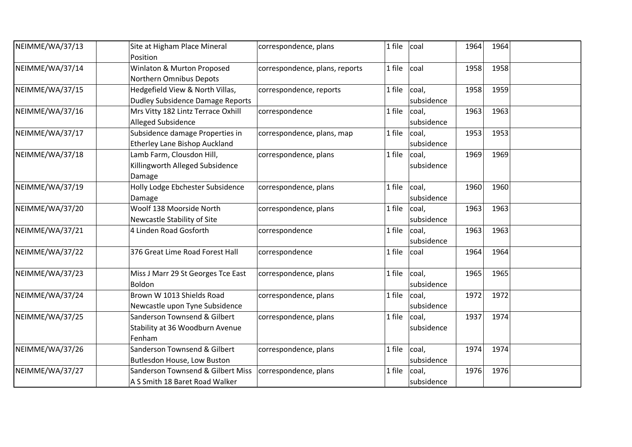| NEIMME/WA/37/13 | Site at Higham Place Mineral<br>Position                                   | correspondence, plans          | 1 file | coal                | 1964 | 1964 |  |
|-----------------|----------------------------------------------------------------------------|--------------------------------|--------|---------------------|------|------|--|
| NEIMME/WA/37/14 | Winlaton & Murton Proposed<br>Northern Omnibus Depots                      | correspondence, plans, reports | 1 file | coal                | 1958 | 1958 |  |
| NEIMME/WA/37/15 | Hedgefield View & North Villas,<br><b>Dudley Subsidence Damage Reports</b> | correspondence, reports        | 1 file | coal,<br>subsidence | 1958 | 1959 |  |
| NEIMME/WA/37/16 | Mrs Vitty 182 Lintz Terrace Oxhill<br>Alleged Subsidence                   | correspondence                 | 1 file | coal,<br>subsidence | 1963 | 1963 |  |
| NEIMME/WA/37/17 | Subsidence damage Properties in<br><b>Etherley Lane Bishop Auckland</b>    | correspondence, plans, map     | 1 file | coal,<br>subsidence | 1953 | 1953 |  |
| NEIMME/WA/37/18 | Lamb Farm, Clousdon Hill,<br>Killingworth Alleged Subsidence<br>Damage     | correspondence, plans          | 1 file | coal,<br>subsidence | 1969 | 1969 |  |
| NEIMME/WA/37/19 | Holly Lodge Ebchester Subsidence<br>Damage                                 | correspondence, plans          | 1 file | coal,<br>subsidence | 1960 | 1960 |  |
| NEIMME/WA/37/20 | Woolf 138 Moorside North<br>Newcastle Stability of Site                    | correspondence, plans          | 1 file | coal,<br>subsidence | 1963 | 1963 |  |
| NEIMME/WA/37/21 | 4 Linden Road Gosforth                                                     | correspondence                 | 1 file | coal,<br>subsidence | 1963 | 1963 |  |
| NEIMME/WA/37/22 | 376 Great Lime Road Forest Hall                                            | correspondence                 | 1 file | coal                | 1964 | 1964 |  |
| NEIMME/WA/37/23 | Miss J Marr 29 St Georges Tce East<br>Boldon                               | correspondence, plans          | 1 file | coal,<br>subsidence | 1965 | 1965 |  |
| NEIMME/WA/37/24 | Brown W 1013 Shields Road<br>Newcastle upon Tyne Subsidence                | correspondence, plans          | 1 file | coal,<br>subsidence | 1972 | 1972 |  |
| NEIMME/WA/37/25 | Sanderson Townsend & Gilbert<br>Stability at 36 Woodburn Avenue<br>Fenham  | correspondence, plans          | 1 file | coal,<br>subsidence | 1937 | 1974 |  |
| NEIMME/WA/37/26 | Sanderson Townsend & Gilbert<br>Butlesdon House, Low Buston                | correspondence, plans          | 1 file | coal,<br>subsidence | 1974 | 1974 |  |
| NEIMME/WA/37/27 | Sanderson Townsend & Gilbert Miss<br>A S Smith 18 Baret Road Walker        | correspondence, plans          | 1 file | coal,<br>subsidence | 1976 | 1976 |  |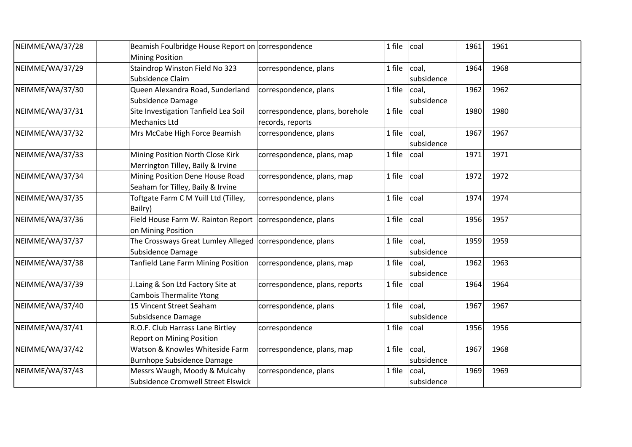| NEIMME/WA/37/28 | Beamish Foulbridge House Report on correspondence                                |                                                     | 1 file | coal                | 1961 | 1961 |  |
|-----------------|----------------------------------------------------------------------------------|-----------------------------------------------------|--------|---------------------|------|------|--|
| NEIMME/WA/37/29 | <b>Mining Position</b><br>Staindrop Winston Field No 323<br>Subsidence Claim     | correspondence, plans                               | 1 file | coal,<br>subsidence | 1964 | 1968 |  |
| NEIMME/WA/37/30 | Queen Alexandra Road, Sunderland<br>Subsidence Damage                            | correspondence, plans                               | 1 file | coal,<br>subsidence | 1962 | 1962 |  |
| NEIMME/WA/37/31 | Site Investigation Tanfield Lea Soil<br>Mechanics Ltd                            | correspondence, plans, borehole<br>records, reports | 1 file | coal                | 1980 | 1980 |  |
| NEIMME/WA/37/32 | Mrs McCabe High Force Beamish                                                    | correspondence, plans                               | 1 file | coal,<br>subsidence | 1967 | 1967 |  |
| NEIMME/WA/37/33 | Mining Position North Close Kirk<br>Merrington Tilley, Baily & Irvine            | correspondence, plans, map                          | 1 file | coal                | 1971 | 1971 |  |
| NEIMME/WA/37/34 | Mining Position Dene House Road<br>Seaham for Tilley, Baily & Irvine             | correspondence, plans, map                          | 1 file | coal                | 1972 | 1972 |  |
| NEIMME/WA/37/35 | Toftgate Farm C M Yuill Ltd (Tilley,<br>Bailry)                                  | correspondence, plans                               | 1 file | coal                | 1974 | 1974 |  |
| NEIMME/WA/37/36 | Field House Farm W. Rainton Report   correspondence, plans<br>on Mining Position |                                                     | 1 file | coal                | 1956 | 1957 |  |
| NEIMME/WA/37/37 | The Crossways Great Lumley Alleged<br>Subsidence Damage                          | correspondence, plans                               | 1 file | coal,<br>subsidence | 1959 | 1959 |  |
| NEIMME/WA/37/38 | <b>Tanfield Lane Farm Mining Position</b>                                        | correspondence, plans, map                          | 1 file | coal,<br>subsidence | 1962 | 1963 |  |
| NEIMME/WA/37/39 | J.Laing & Son Ltd Factory Site at<br><b>Cambois Thermalite Ytong</b>             | correspondence, plans, reports                      | 1 file | coal                | 1964 | 1964 |  |
| NEIMME/WA/37/40 | 15 Vincent Street Seaham<br>Subsidsence Damage                                   | correspondence, plans                               | 1 file | coal,<br>subsidence | 1967 | 1967 |  |
| NEIMME/WA/37/41 | R.O.F. Club Harrass Lane Birtley<br><b>Report on Mining Position</b>             | correspondence                                      | 1 file | coal                | 1956 | 1956 |  |
| NEIMME/WA/37/42 | Watson & Knowles Whiteside Farm<br><b>Burnhope Subsidence Damage</b>             | correspondence, plans, map                          | 1 file | coal,<br>subsidence | 1967 | 1968 |  |
| NEIMME/WA/37/43 | Messrs Waugh, Moody & Mulcahy<br>Subsidence Cromwell Street Elswick              | correspondence, plans                               | 1 file | coal,<br>subsidence | 1969 | 1969 |  |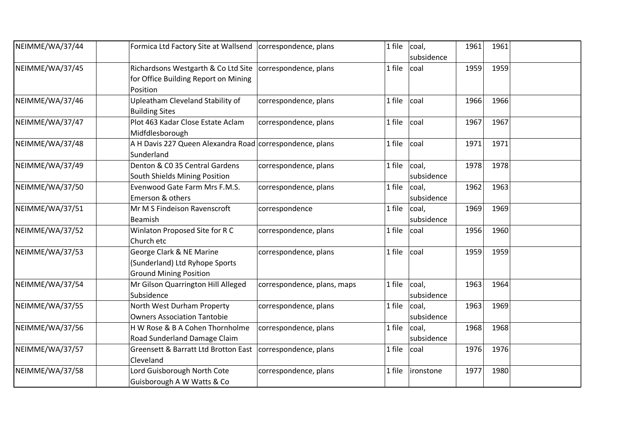| NEIMME/WA/37/44 | Formica Ltd Factory Site at Wallsend                                                        | correspondence, plans       | 1 file | coal,<br>subsidence | 1961 | 1961 |  |
|-----------------|---------------------------------------------------------------------------------------------|-----------------------------|--------|---------------------|------|------|--|
| NEIMME/WA/37/45 | Richardsons Westgarth & Co Ltd Site<br>for Office Building Report on Mining<br>Position     | correspondence, plans       | 1 file | coal                | 1959 | 1959 |  |
| NEIMME/WA/37/46 | Upleatham Cleveland Stability of<br><b>Building Sites</b>                                   | correspondence, plans       | 1 file | coal                | 1966 | 1966 |  |
| NEIMME/WA/37/47 | Plot 463 Kadar Close Estate Aclam<br>Midfdlesborough                                        | correspondence, plans       | 1 file | coal                | 1967 | 1967 |  |
| NEIMME/WA/37/48 | A H Davis 227 Queen Alexandra Road correspondence, plans<br>Sunderland                      |                             | 1 file | coal                | 1971 | 1971 |  |
| NEIMME/WA/37/49 | Denton & C0 35 Central Gardens<br>South Shields Mining Position                             | correspondence, plans       | 1 file | coal,<br>subsidence | 1978 | 1978 |  |
| NEIMME/WA/37/50 | Evenwood Gate Farm Mrs F.M.S.<br>Emerson & others                                           | correspondence, plans       | 1 file | coal,<br>subsidence | 1962 | 1963 |  |
| NEIMME/WA/37/51 | Mr M S Findeison Ravenscroft<br>Beamish                                                     | correspondence              | 1 file | coal,<br>subsidence | 1969 | 1969 |  |
| NEIMME/WA/37/52 | Winlaton Proposed Site for R C<br>Church etc                                                | correspondence, plans       | 1 file | coal                | 1956 | 1960 |  |
| NEIMME/WA/37/53 | George Clark & NE Marine<br>(Sunderland) Ltd Ryhope Sports<br><b>Ground Mining Position</b> | correspondence, plans       | 1 file | coal                | 1959 | 1959 |  |
| NEIMME/WA/37/54 | Mr Gilson Quarrington Hill Alleged<br>Subsidence                                            | correspondence, plans, maps | 1 file | coal,<br>subsidence | 1963 | 1964 |  |
| NEIMME/WA/37/55 | North West Durham Property<br><b>Owners Association Tantobie</b>                            | correspondence, plans       | 1 file | coal,<br>subsidence | 1963 | 1969 |  |
| NEIMME/WA/37/56 | H W Rose & B A Cohen Thornholme<br>Road Sunderland Damage Claim                             | correspondence, plans       | 1 file | coal,<br>subsidence | 1968 | 1968 |  |
| NEIMME/WA/37/57 | <b>Greensett &amp; Barratt Ltd Brotton East</b><br>Cleveland                                | correspondence, plans       | 1 file | coal                | 1976 | 1976 |  |
| NEIMME/WA/37/58 | Lord Guisborough North Cote<br>Guisborough A W Watts & Co                                   | correspondence, plans       | 1 file | ironstone           | 1977 | 1980 |  |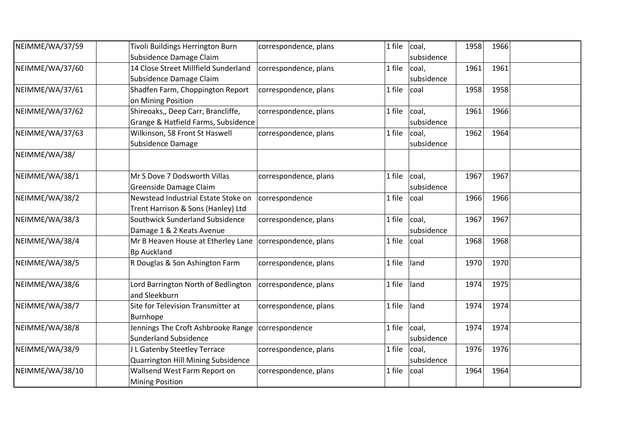| NEIMME/WA/37/59 | Tivoli Buildings Herrington Burn     | correspondence, plans | 1 file | coal,      | 1958 | 1966 |  |
|-----------------|--------------------------------------|-----------------------|--------|------------|------|------|--|
|                 | Subsidence Damage Claim              |                       |        | subsidence |      |      |  |
| NEIMME/WA/37/60 | 14 Close Street Millfield Sunderland | correspondence, plans | 1 file | coal,      | 1961 | 1961 |  |
|                 | Subsidence Damage Claim              |                       |        | subsidence |      |      |  |
| NEIMME/WA/37/61 | Shadfen Farm, Choppington Report     | correspondence, plans | 1 file | coal       | 1958 | 1958 |  |
|                 | on Mining Position                   |                       |        |            |      |      |  |
| NEIMME/WA/37/62 | Shireoaks,, Deep Carr, Brancliffe,   | correspondence, plans | 1 file | coal,      | 1961 | 1966 |  |
|                 | Grange & Hatfield Farms, Subsidence  |                       |        | subsidence |      |      |  |
| NEIMME/WA/37/63 | Wilkinson, 58 Front St Haswell       | correspondence, plans | 1 file | coal,      | 1962 | 1964 |  |
|                 | Subsidence Damage                    |                       |        | subsidence |      |      |  |
| NEIMME/WA/38/   |                                      |                       |        |            |      |      |  |
| NEIMME/WA/38/1  | Mr S Dove 7 Dodsworth Villas         | correspondence, plans | 1 file | coal,      | 1967 | 1967 |  |
|                 | Greenside Damage Claim               |                       |        | subsidence |      |      |  |
| NEIMME/WA/38/2  | Newstead Industrial Estate Stoke on  | correspondence        | 1 file | coal       | 1966 | 1966 |  |
|                 | Trent Harrison & Sons (Hanley) Ltd   |                       |        |            |      |      |  |
| NEIMME/WA/38/3  | Southwick Sunderland Subsidence      | correspondence, plans | 1 file | coal,      | 1967 | 1967 |  |
|                 | Damage 1 & 2 Keats Avenue            |                       |        | subsidence |      |      |  |
| NEIMME/WA/38/4  | Mr B Heaven House at Etherley Lane   | correspondence, plans | 1 file | coal       | 1968 | 1968 |  |
|                 | <b>Bp Auckland</b>                   |                       |        |            |      |      |  |
| NEIMME/WA/38/5  | R Douglas & Son Ashington Farm       | correspondence, plans | 1 file | land       | 1970 | 1970 |  |
| NEIMME/WA/38/6  | Lord Barrington North of Bedlington  | correspondence, plans | 1 file | land       | 1974 | 1975 |  |
|                 | and Sleekburn                        |                       |        |            |      |      |  |
| NEIMME/WA/38/7  | Site for Television Transmitter at   | correspondence, plans | 1 file | land       | 1974 | 1974 |  |
|                 | Burnhope                             |                       |        |            |      |      |  |
| NEIMME/WA/38/8  | Jennings The Croft Ashbrooke Range   | correspondence        | 1 file | coal,      | 1974 | 1974 |  |
|                 | <b>Sunderland Subsidence</b>         |                       |        | subsidence |      |      |  |
| NEIMME/WA/38/9  | J L Gatenby Steetley Terrace         | correspondence, plans | 1 file | coal,      | 1976 | 1976 |  |
|                 | Quarrington Hill Mining Subsidence   |                       |        | subsidence |      |      |  |
| NEIMME/WA/38/10 | Wallsend West Farm Report on         | correspondence, plans | 1 file | coal       | 1964 | 1964 |  |
|                 | <b>Mining Position</b>               |                       |        |            |      |      |  |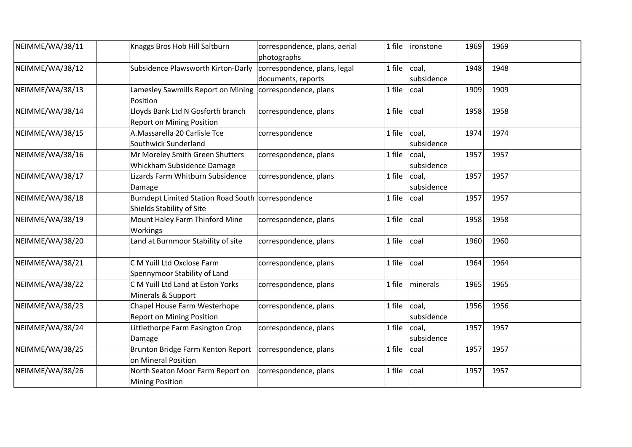| NEIMME/WA/38/11 | Knaggs Bros Hob Hill Saltburn                                                     | correspondence, plans, aerial<br>photographs       | 1 file | ironstone           | 1969 | 1969 |  |
|-----------------|-----------------------------------------------------------------------------------|----------------------------------------------------|--------|---------------------|------|------|--|
| NEIMME/WA/38/12 | Subsidence Plawsworth Kirton-Darly                                                | correspondence, plans, legal<br>documents, reports | 1 file | coal,<br>subsidence | 1948 | 1948 |  |
| NEIMME/WA/38/13 | Lamesley Sawmills Report on Mining correspondence, plans<br>Position              |                                                    | 1 file | coal                | 1909 | 1909 |  |
| NEIMME/WA/38/14 | Lloyds Bank Ltd N Gosforth branch<br><b>Report on Mining Position</b>             | correspondence, plans                              | 1 file | coal                | 1958 | 1958 |  |
| NEIMME/WA/38/15 | A.Massarella 20 Carlisle Tce<br>Southwick Sunderland                              | correspondence                                     | 1 file | coal,<br>subsidence | 1974 | 1974 |  |
| NEIMME/WA/38/16 | Mr Moreley Smith Green Shutters<br>Whickham Subsidence Damage                     | correspondence, plans                              | 1 file | coal,<br>subsidence | 1957 | 1957 |  |
| NEIMME/WA/38/17 | Lizards Farm Whitburn Subsidence<br>Damage                                        | correspondence, plans                              | 1 file | coal,<br>subsidence | 1957 | 1957 |  |
| NEIMME/WA/38/18 | Burndept Limited Station Road South   correspondence<br>Shields Stability of Site |                                                    | 1 file | coal                | 1957 | 1957 |  |
| NEIMME/WA/38/19 | Mount Haley Farm Thinford Mine<br>Workings                                        | correspondence, plans                              | 1 file | coal                | 1958 | 1958 |  |
| NEIMME/WA/38/20 | Land at Burnmoor Stability of site                                                | correspondence, plans                              | 1 file | coal                | 1960 | 1960 |  |
| NEIMME/WA/38/21 | C M Yuill Ltd Oxclose Farm<br>Spennymoor Stability of Land                        | correspondence, plans                              | 1 file | coal                | 1964 | 1964 |  |
| NEIMME/WA/38/22 | C M Yuill Ltd Land at Eston Yorks<br>Minerals & Support                           | correspondence, plans                              | 1 file | minerals            | 1965 | 1965 |  |
| NEIMME/WA/38/23 | Chapel House Farm Westerhope<br><b>Report on Mining Position</b>                  | correspondence, plans                              | 1 file | coal,<br>subsidence | 1956 | 1956 |  |
| NEIMME/WA/38/24 | Littlethorpe Farm Easington Crop<br>Damage                                        | correspondence, plans                              | 1 file | coal,<br>subsidence | 1957 | 1957 |  |
| NEIMME/WA/38/25 | Brunton Bridge Farm Kenton Report   correspondence, plans<br>on Mineral Position  |                                                    | 1 file | coal                | 1957 | 1957 |  |
| NEIMME/WA/38/26 | North Seaton Moor Farm Report on<br><b>Mining Position</b>                        | correspondence, plans                              | 1 file | coal                | 1957 | 1957 |  |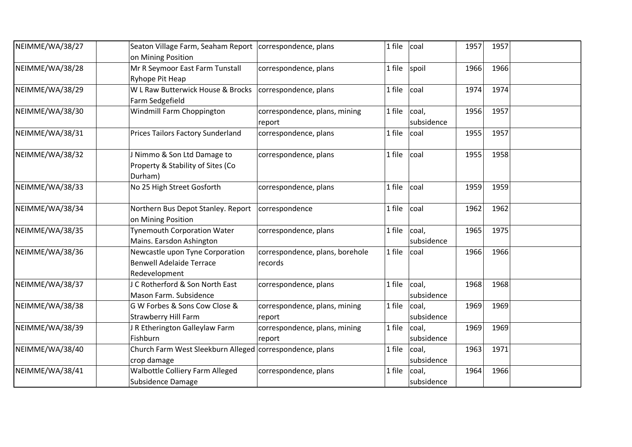| NEIMME/WA/38/27 | Seaton Village Farm, Seaham Report<br>on Mining Position                            | correspondence, plans                      | 1 file | coal                | 1957 | 1957 |  |
|-----------------|-------------------------------------------------------------------------------------|--------------------------------------------|--------|---------------------|------|------|--|
| NEIMME/WA/38/28 | Mr R Seymoor East Farm Tunstall<br>Ryhope Pit Heap                                  | correspondence, plans                      | 1 file | spoil               | 1966 | 1966 |  |
| NEIMME/WA/38/29 | W L Raw Butterwick House & Brocks<br>Farm Sedgefield                                | correspondence, plans                      | 1 file | coal                | 1974 | 1974 |  |
| NEIMME/WA/38/30 | Windmill Farm Choppington                                                           | correspondence, plans, mining<br>report    | 1 file | coal,<br>subsidence | 1956 | 1957 |  |
| NEIMME/WA/38/31 | <b>Prices Tailors Factory Sunderland</b>                                            | correspondence, plans                      | 1 file | coal                | 1955 | 1957 |  |
| NEIMME/WA/38/32 | I Nimmo & Son Ltd Damage to<br>Property & Stability of Sites (Co<br>Durham)         | correspondence, plans                      | 1 file | coal                | 1955 | 1958 |  |
| NEIMME/WA/38/33 | No 25 High Street Gosforth                                                          | correspondence, plans                      | 1 file | coal                | 1959 | 1959 |  |
| NEIMME/WA/38/34 | Northern Bus Depot Stanley. Report<br>on Mining Position                            | correspondence                             | 1 file | coal                | 1962 | 1962 |  |
| NEIMME/WA/38/35 | <b>Tynemouth Corporation Water</b><br>Mains. Earsdon Ashington                      | correspondence, plans                      | 1 file | coal,<br>subsidence | 1965 | 1975 |  |
| NEIMME/WA/38/36 | Newcastle upon Tyne Corporation<br><b>Benwell Adelaide Terrace</b><br>Redevelopment | correspondence, plans, borehole<br>records | 1 file | coal                | 1966 | 1966 |  |
| NEIMME/WA/38/37 | C Rotherford & Son North East<br>Mason Farm. Subsidence                             | correspondence, plans                      | 1 file | coal,<br>subsidence | 1968 | 1968 |  |
| NEIMME/WA/38/38 | G W Forbes & Sons Cow Close &<br>Strawberry Hill Farm                               | correspondence, plans, mining<br>report    | 1 file | coal,<br>subsidence | 1969 | 1969 |  |
| NEIMME/WA/38/39 | R Etherington Galleylaw Farm<br>Fishburn                                            | correspondence, plans, mining<br>report    | 1 file | coal,<br>subsidence | 1969 | 1969 |  |
| NEIMME/WA/38/40 | Church Farm West Sleekburn Alleged correspondence, plans<br>crop damage             |                                            | 1 file | coal,<br>subsidence | 1963 | 1971 |  |
| NEIMME/WA/38/41 | Walbottle Colliery Farm Alleged<br>Subsidence Damage                                | correspondence, plans                      | 1 file | coal,<br>subsidence | 1964 | 1966 |  |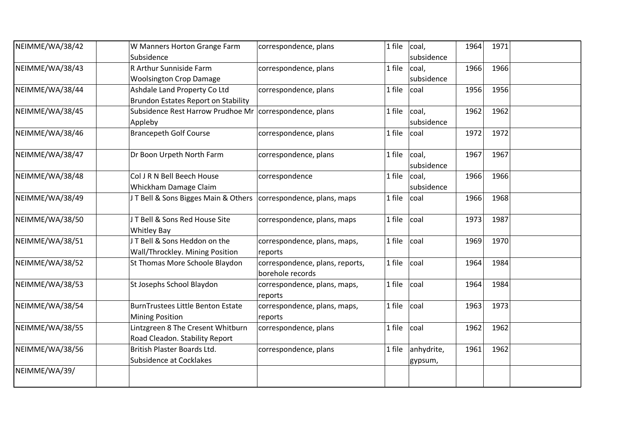| NEIMME/WA/38/42 | W Manners Horton Grange Farm                            | correspondence, plans           | 1 file | coal,      | 1964 | 1971 |  |
|-----------------|---------------------------------------------------------|---------------------------------|--------|------------|------|------|--|
|                 | Subsidence                                              |                                 |        | subsidence |      |      |  |
| NEIMME/WA/38/43 | R Arthur Sunniside Farm                                 | correspondence, plans           | 1 file | coal,      | 1966 | 1966 |  |
|                 | <b>Woolsington Crop Damage</b>                          |                                 |        | subsidence |      |      |  |
| NEIMME/WA/38/44 | Ashdale Land Property Co Ltd                            | correspondence, plans           | 1 file | coal       | 1956 | 1956 |  |
|                 | <b>Brundon Estates Report on Stability</b>              |                                 |        |            |      |      |  |
| NEIMME/WA/38/45 | Subsidence Rest Harrow Prudhoe Mr correspondence, plans |                                 | 1 file | coal,      | 1962 | 1962 |  |
|                 | Appleby                                                 |                                 |        | subsidence |      |      |  |
| NEIMME/WA/38/46 | <b>Brancepeth Golf Course</b>                           | correspondence, plans           | 1 file | coal       | 1972 | 1972 |  |
| NEIMME/WA/38/47 | Dr Boon Urpeth North Farm                               | correspondence, plans           | 1 file | coal,      | 1967 | 1967 |  |
|                 |                                                         |                                 |        | subsidence |      |      |  |
| NEIMME/WA/38/48 | Col J R N Bell Beech House                              | correspondence                  | 1 file | coal,      | 1966 | 1966 |  |
|                 | Whickham Damage Claim                                   |                                 |        | subsidence |      |      |  |
| NEIMME/WA/38/49 | J T Bell & Sons Bigges Main & Others                    | correspondence, plans, maps     | 1 file | coal       | 1966 | 1968 |  |
| NEIMME/WA/38/50 | JT Bell & Sons Red House Site                           | correspondence, plans, maps     | 1 file | coal       | 1973 | 1987 |  |
|                 | <b>Whitley Bay</b>                                      |                                 |        |            |      |      |  |
| NEIMME/WA/38/51 | JT Bell & Sons Heddon on the                            | correspondence, plans, maps,    | 1 file | coal       | 1969 | 1970 |  |
|                 | Wall/Throckley. Mining Position                         | reports                         |        |            |      |      |  |
| NEIMME/WA/38/52 | St Thomas More Schoole Blaydon                          | correspondence, plans, reports, | 1 file | coal       | 1964 | 1984 |  |
|                 |                                                         | borehole records                |        |            |      |      |  |
| NEIMME/WA/38/53 | St Josephs School Blaydon                               | correspondence, plans, maps,    | 1 file | coal       | 1964 | 1984 |  |
|                 |                                                         | reports                         |        |            |      |      |  |
| NEIMME/WA/38/54 | <b>BurnTrustees Little Benton Estate</b>                | correspondence, plans, maps,    | 1 file | coal       | 1963 | 1973 |  |
|                 | <b>Mining Position</b>                                  | reports                         |        |            |      |      |  |
| NEIMME/WA/38/55 | Lintzgreen 8 The Cresent Whitburn                       | correspondence, plans           | 1 file | coal       | 1962 | 1962 |  |
|                 | Road Cleadon. Stability Report                          |                                 |        |            |      |      |  |
| NEIMME/WA/38/56 | British Plaster Boards Ltd.                             | correspondence, plans           | 1 file | anhydrite, | 1961 | 1962 |  |
|                 | <b>Subsidence at Cocklakes</b>                          |                                 |        | gypsum,    |      |      |  |
| NEIMME/WA/39/   |                                                         |                                 |        |            |      |      |  |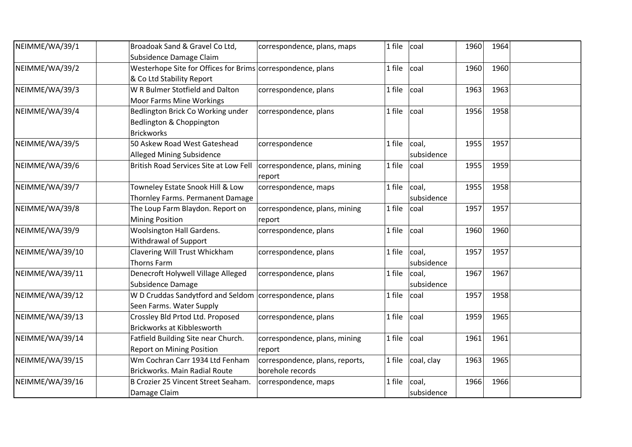| NEIMME/WA/39/1  | Broadoak Sand & Gravel Co Ltd,                              | correspondence, plans, maps     | 1 file | coal       | 1960 | 1964 |  |
|-----------------|-------------------------------------------------------------|---------------------------------|--------|------------|------|------|--|
|                 | Subsidence Damage Claim                                     |                                 |        |            |      |      |  |
| NEIMME/WA/39/2  | Westerhope Site for Offices for Brims correspondence, plans |                                 | 1 file | coal       | 1960 | 1960 |  |
|                 | & Co Ltd Stability Report                                   |                                 |        |            |      |      |  |
| NEIMME/WA/39/3  | W R Bulmer Stotfield and Dalton                             | correspondence, plans           | 1 file | coal       | 1963 | 1963 |  |
|                 | <b>Moor Farms Mine Workings</b>                             |                                 |        |            |      |      |  |
| NEIMME/WA/39/4  | Bedlington Brick Co Working under                           | correspondence, plans           | 1 file | coal       | 1956 | 1958 |  |
|                 | Bedlington & Choppington                                    |                                 |        |            |      |      |  |
|                 | <b>Brickworks</b>                                           |                                 |        |            |      |      |  |
| NEIMME/WA/39/5  | 50 Askew Road West Gateshead                                | correspondence                  | 1 file | coal,      | 1955 | 1957 |  |
|                 | <b>Alleged Mining Subsidence</b>                            |                                 |        | subsidence |      |      |  |
| NEIMME/WA/39/6  | British Road Services Site at Low Fell                      | correspondence, plans, mining   | 1 file | coal       | 1955 | 1959 |  |
|                 |                                                             | report                          |        |            |      |      |  |
| NEIMME/WA/39/7  | Towneley Estate Snook Hill & Low                            | correspondence, maps            | 1 file | coal,      | 1955 | 1958 |  |
|                 | Thornley Farms. Permanent Damage                            |                                 |        | subsidence |      |      |  |
| NEIMME/WA/39/8  | The Loup Farm Blaydon. Report on                            | correspondence, plans, mining   | 1 file | coal       | 1957 | 1957 |  |
|                 | <b>Mining Position</b>                                      | report                          |        |            |      |      |  |
| NEIMME/WA/39/9  | Woolsington Hall Gardens.                                   | correspondence, plans           | 1 file | coal       | 1960 | 1960 |  |
|                 | Withdrawal of Support                                       |                                 |        |            |      |      |  |
| NEIMME/WA/39/10 | Clavering Will Trust Whickham                               | correspondence, plans           | 1 file | coal,      | 1957 | 1957 |  |
|                 | Thorns Farm                                                 |                                 |        | subsidence |      |      |  |
| NEIMME/WA/39/11 | Denecroft Holywell Village Alleged                          | correspondence, plans           | 1 file | coal,      | 1967 | 1967 |  |
|                 | Subsidence Damage                                           |                                 |        | subsidence |      |      |  |
| NEIMME/WA/39/12 | W D Cruddas Sandytford and Seldom   correspondence, plans   |                                 | 1 file | coal       | 1957 | 1958 |  |
|                 | Seen Farms. Water Supply                                    |                                 |        |            |      |      |  |
| NEIMME/WA/39/13 | Crossley Bld Prtod Ltd. Proposed                            | correspondence, plans           | 1 file | coal       | 1959 | 1965 |  |
|                 | <b>Brickworks at Kibblesworth</b>                           |                                 |        |            |      |      |  |
| NEIMME/WA/39/14 | Fatfield Building Site near Church.                         | correspondence, plans, mining   | 1 file | coal       | 1961 | 1961 |  |
|                 | <b>Report on Mining Position</b>                            | report                          |        |            |      |      |  |
| NEIMME/WA/39/15 | Wm Cochran Carr 1934 Ltd Fenham                             | correspondence, plans, reports, | 1 file | coal, clay | 1963 | 1965 |  |
|                 | Brickworks. Main Radial Route                               | borehole records                |        |            |      |      |  |
| NEIMME/WA/39/16 | B Crozier 25 Vincent Street Seaham.                         | correspondence, maps            | 1 file | coal,      | 1966 | 1966 |  |
|                 | Damage Claim                                                |                                 |        | subsidence |      |      |  |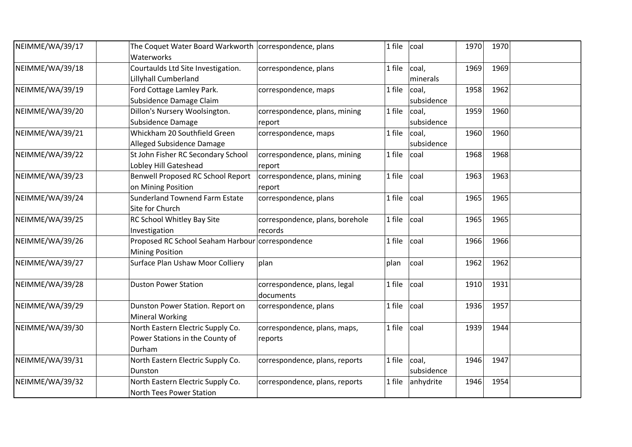| NEIMME/WA/39/17 | The Coquet Water Board Warkworth   correspondence, plans<br>Waterworks         |                                            | 1 file | coal                | 1970 | 1970 |  |
|-----------------|--------------------------------------------------------------------------------|--------------------------------------------|--------|---------------------|------|------|--|
| NEIMME/WA/39/18 | Courtaulds Ltd Site Investigation.<br>Lillyhall Cumberland                     | correspondence, plans                      | 1 file | coal,<br>minerals   | 1969 | 1969 |  |
| NEIMME/WA/39/19 | Ford Cottage Lamley Park.<br>Subsidence Damage Claim                           | correspondence, maps                       | 1 file | coal,<br>subsidence | 1958 | 1962 |  |
| NEIMME/WA/39/20 | Dillon's Nursery Woolsington.<br>Subsidence Damage                             | correspondence, plans, mining<br>report    | 1 file | coal,<br>subsidence | 1959 | 1960 |  |
| NEIMME/WA/39/21 | Whickham 20 Southfield Green<br>Alleged Subsidence Damage                      | correspondence, maps                       | 1 file | coal,<br>subsidence | 1960 | 1960 |  |
| NEIMME/WA/39/22 | St John Fisher RC Secondary School<br>Lobley Hill Gateshead                    | correspondence, plans, mining<br>report    | 1 file | coal                | 1968 | 1968 |  |
| NEIMME/WA/39/23 | Benwell Proposed RC School Report<br>on Mining Position                        | correspondence, plans, mining<br>report    | 1 file | coal                | 1963 | 1963 |  |
| NEIMME/WA/39/24 | <b>Sunderland Townend Farm Estate</b><br>Site for Church                       | correspondence, plans                      | 1 file | coal                | 1965 | 1965 |  |
| NEIMME/WA/39/25 | RC School Whitley Bay Site<br>Investigation                                    | correspondence, plans, borehole<br>records | 1 file | coal                | 1965 | 1965 |  |
| NEIMME/WA/39/26 | Proposed RC School Seaham Harbour correspondence<br><b>Mining Position</b>     |                                            | 1 file | coal                | 1966 | 1966 |  |
| NEIMME/WA/39/27 | Surface Plan Ushaw Moor Colliery                                               | plan                                       | plan   | coal                | 1962 | 1962 |  |
| NEIMME/WA/39/28 | <b>Duston Power Station</b>                                                    | correspondence, plans, legal<br>documents  | 1 file | coal                | 1910 | 1931 |  |
| NEIMME/WA/39/29 | Dunston Power Station. Report on<br><b>Mineral Working</b>                     | correspondence, plans                      | 1 file | coal                | 1936 | 1957 |  |
| NEIMME/WA/39/30 | North Eastern Electric Supply Co.<br>Power Stations in the County of<br>Durham | correspondence, plans, maps,<br>reports    | 1 file | coal                | 1939 | 1944 |  |
| NEIMME/WA/39/31 | North Eastern Electric Supply Co.<br>Dunston                                   | correspondence, plans, reports             | 1 file | coal,<br>subsidence | 1946 | 1947 |  |
| NEIMME/WA/39/32 | North Eastern Electric Supply Co.<br><b>North Tees Power Station</b>           | correspondence, plans, reports             | 1 file | anhydrite           | 1946 | 1954 |  |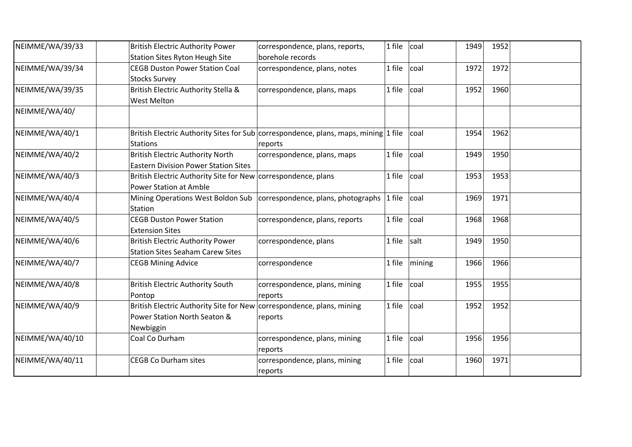| NEIMME/WA/39/33 | <b>British Electric Authority Power</b><br><b>Station Sites Ryton Heugh Site</b>                                   | correspondence, plans, reports,<br>borehole records                                            | 1 file | coal   | 1949 | 1952 |  |
|-----------------|--------------------------------------------------------------------------------------------------------------------|------------------------------------------------------------------------------------------------|--------|--------|------|------|--|
| NEIMME/WA/39/34 | <b>CEGB Duston Power Station Coal</b><br><b>Stocks Survey</b>                                                      | correspondence, plans, notes                                                                   | 1 file | coal   | 1972 | 1972 |  |
| NEIMME/WA/39/35 | British Electric Authority Stella &<br><b>West Melton</b>                                                          | correspondence, plans, maps                                                                    | 1 file | coal   | 1952 | 1960 |  |
| NEIMME/WA/40/   |                                                                                                                    |                                                                                                |        |        |      |      |  |
| NEIMME/WA/40/1  | <b>Stations</b>                                                                                                    | British Electric Authority Sites for Sub correspondence, plans, maps, mining 1 file<br>reports |        | coal   | 1954 | 1962 |  |
| NEIMME/WA/40/2  | <b>British Electric Authority North</b><br><b>Eastern Division Power Station Sites</b>                             | correspondence, plans, maps                                                                    | 1 file | coal   | 1949 | 1950 |  |
| NEIMME/WA/40/3  | British Electric Authority Site for New correspondence, plans<br><b>Power Station at Amble</b>                     |                                                                                                | 1 file | coal   | 1953 | 1953 |  |
| NEIMME/WA/40/4  | Station                                                                                                            | Mining Operations West Boldon Sub   correspondence, plans, photographs                         | 1 file | coal   | 1969 | 1971 |  |
| NEIMME/WA/40/5  | <b>CEGB Duston Power Station</b><br><b>Extension Sites</b>                                                         | correspondence, plans, reports                                                                 | 1 file | coal   | 1968 | 1968 |  |
| NEIMME/WA/40/6  | <b>British Electric Authority Power</b><br><b>Station Sites Seaham Carew Sites</b>                                 | correspondence, plans                                                                          | 1 file | salt   | 1949 | 1950 |  |
| NEIMME/WA/40/7  | <b>CEGB Mining Advice</b>                                                                                          | correspondence                                                                                 | 1 file | mining | 1966 | 1966 |  |
| NEIMME/WA/40/8  | <b>British Electric Authority South</b><br>Pontop                                                                  | correspondence, plans, mining<br>reports                                                       | 1 file | coal   | 1955 | 1955 |  |
| NEIMME/WA/40/9  | British Electric Authority Site for New correspondence, plans, mining<br>Power Station North Seaton &<br>Newbiggin | reports                                                                                        | 1 file | coal   | 1952 | 1952 |  |
| NEIMME/WA/40/10 | Coal Co Durham                                                                                                     | correspondence, plans, mining<br>reports                                                       | 1 file | coal   | 1956 | 1956 |  |
| NEIMME/WA/40/11 | <b>CEGB Co Durham sites</b>                                                                                        | correspondence, plans, mining<br>reports                                                       | 1 file | coal   | 1960 | 1971 |  |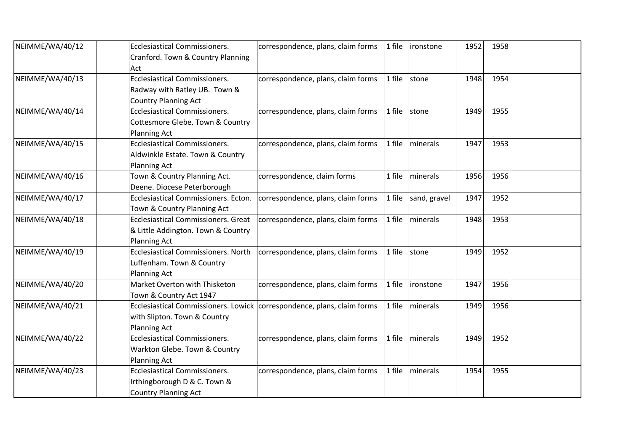| NEIMME/WA/40/12 | <b>Ecclesiastical Commissioners.</b>                                      | correspondence, plans, claim forms | 1 file | ironstone        | 1952 | 1958 |  |
|-----------------|---------------------------------------------------------------------------|------------------------------------|--------|------------------|------|------|--|
|                 | Cranford. Town & Country Planning<br>Act                                  |                                    |        |                  |      |      |  |
| NEIMME/WA/40/13 | <b>Ecclesiastical Commissioners.</b>                                      | correspondence, plans, claim forms | 1 file | stone            | 1948 | 1954 |  |
|                 | Radway with Ratley UB. Town &                                             |                                    |        |                  |      |      |  |
|                 | <b>Country Planning Act</b>                                               |                                    |        |                  |      |      |  |
| NEIMME/WA/40/14 | <b>Ecclesiastical Commissioners.</b>                                      | correspondence, plans, claim forms | 1 file | stone            | 1949 | 1955 |  |
|                 | Cottesmore Glebe. Town & Country                                          |                                    |        |                  |      |      |  |
|                 | <b>Planning Act</b>                                                       |                                    |        |                  |      |      |  |
| NEIMME/WA/40/15 | <b>Ecclesiastical Commissioners.</b>                                      | correspondence, plans, claim forms | 1 file | minerals         | 1947 | 1953 |  |
|                 | Aldwinkle Estate. Town & Country                                          |                                    |        |                  |      |      |  |
|                 | <b>Planning Act</b>                                                       |                                    |        |                  |      |      |  |
| NEIMME/WA/40/16 | Town & Country Planning Act.                                              | correspondence, claim forms        | 1 file | minerals         | 1956 | 1956 |  |
|                 | Deene. Diocese Peterborough                                               |                                    |        |                  |      |      |  |
| NEIMME/WA/40/17 | Ecclesiastical Commissioners. Ecton.                                      | correspondence, plans, claim forms | 1 file | sand, gravel     | 1947 | 1952 |  |
|                 | Town & Country Planning Act                                               |                                    |        |                  |      |      |  |
| NEIMME/WA/40/18 | <b>Ecclesiastical Commissioners. Great</b>                                | correspondence, plans, claim forms | 1 file | minerals         | 1948 | 1953 |  |
|                 | & Little Addington. Town & Country                                        |                                    |        |                  |      |      |  |
|                 | <b>Planning Act</b>                                                       |                                    |        |                  |      |      |  |
| NEIMME/WA/40/19 | <b>Ecclesiastical Commissioners. North</b>                                | correspondence, plans, claim forms | 1 file | stone            | 1949 | 1952 |  |
|                 | Luffenham. Town & Country                                                 |                                    |        |                  |      |      |  |
|                 | Planning Act                                                              |                                    |        |                  |      |      |  |
| NEIMME/WA/40/20 | Market Overton with Thisketon                                             | correspondence, plans, claim forms | 1 file | <i>ironstone</i> | 1947 | 1956 |  |
|                 | Town & Country Act 1947                                                   |                                    |        |                  |      |      |  |
| NEIMME/WA/40/21 | Ecclesiastical Commissioners. Lowick   correspondence, plans, claim forms |                                    | 1 file | minerals         | 1949 | 1956 |  |
|                 | with Slipton. Town & Country                                              |                                    |        |                  |      |      |  |
|                 | Planning Act                                                              |                                    |        |                  |      |      |  |
| NEIMME/WA/40/22 | <b>Ecclesiastical Commissioners.</b>                                      | correspondence, plans, claim forms | 1 file | minerals         | 1949 | 1952 |  |
|                 | Warkton Glebe. Town & Country                                             |                                    |        |                  |      |      |  |
|                 | <b>Planning Act</b>                                                       |                                    |        |                  |      |      |  |
| NEIMME/WA/40/23 | <b>Ecclesiastical Commissioners.</b>                                      | correspondence, plans, claim forms | 1 file | minerals         | 1954 | 1955 |  |
|                 | Irthingborough D & C. Town &                                              |                                    |        |                  |      |      |  |
|                 | <b>Country Planning Act</b>                                               |                                    |        |                  |      |      |  |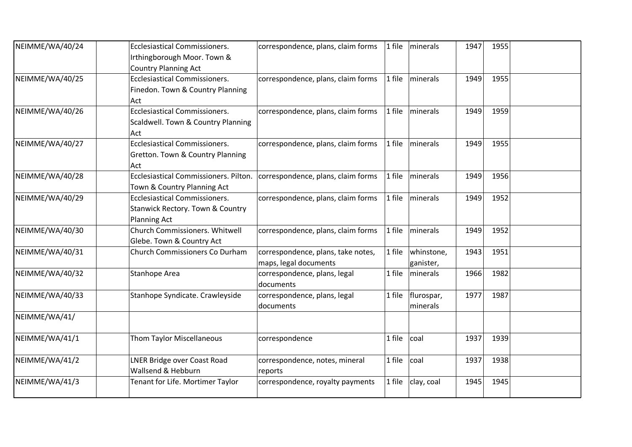| NEIMME/WA/40/24 | <b>Ecclesiastical Commissioners.</b><br>Irthingborough Moor. Town &<br><b>Country Planning Act</b>         | correspondence, plans, claim forms                          | $1$ file | minerals                | 1947 | 1955 |  |
|-----------------|------------------------------------------------------------------------------------------------------------|-------------------------------------------------------------|----------|-------------------------|------|------|--|
| NEIMME/WA/40/25 | <b>Ecclesiastical Commissioners.</b><br>Finedon. Town & Country Planning<br>Act                            | correspondence, plans, claim forms                          | 1 file   | minerals                | 1949 | 1955 |  |
| NEIMME/WA/40/26 | <b>Ecclesiastical Commissioners.</b><br>Scaldwell. Town & Country Planning<br>Act                          | correspondence, plans, claim forms                          | 1 file   | minerals                | 1949 | 1959 |  |
| NEIMME/WA/40/27 | Ecclesiastical Commissioners.<br>Gretton. Town & Country Planning<br>Act                                   | correspondence, plans, claim forms                          | 1 file   | minerals                | 1949 | 1955 |  |
| NEIMME/WA/40/28 | Ecclesiastical Commissioners. Pilton.<br>Town & Country Planning Act                                       | correspondence, plans, claim forms                          | 1 file   | minerals                | 1949 | 1956 |  |
| NEIMME/WA/40/29 | <b>Ecclesiastical Commissioners.</b><br><b>Stanwick Rectory. Town &amp; Country</b><br><b>Planning Act</b> | correspondence, plans, claim forms                          | 1 file   | minerals                | 1949 | 1952 |  |
| NEIMME/WA/40/30 | Church Commissioners. Whitwell<br>Glebe. Town & Country Act                                                | correspondence, plans, claim forms                          | 1 file   | minerals                | 1949 | 1952 |  |
| NEIMME/WA/40/31 | Church Commissioners Co Durham                                                                             | correspondence, plans, take notes,<br>maps, legal documents | 1 file   | whinstone,<br>ganister, | 1943 | 1951 |  |
| NEIMME/WA/40/32 | <b>Stanhope Area</b>                                                                                       | correspondence, plans, legal<br>documents                   | 1 file   | minerals                | 1966 | 1982 |  |
| NEIMME/WA/40/33 | Stanhope Syndicate. Crawleyside                                                                            | correspondence, plans, legal<br>documents                   | 1 file   | flurospar,<br>minerals  | 1977 | 1987 |  |
| NEIMME/WA/41/   |                                                                                                            |                                                             |          |                         |      |      |  |
| NEIMME/WA/41/1  | Thom Taylor Miscellaneous                                                                                  | correspondence                                              | 1 file   | coal                    | 1937 | 1939 |  |
| NEIMME/WA/41/2  | LNER Bridge over Coast Road<br>Wallsend & Hebburn                                                          | correspondence, notes, mineral<br>reports                   | 1 file   | coal                    | 1937 | 1938 |  |
| NEIMME/WA/41/3  | Tenant for Life. Mortimer Taylor                                                                           | correspondence, royalty payments                            | 1 file   | clay, coal              | 1945 | 1945 |  |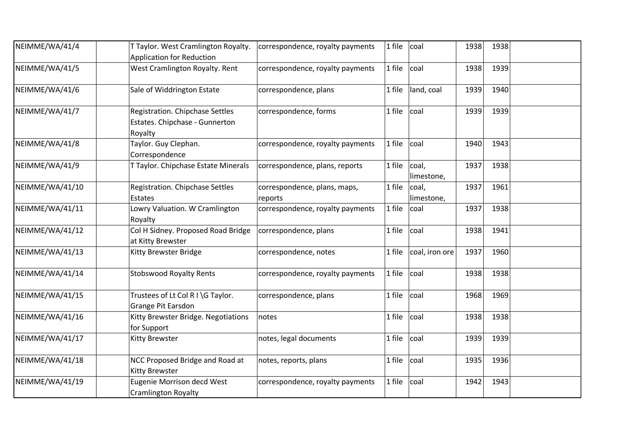| NEIMME/WA/41/4  | T Taylor. West Cramlington Royalty.<br><b>Application for Reduction</b>      | correspondence, royalty payments        | 1 file | coal                | 1938 | 1938 |  |
|-----------------|------------------------------------------------------------------------------|-----------------------------------------|--------|---------------------|------|------|--|
| NEIMME/WA/41/5  | West Cramlington Royalty. Rent                                               | correspondence, royalty payments        | 1 file | coal                | 1938 | 1939 |  |
| NEIMME/WA/41/6  | Sale of Widdrington Estate                                                   | correspondence, plans                   | 1 file | land, coal          | 1939 | 1940 |  |
| NEIMME/WA/41/7  | Registration. Chipchase Settles<br>Estates. Chipchase - Gunnerton<br>Royalty | correspondence, forms                   | 1 file | coal                | 1939 | 1939 |  |
| NEIMME/WA/41/8  | Taylor. Guy Clephan.<br>Correspondence                                       | correspondence, royalty payments        | 1 file | coal                | 1940 | 1943 |  |
| NEIMME/WA/41/9  | T Taylor. Chipchase Estate Minerals                                          | correspondence, plans, reports          | 1 file | coal,<br>limestone, | 1937 | 1938 |  |
| NEIMME/WA/41/10 | Registration. Chipchase Settles<br>Estates                                   | correspondence, plans, maps,<br>reports | 1 file | coal,<br>limestone, | 1937 | 1961 |  |
| NEIMME/WA/41/11 | Lowry Valuation. W Cramlington<br>Royalty                                    | correspondence, royalty payments        | 1 file | coal                | 1937 | 1938 |  |
| NEIMME/WA/41/12 | Col H Sidney. Proposed Road Bridge<br>at Kitty Brewster                      | correspondence, plans                   | 1 file | coal                | 1938 | 1941 |  |
| NEIMME/WA/41/13 | Kitty Brewster Bridge                                                        | correspondence, notes                   | 1 file | coal, iron ore      | 1937 | 1960 |  |
| NEIMME/WA/41/14 | <b>Stobswood Royalty Rents</b>                                               | correspondence, royalty payments        | 1 file | coal                | 1938 | 1938 |  |
| NEIMME/WA/41/15 | Trustees of Lt Col R I \G Taylor.<br>Grange Pit Earsdon                      | correspondence, plans                   | 1 file | coal                | 1968 | 1969 |  |
| NEIMME/WA/41/16 | Kitty Brewster Bridge. Negotiations<br>for Support                           | notes                                   | 1 file | coal                | 1938 | 1938 |  |
| NEIMME/WA/41/17 | Kitty Brewster                                                               | notes, legal documents                  | 1 file | coal                | 1939 | 1939 |  |
| NEIMME/WA/41/18 | NCC Proposed Bridge and Road at<br><b>Kitty Brewster</b>                     | notes, reports, plans                   | 1 file | coal                | 1935 | 1936 |  |
| NEIMME/WA/41/19 | Eugenie Morrison decd West<br><b>Cramlington Royalty</b>                     | correspondence, royalty payments        | 1 file | coal                | 1942 | 1943 |  |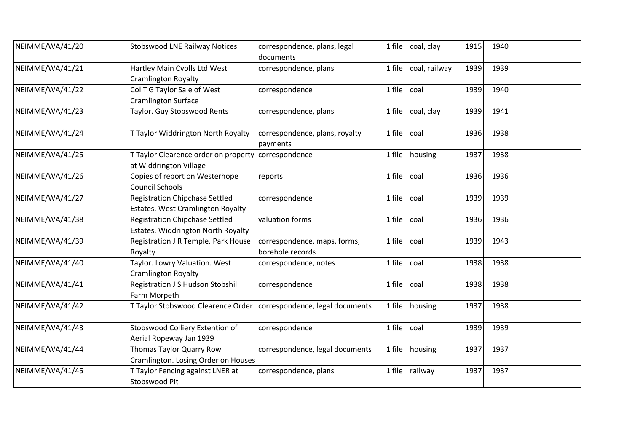| NEIMME/WA/41/20 | <b>Stobswood LNE Railway Notices</b>                                          | correspondence, plans, legal<br>documents        |        | 1 file $ $ coal, clay | 1915 | 1940 |  |
|-----------------|-------------------------------------------------------------------------------|--------------------------------------------------|--------|-----------------------|------|------|--|
| NEIMME/WA/41/21 | Hartley Main Cvolls Ltd West<br><b>Cramlington Royalty</b>                    | correspondence, plans                            | 1 file | coal, railway         | 1939 | 1939 |  |
| NEIMME/WA/41/22 | Col T G Taylor Sale of West<br><b>Cramlington Surface</b>                     | correspondence                                   | 1 file | coal                  | 1939 | 1940 |  |
| NEIMME/WA/41/23 | Taylor. Guy Stobswood Rents                                                   | correspondence, plans                            | 1 file | coal, clay            | 1939 | 1941 |  |
| NEIMME/WA/41/24 | T Taylor Widdrington North Royalty                                            | correspondence, plans, royalty<br>payments       | 1 file | coal                  | 1936 | 1938 |  |
| NEIMME/WA/41/25 | T Taylor Clearence order on property correspondence<br>at Widdrington Village |                                                  | 1 file | housing               | 1937 | 1938 |  |
| NEIMME/WA/41/26 | Copies of report on Westerhope<br><b>Council Schools</b>                      | reports                                          | 1 file | coal                  | 1936 | 1936 |  |
| NEIMME/WA/41/27 | <b>Registration Chipchase Settled</b><br>Estates. West Cramlington Royalty    | correspondence                                   | 1 file | coal                  | 1939 | 1939 |  |
| NEIMME/WA/41/38 | <b>Registration Chipchase Settled</b><br>Estates. Widdrington North Royalty   | valuation forms                                  | 1 file | coal                  | 1936 | 1936 |  |
| NEIMME/WA/41/39 | Registration J R Temple. Park House<br>Royalty                                | correspondence, maps, forms,<br>borehole records | 1 file | coal                  | 1939 | 1943 |  |
| NEIMME/WA/41/40 | Taylor. Lowry Valuation. West<br><b>Cramlington Royalty</b>                   | correspondence, notes                            | 1 file | coal                  | 1938 | 1938 |  |
| NEIMME/WA/41/41 | Registration J S Hudson Stobshill<br>Farm Morpeth                             | correspondence                                   | 1 file | coal                  | 1938 | 1938 |  |
| NEIMME/WA/41/42 | T Taylor Stobswood Clearence Order   correspondence, legal documents          |                                                  | 1 file | housing               | 1937 | 1938 |  |
| NEIMME/WA/41/43 | Stobswood Colliery Extention of<br>Aerial Ropeway Jan 1939                    | correspondence                                   | 1 file | coal                  | 1939 | 1939 |  |
| NEIMME/WA/41/44 | Thomas Taylor Quarry Row<br>Cramlington. Losing Order on Houses               | correspondence, legal documents                  | 1 file | housing               | 1937 | 1937 |  |
| NEIMME/WA/41/45 | T Taylor Fencing against LNER at<br>Stobswood Pit                             | correspondence, plans                            | 1 file | railway               | 1937 | 1937 |  |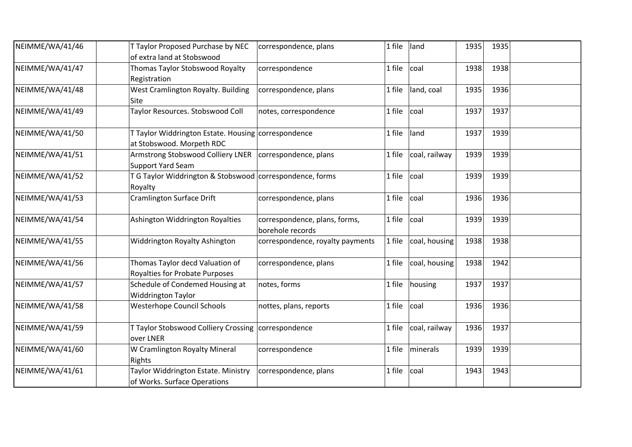| NEIMME/WA/41/46 | T Taylor Proposed Purchase by NEC<br>of extra land at Stobswood                       | correspondence, plans                             | 1 file | land          | 1935 | 1935 |  |
|-----------------|---------------------------------------------------------------------------------------|---------------------------------------------------|--------|---------------|------|------|--|
| NEIMME/WA/41/47 | Thomas Taylor Stobswood Royalty<br>Registration                                       | correspondence                                    | 1 file | coal          | 1938 | 1938 |  |
| NEIMME/WA/41/48 | West Cramlington Royalty. Building<br>Site                                            | correspondence, plans                             | 1 file | land, coal    | 1935 | 1936 |  |
| NEIMME/WA/41/49 | Taylor Resources. Stobswood Coll                                                      | notes, correspondence                             | 1 file | coal          | 1937 | 1937 |  |
| NEIMME/WA/41/50 | T Taylor Widdrington Estate. Housing correspondence<br>at Stobswood. Morpeth RDC      |                                                   | 1 file | land          | 1937 | 1939 |  |
| NEIMME/WA/41/51 | Armstrong Stobswood Colliery LNER   correspondence, plans<br><b>Support Yard Seam</b> |                                                   | 1 file | coal, railway | 1939 | 1939 |  |
| NEIMME/WA/41/52 | T G Taylor Widdrington & Stobswood correspondence, forms<br>Royalty                   |                                                   | 1 file | coal          | 1939 | 1939 |  |
| NEIMME/WA/41/53 | <b>Cramlington Surface Drift</b>                                                      | correspondence, plans                             | 1 file | coal          | 1936 | 1936 |  |
| NEIMME/WA/41/54 | Ashington Widdrington Royalties                                                       | correspondence, plans, forms,<br>borehole records | 1 file | coal          | 1939 | 1939 |  |
| NEIMME/WA/41/55 | Widdrington Royalty Ashington                                                         | correspondence, royalty payments                  | 1 file | coal, housing | 1938 | 1938 |  |
| NEIMME/WA/41/56 | Thomas Taylor decd Valuation of<br>Royalties for Probate Purposes                     | correspondence, plans                             | 1 file | coal, housing | 1938 | 1942 |  |
| NEIMME/WA/41/57 | Schedule of Condemed Housing at<br><b>Widdrington Taylor</b>                          | notes, forms                                      | 1 file | housing       | 1937 | 1937 |  |
| NEIMME/WA/41/58 | <b>Westerhope Council Schools</b>                                                     | nottes, plans, reports                            | 1 file | coal          | 1936 | 1936 |  |
| NEIMME/WA/41/59 | T Taylor Stobswood Colliery Crossing   correspondence<br>over LNER                    |                                                   | 1 file | coal, railway | 1936 | 1937 |  |
| NEIMME/WA/41/60 | W Cramlington Royalty Mineral<br>Rights                                               | correspondence                                    | 1 file | minerals      | 1939 | 1939 |  |
| NEIMME/WA/41/61 | Taylor Widdrington Estate. Ministry<br>of Works. Surface Operations                   | correspondence, plans                             | 1 file | coal          | 1943 | 1943 |  |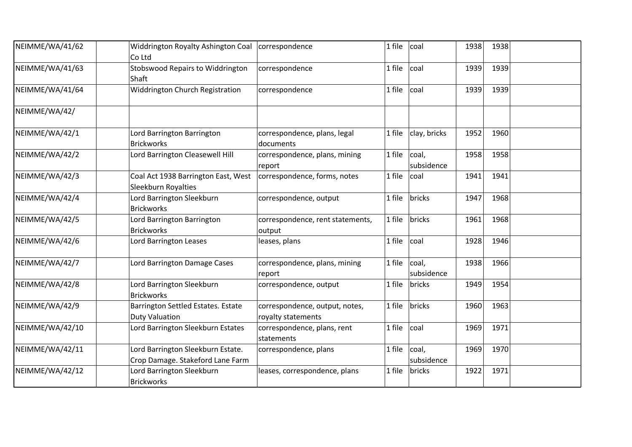| NEIMME/WA/41/62 | Widdrington Royalty Ashington Coal<br>Co Ltd                          | correspondence                                       | 1 file | coal                | 1938 | 1938 |  |
|-----------------|-----------------------------------------------------------------------|------------------------------------------------------|--------|---------------------|------|------|--|
| NEIMME/WA/41/63 | Stobswood Repairs to Widdrington<br>Shaft                             | correspondence                                       | 1 file | coal                | 1939 | 1939 |  |
| NEIMME/WA/41/64 | Widdrington Church Registration                                       | correspondence                                       | 1 file | coal                | 1939 | 1939 |  |
| NEIMME/WA/42/   |                                                                       |                                                      |        |                     |      |      |  |
| NEIMME/WA/42/1  | Lord Barrington Barrington<br><b>Brickworks</b>                       | correspondence, plans, legal<br>documents            | 1 file | clay, bricks        | 1952 | 1960 |  |
| NEIMME/WA/42/2  | Lord Barrington Cleasewell Hill                                       | correspondence, plans, mining<br>report              | 1 file | coal,<br>subsidence | 1958 | 1958 |  |
| NEIMME/WA/42/3  | Coal Act 1938 Barrington East, West<br>Sleekburn Royalties            | correspondence, forms, notes                         | 1 file | coal                | 1941 | 1941 |  |
| NEIMME/WA/42/4  | Lord Barrington Sleekburn<br><b>Brickworks</b>                        | correspondence, output                               | 1 file | bricks              | 1947 | 1968 |  |
| NEIMME/WA/42/5  | Lord Barrington Barrington<br><b>Brickworks</b>                       | correspondence, rent statements,<br>output           | 1 file | bricks              | 1961 | 1968 |  |
| NEIMME/WA/42/6  | Lord Barrington Leases                                                | leases, plans                                        | 1 file | coal                | 1928 | 1946 |  |
| NEIMME/WA/42/7  | Lord Barrington Damage Cases                                          | correspondence, plans, mining<br>report              | 1 file | coal,<br>subsidence | 1938 | 1966 |  |
| NEIMME/WA/42/8  | Lord Barrington Sleekburn<br><b>Brickworks</b>                        | correspondence, output                               | 1 file | bricks              | 1949 | 1954 |  |
| NEIMME/WA/42/9  | Barrington Settled Estates. Estate<br><b>Duty Valuation</b>           | correspondence, output, notes,<br>royalty statements | 1 file | bricks              | 1960 | 1963 |  |
| NEIMME/WA/42/10 | Lord Barrington Sleekburn Estates                                     | correspondence, plans, rent<br>statements            | 1 file | coal                | 1969 | 1971 |  |
| NEIMME/WA/42/11 | Lord Barrington Sleekburn Estate.<br>Crop Damage. Stakeford Lane Farm | correspondence, plans                                | 1 file | coal,<br>subsidence | 1969 | 1970 |  |
| NEIMME/WA/42/12 | Lord Barrington Sleekburn<br><b>Brickworks</b>                        | leases, correspondence, plans                        | 1 file | bricks              | 1922 | 1971 |  |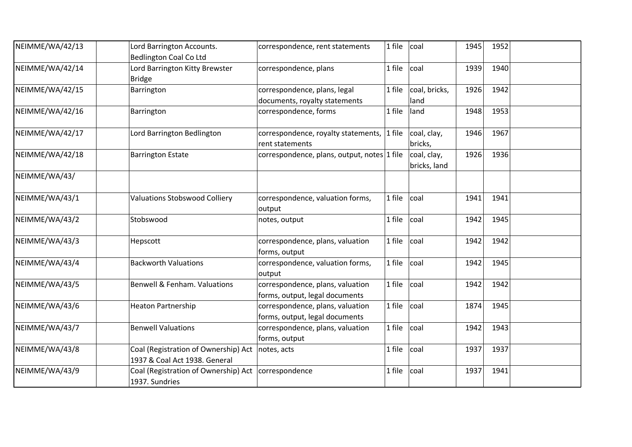| NEIMME/WA/42/13 | Lord Barrington Accounts.<br><b>Bedlington Coal Co Ltd</b>                        | correspondence, rent statements                                    | 1 file | coal                        | 1945 | 1952 |  |
|-----------------|-----------------------------------------------------------------------------------|--------------------------------------------------------------------|--------|-----------------------------|------|------|--|
| NEIMME/WA/42/14 | Lord Barrington Kitty Brewster<br><b>Bridge</b>                                   | correspondence, plans                                              | 1 file | coal                        | 1939 | 1940 |  |
| NEIMME/WA/42/15 | Barrington                                                                        | correspondence, plans, legal<br>documents, royalty statements      | 1 file | coal, bricks,<br>land       | 1926 | 1942 |  |
| NEIMME/WA/42/16 | Barrington                                                                        | correspondence, forms                                              | 1 file | land                        | 1948 | 1953 |  |
| NEIMME/WA/42/17 | Lord Barrington Bedlington                                                        | correspondence, royalty statements,<br>rent statements             | 1 file | coal, clay,<br>bricks,      | 1946 | 1967 |  |
| NEIMME/WA/42/18 | <b>Barrington Estate</b>                                                          | correspondence, plans, output, notes 1 file                        |        | coal, clay,<br>bricks, land | 1926 | 1936 |  |
| NEIMME/WA/43/   |                                                                                   |                                                                    |        |                             |      |      |  |
| NEIMME/WA/43/1  | <b>Valuations Stobswood Colliery</b>                                              | correspondence, valuation forms,<br>output                         | 1 file | coal                        | 1941 | 1941 |  |
| NEIMME/WA/43/2  | Stobswood                                                                         | notes, output                                                      | 1 file | coal                        | 1942 | 1945 |  |
| NEIMME/WA/43/3  | Hepscott                                                                          | correspondence, plans, valuation<br>forms, output                  | 1 file | coal                        | 1942 | 1942 |  |
| NEIMME/WA/43/4  | <b>Backworth Valuations</b>                                                       | correspondence, valuation forms,<br>output                         | 1 file | coal                        | 1942 | 1945 |  |
| NEIMME/WA/43/5  | Benwell & Fenham. Valuations                                                      | correspondence, plans, valuation<br>forms, output, legal documents | 1 file | coal                        | 1942 | 1942 |  |
| NEIMME/WA/43/6  | <b>Heaton Partnership</b>                                                         | correspondence, plans, valuation<br>forms, output, legal documents | 1 file | coal                        | 1874 | 1945 |  |
| NEIMME/WA/43/7  | <b>Benwell Valuations</b>                                                         | correspondence, plans, valuation<br>forms, output                  | 1 file | coal                        | 1942 | 1943 |  |
| NEIMME/WA/43/8  | Coal (Registration of Ownership) Act notes, acts<br>1937 & Coal Act 1938. General |                                                                    | 1 file | coal                        | 1937 | 1937 |  |
| NEIMME/WA/43/9  | Coal (Registration of Ownership) Act<br>1937. Sundries                            | correspondence                                                     | 1 file | coal                        | 1937 | 1941 |  |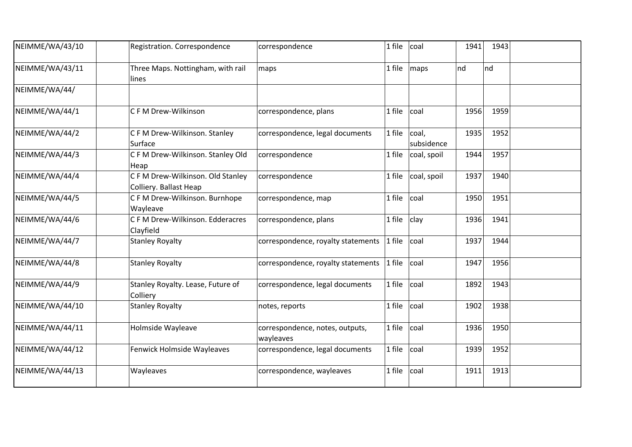| NEIMME/WA/43/10 | Registration. Correspondence                                | correspondence                               | 1 file | coal                | 1941 | 1943 |  |
|-----------------|-------------------------------------------------------------|----------------------------------------------|--------|---------------------|------|------|--|
| NEIMME/WA/43/11 | Three Maps. Nottingham, with rail<br>lines                  | maps                                         | 1 file | maps                | nd   | Ind  |  |
| NEIMME/WA/44/   |                                                             |                                              |        |                     |      |      |  |
| NEIMME/WA/44/1  | C F M Drew-Wilkinson                                        | correspondence, plans                        | 1 file | coal                | 1956 | 1959 |  |
| NEIMME/WA/44/2  | C F M Drew-Wilkinson. Stanley<br>Surface                    | correspondence, legal documents              | 1 file | coal,<br>subsidence | 1935 | 1952 |  |
| NEIMME/WA/44/3  | C F M Drew-Wilkinson. Stanley Old<br>Heap                   | correspondence                               | 1 file | coal, spoil         | 1944 | 1957 |  |
| NEIMME/WA/44/4  | C F M Drew-Wilkinson. Old Stanley<br>Colliery. Ballast Heap | correspondence                               | 1 file | coal, spoil         | 1937 | 1940 |  |
| NEIMME/WA/44/5  | C F M Drew-Wilkinson. Burnhope<br>Wayleave                  | correspondence, map                          | 1 file | coal                | 1950 | 1951 |  |
| NEIMME/WA/44/6  | C F M Drew-Wilkinson. Edderacres<br>Clayfield               | correspondence, plans                        | 1 file | clay                | 1936 | 1941 |  |
| NEIMME/WA/44/7  | <b>Stanley Royalty</b>                                      | correspondence, royalty statements           | 1 file | coal                | 1937 | 1944 |  |
| NEIMME/WA/44/8  | <b>Stanley Royalty</b>                                      | correspondence, royalty statements           | 1 file | coal                | 1947 | 1956 |  |
| NEIMME/WA/44/9  | Stanley Royalty. Lease, Future of<br>Colliery               | correspondence, legal documents              | 1 file | coal                | 1892 | 1943 |  |
| NEIMME/WA/44/10 | <b>Stanley Royalty</b>                                      | notes, reports                               | 1 file | coal                | 1902 | 1938 |  |
| NEIMME/WA/44/11 | Holmside Wayleave                                           | correspondence, notes, outputs,<br>wayleaves | 1 file | coal                | 1936 | 1950 |  |
| NEIMME/WA/44/12 | Fenwick Holmside Wayleaves                                  | correspondence, legal documents              | 1 file | coal                | 1939 | 1952 |  |
| NEIMME/WA/44/13 | Wayleaves                                                   | correspondence, wayleaves                    | 1 file | coal                | 1911 | 1913 |  |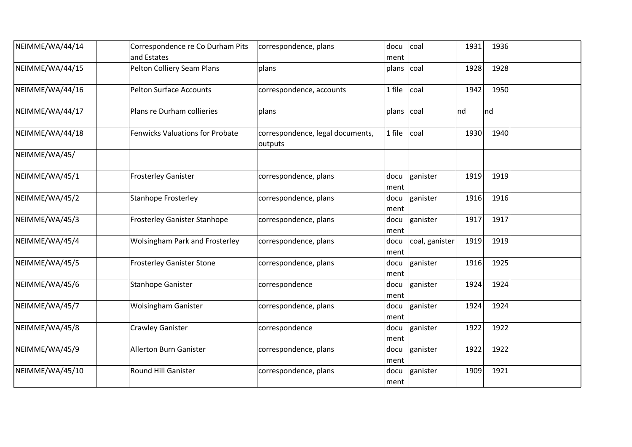| NEIMME/WA/44/14 | Correspondence re Co Durham Pits<br>and Estates | correspondence, plans                       | docu<br>ment | coal           | 1931 | 1936 |  |
|-----------------|-------------------------------------------------|---------------------------------------------|--------------|----------------|------|------|--|
| NEIMME/WA/44/15 | Pelton Colliery Seam Plans                      | plans                                       | plans coal   |                | 1928 | 1928 |  |
| NEIMME/WA/44/16 | <b>Pelton Surface Accounts</b>                  | correspondence, accounts                    | 1 file       | coal           | 1942 | 1950 |  |
| NEIMME/WA/44/17 | Plans re Durham collieries                      | plans                                       | plans        | coal           | nd   | nd   |  |
| NEIMME/WA/44/18 | <b>Fenwicks Valuations for Probate</b>          | correspondence, legal documents,<br>outputs | 1 file       | coal           | 1930 | 1940 |  |
| NEIMME/WA/45/   |                                                 |                                             |              |                |      |      |  |
| NEIMME/WA/45/1  | <b>Frosterley Ganister</b>                      | correspondence, plans                       | docu<br>ment | ganister       | 1919 | 1919 |  |
| NEIMME/WA/45/2  | <b>Stanhope Frosterley</b>                      | correspondence, plans                       | docu<br>ment | ganister       | 1916 | 1916 |  |
| NEIMME/WA/45/3  | Frosterley Ganister Stanhope                    | correspondence, plans                       | docu<br>ment | ganister       | 1917 | 1917 |  |
| NEIMME/WA/45/4  | <b>Wolsingham Park and Frosterley</b>           | correspondence, plans                       | docu<br>ment | coal, ganister | 1919 | 1919 |  |
| NEIMME/WA/45/5  | <b>Frosterley Ganister Stone</b>                | correspondence, plans                       | docu<br>ment | ganister       | 1916 | 1925 |  |
| NEIMME/WA/45/6  | <b>Stanhope Ganister</b>                        | correspondence                              | docu<br>ment | ganister       | 1924 | 1924 |  |
| NEIMME/WA/45/7  | <b>Wolsingham Ganister</b>                      | correspondence, plans                       | docu<br>ment | ganister       | 1924 | 1924 |  |
| NEIMME/WA/45/8  | <b>Crawley Ganister</b>                         | correspondence                              | docu<br>ment | ganister       | 1922 | 1922 |  |
| NEIMME/WA/45/9  | <b>Allerton Burn Ganister</b>                   | correspondence, plans                       | docu<br>ment | ganister       | 1922 | 1922 |  |
| NEIMME/WA/45/10 | Round Hill Ganister                             | correspondence, plans                       | docu<br>ment | ganister       | 1909 | 1921 |  |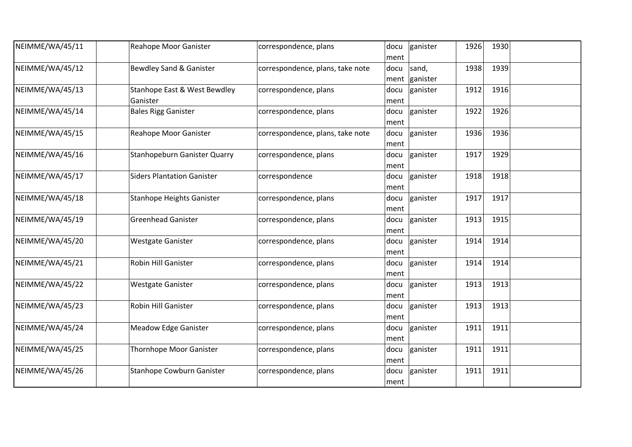| NEIMME/WA/45/11 | Reahope Moor Ganister                    | correspondence, plans            | docu<br>ment | ganister          | 1926 | 1930 |  |
|-----------------|------------------------------------------|----------------------------------|--------------|-------------------|------|------|--|
| NEIMME/WA/45/12 | <b>Bewdley Sand &amp; Ganister</b>       | correspondence, plans, take note | docu<br>ment | sand,<br>ganister | 1938 | 1939 |  |
| NEIMME/WA/45/13 | Stanhope East & West Bewdley<br>Ganister | correspondence, plans            | docu<br>ment | ganister          | 1912 | 1916 |  |
| NEIMME/WA/45/14 | <b>Bales Rigg Ganister</b>               | correspondence, plans            | docu<br>ment | ganister          | 1922 | 1926 |  |
| NEIMME/WA/45/15 | Reahope Moor Ganister                    | correspondence, plans, take note | docu<br>ment | ganister          | 1936 | 1936 |  |
| NEIMME/WA/45/16 | Stanhopeburn Ganister Quarry             | correspondence, plans            | docu<br>ment | ganister          | 1917 | 1929 |  |
| NEIMME/WA/45/17 | <b>Siders Plantation Ganister</b>        | correspondence                   | docu<br>ment | ganister          | 1918 | 1918 |  |
| NEIMME/WA/45/18 | <b>Stanhope Heights Ganister</b>         | correspondence, plans            | docu<br>ment | ganister          | 1917 | 1917 |  |
| NEIMME/WA/45/19 | <b>Greenhead Ganister</b>                | correspondence, plans            | docu<br>ment | ganister          | 1913 | 1915 |  |
| NEIMME/WA/45/20 | <b>Westgate Ganister</b>                 | correspondence, plans            | docu<br>ment | ganister          | 1914 | 1914 |  |
| NEIMME/WA/45/21 | <b>Robin Hill Ganister</b>               | correspondence, plans            | docu<br>ment | ganister          | 1914 | 1914 |  |
| NEIMME/WA/45/22 | <b>Westgate Ganister</b>                 | correspondence, plans            | docu<br>ment | ganister          | 1913 | 1913 |  |
| NEIMME/WA/45/23 | Robin Hill Ganister                      | correspondence, plans            | docu<br>ment | ganister          | 1913 | 1913 |  |
| NEIMME/WA/45/24 | Meadow Edge Ganister                     | correspondence, plans            | docu<br>ment | ganister          | 1911 | 1911 |  |
| NEIMME/WA/45/25 | <b>Thornhope Moor Ganister</b>           | correspondence, plans            | docu<br>ment | ganister          | 1911 | 1911 |  |
| NEIMME/WA/45/26 | Stanhope Cowburn Ganister                | correspondence, plans            | docu<br>ment | ganister          | 1911 | 1911 |  |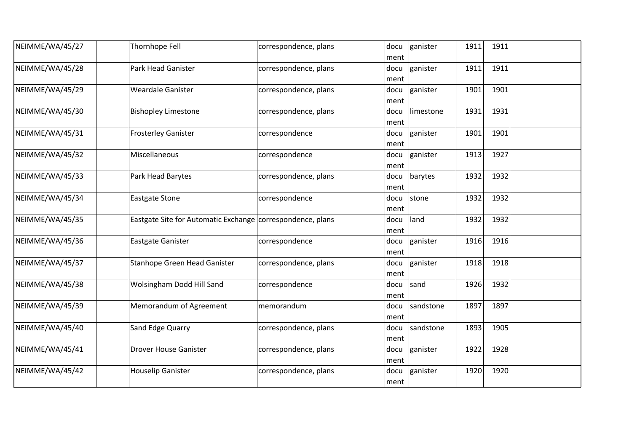| NEIMME/WA/45/27 | Thornhope Fell                                             | correspondence, plans | docu<br>ment  | ganister  | 1911 | 1911 |  |
|-----------------|------------------------------------------------------------|-----------------------|---------------|-----------|------|------|--|
| NEIMME/WA/45/28 | Park Head Ganister                                         | correspondence, plans | docu<br>ment  | ganister  | 1911 | 1911 |  |
| NEIMME/WA/45/29 | <b>Weardale Ganister</b>                                   | correspondence, plans | docu<br>ment  | ganister  | 1901 | 1901 |  |
| NEIMME/WA/45/30 | <b>Bishopley Limestone</b>                                 | correspondence, plans | docu<br>ment  | limestone | 1931 | 1931 |  |
| NEIMME/WA/45/31 | <b>Frosterley Ganister</b>                                 | correspondence        | docu<br> ment | ganister  | 1901 | 1901 |  |
| NEIMME/WA/45/32 | Miscellaneous                                              | correspondence        | docu<br>ment  | ganister  | 1913 | 1927 |  |
| NEIMME/WA/45/33 | Park Head Barytes                                          | correspondence, plans | docu<br>ment  | barytes   | 1932 | 1932 |  |
| NEIMME/WA/45/34 | <b>Eastgate Stone</b>                                      | correspondence        | docu<br>ment  | stone     | 1932 | 1932 |  |
| NEIMME/WA/45/35 | Eastgate Site for Automatic Exchange correspondence, plans |                       | docu<br>ment  | land      | 1932 | 1932 |  |
| NEIMME/WA/45/36 | <b>Eastgate Ganister</b>                                   | correspondence        | docu<br>ment  | ganister  | 1916 | 1916 |  |
| NEIMME/WA/45/37 | Stanhope Green Head Ganister                               | correspondence, plans | docu<br>ment  | ganister  | 1918 | 1918 |  |
| NEIMME/WA/45/38 | Wolsingham Dodd Hill Sand                                  | correspondence        | docu<br>ment  | sand      | 1926 | 1932 |  |
| NEIMME/WA/45/39 | Memorandum of Agreement                                    | memorandum            | docu<br>ment  | sandstone | 1897 | 1897 |  |
| NEIMME/WA/45/40 | Sand Edge Quarry                                           | correspondence, plans | docu<br>ment  | sandstone | 1893 | 1905 |  |
| NEIMME/WA/45/41 | <b>Drover House Ganister</b>                               | correspondence, plans | docu<br>ment  | ganister  | 1922 | 1928 |  |
| NEIMME/WA/45/42 | <b>Houselip Ganister</b>                                   | correspondence, plans | docu<br>ment  | ganister  | 1920 | 1920 |  |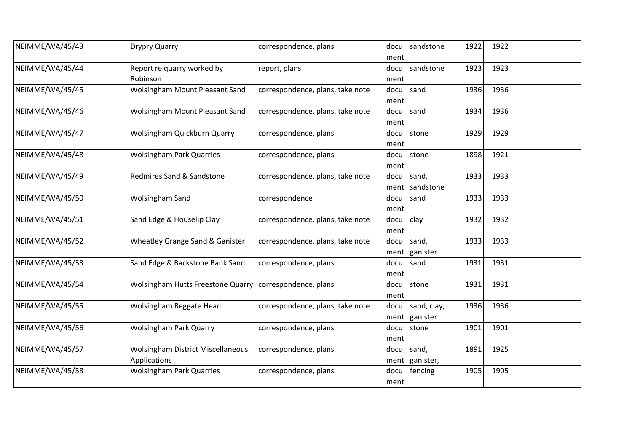| NEIMME/WA/45/43 | Drypry Quarry                                                   | correspondence, plans            | docu<br>ment | sandstone               | 1922 | 1922 |  |
|-----------------|-----------------------------------------------------------------|----------------------------------|--------------|-------------------------|------|------|--|
| NEIMME/WA/45/44 | Report re quarry worked by<br>Robinson                          | report, plans                    | docu<br>ment | sandstone               | 1923 | 1923 |  |
| NEIMME/WA/45/45 | <b>Wolsingham Mount Pleasant Sand</b>                           | correspondence, plans, take note | docu<br>ment | sand                    | 1936 | 1936 |  |
| NEIMME/WA/45/46 | <b>Wolsingham Mount Pleasant Sand</b>                           | correspondence, plans, take note | docu<br>ment | sand                    | 1934 | 1936 |  |
| NEIMME/WA/45/47 | Wolsingham Quickburn Quarry                                     | correspondence, plans            | docu<br>ment | stone                   | 1929 | 1929 |  |
| NEIMME/WA/45/48 | <b>Wolsingham Park Quarries</b>                                 | correspondence, plans            | docu<br>ment | stone                   | 1898 | 1921 |  |
| NEIMME/WA/45/49 | Redmires Sand & Sandstone                                       | correspondence, plans, take note | docu         | sand,<br>ment sandstone | 1933 | 1933 |  |
| NEIMME/WA/45/50 | <b>Wolsingham Sand</b>                                          | correspondence                   | docu<br>ment | sand                    | 1933 | 1933 |  |
| NEIMME/WA/45/51 | Sand Edge & Houselip Clay                                       | correspondence, plans, take note | docu<br>ment | clay                    | 1932 | 1932 |  |
| NEIMME/WA/45/52 | Wheatley Grange Sand & Ganister                                 | correspondence, plans, take note | docu         | sand,<br>ment ganister  | 1933 | 1933 |  |
| NEIMME/WA/45/53 | Sand Edge & Backstone Bank Sand                                 | correspondence, plans            | docu<br>ment | sand                    | 1931 | 1931 |  |
| NEIMME/WA/45/54 | Wolsingham Hutts Freestone Quarry   correspondence, plans       |                                  | docu<br>ment | stone                   | 1931 | 1931 |  |
| NEIMME/WA/45/55 | Wolsingham Reggate Head                                         | correspondence, plans, take note | docu<br>ment | sand, clay,<br>ganister | 1936 | 1936 |  |
| NEIMME/WA/45/56 | <b>Wolsingham Park Quarry</b>                                   | correspondence, plans            | docu<br>ment | stone                   | 1901 | 1901 |  |
| NEIMME/WA/45/57 | <b>Wolsingham District Miscellaneous</b><br><b>Applications</b> | correspondence, plans            | docu         | sand,<br>ment ganister, | 1891 | 1925 |  |
| NEIMME/WA/45/58 | <b>Wolsingham Park Quarries</b>                                 | correspondence, plans            | docu<br>ment | fencing                 | 1905 | 1905 |  |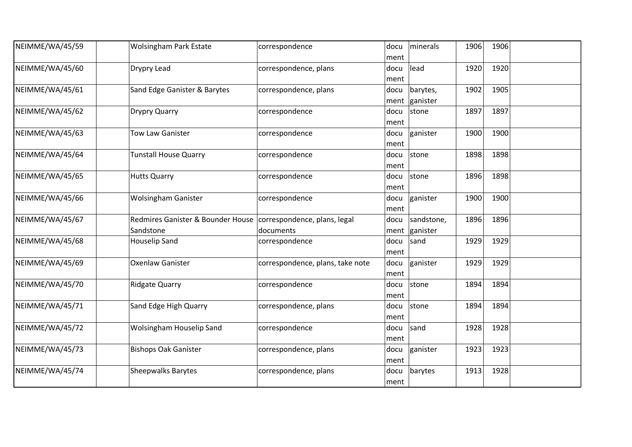| NEIMME/WA/45/59 | <b>Wolsingham Park Estate</b>                                                 | correspondence                   | docu<br>ment | minerals                        | 1906 | 1906 |  |
|-----------------|-------------------------------------------------------------------------------|----------------------------------|--------------|---------------------------------|------|------|--|
| NEIMME/WA/45/60 | Drypry Lead                                                                   | correspondence, plans            | docu<br>ment | lead                            | 1920 | 1920 |  |
| NEIMME/WA/45/61 | Sand Edge Ganister & Barytes                                                  | correspondence, plans            | docu         | barytes,<br>ment ganister       | 1902 | 1905 |  |
| NEIMME/WA/45/62 | <b>Drypry Quarry</b>                                                          | correspondence                   | docu<br>ment | stone                           | 1897 | 1897 |  |
| NEIMME/WA/45/63 | <b>Tow Law Ganister</b>                                                       | correspondence                   | docu<br>ment | ganister                        | 1900 | 1900 |  |
| NEIMME/WA/45/64 | <b>Tunstall House Quarry</b>                                                  | correspondence                   | docu<br>ment | stone                           | 1898 | 1898 |  |
| NEIMME/WA/45/65 | <b>Hutts Quarry</b>                                                           | correspondence                   | docu<br>ment | stone                           | 1896 | 1898 |  |
| NEIMME/WA/45/66 | <b>Wolsingham Ganister</b>                                                    | correspondence                   | docu<br>ment | ganister                        | 1900 | 1900 |  |
| NEIMME/WA/45/67 | Redmires Ganister & Bounder House   correspondence, plans, legal<br>Sandstone | documents                        | docu         | sandstone,<br>ment $ $ ganister | 1896 | 1896 |  |
| NEIMME/WA/45/68 | <b>Houselip Sand</b>                                                          | correspondence                   | docu<br>ment | sand                            | 1929 | 1929 |  |
| NEIMME/WA/45/69 | <b>Oxenlaw Ganister</b>                                                       | correspondence, plans, take note | docu<br>ment | ganister                        | 1929 | 1929 |  |
| NEIMME/WA/45/70 | <b>Ridgate Quarry</b>                                                         | correspondence                   | docu<br>ment | stone                           | 1894 | 1894 |  |
| NEIMME/WA/45/71 | Sand Edge High Quarry                                                         | correspondence, plans            | docu<br>ment | stone                           | 1894 | 1894 |  |
| NEIMME/WA/45/72 | Wolsingham Houselip Sand                                                      | correspondence                   | docu<br>ment | sand                            | 1928 | 1928 |  |
| NEIMME/WA/45/73 | <b>Bishops Oak Ganister</b>                                                   | correspondence, plans            | docu<br>ment | ganister                        | 1923 | 1923 |  |
| NEIMME/WA/45/74 | <b>Sheepwalks Barytes</b>                                                     | correspondence, plans            | docu<br>ment | barytes                         | 1913 | 1928 |  |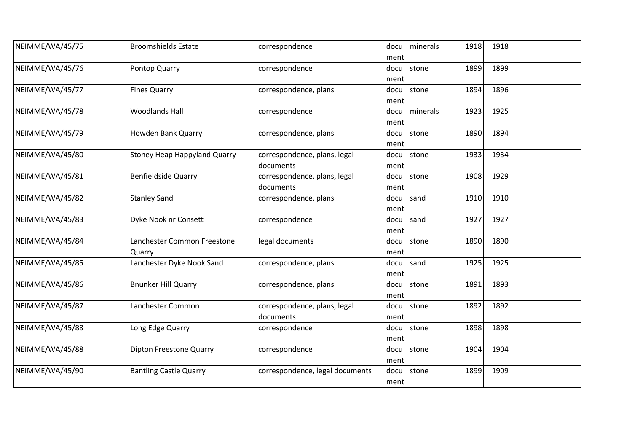| NEIMME/WA/45/75 | <b>Broomshields Estate</b>            | correspondence                            | docu<br>ment | minerals | 1918 | 1918 |  |
|-----------------|---------------------------------------|-------------------------------------------|--------------|----------|------|------|--|
| NEIMME/WA/45/76 | Pontop Quarry                         | correspondence                            | docu<br>ment | stone    | 1899 | 1899 |  |
| NEIMME/WA/45/77 | <b>Fines Quarry</b>                   | correspondence, plans                     | docu<br>ment | stone    | 1894 | 1896 |  |
| NEIMME/WA/45/78 | <b>Woodlands Hall</b>                 | correspondence                            | docu<br>ment | minerals | 1923 | 1925 |  |
| NEIMME/WA/45/79 | Howden Bank Quarry                    | correspondence, plans                     | docu<br>ment | stone    | 1890 | 1894 |  |
| NEIMME/WA/45/80 | <b>Stoney Heap Happyland Quarry</b>   | correspondence, plans, legal<br>documents | docu<br>ment | stone    | 1933 | 1934 |  |
| NEIMME/WA/45/81 | <b>Benfieldside Quarry</b>            | correspondence, plans, legal<br>documents | docu<br>ment | stone    | 1908 | 1929 |  |
| NEIMME/WA/45/82 | <b>Stanley Sand</b>                   | correspondence, plans                     | docu<br>ment | sand     | 1910 | 1910 |  |
| NEIMME/WA/45/83 | Dyke Nook nr Consett                  | correspondence                            | docu<br>ment | sand     | 1927 | 1927 |  |
| NEIMME/WA/45/84 | Lanchester Common Freestone<br>Quarry | legal documents                           | docu<br>ment | stone    | 1890 | 1890 |  |
| NEIMME/WA/45/85 | Lanchester Dyke Nook Sand             | correspondence, plans                     | docu<br>ment | sand     | 1925 | 1925 |  |
| NEIMME/WA/45/86 | <b>Bnunker Hill Quarry</b>            | correspondence, plans                     | docu<br>ment | stone    | 1891 | 1893 |  |
| NEIMME/WA/45/87 | Lanchester Common                     | correspondence, plans, legal<br>documents | docu<br>ment | stone    | 1892 | 1892 |  |
| NEIMME/WA/45/88 | Long Edge Quarry                      | correspondence                            | docu<br>ment | stone    | 1898 | 1898 |  |
| NEIMME/WA/45/88 | Dipton Freestone Quarry               | correspondence                            | docu<br>ment | stone    | 1904 | 1904 |  |
| NEIMME/WA/45/90 | <b>Bantling Castle Quarry</b>         | correspondence, legal documents           | docu<br>ment | stone    | 1899 | 1909 |  |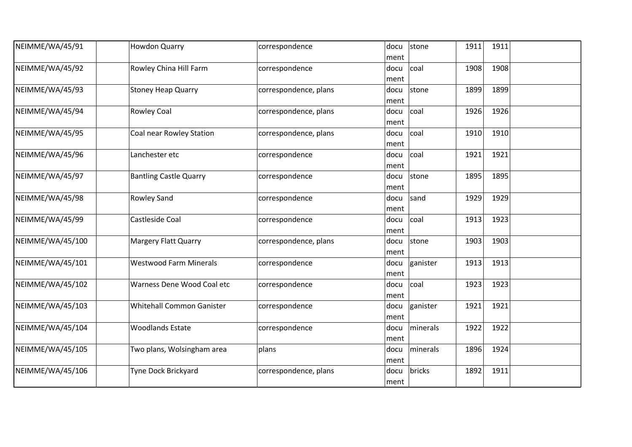| NEIMME/WA/45/91  | <b>Howdon Quarry</b>             | correspondence        | stone<br>docu<br>ment    | 1911             | 1911 |  |
|------------------|----------------------------------|-----------------------|--------------------------|------------------|------|--|
| NEIMME/WA/45/92  | Rowley China Hill Farm           | correspondence        | coal<br>docu<br>ment     | 1908             | 1908 |  |
| NEIMME/WA/45/93  | <b>Stoney Heap Quarry</b>        | correspondence, plans | stone<br>docu<br>ment    | 1899             | 1899 |  |
| NEIMME/WA/45/94  | <b>Rowley Coal</b>               | correspondence, plans | coal<br>docu<br>ment     | 1926             | 1926 |  |
| NEIMME/WA/45/95  | Coal near Rowley Station         | correspondence, plans | coal<br>docu<br>ment     | 1910             | 1910 |  |
| NEIMME/WA/45/96  | Lanchester etc                   | correspondence        | docu<br>coal<br>ment     | 1921             | 1921 |  |
| NEIMME/WA/45/97  | <b>Bantling Castle Quarry</b>    | correspondence        | stone<br>docu<br>ment    | 1895             | 1895 |  |
| NEIMME/WA/45/98  | <b>Rowley Sand</b>               | correspondence        | sand<br>docu<br>ment     | 1929             | 1929 |  |
| NEIMME/WA/45/99  | Castleside Coal                  | correspondence        | docu<br>coal<br>ment     | 1913             | 1923 |  |
| NEIMME/WA/45/100 | <b>Margery Flatt Quarry</b>      | correspondence, plans | stone<br>docu<br>ment    | 1903             | 1903 |  |
| NEIMME/WA/45/101 | <b>Westwood Farm Minerals</b>    | correspondence        | ganister<br>docu<br>ment | 1913             | 1913 |  |
| NEIMME/WA/45/102 | Warness Dene Wood Coal etc       | correspondence        | docu<br>coal<br>ment     | 1923             | 1923 |  |
| NEIMME/WA/45/103 | <b>Whitehall Common Ganister</b> | correspondence        | ganister<br>docu<br>ment | 1921             | 1921 |  |
| NEIMME/WA/45/104 | <b>Woodlands Estate</b>          | correspondence        | docu<br>ment             | minerals<br>1922 | 1922 |  |
| NEIMME/WA/45/105 | Two plans, Wolsingham area       | plans                 | docu<br>ment             | 1896<br>minerals | 1924 |  |
| NEIMME/WA/45/106 | Tyne Dock Brickyard              | correspondence, plans | bricks<br>docu<br>ment   | 1892             | 1911 |  |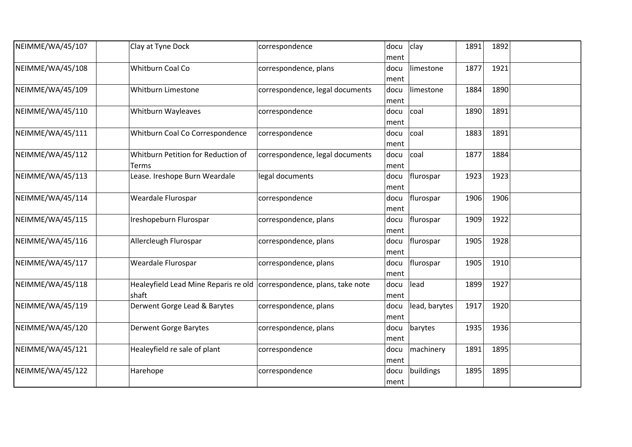| NEIMME/WA/45/107 | Clay at Tyne Dock                                                                | correspondence                  | docu<br>ment | clay          | 1891 | 1892 |  |
|------------------|----------------------------------------------------------------------------------|---------------------------------|--------------|---------------|------|------|--|
| NEIMME/WA/45/108 | Whitburn Coal Co                                                                 | correspondence, plans           | docu<br>ment | limestone     | 1877 | 1921 |  |
| NEIMME/WA/45/109 | Whitburn Limestone                                                               | correspondence, legal documents | docu<br>ment | limestone     | 1884 | 1890 |  |
| NEIMME/WA/45/110 | Whitburn Wayleaves                                                               | correspondence                  | docu<br>ment | coal          | 1890 | 1891 |  |
| NEIMME/WA/45/111 | Whitburn Coal Co Correspondence                                                  | correspondence                  | docu<br>ment | coal          | 1883 | 1891 |  |
| NEIMME/WA/45/112 | Whitburn Petition for Reduction of<br>Terms                                      | correspondence, legal documents | docu<br>ment | coal          | 1877 | 1884 |  |
| NEIMME/WA/45/113 | Lease. Ireshope Burn Weardale                                                    | legal documents                 | docu<br>ment | flurospar     | 1923 | 1923 |  |
| NEIMME/WA/45/114 | Weardale Flurospar                                                               | correspondence                  | docu<br>ment | flurospar     | 1906 | 1906 |  |
| NEIMME/WA/45/115 | Ireshopeburn Flurospar                                                           | correspondence, plans           | docu<br>ment | flurospar     | 1909 | 1922 |  |
| NEIMME/WA/45/116 | Allercleugh Flurospar                                                            | correspondence, plans           | docu<br>ment | flurospar     | 1905 | 1928 |  |
| NEIMME/WA/45/117 | Weardale Flurospar                                                               | correspondence, plans           | docu<br>ment | flurospar     | 1905 | 1910 |  |
| NEIMME/WA/45/118 | Healeyfield Lead Mine Reparis re old   correspondence, plans, take note<br>shaft |                                 | docu<br>ment | lead          | 1899 | 1927 |  |
| NEIMME/WA/45/119 | Derwent Gorge Lead & Barytes                                                     | correspondence, plans           | docu<br>ment | lead, barytes | 1917 | 1920 |  |
| NEIMME/WA/45/120 | <b>Derwent Gorge Barytes</b>                                                     | correspondence, plans           | docu<br>ment | barytes       | 1935 | 1936 |  |
| NEIMME/WA/45/121 | Healeyfield re sale of plant                                                     | correspondence                  | docu<br>ment | machinery     | 1891 | 1895 |  |
| NEIMME/WA/45/122 | Harehope                                                                         | correspondence                  | docu<br>ment | buildings     | 1895 | 1895 |  |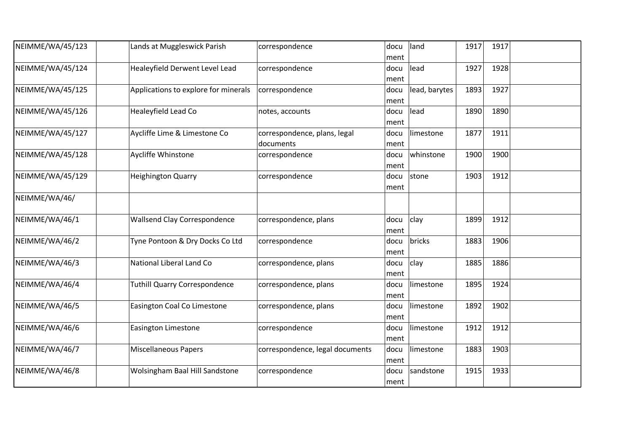| NEIMME/WA/45/123 | Lands at Muggleswick Parish          | correspondence                            | docu<br>ment | land          | 1917 | 1917 |  |
|------------------|--------------------------------------|-------------------------------------------|--------------|---------------|------|------|--|
| NEIMME/WA/45/124 | Healeyfield Derwent Level Lead       | correspondence                            | docu<br>ment | lead          | 1927 | 1928 |  |
| NEIMME/WA/45/125 | Applications to explore for minerals | correspondence                            | docu<br>ment | lead, barytes | 1893 | 1927 |  |
| NEIMME/WA/45/126 | Healeyfield Lead Co                  | notes, accounts                           | docu<br>ment | lead          | 1890 | 1890 |  |
| NEIMME/WA/45/127 | Aycliffe Lime & Limestone Co         | correspondence, plans, legal<br>documents | docu<br>ment | limestone     | 1877 | 1911 |  |
| NEIMME/WA/45/128 | Aycliffe Whinstone                   | correspondence                            | docu<br>ment | whinstone     | 1900 | 1900 |  |
| NEIMME/WA/45/129 | <b>Heighington Quarry</b>            | correspondence                            | docu<br>ment | stone         | 1903 | 1912 |  |
| NEIMME/WA/46/    |                                      |                                           |              |               |      |      |  |
| NEIMME/WA/46/1   | <b>Wallsend Clay Correspondence</b>  | correspondence, plans                     | docu<br>ment | clay          | 1899 | 1912 |  |
| NEIMME/WA/46/2   | Tyne Pontoon & Dry Docks Co Ltd      | correspondence                            | docu<br>ment | bricks        | 1883 | 1906 |  |
| NEIMME/WA/46/3   | National Liberal Land Co             | correspondence, plans                     | docu<br>ment | clay          | 1885 | 1886 |  |
| NEIMME/WA/46/4   | <b>Tuthill Quarry Correspondence</b> | correspondence, plans                     | docu<br>ment | limestone     | 1895 | 1924 |  |
| NEIMME/WA/46/5   | Easington Coal Co Limestone          | correspondence, plans                     | docu<br>ment | limestone     | 1892 | 1902 |  |
| NEIMME/WA/46/6   | <b>Easington Limestone</b>           | correspondence                            | docu<br>ment | limestone     | 1912 | 1912 |  |
| NEIMME/WA/46/7   | <b>Miscellaneous Papers</b>          | correspondence, legal documents           | docu<br>ment | limestone     | 1883 | 1903 |  |
| NEIMME/WA/46/8   | Wolsingham Baal Hill Sandstone       | correspondence                            | docu<br>ment | sandstone     | 1915 | 1933 |  |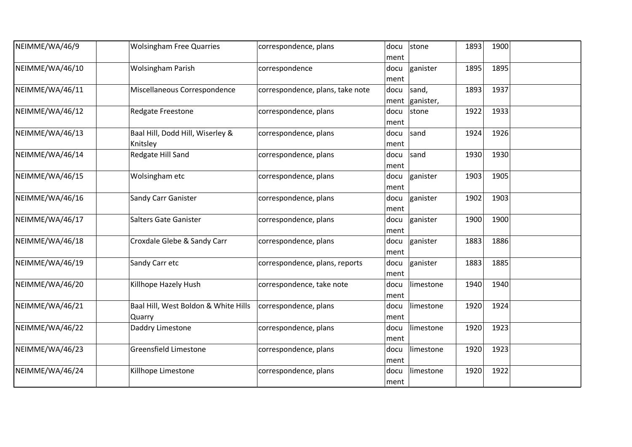| NEIMME/WA/46/9  | <b>Wolsingham Free Quarries</b>                | correspondence, plans            | docu<br>ment | stone              | 1893 | 1900 |  |
|-----------------|------------------------------------------------|----------------------------------|--------------|--------------------|------|------|--|
| NEIMME/WA/46/10 | <b>Wolsingham Parish</b>                       | correspondence                   | docu<br>ment | ganister           | 1895 | 1895 |  |
| NEIMME/WA/46/11 | Miscellaneous Correspondence                   | correspondence, plans, take note | docu<br>ment | sand,<br>ganister, | 1893 | 1937 |  |
| NEIMME/WA/46/12 | <b>Redgate Freestone</b>                       | correspondence, plans            | docu<br>ment | stone              | 1922 | 1933 |  |
| NEIMME/WA/46/13 | Baal Hill, Dodd Hill, Wiserley &<br>Knitsley   | correspondence, plans            | docu<br>ment | sand               | 1924 | 1926 |  |
| NEIMME/WA/46/14 | Redgate Hill Sand                              | correspondence, plans            | docu<br>ment | sand               | 1930 | 1930 |  |
| NEIMME/WA/46/15 | Wolsingham etc                                 | correspondence, plans            | docu<br>ment | ganister           | 1903 | 1905 |  |
| NEIMME/WA/46/16 | Sandy Carr Ganister                            | correspondence, plans            | docu<br>ment | ganister           | 1902 | 1903 |  |
| NEIMME/WA/46/17 | Salters Gate Ganister                          | correspondence, plans            | docu<br>ment | ganister           | 1900 | 1900 |  |
| NEIMME/WA/46/18 | Croxdale Glebe & Sandy Carr                    | correspondence, plans            | docu<br>ment | ganister           | 1883 | 1886 |  |
| NEIMME/WA/46/19 | Sandy Carr etc                                 | correspondence, plans, reports   | docu<br>ment | ganister           | 1883 | 1885 |  |
| NEIMME/WA/46/20 | Killhope Hazely Hush                           | correspondence, take note        | docu<br>ment | limestone          | 1940 | 1940 |  |
| NEIMME/WA/46/21 | Baal Hill, West Boldon & White Hills<br>Quarry | correspondence, plans            | docu<br>ment | limestone          | 1920 | 1924 |  |
| NEIMME/WA/46/22 | Daddry Limestone                               | correspondence, plans            | docu<br>ment | limestone          | 1920 | 1923 |  |
| NEIMME/WA/46/23 | <b>Greensfield Limestone</b>                   | correspondence, plans            | docu<br>ment | limestone          | 1920 | 1923 |  |
| NEIMME/WA/46/24 | Killhope Limestone                             | correspondence, plans            | docu<br>ment | limestone          | 1920 | 1922 |  |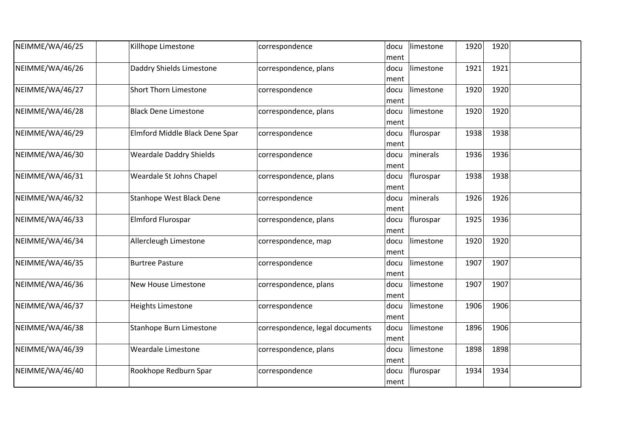| NEIMME/WA/46/25 | Killhope Limestone              | correspondence                  | docu<br>ment | limestone | 1920 | 1920 |  |
|-----------------|---------------------------------|---------------------------------|--------------|-----------|------|------|--|
| NEIMME/WA/46/26 | Daddry Shields Limestone        | correspondence, plans           | docu<br>ment | limestone | 1921 | 1921 |  |
| NEIMME/WA/46/27 | <b>Short Thorn Limestone</b>    | correspondence                  | docu<br>ment | limestone | 1920 | 1920 |  |
| NEIMME/WA/46/28 | <b>Black Dene Limestone</b>     | correspondence, plans           | docu<br>ment | limestone | 1920 | 1920 |  |
| NEIMME/WA/46/29 | Elmford Middle Black Dene Spar  | correspondence                  | docu<br>ment | flurospar | 1938 | 1938 |  |
| NEIMME/WA/46/30 | <b>Weardale Daddry Shields</b>  | correspondence                  | docu<br>ment | minerals  | 1936 | 1936 |  |
| NEIMME/WA/46/31 | Weardale St Johns Chapel        | correspondence, plans           | docu<br>ment | flurospar | 1938 | 1938 |  |
| NEIMME/WA/46/32 | <b>Stanhope West Black Dene</b> | correspondence                  | docu<br>ment | minerals  | 1926 | 1926 |  |
| NEIMME/WA/46/33 | Elmford Flurospar               | correspondence, plans           | docu<br>ment | flurospar | 1925 | 1936 |  |
| NEIMME/WA/46/34 | Allercleugh Limestone           | correspondence, map             | docu<br>ment | limestone | 1920 | 1920 |  |
| NEIMME/WA/46/35 | <b>Burtree Pasture</b>          | correspondence                  | docu<br>ment | limestone | 1907 | 1907 |  |
| NEIMME/WA/46/36 | New House Limestone             | correspondence, plans           | docu<br>ment | limestone | 1907 | 1907 |  |
| NEIMME/WA/46/37 | <b>Heights Limestone</b>        | correspondence                  | docu<br>ment | limestone | 1906 | 1906 |  |
| NEIMME/WA/46/38 | Stanhope Burn Limestone         | correspondence, legal documents | docu<br>ment | limestone | 1896 | 1906 |  |
| NEIMME/WA/46/39 | <b>Weardale Limestone</b>       | correspondence, plans           | docu<br>ment | limestone | 1898 | 1898 |  |
| NEIMME/WA/46/40 | Rookhope Redburn Spar           | correspondence                  | docu<br>ment | flurospar | 1934 | 1934 |  |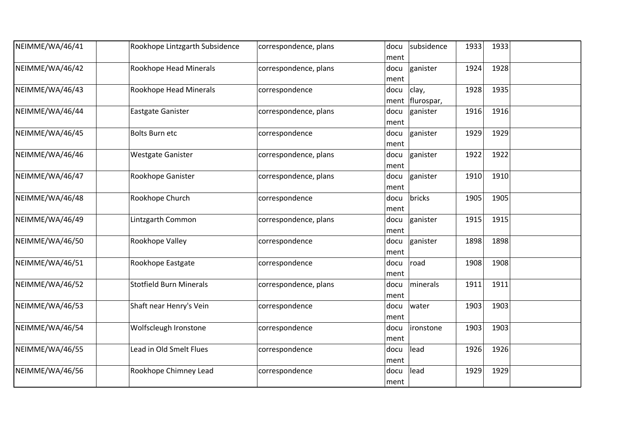| NEIMME/WA/46/41 | Rookhope Lintzgarth Subsidence | correspondence, plans | subsidence<br>docu<br>ment          | 1933<br>1933 |  |
|-----------------|--------------------------------|-----------------------|-------------------------------------|--------------|--|
| NEIMME/WA/46/42 | Rookhope Head Minerals         | correspondence, plans | ganister<br>docu<br>ment            | 1928<br>1924 |  |
| NEIMME/WA/46/43 | Rookhope Head Minerals         | correspondence        | clay,<br>docu<br>flurospar,<br>ment | 1928<br>1935 |  |
| NEIMME/WA/46/44 | Eastgate Ganister              | correspondence, plans | ganister<br>docu<br>ment            | 1916<br>1916 |  |
| NEIMME/WA/46/45 | <b>Bolts Burn etc</b>          | correspondence        | ganister<br>docu<br>ment            | 1929<br>1929 |  |
| NEIMME/WA/46/46 | <b>Westgate Ganister</b>       | correspondence, plans | ganister<br>docu<br>ment            | 1922<br>1922 |  |
| NEIMME/WA/46/47 | Rookhope Ganister              | correspondence, plans | ganister<br>docu<br>ment            | 1910<br>1910 |  |
| NEIMME/WA/46/48 | Rookhope Church                | correspondence        | bricks<br>docu<br>ment              | 1905<br>1905 |  |
| NEIMME/WA/46/49 | Lintzgarth Common              | correspondence, plans | docu<br>ganister<br>ment            | 1915<br>1915 |  |
| NEIMME/WA/46/50 | Rookhope Valley                | correspondence        | ganister<br>docu<br>ment            | 1898<br>1898 |  |
| NEIMME/WA/46/51 | Rookhope Eastgate              | correspondence        | road<br>docu<br>ment                | 1908<br>1908 |  |
| NEIMME/WA/46/52 | <b>Stotfield Burn Minerals</b> | correspondence, plans | docu<br>minerals<br>ment            | 1911<br>1911 |  |
| NEIMME/WA/46/53 | Shaft near Henry's Vein        | correspondence        | water<br>docu<br>ment               | 1903<br>1903 |  |
| NEIMME/WA/46/54 | Wolfscleugh Ironstone          | correspondence        | <i>ironstone</i><br>docu<br>ment    | 1903<br>1903 |  |
| NEIMME/WA/46/55 | Lead in Old Smelt Flues        | correspondence        | lead<br>docu<br>ment                | 1926<br>1926 |  |
| NEIMME/WA/46/56 | Rookhope Chimney Lead          | correspondence        | lead<br>docu<br>ment                | 1929<br>1929 |  |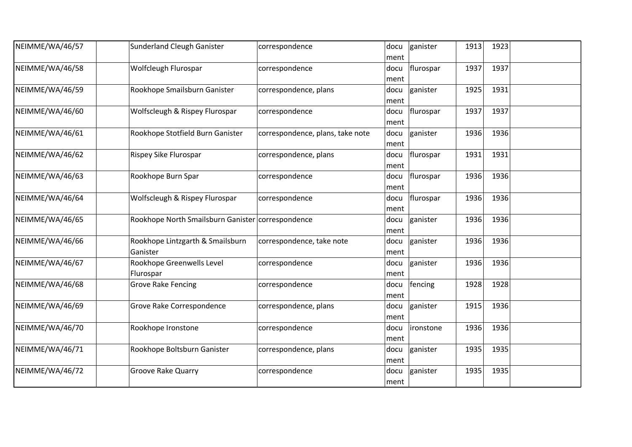| NEIMME/WA/46/57 | <b>Sunderland Cleugh Ganister</b>                 | correspondence                   | docu<br>ment | ganister  | 1913 | 1923 |  |
|-----------------|---------------------------------------------------|----------------------------------|--------------|-----------|------|------|--|
| NEIMME/WA/46/58 | Wolfcleugh Flurospar                              | correspondence                   | docu<br>ment | flurospar | 1937 | 1937 |  |
| NEIMME/WA/46/59 | Rookhope Smailsburn Ganister                      | correspondence, plans            | docu<br>ment | ganister  | 1925 | 1931 |  |
| NEIMME/WA/46/60 | Wolfscleugh & Rispey Flurospar                    | correspondence                   | docu<br>ment | flurospar | 1937 | 1937 |  |
| NEIMME/WA/46/61 | Rookhope Stotfield Burn Ganister                  | correspondence, plans, take note | docu<br>ment | ganister  | 1936 | 1936 |  |
| NEIMME/WA/46/62 | Rispey Sike Flurospar                             | correspondence, plans            | docu<br>ment | flurospar | 1931 | 1931 |  |
| NEIMME/WA/46/63 | Rookhope Burn Spar                                | correspondence                   | docu<br>ment | flurospar | 1936 | 1936 |  |
| NEIMME/WA/46/64 | Wolfscleugh & Rispey Flurospar                    | correspondence                   | docu<br>ment | flurospar | 1936 | 1936 |  |
| NEIMME/WA/46/65 | Rookhope North Smailsburn Ganister correspondence |                                  | docu<br>ment | ganister  | 1936 | 1936 |  |
| NEIMME/WA/46/66 | Rookhope Lintzgarth & Smailsburn<br>Ganister      | correspondence, take note        | docu<br>ment | ganister  | 1936 | 1936 |  |
| NEIMME/WA/46/67 | Rookhope Greenwells Level<br>Flurospar            | correspondence                   | docu<br>ment | ganister  | 1936 | 1936 |  |
| NEIMME/WA/46/68 | <b>Grove Rake Fencing</b>                         | correspondence                   | docu<br>ment | fencing   | 1928 | 1928 |  |
| NEIMME/WA/46/69 | Grove Rake Correspondence                         | correspondence, plans            | docu<br>ment | ganister  | 1915 | 1936 |  |
| NEIMME/WA/46/70 | Rookhope Ironstone                                | correspondence                   | docu<br>ment | ironstone | 1936 | 1936 |  |
| NEIMME/WA/46/71 | Rookhope Boltsburn Ganister                       | correspondence, plans            | docu<br>ment | ganister  | 1935 | 1935 |  |
| NEIMME/WA/46/72 | <b>Groove Rake Quarry</b>                         | correspondence                   | docu<br>ment | ganister  | 1935 | 1935 |  |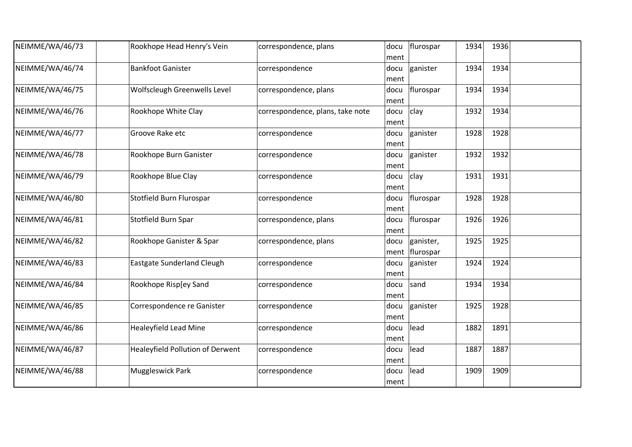| NEIMME/WA/46/73 | Rookhope Head Henry's Vein              | correspondence, plans            | docu<br>ment | flurospar                     | 1934 | 1936 |  |
|-----------------|-----------------------------------------|----------------------------------|--------------|-------------------------------|------|------|--|
| NEIMME/WA/46/74 | <b>Bankfoot Ganister</b>                | correspondence                   | docu<br>ment | ganister                      | 1934 | 1934 |  |
| NEIMME/WA/46/75 | Wolfscleugh Greenwells Level            | correspondence, plans            | docu<br>ment | flurospar                     | 1934 | 1934 |  |
| NEIMME/WA/46/76 | Rookhope White Clay                     | correspondence, plans, take note | docu<br>ment | clay                          | 1932 | 1934 |  |
| NEIMME/WA/46/77 | Groove Rake etc                         | correspondence                   | docu<br>ment | ganister                      | 1928 | 1928 |  |
| NEIMME/WA/46/78 | Rookhope Burn Ganister                  | correspondence                   | docu<br>ment | ganister                      | 1932 | 1932 |  |
| NEIMME/WA/46/79 | Rookhope Blue Clay                      | correspondence                   | docu<br>ment | clay                          | 1931 | 1931 |  |
| NEIMME/WA/46/80 | Stotfield Burn Flurospar                | correspondence                   | docu<br>ment | flurospar                     | 1928 | 1928 |  |
| NEIMME/WA/46/81 | Stotfield Burn Spar                     | correspondence, plans            | docu<br>ment | flurospar                     | 1926 | 1926 |  |
| NEIMME/WA/46/82 | Rookhope Ganister & Spar                | correspondence, plans            | docu         | ganister,<br>ment   flurospar | 1925 | 1925 |  |
| NEIMME/WA/46/83 | <b>Eastgate Sunderland Cleugh</b>       | correspondence                   | docu<br>ment | ganister                      | 1924 | 1924 |  |
| NEIMME/WA/46/84 | Rookhope Risp[ey Sand                   | correspondence                   | docu<br>ment | sand                          | 1934 | 1934 |  |
| NEIMME/WA/46/85 | Correspondence re Ganister              | correspondence                   | docu<br>ment | ganister                      | 1925 | 1928 |  |
| NEIMME/WA/46/86 | <b>Healeyfield Lead Mine</b>            | correspondence                   | docu<br>ment | lead                          | 1882 | 1891 |  |
| NEIMME/WA/46/87 | <b>Healeyfield Pollution of Derwent</b> | correspondence                   | docu<br>ment | lead                          | 1887 | 1887 |  |
| NEIMME/WA/46/88 | Muggleswick Park                        | correspondence                   | docu<br>ment | lead                          | 1909 | 1909 |  |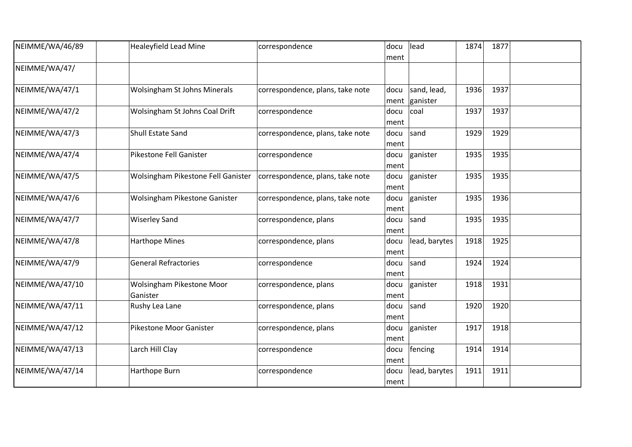| NEIMME/WA/46/89 | <b>Healeyfield Lead Mine</b>          | correspondence                   | docu<br>ment | lead                    | 1874 | 1877 |  |
|-----------------|---------------------------------------|----------------------------------|--------------|-------------------------|------|------|--|
| NEIMME/WA/47/   |                                       |                                  |              |                         |      |      |  |
| NEIMME/WA/47/1  | <b>Wolsingham St Johns Minerals</b>   | correspondence, plans, take note | docu<br>ment | sand, lead,<br>ganister | 1936 | 1937 |  |
| NEIMME/WA/47/2  | Wolsingham St Johns Coal Drift        | correspondence                   | docu<br>ment | coal                    | 1937 | 1937 |  |
| NEIMME/WA/47/3  | Shull Estate Sand                     | correspondence, plans, take note | docu<br>ment | sand                    | 1929 | 1929 |  |
| NEIMME/WA/47/4  | Pikestone Fell Ganister               | correspondence                   | docu<br>ment | ganister                | 1935 | 1935 |  |
| NEIMME/WA/47/5  | Wolsingham Pikestone Fell Ganister    | correspondence, plans, take note | docu<br>ment | ganister                | 1935 | 1935 |  |
| NEIMME/WA/47/6  | Wolsingham Pikestone Ganister         | correspondence, plans, take note | docu<br>ment | ganister                | 1935 | 1936 |  |
| NEIMME/WA/47/7  | <b>Wiserley Sand</b>                  | correspondence, plans            | docu<br>ment | sand                    | 1935 | 1935 |  |
| NEIMME/WA/47/8  | <b>Harthope Mines</b>                 | correspondence, plans            | docu<br>ment | lead, barytes           | 1918 | 1925 |  |
| NEIMME/WA/47/9  | <b>General Refractories</b>           | correspondence                   | docu<br>ment | sand                    | 1924 | 1924 |  |
| NEIMME/WA/47/10 | Wolsingham Pikestone Moor<br>Ganister | correspondence, plans            | docu<br>ment | ganister                | 1918 | 1931 |  |
| NEIMME/WA/47/11 | Rushy Lea Lane                        | correspondence, plans            | docu<br>ment | sand                    | 1920 | 1920 |  |
| NEIMME/WA/47/12 | Pikestone Moor Ganister               | correspondence, plans            | docu<br>ment | ganister                | 1917 | 1918 |  |
| NEIMME/WA/47/13 | Larch Hill Clay                       | correspondence                   | docu<br>ment | fencing                 | 1914 | 1914 |  |
| NEIMME/WA/47/14 | Harthope Burn                         | correspondence                   | docu<br>ment | lead, barytes           | 1911 | 1911 |  |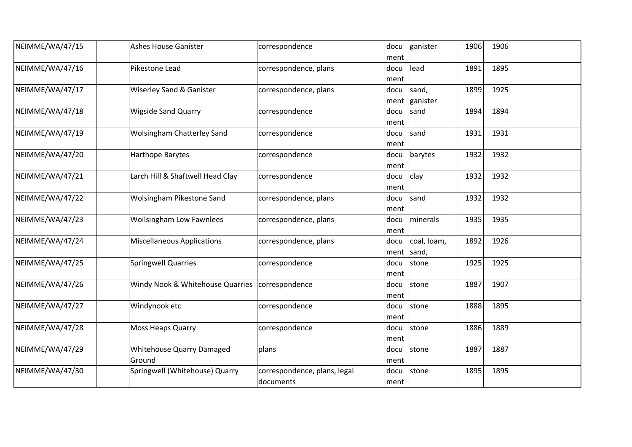| NEIMME/WA/47/15 | <b>Ashes House Ganister</b>                | correspondence                            | docu<br>ment | ganister             | 1906 | 1906 |  |
|-----------------|--------------------------------------------|-------------------------------------------|--------------|----------------------|------|------|--|
| NEIMME/WA/47/16 | Pikestone Lead                             | correspondence, plans                     | docu<br>ment | lead                 | 1891 | 1895 |  |
| NEIMME/WA/47/17 | Wiserley Sand & Ganister                   | correspondence, plans                     | docu<br>ment | sand,<br>ganister    | 1899 | 1925 |  |
| NEIMME/WA/47/18 | <b>Wigside Sand Quarry</b>                 | correspondence                            | docu<br>ment | sand                 | 1894 | 1894 |  |
| NEIMME/WA/47/19 | <b>Wolsingham Chatterley Sand</b>          | correspondence                            | docu<br>ment | sand                 | 1931 | 1931 |  |
| NEIMME/WA/47/20 | Harthope Barytes                           | correspondence                            | docu<br>ment | barytes              | 1932 | 1932 |  |
| NEIMME/WA/47/21 | Larch Hill & Shaftwell Head Clay           | correspondence                            | docu<br>ment | clay                 | 1932 | 1932 |  |
| NEIMME/WA/47/22 | Wolsingham Pikestone Sand                  | correspondence, plans                     | docu<br>ment | sand                 | 1932 | 1932 |  |
| NEIMME/WA/47/23 | <b>Woilsingham Low Fawnlees</b>            | correspondence, plans                     | docu<br>ment | minerals             | 1935 | 1935 |  |
| NEIMME/WA/47/24 | <b>Miscellaneous Applications</b>          | correspondence, plans                     | docu<br>ment | coal, loam,<br>sand, | 1892 | 1926 |  |
| NEIMME/WA/47/25 | <b>Springwell Quarries</b>                 | correspondence                            | docu<br>ment | stone                | 1925 | 1925 |  |
| NEIMME/WA/47/26 | Windy Nook & Whitehouse Quarries           | correspondence                            | docu<br>ment | stone                | 1887 | 1907 |  |
| NEIMME/WA/47/27 | Windynook etc                              | correspondence                            | docu<br>ment | stone                | 1888 | 1895 |  |
| NEIMME/WA/47/28 | <b>Moss Heaps Quarry</b>                   | correspondence                            | docu<br>ment | stone                | 1886 | 1889 |  |
| NEIMME/WA/47/29 | <b>Whitehouse Quarry Damaged</b><br>Ground | plans                                     | docu<br>ment | stone                | 1887 | 1887 |  |
| NEIMME/WA/47/30 | Springwell (Whitehouse) Quarry             | correspondence, plans, legal<br>documents | docu<br>ment | stone                | 1895 | 1895 |  |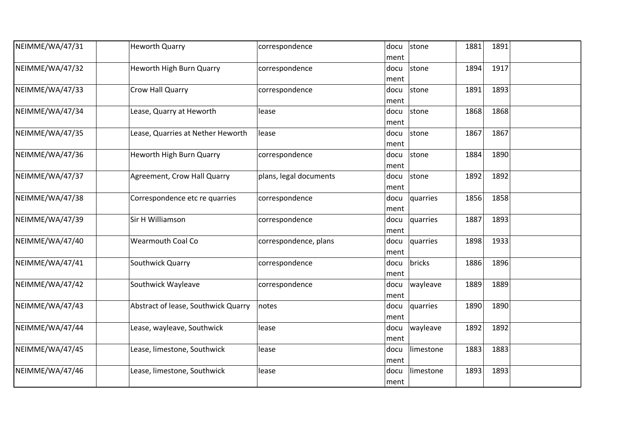| NEIMME/WA/47/31 | <b>Heworth Quarry</b>               | correspondence         | docu | stone     | 1881 | 1891 |  |
|-----------------|-------------------------------------|------------------------|------|-----------|------|------|--|
|                 |                                     |                        | ment |           |      |      |  |
| NEIMME/WA/47/32 | <b>Heworth High Burn Quarry</b>     | correspondence         | docu | stone     | 1894 | 1917 |  |
|                 |                                     |                        | ment |           |      |      |  |
| NEIMME/WA/47/33 | Crow Hall Quarry                    | correspondence         | docu | stone     | 1891 | 1893 |  |
|                 |                                     |                        | ment |           |      |      |  |
| NEIMME/WA/47/34 | Lease, Quarry at Heworth            | lease                  | docu | stone     | 1868 | 1868 |  |
|                 |                                     |                        | ment |           |      |      |  |
| NEIMME/WA/47/35 | Lease, Quarries at Nether Heworth   | lease                  | docu | stone     | 1867 | 1867 |  |
|                 |                                     |                        | ment |           |      |      |  |
| NEIMME/WA/47/36 | Heworth High Burn Quarry            | correspondence         | docu | stone     | 1884 | 1890 |  |
|                 |                                     |                        | ment |           |      |      |  |
| NEIMME/WA/47/37 | Agreement, Crow Hall Quarry         | plans, legal documents | docu | stone     | 1892 | 1892 |  |
|                 |                                     |                        | ment |           |      |      |  |
| NEIMME/WA/47/38 | Correspondence etc re quarries      | correspondence         | docu | quarries  | 1856 | 1858 |  |
|                 |                                     |                        | ment |           |      |      |  |
| NEIMME/WA/47/39 | Sir H Williamson                    |                        |      |           | 1887 | 1893 |  |
|                 |                                     | correspondence         | docu | quarries  |      |      |  |
|                 |                                     |                        | ment |           |      |      |  |
| NEIMME/WA/47/40 | <b>Wearmouth Coal Co</b>            | correspondence, plans  | docu | quarries  | 1898 | 1933 |  |
|                 |                                     |                        | ment |           |      |      |  |
| NEIMME/WA/47/41 | Southwick Quarry                    | correspondence         | docu | bricks    | 1886 | 1896 |  |
|                 |                                     |                        | ment |           |      |      |  |
| NEIMME/WA/47/42 | Southwick Wayleave                  | correspondence         | docu | wayleave  | 1889 | 1889 |  |
|                 |                                     |                        | ment |           |      |      |  |
| NEIMME/WA/47/43 | Abstract of lease, Southwick Quarry | notes                  | docu | quarries  | 1890 | 1890 |  |
|                 |                                     |                        | ment |           |      |      |  |
| NEIMME/WA/47/44 | Lease, wayleave, Southwick          | lease                  | docu | wayleave  | 1892 | 1892 |  |
|                 |                                     |                        | ment |           |      |      |  |
| NEIMME/WA/47/45 | Lease, limestone, Southwick         | lease                  | docu | limestone | 1883 | 1883 |  |
|                 |                                     |                        | ment |           |      |      |  |
| NEIMME/WA/47/46 | Lease, limestone, Southwick         | lease                  | docu | limestone | 1893 | 1893 |  |
|                 |                                     |                        |      |           |      |      |  |
|                 |                                     |                        | ment |           |      |      |  |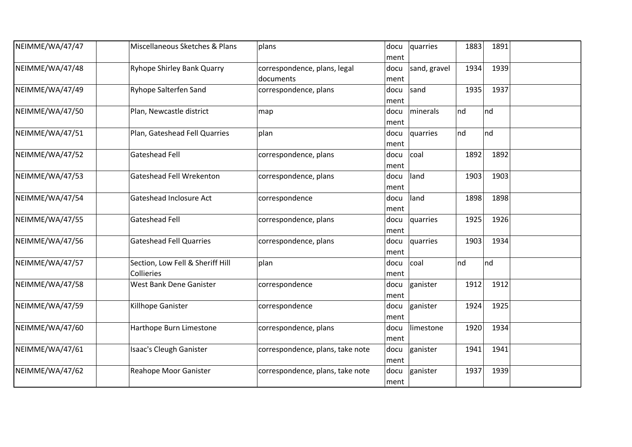| NEIMME/WA/47/47 | Miscellaneous Sketches & Plans                 | plans                                     | docu<br>ment | quarries     | 1883 | 1891 |  |
|-----------------|------------------------------------------------|-------------------------------------------|--------------|--------------|------|------|--|
| NEIMME/WA/47/48 | <b>Ryhope Shirley Bank Quarry</b>              | correspondence, plans, legal<br>documents | docu<br>ment | sand, gravel | 1934 | 1939 |  |
| NEIMME/WA/47/49 | Ryhope Salterfen Sand                          | correspondence, plans                     | docu<br>ment | sand         | 1935 | 1937 |  |
| NEIMME/WA/47/50 | Plan, Newcastle district                       | map                                       | docu<br>ment | minerals     | nd   | nd   |  |
| NEIMME/WA/47/51 | Plan, Gateshead Fell Quarries                  | plan                                      | docu<br>ment | quarries     | nd   | Ind  |  |
| NEIMME/WA/47/52 | Gateshead Fell                                 | correspondence, plans                     | docu<br>ment | coal         | 1892 | 1892 |  |
| NEIMME/WA/47/53 | Gateshead Fell Wrekenton                       | correspondence, plans                     | docu<br>ment | land         | 1903 | 1903 |  |
| NEIMME/WA/47/54 | Gateshead Inclosure Act                        | correspondence                            | docu<br>ment | land         | 1898 | 1898 |  |
| NEIMME/WA/47/55 | Gateshead Fell                                 | correspondence, plans                     | docu<br>ment | quarries     | 1925 | 1926 |  |
| NEIMME/WA/47/56 | <b>Gateshead Fell Quarries</b>                 | correspondence, plans                     | docu<br>ment | quarries     | 1903 | 1934 |  |
| NEIMME/WA/47/57 | Section, Low Fell & Sheriff Hill<br>Collieries | plan                                      | docu<br>ment | coal         | nd   | nd   |  |
| NEIMME/WA/47/58 | West Bank Dene Ganister                        | correspondence                            | docu<br>ment | ganister     | 1912 | 1912 |  |
| NEIMME/WA/47/59 | Killhope Ganister                              | correspondence                            | docu<br>ment | ganister     | 1924 | 1925 |  |
| NEIMME/WA/47/60 | Harthope Burn Limestone                        | correspondence, plans                     | docu<br>ment | limestone    | 1920 | 1934 |  |
| NEIMME/WA/47/61 | Isaac's Cleugh Ganister                        | correspondence, plans, take note          | docu<br>ment | ganister     | 1941 | 1941 |  |
| NEIMME/WA/47/62 | Reahope Moor Ganister                          | correspondence, plans, take note          | docu<br>ment | ganister     | 1937 | 1939 |  |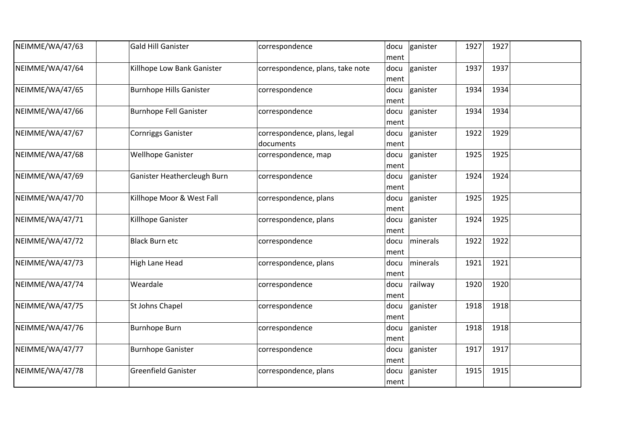| NEIMME/WA/47/63 | <b>Gald Hill Ganister</b>      | correspondence                            | docu<br>ment | ganister | 1927 | 1927 |  |
|-----------------|--------------------------------|-------------------------------------------|--------------|----------|------|------|--|
| NEIMME/WA/47/64 | Killhope Low Bank Ganister     | correspondence, plans, take note          | docu<br>ment | ganister | 1937 | 1937 |  |
| NEIMME/WA/47/65 | <b>Burnhope Hills Ganister</b> | correspondence                            | docu<br>ment | ganister | 1934 | 1934 |  |
| NEIMME/WA/47/66 | <b>Burnhope Fell Ganister</b>  | correspondence                            | docu<br>ment | ganister | 1934 | 1934 |  |
| NEIMME/WA/47/67 | <b>Cornriggs Ganister</b>      | correspondence, plans, legal<br>documents | docu<br>ment | ganister | 1922 | 1929 |  |
| NEIMME/WA/47/68 | <b>Wellhope Ganister</b>       | correspondence, map                       | docu<br>ment | ganister | 1925 | 1925 |  |
| NEIMME/WA/47/69 | Ganister Heathercleugh Burn    | correspondence                            | docu<br>ment | ganister | 1924 | 1924 |  |
| NEIMME/WA/47/70 | Killhope Moor & West Fall      | correspondence, plans                     | docu<br>ment | ganister | 1925 | 1925 |  |
| NEIMME/WA/47/71 | Killhope Ganister              | correspondence, plans                     | docu<br>ment | ganister | 1924 | 1925 |  |
| NEIMME/WA/47/72 | <b>Black Burn etc</b>          | correspondence                            | docu<br>ment | minerals | 1922 | 1922 |  |
| NEIMME/WA/47/73 | High Lane Head                 | correspondence, plans                     | docu<br>ment | minerals | 1921 | 1921 |  |
| NEIMME/WA/47/74 | Weardale                       | correspondence                            | docu<br>ment | railway  | 1920 | 1920 |  |
| NEIMME/WA/47/75 | St Johns Chapel                | correspondence                            | docu<br>ment | ganister | 1918 | 1918 |  |
| NEIMME/WA/47/76 | <b>Burnhope Burn</b>           | correspondence                            | docu<br>ment | ganister | 1918 | 1918 |  |
| NEIMME/WA/47/77 | <b>Burnhope Ganister</b>       | correspondence                            | docu<br>ment | ganister | 1917 | 1917 |  |
| NEIMME/WA/47/78 | <b>Greenfield Ganister</b>     | correspondence, plans                     | docu<br>ment | ganister | 1915 | 1915 |  |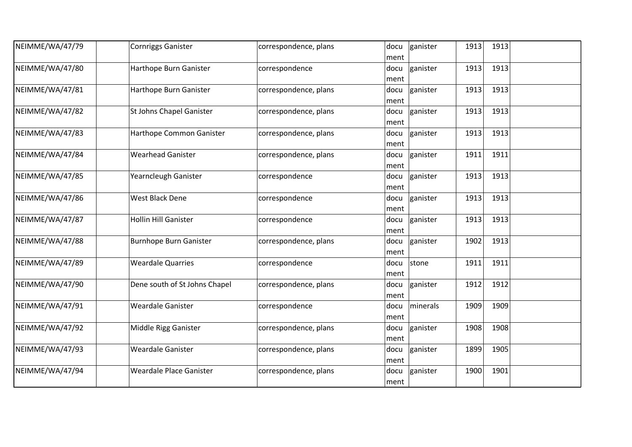| NEIMME/WA/47/79 | <b>Cornriggs Ganister</b>      | correspondence, plans | docu<br>ment | ganister<br>1913 | 1913 |  |
|-----------------|--------------------------------|-----------------------|--------------|------------------|------|--|
| NEIMME/WA/47/80 | Harthope Burn Ganister         | correspondence        | docu<br>ment | ganister<br>1913 | 1913 |  |
| NEIMME/WA/47/81 | Harthope Burn Ganister         | correspondence, plans | docu<br>ment | 1913<br>ganister | 1913 |  |
| NEIMME/WA/47/82 | St Johns Chapel Ganister       | correspondence, plans | docu<br>ment | ganister<br>1913 | 1913 |  |
| NEIMME/WA/47/83 | Harthope Common Ganister       | correspondence, plans | docu<br>ment | 1913<br>ganister | 1913 |  |
| NEIMME/WA/47/84 | <b>Wearhead Ganister</b>       | correspondence, plans | docu<br>ment | 1911<br>ganister | 1911 |  |
| NEIMME/WA/47/85 | Yearncleugh Ganister           | correspondence        | docu<br>ment | ganister<br>1913 | 1913 |  |
| NEIMME/WA/47/86 | West Black Dene                | correspondence        | docu<br>ment | ganister<br>1913 | 1913 |  |
| NEIMME/WA/47/87 | <b>Hollin Hill Ganister</b>    | correspondence        | docu<br>ment | 1913<br>ganister | 1913 |  |
| NEIMME/WA/47/88 | <b>Burnhope Burn Ganister</b>  | correspondence, plans | docu<br>ment | ganister<br>1902 | 1913 |  |
| NEIMME/WA/47/89 | <b>Weardale Quarries</b>       | correspondence        | docu<br>ment | 1911<br>stone    | 1911 |  |
| NEIMME/WA/47/90 | Dene south of St Johns Chapel  | correspondence, plans | docu<br>ment | ganister<br>1912 | 1912 |  |
| NEIMME/WA/47/91 | <b>Weardale Ganister</b>       | correspondence        | docu<br>ment | 1909<br>minerals | 1909 |  |
| NEIMME/WA/47/92 | Middle Rigg Ganister           | correspondence, plans | docu<br>ment | 1908<br>ganister | 1908 |  |
| NEIMME/WA/47/93 | <b>Weardale Ganister</b>       | correspondence, plans | docu<br>ment | 1899<br>ganister | 1905 |  |
| NEIMME/WA/47/94 | <b>Weardale Place Ganister</b> | correspondence, plans | docu<br>ment | ganister<br>1900 | 1901 |  |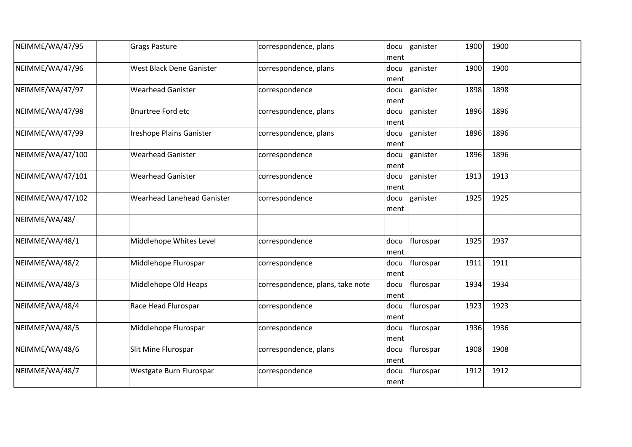| NEIMME/WA/47/95  | <b>Grags Pasture</b>              | correspondence, plans            | docu<br>ment | ganister  | 1900 | 1900 |  |
|------------------|-----------------------------------|----------------------------------|--------------|-----------|------|------|--|
| NEIMME/WA/47/96  | West Black Dene Ganister          | correspondence, plans            | docu<br>ment | ganister  | 1900 | 1900 |  |
| NEIMME/WA/47/97  | <b>Wearhead Ganister</b>          | correspondence                   | docu<br>ment | ganister  | 1898 | 1898 |  |
| NEIMME/WA/47/98  | <b>Bnurtree Ford etc</b>          | correspondence, plans            | docu<br>ment | ganister  | 1896 | 1896 |  |
| NEIMME/WA/47/99  | Ireshope Plains Ganister          | correspondence, plans            | docu<br>ment | ganister  | 1896 | 1896 |  |
| NEIMME/WA/47/100 | <b>Wearhead Ganister</b>          | correspondence                   | docu<br>ment | ganister  | 1896 | 1896 |  |
| NEIMME/WA/47/101 | <b>Wearhead Ganister</b>          | correspondence                   | docu<br>ment | ganister  | 1913 | 1913 |  |
| NEIMME/WA/47/102 | <b>Wearhead Lanehead Ganister</b> | correspondence                   | docu<br>ment | ganister  | 1925 | 1925 |  |
| NEIMME/WA/48/    |                                   |                                  |              |           |      |      |  |
| NEIMME/WA/48/1   | Middlehope Whites Level           | correspondence                   | docu<br>ment | flurospar | 1925 | 1937 |  |
| NEIMME/WA/48/2   | Middlehope Flurospar              | correspondence                   | docu<br>ment | flurospar | 1911 | 1911 |  |
| NEIMME/WA/48/3   | Middlehope Old Heaps              | correspondence, plans, take note | docu<br>ment | flurospar | 1934 | 1934 |  |
| NEIMME/WA/48/4   | Race Head Flurospar               | correspondence                   | docu<br>ment | flurospar | 1923 | 1923 |  |
| NEIMME/WA/48/5   | Middlehope Flurospar              | correspondence                   | docu<br>ment | flurospar | 1936 | 1936 |  |
| NEIMME/WA/48/6   | Slit Mine Flurospar               | correspondence, plans            | docu<br>ment | flurospar | 1908 | 1908 |  |
| NEIMME/WA/48/7   | Westgate Burn Flurospar           | correspondence                   | docu<br>ment | flurospar | 1912 | 1912 |  |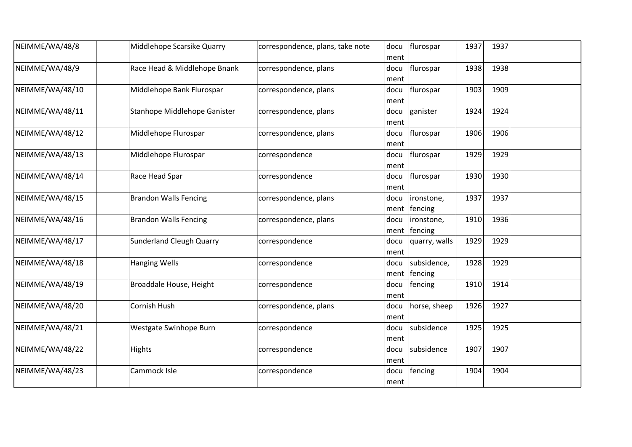| NEIMME/WA/48/8  | Middlehope Scarsike Quarry      | correspondence, plans, take note | docu<br>ment | flurospar              | 1937 | 1937 |  |
|-----------------|---------------------------------|----------------------------------|--------------|------------------------|------|------|--|
| NEIMME/WA/48/9  | Race Head & Middlehope Bnank    | correspondence, plans            | docu<br>ment | flurospar              | 1938 | 1938 |  |
| NEIMME/WA/48/10 | Middlehope Bank Flurospar       | correspondence, plans            | docu<br>ment | flurospar              | 1903 | 1909 |  |
| NEIMME/WA/48/11 | Stanhope Middlehope Ganister    | correspondence, plans            | docu<br>ment | ganister               | 1924 | 1924 |  |
| NEIMME/WA/48/12 | Middlehope Flurospar            | correspondence, plans            | docu<br>ment | flurospar              | 1906 | 1906 |  |
| NEIMME/WA/48/13 | Middlehope Flurospar            | correspondence                   | docu<br>ment | flurospar              | 1929 | 1929 |  |
| NEIMME/WA/48/14 | Race Head Spar                  | correspondence                   | docu<br>ment | flurospar              | 1930 | 1930 |  |
| NEIMME/WA/48/15 | <b>Brandon Walls Fencing</b>    | correspondence, plans            | docu<br>ment | ironstone,<br>fencing  | 1937 | 1937 |  |
| NEIMME/WA/48/16 | <b>Brandon Walls Fencing</b>    | correspondence, plans            | docu<br>ment | ironstone,<br>fencing  | 1910 | 1936 |  |
| NEIMME/WA/48/17 | <b>Sunderland Cleugh Quarry</b> | correspondence                   | docu<br>ment | quarry, walls          | 1929 | 1929 |  |
| NEIMME/WA/48/18 | <b>Hanging Wells</b>            | correspondence                   | docu<br>ment | subsidence,<br>fencing | 1928 | 1929 |  |
| NEIMME/WA/48/19 | Broaddale House, Height         | correspondence                   | docu<br>ment | fencing                | 1910 | 1914 |  |
| NEIMME/WA/48/20 | Cornish Hush                    | correspondence, plans            | docu<br>ment | horse, sheep           | 1926 | 1927 |  |
| NEIMME/WA/48/21 | Westgate Swinhope Burn          | correspondence                   | docu<br>ment | subsidence             | 1925 | 1925 |  |
| NEIMME/WA/48/22 | Hights                          | correspondence                   | docu<br>ment | subsidence             | 1907 | 1907 |  |
| NEIMME/WA/48/23 | Cammock Isle                    | correspondence                   | docu<br>ment | fencing                | 1904 | 1904 |  |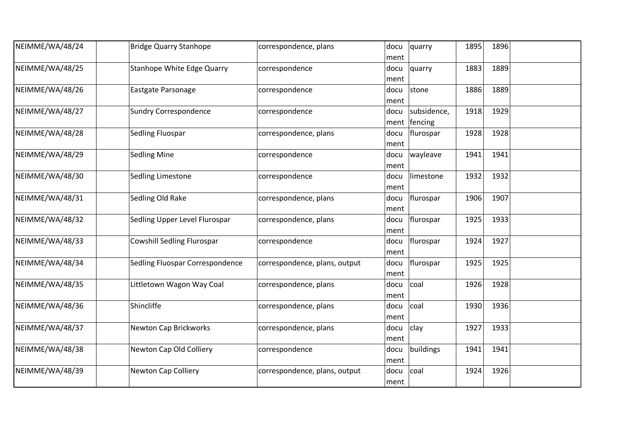| NEIMME/WA/48/24 | <b>Bridge Quarry Stanhope</b>     | correspondence, plans         | docu<br>ment | quarry                 | 1895 | 1896 |  |
|-----------------|-----------------------------------|-------------------------------|--------------|------------------------|------|------|--|
| NEIMME/WA/48/25 | Stanhope White Edge Quarry        | correspondence                | docu<br>ment | quarry                 | 1883 | 1889 |  |
| NEIMME/WA/48/26 | Eastgate Parsonage                | correspondence                | docu<br>ment | stone                  | 1886 | 1889 |  |
| NEIMME/WA/48/27 | <b>Sundry Correspondence</b>      | correspondence                | docu<br>ment | subsidence,<br>fencing | 1918 | 1929 |  |
| NEIMME/WA/48/28 | Sedling Fluospar                  | correspondence, plans         | docu<br>ment | flurospar              | 1928 | 1928 |  |
| NEIMME/WA/48/29 | <b>Sedling Mine</b>               | correspondence                | docu<br>ment | wayleave               | 1941 | 1941 |  |
| NEIMME/WA/48/30 | Sedling Limestone                 | correspondence                | docu<br>ment | limestone              | 1932 | 1932 |  |
| NEIMME/WA/48/31 | Sedling Old Rake                  | correspondence, plans         | docu<br>ment | flurospar              | 1906 | 1907 |  |
| NEIMME/WA/48/32 | Sedling Upper Level Flurospar     | correspondence, plans         | docu<br>ment | flurospar              | 1925 | 1933 |  |
| NEIMME/WA/48/33 | <b>Cowshill Sedling Flurospar</b> | correspondence                | docu<br>ment | flurospar              | 1924 | 1927 |  |
| NEIMME/WA/48/34 | Sedling Fluospar Correspondence   | correspondence, plans, output | docu<br>ment | flurospar              | 1925 | 1925 |  |
| NEIMME/WA/48/35 | Littletown Wagon Way Coal         | correspondence, plans         | docu<br>ment | coal                   | 1926 | 1928 |  |
| NEIMME/WA/48/36 | Shincliffe                        | correspondence, plans         | docu<br>ment | coal                   | 1930 | 1936 |  |
| NEIMME/WA/48/37 | <b>Newton Cap Brickworks</b>      | correspondence, plans         | docu<br>ment | clay                   | 1927 | 1933 |  |
| NEIMME/WA/48/38 | Newton Cap Old Colliery           | correspondence                | docu<br>ment | buildings              | 1941 | 1941 |  |
| NEIMME/WA/48/39 | <b>Newton Cap Colliery</b>        | correspondence, plans, output | docu<br>ment | coal                   | 1924 | 1926 |  |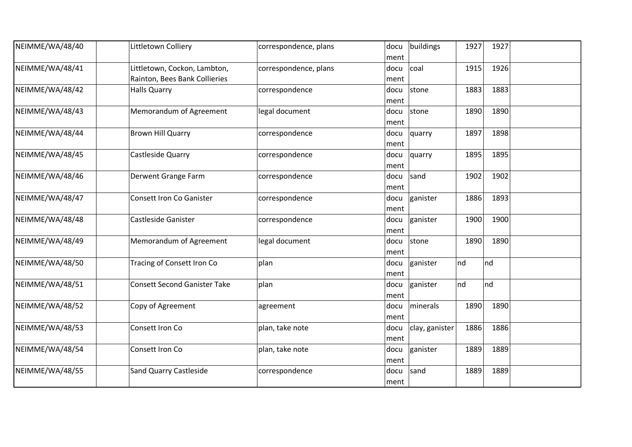| NEIMME/WA/48/40 | Littletown Colliery                                           | correspondence, plans | docu<br>ment  | buildings      | 1927 | 1927 |  |
|-----------------|---------------------------------------------------------------|-----------------------|---------------|----------------|------|------|--|
| NEIMME/WA/48/41 | Littletown, Cockon, Lambton,<br>Rainton, Bees Bank Collieries | correspondence, plans | docu<br>ment  | coal           | 1915 | 1926 |  |
| NEIMME/WA/48/42 | <b>Halls Quarry</b>                                           | correspondence        | docu<br>ment  | stone          | 1883 | 1883 |  |
| NEIMME/WA/48/43 | Memorandum of Agreement                                       | legal document        | docu<br>ment  | stone          | 1890 | 1890 |  |
| NEIMME/WA/48/44 | <b>Brown Hill Quarry</b>                                      | correspondence        | docu<br> ment | quarry         | 1897 | 1898 |  |
| NEIMME/WA/48/45 | Castleside Quarry                                             | correspondence        | docu<br>ment  | quarry         | 1895 | 1895 |  |
| NEIMME/WA/48/46 | Derwent Grange Farm                                           | correspondence        | docu<br>ment  | sand           | 1902 | 1902 |  |
| NEIMME/WA/48/47 | <b>Consett Iron Co Ganister</b>                               | correspondence        | docu<br>ment  | ganister       | 1886 | 1893 |  |
| NEIMME/WA/48/48 | <b>Castleside Ganister</b>                                    | correspondence        | docu<br>ment  | ganister       | 1900 | 1900 |  |
| NEIMME/WA/48/49 | Memorandum of Agreement                                       | legal document        | docu<br>ment  | stone          | 1890 | 1890 |  |
| NEIMME/WA/48/50 | Tracing of Consett Iron Co                                    | plan                  | docu<br>ment  | ganister       | Ind  | nd   |  |
| NEIMME/WA/48/51 | <b>Consett Second Ganister Take</b>                           | plan                  | docu<br>ment  | ganister       | nd   | nd   |  |
| NEIMME/WA/48/52 | Copy of Agreement                                             | agreement             | docu<br>ment  | minerals       | 1890 | 1890 |  |
| NEIMME/WA/48/53 | Consett Iron Co                                               | plan, take note       | docu<br>ment  | clay, ganister | 1886 | 1886 |  |
| NEIMME/WA/48/54 | Consett Iron Co                                               | plan, take note       | docu<br>ment  | ganister       | 1889 | 1889 |  |
| NEIMME/WA/48/55 | <b>Sand Quarry Castleside</b>                                 | correspondence        | docu<br>ment  | sand           | 1889 | 1889 |  |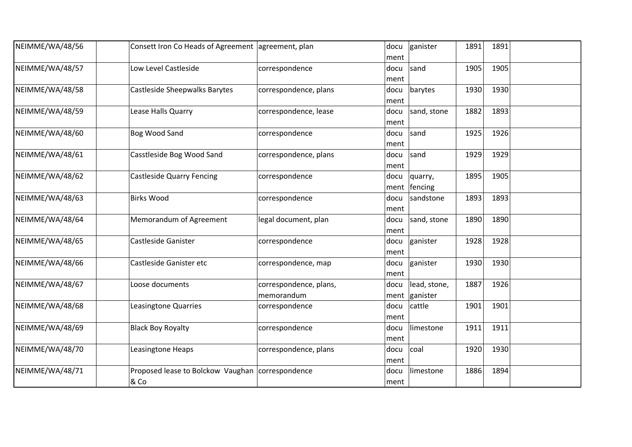| NEIMME/WA/48/56 | Consett Iron Co Heads of Agreement agreement, plan       |                                      | docu<br>ment | ganister                  | 1891 | 1891 |  |
|-----------------|----------------------------------------------------------|--------------------------------------|--------------|---------------------------|------|------|--|
| NEIMME/WA/48/57 | Low Level Castleside                                     | correspondence                       | docu<br>ment | sand                      | 1905 | 1905 |  |
| NEIMME/WA/48/58 | Castleside Sheepwalks Barytes                            | correspondence, plans                | docu<br>ment | barytes                   | 1930 | 1930 |  |
| NEIMME/WA/48/59 | Lease Halls Quarry                                       | correspondence, lease                | docu<br>ment | sand, stone               | 1882 | 1893 |  |
| NEIMME/WA/48/60 | Bog Wood Sand                                            | correspondence                       | docu<br>ment | sand                      | 1925 | 1926 |  |
| NEIMME/WA/48/61 | Casstleside Bog Wood Sand                                | correspondence, plans                | docu<br>ment | sand                      | 1929 | 1929 |  |
| NEIMME/WA/48/62 | <b>Castleside Quarry Fencing</b>                         | correspondence                       | docu         | quarry,<br>ment   fencing | 1895 | 1905 |  |
| NEIMME/WA/48/63 | <b>Birks Wood</b>                                        | correspondence                       | docu<br>ment | sandstone                 | 1893 | 1893 |  |
| NEIMME/WA/48/64 | Memorandum of Agreement                                  | legal document, plan                 | docu<br>ment | sand, stone               | 1890 | 1890 |  |
| NEIMME/WA/48/65 | Castleside Ganister                                      | correspondence                       | docu<br>ment | ganister                  | 1928 | 1928 |  |
| NEIMME/WA/48/66 | Castleside Ganister etc                                  | correspondence, map                  | docu<br>ment | ganister                  | 1930 | 1930 |  |
| NEIMME/WA/48/67 | Loose documents                                          | correspondence, plans,<br>memorandum | docu<br>ment | lead, stone,<br>ganister  | 1887 | 1926 |  |
| NEIMME/WA/48/68 | Leasingtone Quarries                                     | correspondence                       | docu<br>ment | cattle                    | 1901 | 1901 |  |
| NEIMME/WA/48/69 | <b>Black Boy Royalty</b>                                 | correspondence                       | docu<br>ment | limestone                 | 1911 | 1911 |  |
| NEIMME/WA/48/70 | Leasingtone Heaps                                        | correspondence, plans                | docu<br>ment | coal                      | 1920 | 1930 |  |
| NEIMME/WA/48/71 | Proposed lease to Bolckow Vaughan correspondence<br>& Co |                                      | docu<br>ment | limestone                 | 1886 | 1894 |  |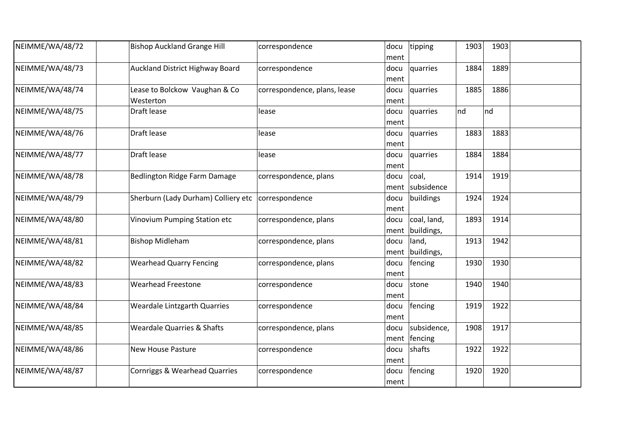| NEIMME/WA/48/72 | <b>Bishop Auckland Grange Hill</b>         | correspondence               | docu<br>ment | tipping                        | 1903 | 1903 |  |
|-----------------|--------------------------------------------|------------------------------|--------------|--------------------------------|------|------|--|
| NEIMME/WA/48/73 | <b>Auckland District Highway Board</b>     | correspondence               | docu<br>ment | quarries                       | 1884 | 1889 |  |
| NEIMME/WA/48/74 | Lease to Bolckow Vaughan & Co<br>Westerton | correspondence, plans, lease | docu<br>ment | quarries                       | 1885 | 1886 |  |
| NEIMME/WA/48/75 | Draft lease                                | lease                        | docu<br>ment | quarries                       | nd   | nd   |  |
| NEIMME/WA/48/76 | Draft lease                                | lease                        | docu<br>ment | quarries                       | 1883 | 1883 |  |
| NEIMME/WA/48/77 | Draft lease                                | lease                        | docu<br>ment | quarries                       | 1884 | 1884 |  |
| NEIMME/WA/48/78 | Bedlington Ridge Farm Damage               | correspondence, plans        | docu         | coal,<br>ment subsidence       | 1914 | 1919 |  |
| NEIMME/WA/48/79 | Sherburn (Lady Durham) Colliery etc        | correspondence               | docu<br>ment | buildings                      | 1924 | 1924 |  |
| NEIMME/WA/48/80 | Vinovium Pumping Station etc               | correspondence, plans        | docu         | coal, land,<br>ment buildings, | 1893 | 1914 |  |
| NEIMME/WA/48/81 | <b>Bishop Midleham</b>                     | correspondence, plans        | docu<br>ment | land,<br>buildings,            | 1913 | 1942 |  |
| NEIMME/WA/48/82 | <b>Wearhead Quarry Fencing</b>             | correspondence, plans        | docu<br>ment | fencing                        | 1930 | 1930 |  |
| NEIMME/WA/48/83 | <b>Wearhead Freestone</b>                  | correspondence               | docu<br>ment | stone                          | 1940 | 1940 |  |
| NEIMME/WA/48/84 | <b>Weardale Lintzgarth Quarries</b>        | correspondence               | docu<br>ment | fencing                        | 1919 | 1922 |  |
| NEIMME/WA/48/85 | <b>Weardale Quarries &amp; Shafts</b>      | correspondence, plans        | docu         | subsidence,<br>ment   fencing  | 1908 | 1917 |  |
| NEIMME/WA/48/86 | <b>New House Pasture</b>                   | correspondence               | docu<br>ment | shafts                         | 1922 | 1922 |  |
| NEIMME/WA/48/87 | Cornriggs & Wearhead Quarries              | correspondence               | docu<br>ment | fencing                        | 1920 | 1920 |  |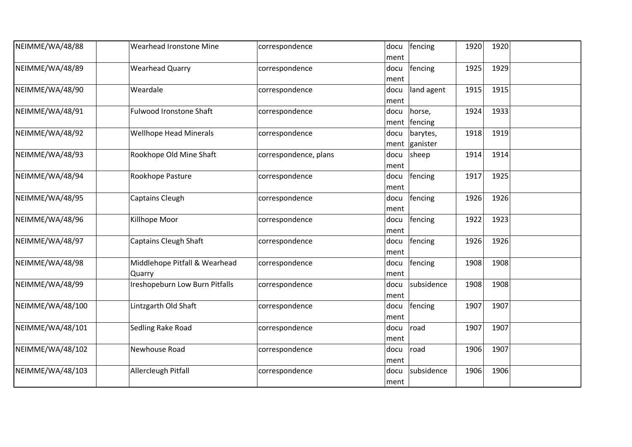| NEIMME/WA/48/88  | Wearhead Ironstone Mine                 | correspondence        | fencing<br>docu<br>ment              | 1920<br>1920 |  |
|------------------|-----------------------------------------|-----------------------|--------------------------------------|--------------|--|
| NEIMME/WA/48/89  | <b>Wearhead Quarry</b>                  | correspondence        | fencing<br>docu<br>ment              | 1925<br>1929 |  |
| NEIMME/WA/48/90  | Weardale                                | correspondence        | land agent<br>docu<br>ment           | 1915<br>1915 |  |
| NEIMME/WA/48/91  | <b>Fulwood Ironstone Shaft</b>          | correspondence        | docu<br>horse,<br>fencing<br>ment    | 1924<br>1933 |  |
| NEIMME/WA/48/92  | <b>Wellhope Head Minerals</b>           | correspondence        | barytes,<br>docu<br>ganister<br>ment | 1918<br>1919 |  |
| NEIMME/WA/48/93  | Rookhope Old Mine Shaft                 | correspondence, plans | sheep<br>docu<br>ment                | 1914<br>1914 |  |
| NEIMME/WA/48/94  | Rookhope Pasture                        | correspondence        | fencing<br>docu<br>ment              | 1917<br>1925 |  |
| NEIMME/WA/48/95  | Captains Cleugh                         | correspondence        | fencing<br>docu<br>ment              | 1926<br>1926 |  |
| NEIMME/WA/48/96  | Killhope Moor                           | correspondence        | fencing<br>docu<br>ment              | 1922<br>1923 |  |
| NEIMME/WA/48/97  | <b>Captains Cleugh Shaft</b>            | correspondence        | fencing<br>docu<br>ment              | 1926<br>1926 |  |
| NEIMME/WA/48/98  | Middlehope Pitfall & Wearhead<br>Quarry | correspondence        | fencing<br>docu<br>ment              | 1908<br>1908 |  |
| NEIMME/WA/48/99  | Ireshopeburn Low Burn Pitfalls          | correspondence        | subsidence<br>docu<br>ment           | 1908<br>1908 |  |
| NEIMME/WA/48/100 | Lintzgarth Old Shaft                    | correspondence        | fencing<br>docu<br>ment              | 1907<br>1907 |  |
| NEIMME/WA/48/101 | Sedling Rake Road                       | correspondence        | road<br>docu<br>ment                 | 1907<br>1907 |  |
| NEIMME/WA/48/102 | Newhouse Road                           | correspondence        | docu<br>road<br>ment                 | 1906<br>1907 |  |
| NEIMME/WA/48/103 | Allercleugh Pitfall                     | correspondence        | subsidence<br>docu<br>ment           | 1906<br>1906 |  |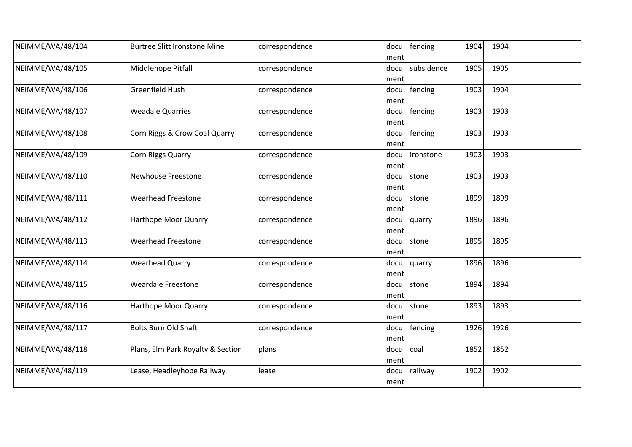| NEIMME/WA/48/104 | <b>Burtree Slitt Ironstone Mine</b> | correspondence | docu<br>ment | fencing    | 1904 | 1904 |  |
|------------------|-------------------------------------|----------------|--------------|------------|------|------|--|
| NEIMME/WA/48/105 | Middlehope Pitfall                  | correspondence | docu<br>ment | subsidence | 1905 | 1905 |  |
| NEIMME/WA/48/106 | Greenfield Hush                     | correspondence | docu<br>ment | fencing    | 1903 | 1904 |  |
| NEIMME/WA/48/107 | <b>Weadale Quarries</b>             | correspondence | docu<br>ment | fencing    | 1903 | 1903 |  |
| NEIMME/WA/48/108 | Corn Riggs & Crow Coal Quarry       | correspondence | docu<br>ment | fencing    | 1903 | 1903 |  |
| NEIMME/WA/48/109 | Corn Riggs Quarry                   | correspondence | docu<br>ment | lironstone | 1903 | 1903 |  |
| NEIMME/WA/48/110 | <b>Newhouse Freestone</b>           | correspondence | docu<br>ment | stone      | 1903 | 1903 |  |
| NEIMME/WA/48/111 | <b>Wearhead Freestone</b>           | correspondence | docu<br>ment | stone      | 1899 | 1899 |  |
| NEIMME/WA/48/112 | Harthope Moor Quarry                | correspondence | docu<br>ment | quarry     | 1896 | 1896 |  |
| NEIMME/WA/48/113 | <b>Wearhead Freestone</b>           | correspondence | docu<br>ment | stone      | 1895 | 1895 |  |
| NEIMME/WA/48/114 | <b>Wearhead Quarry</b>              | correspondence | docu<br>ment | quarry     | 1896 | 1896 |  |
| NEIMME/WA/48/115 | <b>Weardale Freestone</b>           | correspondence | docu<br>ment | stone      | 1894 | 1894 |  |
| NEIMME/WA/48/116 | <b>Harthope Moor Quarry</b>         | correspondence | docu<br>ment | stone      | 1893 | 1893 |  |
| NEIMME/WA/48/117 | <b>Bolts Burn Old Shaft</b>         | correspondence | docu<br>ment | fencing    | 1926 | 1926 |  |
| NEIMME/WA/48/118 | Plans, Elm Park Royalty & Section   | plans          | docu<br>ment | coal       | 1852 | 1852 |  |
| NEIMME/WA/48/119 | Lease, Headleyhope Railway          | lease          | docu<br>ment | railway    | 1902 | 1902 |  |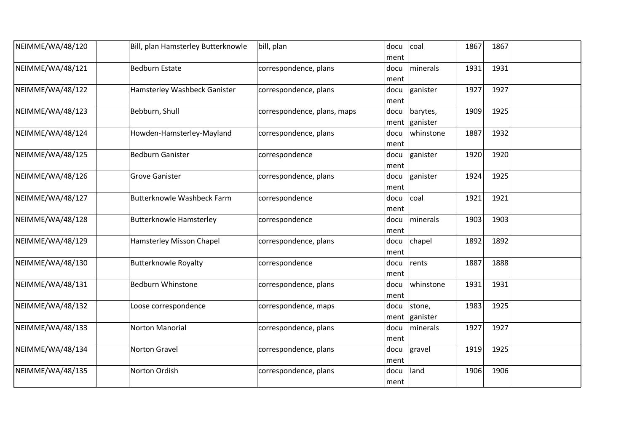| NEIMME/WA/48/120 | Bill, plan Hamsterley Butterknowle | bill, plan                  | docu | coal      | 1867 | 1867 |  |
|------------------|------------------------------------|-----------------------------|------|-----------|------|------|--|
|                  |                                    |                             | ment |           |      |      |  |
| NEIMME/WA/48/121 | <b>Bedburn Estate</b>              | correspondence, plans       | docu | minerals  | 1931 | 1931 |  |
|                  |                                    |                             | ment |           |      |      |  |
| NEIMME/WA/48/122 | Hamsterley Washbeck Ganister       | correspondence, plans       | docu | ganister  | 1927 | 1927 |  |
|                  |                                    |                             | ment |           |      |      |  |
| NEIMME/WA/48/123 | Bebburn, Shull                     | correspondence, plans, maps | docu | barytes,  | 1909 | 1925 |  |
|                  |                                    |                             | ment | ganister  |      |      |  |
| NEIMME/WA/48/124 | Howden-Hamsterley-Mayland          | correspondence, plans       | docu | whinstone | 1887 | 1932 |  |
|                  |                                    |                             | ment |           |      |      |  |
| NEIMME/WA/48/125 | <b>Bedburn Ganister</b>            | correspondence              | docu | ganister  | 1920 | 1920 |  |
|                  |                                    |                             | ment |           |      |      |  |
| NEIMME/WA/48/126 | <b>Grove Ganister</b>              | correspondence, plans       | docu | ganister  | 1924 | 1925 |  |
|                  |                                    |                             | ment |           |      |      |  |
| NEIMME/WA/48/127 | <b>Butterknowle Washbeck Farm</b>  | correspondence              | docu | coal      | 1921 | 1921 |  |
|                  |                                    |                             | ment |           |      |      |  |
| NEIMME/WA/48/128 | <b>Butterknowle Hamsterley</b>     | correspondence              | docu | minerals  | 1903 | 1903 |  |
|                  |                                    |                             | ment |           |      |      |  |
| NEIMME/WA/48/129 | Hamsterley Misson Chapel           | correspondence, plans       | docu | chapel    | 1892 | 1892 |  |
|                  |                                    |                             | ment |           |      |      |  |
| NEIMME/WA/48/130 | <b>Butterknowle Royalty</b>        | correspondence              | docu | rents     | 1887 | 1888 |  |
|                  |                                    |                             | ment |           |      |      |  |
| NEIMME/WA/48/131 | <b>Bedburn Whinstone</b>           | correspondence, plans       | docu | whinstone | 1931 | 1931 |  |
|                  |                                    |                             | ment |           |      |      |  |
| NEIMME/WA/48/132 | Loose correspondence               | correspondence, maps        | docu | stone,    | 1983 | 1925 |  |
|                  |                                    |                             | ment | ganister  |      |      |  |
| NEIMME/WA/48/133 | <b>Norton Manorial</b>             | correspondence, plans       | docu | minerals  | 1927 | 1927 |  |
|                  |                                    |                             | ment |           |      |      |  |
| NEIMME/WA/48/134 | <b>Norton Gravel</b>               | correspondence, plans       | docu | gravel    | 1919 | 1925 |  |
|                  |                                    |                             | ment |           |      |      |  |
| NEIMME/WA/48/135 | Norton Ordish                      | correspondence, plans       | docu | land      | 1906 | 1906 |  |
|                  |                                    |                             | ment |           |      |      |  |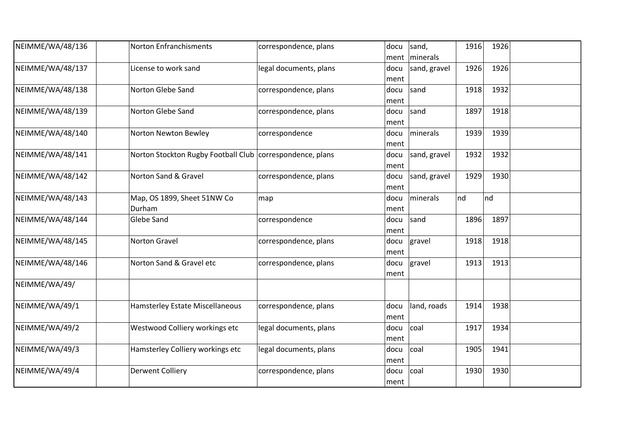| NEIMME/WA/48/136 | <b>Norton Enfranchisments</b>                             | correspondence, plans  | docu         | sand,<br>ment   minerals | 1916<br>1926 |  |
|------------------|-----------------------------------------------------------|------------------------|--------------|--------------------------|--------------|--|
| NEIMME/WA/48/137 | License to work sand                                      | legal documents, plans | docu         | sand, gravel             | 1926<br>1926 |  |
| NEIMME/WA/48/138 | Norton Glebe Sand                                         | correspondence, plans  | ment<br>docu | sand                     | 1918<br>1932 |  |
| NEIMME/WA/48/139 | Norton Glebe Sand                                         | correspondence, plans  | ment<br>docu | sand                     | 1897<br>1918 |  |
|                  |                                                           |                        | ment         |                          |              |  |
| NEIMME/WA/48/140 | Norton Newton Bewley                                      | correspondence         | docu<br>ment | minerals                 | 1939<br>1939 |  |
| NEIMME/WA/48/141 | Norton Stockton Rugby Football Club correspondence, plans |                        | docu<br>ment | sand, gravel             | 1932<br>1932 |  |
| NEIMME/WA/48/142 | Norton Sand & Gravel                                      | correspondence, plans  | docu<br>ment | sand, gravel             | 1929<br>1930 |  |
| NEIMME/WA/48/143 | Map, OS 1899, Sheet 51NW Co<br>Durham                     | map                    | docu<br>ment | minerals                 | nd<br>nd     |  |
| NEIMME/WA/48/144 | <b>Glebe Sand</b>                                         | correspondence         | docu<br>ment | sand                     | 1896<br>1897 |  |
| NEIMME/WA/48/145 | Norton Gravel                                             | correspondence, plans  | docu<br>ment | gravel                   | 1918<br>1918 |  |
| NEIMME/WA/48/146 | Norton Sand & Gravel etc                                  | correspondence, plans  | docu<br>ment | gravel                   | 1913<br>1913 |  |
| NEIMME/WA/49/    |                                                           |                        |              |                          |              |  |
| NEIMME/WA/49/1   | <b>Hamsterley Estate Miscellaneous</b>                    | correspondence, plans  | docu<br>ment | land, roads              | 1938<br>1914 |  |
| NEIMME/WA/49/2   | Westwood Colliery workings etc                            | legal documents, plans | docu<br>ment | coal                     | 1917<br>1934 |  |
| NEIMME/WA/49/3   | Hamsterley Colliery workings etc                          | legal documents, plans | docu<br>ment | coal                     | 1905<br>1941 |  |
| NEIMME/WA/49/4   | <b>Derwent Colliery</b>                                   | correspondence, plans  | docu<br>ment | coal                     | 1930<br>1930 |  |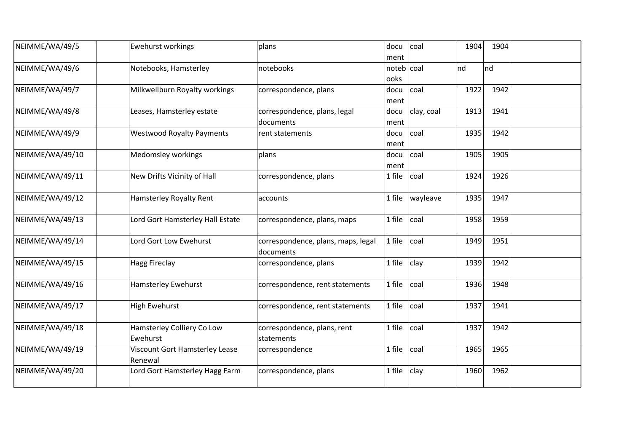| NEIMME/WA/49/5  | <b>Ewehurst workings</b>                  | plans                                           | docu<br>ment       | coal       | 1904 | 1904 |  |
|-----------------|-------------------------------------------|-------------------------------------------------|--------------------|------------|------|------|--|
| NEIMME/WA/49/6  | Notebooks, Hamsterley                     | notebooks                                       | noteb coal<br>ooks |            | nd   | nd   |  |
| NEIMME/WA/49/7  | Milkwellburn Royalty workings             | correspondence, plans                           | docu<br>ment       | coal       | 1922 | 1942 |  |
| NEIMME/WA/49/8  | Leases, Hamsterley estate                 | correspondence, plans, legal<br>documents       | docu<br>ment       | clay, coal | 1913 | 1941 |  |
| NEIMME/WA/49/9  | <b>Westwood Royalty Payments</b>          | rent statements                                 | docu<br>ment       | coal       | 1935 | 1942 |  |
| NEIMME/WA/49/10 | Medomsley workings                        | plans                                           | docu<br>ment       | coal       | 1905 | 1905 |  |
| NEIMME/WA/49/11 | New Drifts Vicinity of Hall               | correspondence, plans                           | 1 file             | coal       | 1924 | 1926 |  |
| NEIMME/WA/49/12 | Hamsterley Royalty Rent                   | accounts                                        | 1 file             | wayleave   | 1935 | 1947 |  |
| NEIMME/WA/49/13 | Lord Gort Hamsterley Hall Estate          | correspondence, plans, maps                     | 1 file             | coal       | 1958 | 1959 |  |
| NEIMME/WA/49/14 | Lord Gort Low Ewehurst                    | correspondence, plans, maps, legal<br>documents | 1 file             | coal       | 1949 | 1951 |  |
| NEIMME/WA/49/15 | <b>Hagg Fireclay</b>                      | correspondence, plans                           | 1 file             | clay       | 1939 | 1942 |  |
| NEIMME/WA/49/16 | Hamsterley Ewehurst                       | correspondence, rent statements                 | 1 file             | coal       | 1936 | 1948 |  |
| NEIMME/WA/49/17 | <b>High Ewehurst</b>                      | correspondence, rent statements                 | 1 file             | coal       | 1937 | 1941 |  |
| NEIMME/WA/49/18 | Hamsterley Colliery Co Low<br>Ewehurst    | correspondence, plans, rent<br>statements       | 1 file             | coal       | 1937 | 1942 |  |
| NEIMME/WA/49/19 | Viscount Gort Hamsterley Lease<br>Renewal | correspondence                                  | 1 file             | coal       | 1965 | 1965 |  |
| NEIMME/WA/49/20 | Lord Gort Hamsterley Hagg Farm            | correspondence, plans                           | 1 file             | clay       | 1960 | 1962 |  |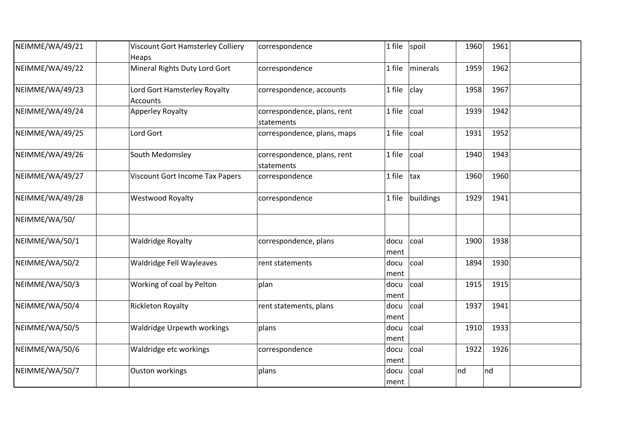| NEIMME/WA/49/21 | Viscount Gort Hamsterley Colliery<br>Heaps | correspondence                            | 1 file       | spoil     | 1960 | 1961 |  |
|-----------------|--------------------------------------------|-------------------------------------------|--------------|-----------|------|------|--|
| NEIMME/WA/49/22 | Mineral Rights Duty Lord Gort              | correspondence                            | 1 file       | minerals  | 1959 | 1962 |  |
| NEIMME/WA/49/23 | Lord Gort Hamsterley Royalty<br>Accounts   | correspondence, accounts                  | 1 file       | clay      | 1958 | 1967 |  |
| NEIMME/WA/49/24 | <b>Apperley Royalty</b>                    | correspondence, plans, rent<br>statements | 1 file       | coal      | 1939 | 1942 |  |
| NEIMME/WA/49/25 | Lord Gort                                  | correspondence, plans, maps               | 1 file       | coal      | 1931 | 1952 |  |
| NEIMME/WA/49/26 | South Medomsley                            | correspondence, plans, rent<br>statements | 1 file       | coal      | 1940 | 1943 |  |
| NEIMME/WA/49/27 | <b>Viscount Gort Income Tax Papers</b>     | correspondence                            | 1 file       | tax       | 1960 | 1960 |  |
| NEIMME/WA/49/28 | <b>Westwood Royalty</b>                    | correspondence                            | 1 file       | buildings | 1929 | 1941 |  |
| NEIMME/WA/50/   |                                            |                                           |              |           |      |      |  |
| NEIMME/WA/50/1  | <b>Waldridge Royalty</b>                   | correspondence, plans                     | docu<br>ment | coal      | 1900 | 1938 |  |
| NEIMME/WA/50/2  | Waldridge Fell Wayleaves                   | rent statements                           | docu<br>ment | coal      | 1894 | 1930 |  |
| NEIMME/WA/50/3  | Working of coal by Pelton                  | plan                                      | docu<br>ment | coal      | 1915 | 1915 |  |
| NEIMME/WA/50/4  | <b>Rickleton Royalty</b>                   | rent statements, plans                    | docu<br>ment | coal      | 1937 | 1941 |  |
| NEIMME/WA/50/5  | <b>Waldridge Urpewth workings</b>          | plans                                     | docu<br>ment | coal      | 1910 | 1933 |  |
| NEIMME/WA/50/6  | Waldridge etc workings                     | correspondence                            | docu<br>ment | coal      | 1922 | 1926 |  |
| NEIMME/WA/50/7  | <b>Ouston workings</b>                     | plans                                     | docu<br>ment | coal      | nd   | nd   |  |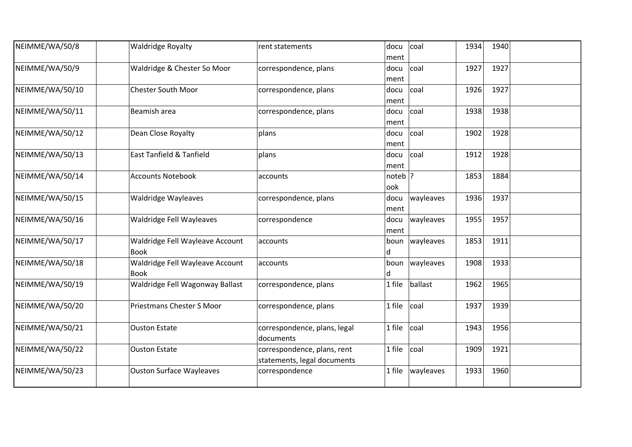| NEIMME/WA/50/8  | <b>Waldridge Royalty</b>                       | rent statements                                            | coal<br>docu<br>ment      | 1934 | 1940 |  |
|-----------------|------------------------------------------------|------------------------------------------------------------|---------------------------|------|------|--|
| NEIMME/WA/50/9  | Waldridge & Chester So Moor                    | correspondence, plans                                      | coal<br>docu<br>ment      | 1927 | 1927 |  |
| NEIMME/WA/50/10 | <b>Chester South Moor</b>                      | correspondence, plans                                      | coal<br>docu<br>ment      | 1926 | 1927 |  |
| NEIMME/WA/50/11 | Beamish area                                   | correspondence, plans                                      | coal<br>docu<br>ment      | 1938 | 1938 |  |
| NEIMME/WA/50/12 | Dean Close Royalty                             | plans                                                      | coal<br>docu<br>ment      | 1902 | 1928 |  |
| NEIMME/WA/50/13 | East Tanfield & Tanfield                       | plans                                                      | docu<br>coal<br>ment      | 1912 | 1928 |  |
| NEIMME/WA/50/14 | <b>Accounts Notebook</b>                       | accounts                                                   | noteb $ ?$<br>ook         | 1853 | 1884 |  |
| NEIMME/WA/50/15 | <b>Waldridge Wayleaves</b>                     | correspondence, plans                                      | wayleaves<br>docu<br>ment | 1936 | 1937 |  |
| NEIMME/WA/50/16 | Waldridge Fell Wayleaves                       | correspondence                                             | wayleaves<br>docu<br>ment | 1955 | 1957 |  |
| NEIMME/WA/50/17 | Waldridge Fell Wayleave Account<br><b>Book</b> | accounts                                                   | boun   wayleaves<br>d     | 1853 | 1911 |  |
| NEIMME/WA/50/18 | Waldridge Fell Wayleave Account<br><b>Book</b> | accounts                                                   | wayleaves<br>boun<br>d    | 1908 | 1933 |  |
| NEIMME/WA/50/19 | Waldridge Fell Wagonway Ballast                | correspondence, plans                                      | 1 file<br>ballast         | 1962 | 1965 |  |
| NEIMME/WA/50/20 | Priestmans Chester S Moor                      | correspondence, plans                                      | 1 file<br>coal            | 1937 | 1939 |  |
| NEIMME/WA/50/21 | <b>Ouston Estate</b>                           | correspondence, plans, legal<br>documents                  | 1 file<br>coal            | 1943 | 1956 |  |
| NEIMME/WA/50/22 | <b>Ouston Estate</b>                           | correspondence, plans, rent<br>statements, legal documents | 1 file<br>coal            | 1909 | 1921 |  |
| NEIMME/WA/50/23 | <b>Ouston Surface Wayleaves</b>                | correspondence                                             | 1 file<br>wayleaves       | 1933 | 1960 |  |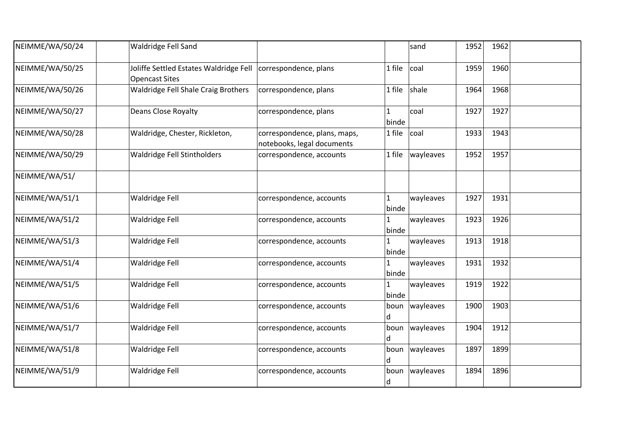| NEIMME/WA/50/24 | Waldridge Fell Sand                                                                     |                                                            |                       | sand                    | 1952 | 1962 |  |
|-----------------|-----------------------------------------------------------------------------------------|------------------------------------------------------------|-----------------------|-------------------------|------|------|--|
| NEIMME/WA/50/25 | Joliffe Settled Estates Waldridge Fell   correspondence, plans<br><b>Opencast Sites</b> |                                                            | 1 file                | coal                    | 1959 | 1960 |  |
| NEIMME/WA/50/26 | Waldridge Fell Shale Craig Brothers                                                     | correspondence, plans                                      | 1 file                | shale                   | 1964 | 1968 |  |
| NEIMME/WA/50/27 | <b>Deans Close Royalty</b>                                                              | correspondence, plans                                      | $\mathbf{1}$<br>binde | coal                    | 1927 | 1927 |  |
| NEIMME/WA/50/28 | Waldridge, Chester, Rickleton,                                                          | correspondence, plans, maps,<br>notebooks, legal documents | 1 file                | coal                    | 1933 | 1943 |  |
| NEIMME/WA/50/29 | Waldridge Fell Stintholders                                                             | correspondence, accounts                                   | 1 file                | wayleaves               | 1952 | 1957 |  |
| NEIMME/WA/51/   |                                                                                         |                                                            |                       |                         |      |      |  |
| NEIMME/WA/51/1  | Waldridge Fell                                                                          | correspondence, accounts                                   | $\mathbf 1$<br>binde  | wayleaves               | 1927 | 1931 |  |
| NEIMME/WA/51/2  | Waldridge Fell                                                                          | correspondence, accounts                                   | $\mathbf{1}$<br>binde | wayleaves               | 1923 | 1926 |  |
| NEIMME/WA/51/3  | Waldridge Fell                                                                          | correspondence, accounts                                   | 1<br>binde            | wayleaves               | 1913 | 1918 |  |
| NEIMME/WA/51/4  | Waldridge Fell                                                                          | correspondence, accounts                                   | 1<br>binde            | wayleaves               | 1931 | 1932 |  |
| NEIMME/WA/51/5  | Waldridge Fell                                                                          | correspondence, accounts                                   | 1<br>binde            | wayleaves               | 1919 | 1922 |  |
| NEIMME/WA/51/6  | Waldridge Fell                                                                          | correspondence, accounts                                   | d                     | boun $\vert$ way leaves | 1900 | 1903 |  |
| NEIMME/WA/51/7  | Waldridge Fell                                                                          | correspondence, accounts                                   | boun<br>d             | wayleaves               | 1904 | 1912 |  |
| NEIMME/WA/51/8  | Waldridge Fell                                                                          | correspondence, accounts                                   | d                     | boun   wayleaves        | 1897 | 1899 |  |
| NEIMME/WA/51/9  | Waldridge Fell                                                                          | correspondence, accounts                                   | boun<br>d             | wayleaves               | 1894 | 1896 |  |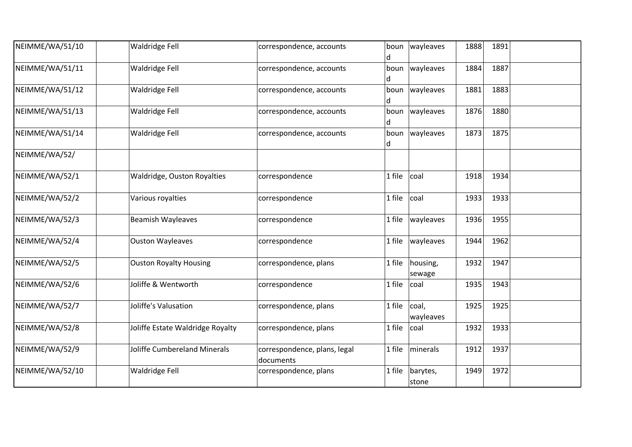| NEIMME/WA/51/10 | Waldridge Fell                   | correspondence, accounts                  | boun<br>d | wayleaves               | 1888 | 1891 |  |
|-----------------|----------------------------------|-------------------------------------------|-----------|-------------------------|------|------|--|
| NEIMME/WA/51/11 | Waldridge Fell                   | correspondence, accounts                  | boun<br>d | wayleaves               | 1884 | 1887 |  |
| NEIMME/WA/51/12 | Waldridge Fell                   | correspondence, accounts                  | d         | boun   wayleaves        | 1881 | 1883 |  |
| NEIMME/WA/51/13 | Waldridge Fell                   | correspondence, accounts                  | boun<br>d | wayleaves               | 1876 | 1880 |  |
| NEIMME/WA/51/14 | Waldridge Fell                   | correspondence, accounts                  | d         | boun $\vert$ way leaves | 1873 | 1875 |  |
| NEIMME/WA/52/   |                                  |                                           |           |                         |      |      |  |
| NEIMME/WA/52/1  | Waldridge, Ouston Royalties      | correspondence                            | 1 file    | coal                    | 1918 | 1934 |  |
| NEIMME/WA/52/2  | Various royalties                | correspondence                            | 1 file    | coal                    | 1933 | 1933 |  |
| NEIMME/WA/52/3  | <b>Beamish Wayleaves</b>         | correspondence                            | 1 file    | wayleaves               | 1936 | 1955 |  |
| NEIMME/WA/52/4  | <b>Ouston Wayleaves</b>          | correspondence                            | 1 file    | wayleaves               | 1944 | 1962 |  |
| NEIMME/WA/52/5  | <b>Ouston Royalty Housing</b>    | correspondence, plans                     | 1 file    | housing,<br>sewage      | 1932 | 1947 |  |
| NEIMME/WA/52/6  | Joliffe & Wentworth              | correspondence                            | 1 file    | coal                    | 1935 | 1943 |  |
| NEIMME/WA/52/7  | Joliffe's Valusation             | correspondence, plans                     | 1 file    | coal,<br>wayleaves      | 1925 | 1925 |  |
| NEIMME/WA/52/8  | Joliffe Estate Waldridge Royalty | correspondence, plans                     | 1 file    | coal                    | 1932 | 1933 |  |
| NEIMME/WA/52/9  | Joliffe Cumbereland Minerals     | correspondence, plans, legal<br>documents | 1 file    | minerals                | 1912 | 1937 |  |
| NEIMME/WA/52/10 | Waldridge Fell                   | correspondence, plans                     | 1 file    | barytes,<br>stone       | 1949 | 1972 |  |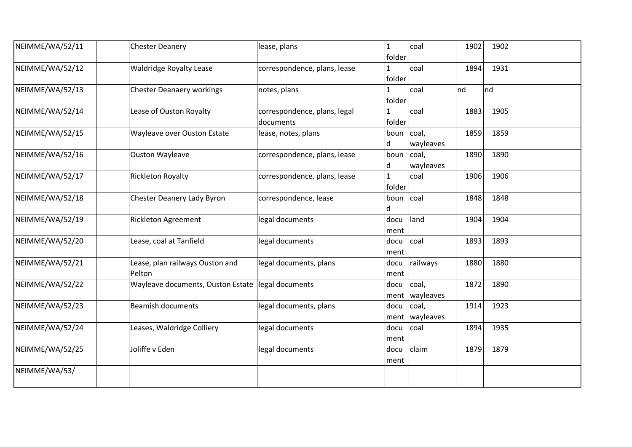| NEIMME/WA/52/11 | <b>Chester Deanery</b>                            | lease, plans                              | $\mathbf{1}$<br>folder | coal                      | 1902 | 1902 |  |
|-----------------|---------------------------------------------------|-------------------------------------------|------------------------|---------------------------|------|------|--|
| NEIMME/WA/52/12 | <b>Waldridge Royalty Lease</b>                    | correspondence, plans, lease              | 1<br>folder            | coal                      | 1894 | 1931 |  |
| NEIMME/WA/52/13 | <b>Chester Deanaery workings</b>                  | notes, plans                              | folder                 | coal                      | nd   | nd   |  |
| NEIMME/WA/52/14 | Lease of Ouston Royalty                           | correspondence, plans, legal<br>documents | 1<br>folder            | coal                      | 1883 | 1905 |  |
| NEIMME/WA/52/15 | Wayleave over Ouston Estate                       | lease, notes, plans                       | boun $ coal,$<br>d     | wayleaves                 | 1859 | 1859 |  |
| NEIMME/WA/52/16 | <b>Ouston Wayleave</b>                            | correspondence, plans, lease              | boun $ coal,$<br>d     | wayleaves                 | 1890 | 1890 |  |
| NEIMME/WA/52/17 | <b>Rickleton Royalty</b>                          | correspondence, plans, lease              | 1<br>folder            | coal                      | 1906 | 1906 |  |
| NEIMME/WA/52/18 | <b>Chester Deanery Lady Byron</b>                 | correspondence, lease                     | boun coal<br>d         |                           | 1848 | 1848 |  |
| NEIMME/WA/52/19 | <b>Rickleton Agreement</b>                        | legal documents                           | docu<br>ment           | land                      | 1904 | 1904 |  |
| NEIMME/WA/52/20 | Lease, coal at Tanfield                           | legal documents                           | docu<br>ment           | coal                      | 1893 | 1893 |  |
| NEIMME/WA/52/21 | Lease, plan railways Ouston and<br>Pelton         | legal documents, plans                    | docu<br>ment           | railways                  | 1880 | 1880 |  |
| NEIMME/WA/52/22 | Wayleave documents, Ouston Estate legal documents |                                           | docu<br>ment           | coal,<br>wayleaves        | 1872 | 1890 |  |
| NEIMME/WA/52/23 | <b>Beamish documents</b>                          | legal documents, plans                    | docu                   | coal,<br>ment   wayleaves | 1914 | 1923 |  |
| NEIMME/WA/52/24 | Leases, Waldridge Colliery                        | legal documents                           | docu<br>ment           | coal                      | 1894 | 1935 |  |
| NEIMME/WA/52/25 | Joliffe v Eden                                    | legal documents                           | docu<br>ment           | claim                     | 1879 | 1879 |  |
| NEIMME/WA/53/   |                                                   |                                           |                        |                           |      |      |  |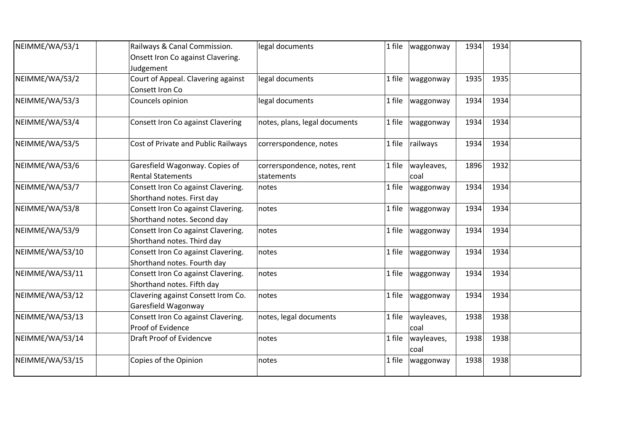| NEIMME/WA/53/1  | Railways & Canal Commission.        | legal documents               |        | $1$ file   waggonway | 1934 | 1934 |  |
|-----------------|-------------------------------------|-------------------------------|--------|----------------------|------|------|--|
|                 | Onsett Iron Co against Clavering.   |                               |        |                      |      |      |  |
|                 | Judgement                           |                               |        |                      |      |      |  |
| NEIMME/WA/53/2  | Court of Appeal. Clavering against  | legal documents               | 1 file | waggonway            | 1935 | 1935 |  |
|                 | Consett Iron Co                     |                               |        |                      |      |      |  |
| NEIMME/WA/53/3  | Councels opinion                    | legal documents               | 1 file | waggonway            | 1934 | 1934 |  |
| NEIMME/WA/53/4  | Consett Iron Co against Clavering   | notes, plans, legal documents | 1 file | waggonway            | 1934 | 1934 |  |
| NEIMME/WA/53/5  | Cost of Private and Public Railways | correrspondence, notes        | 1 file | railways             | 1934 | 1934 |  |
| NEIMME/WA/53/6  | Garesfield Wagonway. Copies of      | correrspondence, notes, rent  | 1 file | wayleaves,           | 1896 | 1932 |  |
|                 | <b>Rental Statements</b>            | statements                    |        | coal                 |      |      |  |
| NEIMME/WA/53/7  | Consett Iron Co against Clavering.  | notes                         | 1 file | waggonway            | 1934 | 1934 |  |
|                 | Shorthand notes. First day          |                               |        |                      |      |      |  |
| NEIMME/WA/53/8  | Consett Iron Co against Clavering.  | notes                         | 1 file | waggonway            | 1934 | 1934 |  |
|                 | Shorthand notes. Second day         |                               |        |                      |      |      |  |
| NEIMME/WA/53/9  | Consett Iron Co against Clavering.  | notes                         | 1 file | waggonway            | 1934 | 1934 |  |
|                 | Shorthand notes. Third day          |                               |        |                      |      |      |  |
| NEIMME/WA/53/10 | Consett Iron Co against Clavering.  | notes                         | 1 file | waggonway            | 1934 | 1934 |  |
|                 | Shorthand notes. Fourth day         |                               |        |                      |      |      |  |
| NEIMME/WA/53/11 | Consett Iron Co against Clavering.  | notes                         | 1 file | waggonway            | 1934 | 1934 |  |
|                 | Shorthand notes. Fifth day          |                               |        |                      |      |      |  |
| NEIMME/WA/53/12 | Clavering against Consett Irom Co.  | notes                         | 1 file | waggonway            | 1934 | 1934 |  |
|                 | Garesfield Wagonway                 |                               |        |                      |      |      |  |
| NEIMME/WA/53/13 | Consett Iron Co against Clavering.  | notes, legal documents        | 1 file | wayleaves,           | 1938 | 1938 |  |
|                 | Proof of Evidence                   |                               |        | coal                 |      |      |  |
| NEIMME/WA/53/14 | <b>Draft Proof of Evidencve</b>     | notes                         | 1 file | wayleaves,<br>coal   | 1938 | 1938 |  |
| NEIMME/WA/53/15 | Copies of the Opinion               | notes                         | 1 file | waggonway            | 1938 | 1938 |  |
|                 |                                     |                               |        |                      |      |      |  |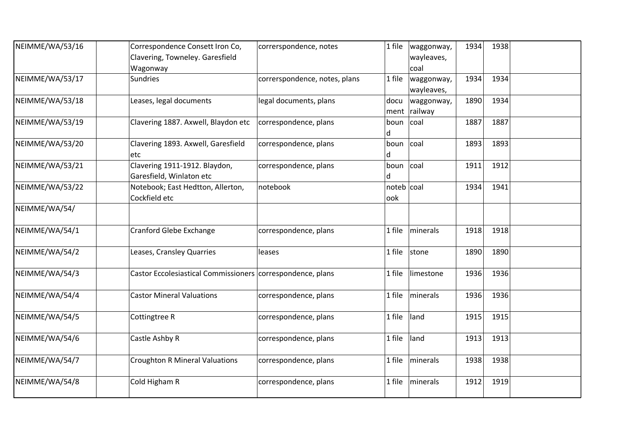| NEIMME/WA/53/16 | Correspondence Consett Iron Co,<br>Clavering, Towneley. Garesfield<br>Wagonway | correrspondence, notes        | 1 file              | waggonway,<br>wayleaves,<br>coal | 1934 | 1938 |  |
|-----------------|--------------------------------------------------------------------------------|-------------------------------|---------------------|----------------------------------|------|------|--|
| NEIMME/WA/53/17 | <b>Sundries</b>                                                                | correrspondence, notes, plans | 1 file              | waggonway,<br>wayleaves,         | 1934 | 1934 |  |
| NEIMME/WA/53/18 | Leases, legal documents                                                        | legal documents, plans        | docu                | waggonway,<br>ment railway       | 1890 | 1934 |  |
| NEIMME/WA/53/19 | Clavering 1887. Axwell, Blaydon etc                                            | correspondence, plans         | boun<br>d           | coal                             | 1887 | 1887 |  |
| NEIMME/WA/53/20 | Clavering 1893. Axwell, Garesfield<br>etc                                      | correspondence, plans         | boun<br>d           | coal                             | 1893 | 1893 |  |
| NEIMME/WA/53/21 | Clavering 1911-1912. Blaydon,<br>Garesfield, Winlaton etc                      | correspondence, plans         | boun coal<br>d      |                                  | 1911 | 1912 |  |
| NEIMME/WA/53/22 | Notebook; East Hedtton, Allerton,<br>Cockfield etc                             | notebook                      | noteb   coal<br>ook |                                  | 1934 | 1941 |  |
| NEIMME/WA/54/   |                                                                                |                               |                     |                                  |      |      |  |
| NEIMME/WA/54/1  | <b>Cranford Glebe Exchange</b>                                                 | correspondence, plans         | 1 file              | minerals                         | 1918 | 1918 |  |
| NEIMME/WA/54/2  | Leases, Cransley Quarries                                                      | leases                        | 1 file              | stone                            | 1890 | 1890 |  |
| NEIMME/WA/54/3  | Castor Eccolesiastical Commissioners correspondence, plans                     |                               | 1 file              | limestone                        | 1936 | 1936 |  |
| NEIMME/WA/54/4  | <b>Castor Mineral Valuations</b>                                               | correspondence, plans         | 1 file              | minerals                         | 1936 | 1936 |  |
| NEIMME/WA/54/5  | Cottingtree R                                                                  | correspondence, plans         | 1 file              | land                             | 1915 | 1915 |  |
| NEIMME/WA/54/6  | Castle Ashby R                                                                 | correspondence, plans         | 1 file              | land                             | 1913 | 1913 |  |
| NEIMME/WA/54/7  | <b>Croughton R Mineral Valuations</b>                                          | correspondence, plans         | 1 file              | minerals                         | 1938 | 1938 |  |
| NEIMME/WA/54/8  | Cold Higham R                                                                  | correspondence, plans         | 1 file              | minerals                         | 1912 | 1919 |  |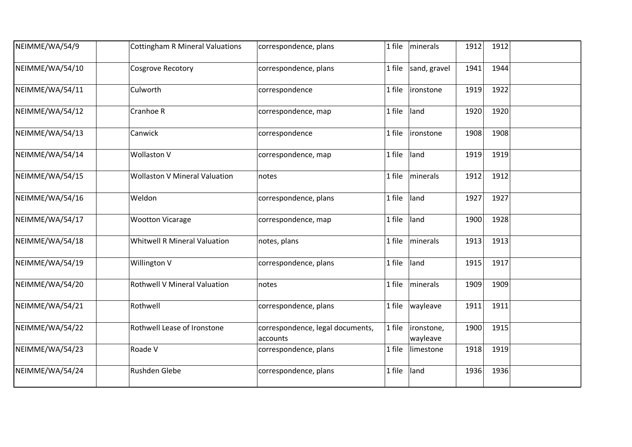| NEIMME/WA/54/9  | <b>Cottingham R Mineral Valuations</b> | correspondence, plans                         | 1 file | minerals               | 1912 | 1912 |  |
|-----------------|----------------------------------------|-----------------------------------------------|--------|------------------------|------|------|--|
| NEIMME/WA/54/10 | <b>Cosgrove Recotory</b>               | correspondence, plans                         | 1 file | sand, gravel           | 1941 | 1944 |  |
| NEIMME/WA/54/11 | Culworth                               | correspondence                                | 1 file | <i>ironstone</i>       | 1919 | 1922 |  |
| NEIMME/WA/54/12 | Cranhoe R                              | correspondence, map                           | 1 file | land                   | 1920 | 1920 |  |
| NEIMME/WA/54/13 | Canwick                                | correspondence                                | 1 file | ironstone              | 1908 | 1908 |  |
| NEIMME/WA/54/14 | Wollaston V                            | correspondence, map                           | 1 file | land                   | 1919 | 1919 |  |
| NEIMME/WA/54/15 | <b>Wollaston V Mineral Valuation</b>   | notes                                         | 1 file | minerals               | 1912 | 1912 |  |
| NEIMME/WA/54/16 | Weldon                                 | correspondence, plans                         | 1 file | land                   | 1927 | 1927 |  |
| NEIMME/WA/54/17 | <b>Wootton Vicarage</b>                | correspondence, map                           | 1 file | land                   | 1900 | 1928 |  |
| NEIMME/WA/54/18 | <b>Whitwell R Mineral Valuation</b>    | notes, plans                                  | 1 file | minerals               | 1913 | 1913 |  |
| NEIMME/WA/54/19 | Willington V                           | correspondence, plans                         | 1 file | land                   | 1915 | 1917 |  |
| NEIMME/WA/54/20 | <b>Rothwell V Mineral Valuation</b>    | notes                                         | 1 file | minerals               | 1909 | 1909 |  |
| NEIMME/WA/54/21 | Rothwell                               | correspondence, plans                         | 1 file | wayleave               | 1911 | 1911 |  |
| NEIMME/WA/54/22 | Rothwell Lease of Ironstone            | correspondence, legal documents,<br>laccounts | 1 file | ironstone,<br>wayleave | 1900 | 1915 |  |
| NEIMME/WA/54/23 | Roade V                                | correspondence, plans                         | 1 file | limestone              | 1918 | 1919 |  |
| NEIMME/WA/54/24 | Rushden Glebe                          | correspondence, plans                         | 1 file | land                   | 1936 | 1936 |  |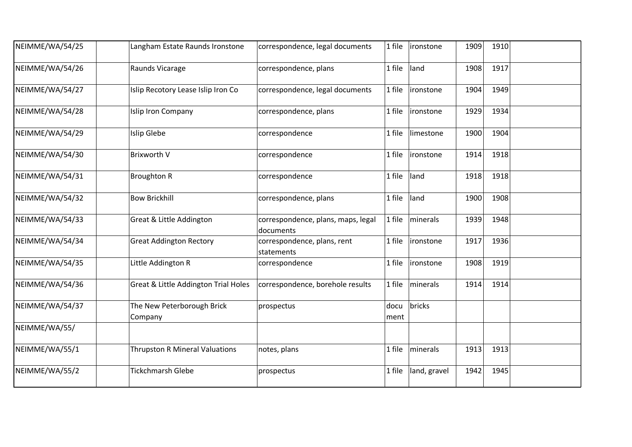| NEIMME/WA/54/25 | Langham Estate Raunds Ironstone       | correspondence, legal documents                 | 1 file       | ironstone         | 1909 | 1910 |  |
|-----------------|---------------------------------------|-------------------------------------------------|--------------|-------------------|------|------|--|
| NEIMME/WA/54/26 | Raunds Vicarage                       | correspondence, plans                           | 1 file       | land              | 1908 | 1917 |  |
| NEIMME/WA/54/27 | Islip Recotory Lease Islip Iron Co    | correspondence, legal documents                 | 1 file       | <i>ironstone</i>  | 1904 | 1949 |  |
| NEIMME/WA/54/28 | Islip Iron Company                    | correspondence, plans                           | 1 file       | ironstone         | 1929 | 1934 |  |
| NEIMME/WA/54/29 | Islip Glebe                           | correspondence                                  | 1 file       | limestone         | 1900 | 1904 |  |
| NEIMME/WA/54/30 | <b>Brixworth V</b>                    | correspondence                                  | 1 file       | ironstone         | 1914 | 1918 |  |
| NEIMME/WA/54/31 | <b>Broughton R</b>                    | correspondence                                  | 1 file       | land              | 1918 | 1918 |  |
| NEIMME/WA/54/32 | <b>Bow Brickhill</b>                  | correspondence, plans                           | 1 file       | land              | 1900 | 1908 |  |
| NEIMME/WA/54/33 | Great & Little Addington              | correspondence, plans, maps, legal<br>documents | 1 file       | <i>I</i> minerals | 1939 | 1948 |  |
| NEIMME/WA/54/34 | <b>Great Addington Rectory</b>        | correspondence, plans, rent<br>statements       | 1 file       | ironstone         | 1917 | 1936 |  |
| NEIMME/WA/54/35 | Little Addington R                    | correspondence                                  | 1 file       | ironstone         | 1908 | 1919 |  |
| NEIMME/WA/54/36 | Great & Little Addington Trial Holes  | correspondence, borehole results                | 1 file       | minerals          | 1914 | 1914 |  |
| NEIMME/WA/54/37 | The New Peterborough Brick<br>Company | prospectus                                      | docu<br>ment | bricks            |      |      |  |
| NEIMME/WA/55/   |                                       |                                                 |              |                   |      |      |  |
| NEIMME/WA/55/1  | <b>Thrupston R Mineral Valuations</b> | notes, plans                                    | 1 file       | minerals          | 1913 | 1913 |  |
| NEIMME/WA/55/2  | <b>Tickchmarsh Glebe</b>              | prospectus                                      | 1 file       | land, gravel      | 1942 | 1945 |  |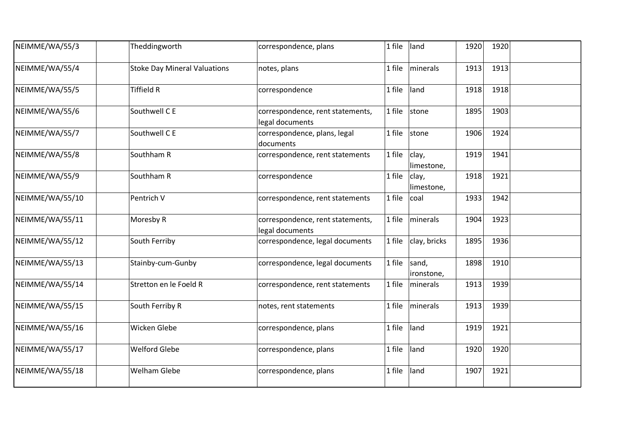| NEIMME/WA/55/3  | Theddingworth                       | correspondence, plans                               | 1 file | land                | 1920 | 1920 |  |
|-----------------|-------------------------------------|-----------------------------------------------------|--------|---------------------|------|------|--|
| NEIMME/WA/55/4  | <b>Stoke Day Mineral Valuations</b> | notes, plans                                        | 1 file | minerals            | 1913 | 1913 |  |
| NEIMME/WA/55/5  | <b>Tiffield R</b>                   | correspondence                                      | 1 file | land                | 1918 | 1918 |  |
| NEIMME/WA/55/6  | Southwell C E                       | correspondence, rent statements,<br>legal documents | 1 file | stone               | 1895 | 1903 |  |
| NEIMME/WA/55/7  | Southwell C E                       | correspondence, plans, legal<br>documents           | 1 file | stone               | 1906 | 1924 |  |
| NEIMME/WA/55/8  | Southham R                          | correspondence, rent statements                     | 1 file | clay,<br>limestone, | 1919 | 1941 |  |
| NEIMME/WA/55/9  | Southham R                          | correspondence                                      | 1 file | clay,<br>limestone, | 1918 | 1921 |  |
| NEIMME/WA/55/10 | Pentrich V                          | correspondence, rent statements                     | 1 file | coal                | 1933 | 1942 |  |
| NEIMME/WA/55/11 | Moresby R                           | correspondence, rent statements,<br>legal documents | 1 file | minerals            | 1904 | 1923 |  |
| NEIMME/WA/55/12 | South Ferriby                       | correspondence, legal documents                     | 1 file | clay, bricks        | 1895 | 1936 |  |
| NEIMME/WA/55/13 | Stainby-cum-Gunby                   | correspondence, legal documents                     | 1 file | sand,<br>ironstone, | 1898 | 1910 |  |
| NEIMME/WA/55/14 | Stretton en le Foeld R              | correspondence, rent statements                     | 1 file | minerals            | 1913 | 1939 |  |
| NEIMME/WA/55/15 | South Ferriby R                     | notes, rent statements                              | 1 file | minerals            | 1913 | 1939 |  |
| NEIMME/WA/55/16 | Wicken Glebe                        | correspondence, plans                               | 1 file | land                | 1919 | 1921 |  |
| NEIMME/WA/55/17 | <b>Welford Glebe</b>                | correspondence, plans                               | 1 file | land                | 1920 | 1920 |  |
| NEIMME/WA/55/18 | <b>Welham Glebe</b>                 | correspondence, plans                               | 1 file | land                | 1907 | 1921 |  |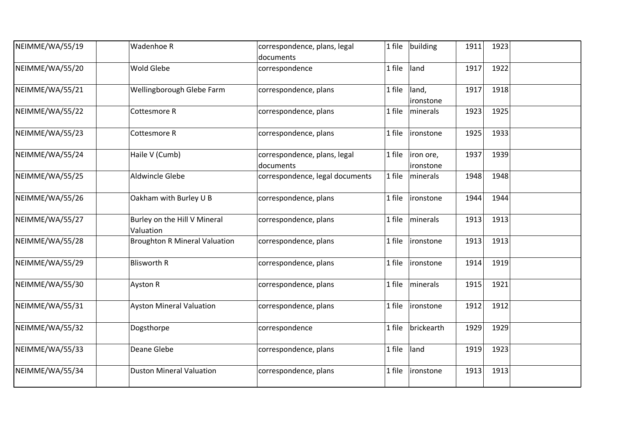| NEIMME/WA/55/19 | Wadenhoe R                                | correspondence, plans, legal<br>documents | 1 file | building               | 1911 | 1923 |  |
|-----------------|-------------------------------------------|-------------------------------------------|--------|------------------------|------|------|--|
| NEIMME/WA/55/20 | Wold Glebe                                | correspondence                            | 1 file | land                   | 1917 | 1922 |  |
| NEIMME/WA/55/21 | Wellingborough Glebe Farm                 | correspondence, plans                     | 1 file | land,<br>ironstone     | 1917 | 1918 |  |
| NEIMME/WA/55/22 | Cottesmore R                              | correspondence, plans                     | 1 file | minerals               | 1923 | 1925 |  |
| NEIMME/WA/55/23 | Cottesmore R                              | correspondence, plans                     | 1 file | ironstone              | 1925 | 1933 |  |
| NEIMME/WA/55/24 | Haile V (Cumb)                            | correspondence, plans, legal<br>documents | 1 file | iron ore,<br>ironstone | 1937 | 1939 |  |
| NEIMME/WA/55/25 | Aldwincle Glebe                           | correspondence, legal documents           | 1 file | minerals               | 1948 | 1948 |  |
| NEIMME/WA/55/26 | Oakham with Burley U B                    | correspondence, plans                     | 1 file | ironstone              | 1944 | 1944 |  |
| NEIMME/WA/55/27 | Burley on the Hill V Mineral<br>Valuation | correspondence, plans                     | 1 file | minerals               | 1913 | 1913 |  |
| NEIMME/WA/55/28 | <b>Broughton R Mineral Valuation</b>      | correspondence, plans                     | 1 file | ironstone              | 1913 | 1913 |  |
| NEIMME/WA/55/29 | <b>Blisworth R</b>                        | correspondence, plans                     | 1 file | ironstone              | 1914 | 1919 |  |
| NEIMME/WA/55/30 | Ayston R                                  | correspondence, plans                     | 1 file | minerals               | 1915 | 1921 |  |
| NEIMME/WA/55/31 | <b>Ayston Mineral Valuation</b>           | correspondence, plans                     | 1 file | ironstone              | 1912 | 1912 |  |
| NEIMME/WA/55/32 | Dogsthorpe                                | correspondence                            | 1 file | brickearth             | 1929 | 1929 |  |
| NEIMME/WA/55/33 | Deane Glebe                               | correspondence, plans                     | 1 file | land                   | 1919 | 1923 |  |
| NEIMME/WA/55/34 | <b>Duston Mineral Valuation</b>           | correspondence, plans                     | 1 file | ironstone              | 1913 | 1913 |  |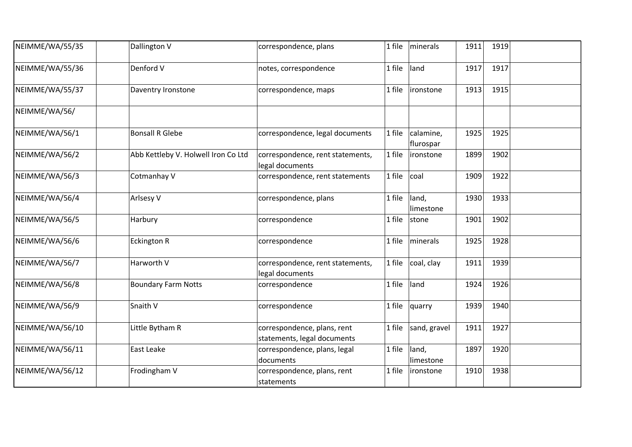| NEIMME/WA/55/35 | Dallington V                        | correspondence, plans                                      | 1 file | minerals               | 1911 | 1919 |  |
|-----------------|-------------------------------------|------------------------------------------------------------|--------|------------------------|------|------|--|
| NEIMME/WA/55/36 | Denford V                           | notes, correspondence                                      | 1 file | land                   | 1917 | 1917 |  |
| NEIMME/WA/55/37 | Daventry Ironstone                  | correspondence, maps                                       | 1 file | ironstone              | 1913 | 1915 |  |
| NEIMME/WA/56/   |                                     |                                                            |        |                        |      |      |  |
| NEIMME/WA/56/1  | <b>Bonsall R Glebe</b>              | correspondence, legal documents                            | 1 file | calamine,<br>flurospar | 1925 | 1925 |  |
| NEIMME/WA/56/2  | Abb Kettleby V. Holwell Iron Co Ltd | correspondence, rent statements,<br>legal documents        | 1 file | ironstone              | 1899 | 1902 |  |
| NEIMME/WA/56/3  | Cotmanhay V                         | correspondence, rent statements                            | 1 file | coal                   | 1909 | 1922 |  |
| NEIMME/WA/56/4  | Arlsesy V                           | correspondence, plans                                      | 1 file | land,<br>limestone     | 1930 | 1933 |  |
| NEIMME/WA/56/5  | Harbury                             | correspondence                                             | 1 file | stone                  | 1901 | 1902 |  |
| NEIMME/WA/56/6  | <b>Eckington R</b>                  | correspondence                                             | 1 file | minerals               | 1925 | 1928 |  |
| NEIMME/WA/56/7  | Harworth V                          | correspondence, rent statements,<br>legal documents        | 1 file | coal, clay             | 1911 | 1939 |  |
| NEIMME/WA/56/8  | <b>Boundary Farm Notts</b>          | correspondence                                             | 1 file | land                   | 1924 | 1926 |  |
| NEIMME/WA/56/9  | Snaith V                            | correspondence                                             | 1 file | quarry                 | 1939 | 1940 |  |
| NEIMME/WA/56/10 | Little Bytham R                     | correspondence, plans, rent<br>statements, legal documents | 1 file | sand, gravel           | 1911 | 1927 |  |
| NEIMME/WA/56/11 | East Leake                          | correspondence, plans, legal<br>documents                  | 1 file | land,<br>limestone     | 1897 | 1920 |  |
| NEIMME/WA/56/12 | Frodingham V                        | correspondence, plans, rent<br>statements                  | 1 file | ironstone              | 1910 | 1938 |  |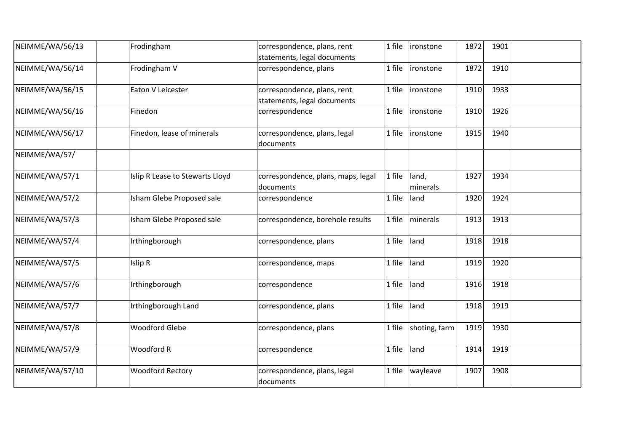| NEIMME/WA/56/13 | Frodingham                      | correspondence, plans, rent<br>statements, legal documents | 1 file<br>ironstone         | 1872 | 1901 |  |
|-----------------|---------------------------------|------------------------------------------------------------|-----------------------------|------|------|--|
| NEIMME/WA/56/14 | Frodingham V                    | correspondence, plans                                      | 1 file<br>ironstone         | 1872 | 1910 |  |
| NEIMME/WA/56/15 | Eaton V Leicester               | correspondence, plans, rent<br>statements, legal documents | 1 file<br>ironstone         | 1910 | 1933 |  |
| NEIMME/WA/56/16 | Finedon                         | correspondence                                             | 1 file<br>ironstone         | 1910 | 1926 |  |
| NEIMME/WA/56/17 | Finedon, lease of minerals      | correspondence, plans, legal<br>documents                  | 1 file<br>lironstone        | 1915 | 1940 |  |
| NEIMME/WA/57/   |                                 |                                                            |                             |      |      |  |
| NEIMME/WA/57/1  | Islip R Lease to Stewarts Lloyd | correspondence, plans, maps, legal<br>documents            | land,<br>1 file<br>minerals | 1927 | 1934 |  |
| NEIMME/WA/57/2  | Isham Glebe Proposed sale       | correspondence                                             | 1 file<br>land              | 1920 | 1924 |  |
| NEIMME/WA/57/3  | Isham Glebe Proposed sale       | correspondence, borehole results                           | 1 file<br>minerals          | 1913 | 1913 |  |
| NEIMME/WA/57/4  | Irthingborough                  | correspondence, plans                                      | land<br>1 file              | 1918 | 1918 |  |
| NEIMME/WA/57/5  | Islip R                         | correspondence, maps                                       | 1 file<br>land              | 1919 | 1920 |  |
| NEIMME/WA/57/6  | Irthingborough                  | correspondence                                             | 1 file<br>land              | 1916 | 1918 |  |
| NEIMME/WA/57/7  | Irthingborough Land             | correspondence, plans                                      | land<br>1 file              | 1918 | 1919 |  |
| NEIMME/WA/57/8  | <b>Woodford Glebe</b>           | correspondence, plans                                      | shoting, farm<br>1 file     | 1919 | 1930 |  |
| NEIMME/WA/57/9  | Woodford R                      | correspondence                                             | 1 file<br>land              | 1914 | 1919 |  |
| NEIMME/WA/57/10 | <b>Woodford Rectory</b>         | correspondence, plans, legal<br>documents                  | wayleave<br>1 file          | 1907 | 1908 |  |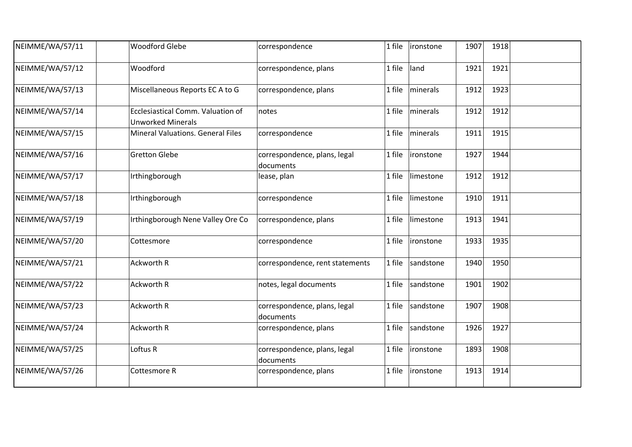| NEIMME/WA/57/11 | <b>Woodford Glebe</b>                                         | correspondence                            | 1 file | ironstone | 1907 | 1918 |  |
|-----------------|---------------------------------------------------------------|-------------------------------------------|--------|-----------|------|------|--|
| NEIMME/WA/57/12 | Woodford                                                      | correspondence, plans                     | 1 file | land      | 1921 | 1921 |  |
| NEIMME/WA/57/13 | Miscellaneous Reports EC A to G                               | correspondence, plans                     | 1 file | minerals  | 1912 | 1923 |  |
| NEIMME/WA/57/14 | Ecclesiastical Comm. Valuation of<br><b>Unworked Minerals</b> | notes                                     | 1 file | minerals  | 1912 | 1912 |  |
| NEIMME/WA/57/15 | <b>Mineral Valuations. General Files</b>                      | correspondence                            | 1 file | minerals  | 1911 | 1915 |  |
| NEIMME/WA/57/16 | <b>Gretton Glebe</b>                                          | correspondence, plans, legal<br>documents | 1 file | ironstone | 1927 | 1944 |  |
| NEIMME/WA/57/17 | Irthingborough                                                | lease, plan                               | 1 file | limestone | 1912 | 1912 |  |
| NEIMME/WA/57/18 | Irthingborough                                                | correspondence                            | 1 file | limestone | 1910 | 1911 |  |
| NEIMME/WA/57/19 | Irthingborough Nene Valley Ore Co                             | correspondence, plans                     | 1 file | limestone | 1913 | 1941 |  |
| NEIMME/WA/57/20 | Cottesmore                                                    | correspondence                            | 1 file | ironstone | 1933 | 1935 |  |
| NEIMME/WA/57/21 | Ackworth R                                                    | correspondence, rent statements           | 1 file | sandstone | 1940 | 1950 |  |
| NEIMME/WA/57/22 | Ackworth R                                                    | notes, legal documents                    | 1 file | sandstone | 1901 | 1902 |  |
| NEIMME/WA/57/23 | Ackworth R                                                    | correspondence, plans, legal<br>documents | 1 file | sandstone | 1907 | 1908 |  |
| NEIMME/WA/57/24 | Ackworth R                                                    | correspondence, plans                     | 1 file | sandstone | 1926 | 1927 |  |
| NEIMME/WA/57/25 | Loftus R                                                      | correspondence, plans, legal<br>documents | 1 file | ironstone | 1893 | 1908 |  |
| NEIMME/WA/57/26 | Cottesmore R                                                  | correspondence, plans                     | 1 file | ironstone | 1913 | 1914 |  |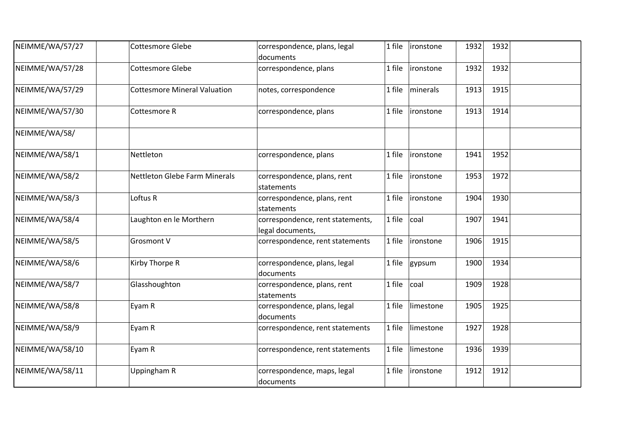| NEIMME/WA/57/27 | <b>Cottesmore Glebe</b>             | correspondence, plans, legal<br>documents            | 1 file | ironstone | 1932 | 1932 |  |
|-----------------|-------------------------------------|------------------------------------------------------|--------|-----------|------|------|--|
| NEIMME/WA/57/28 | <b>Cottesmore Glebe</b>             | correspondence, plans                                | 1 file | ironstone | 1932 | 1932 |  |
| NEIMME/WA/57/29 | <b>Cottesmore Mineral Valuation</b> | notes, correspondence                                | 1 file | minerals  | 1913 | 1915 |  |
| NEIMME/WA/57/30 | Cottesmore R                        | correspondence, plans                                | 1 file | ironstone | 1913 | 1914 |  |
| NEIMME/WA/58/   |                                     |                                                      |        |           |      |      |  |
| NEIMME/WA/58/1  | Nettleton                           | correspondence, plans                                | 1 file | ironstone | 1941 | 1952 |  |
| NEIMME/WA/58/2  | Nettleton Glebe Farm Minerals       | correspondence, plans, rent<br>statements            | 1 file | ironstone | 1953 | 1972 |  |
| NEIMME/WA/58/3  | Loftus R                            | correspondence, plans, rent<br>statements            | 1 file | ironstone | 1904 | 1930 |  |
| NEIMME/WA/58/4  | Laughton en le Morthern             | correspondence, rent statements,<br>legal documents, | 1 file | coal      | 1907 | 1941 |  |
| NEIMME/WA/58/5  | Grosmont V                          | correspondence, rent statements                      | 1 file | ironstone | 1906 | 1915 |  |
| NEIMME/WA/58/6  | Kirby Thorpe R                      | correspondence, plans, legal<br>documents            | 1 file | gypsum    | 1900 | 1934 |  |
| NEIMME/WA/58/7  | Glasshoughton                       | correspondence, plans, rent<br>statements            | 1 file | coal      | 1909 | 1928 |  |
| NEIMME/WA/58/8  | Eyam R                              | correspondence, plans, legal<br>documents            | 1 file | limestone | 1905 | 1925 |  |
| NEIMME/WA/58/9  | Eyam R                              | correspondence, rent statements                      | 1 file | limestone | 1927 | 1928 |  |
| NEIMME/WA/58/10 | Eyam R                              | correspondence, rent statements                      | 1 file | limestone | 1936 | 1939 |  |
| NEIMME/WA/58/11 | Uppingham R                         | correspondence, maps, legal<br>documents             | 1 file | ironstone | 1912 | 1912 |  |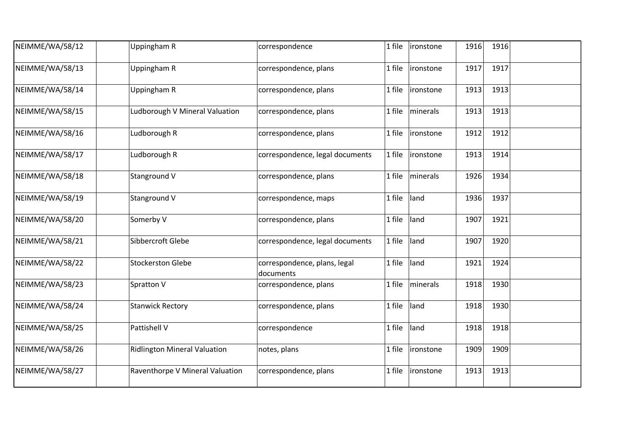| NEIMME/WA/58/12 | Uppingham R                         | correspondence                            | 1 file | ironstone        | 1916 | 1916 |  |
|-----------------|-------------------------------------|-------------------------------------------|--------|------------------|------|------|--|
| NEIMME/WA/58/13 | Uppingham R                         | correspondence, plans                     | 1 file | ironstone        | 1917 | 1917 |  |
| NEIMME/WA/58/14 | Uppingham R                         | correspondence, plans                     | 1 file | <i>ironstone</i> | 1913 | 1913 |  |
| NEIMME/WA/58/15 | Ludborough V Mineral Valuation      | correspondence, plans                     | 1 file | minerals         | 1913 | 1913 |  |
| NEIMME/WA/58/16 | Ludborough R                        | correspondence, plans                     | 1 file | ironstone        | 1912 | 1912 |  |
| NEIMME/WA/58/17 | Ludborough R                        | correspondence, legal documents           | 1 file | <i>ironstone</i> | 1913 | 1914 |  |
| NEIMME/WA/58/18 | Stanground V                        | correspondence, plans                     | 1 file | minerals         | 1926 | 1934 |  |
| NEIMME/WA/58/19 | Stanground V                        | correspondence, maps                      | 1 file | land             | 1936 | 1937 |  |
| NEIMME/WA/58/20 | Somerby V                           | correspondence, plans                     | 1 file | land             | 1907 | 1921 |  |
| NEIMME/WA/58/21 | Sibbercroft Glebe                   | correspondence, legal documents           | 1 file | land             | 1907 | 1920 |  |
| NEIMME/WA/58/22 | <b>Stockerston Glebe</b>            | correspondence, plans, legal<br>documents | 1 file | land             | 1921 | 1924 |  |
| NEIMME/WA/58/23 | Spratton V                          | correspondence, plans                     | 1 file | minerals         | 1918 | 1930 |  |
| NEIMME/WA/58/24 | <b>Stanwick Rectory</b>             | correspondence, plans                     | 1 file | land             | 1918 | 1930 |  |
| NEIMME/WA/58/25 | Pattishell V                        | correspondence                            | 1 file | land             | 1918 | 1918 |  |
| NEIMME/WA/58/26 | <b>Ridlington Mineral Valuation</b> | notes, plans                              | 1 file | <i>ironstone</i> | 1909 | 1909 |  |
| NEIMME/WA/58/27 | Raventhorpe V Mineral Valuation     | correspondence, plans                     | 1 file | ironstone        | 1913 | 1913 |  |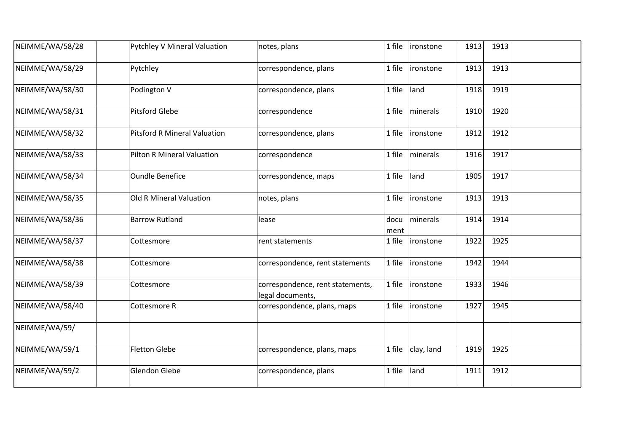| NEIMME/WA/58/28 | <b>Pytchley V Mineral Valuation</b> | notes, plans                                         | 1 file       | ironstone  | 1913 | 1913 |  |
|-----------------|-------------------------------------|------------------------------------------------------|--------------|------------|------|------|--|
| NEIMME/WA/58/29 | Pytchley                            | correspondence, plans                                | 1 file       | ironstone  | 1913 | 1913 |  |
| NEIMME/WA/58/30 | Podington V                         | correspondence, plans                                | 1 file       | land       | 1918 | 1919 |  |
| NEIMME/WA/58/31 | <b>Pitsford Glebe</b>               | correspondence                                       | 1 file       | minerals   | 1910 | 1920 |  |
| NEIMME/WA/58/32 | <b>Pitsford R Mineral Valuation</b> | correspondence, plans                                | 1 file       | ironstone  | 1912 | 1912 |  |
| NEIMME/WA/58/33 | Pilton R Mineral Valuation          | correspondence                                       | 1 file       | minerals   | 1916 | 1917 |  |
| NEIMME/WA/58/34 | <b>Oundle Benefice</b>              | correspondence, maps                                 | 1 file       | land       | 1905 | 1917 |  |
| NEIMME/WA/58/35 | <b>Old R Mineral Valuation</b>      | notes, plans                                         | 1 file       | ironstone  | 1913 | 1913 |  |
| NEIMME/WA/58/36 | <b>Barrow Rutland</b>               | lease                                                | docu<br>ment | minerals   | 1914 | 1914 |  |
| NEIMME/WA/58/37 | Cottesmore                          | rent statements                                      | 1 file       | ironstone  | 1922 | 1925 |  |
| NEIMME/WA/58/38 | Cottesmore                          | correspondence, rent statements                      | 1 file       | ironstone  | 1942 | 1944 |  |
| NEIMME/WA/58/39 | Cottesmore                          | correspondence, rent statements,<br>legal documents, | 1 file       | ironstone  | 1933 | 1946 |  |
| NEIMME/WA/58/40 | Cottesmore R                        | correspondence, plans, maps                          | 1 file       | ironstone  | 1927 | 1945 |  |
| NEIMME/WA/59/   |                                     |                                                      |              |            |      |      |  |
| NEIMME/WA/59/1  | <b>Fletton Glebe</b>                | correspondence, plans, maps                          | 1 file       | clay, land | 1919 | 1925 |  |
| NEIMME/WA/59/2  | Glendon Glebe                       | correspondence, plans                                | 1 file       | land       | 1911 | 1912 |  |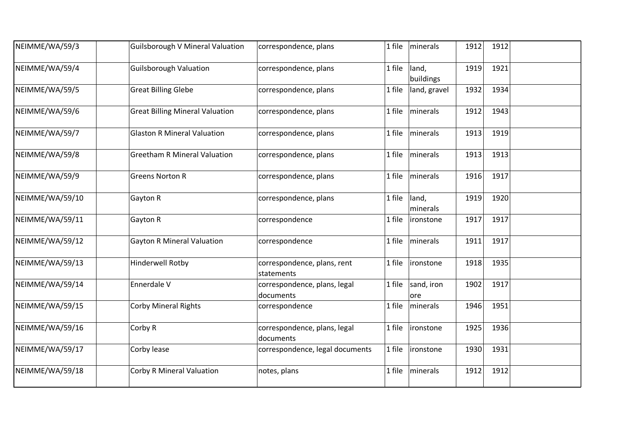| NEIMME/WA/59/3  | <b>Guilsborough V Mineral Valuation</b> | correspondence, plans                     | 1 file | minerals           | 1912 | 1912 |  |
|-----------------|-----------------------------------------|-------------------------------------------|--------|--------------------|------|------|--|
| NEIMME/WA/59/4  | <b>Guilsborough Valuation</b>           | correspondence, plans                     | 1 file | land,<br>buildings | 1919 | 1921 |  |
| NEIMME/WA/59/5  | <b>Great Billing Glebe</b>              | correspondence, plans                     | 1 file | land, gravel       | 1932 | 1934 |  |
| NEIMME/WA/59/6  | <b>Great Billing Mineral Valuation</b>  | correspondence, plans                     | 1 file | minerals           | 1912 | 1943 |  |
| NEIMME/WA/59/7  | <b>Glaston R Mineral Valuation</b>      | correspondence, plans                     | 1 file | minerals           | 1913 | 1919 |  |
| NEIMME/WA/59/8  | <b>Greetham R Mineral Valuation</b>     | correspondence, plans                     | 1 file | minerals           | 1913 | 1913 |  |
| NEIMME/WA/59/9  | <b>Greens Norton R</b>                  | correspondence, plans                     | 1 file | minerals           | 1916 | 1917 |  |
| NEIMME/WA/59/10 | Gayton R                                | correspondence, plans                     | 1 file | land,<br>minerals  | 1919 | 1920 |  |
| NEIMME/WA/59/11 | Gayton R                                | correspondence                            | 1 file | ironstone          | 1917 | 1917 |  |
| NEIMME/WA/59/12 | <b>Gayton R Mineral Valuation</b>       | correspondence                            | 1 file | minerals           | 1911 | 1917 |  |
| NEIMME/WA/59/13 | <b>Hinderwell Rotby</b>                 | correspondence, plans, rent<br>statements | 1 file | ironstone          | 1918 | 1935 |  |
| NEIMME/WA/59/14 | Ennerdale V                             | correspondence, plans, legal<br>documents | 1 file | sand, iron<br>ore  | 1902 | 1917 |  |
| NEIMME/WA/59/15 | <b>Corby Mineral Rights</b>             | correspondence                            | 1 file | minerals           | 1946 | 1951 |  |
| NEIMME/WA/59/16 | Corby R                                 | correspondence, plans, legal<br>documents | 1 file | ironstone          | 1925 | 1936 |  |
| NEIMME/WA/59/17 | Corby lease                             | correspondence, legal documents           | 1 file | ironstone          | 1930 | 1931 |  |
| NEIMME/WA/59/18 | <b>Corby R Mineral Valuation</b>        | notes, plans                              | 1 file | minerals           | 1912 | 1912 |  |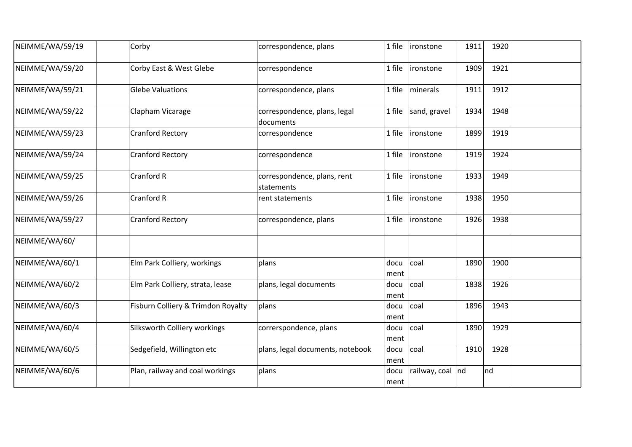| NEIMME/WA/59/19 | Corby                              | correspondence, plans                     | 1 file       | ironstone         | 1911 | 1920 |  |
|-----------------|------------------------------------|-------------------------------------------|--------------|-------------------|------|------|--|
| NEIMME/WA/59/20 | Corby East & West Glebe            | correspondence                            | 1 file       | ironstone         | 1909 | 1921 |  |
| NEIMME/WA/59/21 | <b>Glebe Valuations</b>            | correspondence, plans                     | 1 file       | minerals          | 1911 | 1912 |  |
| NEIMME/WA/59/22 | Clapham Vicarage                   | correspondence, plans, legal<br>documents | 1 file       | sand, gravel      | 1934 | 1948 |  |
| NEIMME/WA/59/23 | <b>Cranford Rectory</b>            | correspondence                            | 1 file       | ironstone         | 1899 | 1919 |  |
| NEIMME/WA/59/24 | <b>Cranford Rectory</b>            | correspondence                            | 1 file       | <i>ironstone</i>  | 1919 | 1924 |  |
| NEIMME/WA/59/25 | Cranford R                         | correspondence, plans, rent<br>statements | 1 file       | ironstone         | 1933 | 1949 |  |
| NEIMME/WA/59/26 | Cranford R                         | rent statements                           | 1 file       | ironstone         | 1938 | 1950 |  |
| NEIMME/WA/59/27 | <b>Cranford Rectory</b>            | correspondence, plans                     | 1 file       | ironstone         | 1926 | 1938 |  |
| NEIMME/WA/60/   |                                    |                                           |              |                   |      |      |  |
| NEIMME/WA/60/1  | Elm Park Colliery, workings        | plans                                     | docu<br>ment | coal              | 1890 | 1900 |  |
| NEIMME/WA/60/2  | Elm Park Colliery, strata, lease   | plans, legal documents                    | docu<br>ment | coal              | 1838 | 1926 |  |
| NEIMME/WA/60/3  | Fisburn Colliery & Trimdon Royalty | plans                                     | docu<br>ment | coal              | 1896 | 1943 |  |
| NEIMME/WA/60/4  | Silksworth Colliery workings       | correrspondence, plans                    | docu<br>ment | coal              | 1890 | 1929 |  |
| NEIMME/WA/60/5  | Sedgefield, Willington etc         | plans, legal documents, notebook          | docu<br>ment | coal              | 1910 | 1928 |  |
| NEIMME/WA/60/6  | Plan, railway and coal workings    | plans                                     | docu<br>ment | railway, coal  nd |      | nd   |  |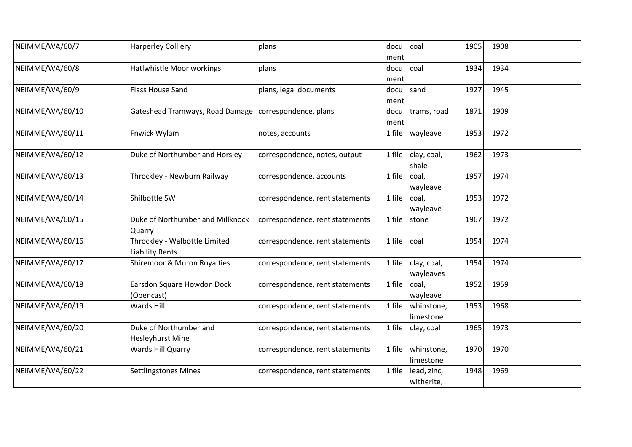| NEIMME/WA/60/7  | <b>Harperley Colliery</b>                               | plans                           | docu<br>ment | coal                      | 1905 | 1908 |  |
|-----------------|---------------------------------------------------------|---------------------------------|--------------|---------------------------|------|------|--|
| NEIMME/WA/60/8  | Hatlwhistle Moor workings                               | plans                           | docu<br>ment | coal                      | 1934 | 1934 |  |
| NEIMME/WA/60/9  | <b>Flass House Sand</b>                                 | plans, legal documents          | docu<br>ment | sand                      | 1927 | 1945 |  |
| NEIMME/WA/60/10 | Gateshead Tramways, Road Damage   correspondence, plans |                                 | docu<br>ment | trams, road               | 1871 | 1909 |  |
| NEIMME/WA/60/11 | Fnwick Wylam                                            | notes, accounts                 | 1 file       | wayleave                  | 1953 | 1972 |  |
| NEIMME/WA/60/12 | Duke of Northumberland Horsley                          | correspondence, notes, output   | 1 file       | clay, coal,<br>shale      | 1962 | 1973 |  |
| NEIMME/WA/60/13 | Throckley - Newburn Railway                             | correspondence, accounts        | 1 file       | coal,<br>wayleave         | 1957 | 1974 |  |
| NEIMME/WA/60/14 | Shilbottle SW                                           | correspondence, rent statements | 1 file       | coal,<br>wayleave         | 1953 | 1972 |  |
| NEIMME/WA/60/15 | Duke of Northumberland Millknock<br>Quarry              | correspondence, rent statements | 1 file       | stone                     | 1967 | 1972 |  |
| NEIMME/WA/60/16 | Throckley - Walbottle Limited<br><b>Liability Rents</b> | correspondence, rent statements | 1 file       | coal                      | 1954 | 1974 |  |
| NEIMME/WA/60/17 | Shiremoor & Muron Royalties                             | correspondence, rent statements | 1 file       | clay, coal,<br>wayleaves  | 1954 | 1974 |  |
| NEIMME/WA/60/18 | Earsdon Square Howdon Dock<br>(Opencast)                | correspondence, rent statements | 1 file       | coal,<br>wayleave         | 1952 | 1959 |  |
| NEIMME/WA/60/19 | Wards Hill                                              | correspondence, rent statements | 1 file       | whinstone,<br>limestone   | 1953 | 1968 |  |
| NEIMME/WA/60/20 | Duke of Northumberland<br><b>Hesleyhurst Mine</b>       | correspondence, rent statements | 1 file       | clay, coal                | 1965 | 1973 |  |
| NEIMME/WA/60/21 | Wards Hill Quarry                                       | correspondence, rent statements | 1 file       | whinstone,<br>limestone   | 1970 | 1970 |  |
| NEIMME/WA/60/22 | <b>Settlingstones Mines</b>                             | correspondence, rent statements | 1 file       | lead, zinc,<br>witherite, | 1948 | 1969 |  |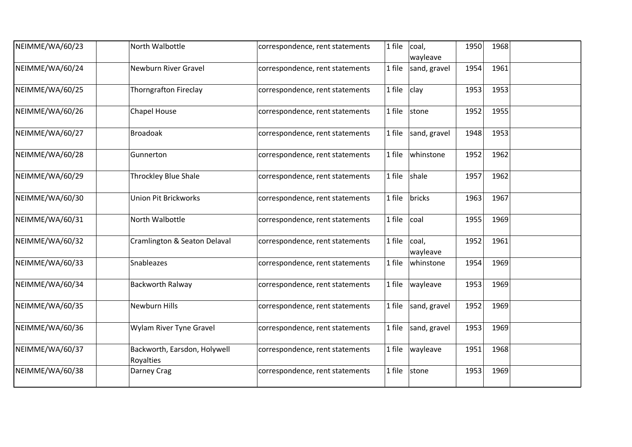| NEIMME/WA/60/23 | North Walbottle                           | correspondence, rent statements | 1 file | coal,<br>wayleave | 1950 | 1968 |  |
|-----------------|-------------------------------------------|---------------------------------|--------|-------------------|------|------|--|
| NEIMME/WA/60/24 | <b>Newburn River Gravel</b>               | correspondence, rent statements | 1 file | sand, gravel      | 1954 | 1961 |  |
| NEIMME/WA/60/25 | <b>Thorngrafton Fireclay</b>              | correspondence, rent statements | 1 file | clay              | 1953 | 1953 |  |
| NEIMME/WA/60/26 | <b>Chapel House</b>                       | correspondence, rent statements | 1 file | stone             | 1952 | 1955 |  |
| NEIMME/WA/60/27 | <b>Broadoak</b>                           | correspondence, rent statements | 1 file | sand, gravel      | 1948 | 1953 |  |
| NEIMME/WA/60/28 | Gunnerton                                 | correspondence, rent statements | 1 file | whinstone         | 1952 | 1962 |  |
| NEIMME/WA/60/29 | <b>Throckley Blue Shale</b>               | correspondence, rent statements | 1 file | shale             | 1957 | 1962 |  |
| NEIMME/WA/60/30 | <b>Union Pit Brickworks</b>               | correspondence, rent statements | 1 file | bricks            | 1963 | 1967 |  |
| NEIMME/WA/60/31 | North Walbottle                           | correspondence, rent statements | 1 file | coal              | 1955 | 1969 |  |
| NEIMME/WA/60/32 | Cramlington & Seaton Delaval              | correspondence, rent statements | 1 file | coal,<br>wayleave | 1952 | 1961 |  |
| NEIMME/WA/60/33 | Snableazes                                | correspondence, rent statements | 1 file | whinstone         | 1954 | 1969 |  |
| NEIMME/WA/60/34 | Backworth Ralway                          | correspondence, rent statements | 1 file | wayleave          | 1953 | 1969 |  |
| NEIMME/WA/60/35 | Newburn Hills                             | correspondence, rent statements | 1 file | sand, gravel      | 1952 | 1969 |  |
| NEIMME/WA/60/36 | Wylam River Tyne Gravel                   | correspondence, rent statements | 1 file | sand, gravel      | 1953 | 1969 |  |
| NEIMME/WA/60/37 | Backworth, Earsdon, Holywell<br>Royalties | correspondence, rent statements | 1 file | wayleave          | 1951 | 1968 |  |
| NEIMME/WA/60/38 | Darney Crag                               | correspondence, rent statements | 1 file | stone             | 1953 | 1969 |  |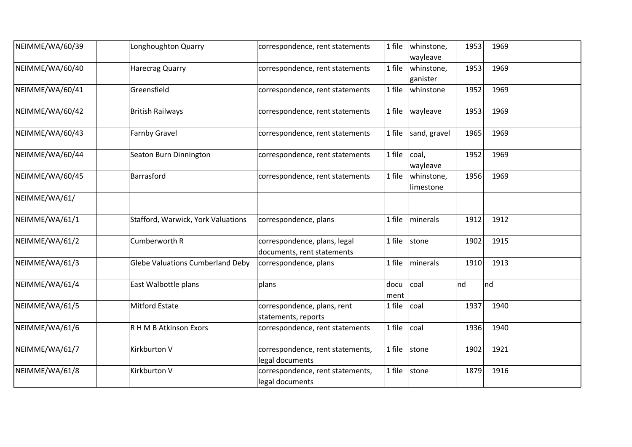| NEIMME/WA/60/39 | Longhoughton Quarry                       | correspondence, rent statements                            | 1 file       | whinstone,<br>wayleave  | 1953 | 1969 |  |
|-----------------|-------------------------------------------|------------------------------------------------------------|--------------|-------------------------|------|------|--|
| NEIMME/WA/60/40 | <b>Harecrag Quarry</b>                    | correspondence, rent statements                            | 1 file       | whinstone,<br>ganister  | 1953 | 1969 |  |
| NEIMME/WA/60/41 | Greensfield                               | correspondence, rent statements                            | 1 file       | whinstone               | 1952 | 1969 |  |
| NEIMME/WA/60/42 | <b>British Railways</b>                   | correspondence, rent statements                            | 1 file       | wayleave                | 1953 | 1969 |  |
| NEIMME/WA/60/43 | Farnby Gravel                             | correspondence, rent statements                            | 1 file       | sand, gravel            | 1965 | 1969 |  |
| NEIMME/WA/60/44 | Seaton Burn Dinnington                    | correspondence, rent statements                            | 1 file       | coal,<br>wayleave       | 1952 | 1969 |  |
| NEIMME/WA/60/45 | Barrasford                                | correspondence, rent statements                            | 1 file       | whinstone,<br>limestone | 1956 | 1969 |  |
| NEIMME/WA/61/   |                                           |                                                            |              |                         |      |      |  |
| NEIMME/WA/61/1  | <b>Stafford, Warwick, York Valuations</b> | correspondence, plans                                      | 1 file       | minerals                | 1912 | 1912 |  |
| NEIMME/WA/61/2  | Cumberworth R                             | correspondence, plans, legal<br>documents, rent statements | 1 file       | stone                   | 1902 | 1915 |  |
| NEIMME/WA/61/3  | <b>Glebe Valuations Cumberland Deby</b>   | correspondence, plans                                      | 1 file       | minerals                | 1910 | 1913 |  |
| NEIMME/WA/61/4  | East Walbottle plans                      | plans                                                      | docu<br>ment | coal                    | nd   | nd   |  |
| NEIMME/WA/61/5  | <b>Mitford Estate</b>                     | correspondence, plans, rent<br>statements, reports         | 1 file       | coal                    | 1937 | 1940 |  |
| NEIMME/WA/61/6  | R H M B Atkinson Exors                    | correspondence, rent statements                            | 1 file       | coal                    | 1936 | 1940 |  |
| NEIMME/WA/61/7  | Kirkburton V                              | correspondence, rent statements,<br>legal documents        | 1 file       | stone                   | 1902 | 1921 |  |
| NEIMME/WA/61/8  | Kirkburton V                              | correspondence, rent statements,<br>legal documents        | 1 file       | stone                   | 1879 | 1916 |  |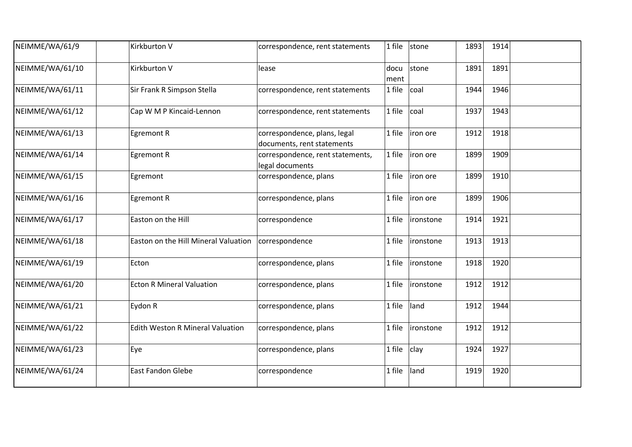| NEIMME/WA/61/9  | Kirkburton V                            | correspondence, rent statements                            | 1 file       | stone     | 1893 | 1914 |  |
|-----------------|-----------------------------------------|------------------------------------------------------------|--------------|-----------|------|------|--|
| NEIMME/WA/61/10 | Kirkburton V                            | lease                                                      | docu<br>ment | stone     | 1891 | 1891 |  |
| NEIMME/WA/61/11 | Sir Frank R Simpson Stella              | correspondence, rent statements                            | 1 file       | coal      | 1944 | 1946 |  |
| NEIMME/WA/61/12 | Cap W M P Kincaid-Lennon                | correspondence, rent statements                            | 1 file       | coal      | 1937 | 1943 |  |
| NEIMME/WA/61/13 | Egremont R                              | correspondence, plans, legal<br>documents, rent statements | 1 file       | iron ore  | 1912 | 1918 |  |
| NEIMME/WA/61/14 | Egremont R                              | correspondence, rent statements,<br>legal documents        | 1 file       | liron ore | 1899 | 1909 |  |
| NEIMME/WA/61/15 | Egremont                                | correspondence, plans                                      | 1 file       | iron ore  | 1899 | 1910 |  |
| NEIMME/WA/61/16 | Egremont R                              | correspondence, plans                                      | 1 file       | iron ore  | 1899 | 1906 |  |
| NEIMME/WA/61/17 | Easton on the Hill                      | correspondence                                             | 1 file       | ironstone | 1914 | 1921 |  |
| NEIMME/WA/61/18 | Easton on the Hill Mineral Valuation    | correspondence                                             | 1 file       | ironstone | 1913 | 1913 |  |
| NEIMME/WA/61/19 | Ecton                                   | correspondence, plans                                      | 1 file       | ironstone | 1918 | 1920 |  |
| NEIMME/WA/61/20 | <b>Ecton R Mineral Valuation</b>        | correspondence, plans                                      | 1 file       | ironstone | 1912 | 1912 |  |
| NEIMME/WA/61/21 | Eydon R                                 | correspondence, plans                                      | 1 file       | land      | 1912 | 1944 |  |
| NEIMME/WA/61/22 | <b>Edith Weston R Mineral Valuation</b> | correspondence, plans                                      | 1 file       | ironstone | 1912 | 1912 |  |
| NEIMME/WA/61/23 | Eye                                     | correspondence, plans                                      | 1 file       | clay      | 1924 | 1927 |  |
| NEIMME/WA/61/24 | <b>East Fandon Glebe</b>                | correspondence                                             | 1 file       | land      | 1919 | 1920 |  |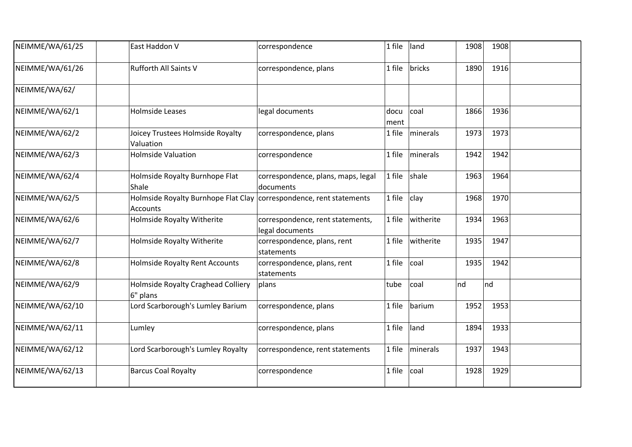| NEIMME/WA/61/25 | East Haddon V                                                                            | correspondence                                      | 1 file       | land      | 1908 | 1908 |  |
|-----------------|------------------------------------------------------------------------------------------|-----------------------------------------------------|--------------|-----------|------|------|--|
| NEIMME/WA/61/26 | Rufforth All Saints V                                                                    | correspondence, plans                               | 1 file       | bricks    | 1890 | 1916 |  |
| NEIMME/WA/62/   |                                                                                          |                                                     |              |           |      |      |  |
| NEIMME/WA/62/1  | Holmside Leases                                                                          | legal documents                                     | docu<br>ment | coal      | 1866 | 1936 |  |
| NEIMME/WA/62/2  | Joicey Trustees Holmside Royalty<br>Valuation                                            | correspondence, plans                               | 1 file       | minerals  | 1973 | 1973 |  |
| NEIMME/WA/62/3  | <b>Holmside Valuation</b>                                                                | correspondence                                      | 1 file       | minerals  | 1942 | 1942 |  |
| NEIMME/WA/62/4  | Holmside Royalty Burnhope Flat<br>Shale                                                  | correspondence, plans, maps, legal<br>documents     | 1 file       | shale     | 1963 | 1964 |  |
| NEIMME/WA/62/5  | Holmside Royalty Burnhope Flat Clay   correspondence, rent statements<br><b>Accounts</b> |                                                     | 1 file       | clay      | 1968 | 1970 |  |
| NEIMME/WA/62/6  | Holmside Royalty Witherite                                                               | correspondence, rent statements,<br>legal documents | 1 file       | witherite | 1934 | 1963 |  |
| NEIMME/WA/62/7  | <b>Holmside Royalty Witherite</b>                                                        | correspondence, plans, rent<br>statements           | 1 file       | witherite | 1935 | 1947 |  |
| NEIMME/WA/62/8  | <b>Holmside Royalty Rent Accounts</b>                                                    | correspondence, plans, rent<br>statements           | 1 file       | coal      | 1935 | 1942 |  |
| NEIMME/WA/62/9  | <b>Holmside Royalty Craghead Colliery</b><br>6" plans                                    | plans                                               | tube         | coal      | nd   | Ind  |  |
| NEIMME/WA/62/10 | Lord Scarborough's Lumley Barium                                                         | correspondence, plans                               | 1 file       | barium    | 1952 | 1953 |  |
| NEIMME/WA/62/11 | Lumley                                                                                   | correspondence, plans                               | 1 file       | land      | 1894 | 1933 |  |
| NEIMME/WA/62/12 | Lord Scarborough's Lumley Royalty                                                        | correspondence, rent statements                     | 1 file       | minerals  | 1937 | 1943 |  |
| NEIMME/WA/62/13 | <b>Barcus Coal Royalty</b>                                                               | correspondence                                      | 1 file       | coal      | 1928 | 1929 |  |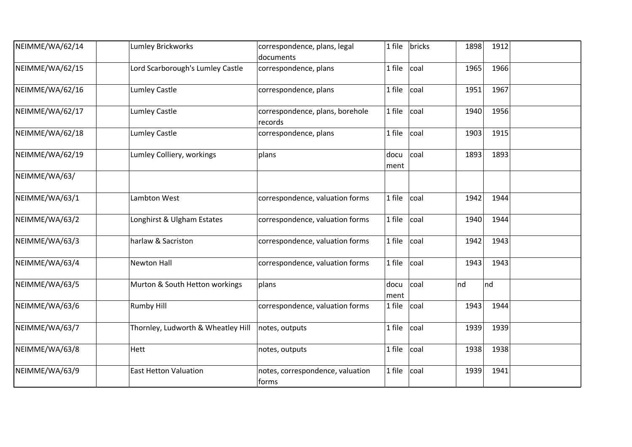| NEIMME/WA/62/14 | <b>Lumley Brickworks</b>           | correspondence, plans, legal<br>documents  | 1 file       | bricks | 1898 | 1912 |  |
|-----------------|------------------------------------|--------------------------------------------|--------------|--------|------|------|--|
| NEIMME/WA/62/15 | Lord Scarborough's Lumley Castle   | correspondence, plans                      | 1 file       | coal   | 1965 | 1966 |  |
| NEIMME/WA/62/16 | <b>Lumley Castle</b>               | correspondence, plans                      | 1 file       | coal   | 1951 | 1967 |  |
| NEIMME/WA/62/17 | <b>Lumley Castle</b>               | correspondence, plans, borehole<br>records | 1 file       | coal   | 1940 | 1956 |  |
| NEIMME/WA/62/18 | <b>Lumley Castle</b>               | correspondence, plans                      | 1 file       | coal   | 1903 | 1915 |  |
| NEIMME/WA/62/19 | Lumley Colliery, workings          | plans                                      | docu<br>ment | coal   | 1893 | 1893 |  |
| NEIMME/WA/63/   |                                    |                                            |              |        |      |      |  |
| NEIMME/WA/63/1  | Lambton West                       | correspondence, valuation forms            | 1 file       | coal   | 1942 | 1944 |  |
| NEIMME/WA/63/2  | Longhirst & Ulgham Estates         | correspondence, valuation forms            | 1 file       | coal   | 1940 | 1944 |  |
| NEIMME/WA/63/3  | harlaw & Sacriston                 | correspondence, valuation forms            | 1 file       | coal   | 1942 | 1943 |  |
| NEIMME/WA/63/4  | <b>Newton Hall</b>                 | correspondence, valuation forms            | 1 file       | coal   | 1943 | 1943 |  |
| NEIMME/WA/63/5  | Murton & South Hetton workings     | plans                                      | docu<br>ment | coal   | nd   | nd   |  |
| NEIMME/WA/63/6  | <b>Rumby Hill</b>                  | correspondence, valuation forms            | 1 file       | coal   | 1943 | 1944 |  |
| NEIMME/WA/63/7  | Thornley, Ludworth & Wheatley Hill | notes, outputs                             | 1 file       | coal   | 1939 | 1939 |  |
| NEIMME/WA/63/8  | Hett                               | notes, outputs                             | 1 file       | coal   | 1938 | 1938 |  |
| NEIMME/WA/63/9  | <b>East Hetton Valuation</b>       | notes, correspondence, valuation<br> forms | 1 file       | coal   | 1939 | 1941 |  |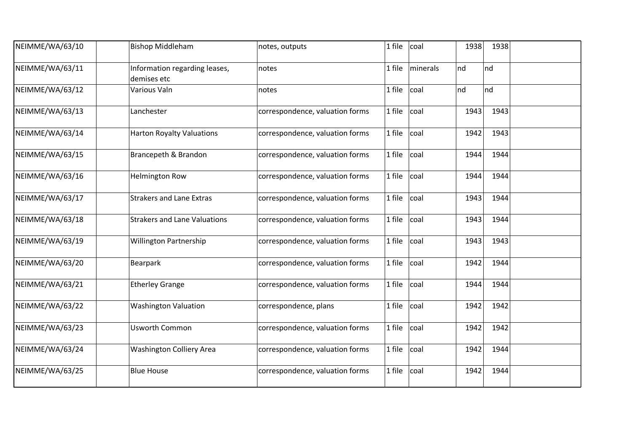| NEIMME/WA/63/10 | <b>Bishop Middleham</b>                      | notes, outputs                  | 1 file   | coal     | 1938 | 1938 |  |
|-----------------|----------------------------------------------|---------------------------------|----------|----------|------|------|--|
| NEIMME/WA/63/11 | Information regarding leases,<br>demises etc | notes                           | 1 file   | minerals | nd   | nd   |  |
| NEIMME/WA/63/12 | Various Valn                                 | notes                           | 1 file   | coal     | nd   | nd   |  |
| NEIMME/WA/63/13 | Lanchester                                   | correspondence, valuation forms | 1 file   | coal     | 1943 | 1943 |  |
| NEIMME/WA/63/14 | <b>Harton Royalty Valuations</b>             | correspondence, valuation forms | 1 file   | coal     | 1942 | 1943 |  |
| NEIMME/WA/63/15 | Brancepeth & Brandon                         | correspondence, valuation forms | 1 file   | coal     | 1944 | 1944 |  |
| NEIMME/WA/63/16 | <b>Helmington Row</b>                        | correspondence, valuation forms | 1 file   | coal     | 1944 | 1944 |  |
| NEIMME/WA/63/17 | <b>Strakers and Lane Extras</b>              | correspondence, valuation forms | 1 file   | coal     | 1943 | 1944 |  |
| NEIMME/WA/63/18 | <b>Strakers and Lane Valuations</b>          | correspondence, valuation forms | 1 file   | coal     | 1943 | 1944 |  |
| NEIMME/WA/63/19 | <b>Willington Partnership</b>                | correspondence, valuation forms | 1 file   | coal     | 1943 | 1943 |  |
| NEIMME/WA/63/20 | Bearpark                                     | correspondence, valuation forms | 1 file   | coal     | 1942 | 1944 |  |
| NEIMME/WA/63/21 | <b>Etherley Grange</b>                       | correspondence, valuation forms | 1 file   | coal     | 1944 | 1944 |  |
| NEIMME/WA/63/22 | <b>Washington Valuation</b>                  | correspondence, plans           | 1 file   | coal     | 1942 | 1942 |  |
| NEIMME/WA/63/23 | <b>Usworth Common</b>                        | correspondence, valuation forms | $1$ file | coal     | 1942 | 1942 |  |
| NEIMME/WA/63/24 | <b>Washington Colliery Area</b>              | correspondence, valuation forms | 1 file   | coal     | 1942 | 1944 |  |
| NEIMME/WA/63/25 | <b>Blue House</b>                            | correspondence, valuation forms | 1 file   | coal     | 1942 | 1944 |  |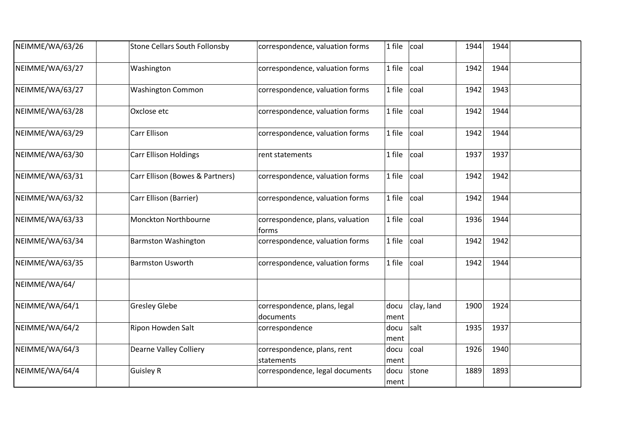| NEIMME/WA/63/26 | <b>Stone Cellars South Follonsby</b> | correspondence, valuation forms           | 1 file       | coal       | 1944 | 1944 |  |
|-----------------|--------------------------------------|-------------------------------------------|--------------|------------|------|------|--|
| NEIMME/WA/63/27 | Washington                           | correspondence, valuation forms           | 1 file       | coal       | 1942 | 1944 |  |
| NEIMME/WA/63/27 | <b>Washington Common</b>             | correspondence, valuation forms           | 1 file       | coal       | 1942 | 1943 |  |
| NEIMME/WA/63/28 | Oxclose etc                          | correspondence, valuation forms           | 1 file       | coal       | 1942 | 1944 |  |
| NEIMME/WA/63/29 | <b>Carr Ellison</b>                  | correspondence, valuation forms           | 1 file       | coal       | 1942 | 1944 |  |
| NEIMME/WA/63/30 | <b>Carr Ellison Holdings</b>         | rent statements                           | 1 file       | coal       | 1937 | 1937 |  |
| NEIMME/WA/63/31 | Carr Ellison (Bowes & Partners)      | correspondence, valuation forms           | 1 file       | coal       | 1942 | 1942 |  |
| NEIMME/WA/63/32 | Carr Ellison (Barrier)               | correspondence, valuation forms           | 1 file       | coal       | 1942 | 1944 |  |
| NEIMME/WA/63/33 | Monckton Northbourne                 | correspondence, plans, valuation<br>torms | 1 file       | coal       | 1936 | 1944 |  |
| NEIMME/WA/63/34 | <b>Barmston Washington</b>           | correspondence, valuation forms           | 1 file       | coal       | 1942 | 1942 |  |
| NEIMME/WA/63/35 | <b>Barmston Usworth</b>              | correspondence, valuation forms           | 1 file       | coal       | 1942 | 1944 |  |
| NEIMME/WA/64/   |                                      |                                           |              |            |      |      |  |
| NEIMME/WA/64/1  | <b>Gresley Glebe</b>                 | correspondence, plans, legal<br>documents | docu<br>ment | clay, land | 1900 | 1924 |  |
| NEIMME/WA/64/2  | Ripon Howden Salt                    | correspondence                            | docu<br>ment | salt       | 1935 | 1937 |  |
| NEIMME/WA/64/3  | <b>Dearne Valley Colliery</b>        | correspondence, plans, rent<br>statements | docu<br>ment | coal       | 1926 | 1940 |  |
| NEIMME/WA/64/4  | <b>Guisley R</b>                     | correspondence, legal documents           | docu<br>ment | stone      | 1889 | 1893 |  |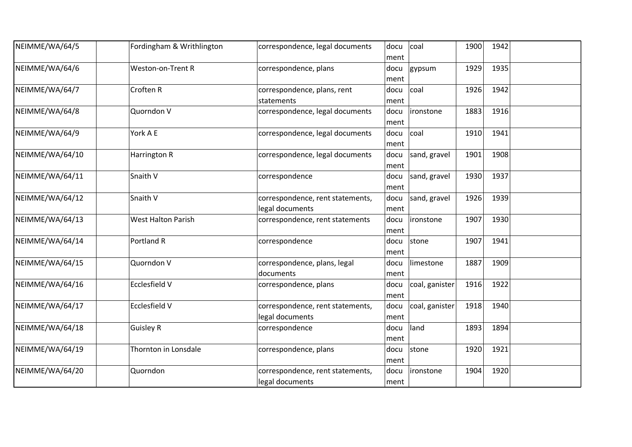| NEIMME/WA/64/5  | Fordingham & Writhlington | correspondence, legal documents                     | docu<br>ment | coal           | 1900 | 1942 |  |
|-----------------|---------------------------|-----------------------------------------------------|--------------|----------------|------|------|--|
| NEIMME/WA/64/6  | Weston-on-Trent R         | correspondence, plans                               | docu<br>ment | gypsum         | 1929 | 1935 |  |
| NEIMME/WA/64/7  | <b>Croften R</b>          | correspondence, plans, rent<br>statements           | docu<br>ment | coal           | 1926 | 1942 |  |
| NEIMME/WA/64/8  | Quorndon V                | correspondence, legal documents                     | docu<br>ment | ironstone      | 1883 | 1916 |  |
| NEIMME/WA/64/9  | York A E                  | correspondence, legal documents                     | docu<br>ment | coal           | 1910 | 1941 |  |
| NEIMME/WA/64/10 | <b>Harrington R</b>       | correspondence, legal documents                     | docu<br>ment | sand, gravel   | 1901 | 1908 |  |
| NEIMME/WA/64/11 | Snaith V                  | correspondence                                      | docu<br>ment | sand, gravel   | 1930 | 1937 |  |
| NEIMME/WA/64/12 | Snaith V                  | correspondence, rent statements,<br>legal documents | docu<br>ment | sand, gravel   | 1926 | 1939 |  |
| NEIMME/WA/64/13 | <b>West Halton Parish</b> | correspondence, rent statements                     | docu<br>ment | lironstone     | 1907 | 1930 |  |
| NEIMME/WA/64/14 | Portland R                | correspondence                                      | docu<br>ment | stone          | 1907 | 1941 |  |
| NEIMME/WA/64/15 | Quorndon V                | correspondence, plans, legal<br>documents           | docu<br>ment | limestone      | 1887 | 1909 |  |
| NEIMME/WA/64/16 | <b>Ecclesfield V</b>      | correspondence, plans                               | docu<br>ment | coal, ganister | 1916 | 1922 |  |
| NEIMME/WA/64/17 | Ecclesfield V             | correspondence, rent statements,<br>legal documents | docu<br>ment | coal, ganister | 1918 | 1940 |  |
| NEIMME/WA/64/18 | <b>Guisley R</b>          | correspondence                                      | docu<br>ment | land           | 1893 | 1894 |  |
| NEIMME/WA/64/19 | Thornton in Lonsdale      | correspondence, plans                               | docu<br>ment | stone          | 1920 | 1921 |  |
| NEIMME/WA/64/20 | Quorndon                  | correspondence, rent statements,<br>legal documents | docu<br>ment | ironstone      | 1904 | 1920 |  |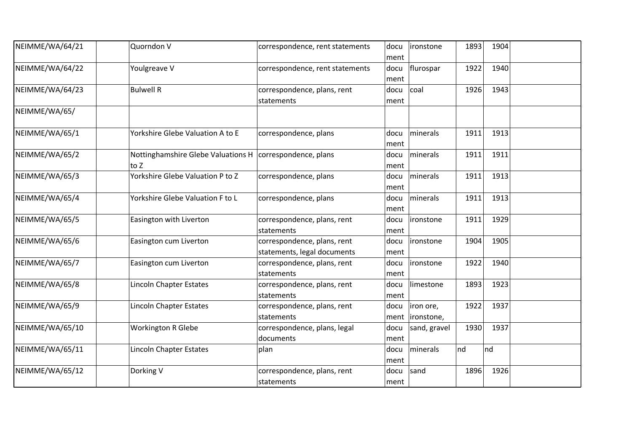| NEIMME/WA/64/21 | Quorndon V                                                       | correspondence, rent statements                            | docu<br>ment | ironstone                     | 1893 | 1904 |  |
|-----------------|------------------------------------------------------------------|------------------------------------------------------------|--------------|-------------------------------|------|------|--|
| NEIMME/WA/64/22 | Youlgreave V                                                     | correspondence, rent statements                            | docu<br>ment | flurospar                     | 1922 | 1940 |  |
| NEIMME/WA/64/23 | <b>Bulwell R</b>                                                 | correspondence, plans, rent<br>statements                  | docu<br>ment | coal                          | 1926 | 1943 |  |
| NEIMME/WA/65/   |                                                                  |                                                            |              |                               |      |      |  |
| NEIMME/WA/65/1  | Yorkshire Glebe Valuation A to E                                 | correspondence, plans                                      | docu<br>ment | minerals                      | 1911 | 1913 |  |
| NEIMME/WA/65/2  | Nottinghamshire Glebe Valuations H correspondence, plans<br>to Z |                                                            | docu<br>ment | minerals                      | 1911 | 1911 |  |
| NEIMME/WA/65/3  | Yorkshire Glebe Valuation P to Z                                 | correspondence, plans                                      | docu<br>ment | minerals                      | 1911 | 1913 |  |
| NEIMME/WA/65/4  | Yorkshire Glebe Valuation F to L                                 | correspondence, plans                                      | docu<br>ment | minerals                      | 1911 | 1913 |  |
| NEIMME/WA/65/5  | Easington with Liverton                                          | correspondence, plans, rent<br>statements                  | docu<br>ment | lironstone                    | 1911 | 1929 |  |
| NEIMME/WA/65/6  | Easington cum Liverton                                           | correspondence, plans, rent<br>statements, legal documents | docu<br>ment | ironstone                     | 1904 | 1905 |  |
| NEIMME/WA/65/7  | Easington cum Liverton                                           | correspondence, plans, rent<br>statements                  | docu<br>ment | <i>ironstone</i>              | 1922 | 1940 |  |
| NEIMME/WA/65/8  | Lincoln Chapter Estates                                          | correspondence, plans, rent<br>statements                  | docu<br>ment | limestone                     | 1893 | 1923 |  |
| NEIMME/WA/65/9  | Lincoln Chapter Estates                                          | correspondence, plans, rent<br>statements                  | docu         | iron ore,<br>ment  ironstone, | 1922 | 1937 |  |
| NEIMME/WA/65/10 | <b>Workington R Glebe</b>                                        | correspondence, plans, legal<br>documents                  | docu<br>ment | sand, gravel                  | 1930 | 1937 |  |
| NEIMME/WA/65/11 | Lincoln Chapter Estates                                          | plan                                                       | docu<br>ment | minerals                      | nd   | nd   |  |
| NEIMME/WA/65/12 | Dorking V                                                        | correspondence, plans, rent<br>statements                  | docu<br>ment | sand                          | 1896 | 1926 |  |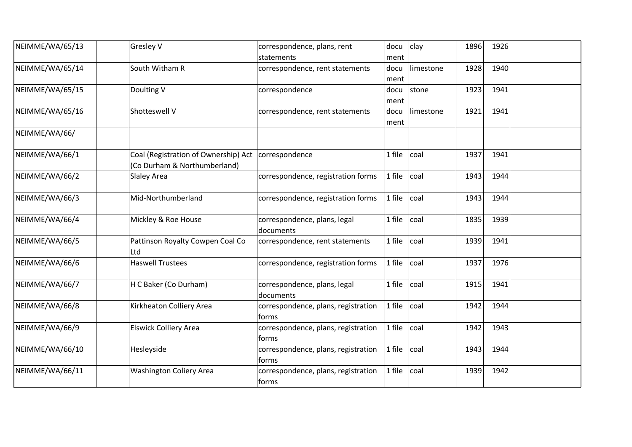| NEIMME/WA/65/13 | Gresley V                                                                             | correspondence, plans, rent<br>statements     | docu<br>ment | clay      | 1896 | 1926 |  |
|-----------------|---------------------------------------------------------------------------------------|-----------------------------------------------|--------------|-----------|------|------|--|
| NEIMME/WA/65/14 | South Witham R                                                                        | correspondence, rent statements               | docu<br>ment | limestone | 1928 | 1940 |  |
| NEIMME/WA/65/15 | Doulting V                                                                            | correspondence                                | docu<br>ment | stone     | 1923 | 1941 |  |
| NEIMME/WA/65/16 | Shotteswell V                                                                         | correspondence, rent statements               | docu<br>ment | limestone | 1921 | 1941 |  |
| NEIMME/WA/66/   |                                                                                       |                                               |              |           |      |      |  |
| NEIMME/WA/66/1  | Coal (Registration of Ownership) Act   correspondence<br>(Co Durham & Northumberland) |                                               | 1 file       | coal      | 1937 | 1941 |  |
| NEIMME/WA/66/2  | Slaley Area                                                                           | correspondence, registration forms            | 1 file       | coal      | 1943 | 1944 |  |
| NEIMME/WA/66/3  | Mid-Northumberland                                                                    | correspondence, registration forms            | 1 file       | coal      | 1943 | 1944 |  |
| NEIMME/WA/66/4  | Mickley & Roe House                                                                   | correspondence, plans, legal<br>documents     | 1 file       | coal      | 1835 | 1939 |  |
| NEIMME/WA/66/5  | Pattinson Royalty Cowpen Coal Co<br>Ltd                                               | correspondence, rent statements               | 1 file       | coal      | 1939 | 1941 |  |
| NEIMME/WA/66/6  | <b>Haswell Trustees</b>                                                               | correspondence, registration forms            | 1 file       | coal      | 1937 | 1976 |  |
| NEIMME/WA/66/7  | H C Baker (Co Durham)                                                                 | correspondence, plans, legal<br>documents     | 1 file       | coal      | 1915 | 1941 |  |
| NEIMME/WA/66/8  | Kirkheaton Colliery Area                                                              | correspondence, plans, registration<br>forms  | 1 file       | coal      | 1942 | 1944 |  |
| NEIMME/WA/66/9  | <b>Elswick Colliery Area</b>                                                          | correspondence, plans, registration<br>forms  | 1 file       | coal      | 1942 | 1943 |  |
| NEIMME/WA/66/10 | Hesleyside                                                                            | correspondence, plans, registration<br>torms  | 1 file       | coal      | 1943 | 1944 |  |
| NEIMME/WA/66/11 | <b>Washington Coliery Area</b>                                                        | correspondence, plans, registration<br> forms | 1 file       | coal      | 1939 | 1942 |  |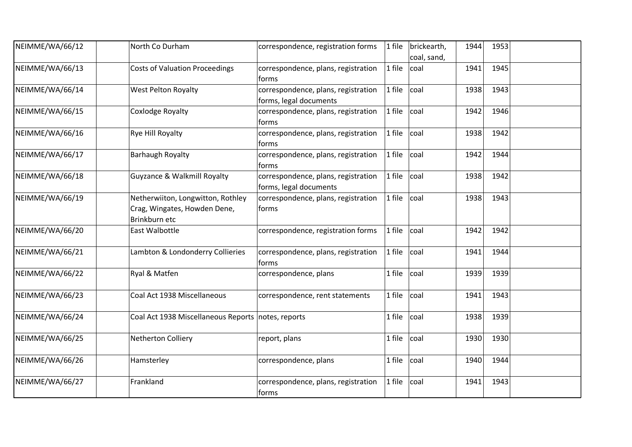| NEIMME/WA/66/12 | North Co Durham                                                                    | correspondence, registration forms                            | 1 file | brickearth,<br>coal, sand, | 1944 | 1953 |  |
|-----------------|------------------------------------------------------------------------------------|---------------------------------------------------------------|--------|----------------------------|------|------|--|
| NEIMME/WA/66/13 | <b>Costs of Valuation Proceedings</b>                                              | correspondence, plans, registration<br>forms                  | 1 file | coal                       | 1941 | 1945 |  |
| NEIMME/WA/66/14 | <b>West Pelton Royalty</b>                                                         | correspondence, plans, registration<br>forms, legal documents | 1 file | coal                       | 1938 | 1943 |  |
| NEIMME/WA/66/15 | Coxlodge Royalty                                                                   | correspondence, plans, registration<br>forms                  | 1 file | coal                       | 1942 | 1946 |  |
| NEIMME/WA/66/16 | Rye Hill Royalty                                                                   | correspondence, plans, registration<br>forms                  | 1 file | coal                       | 1938 | 1942 |  |
| NEIMME/WA/66/17 | <b>Barhaugh Royalty</b>                                                            | correspondence, plans, registration<br>forms                  | 1 file | coal                       | 1942 | 1944 |  |
| NEIMME/WA/66/18 | Guyzance & Walkmill Royalty                                                        | correspondence, plans, registration<br>forms, legal documents | 1 file | coal                       | 1938 | 1942 |  |
| NEIMME/WA/66/19 | Netherwiiton, Longwitton, Rothley<br>Crag, Wingates, Howden Dene,<br>Brinkburn etc | correspondence, plans, registration<br>forms                  | 1 file | coal                       | 1938 | 1943 |  |
| NEIMME/WA/66/20 | East Walbottle                                                                     | correspondence, registration forms                            | 1 file | coal                       | 1942 | 1942 |  |
| NEIMME/WA/66/21 | Lambton & Londonderry Collieries                                                   | correspondence, plans, registration<br>forms                  | 1 file | coal                       | 1941 | 1944 |  |
| NEIMME/WA/66/22 | Ryal & Matfen                                                                      | correspondence, plans                                         | 1 file | coal                       | 1939 | 1939 |  |
| NEIMME/WA/66/23 | Coal Act 1938 Miscellaneous                                                        | correspondence, rent statements                               | 1 file | coal                       | 1941 | 1943 |  |
| NEIMME/WA/66/24 | Coal Act 1938 Miscellaneous Reports notes, reports                                 |                                                               | 1 file | coal                       | 1938 | 1939 |  |
| NEIMME/WA/66/25 | Netherton Colliery                                                                 | report, plans                                                 | 1 file | coal                       | 1930 | 1930 |  |
| NEIMME/WA/66/26 | Hamsterley                                                                         | correspondence, plans                                         | 1 file | coal                       | 1940 | 1944 |  |
| NEIMME/WA/66/27 | Frankland                                                                          | correspondence, plans, registration<br>forms                  | 1 file | coal                       | 1941 | 1943 |  |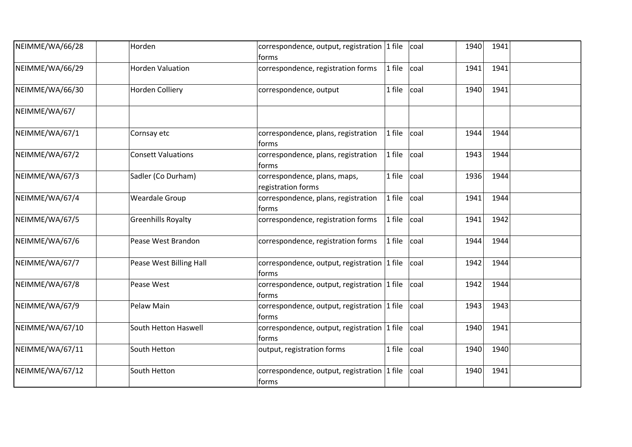| NEIMME/WA/66/28 | Horden                    | correspondence, output, registration 1 file<br>forms     | coal           | 1940 | 1941 |  |
|-----------------|---------------------------|----------------------------------------------------------|----------------|------|------|--|
| NEIMME/WA/66/29 | <b>Horden Valuation</b>   | correspondence, registration forms                       | 1 file<br>coal | 1941 | 1941 |  |
| NEIMME/WA/66/30 | Horden Colliery           | correspondence, output                                   | 1 file<br>coal | 1940 | 1941 |  |
| NEIMME/WA/67/   |                           |                                                          |                |      |      |  |
| NEIMME/WA/67/1  | Cornsay etc               | correspondence, plans, registration<br>forms             | 1 file<br>coal | 1944 | 1944 |  |
| NEIMME/WA/67/2  | <b>Consett Valuations</b> | correspondence, plans, registration<br>forms             | 1 file<br>coal | 1943 | 1944 |  |
| NEIMME/WA/67/3  | Sadler (Co Durham)        | correspondence, plans, maps,<br>registration forms       | coal<br>1 file | 1936 | 1944 |  |
| NEIMME/WA/67/4  | <b>Weardale Group</b>     | correspondence, plans, registration<br>forms             | 1 file<br>coal | 1941 | 1944 |  |
| NEIMME/WA/67/5  | <b>Greenhills Royalty</b> | correspondence, registration forms                       | 1 file<br>coal | 1941 | 1942 |  |
| NEIMME/WA/67/6  | Pease West Brandon        | correspondence, registration forms                       | 1 file<br>coal | 1944 | 1944 |  |
| NEIMME/WA/67/7  | Pease West Billing Hall   | correspondence, output, registration $ 1$ file<br>forms  | coal           | 1942 | 1944 |  |
| NEIMME/WA/67/8  | Pease West                | correspondence, output, registration $ 1$ file<br>torms  | coal           | 1942 | 1944 |  |
| NEIMME/WA/67/9  | Pelaw Main                | correspondence, output, registration $ 1$ file<br>forms  | coal           | 1943 | 1943 |  |
| NEIMME/WA/67/10 | South Hetton Haswell      | correspondence, output, registration 1 file<br>forms     | coal           | 1940 | 1941 |  |
| NEIMME/WA/67/11 | South Hetton              | output, registration forms                               | 1 file<br>coal | 1940 | 1940 |  |
| NEIMME/WA/67/12 | South Hetton              | correspondence, output, registration $ 1$ file<br> forms | coal           | 1940 | 1941 |  |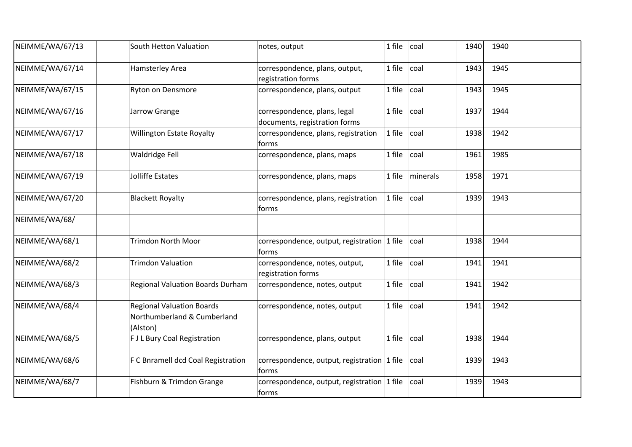| NEIMME/WA/67/13 | South Hetton Valuation                                                      | notes, output                                                 | 1 file | coal     | 1940 | 1940 |  |
|-----------------|-----------------------------------------------------------------------------|---------------------------------------------------------------|--------|----------|------|------|--|
| NEIMME/WA/67/14 | Hamsterley Area                                                             | correspondence, plans, output,<br>registration forms          | 1 file | coal     | 1943 | 1945 |  |
| NEIMME/WA/67/15 | <b>Ryton on Densmore</b>                                                    | correspondence, plans, output                                 | 1 file | coal     | 1943 | 1945 |  |
| NEIMME/WA/67/16 | Jarrow Grange                                                               | correspondence, plans, legal<br>documents, registration forms | 1 file | coal     | 1937 | 1944 |  |
| NEIMME/WA/67/17 | Willington Estate Royalty                                                   | correspondence, plans, registration<br>forms                  | 1 file | coal     | 1938 | 1942 |  |
| NEIMME/WA/67/18 | Waldridge Fell                                                              | correspondence, plans, maps                                   | 1 file | coal     | 1961 | 1985 |  |
| NEIMME/WA/67/19 | Jolliffe Estates                                                            | correspondence, plans, maps                                   | 1 file | minerals | 1958 | 1971 |  |
| NEIMME/WA/67/20 | <b>Blackett Royalty</b>                                                     | correspondence, plans, registration<br>torms                  | 1 file | coal     | 1939 | 1943 |  |
| NEIMME/WA/68/   |                                                                             |                                                               |        |          |      |      |  |
| NEIMME/WA/68/1  | <b>Trimdon North Moor</b>                                                   | correspondence, output, registration $ 1$ file<br>forms       |        | coal     | 1938 | 1944 |  |
| NEIMME/WA/68/2  | <b>Trimdon Valuation</b>                                                    | correspondence, notes, output,<br>registration forms          | 1 file | coal     | 1941 | 1941 |  |
| NEIMME/WA/68/3  | <b>Regional Valuation Boards Durham</b>                                     | correspondence, notes, output                                 | 1 file | coal     | 1941 | 1942 |  |
| NEIMME/WA/68/4  | <b>Regional Valuation Boards</b><br>Northumberland & Cumberland<br>(Alston) | correspondence, notes, output                                 | 1 file | coal     | 1941 | 1942 |  |
| NEIMME/WA/68/5  | <b>FJL Bury Coal Registration</b>                                           | correspondence, plans, output                                 | 1 file | coal     | 1938 | 1944 |  |
| NEIMME/WA/68/6  | F C Bnramell dcd Coal Registration                                          | correspondence, output, registration 1 file<br>forms          |        | coal     | 1939 | 1943 |  |
| NEIMME/WA/68/7  | Fishburn & Trimdon Grange                                                   | correspondence, output, registration $ 1$ file<br> forms      |        | coal     | 1939 | 1943 |  |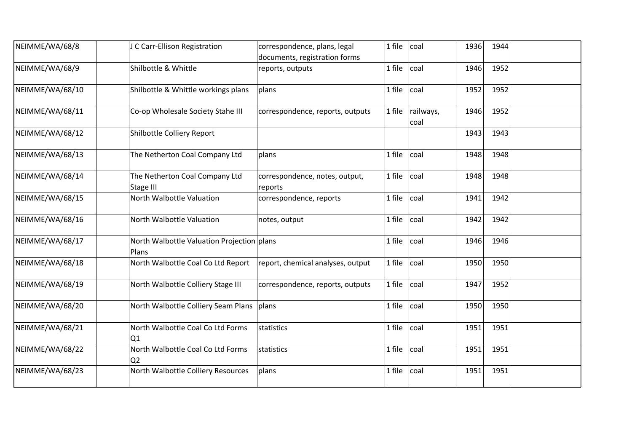| NEIMME/WA/68/8  | J C Carr-Ellison Registration                       | correspondence, plans, legal<br>documents, registration forms | 1 file | coal              | 1936 | 1944 |  |
|-----------------|-----------------------------------------------------|---------------------------------------------------------------|--------|-------------------|------|------|--|
| NEIMME/WA/68/9  | Shilbottle & Whittle                                | reports, outputs                                              | 1 file | coal              | 1946 | 1952 |  |
| NEIMME/WA/68/10 | Shilbottle & Whittle workings plans                 | plans                                                         | 1 file | coal              | 1952 | 1952 |  |
| NEIMME/WA/68/11 | Co-op Wholesale Society Stahe III                   | correspondence, reports, outputs                              | 1 file | railways,<br>coal | 1946 | 1952 |  |
| NEIMME/WA/68/12 | Shilbottle Colliery Report                          |                                                               |        |                   | 1943 | 1943 |  |
| NEIMME/WA/68/13 | The Netherton Coal Company Ltd                      | plans                                                         | 1 file | coal              | 1948 | 1948 |  |
| NEIMME/WA/68/14 | The Netherton Coal Company Ltd<br>Stage III         | correspondence, notes, output,<br>reports                     | 1 file | coal              | 1948 | 1948 |  |
| NEIMME/WA/68/15 | North Walbottle Valuation                           | correspondence, reports                                       | 1 file | coal              | 1941 | 1942 |  |
| NEIMME/WA/68/16 | North Walbottle Valuation                           | notes, output                                                 | 1 file | coal              | 1942 | 1942 |  |
| NEIMME/WA/68/17 | North Walbottle Valuation Projection plans<br>Plans |                                                               | 1 file | coal              | 1946 | 1946 |  |
| NEIMME/WA/68/18 | North Walbottle Coal Co Ltd Report                  | report, chemical analyses, output                             | 1 file | coal              | 1950 | 1950 |  |
| NEIMME/WA/68/19 | North Walbottle Colliery Stage III                  | correspondence, reports, outputs                              | 1 file | coal              | 1947 | 1952 |  |
| NEIMME/WA/68/20 | North Walbottle Colliery Seam Plans                 | plans                                                         | 1 file | coal              | 1950 | 1950 |  |
| NEIMME/WA/68/21 | North Walbottle Coal Co Ltd Forms<br>Q1             | statistics                                                    | 1 file | coal              | 1951 | 1951 |  |
| NEIMME/WA/68/22 | North Walbottle Coal Co Ltd Forms<br>Q <sub>2</sub> | statistics                                                    | 1 file | coal              | 1951 | 1951 |  |
| NEIMME/WA/68/23 | North Walbottle Colliery Resources                  | plans                                                         | 1 file | coal              | 1951 | 1951 |  |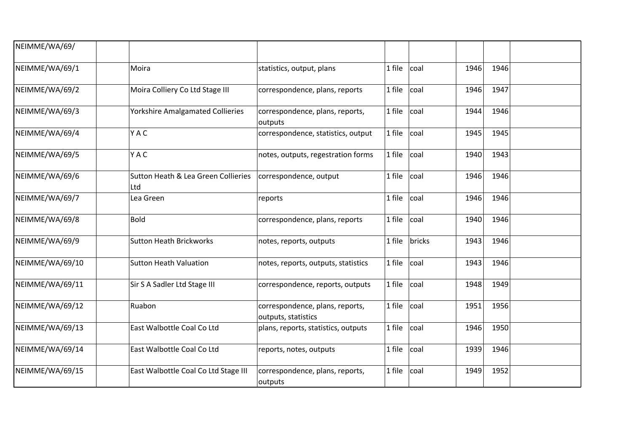| NEIMME/WA/69/   |                                            |                                                        |        |        |      |      |  |
|-----------------|--------------------------------------------|--------------------------------------------------------|--------|--------|------|------|--|
| NEIMME/WA/69/1  | Moira                                      | statistics, output, plans                              | 1 file | coal   | 1946 | 1946 |  |
| NEIMME/WA/69/2  | Moira Colliery Co Ltd Stage III            | correspondence, plans, reports                         | 1 file | coal   | 1946 | 1947 |  |
| NEIMME/WA/69/3  | <b>Yorkshire Amalgamated Collieries</b>    | correspondence, plans, reports,<br>outputs             | 1 file | coal   | 1944 | 1946 |  |
| NEIMME/WA/69/4  | YAC                                        | correspondence, statistics, output                     | 1 file | coal   | 1945 | 1945 |  |
| NEIMME/WA/69/5  | YAC                                        | notes, outputs, regestration forms                     | 1 file | coal   | 1940 | 1943 |  |
| NEIMME/WA/69/6  | Sutton Heath & Lea Green Collieries<br>Ltd | correspondence, output                                 | 1 file | coal   | 1946 | 1946 |  |
| NEIMME/WA/69/7  | Lea Green                                  | reports                                                | 1 file | coal   | 1946 | 1946 |  |
| NEIMME/WA/69/8  | <b>Bold</b>                                | correspondence, plans, reports                         | 1 file | coal   | 1940 | 1946 |  |
| NEIMME/WA/69/9  | <b>Sutton Heath Brickworks</b>             | notes, reports, outputs                                | 1 file | bricks | 1943 | 1946 |  |
| NEIMME/WA/69/10 | <b>Sutton Heath Valuation</b>              | notes, reports, outputs, statistics                    | 1 file | coal   | 1943 | 1946 |  |
| NEIMME/WA/69/11 | Sir S A Sadler Ltd Stage III               | correspondence, reports, outputs                       | 1 file | coal   | 1948 | 1949 |  |
| NEIMME/WA/69/12 | Ruabon                                     | correspondence, plans, reports,<br>outputs, statistics | 1 file | coal   | 1951 | 1956 |  |
| NEIMME/WA/69/13 | East Walbottle Coal Co Ltd                 | plans, reports, statistics, outputs                    | 1 file | coal   | 1946 | 1950 |  |
| NEIMME/WA/69/14 | East Walbottle Coal Co Ltd                 | reports, notes, outputs                                | 1 file | coal   | 1939 | 1946 |  |
| NEIMME/WA/69/15 | East Walbottle Coal Co Ltd Stage III       | correspondence, plans, reports,<br>outputs             | 1 file | coal   | 1949 | 1952 |  |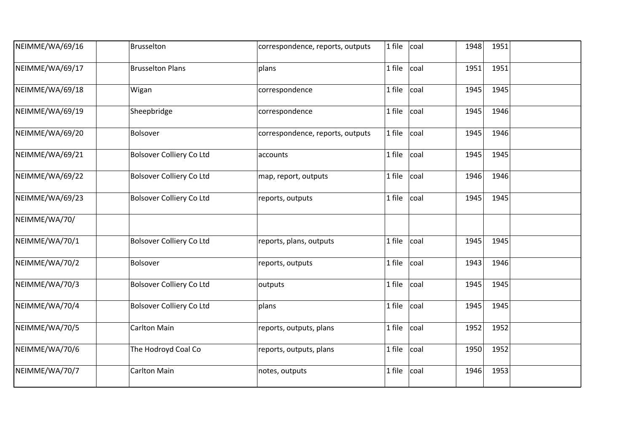| NEIMME/WA/69/16 | Brusselton                      | correspondence, reports, outputs | 1 file | coal | 1948 | 1951 |  |
|-----------------|---------------------------------|----------------------------------|--------|------|------|------|--|
| NEIMME/WA/69/17 | <b>Brusselton Plans</b>         | plans                            | 1 file | coal | 1951 | 1951 |  |
| NEIMME/WA/69/18 | Wigan                           | correspondence                   | 1 file | coal | 1945 | 1945 |  |
| NEIMME/WA/69/19 | Sheepbridge                     | correspondence                   | 1 file | coal | 1945 | 1946 |  |
| NEIMME/WA/69/20 | Bolsover                        | correspondence, reports, outputs | 1 file | coal | 1945 | 1946 |  |
| NEIMME/WA/69/21 | <b>Bolsover Colliery Co Ltd</b> | accounts                         | 1 file | coal | 1945 | 1945 |  |
| NEIMME/WA/69/22 | <b>Bolsover Colliery Co Ltd</b> | map, report, outputs             | 1 file | coal | 1946 | 1946 |  |
| NEIMME/WA/69/23 | <b>Bolsover Colliery Co Ltd</b> | reports, outputs                 | 1 file | coal | 1945 | 1945 |  |
| NEIMME/WA/70/   |                                 |                                  |        |      |      |      |  |
| NEIMME/WA/70/1  | <b>Bolsover Colliery Co Ltd</b> | reports, plans, outputs          | 1 file | coal | 1945 | 1945 |  |
| NEIMME/WA/70/2  | Bolsover                        | reports, outputs                 | 1 file | coal | 1943 | 1946 |  |
| NEIMME/WA/70/3  | <b>Bolsover Colliery Co Ltd</b> | outputs                          | 1 file | coal | 1945 | 1945 |  |
| NEIMME/WA/70/4  | <b>Bolsover Colliery Co Ltd</b> | plans                            | 1 file | coal | 1945 | 1945 |  |
| NEIMME/WA/70/5  | <b>Carlton Main</b>             | reports, outputs, plans          | 1 file | coal | 1952 | 1952 |  |
| NEIMME/WA/70/6  | The Hodroyd Coal Co             | reports, outputs, plans          | 1 file | coal | 1950 | 1952 |  |
| NEIMME/WA/70/7  | <b>Carlton Main</b>             | notes, outputs                   | 1 file | coal | 1946 | 1953 |  |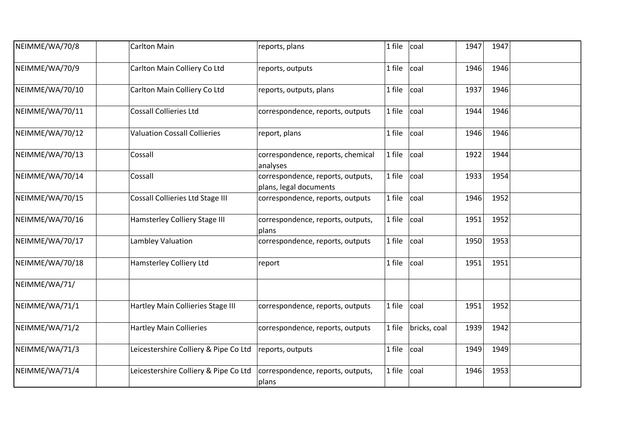| NEIMME/WA/70/8  | <b>Carlton Main</b>                     | reports, plans                                              | 1 file | coal         | 1947 | 1947 |  |
|-----------------|-----------------------------------------|-------------------------------------------------------------|--------|--------------|------|------|--|
| NEIMME/WA/70/9  | Carlton Main Colliery Co Ltd            | reports, outputs                                            | 1 file | coal         | 1946 | 1946 |  |
| NEIMME/WA/70/10 | Carlton Main Colliery Co Ltd            | reports, outputs, plans                                     | 1 file | coal         | 1937 | 1946 |  |
| NEIMME/WA/70/11 | <b>Cossall Collieries Ltd</b>           | correspondence, reports, outputs                            | 1 file | coal         | 1944 | 1946 |  |
| NEIMME/WA/70/12 | <b>Valuation Cossall Collieries</b>     | report, plans                                               | 1 file | coal         | 1946 | 1946 |  |
| NEIMME/WA/70/13 | Cossall                                 | correspondence, reports, chemical<br>analyses               | 1 file | coal         | 1922 | 1944 |  |
| NEIMME/WA/70/14 | Cossall                                 | correspondence, reports, outputs,<br>plans, legal documents | 1 file | coal         | 1933 | 1954 |  |
| NEIMME/WA/70/15 | <b>Cossall Collieries Ltd Stage III</b> | correspondence, reports, outputs                            | 1 file | coal         | 1946 | 1952 |  |
| NEIMME/WA/70/16 | Hamsterley Colliery Stage III           | correspondence, reports, outputs,<br>plans                  | 1 file | coal         | 1951 | 1952 |  |
| NEIMME/WA/70/17 | Lambley Valuation                       | correspondence, reports, outputs                            | 1 file | coal         | 1950 | 1953 |  |
| NEIMME/WA/70/18 | <b>Hamsterley Colliery Ltd</b>          | report                                                      | 1 file | coal         | 1951 | 1951 |  |
| NEIMME/WA/71/   |                                         |                                                             |        |              |      |      |  |
| NEIMME/WA/71/1  | Hartley Main Collieries Stage III       | correspondence, reports, outputs                            | 1 file | coal         | 1951 | 1952 |  |
| NEIMME/WA/71/2  | <b>Hartley Main Collieries</b>          | correspondence, reports, outputs                            | 1 file | bricks, coal | 1939 | 1942 |  |
| NEIMME/WA/71/3  | Leicestershire Colliery & Pipe Co Ltd   | reports, outputs                                            | 1 file | coal         | 1949 | 1949 |  |
| NEIMME/WA/71/4  | Leicestershire Colliery & Pipe Co Ltd   | correspondence, reports, outputs,<br>plans                  | 1 file | coal         | 1946 | 1953 |  |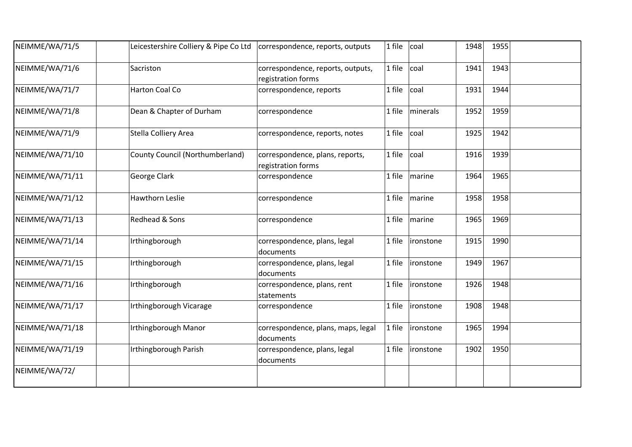| NEIMME/WA/71/5  | Leicestershire Colliery & Pipe Co Ltd | correspondence, reports, outputs                        | 1 file | coal      | 1948 | 1955 |  |
|-----------------|---------------------------------------|---------------------------------------------------------|--------|-----------|------|------|--|
| NEIMME/WA/71/6  | Sacriston                             | correspondence, reports, outputs,<br>registration forms | 1 file | coal      | 1941 | 1943 |  |
| NEIMME/WA/71/7  | Harton Coal Co                        | correspondence, reports                                 | 1 file | coal      | 1931 | 1944 |  |
| NEIMME/WA/71/8  | Dean & Chapter of Durham              | correspondence                                          | 1 file | minerals  | 1952 | 1959 |  |
| NEIMME/WA/71/9  | Stella Colliery Area                  | correspondence, reports, notes                          | 1 file | coal      | 1925 | 1942 |  |
| NEIMME/WA/71/10 | County Council (Northumberland)       | correspondence, plans, reports,<br>registration forms   | 1 file | coal      | 1916 | 1939 |  |
| NEIMME/WA/71/11 | <b>George Clark</b>                   | correspondence                                          | 1 file | marine    | 1964 | 1965 |  |
| NEIMME/WA/71/12 | Hawthorn Leslie                       | correspondence                                          | 1 file | marine    | 1958 | 1958 |  |
| NEIMME/WA/71/13 | Redhead & Sons                        | correspondence                                          | 1 file | marine    | 1965 | 1969 |  |
| NEIMME/WA/71/14 | Irthingborough                        | correspondence, plans, legal<br>documents               | 1 file | ironstone | 1915 | 1990 |  |
| NEIMME/WA/71/15 | Irthingborough                        | correspondence, plans, legal<br>documents               | 1 file | ironstone | 1949 | 1967 |  |
| NEIMME/WA/71/16 | Irthingborough                        | correspondence, plans, rent<br>statements               | 1 file | ironstone | 1926 | 1948 |  |
| NEIMME/WA/71/17 | Irthingborough Vicarage               | correspondence                                          | 1 file | ironstone | 1908 | 1948 |  |
| NEIMME/WA/71/18 | Irthingborough Manor                  | correspondence, plans, maps, legal<br>documents         | 1 file | ironstone | 1965 | 1994 |  |
| NEIMME/WA/71/19 | Irthingborough Parish                 | correspondence, plans, legal<br>documents               | 1 file | ironstone | 1902 | 1950 |  |
| NEIMME/WA/72/   |                                       |                                                         |        |           |      |      |  |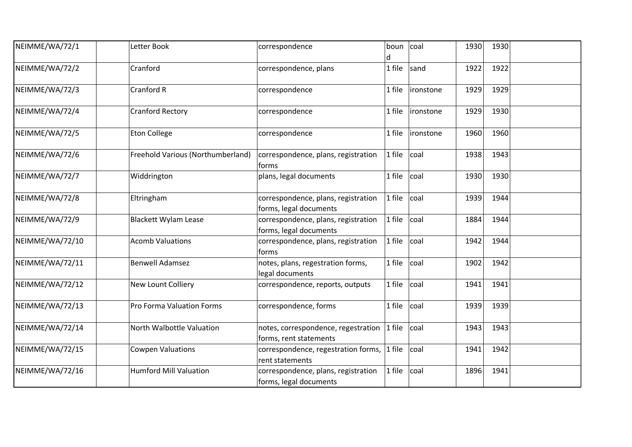| NEIMME/WA/72/1  | Letter Book                       | correspondence                                                | boun<br>d | coal       | 1930 | 1930 |  |
|-----------------|-----------------------------------|---------------------------------------------------------------|-----------|------------|------|------|--|
| NEIMME/WA/72/2  | Cranford                          | correspondence, plans                                         | 1 file    | sand       | 1922 | 1922 |  |
| NEIMME/WA/72/3  | Cranford R                        | correspondence                                                | 1 file    | lironstone | 1929 | 1929 |  |
| NEIMME/WA/72/4  | <b>Cranford Rectory</b>           | correspondence                                                | 1 file    | ironstone  | 1929 | 1930 |  |
| NEIMME/WA/72/5  | <b>Eton College</b>               | correspondence                                                | 1 file    | ironstone  | 1960 | 1960 |  |
| NEIMME/WA/72/6  | Freehold Various (Northumberland) | correspondence, plans, registration<br>torms                  | 1 file    | coal       | 1938 | 1943 |  |
| NEIMME/WA/72/7  | Widdrington                       | plans, legal documents                                        | 1 file    | coal       | 1930 | 1930 |  |
| NEIMME/WA/72/8  | Eltringham                        | correspondence, plans, registration<br>forms, legal documents | 1 file    | coal       | 1939 | 1944 |  |
| NEIMME/WA/72/9  | <b>Blackett Wylam Lease</b>       | correspondence, plans, registration<br>forms, legal documents | 1 file    | coal       | 1884 | 1944 |  |
| NEIMME/WA/72/10 | <b>Acomb Valuations</b>           | correspondence, plans, registration<br>forms                  | 1 file    | coal       | 1942 | 1944 |  |
| NEIMME/WA/72/11 | <b>Benwell Adamsez</b>            | notes, plans, regestration forms,<br>legal documents          | 1 file    | coal       | 1902 | 1942 |  |
| NEIMME/WA/72/12 | New Lount Colliery                | correspondence, reports, outputs                              | 1 file    | coal       | 1941 | 1941 |  |
| NEIMME/WA/72/13 | Pro Forma Valuation Forms         | correspondence, forms                                         | 1 file    | coal       | 1939 | 1939 |  |
| NEIMME/WA/72/14 | North Walbottle Valuation         | notes, correspondence, regestration<br>forms, rent statements | $1$ file  | coal       | 1943 | 1943 |  |
| NEIMME/WA/72/15 | <b>Cowpen Valuations</b>          | correspondence, regestration forms,<br>rent statements        | $1$ file  | coal       | 1941 | 1942 |  |
| NEIMME/WA/72/16 | <b>Humford Mill Valuation</b>     | correspondence, plans, registration<br>forms, legal documents | 1 file    | coal       | 1896 | 1941 |  |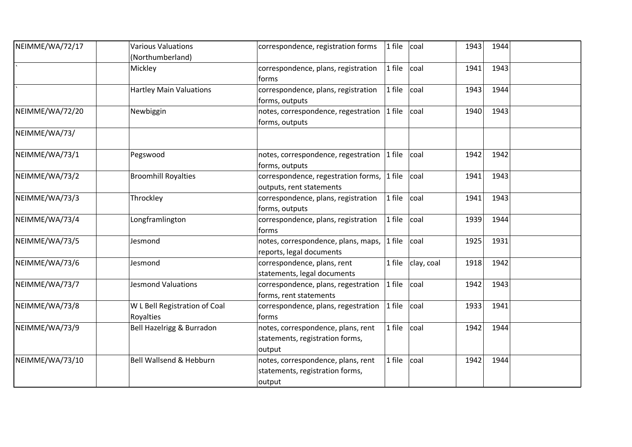| NEIMME/WA/72/17 | <b>Various Valuations</b>          | correspondence, registration forms  | 1 file   | coal       | 1943 | 1944 |  |
|-----------------|------------------------------------|-------------------------------------|----------|------------|------|------|--|
|                 | (Northumberland)                   |                                     |          |            |      |      |  |
|                 | Mickley                            | correspondence, plans, registration | 1 file   | coal       | 1941 | 1943 |  |
|                 |                                    | forms                               |          |            |      |      |  |
|                 | <b>Hartley Main Valuations</b>     | correspondence, plans, registration | 1 file   | coal       | 1943 | 1944 |  |
|                 |                                    | forms, outputs                      |          |            |      |      |  |
| NEIMME/WA/72/20 | Newbiggin                          | notes, correspondence, regestration | 1 file   | coal       | 1940 | 1943 |  |
|                 |                                    | forms, outputs                      |          |            |      |      |  |
| NEIMME/WA/73/   |                                    |                                     |          |            |      |      |  |
| NEIMME/WA/73/1  | Pegswood                           | notes, correspondence, regestration | 1 file   | coal       | 1942 | 1942 |  |
|                 |                                    | forms, outputs                      |          |            |      |      |  |
| NEIMME/WA/73/2  | <b>Broomhill Royalties</b>         | correspondence, regestration forms, | $1$ file | coal       | 1941 | 1943 |  |
|                 |                                    | outputs, rent statements            |          |            |      |      |  |
| NEIMME/WA/73/3  | Throckley                          | correspondence, plans, registration | 1 file   | coal       | 1941 | 1943 |  |
|                 |                                    | forms, outputs                      |          |            |      |      |  |
| NEIMME/WA/73/4  | Longframlington                    | correspondence, plans, registration | 1 file   | coal       | 1939 | 1944 |  |
|                 |                                    | forms                               |          |            |      |      |  |
| NEIMME/WA/73/5  | Jesmond                            | notes, correspondence, plans, maps, | 1 file   | coal       | 1925 | 1931 |  |
|                 |                                    | reports, legal documents            |          |            |      |      |  |
| NEIMME/WA/73/6  | Jesmond                            | correspondence, plans, rent         | 1 file   | clay, coal | 1918 | 1942 |  |
|                 |                                    | statements, legal documents         |          |            |      |      |  |
| NEIMME/WA/73/7  | <b>Jesmond Valuations</b>          | correspondence, plans, regestration | 1 file   | coal       | 1942 | 1943 |  |
|                 |                                    | forms, rent statements              |          |            |      |      |  |
| NEIMME/WA/73/8  | W L Bell Registration of Coal      | correspondence, plans, regestration | 1 file   | coal       | 1933 | 1941 |  |
|                 | Royalties                          | forms                               |          |            |      |      |  |
| NEIMME/WA/73/9  | Bell Hazelrigg & Burradon          | notes, correspondence, plans, rent  | 1 file   | coal       | 1942 | 1944 |  |
|                 |                                    | statements, registration forms,     |          |            |      |      |  |
|                 |                                    | output                              |          |            |      |      |  |
| NEIMME/WA/73/10 | <b>Bell Wallsend &amp; Hebburn</b> | notes, correspondence, plans, rent  | 1 file   | coal       | 1942 | 1944 |  |
|                 |                                    | statements, registration forms,     |          |            |      |      |  |
|                 |                                    | output                              |          |            |      |      |  |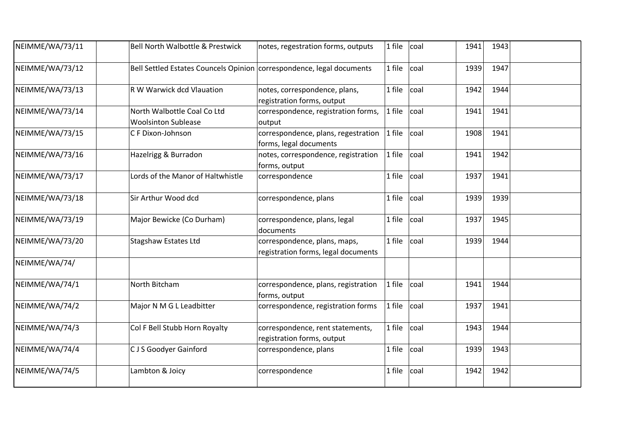| NEIMME/WA/73/11 | <b>Bell North Walbottle &amp; Prestwick</b>                           | notes, regestration forms, outputs                                  | 1 file   | coal | 1941 | 1943 |  |
|-----------------|-----------------------------------------------------------------------|---------------------------------------------------------------------|----------|------|------|------|--|
| NEIMME/WA/73/12 | Bell Settled Estates Councels Opinion correspondence, legal documents |                                                                     | 1 file   | coal | 1939 | 1947 |  |
| NEIMME/WA/73/13 | R W Warwick dcd Vlauation                                             | notes, correspondence, plans,<br>registration forms, output         | 1 file   | coal | 1942 | 1944 |  |
| NEIMME/WA/73/14 | North Walbottle Coal Co Ltd<br><b>Woolsinton Sublease</b>             | correspondence, registration forms,<br>output                       | 1 file   | coal | 1941 | 1941 |  |
| NEIMME/WA/73/15 | C F Dixon-Johnson                                                     | correspondence, plans, regestration<br>forms, legal documents       | $1$ file | coal | 1908 | 1941 |  |
| NEIMME/WA/73/16 | Hazelrigg & Burradon                                                  | notes, correspondence, registration<br>forms, output                | 1 file   | coal | 1941 | 1942 |  |
| NEIMME/WA/73/17 | Lords of the Manor of Haltwhistle                                     | correspondence                                                      | 1 file   | coal | 1937 | 1941 |  |
| NEIMME/WA/73/18 | Sir Arthur Wood dcd                                                   | correspondence, plans                                               | 1 file   | coal | 1939 | 1939 |  |
| NEIMME/WA/73/19 | Major Bewicke (Co Durham)                                             | correspondence, plans, legal<br>documents                           | 1 file   | coal | 1937 | 1945 |  |
| NEIMME/WA/73/20 | <b>Stagshaw Estates Ltd</b>                                           | correspondence, plans, maps,<br>registration forms, legal documents | 1 file   | coal | 1939 | 1944 |  |
| NEIMME/WA/74/   |                                                                       |                                                                     |          |      |      |      |  |
| NEIMME/WA/74/1  | North Bitcham                                                         | correspondence, plans, registration<br>forms, output                | 1 file   | coal | 1941 | 1944 |  |
| NEIMME/WA/74/2  | Major N M G L Leadbitter                                              | correspondence, registration forms                                  | 1 file   | coal | 1937 | 1941 |  |
| NEIMME/WA/74/3  | Col F Bell Stubb Horn Royalty                                         | correspondence, rent statements,<br>registration forms, output      | 1 file   | coal | 1943 | 1944 |  |
| NEIMME/WA/74/4  | CJS Goodyer Gainford                                                  | correspondence, plans                                               | 1 file   | coal | 1939 | 1943 |  |
| NEIMME/WA/74/5  | Lambton & Joicy                                                       | correspondence                                                      | 1 file   | coal | 1942 | 1942 |  |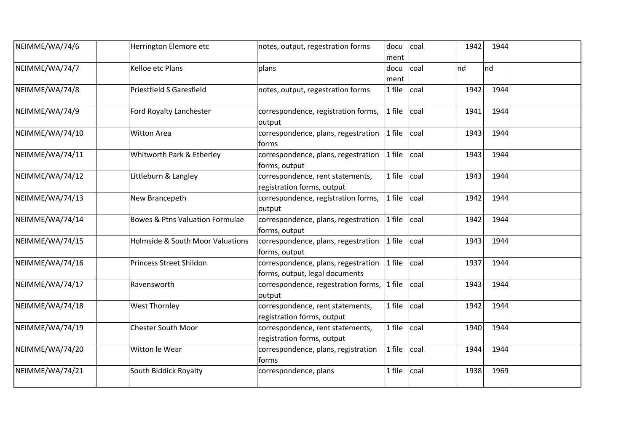| NEIMME/WA/74/6  | Herrington Elemore etc                      | notes, output, regestration forms                                     | docu<br>ment | coal | 1942 | 1944 |  |
|-----------------|---------------------------------------------|-----------------------------------------------------------------------|--------------|------|------|------|--|
| NEIMME/WA/74/7  | Kelloe etc Plans                            | plans                                                                 | docu<br>ment | coal | nd   | nd   |  |
| NEIMME/WA/74/8  | <b>Priestfield S Garesfield</b>             | notes, output, regestration forms                                     | 1 file       | coal | 1942 | 1944 |  |
| NEIMME/WA/74/9  | Ford Royalty Lanchester                     | correspondence, registration forms,<br>output                         | 1 file       | coal | 1941 | 1944 |  |
| NEIMME/WA/74/10 | <b>Witton Area</b>                          | correspondence, plans, regestration<br>forms                          | 1 file       | coal | 1943 | 1944 |  |
| NEIMME/WA/74/11 | Whitworth Park & Etherley                   | correspondence, plans, regestration<br>forms, output                  | 1 file       | coal | 1943 | 1944 |  |
| NEIMME/WA/74/12 | Littleburn & Langley                        | correspondence, rent statements,<br>registration forms, output        | 1 file       | coal | 1943 | 1944 |  |
| NEIMME/WA/74/13 | New Brancepeth                              | correspondence, registration forms,<br>output                         | 1 file       | coal | 1942 | 1944 |  |
| NEIMME/WA/74/14 | <b>Bowes &amp; Ptns Valuation Formulae</b>  | correspondence, plans, regestration<br>forms, output                  | 1 file       | coal | 1942 | 1944 |  |
| NEIMME/WA/74/15 | <b>Holmside &amp; South Moor Valuations</b> | correspondence, plans, regestration<br>forms, output                  | 1 file       | coal | 1943 | 1944 |  |
| NEIMME/WA/74/16 | <b>Princess Street Shildon</b>              | correspondence, plans, regestration<br>forms, output, legal documents | 1 file       | coal | 1937 | 1944 |  |
| NEIMME/WA/74/17 | Ravensworth                                 | correspondence, regestration forms,<br>output                         | 1 file       | coal | 1943 | 1944 |  |
| NEIMME/WA/74/18 | <b>West Thornley</b>                        | correspondence, rent statements,<br>registration forms, output        | 1 file       | coal | 1942 | 1944 |  |
| NEIMME/WA/74/19 | <b>Chester South Moor</b>                   | correspondence, rent statements,<br>registration forms, output        | 1 file       | coal | 1940 | 1944 |  |
| NEIMME/WA/74/20 | Witton le Wear                              | correspondence, plans, registration<br>forms                          | 1 file       | coal | 1944 | 1944 |  |
| NEIMME/WA/74/21 | South Biddick Royalty                       | correspondence, plans                                                 | 1 file       | coal | 1938 | 1969 |  |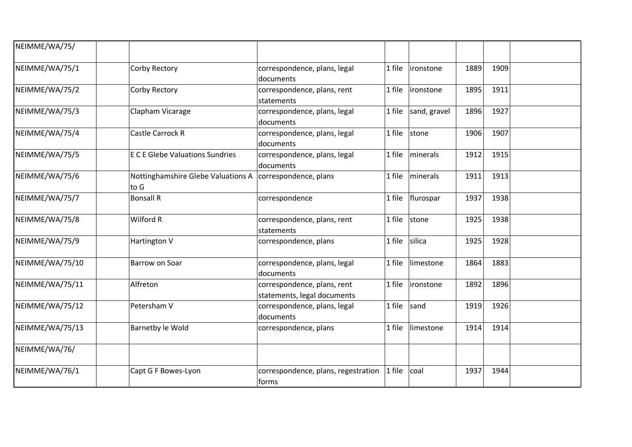| NEIMME/WA/75/   |                                            |                                                            |        |              |      |      |  |
|-----------------|--------------------------------------------|------------------------------------------------------------|--------|--------------|------|------|--|
| NEIMME/WA/75/1  | Corby Rectory                              | correspondence, plans, legal<br>documents                  | 1 file | ironstone    | 1889 | 1909 |  |
| NEIMME/WA/75/2  | Corby Rectory                              | correspondence, plans, rent<br>statements                  | 1 file | ironstone    | 1895 | 1911 |  |
| NEIMME/WA/75/3  | Clapham Vicarage                           | correspondence, plans, legal<br>documents                  | 1 file | sand, gravel | 1896 | 1927 |  |
| NEIMME/WA/75/4  | Castle Carrock R                           | correspondence, plans, legal<br>documents                  | 1 file | stone        | 1906 | 1907 |  |
| NEIMME/WA/75/5  | <b>E C E Glebe Valuations Sundries</b>     | correspondence, plans, legal<br>documents                  | 1 file | minerals     | 1912 | 1915 |  |
| NEIMME/WA/75/6  | Nottinghamshire Glebe Valuations A<br>to G | correspondence, plans                                      | 1 file | minerals     | 1911 | 1913 |  |
| NEIMME/WA/75/7  | <b>Bonsall R</b>                           | correspondence                                             | 1 file | flurospar    | 1937 | 1938 |  |
| NEIMME/WA/75/8  | Wilford R                                  | correspondence, plans, rent<br>statements                  | 1 file | stone        | 1925 | 1938 |  |
| NEIMME/WA/75/9  | Hartington V                               | correspondence, plans                                      | 1 file | silica       | 1925 | 1928 |  |
| NEIMME/WA/75/10 | Barrow on Soar                             | correspondence, plans, legal<br>documents                  | 1 file | limestone    | 1864 | 1883 |  |
| NEIMME/WA/75/11 | Alfreton                                   | correspondence, plans, rent<br>statements, legal documents | 1 file | ironstone    | 1892 | 1896 |  |
| NEIMME/WA/75/12 | Petersham V                                | correspondence, plans, legal<br>documents                  | 1 file | sand         | 1919 | 1926 |  |
| NEIMME/WA/75/13 | Barnetby le Wold                           | correspondence, plans                                      | 1 file | limestone    | 1914 | 1914 |  |
| NEIMME/WA/76/   |                                            |                                                            |        |              |      |      |  |
| NEIMME/WA/76/1  | Capt G F Bowes-Lyon                        | correspondence, plans, regestration<br>forms               | 1 file | coal         | 1937 | 1944 |  |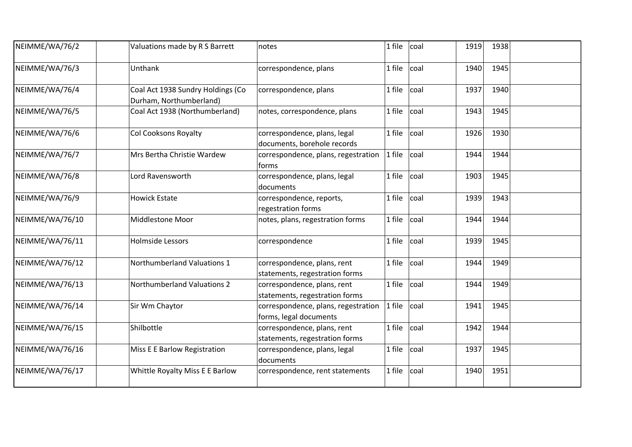| NEIMME/WA/76/2  | Valuations made by R S Barrett                               | notes                                                         | 1 file | coal | 1919 | 1938 |  |
|-----------------|--------------------------------------------------------------|---------------------------------------------------------------|--------|------|------|------|--|
| NEIMME/WA/76/3  | Unthank                                                      | correspondence, plans                                         | 1 file | coal | 1940 | 1945 |  |
| NEIMME/WA/76/4  | Coal Act 1938 Sundry Holdings (Co<br>Durham, Northumberland) | correspondence, plans                                         | 1 file | coal | 1937 | 1940 |  |
| NEIMME/WA/76/5  | Coal Act 1938 (Northumberland)                               | notes, correspondence, plans                                  | 1 file | coal | 1943 | 1945 |  |
| NEIMME/WA/76/6  | Col Cooksons Royalty                                         | correspondence, plans, legal<br>documents, borehole records   | 1 file | coal | 1926 | 1930 |  |
| NEIMME/WA/76/7  | Mrs Bertha Christie Wardew                                   | correspondence, plans, regestration<br>forms                  | 1 file | coal | 1944 | 1944 |  |
| NEIMME/WA/76/8  | Lord Ravensworth                                             | correspondence, plans, legal<br>documents                     | 1 file | coal | 1903 | 1945 |  |
| NEIMME/WA/76/9  | <b>Howick Estate</b>                                         | correspondence, reports,<br>regestration forms                | 1 file | coal | 1939 | 1943 |  |
| NEIMME/WA/76/10 | Middlestone Moor                                             | notes, plans, regestration forms                              | 1 file | coal | 1944 | 1944 |  |
| NEIMME/WA/76/11 | <b>Holmside Lessors</b>                                      | correspondence                                                | 1 file | coal | 1939 | 1945 |  |
| NEIMME/WA/76/12 | Northumberland Valuations 1                                  | correspondence, plans, rent<br>statements, regestration forms | 1 file | coal | 1944 | 1949 |  |
| NEIMME/WA/76/13 | <b>Northumberland Valuations 2</b>                           | correspondence, plans, rent<br>statements, regestration forms | 1 file | coal | 1944 | 1949 |  |
| NEIMME/WA/76/14 | Sir Wm Chaytor                                               | correspondence, plans, regestration<br>forms, legal documents | 1 file | coal | 1941 | 1945 |  |
| NEIMME/WA/76/15 | Shilbottle                                                   | correspondence, plans, rent<br>statements, regestration forms | 1 file | coal | 1942 | 1944 |  |
| NEIMME/WA/76/16 | Miss E E Barlow Registration                                 | correspondence, plans, legal<br>documents                     | 1 file | coal | 1937 | 1945 |  |
| NEIMME/WA/76/17 | Whittle Royalty Miss E E Barlow                              | correspondence, rent statements                               | 1 file | coal | 1940 | 1951 |  |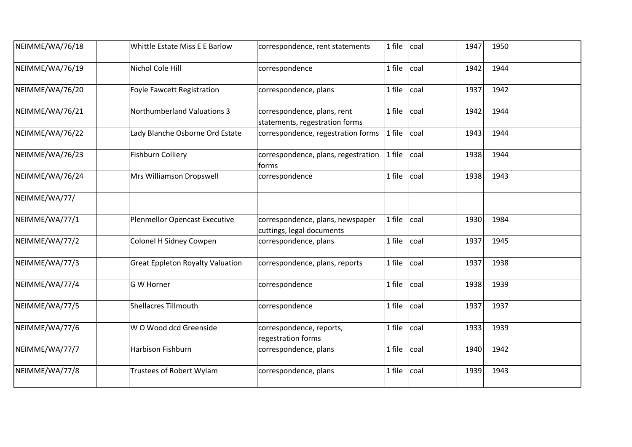| NEIMME/WA/76/18 | Whittle Estate Miss E E Barlow          | correspondence, rent statements                               | 1 file | coal | 1947 | 1950 |  |
|-----------------|-----------------------------------------|---------------------------------------------------------------|--------|------|------|------|--|
| NEIMME/WA/76/19 | Nichol Cole Hill                        | correspondence                                                | 1 file | coal | 1942 | 1944 |  |
| NEIMME/WA/76/20 | <b>Foyle Fawcett Registration</b>       | correspondence, plans                                         | 1 file | coal | 1937 | 1942 |  |
| NEIMME/WA/76/21 | <b>Northumberland Valuations 3</b>      | correspondence, plans, rent<br>statements, regestration forms | 1 file | coal | 1942 | 1944 |  |
| NEIMME/WA/76/22 | Lady Blanche Osborne Ord Estate         | correspondence, regestration forms                            | 1 file | coal | 1943 | 1944 |  |
| NEIMME/WA/76/23 | Fishburn Colliery                       | correspondence, plans, regestration<br>forms                  | 1 file | coal | 1938 | 1944 |  |
| NEIMME/WA/76/24 | Mrs Williamson Dropswell                | correspondence                                                | 1 file | coal | 1938 | 1943 |  |
| NEIMME/WA/77/   |                                         |                                                               |        |      |      |      |  |
| NEIMME/WA/77/1  | <b>Plenmellor Opencast Executive</b>    | correspondence, plans, newspaper<br>cuttings, legal documents | 1 file | coal | 1930 | 1984 |  |
| NEIMME/WA/77/2  | Colonel H Sidney Cowpen                 | correspondence, plans                                         | 1 file | coal | 1937 | 1945 |  |
| NEIMME/WA/77/3  | <b>Great Eppleton Royalty Valuation</b> | correspondence, plans, reports                                | 1 file | coal | 1937 | 1938 |  |
| NEIMME/WA/77/4  | G W Horner                              | correspondence                                                | 1 file | coal | 1938 | 1939 |  |
| NEIMME/WA/77/5  | <b>Shellacres Tillmouth</b>             | correspondence                                                | 1 file | coal | 1937 | 1937 |  |
| NEIMME/WA/77/6  | W O Wood dcd Greenside                  | correspondence, reports,<br>regestration forms                | 1 file | coal | 1933 | 1939 |  |
| NEIMME/WA/77/7  | <b>Harbison Fishburn</b>                | correspondence, plans                                         | 1 file | coal | 1940 | 1942 |  |
| NEIMME/WA/77/8  | <b>Trustees of Robert Wylam</b>         | correspondence, plans                                         | 1 file | coal | 1939 | 1943 |  |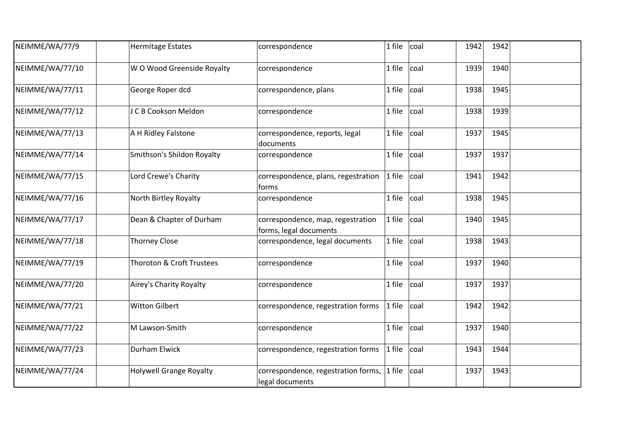| NEIMME/WA/77/9  | <b>Hermitage Estates</b>       | correspondence                                              | 1 file | coal | 1942 | 1942 |  |
|-----------------|--------------------------------|-------------------------------------------------------------|--------|------|------|------|--|
| NEIMME/WA/77/10 | W O Wood Greenside Royalty     | correspondence                                              | 1 file | coal | 1939 | 1940 |  |
| NEIMME/WA/77/11 | George Roper dcd               | correspondence, plans                                       | 1 file | coal | 1938 | 1945 |  |
| NEIMME/WA/77/12 | J C B Cookson Meldon           | correspondence                                              | 1 file | coal | 1938 | 1939 |  |
| NEIMME/WA/77/13 | A H Ridley Falstone            | correspondence, reports, legal<br>documents                 | 1 file | coal | 1937 | 1945 |  |
| NEIMME/WA/77/14 | Smithson's Shildon Royalty     | correspondence                                              | 1 file | coal | 1937 | 1937 |  |
| NEIMME/WA/77/15 | Lord Crewe's Charity           | correspondence, plans, regestration<br>forms                | 1 file | coal | 1941 | 1942 |  |
| NEIMME/WA/77/16 | North Birtley Royalty          | correspondence                                              | 1 file | coal | 1938 | 1945 |  |
| NEIMME/WA/77/17 | Dean & Chapter of Durham       | correspondence, map, regestration<br>forms, legal documents | 1 file | coal | 1940 | 1945 |  |
| NEIMME/WA/77/18 | <b>Thorney Close</b>           | correspondence, legal documents                             | 1 file | coal | 1938 | 1943 |  |
| NEIMME/WA/77/19 | Thoroton & Croft Trustees      | correspondence                                              | 1 file | coal | 1937 | 1940 |  |
| NEIMME/WA/77/20 | Airey's Charity Royalty        | correspondence                                              | 1 file | coal | 1937 | 1937 |  |
| NEIMME/WA/77/21 | <b>Witton Gilbert</b>          | correspondence, regestration forms                          | 1 file | coal | 1942 | 1942 |  |
| NEIMME/WA/77/22 | M Lawson-Smith                 | correspondence                                              | 1 file | coal | 1937 | 1940 |  |
| NEIMME/WA/77/23 | Durham Elwick                  | correspondence, regestration forms                          | 1 file | coal | 1943 | 1944 |  |
| NEIMME/WA/77/24 | <b>Holywell Grange Royalty</b> | correspondence, regestration forms,<br>legal documents      | 1 file | coal | 1937 | 1943 |  |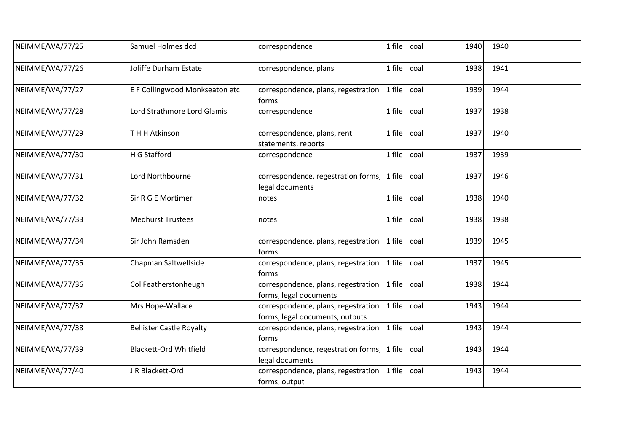| NEIMME/WA/77/25 | Samuel Holmes dcd               | correspondence                                                         | 1 file | coal | 1940 | 1940 |  |
|-----------------|---------------------------------|------------------------------------------------------------------------|--------|------|------|------|--|
| NEIMME/WA/77/26 | Joliffe Durham Estate           | correspondence, plans                                                  | 1 file | coal | 1938 | 1941 |  |
| NEIMME/WA/77/27 | E F Collingwood Monkseaton etc  | correspondence, plans, regestration<br>forms                           | 1 file | coal | 1939 | 1944 |  |
| NEIMME/WA/77/28 | Lord Strathmore Lord Glamis     | correspondence                                                         | 1 file | coal | 1937 | 1938 |  |
| NEIMME/WA/77/29 | TH H Atkinson                   | correspondence, plans, rent<br>statements, reports                     | 1 file | coal | 1937 | 1940 |  |
| NEIMME/WA/77/30 | H G Stafford                    | correspondence                                                         | 1 file | coal | 1937 | 1939 |  |
| NEIMME/WA/77/31 | Lord Northbourne                | correspondence, regestration forms, $ 1$ file<br>legal documents       |        | coal | 1937 | 1946 |  |
| NEIMME/WA/77/32 | Sir R G E Mortimer              | notes                                                                  | 1 file | coal | 1938 | 1940 |  |
| NEIMME/WA/77/33 | <b>Medhurst Trustees</b>        | notes                                                                  | 1 file | coal | 1938 | 1938 |  |
| NEIMME/WA/77/34 | Sir John Ramsden                | correspondence, plans, regestration<br> forms                          | 1 file | coal | 1939 | 1945 |  |
| NEIMME/WA/77/35 | Chapman Saltwellside            | correspondence, plans, regestration<br>forms                           | 1 file | coal | 1937 | 1945 |  |
| NEIMME/WA/77/36 | Col Featherstonheugh            | correspondence, plans, regestration<br>forms, legal documents          | 1 file | coal | 1938 | 1944 |  |
| NEIMME/WA/77/37 | Mrs Hope-Wallace                | correspondence, plans, regestration<br>forms, legal documents, outputs | 1 file | coal | 1943 | 1944 |  |
| NEIMME/WA/77/38 | <b>Bellister Castle Royalty</b> | correspondence, plans, regestration<br>forms                           | 1 file | coal | 1943 | 1944 |  |
| NEIMME/WA/77/39 | <b>Blackett-Ord Whitfield</b>   | correspondence, regestration forms,<br>legal documents                 | 1 file | coal | 1943 | 1944 |  |
| NEIMME/WA/77/40 | J R Blackett-Ord                | correspondence, plans, regestration<br>forms, output                   | 1 file | coal | 1943 | 1944 |  |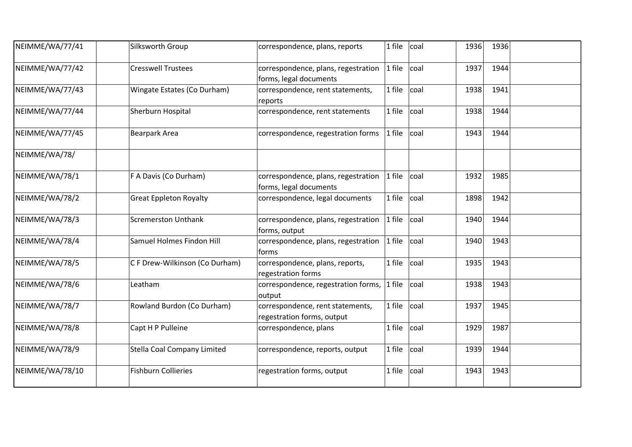| NEIMME/WA/77/41 | Silksworth Group                   | correspondence, plans, reports                                 | 1 file | coal | 1936 | 1936 |  |
|-----------------|------------------------------------|----------------------------------------------------------------|--------|------|------|------|--|
| NEIMME/WA/77/42 | <b>Cresswell Trustees</b>          | correspondence, plans, regestration<br>forms, legal documents  | 1 file | coal | 1937 | 1944 |  |
| NEIMME/WA/77/43 | Wingate Estates (Co Durham)        | correspondence, rent statements,<br>reports                    | 1 file | coal | 1938 | 1941 |  |
| NEIMME/WA/77/44 | Sherburn Hospital                  | correspondence, rent statements                                | 1 file | coal | 1938 | 1944 |  |
| NEIMME/WA/77/45 | Bearpark Area                      | correspondence, regestration forms                             | 1 file | coal | 1943 | 1944 |  |
| NEIMME/WA/78/   |                                    |                                                                |        |      |      |      |  |
| NEIMME/WA/78/1  | F A Davis (Co Durham)              | correspondence, plans, regestration<br>forms, legal documents  | 1 file | coal | 1932 | 1985 |  |
| NEIMME/WA/78/2  | <b>Great Eppleton Royalty</b>      | correspondence, legal documents                                | 1 file | coal | 1898 | 1942 |  |
| NEIMME/WA/78/3  | <b>Scremerston Unthank</b>         | correspondence, plans, regestration<br>forms, output           | 1 file | coal | 1940 | 1944 |  |
| NEIMME/WA/78/4  | Samuel Holmes Findon Hill          | correspondence, plans, regestration<br>forms                   | 1 file | coal | 1940 | 1943 |  |
| NEIMME/WA/78/5  | C F Drew-Wilkinson (Co Durham)     | correspondence, plans, reports,<br>regestration forms          | 1 file | coal | 1935 | 1943 |  |
| NEIMME/WA/78/6  | Leatham                            | correspondence, regestration forms,<br>output                  | 1 file | coal | 1938 | 1943 |  |
| NEIMME/WA/78/7  | Rowland Burdon (Co Durham)         | correspondence, rent statements,<br>regestration forms, output | 1 file | coal | 1937 | 1945 |  |
| NEIMME/WA/78/8  | Capt H P Pulleine                  | correspondence, plans                                          | 1 file | coal | 1929 | 1987 |  |
| NEIMME/WA/78/9  | <b>Stella Coal Company Limited</b> | correspondence, reports, output                                | 1 file | coal | 1939 | 1944 |  |
| NEIMME/WA/78/10 | <b>Fishburn Collieries</b>         | regestration forms, output                                     | 1 file | coal | 1943 | 1943 |  |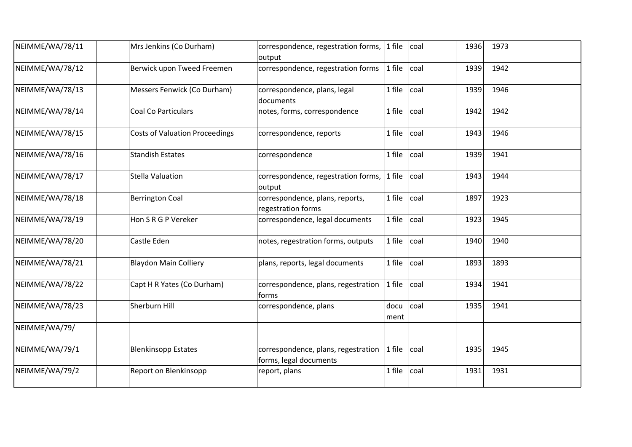| NEIMME/WA/78/11 | Mrs Jenkins (Co Durham)               | correspondence, regestration forms, 1 file<br>output          |              | coal | 1936 | 1973 |  |
|-----------------|---------------------------------------|---------------------------------------------------------------|--------------|------|------|------|--|
| NEIMME/WA/78/12 | Berwick upon Tweed Freemen            | correspondence, regestration forms                            | 1 file       | coal | 1939 | 1942 |  |
| NEIMME/WA/78/13 | Messers Fenwick (Co Durham)           | correspondence, plans, legal<br>documents                     | 1 file       | coal | 1939 | 1946 |  |
| NEIMME/WA/78/14 | <b>Coal Co Particulars</b>            | notes, forms, correspondence                                  | 1 file       | coal | 1942 | 1942 |  |
| NEIMME/WA/78/15 | <b>Costs of Valuation Proceedings</b> | correspondence, reports                                       | 1 file       | coal | 1943 | 1946 |  |
| NEIMME/WA/78/16 | <b>Standish Estates</b>               | correspondence                                                | 1 file       | coal | 1939 | 1941 |  |
| NEIMME/WA/78/17 | <b>Stella Valuation</b>               | correspondence, regestration forms,<br>output                 | 1 file       | coal | 1943 | 1944 |  |
| NEIMME/WA/78/18 | <b>Berrington Coal</b>                | correspondence, plans, reports,<br>regestration forms         | 1 file       | coal | 1897 | 1923 |  |
| NEIMME/WA/78/19 | Hon S R G P Vereker                   | correspondence, legal documents                               | 1 file       | coal | 1923 | 1945 |  |
| NEIMME/WA/78/20 | Castle Eden                           | notes, regestration forms, outputs                            | 1 file       | coal | 1940 | 1940 |  |
| NEIMME/WA/78/21 | <b>Blaydon Main Colliery</b>          | plans, reports, legal documents                               | 1 file       | coal | 1893 | 1893 |  |
| NEIMME/WA/78/22 | Capt H R Yates (Co Durham)            | correspondence, plans, regestration<br>forms                  | 1 file       | coal | 1934 | 1941 |  |
| NEIMME/WA/78/23 | Sherburn Hill                         | correspondence, plans                                         | docu<br>ment | coal | 1935 | 1941 |  |
| NEIMME/WA/79/   |                                       |                                                               |              |      |      |      |  |
| NEIMME/WA/79/1  | <b>Blenkinsopp Estates</b>            | correspondence, plans, regestration<br>forms, legal documents | 1 file       | coal | 1935 | 1945 |  |
| NEIMME/WA/79/2  | Report on Blenkinsopp                 | report, plans                                                 | 1 file       | coal | 1931 | 1931 |  |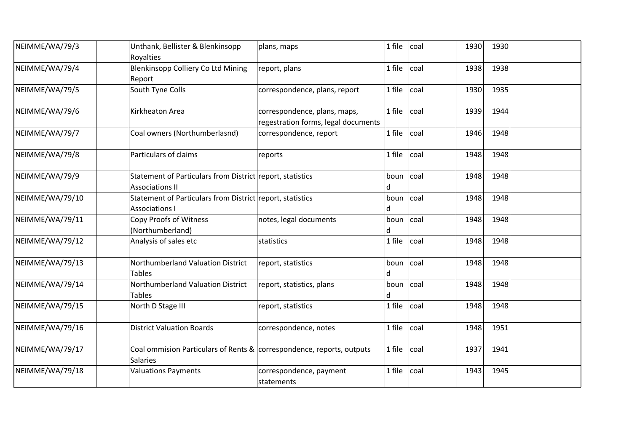| NEIMME/WA/79/3  | Unthank, Bellister & Blenkinsopp<br>Royalties                                            | plans, maps                                                         | 1 file              | coal | 1930 | 1930 |  |
|-----------------|------------------------------------------------------------------------------------------|---------------------------------------------------------------------|---------------------|------|------|------|--|
| NEIMME/WA/79/4  | Blenkinsopp Colliery Co Ltd Mining<br>Report                                             | report, plans                                                       | 1 file              | coal | 1938 | 1938 |  |
| NEIMME/WA/79/5  | South Tyne Colls                                                                         | correspondence, plans, report                                       | 1 file              | coal | 1930 | 1935 |  |
| NEIMME/WA/79/6  | Kirkheaton Area                                                                          | correspondence, plans, maps,<br>regestration forms, legal documents | 1 file              | coal | 1939 | 1944 |  |
| NEIMME/WA/79/7  | Coal owners (Northumberlasnd)                                                            | correspondence, report                                              | 1 file              | coal | 1946 | 1948 |  |
| NEIMME/WA/79/8  | Particulars of claims                                                                    | reports                                                             | 1 file              | coal | 1948 | 1948 |  |
| NEIMME/WA/79/9  | Statement of Particulars from District report, statistics<br><b>Associations II</b>      |                                                                     | boun<br>d           | coal | 1948 | 1948 |  |
| NEIMME/WA/79/10 | Statement of Particulars from District report, statistics<br><b>Associations I</b>       |                                                                     | boun<br>d           | coal | 1948 | 1948 |  |
| NEIMME/WA/79/11 | Copy Proofs of Witness<br>(Northumberland)                                               | notes, legal documents                                              | boun $ {\rm coal} $ |      | 1948 | 1948 |  |
| NEIMME/WA/79/12 | Analysis of sales etc                                                                    | statistics                                                          | 1 file              | coal | 1948 | 1948 |  |
| NEIMME/WA/79/13 | Northumberland Valuation District<br><b>Tables</b>                                       | report, statistics                                                  | boun<br>d           | coal | 1948 | 1948 |  |
| NEIMME/WA/79/14 | Northumberland Valuation District<br><b>Tables</b>                                       | report, statistics, plans                                           | boun                | coal | 1948 | 1948 |  |
| NEIMME/WA/79/15 | North D Stage III                                                                        | report, statistics                                                  | 1 file              | coal | 1948 | 1948 |  |
| NEIMME/WA/79/16 | <b>District Valuation Boards</b>                                                         | correspondence, notes                                               | 1 file              | coal | 1948 | 1951 |  |
| NEIMME/WA/79/17 | Coal ommision Particulars of Rents & correspondence, reports, outputs<br><b>Salaries</b> |                                                                     | 1 file              | coal | 1937 | 1941 |  |
| NEIMME/WA/79/18 | <b>Valuations Payments</b>                                                               | correspondence, payment<br>statements                               | 1 file              | coal | 1943 | 1945 |  |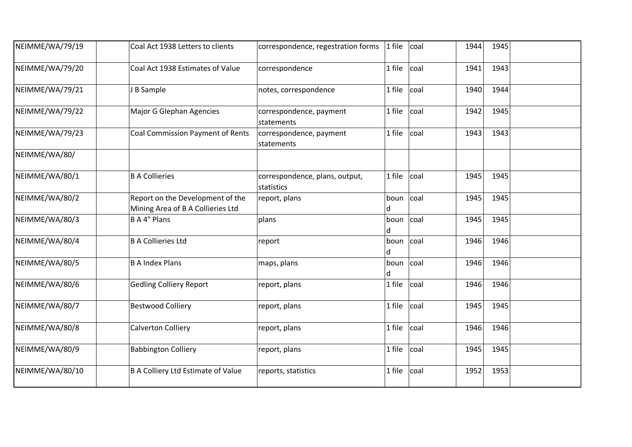| NEIMME/WA/79/19 | Coal Act 1938 Letters to clients                                      | correspondence, regestration forms           | 1 file                  | coal | 1944 | 1945 |  |
|-----------------|-----------------------------------------------------------------------|----------------------------------------------|-------------------------|------|------|------|--|
| NEIMME/WA/79/20 | Coal Act 1938 Estimates of Value                                      | correspondence                               | 1 file                  | coal | 1941 | 1943 |  |
| NEIMME/WA/79/21 | J B Sample                                                            | notes, correspondence                        | 1 file                  | coal | 1940 | 1944 |  |
| NEIMME/WA/79/22 | <b>Major G Glephan Agencies</b>                                       | correspondence, payment<br>statements        | 1 file                  | coal | 1942 | 1945 |  |
| NEIMME/WA/79/23 | <b>Coal Commission Payment of Rents</b>                               | correspondence, payment<br>statements        | 1 file                  | coal | 1943 | 1943 |  |
| NEIMME/WA/80/   |                                                                       |                                              |                         |      |      |      |  |
| NEIMME/WA/80/1  | <b>B A Collieries</b>                                                 | correspondence, plans, output,<br>statistics | 1 file                  | coal | 1945 | 1945 |  |
| NEIMME/WA/80/2  | Report on the Development of the<br>Mining Area of B A Collieries Ltd | report, plans                                | boun $ {\rm coal}$<br>d |      | 1945 | 1945 |  |
| NEIMME/WA/80/3  | <b>BA4" Plans</b>                                                     | plans                                        | boun $ {\rm coal}$<br>d |      | 1945 | 1945 |  |
| NEIMME/WA/80/4  | <b>B A Collieries Ltd</b>                                             | report                                       | boun coal<br>d          |      | 1946 | 1946 |  |
| NEIMME/WA/80/5  | <b>B A Index Plans</b>                                                | maps, plans                                  | boun<br>d               | coal | 1946 | 1946 |  |
| NEIMME/WA/80/6  | <b>Gedling Colliery Report</b>                                        | report, plans                                | 1 file                  | coal | 1946 | 1946 |  |
| NEIMME/WA/80/7  | <b>Bestwood Colliery</b>                                              | report, plans                                | 1 file                  | coal | 1945 | 1945 |  |
| NEIMME/WA/80/8  | <b>Calverton Colliery</b>                                             | report, plans                                | 1 file                  | coal | 1946 | 1946 |  |
| NEIMME/WA/80/9  | <b>Babbington Colliery</b>                                            | report, plans                                | 1 file                  | coal | 1945 | 1945 |  |
| NEIMME/WA/80/10 | <b>B A Colliery Ltd Estimate of Value</b>                             | reports, statistics                          | 1 file                  | coal | 1952 | 1953 |  |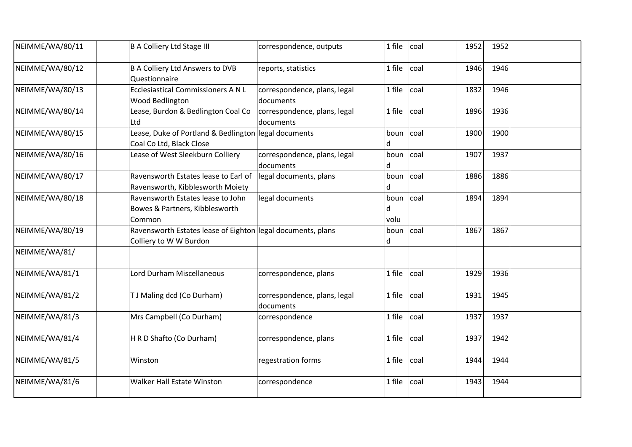| NEIMME/WA/80/11 | <b>B A Colliery Ltd Stage III</b>                                                     | correspondence, outputs                   | 1 file            | coal            | 1952 | 1952 |  |
|-----------------|---------------------------------------------------------------------------------------|-------------------------------------------|-------------------|-----------------|------|------|--|
| NEIMME/WA/80/12 | <b>B A Colliery Ltd Answers to DVB</b><br>Questionnaire                               | reports, statistics                       | 1 file            | coal            | 1946 | 1946 |  |
| NEIMME/WA/80/13 | Ecclesiastical Commissioners A N L<br>Wood Bedlington                                 | correspondence, plans, legal<br>documents | 1 file            | coal            | 1832 | 1946 |  |
| NEIMME/WA/80/14 | Lease, Burdon & Bedlington Coal Co<br>Ltd                                             | correspondence, plans, legal<br>documents | 1 file            | coal            | 1896 | 1936 |  |
| NEIMME/WA/80/15 | Lease, Duke of Portland & Bedlington legal documents<br>Coal Co Ltd, Black Close      |                                           | boun<br>d         | coal            | 1900 | 1900 |  |
| NEIMME/WA/80/16 | Lease of West Sleekburn Colliery                                                      | correspondence, plans, legal<br>documents | boun<br>d         | coal            | 1907 | 1937 |  |
| NEIMME/WA/80/17 | Ravensworth Estates lease to Earl of<br>Ravensworth, Kibblesworth Moiety              | legal documents, plans                    | boun<br>d         | coal            | 1886 | 1886 |  |
| NEIMME/WA/80/18 | Ravensworth Estates lease to John<br>Bowes & Partners, Kibblesworth<br>Common         | legal documents                           | boun<br>d<br>volu | coal            | 1894 | 1894 |  |
| NEIMME/WA/80/19 | Ravensworth Estates lease of Eighton legal documents, plans<br>Colliery to W W Burdon |                                           | boun<br>d         | <sub>coal</sub> | 1867 | 1867 |  |
| NEIMME/WA/81/   |                                                                                       |                                           |                   |                 |      |      |  |
| NEIMME/WA/81/1  | Lord Durham Miscellaneous                                                             | correspondence, plans                     | 1 file            | coal            | 1929 | 1936 |  |
| NEIMME/WA/81/2  | T J Maling dcd (Co Durham)                                                            | correspondence, plans, legal<br>documents | 1 file            | coal            | 1931 | 1945 |  |
| NEIMME/WA/81/3  | Mrs Campbell (Co Durham)                                                              | correspondence                            | 1 file            | coal            | 1937 | 1937 |  |
| NEIMME/WA/81/4  | H R D Shafto (Co Durham)                                                              | correspondence, plans                     | 1 file            | coal            | 1937 | 1942 |  |
| NEIMME/WA/81/5  | Winston                                                                               | regestration forms                        | 1 file            | coal            | 1944 | 1944 |  |
| NEIMME/WA/81/6  | <b>Walker Hall Estate Winston</b>                                                     | correspondence                            | 1 file            | coal            | 1943 | 1944 |  |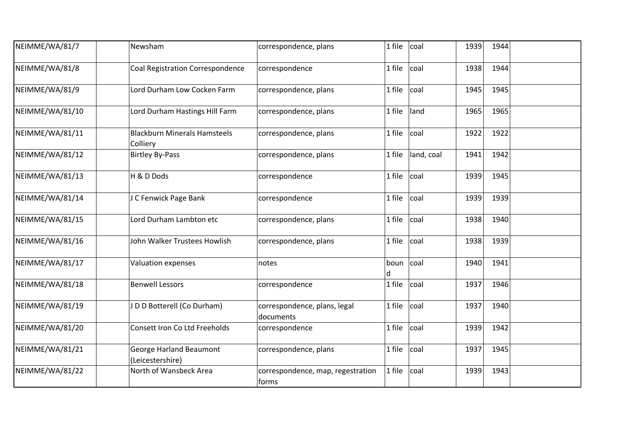| NEIMME/WA/81/7  | Newsham                                            | correspondence, plans                       | 1 file<br>coal       | 1939 | 1944 |  |
|-----------------|----------------------------------------------------|---------------------------------------------|----------------------|------|------|--|
| NEIMME/WA/81/8  | <b>Coal Registration Correspondence</b>            | correspondence                              | 1 file<br>coal       | 1938 | 1944 |  |
| NEIMME/WA/81/9  | Lord Durham Low Cocken Farm                        | correspondence, plans                       | 1 file<br>coal       | 1945 | 1945 |  |
| NEIMME/WA/81/10 | Lord Durham Hastings Hill Farm                     | correspondence, plans                       | land<br>1 file       | 1965 | 1965 |  |
| NEIMME/WA/81/11 | <b>Blackburn Minerals Hamsteels</b><br>Colliery    | correspondence, plans                       | 1 file<br>coal       | 1922 | 1922 |  |
| NEIMME/WA/81/12 | <b>Birtley By-Pass</b>                             | correspondence, plans                       | land, coal<br>1 file | 1941 | 1942 |  |
| NEIMME/WA/81/13 | H & D Dods                                         | correspondence                              | coal<br>1 file       | 1939 | 1945 |  |
| NEIMME/WA/81/14 | J C Fenwick Page Bank                              | correspondence                              | 1 file<br>coal       | 1939 | 1939 |  |
| NEIMME/WA/81/15 | Lord Durham Lambton etc                            | correspondence, plans                       | 1 file<br>coal       | 1938 | 1940 |  |
| NEIMME/WA/81/16 | John Walker Trustees Howlish                       | correspondence, plans                       | coal<br>1 file       | 1938 | 1939 |  |
| NEIMME/WA/81/17 | Valuation expenses                                 | notes                                       | coal<br>boun<br>d    | 1940 | 1941 |  |
| NEIMME/WA/81/18 | <b>Benwell Lessors</b>                             | correspondence                              | 1 file<br>coal       | 1937 | 1946 |  |
| NEIMME/WA/81/19 | JDD Botterell (Co Durham)                          | correspondence, plans, legal<br>documents   | 1 file<br>coal       | 1937 | 1940 |  |
| NEIMME/WA/81/20 | Consett Iron Co Ltd Freeholds                      | correspondence                              | 1 file<br>coal       | 1939 | 1942 |  |
| NEIMME/WA/81/21 | <b>George Harland Beaumont</b><br>(Leicestershire) | correspondence, plans                       | 1 file<br>coal       | 1937 | 1945 |  |
| NEIMME/WA/81/22 | North of Wansbeck Area                             | correspondence, map, regestration<br> forms | 1 file<br>coal       | 1939 | 1943 |  |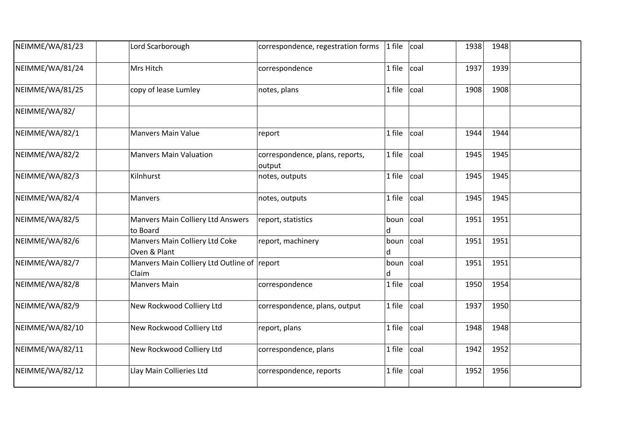| NEIMME/WA/81/23 | Lord Scarborough                                     | correspondence, regestration forms        | 1 file         | coal | 1938 | 1948 |  |
|-----------------|------------------------------------------------------|-------------------------------------------|----------------|------|------|------|--|
| NEIMME/WA/81/24 | Mrs Hitch                                            | correspondence                            | 1 file         | coal | 1937 | 1939 |  |
| NEIMME/WA/81/25 | copy of lease Lumley                                 | notes, plans                              | 1 file         | coal | 1908 | 1908 |  |
| NEIMME/WA/82/   |                                                      |                                           |                |      |      |      |  |
| NEIMME/WA/82/1  | <b>Manvers Main Value</b>                            | report                                    | 1 file         | coal | 1944 | 1944 |  |
| NEIMME/WA/82/2  | <b>Manvers Main Valuation</b>                        | correspondence, plans, reports,<br>output | 1 file         | coal | 1945 | 1945 |  |
| NEIMME/WA/82/3  | Kilnhurst                                            | notes, outputs                            | 1 file         | coal | 1945 | 1945 |  |
| NEIMME/WA/82/4  | Manvers                                              | notes, outputs                            | 1 file         | coal | 1945 | 1945 |  |
| NEIMME/WA/82/5  | Manvers Main Colliery Ltd Answers<br>to Board        | report, statistics                        | boun coal<br>d |      | 1951 | 1951 |  |
| NEIMME/WA/82/6  | Manvers Main Colliery Ltd Coke<br>Oven & Plant       | report, machinery                         | boun<br>d      | coal | 1951 | 1951 |  |
| NEIMME/WA/82/7  | Manvers Main Colliery Ltd Outline of report<br>Claim |                                           | boun<br>d      | coal | 1951 | 1951 |  |
| NEIMME/WA/82/8  | <b>Manvers Main</b>                                  | correspondence                            | 1 file         | coal | 1950 | 1954 |  |
| NEIMME/WA/82/9  | New Rockwood Colliery Ltd                            | correspondence, plans, output             | 1 file         | coal | 1937 | 1950 |  |
| NEIMME/WA/82/10 | New Rockwood Colliery Ltd                            | report, plans                             | 1 file         | coal | 1948 | 1948 |  |
| NEIMME/WA/82/11 | New Rockwood Colliery Ltd                            | correspondence, plans                     | 1 file         | coal | 1942 | 1952 |  |
| NEIMME/WA/82/12 | Llay Main Collieries Ltd                             | correspondence, reports                   | 1 file         | coal | 1952 | 1956 |  |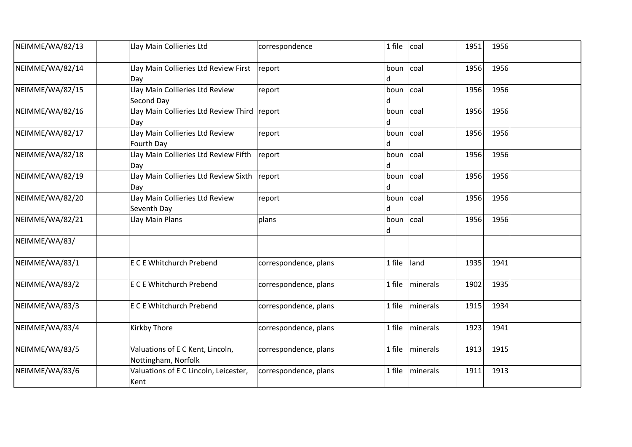| NEIMME/WA/82/13 | Llay Main Collieries Ltd                                | correspondence        | 1 file                   | coal     | 1951 | 1956 |  |
|-----------------|---------------------------------------------------------|-----------------------|--------------------------|----------|------|------|--|
| NEIMME/WA/82/14 | Llay Main Collieries Ltd Review First<br>Day            | report                | boun coal<br>d           |          | 1956 | 1956 |  |
| NEIMME/WA/82/15 | Llay Main Collieries Ltd Review<br>Second Day           | report                | boun $ {\rm coal} $<br>d |          | 1956 | 1956 |  |
| NEIMME/WA/82/16 | Llay Main Collieries Ltd Review Third<br>Day            | report                | boun<br>d                | coal     | 1956 | 1956 |  |
| NEIMME/WA/82/17 | Llay Main Collieries Ltd Review<br>Fourth Day           | report                | boun<br>d                | coal     | 1956 | 1956 |  |
| NEIMME/WA/82/18 | Llay Main Collieries Ltd Review Fifth<br>Day            | report                | boun coal<br>d           |          | 1956 | 1956 |  |
| NEIMME/WA/82/19 | Llay Main Collieries Ltd Review Sixth<br>Day            | report                | boun<br>d                | coal     | 1956 | 1956 |  |
| NEIMME/WA/82/20 | Llay Main Collieries Ltd Review<br>Seventh Day          | report                | boun<br>d                | coal     | 1956 | 1956 |  |
| NEIMME/WA/82/21 | Llay Main Plans                                         | plans                 | boun coal<br>d           |          | 1956 | 1956 |  |
| NEIMME/WA/83/   |                                                         |                       |                          |          |      |      |  |
| NEIMME/WA/83/1  | <b>E C E Whitchurch Prebend</b>                         | correspondence, plans | 1 file                   | land     | 1935 | 1941 |  |
| NEIMME/WA/83/2  | <b>E C E Whitchurch Prebend</b>                         | correspondence, plans | 1 file                   | minerals | 1902 | 1935 |  |
| NEIMME/WA/83/3  | <b>E C E Whitchurch Prebend</b>                         | correspondence, plans | 1 file                   | minerals | 1915 | 1934 |  |
| NEIMME/WA/83/4  | Kirkby Thore                                            | correspondence, plans | 1 file                   | minerals | 1923 | 1941 |  |
| NEIMME/WA/83/5  | Valuations of E C Kent, Lincoln,<br>Nottingham, Norfolk | correspondence, plans | 1 file                   | minerals | 1913 | 1915 |  |
| NEIMME/WA/83/6  | Valuations of E C Lincoln, Leicester,<br>Kent           | correspondence, plans | 1 file                   | minerals | 1911 | 1913 |  |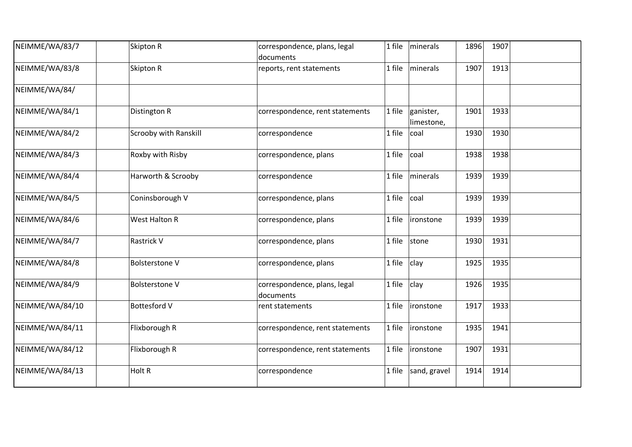| NEIMME/WA/83/7  | Skipton R             | correspondence, plans, legal<br>documents | 1 file | minerals                | 1896 | 1907 |  |
|-----------------|-----------------------|-------------------------------------------|--------|-------------------------|------|------|--|
| NEIMME/WA/83/8  | Skipton R             | reports, rent statements                  | 1 file | minerals                | 1907 | 1913 |  |
| NEIMME/WA/84/   |                       |                                           |        |                         |      |      |  |
| NEIMME/WA/84/1  | Distington R          | correspondence, rent statements           | 1 file | ganister,<br>limestone, | 1901 | 1933 |  |
| NEIMME/WA/84/2  | Scrooby with Ranskill | correspondence                            | 1 file | coal                    | 1930 | 1930 |  |
| NEIMME/WA/84/3  | Roxby with Risby      | correspondence, plans                     | 1 file | coal                    | 1938 | 1938 |  |
| NEIMME/WA/84/4  | Harworth & Scrooby    | correspondence                            | 1 file | minerals                | 1939 | 1939 |  |
| NEIMME/WA/84/5  | Coninsborough V       | correspondence, plans                     | 1 file | coal                    | 1939 | 1939 |  |
| NEIMME/WA/84/6  | West Halton R         | correspondence, plans                     | 1 file | ironstone               | 1939 | 1939 |  |
| NEIMME/WA/84/7  | Rastrick V            | correspondence, plans                     | 1 file | stone                   | 1930 | 1931 |  |
| NEIMME/WA/84/8  | <b>Bolsterstone V</b> | correspondence, plans                     | 1 file | clay                    | 1925 | 1935 |  |
| NEIMME/WA/84/9  | <b>Bolsterstone V</b> | correspondence, plans, legal<br>documents | 1 file | clay                    | 1926 | 1935 |  |
| NEIMME/WA/84/10 | <b>Bottesford V</b>   | rent statements                           | 1 file | ironstone               | 1917 | 1933 |  |
| NEIMME/WA/84/11 | Flixborough R         | correspondence, rent statements           | 1 file | ironstone               | 1935 | 1941 |  |
| NEIMME/WA/84/12 | Flixborough R         | correspondence, rent statements           | 1 file | ironstone               | 1907 | 1931 |  |
| NEIMME/WA/84/13 | Holt R                | correspondence                            | 1 file | sand, gravel            | 1914 | 1914 |  |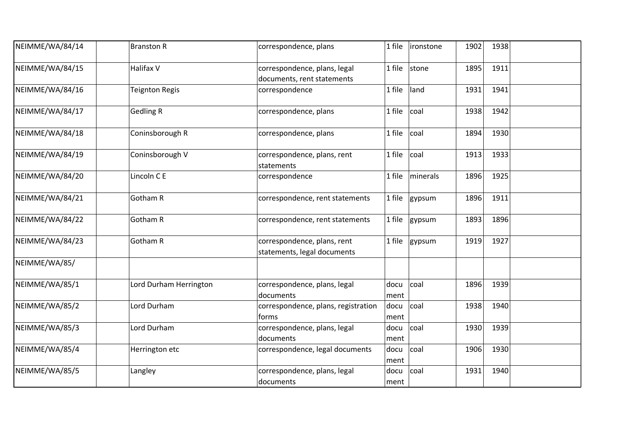| NEIMME/WA/84/14 | <b>Branston R</b>      | correspondence, plans                                      | 1 file       | ironstone | 1902 | 1938 |  |
|-----------------|------------------------|------------------------------------------------------------|--------------|-----------|------|------|--|
| NEIMME/WA/84/15 | Halifax V              | correspondence, plans, legal<br>documents, rent statements | 1 file       | stone     | 1895 | 1911 |  |
| NEIMME/WA/84/16 | Teignton Regis         | correspondence                                             | 1 file       | land      | 1931 | 1941 |  |
| NEIMME/WA/84/17 | <b>Gedling R</b>       | correspondence, plans                                      | 1 file       | coal      | 1938 | 1942 |  |
| NEIMME/WA/84/18 | Coninsborough R        | correspondence, plans                                      | 1 file       | coal      | 1894 | 1930 |  |
| NEIMME/WA/84/19 | Coninsborough V        | correspondence, plans, rent<br>statements                  | 1 file       | coal      | 1913 | 1933 |  |
| NEIMME/WA/84/20 | Lincoln C E            | correspondence                                             | 1 file       | minerals  | 1896 | 1925 |  |
| NEIMME/WA/84/21 | Gotham R               | correspondence, rent statements                            | 1 file       | gypsum    | 1896 | 1911 |  |
| NEIMME/WA/84/22 | Gotham R               | correspondence, rent statements                            | 1 file       | gypsum    | 1893 | 1896 |  |
| NEIMME/WA/84/23 | Gotham R               | correspondence, plans, rent<br>statements, legal documents | 1 file       | gypsum    | 1919 | 1927 |  |
| NEIMME/WA/85/   |                        |                                                            |              |           |      |      |  |
| NEIMME/WA/85/1  | Lord Durham Herrington | correspondence, plans, legal<br>documents                  | docu<br>ment | coal      | 1896 | 1939 |  |
| NEIMME/WA/85/2  | Lord Durham            | correspondence, plans, registration<br>forms               | docu<br>ment | coal      | 1938 | 1940 |  |
| NEIMME/WA/85/3  | Lord Durham            | correspondence, plans, legal<br>documents                  | docu<br>ment | coal      | 1930 | 1939 |  |
| NEIMME/WA/85/4  | Herrington etc         | correspondence, legal documents                            | docu<br>ment | coal      | 1906 | 1930 |  |
| NEIMME/WA/85/5  | Langley                | correspondence, plans, legal<br>documents                  | docu<br>ment | coal      | 1931 | 1940 |  |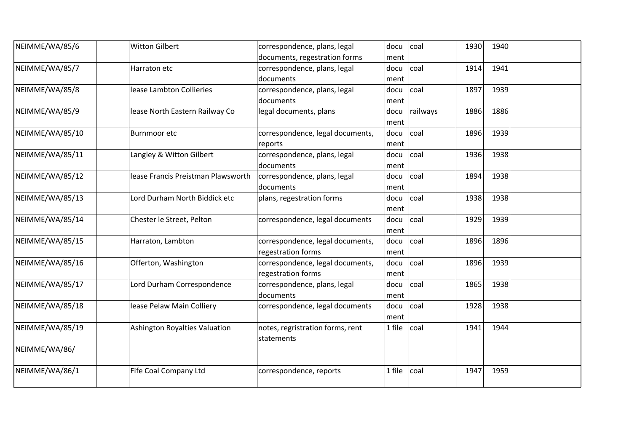| NEIMME/WA/85/6  | <b>Witton Gilbert</b>              | correspondence, plans, legal     | docu   | coal            | 1930 | 1940 |  |
|-----------------|------------------------------------|----------------------------------|--------|-----------------|------|------|--|
|                 |                                    | documents, regestration forms    | ment   |                 |      |      |  |
| NEIMME/WA/85/7  | Harraton etc                       | correspondence, plans, legal     | docu   | coal            | 1914 | 1941 |  |
|                 |                                    | documents                        | ment   |                 |      |      |  |
| NEIMME/WA/85/8  | lease Lambton Collieries           | correspondence, plans, legal     | docu   | <sub>coal</sub> | 1897 | 1939 |  |
|                 |                                    | documents                        | ment   |                 |      |      |  |
| NEIMME/WA/85/9  | lease North Eastern Railway Co     | legal documents, plans           | docu   | railways        | 1886 | 1886 |  |
|                 |                                    |                                  | ment   |                 |      |      |  |
| NEIMME/WA/85/10 | Burnmoor etc                       | correspondence, legal documents, | docu   | coal            | 1896 | 1939 |  |
|                 |                                    | reports                          | ment   |                 |      |      |  |
| NEIMME/WA/85/11 | Langley & Witton Gilbert           | correspondence, plans, legal     | docu   | coal            | 1936 | 1938 |  |
|                 |                                    | documents                        | ment   |                 |      |      |  |
| NEIMME/WA/85/12 | lease Francis Preistman Plawsworth | correspondence, plans, legal     | docu   | coal            | 1894 | 1938 |  |
|                 |                                    | documents                        | ment   |                 |      |      |  |
| NEIMME/WA/85/13 | Lord Durham North Biddick etc      | plans, regestration forms        | docu   | coal            | 1938 | 1938 |  |
|                 |                                    |                                  | ment   |                 |      |      |  |
| NEIMME/WA/85/14 | Chester le Street, Pelton          | correspondence, legal documents  | docu   | coal            | 1929 | 1939 |  |
|                 |                                    |                                  | ment   |                 |      |      |  |
| NEIMME/WA/85/15 | Harraton, Lambton                  | correspondence, legal documents, | docu   | coal            | 1896 | 1896 |  |
|                 |                                    | regestration forms               | ment   |                 |      |      |  |
| NEIMME/WA/85/16 | Offerton, Washington               | correspondence, legal documents, | docu   | coal            | 1896 | 1939 |  |
|                 |                                    | regestration forms               | ment   |                 |      |      |  |
| NEIMME/WA/85/17 | Lord Durham Correspondence         | correspondence, plans, legal     | docu   | coal            | 1865 | 1938 |  |
|                 |                                    | ldocuments                       | ment   |                 |      |      |  |
| NEIMME/WA/85/18 | lease Pelaw Main Colliery          | correspondence, legal documents  | docu   | coal            | 1928 | 1938 |  |
|                 |                                    |                                  | ment   |                 |      |      |  |
| NEIMME/WA/85/19 | Ashington Royalties Valuation      | notes, regristration forms, rent | 1 file | coal            | 1941 | 1944 |  |
|                 |                                    | statements                       |        |                 |      |      |  |
| NEIMME/WA/86/   |                                    |                                  |        |                 |      |      |  |
| NEIMME/WA/86/1  | Fife Coal Company Ltd              | correspondence, reports          | 1 file | coal            | 1947 | 1959 |  |
|                 |                                    |                                  |        |                 |      |      |  |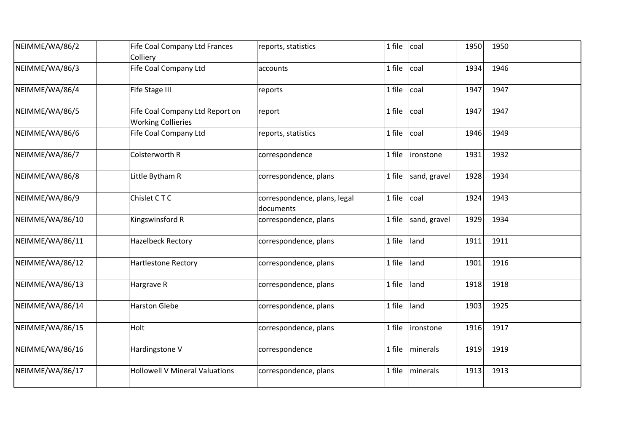| NEIMME/WA/86/2  | Fife Coal Company Ltd Frances<br>Colliery                    | reports, statistics                       | 1 file | coal         | 1950 | 1950 |  |
|-----------------|--------------------------------------------------------------|-------------------------------------------|--------|--------------|------|------|--|
| NEIMME/WA/86/3  | Fife Coal Company Ltd                                        | accounts                                  | 1 file | coal         | 1934 | 1946 |  |
| NEIMME/WA/86/4  | Fife Stage III                                               | reports                                   | 1 file | coal         | 1947 | 1947 |  |
| NEIMME/WA/86/5  | Fife Coal Company Ltd Report on<br><b>Working Collieries</b> | report                                    | 1 file | coal         | 1947 | 1947 |  |
| NEIMME/WA/86/6  | Fife Coal Company Ltd                                        | reports, statistics                       | 1 file | coal         | 1946 | 1949 |  |
| NEIMME/WA/86/7  | Colsterworth R                                               | correspondence                            | 1 file | ironstone    | 1931 | 1932 |  |
| NEIMME/WA/86/8  | Little Bytham R                                              | correspondence, plans                     | 1 file | sand, gravel | 1928 | 1934 |  |
| NEIMME/WA/86/9  | Chislet CTC                                                  | correspondence, plans, legal<br>documents | 1 file | coal         | 1924 | 1943 |  |
| NEIMME/WA/86/10 | Kingswinsford R                                              | correspondence, plans                     | 1 file | sand, gravel | 1929 | 1934 |  |
| NEIMME/WA/86/11 | <b>Hazelbeck Rectory</b>                                     | correspondence, plans                     | 1 file | land         | 1911 | 1911 |  |
| NEIMME/WA/86/12 | Hartlestone Rectory                                          | correspondence, plans                     | 1 file | land         | 1901 | 1916 |  |
| NEIMME/WA/86/13 | Hargrave R                                                   | correspondence, plans                     | 1 file | land         | 1918 | 1918 |  |
| NEIMME/WA/86/14 | <b>Harston Glebe</b>                                         | correspondence, plans                     | 1 file | land         | 1903 | 1925 |  |
| NEIMME/WA/86/15 | Holt                                                         | correspondence, plans                     | 1 file | ironstone    | 1916 | 1917 |  |
| NEIMME/WA/86/16 | Hardingstone V                                               | correspondence                            | 1 file | minerals     | 1919 | 1919 |  |
| NEIMME/WA/86/17 | <b>Hollowell V Mineral Valuations</b>                        | correspondence, plans                     | 1 file | minerals     | 1913 | 1913 |  |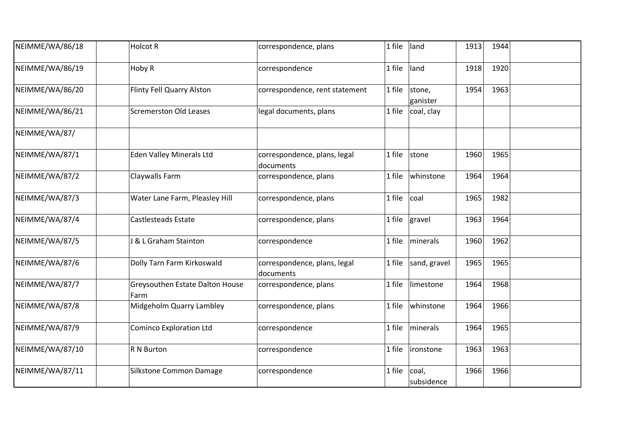| NEIMME/WA/86/18 | <b>Holcot R</b>                         | correspondence, plans                     | 1 file | land                | 1913 | 1944 |  |
|-----------------|-----------------------------------------|-------------------------------------------|--------|---------------------|------|------|--|
| NEIMME/WA/86/19 | Hoby R                                  | correspondence                            | 1 file | land                | 1918 | 1920 |  |
| NEIMME/WA/86/20 | Flinty Fell Quarry Alston               | correspondence, rent statement            | 1 file | stone,<br>ganister  | 1954 | 1963 |  |
| NEIMME/WA/86/21 | <b>Scremerston Old Leases</b>           | legal documents, plans                    | 1 file | coal, clay          |      |      |  |
| NEIMME/WA/87/   |                                         |                                           |        |                     |      |      |  |
| NEIMME/WA/87/1  | <b>Eden Valley Minerals Ltd</b>         | correspondence, plans, legal<br>documents | 1 file | stone               | 1960 | 1965 |  |
| NEIMME/WA/87/2  | Claywalls Farm                          | correspondence, plans                     | 1 file | whinstone           | 1964 | 1964 |  |
| NEIMME/WA/87/3  | Water Lane Farm, Pleasley Hill          | correspondence, plans                     | 1 file | coal                | 1965 | 1982 |  |
| NEIMME/WA/87/4  | Castlesteads Estate                     | correspondence, plans                     | 1 file | gravel              | 1963 | 1964 |  |
| NEIMME/WA/87/5  | <b>J &amp; L Graham Stainton</b>        | correspondence                            | 1 file | minerals            | 1960 | 1962 |  |
| NEIMME/WA/87/6  | Dolly Tarn Farm Kirkoswald              | correspondence, plans, legal<br>documents | 1 file | sand, gravel        | 1965 | 1965 |  |
| NEIMME/WA/87/7  | Greysouthen Estate Dalton House<br>Farm | correspondence, plans                     | 1 file | limestone           | 1964 | 1968 |  |
| NEIMME/WA/87/8  | Midgeholm Quarry Lambley                | correspondence, plans                     | 1 file | whinstone           | 1964 | 1966 |  |
| NEIMME/WA/87/9  | <b>Cominco Exploration Ltd</b>          | correspondence                            | 1 file | minerals            | 1964 | 1965 |  |
| NEIMME/WA/87/10 | R N Burton                              | correspondence                            | 1 file | ironstone           | 1963 | 1963 |  |
| NEIMME/WA/87/11 | Silkstone Common Damage                 | correspondence                            | 1 file | coal,<br>subsidence | 1966 | 1966 |  |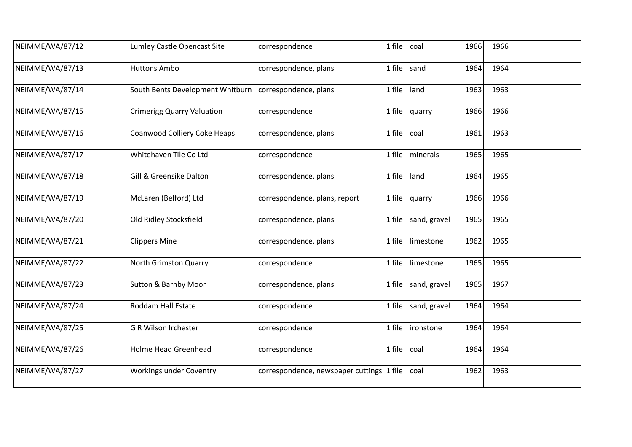| NEIMME/WA/87/12 | Lumley Castle Opencast Site                              | correspondence                            | 1 file | coal         | 1966 | 1966 |  |
|-----------------|----------------------------------------------------------|-------------------------------------------|--------|--------------|------|------|--|
| NEIMME/WA/87/13 | <b>Huttons Ambo</b>                                      | correspondence, plans                     | 1 file | sand         | 1964 | 1964 |  |
| NEIMME/WA/87/14 | South Bents Development Whitburn   correspondence, plans |                                           | 1 file | land         | 1963 | 1963 |  |
| NEIMME/WA/87/15 | <b>Crimerigg Quarry Valuation</b>                        | correspondence                            | 1 file | quarry       | 1966 | 1966 |  |
| NEIMME/WA/87/16 | Coanwood Colliery Coke Heaps                             | correspondence, plans                     | 1 file | coal         | 1961 | 1963 |  |
| NEIMME/WA/87/17 | Whitehaven Tile Co Ltd                                   | correspondence                            | 1 file | minerals     | 1965 | 1965 |  |
| NEIMME/WA/87/18 | Gill & Greensike Dalton                                  | correspondence, plans                     | 1 file | land         | 1964 | 1965 |  |
| NEIMME/WA/87/19 | McLaren (Belford) Ltd                                    | correspondence, plans, report             | 1 file | quarry       | 1966 | 1966 |  |
| NEIMME/WA/87/20 | Old Ridley Stocksfield                                   | correspondence, plans                     | 1 file | sand, gravel | 1965 | 1965 |  |
| NEIMME/WA/87/21 | <b>Clippers Mine</b>                                     | correspondence, plans                     | 1 file | limestone    | 1962 | 1965 |  |
| NEIMME/WA/87/22 | North Grimston Quarry                                    | correspondence                            | 1 file | limestone    | 1965 | 1965 |  |
| NEIMME/WA/87/23 | <b>Sutton &amp; Barnby Moor</b>                          | correspondence, plans                     | 1 file | sand, gravel | 1965 | 1967 |  |
| NEIMME/WA/87/24 | Roddam Hall Estate                                       | correspondence                            | 1 file | sand, gravel | 1964 | 1964 |  |
| NEIMME/WA/87/25 | <b>G R Wilson Irchester</b>                              | correspondence                            | 1 file | ironstone    | 1964 | 1964 |  |
| NEIMME/WA/87/26 | <b>Holme Head Greenhead</b>                              | correspondence                            | 1 file | coal         | 1964 | 1964 |  |
| NEIMME/WA/87/27 | <b>Workings under Coventry</b>                           | correspondence, newspaper cuttings 1 file |        | coal         | 1962 | 1963 |  |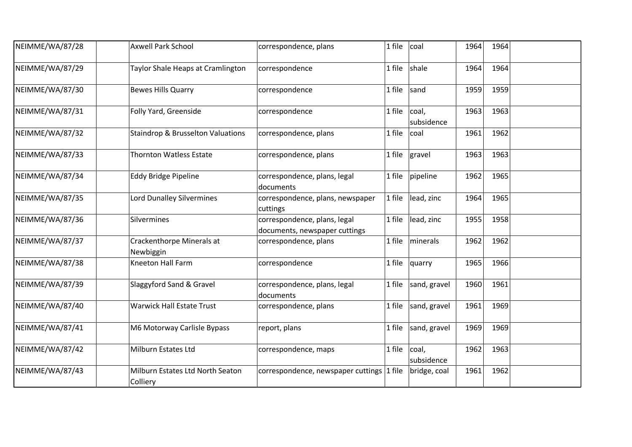| NEIMME/WA/87/28 | <b>Axwell Park School</b>                    | correspondence, plans                                         | 1 file | coal                | 1964 | 1964 |  |
|-----------------|----------------------------------------------|---------------------------------------------------------------|--------|---------------------|------|------|--|
| NEIMME/WA/87/29 | Taylor Shale Heaps at Cramlington            | correspondence                                                | 1 file | shale               | 1964 | 1964 |  |
| NEIMME/WA/87/30 | <b>Bewes Hills Quarry</b>                    | correspondence                                                | 1 file | sand                | 1959 | 1959 |  |
| NEIMME/WA/87/31 | Folly Yard, Greenside                        | correspondence                                                | 1 file | coal,<br>subsidence | 1963 | 1963 |  |
| NEIMME/WA/87/32 | <b>Staindrop &amp; Brusselton Valuations</b> | correspondence, plans                                         | 1 file | coal                | 1961 | 1962 |  |
| NEIMME/WA/87/33 | <b>Thornton Watless Estate</b>               | correspondence, plans                                         | 1 file | gravel              | 1963 | 1963 |  |
| NEIMME/WA/87/34 | <b>Eddy Bridge Pipeline</b>                  | correspondence, plans, legal<br>documents                     | 1 file | pipeline            | 1962 | 1965 |  |
| NEIMME/WA/87/35 | Lord Dunalley Silvermines                    | correspondence, plans, newspaper<br>cuttings                  | 1 file | lead, zinc          | 1964 | 1965 |  |
| NEIMME/WA/87/36 | Silvermines                                  | correspondence, plans, legal<br>documents, newspaper cuttings | 1 file | lead, zinc          | 1955 | 1958 |  |
| NEIMME/WA/87/37 | Crackenthorpe Minerals at<br>Newbiggin       | correspondence, plans                                         | 1 file | minerals            | 1962 | 1962 |  |
| NEIMME/WA/87/38 | Kneeton Hall Farm                            | correspondence                                                | 1 file | quarry              | 1965 | 1966 |  |
| NEIMME/WA/87/39 | Slaggyford Sand & Gravel                     | correspondence, plans, legal<br>documents                     | 1 file | sand, gravel        | 1960 | 1961 |  |
| NEIMME/WA/87/40 | <b>Warwick Hall Estate Trust</b>             | correspondence, plans                                         | 1 file | sand, gravel        | 1961 | 1969 |  |
| NEIMME/WA/87/41 | M6 Motorway Carlisle Bypass                  | report, plans                                                 | 1 file | sand, gravel        | 1969 | 1969 |  |
| NEIMME/WA/87/42 | Milburn Estates Ltd                          | correspondence, maps                                          | 1 file | coal,<br>subsidence | 1962 | 1963 |  |
| NEIMME/WA/87/43 | Milburn Estates Ltd North Seaton<br>Colliery | correspondence, newspaper cuttings 1 file                     |        | bridge, coal        | 1961 | 1962 |  |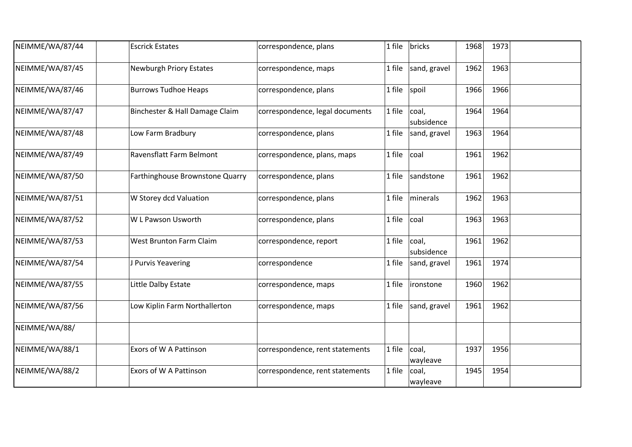| NEIMME/WA/87/44 | <b>Escrick Estates</b>          | correspondence, plans           | bricks<br>1 file              | 1968 | 1973 |  |
|-----------------|---------------------------------|---------------------------------|-------------------------------|------|------|--|
| NEIMME/WA/87/45 | <b>Newburgh Priory Estates</b>  | correspondence, maps            | sand, gravel<br>1 file        | 1962 | 1963 |  |
| NEIMME/WA/87/46 | <b>Burrows Tudhoe Heaps</b>     | correspondence, plans           | 1 file<br>spoil               | 1966 | 1966 |  |
| NEIMME/WA/87/47 | Binchester & Hall Damage Claim  | correspondence, legal documents | 1 file<br>coal,<br>subsidence | 1964 | 1964 |  |
| NEIMME/WA/87/48 | Low Farm Bradbury               | correspondence, plans           | 1 file<br>sand, gravel        | 1963 | 1964 |  |
| NEIMME/WA/87/49 | Ravensflatt Farm Belmont        | correspondence, plans, maps     | 1 file<br>coal                | 1961 | 1962 |  |
| NEIMME/WA/87/50 | Farthinghouse Brownstone Quarry | correspondence, plans           | sandstone<br>1 file           | 1961 | 1962 |  |
| NEIMME/WA/87/51 | W Storey dcd Valuation          | correspondence, plans           | 1 file<br>minerals            | 1962 | 1963 |  |
| NEIMME/WA/87/52 | W L Pawson Usworth              | correspondence, plans           | 1 file<br>coal                | 1963 | 1963 |  |
| NEIMME/WA/87/53 | West Brunton Farm Claim         | correspondence, report          | coal,<br>1 file<br>subsidence | 1961 | 1962 |  |
| NEIMME/WA/87/54 | J Purvis Yeavering              | correspondence                  | 1 file<br>sand, gravel        | 1961 | 1974 |  |
| NEIMME/WA/87/55 | Little Dalby Estate             | correspondence, maps            | 1 file<br>ironstone           | 1960 | 1962 |  |
| NEIMME/WA/87/56 | Low Kiplin Farm Northallerton   | correspondence, maps            | sand, gravel<br>1 file        | 1961 | 1962 |  |
| NEIMME/WA/88/   |                                 |                                 |                               |      |      |  |
| NEIMME/WA/88/1  | Exors of W A Pattinson          | correspondence, rent statements | coal,<br>1 file<br>wayleave   | 1937 | 1956 |  |
| NEIMME/WA/88/2  | Exors of W A Pattinson          | correspondence, rent statements | 1 file<br>coal,<br>wayleave   | 1945 | 1954 |  |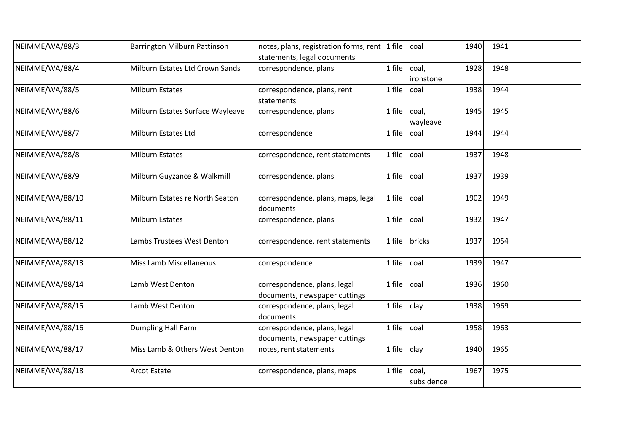| NEIMME/WA/88/3  | Barrington Milburn Pattinson     | notes, plans, registration forms, rent $ 1$ file<br>statements, legal documents | coal                          | 1940 | 1941 |  |
|-----------------|----------------------------------|---------------------------------------------------------------------------------|-------------------------------|------|------|--|
| NEIMME/WA/88/4  | Milburn Estates Ltd Crown Sands  | correspondence, plans                                                           | 1 file<br>coal,<br>ironstone  | 1928 | 1948 |  |
| NEIMME/WA/88/5  | <b>Milburn Estates</b>           | correspondence, plans, rent<br>statements                                       | 1 file<br>coal                | 1938 | 1944 |  |
| NEIMME/WA/88/6  | Milburn Estates Surface Wayleave | correspondence, plans                                                           | coal,<br>1 file<br>wayleave   | 1945 | 1945 |  |
| NEIMME/WA/88/7  | Milburn Estates Ltd              | correspondence                                                                  | 1 file<br>coal                | 1944 | 1944 |  |
| NEIMME/WA/88/8  | <b>Milburn Estates</b>           | correspondence, rent statements                                                 | 1 file<br>coal                | 1937 | 1948 |  |
| NEIMME/WA/88/9  | Milburn Guyzance & Walkmill      | correspondence, plans                                                           | coal<br>1 file                | 1937 | 1939 |  |
| NEIMME/WA/88/10 | Milburn Estates re North Seaton  | correspondence, plans, maps, legal<br>documents                                 | 1 file<br>coal                | 1902 | 1949 |  |
| NEIMME/WA/88/11 | <b>Milburn Estates</b>           | correspondence, plans                                                           | 1 file<br>coal                | 1932 | 1947 |  |
| NEIMME/WA/88/12 | Lambs Trustees West Denton       | correspondence, rent statements                                                 | bricks<br>1 file              | 1937 | 1954 |  |
| NEIMME/WA/88/13 | Miss Lamb Miscellaneous          | correspondence                                                                  | 1 file<br>coal                | 1939 | 1947 |  |
| NEIMME/WA/88/14 | Lamb West Denton                 | correspondence, plans, legal<br>documents, newspaper cuttings                   | 1 file<br>coal                | 1936 | 1960 |  |
| NEIMME/WA/88/15 | Lamb West Denton                 | correspondence, plans, legal<br>documents                                       | 1 file<br>clay                | 1938 | 1969 |  |
| NEIMME/WA/88/16 | <b>Dumpling Hall Farm</b>        | correspondence, plans, legal<br>documents, newspaper cuttings                   | 1 file<br>coal                | 1958 | 1963 |  |
| NEIMME/WA/88/17 | Miss Lamb & Others West Denton   | notes, rent statements                                                          | clay<br>1 file                | 1940 | 1965 |  |
| NEIMME/WA/88/18 | <b>Arcot Estate</b>              | correspondence, plans, maps                                                     | 1 file<br>coal,<br>subsidence | 1967 | 1975 |  |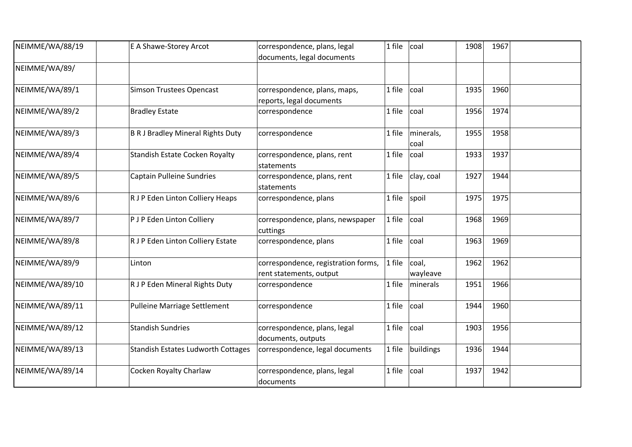| NEIMME/WA/88/19 | E A Shawe-Storey Arcot                    | correspondence, plans, legal                 | 1 file | coal              | 1908 | 1967 |  |
|-----------------|-------------------------------------------|----------------------------------------------|--------|-------------------|------|------|--|
|                 |                                           | documents, legal documents                   |        |                   |      |      |  |
| NEIMME/WA/89/   |                                           |                                              |        |                   |      |      |  |
| NEIMME/WA/89/1  | <b>Simson Trustees Opencast</b>           | correspondence, plans, maps,                 | 1 file | coal              | 1935 | 1960 |  |
|                 |                                           | reports, legal documents                     |        |                   |      |      |  |
| NEIMME/WA/89/2  | <b>Bradley Estate</b>                     | correspondence                               | 1 file | coal              | 1956 | 1974 |  |
| NEIMME/WA/89/3  | <b>B R J Bradley Mineral Rights Duty</b>  | correspondence                               | 1 file | minerals,<br>coal | 1955 | 1958 |  |
| NEIMME/WA/89/4  | <b>Standish Estate Cocken Royalty</b>     | correspondence, plans, rent                  | 1 file | coal              | 1933 | 1937 |  |
|                 |                                           | statements                                   |        |                   |      |      |  |
| NEIMME/WA/89/5  | <b>Captain Pulleine Sundries</b>          | correspondence, plans, rent                  | 1 file | clay, coal        | 1927 | 1944 |  |
|                 |                                           | statements                                   |        |                   |      |      |  |
| NEIMME/WA/89/6  | R J P Eden Linton Colliery Heaps          | correspondence, plans                        | 1 file | spoil             | 1975 | 1975 |  |
| NEIMME/WA/89/7  | P J P Eden Linton Colliery                | correspondence, plans, newspaper<br>cuttings | 1 file | coal              | 1968 | 1969 |  |
| NEIMME/WA/89/8  | R J P Eden Linton Colliery Estate         | correspondence, plans                        | 1 file | coal              | 1963 | 1969 |  |
| NEIMME/WA/89/9  | Linton                                    | correspondence, registration forms,          | 1 file | coal,             | 1962 | 1962 |  |
|                 |                                           | rent statements, output                      |        | wayleave          |      |      |  |
| NEIMME/WA/89/10 | R J P Eden Mineral Rights Duty            | correspondence                               | 1 file | minerals          | 1951 | 1966 |  |
| NEIMME/WA/89/11 | Pulleine Marriage Settlement              | correspondence                               | 1 file | coal              | 1944 | 1960 |  |
| NEIMME/WA/89/12 | <b>Standish Sundries</b>                  | correspondence, plans, legal                 | 1 file | coal              | 1903 | 1956 |  |
|                 |                                           | documents, outputs                           |        |                   |      |      |  |
| NEIMME/WA/89/13 | <b>Standish Estates Ludworth Cottages</b> | correspondence, legal documents              | 1 file | buildings         | 1936 | 1944 |  |
| NEIMME/WA/89/14 | Cocken Royalty Charlaw                    | correspondence, plans, legal<br>documents    | 1 file | coal              | 1937 | 1942 |  |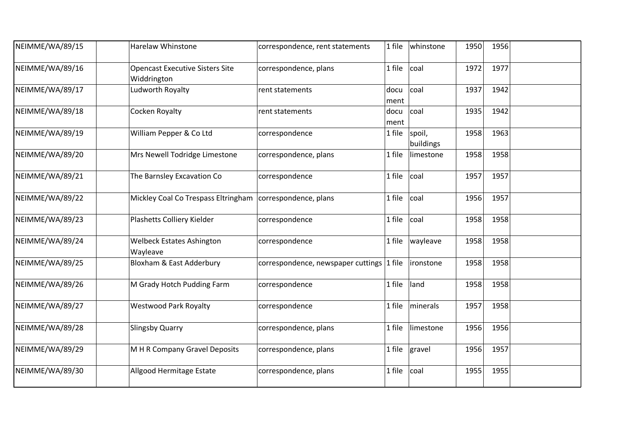| NEIMME/WA/89/15 | <b>Harelaw Whinstone</b>                                    | correspondence, rent statements           | 1 file       | whinstone           | 1950 | 1956 |  |
|-----------------|-------------------------------------------------------------|-------------------------------------------|--------------|---------------------|------|------|--|
| NEIMME/WA/89/16 | <b>Opencast Executive Sisters Site</b><br>Widdrington       | correspondence, plans                     | 1 file       | coal                | 1972 | 1977 |  |
| NEIMME/WA/89/17 | Ludworth Royalty                                            | rent statements                           | docu<br>ment | coal                | 1937 | 1942 |  |
| NEIMME/WA/89/18 | Cocken Royalty                                              | rent statements                           | docu<br>ment | coal                | 1935 | 1942 |  |
| NEIMME/WA/89/19 | William Pepper & Co Ltd                                     | correspondence                            | 1 file       | spoil,<br>buildings | 1958 | 1963 |  |
| NEIMME/WA/89/20 | Mrs Newell Todridge Limestone                               | correspondence, plans                     | 1 file       | limestone           | 1958 | 1958 |  |
| NEIMME/WA/89/21 | The Barnsley Excavation Co                                  | correspondence                            | 1 file       | coal                | 1957 | 1957 |  |
| NEIMME/WA/89/22 | Mickley Coal Co Trespass Eltringham   correspondence, plans |                                           | 1 file       | coal                | 1956 | 1957 |  |
| NEIMME/WA/89/23 | Plashetts Colliery Kielder                                  | correspondence                            | 1 file       | coal                | 1958 | 1958 |  |
| NEIMME/WA/89/24 | <b>Welbeck Estates Ashington</b><br>Wayleave                | correspondence                            | 1 file       | wayleave            | 1958 | 1958 |  |
| NEIMME/WA/89/25 | Bloxham & East Adderbury                                    | correspondence, newspaper cuttings 1 file |              | ironstone           | 1958 | 1958 |  |
| NEIMME/WA/89/26 | M Grady Hotch Pudding Farm                                  | correspondence                            | 1 file       | land                | 1958 | 1958 |  |
| NEIMME/WA/89/27 | <b>Westwood Park Royalty</b>                                | correspondence                            | 1 file       | minerals            | 1957 | 1958 |  |
| NEIMME/WA/89/28 | <b>Slingsby Quarry</b>                                      | correspondence, plans                     | 1 file       | limestone           | 1956 | 1956 |  |
| NEIMME/WA/89/29 | M H R Company Gravel Deposits                               | correspondence, plans                     | 1 file       | gravel              | 1956 | 1957 |  |
| NEIMME/WA/89/30 | Allgood Hermitage Estate                                    | correspondence, plans                     | 1 file       | coal                | 1955 | 1955 |  |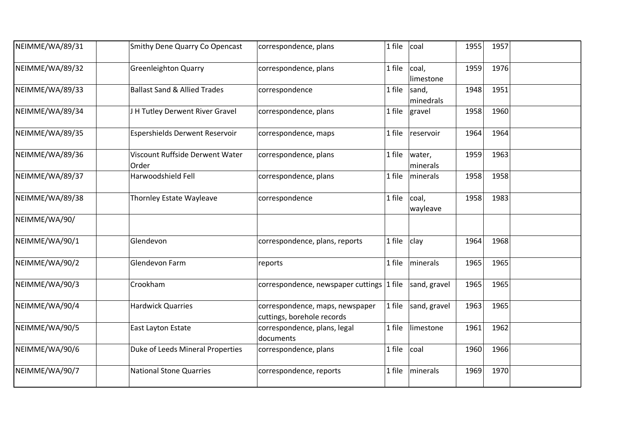| NEIMME/WA/89/31 | Smithy Dene Quarry Co Opencast           | correspondence, plans                                         | 1 file    | coal               | 1955 | 1957 |  |
|-----------------|------------------------------------------|---------------------------------------------------------------|-----------|--------------------|------|------|--|
| NEIMME/WA/89/32 | <b>Greenleighton Quarry</b>              | correspondence, plans                                         | 1 file    | coal,<br>limestone | 1959 | 1976 |  |
| NEIMME/WA/89/33 | <b>Ballast Sand &amp; Allied Trades</b>  | correspondence                                                | 1 file    | sand,<br>minedrals | 1948 | 1951 |  |
| NEIMME/WA/89/34 | J H Tutley Derwent River Gravel          | correspondence, plans                                         | 1 file    | gravel             | 1958 | 1960 |  |
| NEIMME/WA/89/35 | Espershields Derwent Reservoir           | correspondence, maps                                          | 1 file    | reservoir          | 1964 | 1964 |  |
| NEIMME/WA/89/36 | Viscount Ruffside Derwent Water<br>Order | correspondence, plans                                         | 1 file    | water,<br>minerals | 1959 | 1963 |  |
| NEIMME/WA/89/37 | Harwoodshield Fell                       | correspondence, plans                                         | 1 file    | minerals           | 1958 | 1958 |  |
| NEIMME/WA/89/38 | Thornley Estate Wayleave                 | correspondence                                                | 1 file    | coal,<br>wayleave  | 1958 | 1983 |  |
| NEIMME/WA/90/   |                                          |                                                               |           |                    |      |      |  |
| NEIMME/WA/90/1  | Glendevon                                | correspondence, plans, reports                                | 1 file    | clay               | 1964 | 1968 |  |
| NEIMME/WA/90/2  | Glendevon Farm                           | reports                                                       | 1 file    | minerals           | 1965 | 1965 |  |
| NEIMME/WA/90/3  | Crookham                                 | correspondence, newspaper cuttings                            | $ 1$ file | sand, gravel       | 1965 | 1965 |  |
| NEIMME/WA/90/4  | <b>Hardwick Quarries</b>                 | correspondence, maps, newspaper<br>cuttings, borehole records | 1 file    | sand, gravel       | 1963 | 1965 |  |
| NEIMME/WA/90/5  | East Layton Estate                       | correspondence, plans, legal<br>documents                     | 1 file    | limestone          | 1961 | 1962 |  |
| NEIMME/WA/90/6  | Duke of Leeds Mineral Properties         | correspondence, plans                                         | 1 file    | coal               | 1960 | 1966 |  |
| NEIMME/WA/90/7  | <b>National Stone Quarries</b>           | correspondence, reports                                       | 1 file    | minerals           | 1969 | 1970 |  |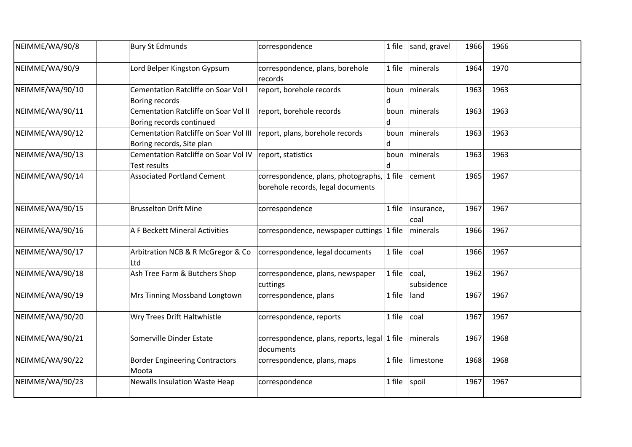| NEIMME/WA/90/8  | <b>Bury St Edmunds</b>                                             | correspondence                                                                  | 1 file    | sand, gravel        | 1966 | 1966 |  |
|-----------------|--------------------------------------------------------------------|---------------------------------------------------------------------------------|-----------|---------------------|------|------|--|
| NEIMME/WA/90/9  | Lord Belper Kingston Gypsum                                        | correspondence, plans, borehole<br>records                                      | 1 file    | minerals            | 1964 | 1970 |  |
| NEIMME/WA/90/10 | Cementation Ratcliffe on Soar Vol I<br>Boring records              | report, borehole records                                                        | boun<br>d | minerals            | 1963 | 1963 |  |
| NEIMME/WA/90/11 | Cementation Ratcliffe on Soar Vol II<br>Boring records continued   | report, borehole records                                                        | boun<br>d | minerals            | 1963 | 1963 |  |
| NEIMME/WA/90/12 | Cementation Ratcliffe on Soar Vol III<br>Boring records, Site plan | report, plans, borehole records                                                 | boun<br>d | minerals            | 1963 | 1963 |  |
| NEIMME/WA/90/13 | Cementation Ratcliffe on Soar Vol IV<br>Test results               | report, statistics                                                              | boun<br>d | minerals            | 1963 | 1963 |  |
| NEIMME/WA/90/14 | <b>Associated Portland Cement</b>                                  | correspondence, plans, photographs, 1 file<br>borehole records, legal documents |           | cement              | 1965 | 1967 |  |
| NEIMME/WA/90/15 | <b>Brusselton Drift Mine</b>                                       | correspondence                                                                  | 1 file    | insurance,<br>coal  | 1967 | 1967 |  |
| NEIMME/WA/90/16 | A F Beckett Mineral Activities                                     | correspondence, newspaper cuttings 1 file                                       |           | minerals            | 1966 | 1967 |  |
| NEIMME/WA/90/17 | Arbitration NCB & R McGregor & Co<br>Ltd                           | correspondence, legal documents                                                 | 1 file    | coal                | 1966 | 1967 |  |
| NEIMME/WA/90/18 | Ash Tree Farm & Butchers Shop                                      | correspondence, plans, newspaper<br>cuttings                                    | 1 file    | coal,<br>subsidence | 1962 | 1967 |  |
| NEIMME/WA/90/19 | Mrs Tinning Mossband Longtown                                      | correspondence, plans                                                           | 1 file    | land                | 1967 | 1967 |  |
| NEIMME/WA/90/20 | Wry Trees Drift Haltwhistle                                        | correspondence, reports                                                         | 1 file    | coal                | 1967 | 1967 |  |
| NEIMME/WA/90/21 | Somerville Dinder Estate                                           | correspondence, plans, reports, legal 1 file<br>documents                       |           | minerals            | 1967 | 1968 |  |
| NEIMME/WA/90/22 | <b>Border Engineering Contractors</b><br>Moota                     | correspondence, plans, maps                                                     | 1 file    | limestone           | 1968 | 1968 |  |
| NEIMME/WA/90/23 | <b>Newalls Insulation Waste Heap</b>                               | correspondence                                                                  | 1 file    | spoil               | 1967 | 1967 |  |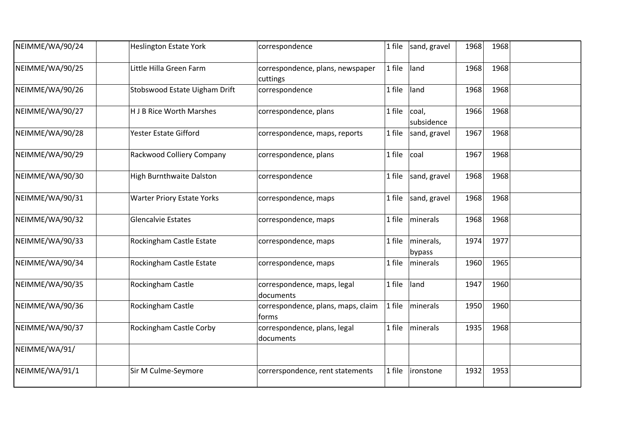| NEIMME/WA/90/24 | <b>Heslington Estate York</b>     | correspondence                               | 1 file | sand, gravel        | 1968 | 1968 |  |
|-----------------|-----------------------------------|----------------------------------------------|--------|---------------------|------|------|--|
| NEIMME/WA/90/25 | Little Hilla Green Farm           | correspondence, plans, newspaper<br>cuttings | 1 file | land                | 1968 | 1968 |  |
| NEIMME/WA/90/26 | Stobswood Estate Uigham Drift     | correspondence                               | 1 file | land                | 1968 | 1968 |  |
| NEIMME/WA/90/27 | <b>HJB Rice Worth Marshes</b>     | correspondence, plans                        | 1 file | coal,<br>subsidence | 1966 | 1968 |  |
| NEIMME/WA/90/28 | Yester Estate Gifford             | correspondence, maps, reports                | 1 file | sand, gravel        | 1967 | 1968 |  |
| NEIMME/WA/90/29 | Rackwood Colliery Company         | correspondence, plans                        | 1 file | coal                | 1967 | 1968 |  |
| NEIMME/WA/90/30 | <b>High Burnthwaite Dalston</b>   | correspondence                               | 1 file | sand, gravel        | 1968 | 1968 |  |
| NEIMME/WA/90/31 | <b>Warter Priory Estate Yorks</b> | correspondence, maps                         | 1 file | sand, gravel        | 1968 | 1968 |  |
| NEIMME/WA/90/32 | <b>Glencalvie Estates</b>         | correspondence, maps                         | 1 file | minerals            | 1968 | 1968 |  |
| NEIMME/WA/90/33 | Rockingham Castle Estate          | correspondence, maps                         | 1 file | minerals,<br>bypass | 1974 | 1977 |  |
| NEIMME/WA/90/34 | Rockingham Castle Estate          | correspondence, maps                         | 1 file | minerals            | 1960 | 1965 |  |
| NEIMME/WA/90/35 | Rockingham Castle                 | correspondence, maps, legal<br>documents     | 1 file | land                | 1947 | 1960 |  |
| NEIMME/WA/90/36 | Rockingham Castle                 | correspondence, plans, maps, claim<br>lforms | 1 file | minerals            | 1950 | 1960 |  |
| NEIMME/WA/90/37 | Rockingham Castle Corby           | correspondence, plans, legal<br>documents    | 1 file | minerals            | 1935 | 1968 |  |
| NEIMME/WA/91/   |                                   |                                              |        |                     |      |      |  |
| NEIMME/WA/91/1  | Sir M Culme-Seymore               | correrspondence, rent statements             | 1 file | ironstone           | 1932 | 1953 |  |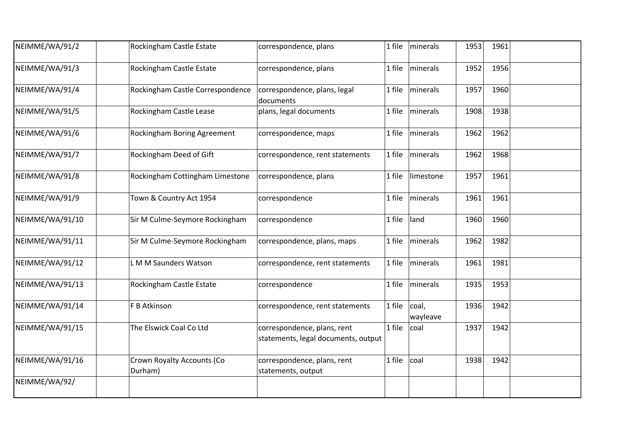| NEIMME/WA/91/2  | Rockingham Castle Estate              | correspondence, plans                                              | 1 file | minerals          | 1953 | 1961 |  |
|-----------------|---------------------------------------|--------------------------------------------------------------------|--------|-------------------|------|------|--|
| NEIMME/WA/91/3  | Rockingham Castle Estate              | correspondence, plans                                              | 1 file | minerals          | 1952 | 1956 |  |
| NEIMME/WA/91/4  | Rockingham Castle Correspondence      | correspondence, plans, legal<br>documents                          | 1 file | minerals          | 1957 | 1960 |  |
| NEIMME/WA/91/5  | Rockingham Castle Lease               | plans, legal documents                                             | 1 file | minerals          | 1908 | 1938 |  |
| NEIMME/WA/91/6  | Rockingham Boring Agreement           | correspondence, maps                                               | 1 file | minerals          | 1962 | 1962 |  |
| NEIMME/WA/91/7  | Rockingham Deed of Gift               | correspondence, rent statements                                    | 1 file | minerals          | 1962 | 1968 |  |
| NEIMME/WA/91/8  | Rockingham Cottingham Limestone       | correspondence, plans                                              | 1 file | limestone         | 1957 | 1961 |  |
| NEIMME/WA/91/9  | Town & Country Act 1954               | correspondence                                                     | 1 file | minerals          | 1961 | 1961 |  |
| NEIMME/WA/91/10 | Sir M Culme-Seymore Rockingham        | correspondence                                                     | 1 file | land              | 1960 | 1960 |  |
| NEIMME/WA/91/11 | Sir M Culme-Seymore Rockingham        | correspondence, plans, maps                                        | 1 file | minerals          | 1962 | 1982 |  |
| NEIMME/WA/91/12 | L M M Saunders Watson                 | correspondence, rent statements                                    | 1 file | minerals          | 1961 | 1981 |  |
| NEIMME/WA/91/13 | Rockingham Castle Estate              | correspondence                                                     | 1 file | minerals          | 1935 | 1953 |  |
| NEIMME/WA/91/14 | F B Atkinson                          | correspondence, rent statements                                    | 1 file | coal,<br>wayleave | 1936 | 1942 |  |
| NEIMME/WA/91/15 | The Elswick Coal Co Ltd               | correspondence, plans, rent<br>statements, legal documents, output | 1 file | coal              | 1937 | 1942 |  |
| NEIMME/WA/91/16 | Crown Royalty Accounts (Co<br>Durham) | correspondence, plans, rent<br>statements, output                  | 1 file | coal              | 1938 | 1942 |  |
| NEIMME/WA/92/   |                                       |                                                                    |        |                   |      |      |  |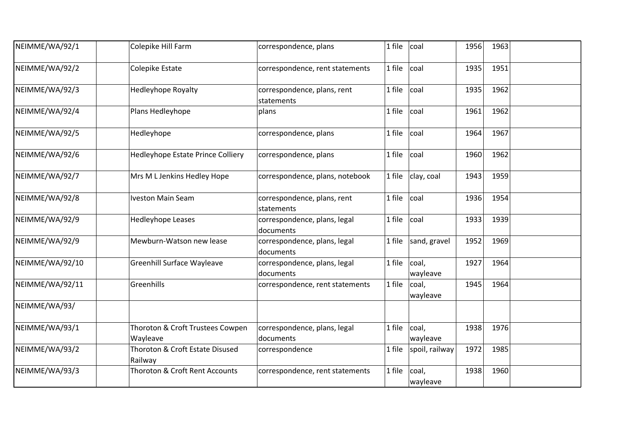| NEIMME/WA/92/1  | Colepike Hill Farm                           | correspondence, plans                     | 1 file | coal              | 1956 | 1963 |  |
|-----------------|----------------------------------------------|-------------------------------------------|--------|-------------------|------|------|--|
| NEIMME/WA/92/2  | <b>Colepike Estate</b>                       | correspondence, rent statements           | 1 file | coal              | 1935 | 1951 |  |
| NEIMME/WA/92/3  | <b>Hedleyhope Royalty</b>                    | correspondence, plans, rent<br>statements | 1 file | coal              | 1935 | 1962 |  |
| NEIMME/WA/92/4  | Plans Hedleyhope                             | plans                                     | 1 file | coal              | 1961 | 1962 |  |
| NEIMME/WA/92/5  | Hedleyhope                                   | correspondence, plans                     | 1 file | coal              | 1964 | 1967 |  |
| NEIMME/WA/92/6  | Hedleyhope Estate Prince Colliery            | correspondence, plans                     | 1 file | coal              | 1960 | 1962 |  |
| NEIMME/WA/92/7  | Mrs M L Jenkins Hedley Hope                  | correspondence, plans, notebook           | 1 file | clay, coal        | 1943 | 1959 |  |
| NEIMME/WA/92/8  | <b>Iveston Main Seam</b>                     | correspondence, plans, rent<br>statements | 1 file | coal              | 1936 | 1954 |  |
| NEIMME/WA/92/9  | Hedleyhope Leases                            | correspondence, plans, legal<br>documents | 1 file | coal              | 1933 | 1939 |  |
| NEIMME/WA/92/9  | Mewburn-Watson new lease                     | correspondence, plans, legal<br>documents | 1 file | sand, gravel      | 1952 | 1969 |  |
| NEIMME/WA/92/10 | <b>Greenhill Surface Wayleave</b>            | correspondence, plans, legal<br>documents | 1 file | coal,<br>wayleave | 1927 | 1964 |  |
| NEIMME/WA/92/11 | Greenhills                                   | correspondence, rent statements           | 1 file | coal,<br>wayleave | 1945 | 1964 |  |
| NEIMME/WA/93/   |                                              |                                           |        |                   |      |      |  |
| NEIMME/WA/93/1  | Thoroton & Croft Trustees Cowpen<br>Wayleave | correspondence, plans, legal<br>documents | 1 file | coal,<br>wayleave | 1938 | 1976 |  |
| NEIMME/WA/93/2  | Thoroton & Croft Estate Disused<br>Railway   | correspondence                            | 1 file | spoil, railway    | 1972 | 1985 |  |
| NEIMME/WA/93/3  | Thoroton & Croft Rent Accounts               | correspondence, rent statements           | 1 file | coal,<br>wayleave | 1938 | 1960 |  |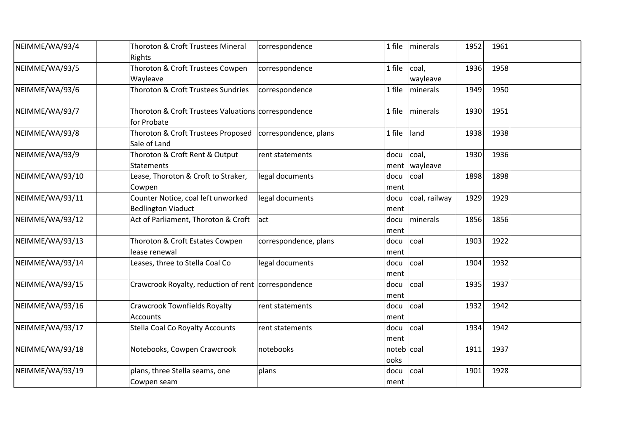| NEIMME/WA/93/4  | Thoroton & Croft Trustees Mineral<br>Rights                                | correspondence        | 1 file               | minerals                 | 1952 | 1961 |  |
|-----------------|----------------------------------------------------------------------------|-----------------------|----------------------|--------------------------|------|------|--|
| NEIMME/WA/93/5  | Thoroton & Croft Trustees Cowpen<br>Wayleave                               | correspondence        | 1 file               | coal,<br>wayleave        | 1936 | 1958 |  |
| NEIMME/WA/93/6  | Thoroton & Croft Trustees Sundries                                         | correspondence        | 1 file               | <i>I</i> minerals        | 1949 | 1950 |  |
| NEIMME/WA/93/7  | Thoroton & Croft Trustees Valuations correspondence<br>for Probate         |                       | 1 file               | minerals                 | 1930 | 1951 |  |
| NEIMME/WA/93/8  | Thoroton & Croft Trustees Proposed   correspondence, plans<br>Sale of Land |                       | 1 file               | land                     | 1938 | 1938 |  |
| NEIMME/WA/93/9  | Thoroton & Croft Rent & Output<br><b>Statements</b>                        | rent statements       | docu                 | coal,<br>ment   wayleave | 1930 | 1936 |  |
| NEIMME/WA/93/10 | Lease, Thoroton & Croft to Straker,<br>Cowpen                              | legal documents       | docu<br>ment         | coal                     | 1898 | 1898 |  |
| NEIMME/WA/93/11 | Counter Notice, coal left unworked<br><b>Bedlington Viaduct</b>            | legal documents       | docu<br>ment         | coal, railway            | 1929 | 1929 |  |
| NEIMME/WA/93/12 | Act of Parliament, Thoroton & Croft                                        | lact                  | docu<br>ment         | minerals                 | 1856 | 1856 |  |
| NEIMME/WA/93/13 | Thoroton & Croft Estates Cowpen<br>lease renewal                           | correspondence, plans | docu<br>ment         | coal                     | 1903 | 1922 |  |
| NEIMME/WA/93/14 | Leases, three to Stella Coal Co                                            | legal documents       | docu<br>ment         | coal                     | 1904 | 1932 |  |
| NEIMME/WA/93/15 | Crawcrook Royalty, reduction of rent correspondence                        |                       | docu<br>ment         | coal                     | 1935 | 1937 |  |
| NEIMME/WA/93/16 | <b>Crawcrook Townfields Royalty</b><br><b>Accounts</b>                     | rent statements       | docu<br>ment         | coal                     | 1932 | 1942 |  |
| NEIMME/WA/93/17 | <b>Stella Coal Co Royalty Accounts</b>                                     | rent statements       | docu<br>ment         | coal                     | 1934 | 1942 |  |
| NEIMME/WA/93/18 | Notebooks, Cowpen Crawcrook                                                | notebooks             | noteb   coal<br>ooks |                          | 1911 | 1937 |  |
| NEIMME/WA/93/19 | plans, three Stella seams, one<br>Cowpen seam                              | plans                 | docu<br>ment         | coal                     | 1901 | 1928 |  |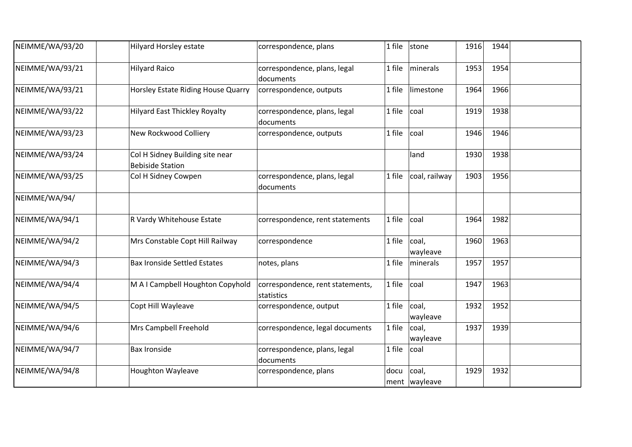| NEIMME/WA/93/20 | <b>Hilyard Horsley estate</b>                              | correspondence, plans                          | 1 file | stone                    | 1916 | 1944 |  |
|-----------------|------------------------------------------------------------|------------------------------------------------|--------|--------------------------|------|------|--|
| NEIMME/WA/93/21 | <b>Hilyard Raico</b>                                       | correspondence, plans, legal<br>documents      | 1 file | minerals                 | 1953 | 1954 |  |
| NEIMME/WA/93/21 | Horsley Estate Riding House Quarry                         | correspondence, outputs                        | 1 file | limestone                | 1964 | 1966 |  |
| NEIMME/WA/93/22 | <b>Hilyard East Thickley Royalty</b>                       | correspondence, plans, legal<br>documents      | 1 file | coal                     | 1919 | 1938 |  |
| NEIMME/WA/93/23 | New Rockwood Colliery                                      | correspondence, outputs                        | 1 file | coal                     | 1946 | 1946 |  |
| NEIMME/WA/93/24 | Col H Sidney Building site near<br><b>Bebiside Station</b> |                                                |        | land                     | 1930 | 1938 |  |
| NEIMME/WA/93/25 | Col H Sidney Cowpen                                        | correspondence, plans, legal<br>documents      | 1 file | coal, railway            | 1903 | 1956 |  |
| NEIMME/WA/94/   |                                                            |                                                |        |                          |      |      |  |
| NEIMME/WA/94/1  | R Vardy Whitehouse Estate                                  | correspondence, rent statements                | 1 file | coal                     | 1964 | 1982 |  |
| NEIMME/WA/94/2  | Mrs Constable Copt Hill Railway                            | correspondence                                 | 1 file | coal,<br>wayleave        | 1960 | 1963 |  |
| NEIMME/WA/94/3  | <b>Bax Ironside Settled Estates</b>                        | notes, plans                                   | 1 file | minerals                 | 1957 | 1957 |  |
| NEIMME/WA/94/4  | M A I Campbell Houghton Copyhold                           | correspondence, rent statements,<br>statistics | 1 file | coal                     | 1947 | 1963 |  |
| NEIMME/WA/94/5  | Copt Hill Wayleave                                         | correspondence, output                         | 1 file | coal,<br>wayleave        | 1932 | 1952 |  |
| NEIMME/WA/94/6  | Mrs Campbell Freehold                                      | correspondence, legal documents                | 1 file | coal,<br>wayleave        | 1937 | 1939 |  |
| NEIMME/WA/94/7  | <b>Bax Ironside</b>                                        | correspondence, plans, legal<br>documents      | 1 file | coal                     |      |      |  |
| NEIMME/WA/94/8  | <b>Houghton Wayleave</b>                                   | correspondence, plans                          | docu   | coal,<br>ment   wayleave | 1929 | 1932 |  |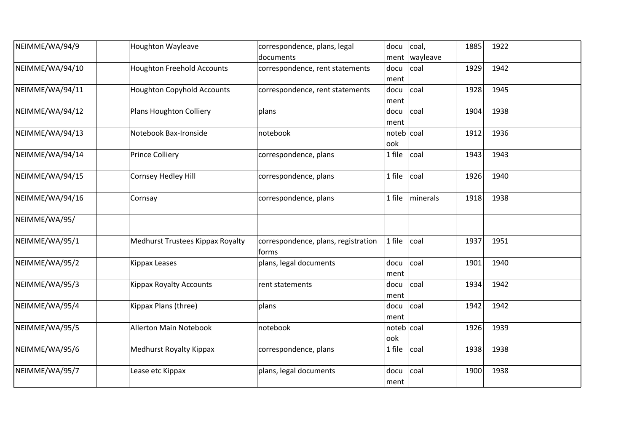| NEIMME/WA/94/9  | <b>Houghton Wayleave</b>          | correspondence, plans, legal        | docu       | coal,           | 1885 | 1922 |  |
|-----------------|-----------------------------------|-------------------------------------|------------|-----------------|------|------|--|
|                 |                                   | documents                           |            | ment   wayleave |      |      |  |
| NEIMME/WA/94/10 | <b>Houghton Freehold Accounts</b> | correspondence, rent statements     | docu       | coal            | 1929 | 1942 |  |
|                 |                                   |                                     | ment       |                 |      |      |  |
| NEIMME/WA/94/11 | <b>Houghton Copyhold Accounts</b> | correspondence, rent statements     | docu       | coal            | 1928 | 1945 |  |
|                 |                                   |                                     | ment       |                 |      |      |  |
| NEIMME/WA/94/12 | Plans Houghton Colliery           | plans                               | docu       | coal            | 1904 | 1938 |  |
|                 |                                   |                                     | ment       |                 |      |      |  |
| NEIMME/WA/94/13 | Notebook Bax-Ironside             | notebook                            | noteb coal |                 | 1912 | 1936 |  |
|                 |                                   |                                     | ook        |                 |      |      |  |
| NEIMME/WA/94/14 | <b>Prince Colliery</b>            | correspondence, plans               | 1 file     | coal            | 1943 | 1943 |  |
|                 |                                   |                                     |            |                 |      |      |  |
| NEIMME/WA/94/15 | Cornsey Hedley Hill               | correspondence, plans               | 1 file     | coal            | 1926 | 1940 |  |
|                 |                                   |                                     |            |                 |      |      |  |
| NEIMME/WA/94/16 | Cornsay                           | correspondence, plans               | 1 file     | minerals        | 1918 | 1938 |  |
| NEIMME/WA/95/   |                                   |                                     |            |                 |      |      |  |
|                 |                                   |                                     |            |                 |      |      |  |
| NEIMME/WA/95/1  | Medhurst Trustees Kippax Royalty  | correspondence, plans, registration | 1 file     | coal            | 1937 | 1951 |  |
|                 |                                   | forms                               |            |                 |      |      |  |
| NEIMME/WA/95/2  | Kippax Leases                     | plans, legal documents              | docu       | coal            | 1901 | 1940 |  |
|                 |                                   |                                     | ment       |                 |      |      |  |
| NEIMME/WA/95/3  | <b>Kippax Royalty Accounts</b>    | rent statements                     | docu       | coal            | 1934 | 1942 |  |
|                 |                                   |                                     | ment       |                 |      |      |  |
| NEIMME/WA/95/4  | Kippax Plans (three)              | plans                               | docu       | coal            | 1942 | 1942 |  |
|                 |                                   |                                     | ment       |                 |      |      |  |
| NEIMME/WA/95/5  | <b>Allerton Main Notebook</b>     | notebook                            | noteb coal |                 | 1926 | 1939 |  |
|                 |                                   |                                     | ook        |                 |      |      |  |
| NEIMME/WA/95/6  | <b>Medhurst Royalty Kippax</b>    | correspondence, plans               | 1 file     | coal            | 1938 | 1938 |  |
|                 |                                   |                                     |            |                 |      |      |  |
| NEIMME/WA/95/7  | Lease etc Kippax                  | plans, legal documents              | docu       | coal            | 1900 | 1938 |  |
|                 |                                   |                                     | ment       |                 |      |      |  |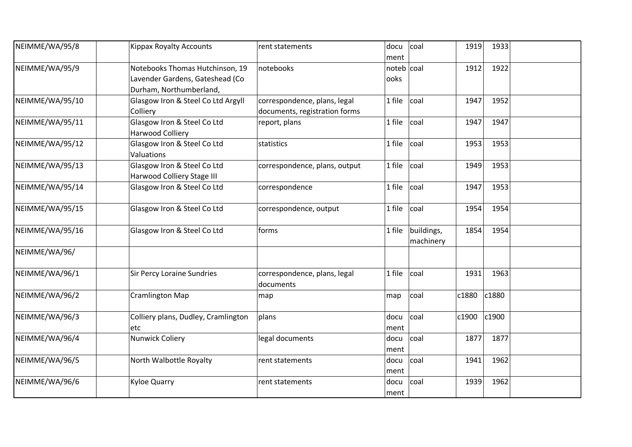| NEIMME/WA/95/8  | <b>Kippax Royalty Accounts</b>                                                                | rent statements                                               | docu<br>ment       | coal                    | 1919  | 1933  |  |
|-----------------|-----------------------------------------------------------------------------------------------|---------------------------------------------------------------|--------------------|-------------------------|-------|-------|--|
| NEIMME/WA/95/9  | Notebooks Thomas Hutchinson, 19<br>Lavender Gardens, Gateshead (Co<br>Durham, Northumberland, | notebooks                                                     | noteb coal<br>ooks |                         | 1912  | 1922  |  |
| NEIMME/WA/95/10 | Glasgow Iron & Steel Co Ltd Argyll<br>Colliery                                                | correspondence, plans, legal<br>documents, registration forms | 1 file             | coal                    | 1947  | 1952  |  |
| NEIMME/WA/95/11 | Glasgow Iron & Steel Co Ltd<br>Harwood Colliery                                               | report, plans                                                 | 1 file             | coal                    | 1947  | 1947  |  |
| NEIMME/WA/95/12 | Glasgow Iron & Steel Co Ltd<br>Valuations                                                     | statistics                                                    | 1 file             | coal                    | 1953  | 1953  |  |
| NEIMME/WA/95/13 | Glasgow Iron & Steel Co Ltd<br>Harwood Colliery Stage III                                     | correspondence, plans, output                                 | 1 file             | coal                    | 1949  | 1953  |  |
| NEIMME/WA/95/14 | Glasgow Iron & Steel Co Ltd                                                                   | correspondence                                                | 1 file             | coal                    | 1947  | 1953  |  |
| NEIMME/WA/95/15 | Glasgow Iron & Steel Co Ltd                                                                   | correspondence, output                                        | 1 file             | coal                    | 1954  | 1954  |  |
| NEIMME/WA/95/16 | Glasgow Iron & Steel Co Ltd                                                                   | forms                                                         | 1 file             | buildings,<br>machinery | 1854  | 1954  |  |
| NEIMME/WA/96/   |                                                                                               |                                                               |                    |                         |       |       |  |
| NEIMME/WA/96/1  | <b>Sir Percy Loraine Sundries</b>                                                             | correspondence, plans, legal<br>documents                     | 1 file             | coal                    | 1931  | 1963  |  |
| NEIMME/WA/96/2  | <b>Cramlington Map</b>                                                                        | map                                                           | map                | coal                    | c1880 | c1880 |  |
| NEIMME/WA/96/3  | Colliery plans, Dudley, Cramlington<br>etc                                                    | plans                                                         | docu<br>ment       | coal                    | c1900 | c1900 |  |
| NEIMME/WA/96/4  | Nunwick Coliery                                                                               | legal documents                                               | docu<br>ment       | coal                    | 1877  | 1877  |  |
| NEIMME/WA/96/5  | North Walbottle Royalty                                                                       | rent statements                                               | docu<br>ment       | coal                    | 1941  | 1962  |  |
| NEIMME/WA/96/6  | <b>Kyloe Quarry</b>                                                                           | rent statements                                               | docu<br>ment       | coal                    | 1939  | 1962  |  |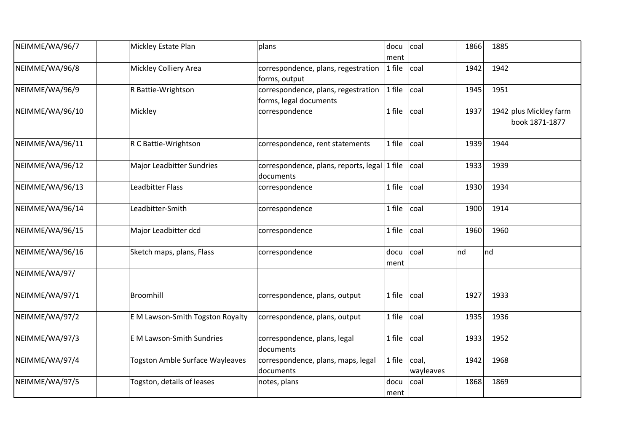| NEIMME/WA/96/7  | Mickley Estate Plan                    | plans                                                         | docu<br>ment | coal               | 1866 | 1885 |                                          |
|-----------------|----------------------------------------|---------------------------------------------------------------|--------------|--------------------|------|------|------------------------------------------|
| NEIMME/WA/96/8  | <b>Mickley Colliery Area</b>           | correspondence, plans, regestration<br>forms, output          | 1 file       | coal               | 1942 | 1942 |                                          |
| NEIMME/WA/96/9  | R Battie-Wrightson                     | correspondence, plans, regestration<br>forms, legal documents | 1 file       | coal               | 1945 | 1951 |                                          |
| NEIMME/WA/96/10 | Mickley                                | correspondence                                                | 1 file       | coal               | 1937 |      | 1942 plus Mickley farm<br>book 1871-1877 |
| NEIMME/WA/96/11 | R C Battie-Wrightson                   | correspondence, rent statements                               | 1 file       | coal               | 1939 | 1944 |                                          |
| NEIMME/WA/96/12 | <b>Major Leadbitter Sundries</b>       | correspondence, plans, reports, legal 1 file<br>documents     |              | coal               | 1933 | 1939 |                                          |
| NEIMME/WA/96/13 | <b>Leadbitter Flass</b>                | correspondence                                                | 1 file       | coal               | 1930 | 1934 |                                          |
| NEIMME/WA/96/14 | Leadbitter-Smith                       | correspondence                                                | 1 file       | coal               | 1900 | 1914 |                                          |
| NEIMME/WA/96/15 | Major Leadbitter dcd                   | correspondence                                                | 1 file       | coal               | 1960 | 1960 |                                          |
| NEIMME/WA/96/16 | Sketch maps, plans, Flass              | correspondence                                                | docu<br>ment | coal               | nd   | nd   |                                          |
| NEIMME/WA/97/   |                                        |                                                               |              |                    |      |      |                                          |
| NEIMME/WA/97/1  | Broomhill                              | correspondence, plans, output                                 | 1 file       | coal               | 1927 | 1933 |                                          |
| NEIMME/WA/97/2  | E M Lawson-Smith Togston Royalty       | correspondence, plans, output                                 | 1 file       | coal               | 1935 | 1936 |                                          |
| NEIMME/WA/97/3  | <b>EM Lawson-Smith Sundries</b>        | correspondence, plans, legal<br>documents                     | 1 file       | coal               | 1933 | 1952 |                                          |
| NEIMME/WA/97/4  | <b>Togston Amble Surface Wayleaves</b> | correspondence, plans, maps, legal<br>documents               | 1 file       | coal,<br>wayleaves | 1942 | 1968 |                                          |
| NEIMME/WA/97/5  | Togston, details of leases             | notes, plans                                                  | docu<br>ment | coal               | 1868 | 1869 |                                          |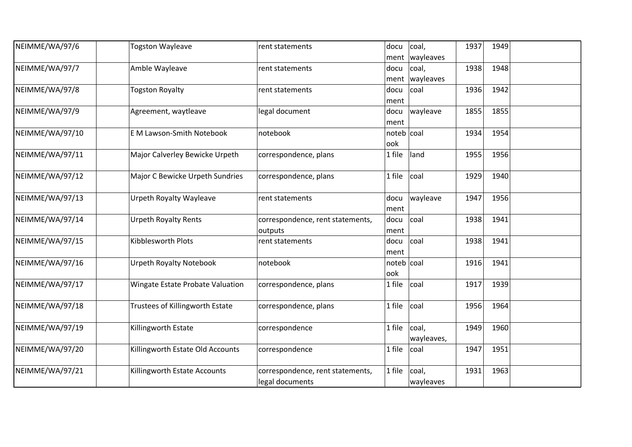| NEIMME/WA/97/6  | <b>Togston Wayleave</b>          | rent statements                  | docu       | coal,            | 1937 | 1949 |  |
|-----------------|----------------------------------|----------------------------------|------------|------------------|------|------|--|
|                 |                                  |                                  |            | ment   wayleaves |      |      |  |
| NEIMME/WA/97/7  | Amble Wayleave                   | rent statements                  | docu       | coal,            | 1938 | 1948 |  |
|                 |                                  |                                  | ment       | wayleaves        |      |      |  |
| NEIMME/WA/97/8  | <b>Togston Royalty</b>           | rent statements                  | docu       | coal             | 1936 | 1942 |  |
|                 |                                  |                                  | ment       |                  |      |      |  |
| NEIMME/WA/97/9  | Agreement, waytleave             | legal document                   | docu       | wayleave         | 1855 | 1855 |  |
|                 |                                  |                                  | ment       |                  |      |      |  |
| NEIMME/WA/97/10 | E M Lawson-Smith Notebook        | notebook                         | noteb coal |                  | 1934 | 1954 |  |
|                 |                                  |                                  | ook        |                  |      |      |  |
| NEIMME/WA/97/11 | Major Calverley Bewicke Urpeth   | correspondence, plans            | 1 file     | land             | 1955 | 1956 |  |
|                 |                                  |                                  |            |                  |      |      |  |
| NEIMME/WA/97/12 | Major C Bewicke Urpeth Sundries  | correspondence, plans            | 1 file     | coal             | 1929 | 1940 |  |
|                 |                                  |                                  |            |                  |      |      |  |
| NEIMME/WA/97/13 | <b>Urpeth Royalty Wayleave</b>   | rent statements                  | docu       | wayleave         | 1947 | 1956 |  |
|                 |                                  |                                  | ment       |                  |      |      |  |
| NEIMME/WA/97/14 | <b>Urpeth Royalty Rents</b>      | correspondence, rent statements, | docu       | coal             | 1938 | 1941 |  |
|                 |                                  | outputs                          | ment       |                  |      |      |  |
| NEIMME/WA/97/15 | Kibblesworth Plots               | rent statements                  | docu       | coal             | 1938 | 1941 |  |
|                 |                                  |                                  | ment       |                  |      |      |  |
| NEIMME/WA/97/16 | <b>Urpeth Royalty Notebook</b>   | notebook                         | noteb coal |                  | 1916 | 1941 |  |
|                 |                                  |                                  | ook        |                  |      |      |  |
| NEIMME/WA/97/17 | Wingate Estate Probate Valuation | correspondence, plans            | 1 file     | coal             | 1917 | 1939 |  |
|                 |                                  |                                  |            |                  |      |      |  |
| NEIMME/WA/97/18 | Trustees of Killingworth Estate  | correspondence, plans            | 1 file     | coal             | 1956 | 1964 |  |
|                 |                                  |                                  |            |                  |      |      |  |
| NEIMME/WA/97/19 | Killingworth Estate              | correspondence                   | 1 file     | coal,            | 1949 | 1960 |  |
|                 |                                  |                                  |            | wayleaves,       |      |      |  |
| NEIMME/WA/97/20 | Killingworth Estate Old Accounts | correspondence                   | 1 file     | coal             | 1947 | 1951 |  |
|                 |                                  |                                  |            |                  |      |      |  |
| NEIMME/WA/97/21 | Killingworth Estate Accounts     | correspondence, rent statements, | 1 file     | coal,            | 1931 | 1963 |  |
|                 |                                  | legal documents                  |            | wayleaves        |      |      |  |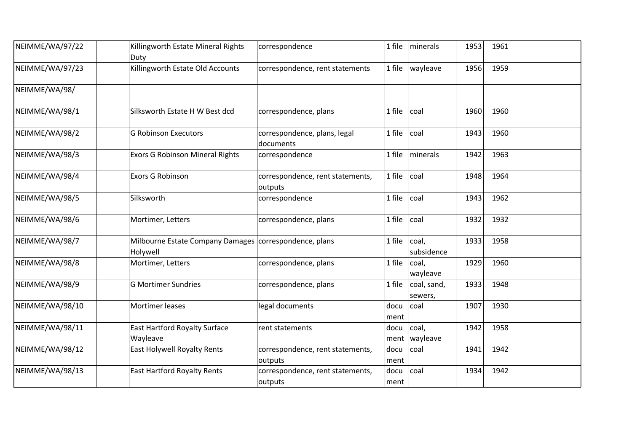| NEIMME/WA/97/22 | Killingworth Estate Mineral Rights<br>Duty                           | correspondence                              | 1 file       | minerals                 | 1953 | 1961 |  |
|-----------------|----------------------------------------------------------------------|---------------------------------------------|--------------|--------------------------|------|------|--|
| NEIMME/WA/97/23 | Killingworth Estate Old Accounts                                     | correspondence, rent statements             | 1 file       | wayleave                 | 1956 | 1959 |  |
| NEIMME/WA/98/   |                                                                      |                                             |              |                          |      |      |  |
| NEIMME/WA/98/1  | Silksworth Estate H W Best dcd                                       | correspondence, plans                       | 1 file       | coal                     | 1960 | 1960 |  |
| NEIMME/WA/98/2  | <b>G Robinson Executors</b>                                          | correspondence, plans, legal<br>documents   | 1 file       | coal                     | 1943 | 1960 |  |
| NEIMME/WA/98/3  | <b>Exors G Robinson Mineral Rights</b>                               | correspondence                              | 1 file       | minerals                 | 1942 | 1963 |  |
| NEIMME/WA/98/4  | <b>Exors G Robinson</b>                                              | correspondence, rent statements,<br>outputs | 1 file       | coal                     | 1948 | 1964 |  |
| NEIMME/WA/98/5  | Silksworth                                                           | correspondence                              | 1 file       | coal                     | 1943 | 1962 |  |
| NEIMME/WA/98/6  | Mortimer, Letters                                                    | correspondence, plans                       | 1 file       | coal                     | 1932 | 1932 |  |
| NEIMME/WA/98/7  | Milbourne Estate Company Damages   correspondence, plans<br>Holywell |                                             | 1 file       | coal,<br>subsidence      | 1933 | 1958 |  |
| NEIMME/WA/98/8  | Mortimer, Letters                                                    | correspondence, plans                       | 1 file       | coal,<br>wayleave        | 1929 | 1960 |  |
| NEIMME/WA/98/9  | <b>G Mortimer Sundries</b>                                           | correspondence, plans                       | 1 file       | coal, sand,<br>sewers,   | 1933 | 1948 |  |
| NEIMME/WA/98/10 | <b>Mortimer leases</b>                                               | legal documents                             | docu<br>ment | coal                     | 1907 | 1930 |  |
| NEIMME/WA/98/11 | <b>East Hartford Royalty Surface</b><br>Wayleave                     | rent statements                             | docu         | coal,<br>ment   wayleave | 1942 | 1958 |  |
| NEIMME/WA/98/12 | <b>East Holywell Royalty Rents</b>                                   | correspondence, rent statements,<br>outputs | docu<br>ment | coal                     | 1941 | 1942 |  |
| NEIMME/WA/98/13 | <b>East Hartford Royalty Rents</b>                                   | correspondence, rent statements,<br>outputs | docu<br>ment | coal                     | 1934 | 1942 |  |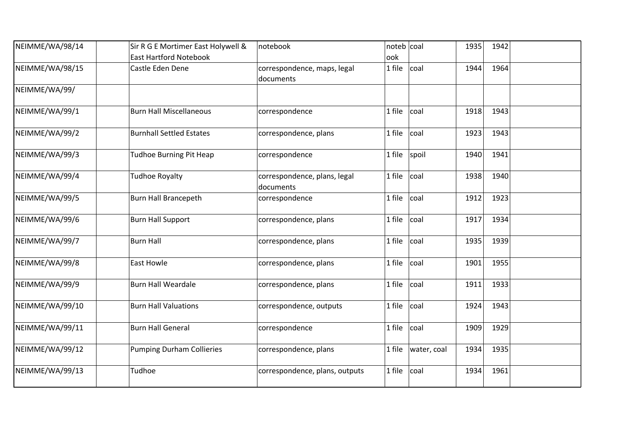| NEIMME/WA/98/14 | Sir R G E Mortimer East Holywell & | notebook                       | noteb coal |             | 1935 | 1942 |  |
|-----------------|------------------------------------|--------------------------------|------------|-------------|------|------|--|
|                 | <b>East Hartford Notebook</b>      |                                | ook        |             |      |      |  |
| NEIMME/WA/98/15 | Castle Eden Dene                   | correspondence, maps, legal    | 1 file     | coal        | 1944 | 1964 |  |
|                 |                                    | documents                      |            |             |      |      |  |
| NEIMME/WA/99/   |                                    |                                |            |             |      |      |  |
| NEIMME/WA/99/1  | <b>Burn Hall Miscellaneous</b>     | correspondence                 | 1 file     | coal        | 1918 | 1943 |  |
| NEIMME/WA/99/2  | <b>Burnhall Settled Estates</b>    | correspondence, plans          | 1 file     | coal        | 1923 | 1943 |  |
| NEIMME/WA/99/3  | Tudhoe Burning Pit Heap            | correspondence                 | 1 file     | spoil       | 1940 | 1941 |  |
| NEIMME/WA/99/4  | Tudhoe Royalty                     | correspondence, plans, legal   | 1 file     | coal        | 1938 | 1940 |  |
|                 |                                    | documents                      |            |             |      |      |  |
| NEIMME/WA/99/5  | <b>Burn Hall Brancepeth</b>        | correspondence                 | 1 file     | coal        | 1912 | 1923 |  |
| NEIMME/WA/99/6  | <b>Burn Hall Support</b>           | correspondence, plans          | 1 file     | coal        | 1917 | 1934 |  |
| NEIMME/WA/99/7  | <b>Burn Hall</b>                   | correspondence, plans          | 1 file     | coal        | 1935 | 1939 |  |
| NEIMME/WA/99/8  | <b>East Howle</b>                  | correspondence, plans          | 1 file     | coal        | 1901 | 1955 |  |
| NEIMME/WA/99/9  | <b>Burn Hall Weardale</b>          | correspondence, plans          | 1 file     | coal        | 1911 | 1933 |  |
| NEIMME/WA/99/10 | <b>Burn Hall Valuations</b>        | correspondence, outputs        | 1 file     | coal        | 1924 | 1943 |  |
| NEIMME/WA/99/11 | <b>Burn Hall General</b>           | correspondence                 | 1 file     | coal        | 1909 | 1929 |  |
| NEIMME/WA/99/12 | <b>Pumping Durham Collieries</b>   | correspondence, plans          | 1 file     | water, coal | 1934 | 1935 |  |
| NEIMME/WA/99/13 | Tudhoe                             | correspondence, plans, outputs | 1 file     | coal        | 1934 | 1961 |  |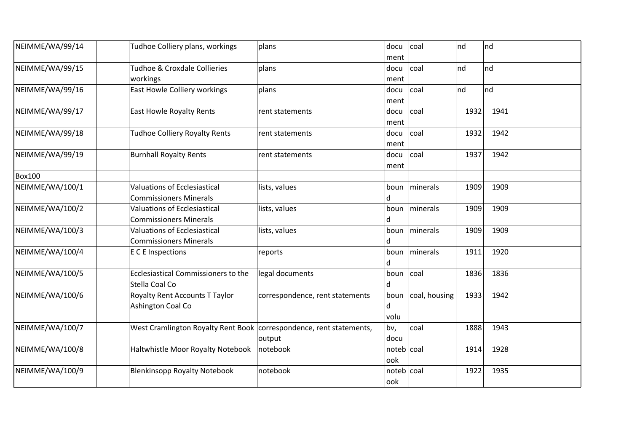| NEIMME/WA/99/14 | Tudhoe Colliery plans, workings                                       | plans                           | docu<br>ment         | coal            | nd   | nd      |  |
|-----------------|-----------------------------------------------------------------------|---------------------------------|----------------------|-----------------|------|---------|--|
| NEIMME/WA/99/15 | <b>Tudhoe &amp; Croxdale Collieries</b><br>workings                   | plans                           | docu<br>ment         | coal            | nd   | nd      |  |
| NEIMME/WA/99/16 | East Howle Colliery workings                                          | plans                           | docu<br>ment         | coal            | nd   | $\ln d$ |  |
| NEIMME/WA/99/17 | <b>East Howle Royalty Rents</b>                                       | rent statements                 | docu<br>ment         | coal            | 1932 | 1941    |  |
| NEIMME/WA/99/18 | <b>Tudhoe Colliery Royalty Rents</b>                                  | rent statements                 | docu<br>ment         | coal            | 1932 | 1942    |  |
| NEIMME/WA/99/19 | <b>Burnhall Royalty Rents</b>                                         | rent statements                 | docu<br> ment        | coal            | 1937 | 1942    |  |
| <b>Box100</b>   |                                                                       |                                 |                      |                 |      |         |  |
| NEIMME/WA/100/1 | <b>Valuations of Ecclesiastical</b><br><b>Commissioners Minerals</b>  | lists, values                   | ld.                  | boun   minerals | 1909 | 1909    |  |
| NEIMME/WA/100/2 | <b>Valuations of Ecclesiastical</b><br><b>Commissioners Minerals</b>  | lists, values                   | boun<br>ld.          | minerals        | 1909 | 1909    |  |
| NEIMME/WA/100/3 | <b>Valuations of Ecclesiastical</b><br><b>Commissioners Minerals</b>  | lists, values                   | boun<br>ld.          | minerals        | 1909 | 1909    |  |
| NEIMME/WA/100/4 | E C E Inspections                                                     | reports                         | boun<br>ld.          | minerals        | 1911 | 1920    |  |
| NEIMME/WA/100/5 | Ecclesiastical Commissioners to the<br>Stella Coal Co                 | legal documents                 | boun<br>ld.          | coal            | 1836 | 1836    |  |
| NEIMME/WA/100/6 | <b>Royalty Rent Accounts T Taylor</b><br>Ashington Coal Co            | correspondence, rent statements | boun<br>ld.<br>volu  | coal, housing   | 1933 | 1942    |  |
| NEIMME/WA/100/7 | West Cramlington Royalty Rent Book   correspondence, rent statements, | output                          | bv,<br>docu          | coal            | 1888 | 1943    |  |
| NEIMME/WA/100/8 | Haltwhistle Moor Royalty Notebook                                     | notebook                        | $noteb$ coal<br>look |                 | 1914 | 1928    |  |
| NEIMME/WA/100/9 | <b>Blenkinsopp Royalty Notebook</b>                                   | notebook                        | noteb coal<br>look   |                 | 1922 | 1935    |  |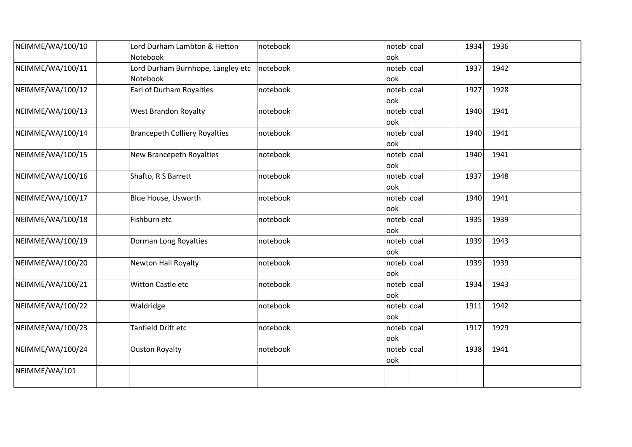| NEIMME/WA/100/10 | Lord Durham Lambton & Hetton<br>Notebook      | notebook | noteb coal<br>ook   | 1934 | 1936 |  |
|------------------|-----------------------------------------------|----------|---------------------|------|------|--|
| NEIMME/WA/100/11 | Lord Durham Burnhope, Langley etc<br>Notebook | notebook | noteb coal<br>ook   | 1937 | 1942 |  |
| NEIMME/WA/100/12 | Earl of Durham Royalties                      | notebook | $noteb$ coal<br>ook | 1927 | 1928 |  |
| NEIMME/WA/100/13 | <b>West Brandon Royalty</b>                   | notebook | noteb coal<br>ook   | 1940 | 1941 |  |
| NEIMME/WA/100/14 | <b>Brancepeth Colliery Royalties</b>          | notebook | noteb coal<br>ook   | 1940 | 1941 |  |
| NEIMME/WA/100/15 | New Brancepeth Royalties                      | notebook | noteb   coal<br>ook | 1940 | 1941 |  |
| NEIMME/WA/100/16 | Shafto, R S Barrett                           | notebook | noteb coal<br>ook   | 1937 | 1948 |  |
| NEIMME/WA/100/17 | Blue House, Usworth                           | notebook | noteb coal<br>ook   | 1940 | 1941 |  |
| NEIMME/WA/100/18 | Fishburn etc                                  | notebook | $noteb$ coal<br>ook | 1935 | 1939 |  |
| NEIMME/WA/100/19 | Dorman Long Royalties                         | notebook | $noteb$ coal<br>ook | 1939 | 1943 |  |
| NEIMME/WA/100/20 | <b>Newton Hall Royalty</b>                    | notebook | noteb   coal<br>ook | 1939 | 1939 |  |
| NEIMME/WA/100/21 | Witton Castle etc                             | notebook | $noteb$ coal<br>ook | 1934 | 1943 |  |
| NEIMME/WA/100/22 | Waldridge                                     | notebook | noteb   coal<br>ook | 1911 | 1942 |  |
| NEIMME/WA/100/23 | Tanfield Drift etc                            | notebook | noteb   coal<br>ook | 1917 | 1929 |  |
| NEIMME/WA/100/24 | <b>Ouston Royalty</b>                         | notebook | noteb   coal<br>ook | 1938 | 1941 |  |
| NEIMME/WA/101    |                                               |          |                     |      |      |  |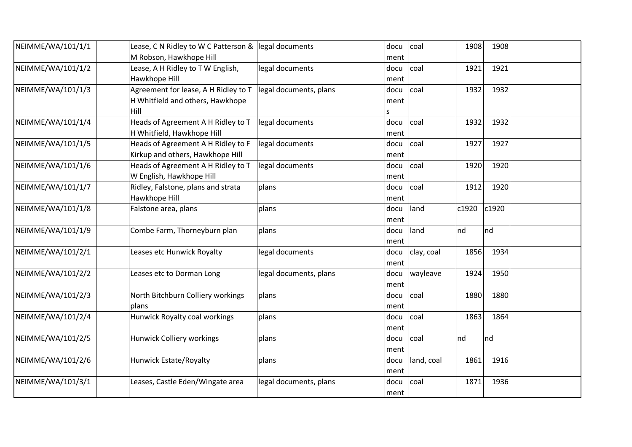| NEIMME/WA/101/1/1 | Lease, C N Ridley to W C Patterson & | legal documents        | docu | coal       | 1908  | 1908  |  |
|-------------------|--------------------------------------|------------------------|------|------------|-------|-------|--|
|                   | M Robson, Hawkhope Hill              |                        | ment |            |       |       |  |
| NEIMME/WA/101/1/2 | Lease, A H Ridley to T W English,    | legal documents        | docu | coal       | 1921  | 1921  |  |
|                   | Hawkhope Hill                        |                        | ment |            |       |       |  |
| NEIMME/WA/101/1/3 | Agreement for lease, A H Ridley to T | legal documents, plans | docu | coal       | 1932  | 1932  |  |
|                   | H Whitfield and others, Hawkhope     |                        | ment |            |       |       |  |
|                   | Hill                                 |                        | S    |            |       |       |  |
| NEIMME/WA/101/1/4 | Heads of Agreement A H Ridley to T   | legal documents        | docu | coal       | 1932  | 1932  |  |
|                   | H Whitfield, Hawkhope Hill           |                        | ment |            |       |       |  |
| NEIMME/WA/101/1/5 | Heads of Agreement A H Ridley to F   | legal documents        | docu | coal       | 1927  | 1927  |  |
|                   | Kirkup and others, Hawkhope Hill     |                        | ment |            |       |       |  |
| NEIMME/WA/101/1/6 | Heads of Agreement A H Ridley to T   | legal documents        | docu | coal       | 1920  | 1920  |  |
|                   | W English, Hawkhope Hill             |                        | ment |            |       |       |  |
| NEIMME/WA/101/1/7 | Ridley, Falstone, plans and strata   | plans                  | docu | coal       | 1912  | 1920  |  |
|                   | Hawkhope Hill                        |                        | ment |            |       |       |  |
| NEIMME/WA/101/1/8 | Falstone area, plans                 | plans                  | docu | land       | c1920 | c1920 |  |
|                   |                                      |                        | ment |            |       |       |  |
| NEIMME/WA/101/1/9 | Combe Farm, Thorneyburn plan         | plans                  | docu | land       | nd    | nd    |  |
|                   |                                      |                        | ment |            |       |       |  |
| NEIMME/WA/101/2/1 | Leases etc Hunwick Royalty           | legal documents        | docu | clay, coal | 1856  | 1934  |  |
|                   |                                      |                        | ment |            |       |       |  |
| NEIMME/WA/101/2/2 | Leases etc to Dorman Long            | legal documents, plans | docu | wayleave   | 1924  | 1950  |  |
|                   |                                      |                        | ment |            |       |       |  |
| NEIMME/WA/101/2/3 | North Bitchburn Colliery workings    | plans                  | docu | coal       | 1880  | 1880  |  |
|                   | plans                                |                        | ment |            |       |       |  |
| NEIMME/WA/101/2/4 | Hunwick Royalty coal workings        | plans                  | docu | coal       | 1863  | 1864  |  |
|                   |                                      |                        | ment |            |       |       |  |
| NEIMME/WA/101/2/5 | <b>Hunwick Colliery workings</b>     | plans                  | docu | coal       | nd    | nd    |  |
|                   |                                      |                        | ment |            |       |       |  |
| NEIMME/WA/101/2/6 | Hunwick Estate/Royalty               | plans                  | docu | land, coal | 1861  | 1916  |  |
|                   |                                      |                        | ment |            |       |       |  |
| NEIMME/WA/101/3/1 | Leases, Castle Eden/Wingate area     | legal documents, plans | docu | coal       | 1871  | 1936  |  |
|                   |                                      |                        | ment |            |       |       |  |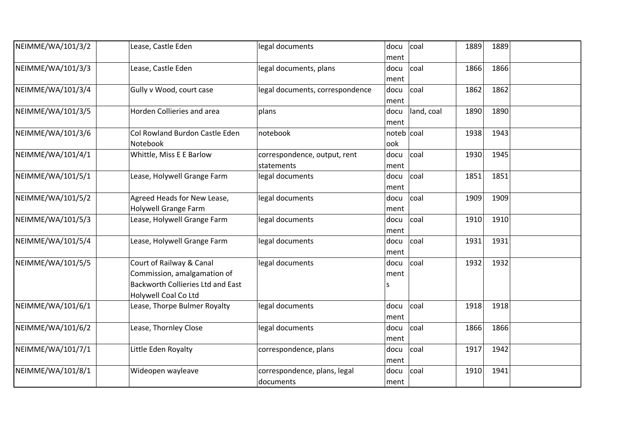| NEIMME/WA/101/3/2 | Lease, Castle Eden                                                                                                   | legal documents                            | docu<br>ment        | coal       | 1889 | 1889 |  |
|-------------------|----------------------------------------------------------------------------------------------------------------------|--------------------------------------------|---------------------|------------|------|------|--|
| NEIMME/WA/101/3/3 | Lease, Castle Eden                                                                                                   | legal documents, plans                     | docu<br>ment        | coal       | 1866 | 1866 |  |
| NEIMME/WA/101/3/4 | Gully v Wood, court case                                                                                             | legal documents, correspondence            | docu<br>ment        | coal       | 1862 | 1862 |  |
| NEIMME/WA/101/3/5 | Horden Collieries and area                                                                                           | plans                                      | docu<br>ment        | land, coal | 1890 | 1890 |  |
| NEIMME/WA/101/3/6 | Col Rowland Burdon Castle Eden<br>Notebook                                                                           | notebook                                   | $noteb$ coal<br>ook |            | 1938 | 1943 |  |
| NEIMME/WA/101/4/1 | Whittle, Miss E E Barlow                                                                                             | correspondence, output, rent<br>statements | docu<br>ment        | coal       | 1930 | 1945 |  |
| NEIMME/WA/101/5/1 | Lease, Holywell Grange Farm                                                                                          | legal documents                            | docu<br>ment        | coal       | 1851 | 1851 |  |
| NEIMME/WA/101/5/2 | Agreed Heads for New Lease,<br>Holywell Grange Farm                                                                  | legal documents                            | docu<br>ment        | coal       | 1909 | 1909 |  |
| NEIMME/WA/101/5/3 | Lease, Holywell Grange Farm                                                                                          | legal documents                            | docu<br>ment        | coal       | 1910 | 1910 |  |
| NEIMME/WA/101/5/4 | Lease, Holywell Grange Farm                                                                                          | legal documents                            | docu<br>ment        | coal       | 1931 | 1931 |  |
| NEIMME/WA/101/5/5 | Court of Railway & Canal<br>Commission, amalgamation of<br>Backworth Collieries Ltd and East<br>Holywell Coal Co Ltd | legal documents                            | docu<br>ment<br>S   | coal       | 1932 | 1932 |  |
| NEIMME/WA/101/6/1 | Lease, Thorpe Bulmer Royalty                                                                                         | legal documents                            | docu<br>ment        | coal       | 1918 | 1918 |  |
| NEIMME/WA/101/6/2 | Lease, Thornley Close                                                                                                | legal documents                            | docu<br>ment        | coal       | 1866 | 1866 |  |
| NEIMME/WA/101/7/1 | Little Eden Royalty                                                                                                  | correspondence, plans                      | docu<br>ment        | coal       | 1917 | 1942 |  |
| NEIMME/WA/101/8/1 | Wideopen wayleave                                                                                                    | correspondence, plans, legal<br>documents  | docu<br>ment        | coal       | 1910 | 1941 |  |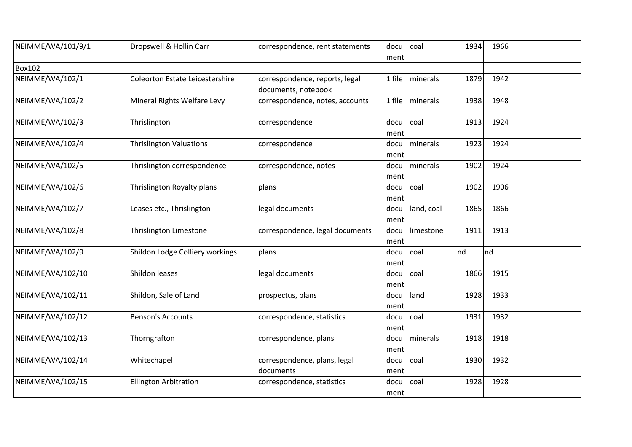| NEIMME/WA/101/9/1 | Dropswell & Hollin Carr                | correspondence, rent statements<br>docu<br>ment       |                      | coal       | 1934     | 1966 |  |
|-------------------|----------------------------------------|-------------------------------------------------------|----------------------|------------|----------|------|--|
| <b>Box102</b>     |                                        |                                                       |                      |            |          |      |  |
| NEIMME/WA/102/1   | <b>Coleorton Estate Leicestershire</b> | correspondence, reports, legal<br>documents, notebook | 1 file               | minerals   | 1879     | 1942 |  |
| NEIMME/WA/102/2   | Mineral Rights Welfare Levy            | correspondence, notes, accounts                       | 1 file               | minerals   | 1938     | 1948 |  |
| NEIMME/WA/102/3   | Thrislington                           | correspondence                                        | docu<br>coal<br>ment |            | 1913     | 1924 |  |
| NEIMME/WA/102/4   | <b>Thrislington Valuations</b>         | correspondence                                        | docu<br>ment         | minerals   | 1923     | 1924 |  |
| NEIMME/WA/102/5   | Thrislington correspondence            | correspondence, notes                                 | docu<br>ment         | minerals   | 1902     | 1924 |  |
| NEIMME/WA/102/6   | Thrislington Royalty plans             | plans                                                 | docu<br>ment         | coal       | 1902     | 1906 |  |
| NEIMME/WA/102/7   | Leases etc., Thrislington              | legal documents                                       | docu<br>ment         | land, coal | 1865     | 1866 |  |
| NEIMME/WA/102/8   | Thrislington Limestone                 | correspondence, legal documents                       | docu<br>ment         | limestone  | 1911     | 1913 |  |
| NEIMME/WA/102/9   | Shildon Lodge Colliery workings        | plans                                                 | docu<br>ment         | coal       | nd<br>nd |      |  |
| NEIMME/WA/102/10  | Shildon leases                         | legal documents                                       | docu<br>ment         | coal       | 1866     | 1915 |  |
| NEIMME/WA/102/11  | Shildon, Sale of Land                  | prospectus, plans                                     | docu<br>ment         | land       | 1928     | 1933 |  |
| NEIMME/WA/102/12  | <b>Benson's Accounts</b>               | correspondence, statistics                            | docu<br>ment         | coal       | 1931     | 1932 |  |
| NEIMME/WA/102/13  | Thorngrafton                           | correspondence, plans                                 | docu<br>ment         | minerals   | 1918     | 1918 |  |
| NEIMME/WA/102/14  | Whitechapel                            | correspondence, plans, legal<br>documents             | docu<br>ment         | coal       | 1930     | 1932 |  |
| NEIMME/WA/102/15  | <b>Ellington Arbitration</b>           | correspondence, statistics                            | docu<br>ment         | coal       | 1928     | 1928 |  |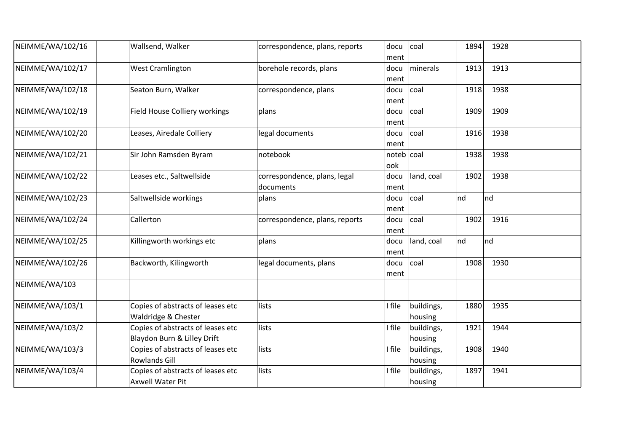| NEIMME/WA/102/16 | Wallsend, Walker                                                 | correspondence, plans, reports            | docu<br>ment      | coal                  | 1894 | 1928 |  |
|------------------|------------------------------------------------------------------|-------------------------------------------|-------------------|-----------------------|------|------|--|
| NEIMME/WA/102/17 | <b>West Cramlington</b>                                          | borehole records, plans                   | docu<br>ment      | minerals              | 1913 | 1913 |  |
| NEIMME/WA/102/18 | Seaton Burn, Walker                                              | correspondence, plans                     | docu<br>ment      | coal                  | 1918 | 1938 |  |
| NEIMME/WA/102/19 | Field House Colliery workings                                    | plans                                     | docu<br>ment      | coal                  | 1909 | 1909 |  |
| NEIMME/WA/102/20 | Leases, Airedale Colliery                                        | legal documents                           | docu<br>ment      | coal                  | 1916 | 1938 |  |
| NEIMME/WA/102/21 | Sir John Ramsden Byram                                           | notebook                                  | noteb coal<br>ook |                       | 1938 | 1938 |  |
| NEIMME/WA/102/22 | Leases etc., Saltwellside                                        | correspondence, plans, legal<br>documents | docu<br>ment      | land, coal            | 1902 | 1938 |  |
| NEIMME/WA/102/23 | Saltwellside workings                                            | plans                                     | docu<br>ment      | coal                  | nd   | nd   |  |
| NEIMME/WA/102/24 | Callerton                                                        | correspondence, plans, reports            | docu<br>ment      | coal                  | 1902 | 1916 |  |
| NEIMME/WA/102/25 | Killingworth workings etc                                        | plans                                     | docu<br>ment      | land, coal            | nd   | nd   |  |
| NEIMME/WA/102/26 | Backworth, Kilingworth                                           | legal documents, plans                    | docu<br>ment      | coal                  | 1908 | 1930 |  |
| NEIMME/WA/103    |                                                                  |                                           |                   |                       |      |      |  |
| NEIMME/WA/103/1  | Copies of abstracts of leases etc<br>Waldridge & Chester         | lists                                     | I file            | buildings,<br>housing | 1880 | 1935 |  |
| NEIMME/WA/103/2  | Copies of abstracts of leases etc<br>Blaydon Burn & Lilley Drift | lists                                     | I file            | buildings,<br>housing | 1921 | 1944 |  |
| NEIMME/WA/103/3  | Copies of abstracts of leases etc<br><b>Rowlands Gill</b>        | lists                                     | I file            | buildings,<br>housing | 1908 | 1940 |  |
| NEIMME/WA/103/4  | Copies of abstracts of leases etc<br><b>Axwell Water Pit</b>     | lists                                     | I file            | buildings,<br>housing | 1897 | 1941 |  |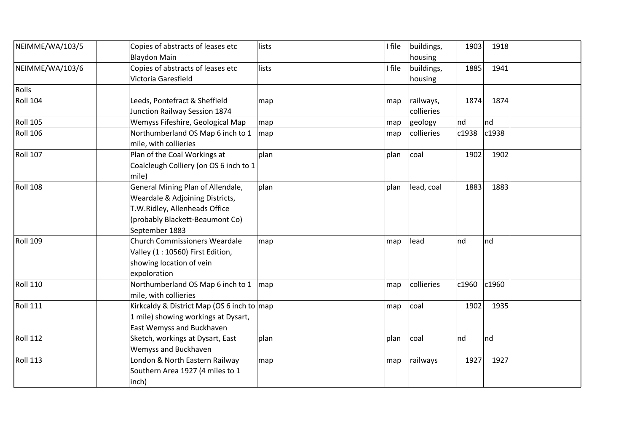| NEIMME/WA/103/5 | Copies of abstracts of leases etc                  | lists       | I file | buildings, | 1903  | 1918     |  |
|-----------------|----------------------------------------------------|-------------|--------|------------|-------|----------|--|
|                 | <b>Blaydon Main</b>                                |             |        | housing    |       |          |  |
| NEIMME/WA/103/6 | Copies of abstracts of leases etc                  | lists       | I file | buildings, | 1885  | 1941     |  |
|                 | Victoria Garesfield                                |             |        | housing    |       |          |  |
| Rolls           |                                                    |             |        |            |       |          |  |
| <b>Roll 104</b> | Leeds, Pontefract & Sheffield                      | map         | map    | railways,  | 1874  | 1874     |  |
|                 | Junction Railway Session 1874                      |             |        | collieries |       |          |  |
| <b>Roll 105</b> | Wemyss Fifeshire, Geological Map                   | map         | map    | geology    | nd    | $\ln d$  |  |
| <b>Roll 106</b> | Northumberland OS Map 6 inch to 1                  | map         | map    | collieries | c1938 | c1938    |  |
|                 | mile, with collieries                              |             |        |            |       |          |  |
| <b>Roll 107</b> | Plan of the Coal Workings at                       | plan        | plan   | coal       | 1902  | 1902     |  |
|                 | Coalcleugh Colliery (on OS 6 inch to 1             |             |        |            |       |          |  |
|                 | mile)                                              |             |        |            |       |          |  |
| <b>Roll 108</b> | General Mining Plan of Allendale,                  | plan        | plan   | lead, coal | 1883  | 1883     |  |
|                 | Weardale & Adjoining Districts,                    |             |        |            |       |          |  |
|                 | T.W.Ridley, Allenheads Office                      |             |        |            |       |          |  |
|                 | (probably Blackett-Beaumont Co)                    |             |        |            |       |          |  |
|                 | September 1883                                     |             |        |            |       |          |  |
| <b>Roll 109</b> | <b>Church Commissioners Weardale</b>               | map         | map    | lead       | nd    | nd       |  |
|                 | Valley (1 : 10560) First Edition,                  |             |        |            |       |          |  |
|                 | showing location of vein                           |             |        |            |       |          |  |
|                 | expoloration                                       |             |        |            |       |          |  |
| <b>Roll 110</b> | Northumberland OS Map 6 inch to 1   map            |             | map    | collieries | c1960 | $c$ 1960 |  |
|                 | mile, with collieries                              |             |        |            |       |          |  |
| <b>Roll 111</b> | Kirkcaldy & District Map (OS 6 inch to $\vert$ map |             | map    | coal       | 1902  | 1935     |  |
|                 | 1 mile) showing workings at Dysart,                |             |        |            |       |          |  |
|                 | East Wemyss and Buckhaven                          |             |        |            |       |          |  |
| <b>Roll 112</b> | Sketch, workings at Dysart, East                   | plan        | plan   | coal       | nd    | Ind      |  |
|                 | Wemyss and Buckhaven                               |             |        |            |       |          |  |
| <b>Roll 113</b> | London & North Eastern Railway                     | $\vert$ map | map    | railways   | 1927  | 1927     |  |
|                 | Southern Area 1927 (4 miles to 1                   |             |        |            |       |          |  |
|                 | inch)                                              |             |        |            |       |          |  |